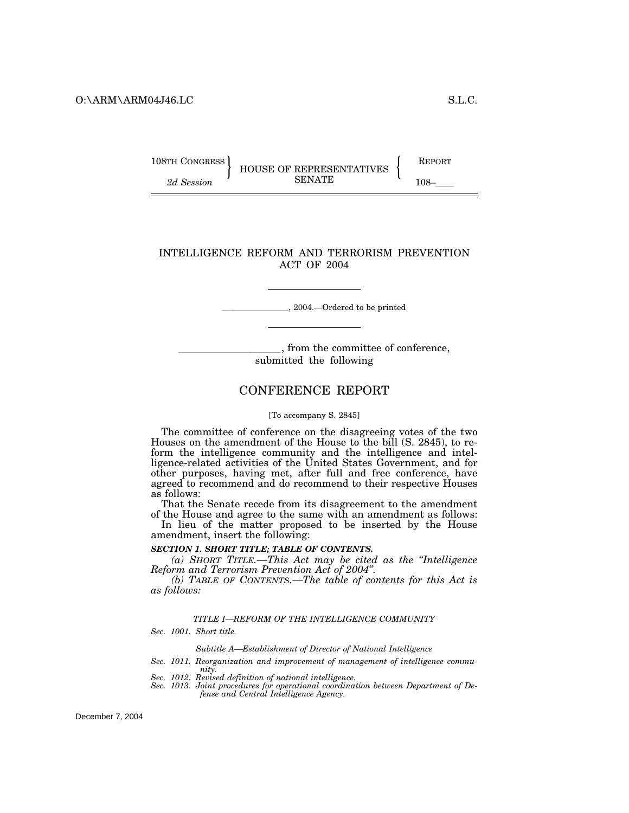108TH CONGRESS REPORT HOUSE OF REPRESENTATIVES { 2d Session  $\overline{\smash{\big)}\ }$  SENATE  $\overline{\smash{\big)}\ }$  108–

# INTELLIGENCE REFORM AND TERRORISM PREVENTION ACT OF 2004

, 2004.—Ordered to be printed

, from the committee of conference, submitted the following

# CONFERENCE REPORT

## [To accompany S. 2845]

The committee of conference on the disagreeing votes of the two Houses on the amendment of the House to the bill (S. 2845), to reform the intelligence community and the intelligence and intelligence-related activities of the United States Government, and for other purposes, having met, after full and free conference, have agreed to recommend and do recommend to their respective Houses as follows:

That the Senate recede from its disagreement to the amendment of the House and agree to the same with an amendment as follows:

In lieu of the matter proposed to be inserted by the House amendment, insert the following:

# *SECTION 1. SHORT TITLE; TABLE OF CONTENTS.*

*(a) SHORT TITLE.—This Act may be cited as the ''Intelligence Reform and Terrorism Prevention Act of 2004''.*

*(b) TABLE OF CONTENTS.—The table of contents for this Act is as follows:*

## *TITLE I—REFORM OF THE INTELLIGENCE COMMUNITY*

*Sec. 1001. Short title.*

## *Subtitle A—Establishment of Director of National Intelligence*

- *Sec. 1011. Reorganization and improvement of management of intelligence community.*
- *Sec. 1012. Revised definition of national intelligence.*
- *Sec. 1013. Joint procedures for operational coordination between Department of Defense and Central Intelligence Agency.*

December 7, 2004

S.L.C.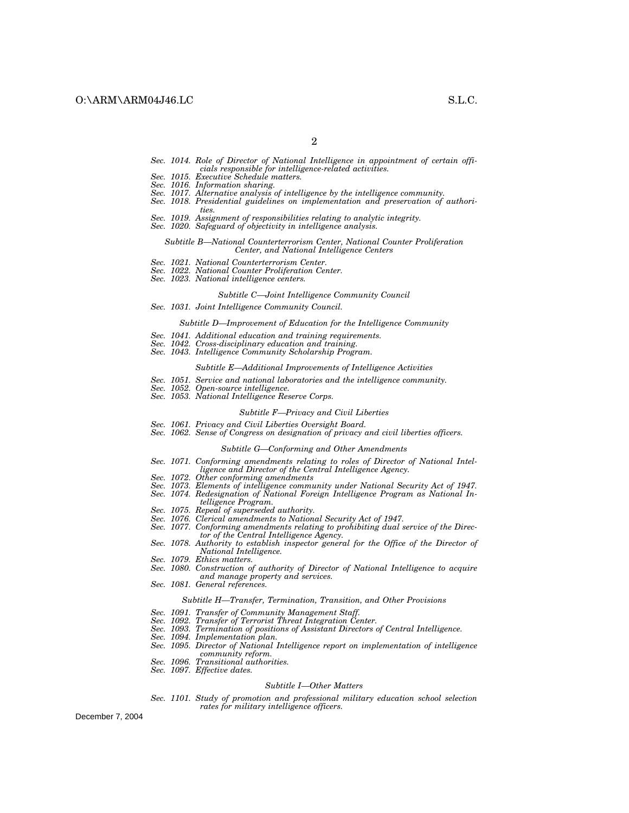- *Sec. 1014. Role of Director of National Intelligence in appointment of certain officials responsible for intelligence-related activities.*
- *Sec. 1015. Executive Schedule matters.*
- *Sec. 1016. Information sharing.*
- *Sec. 1017. Alternative analysis of intelligence by the intelligence community.*
- *Sec. 1018. Presidential guidelines on implementation and preservation of authorities.*
- *Sec. 1019. Assignment of responsibilities relating to analytic integrity.*
- *Sec. 1020. Safeguard of objectivity in intelligence analysis.*

#### *Subtitle B—National Counterterrorism Center, National Counter Proliferation Center, and National Intelligence Centers*

- *Sec. 1021. National Counterterrorism Center.*
- *Sec. 1022. National Counter Proliferation Center.*
- *Sec. 1023. National intelligence centers.*

## *Subtitle C—Joint Intelligence Community Council*

*Sec. 1031. Joint Intelligence Community Council.*

#### *Subtitle D—Improvement of Education for the Intelligence Community*

- *Sec. 1041. Additional education and training requirements.*
- *Sec. 1042. Cross-disciplinary education and training.*
- *Sec. 1043. Intelligence Community Scholarship Program.*

#### *Subtitle E—Additional Improvements of Intelligence Activities*

- *Sec. 1051. Service and national laboratories and the intelligence community.*
- *Sec. 1052. Open-source intelligence.*
- *Sec. 1053. National Intelligence Reserve Corps.*

## *Subtitle F—Privacy and Civil Liberties*

- *Sec. 1061. Privacy and Civil Liberties Oversight Board.*
- *Sec. 1062. Sense of Congress on designation of privacy and civil liberties officers.*

#### *Subtitle G—Conforming and Other Amendments*

- *Sec. 1071. Conforming amendments relating to roles of Director of National Intelligence and Director of the Central Intelligence Agency.*
- *Sec. 1072. Other conforming amendments*
- *Sec. 1073. Elements of intelligence community under National Security Act of 1947. Sec. 1074. Redesignation of National Foreign Intelligence Program as National Intelligence Program.*
- *Sec. 1075. Repeal of superseded authority.*
- *Sec. 1076. Clerical amendments to National Security Act of 1947.*
- *Sec. 1077. Conforming amendments relating to prohibiting dual service of the Director of the Central Intelligence Agency.*
- *Sec. 1078. Authority to establish inspector general for the Office of the Director of National Intelligence.*
- *Sec. 1079. Ethics matters.*
- Construction of authority of Director of National Intelligence to acquire *and manage property and services.*
- *Sec. 1081. General references.*

# *Subtitle H—Transfer, Termination, Transition, and Other Provisions*

- *Sec. 1091. Transfer of Community Management Staff.*
- *Sec. 1092. Transfer of Terrorist Threat Integration Center.*
- *Sec. 1093. Termination of positions of Assistant Directors of Central Intelligence.*
- *Sec. 1094. Implementation plan.*
- *Sec. 1095. Director of National Intelligence report on implementation of intelligence community reform.*
- *Sec. 1096. Transitional authorities.*
- *Sec. 1097. Effective dates.*

#### *Subtitle I—Other Matters*

*Sec. 1101. Study of promotion and professional military education school selection rates for military intelligence officers.*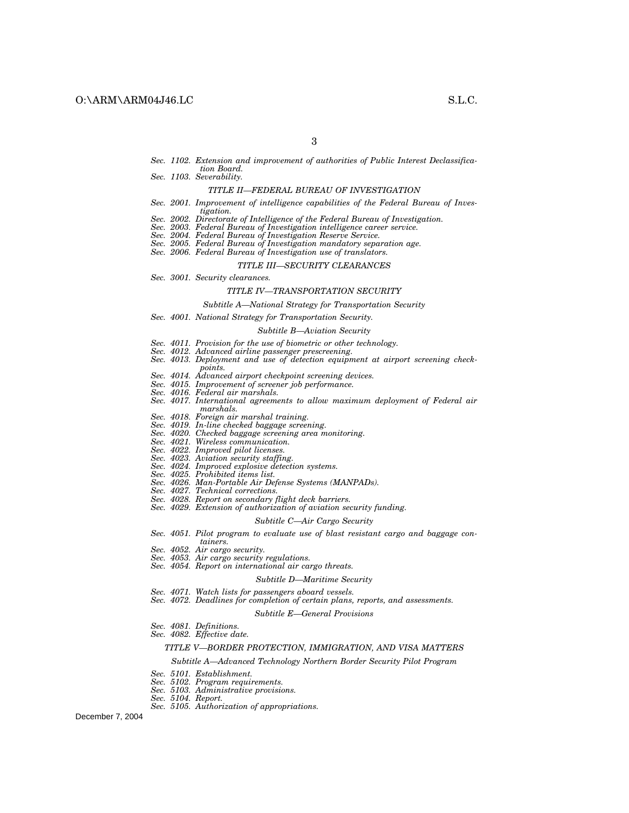*Sec. 1102. Extension and improvement of authorities of Public Interest Declassification Board.*

*Sec. 1103. Severability.*

## *TITLE II—FEDERAL BUREAU OF INVESTIGATION*

- *Sec. 2001. Improvement of intelligence capabilities of the Federal Bureau of Investigation.*
- *Sec. 2002. Directorate of Intelligence of the Federal Bureau of Investigation.*
- *Sec. 2003. Federal Bureau of Investigation intelligence career service.*
- *Sec. 2004. Federal Bureau of Investigation Reserve Service.*
- *Sec. 2005. Federal Bureau of Investigation mandatory separation age.*
- *Sec. 2006. Federal Bureau of Investigation use of translators.*

#### *TITLE III—SECURITY CLEARANCES*

*Sec. 3001. Security clearances.*

## *TITLE IV—TRANSPORTATION SECURITY*

## *Subtitle A—National Strategy for Transportation Security*

*Sec. 4001. National Strategy for Transportation Security.*

#### *Subtitle B—Aviation Security*

- *Sec. 4011. Provision for the use of biometric or other technology.*
- *Sec. 4012. Advanced airline passenger prescreening.*
- Sec. 4013. Deployment and use of detection equipment at airport screening check*points.*
- *Sec. 4014. Advanced airport checkpoint screening devices.*
- *Sec. 4015. Improvement of screener job performance.*
- *Sec. 4016. Federal air marshals.*
- *Sec. 4017. International agreements to allow maximum deployment of Federal air marshals.*
- *Sec. 4018. Foreign air marshal training.*
- *Sec. 4019. In-line checked baggage screening.*
- *Sec. 4020. Checked baggage screening area monitoring.*
- *Sec. 4021. Wireless communication.*
- *Sec. 4022. Improved pilot licenses.*
- *Sec. 4023. Aviation security staffing.*
- *Sec. 4024. Improved explosive detection systems.*
- *Sec. 4025. Prohibited items list.*
- *Sec. 4026. Man-Portable Air Defense Systems (MANPADs).*
- *Sec. 4027. Technical corrections.*
- *Sec. 4028. Report on secondary flight deck barriers.*

# *Sec. 4029. Extension of authorization of aviation security funding.*

## *Subtitle C—Air Cargo Security*

- *Sec. 4051. Pilot program to evaluate use of blast resistant cargo and baggage containers.*
- 
- *Sec. 4052. Air cargo security. Sec. 4053. Air cargo security regulations.*
- *Sec. 4054. Report on international air cargo threats.*
- 

# *Subtitle D—Maritime Security*

- *Sec. 4071. Watch lists for passengers aboard vessels.*
- *Sec. 4072. Deadlines for completion of certain plans, reports, and assessments.*

# *Subtitle E—General Provisions*

- *Sec. 4081. Definitions.*
- *Sec. 4082. Effective date.*

#### *TITLE V—BORDER PROTECTION, IMMIGRATION, AND VISA MATTERS*

#### *Subtitle A—Advanced Technology Northern Border Security Pilot Program*

#### *Sec. 5101. Establishment.*

- *Sec. 5102. Program requirements.*
- *Sec. 5103. Administrative provisions.*
- *Sec. 5104. Report.*
- *Sec. 5105. Authorization of appropriations.*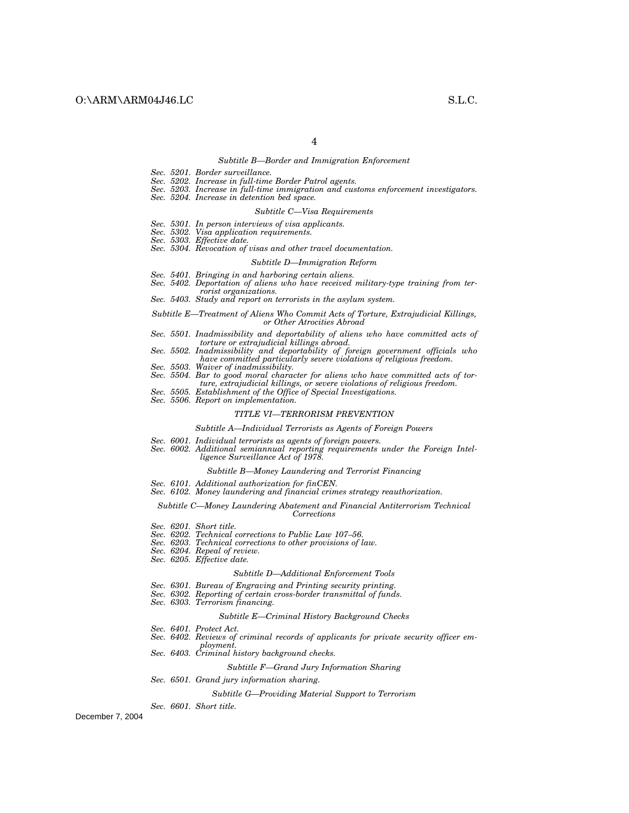### *Subtitle B—Border and Immigration Enforcement*

- *Sec. 5201. Border surveillance.*
- *Sec. 5202. Increase in full-time Border Patrol agents.*
- *Sec. 5203. Increase in full-time immigration and customs enforcement investigators.*
- *Sec. 5204. Increase in detention bed space.*

#### *Subtitle C—Visa Requirements*

- *Sec. 5301. In person interviews of visa applicants.*
- *Sec. 5302. Visa application requirements.*
- *Sec. 5303. Effective date.*
- *Sec. 5304. Revocation of visas and other travel documentation.*

#### *Subtitle D—Immigration Reform*

- *Sec. 5401. Bringing in and harboring certain aliens.*
- *Sec. 5402. Deportation of aliens who have received military-type training from terrorist organizations.*
- *Sec. 5403. Study and report on terrorists in the asylum system.*
- *Subtitle E—Treatment of Aliens Who Commit Acts of Torture, Extrajudicial Killings, or Other Atrocities Abroad*
- *Sec. 5501. Inadmissibility and deportability of aliens who have committed acts of torture or extrajudicial killings abroad.*
- *Sec. 5502. Inadmissibility and deportability of foreign government officials who have committed particularly severe violations of religious freedom.*
- *Sec. 5503. Waiver of inadmissibility.*
- *Sec. 5504. Bar to good moral character for aliens who have committed acts of torture, extrajudicial killings, or severe violations of religious freedom.*
- *Sec. 5505. Establishment of the Office of Special Investigations.*
- *Sec. 5506. Report on implementation.*

#### *TITLE VI—TERRORISM PREVENTION*

#### *Subtitle A—Individual Terrorists as Agents of Foreign Powers*

- *Sec. 6001. Individual terrorists as agents of foreign powers.*
- *Sec. 6002. Additional semiannual reporting requirements under the Foreign Intelligence Surveillance Act of 1978.*

#### *Subtitle B—Money Laundering and Terrorist Financing*

- *Sec. 6101. Additional authorization for finCEN.*
- *Sec. 6102. Money laundering and financial crimes strategy reauthorization.*

#### *Subtitle C—Money Laundering Abatement and Financial Antiterrorism Technical Corrections*

- *Sec. 6201. Short title.*
- *Sec. 6202. Technical corrections to Public Law 107–56.*
- *Sec. 6203. Technical corrections to other provisions of law.*
- *Sec. 6204. Repeal of review.*
- *Sec. 6205. Effective date.*

## *Subtitle D—Additional Enforcement Tools*

- *Sec. 6301. Bureau of Engraving and Printing security printing.*
- *Sec. 6302. Reporting of certain cross-border transmittal of funds.*
- *Sec. 6303. Terrorism financing.*

#### *Subtitle E—Criminal History Background Checks*

- *Sec. 6401. Protect Act.*
- *Sec. 6402. Reviews of criminal records of applicants for private security officer em-*
- *ployment. Sec. 6403. Criminal history background checks.*

#### *Subtitle F—Grand Jury Information Sharing*

- *Sec. 6501. Grand jury information sharing.*
	- *Subtitle G—Providing Material Support to Terrorism*
- *Sec. 6601. Short title.*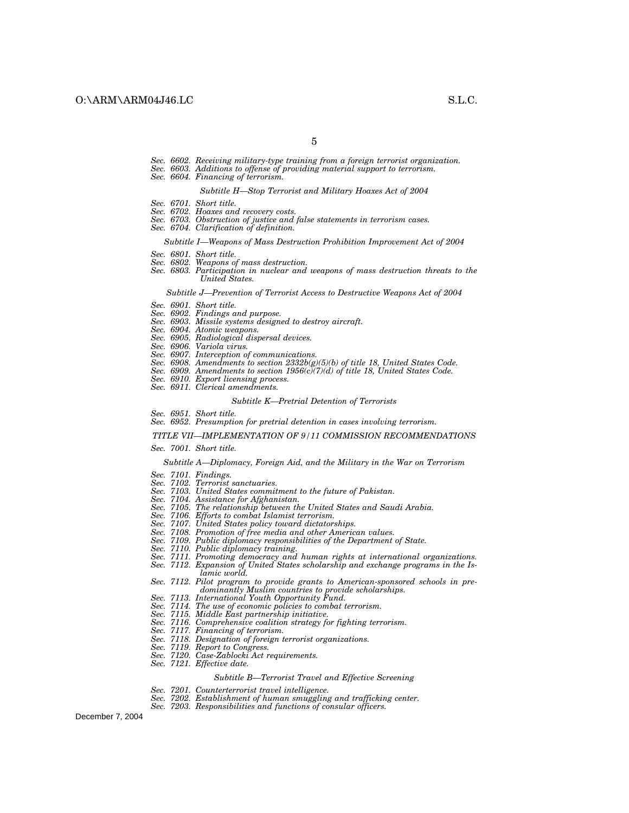- *Sec. 6602. Receiving military-type training from a foreign terrorist organization.*
- *Sec. 6603. Additions to offense of providing material support to terrorism.*
- *Sec. 6604. Financing of terrorism.*

#### *Subtitle H—Stop Terrorist and Military Hoaxes Act of 2004*

- *Sec. 6701. Short title.*
- *Sec. 6702. Hoaxes and recovery costs.*
- *Sec. 6703. Obstruction of justice and false statements in terrorism cases.*
- *Sec. 6704. Clarification of definition.*

# *Subtitle I—Weapons of Mass Destruction Prohibition Improvement Act of 2004*

- *Sec. 6801. Short title.*
- *Sec. 6802. Weapons of mass destruction.*
- *Sec. 6803. Participation in nuclear and weapons of mass destruction threats to the United States.*

#### *Subtitle J—Prevention of Terrorist Access to Destructive Weapons Act of 2004*

- *Sec. 6901. Short title.*
- *Sec. 6902. Findings and purpose.*
- *Sec. 6903. Missile systems designed to destroy aircraft.*
- *Sec. 6904. Atomic weapons.*
- *Sec. 6905. Radiological dispersal devices.*
- *Sec. 6906. Variola virus.*
- *Sec. 6907. Interception of communications.*
- *Sec. 6908. Amendments to section 2332b(g)(5)(b) of title 18, United States Code.*
- *Sec. 6909. Amendments to section 1956(c)(7)(d) of title 18, United States Code.*
- *Sec. 6910. Export licensing process.*
- *Sec. 6911. Clerical amendments.*

#### *Subtitle K—Pretrial Detention of Terrorists*

*Sec. 6951. Short title.*

*Sec. 6952. Presumption for pretrial detention in cases involving terrorism.*

# *TITLE VII—IMPLEMENTATION OF 9/11 COMMISSION RECOMMENDATIONS*

*Sec. 7001. Short title.*

#### *Subtitle A—Diplomacy, Foreign Aid, and the Military in the War on Terrorism*

- *Sec. 7101. Findings.*
- *Sec. 7102. Terrorist sanctuaries.*
- *Sec. 7103. United States commitment to the future of Pakistan.*
- *Sec. 7104. Assistance for Afghanistan.*
- *Sec. 7105. The relationship between the United States and Saudi Arabia.*
- *Sec. 7106. Efforts to combat Islamist terrorism.*
- *Sec. 7107. United States policy toward dictatorships.*
- *Sec. 7108. Promotion of free media and other American values.*
- *Sec. 7109. Public diplomacy responsibilities of the Department of State.*
- *Sec. 7110. Public diplomacy training.*
- *Sec. 7111. Promoting democracy and human rights at international organizations. Sec. 7112. Expansion of United States scholarship and exchange programs in the Islamic world.*
- *Sec. 7112. Pilot program to provide grants to American-sponsored schools in predominantly Muslim countries to provide scholarships.*
- *Sec. 7113. International Youth Opportunity Fund.*
- *Sec. 7114. The use of economic policies to combat terrorism.*
- *Sec. 7115. Middle East partnership initiative.*
- *Sec. 7116. Comprehensive coalition strategy for fighting terrorism.*
- *Sec. 7117. Financing of terrorism.*
- *Sec. 7118. Designation of foreign terrorist organizations.*
- *Sec. 7119. Report to Congress.*
- *Sec. 7120. Case-Zablocki Act requirements.*
- *Sec. 7121. Effective date.*

#### *Subtitle B—Terrorist Travel and Effective Screening*

- 
- *Sec. 7201. Counterterrorist travel intelligence. Sec. 7202. Establishment of human smuggling and trafficking center.*
- *Sec. 7203. Responsibilities and functions of consular officers.*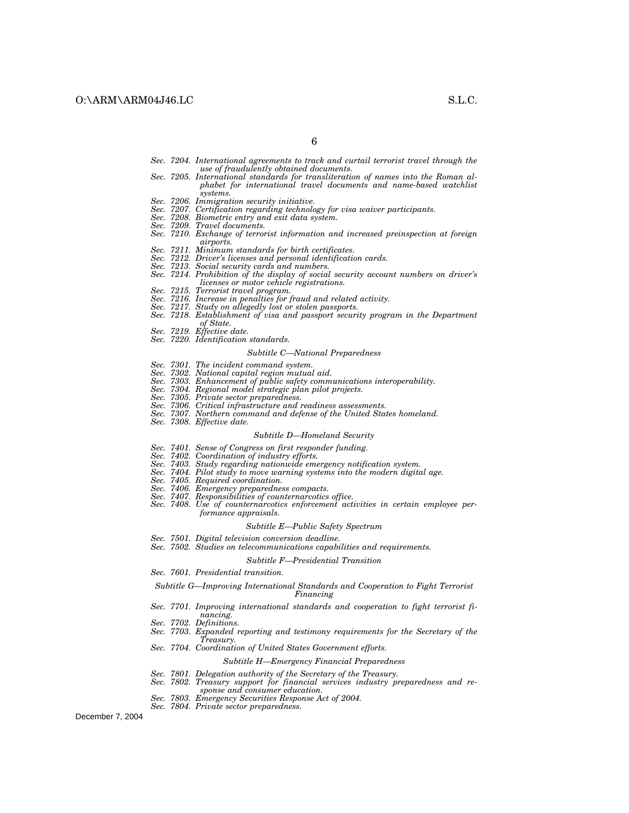6

- *Sec. 7204. International agreements to track and curtail terrorist travel through the*
- *use of fraudulently obtained documents. Sec. 7205. International standards for transliteration of names into the Roman alphabet for international travel documents and name-based watchlist systems.*
- *Sec. 7206. Immigration security initiative.*
- *Sec. 7207. Certification regarding technology for visa waiver participants. Sec. 7208. Biometric entry and exit data system.*
- 
- *Sec. 7209. Travel documents.*
- *Sec. 7210. Exchange of terrorist information and increased preinspection at foreign airports.*
- *Sec. 7211. Minimum standards for birth certificates.*
- 
- 
- *Sec. 7212. Driver's licenses and personal identification cards. Sec. 7213. Social security cards and numbers. Sec. 7214. Prohibition of the display of social security account numbers on driver's licenses or motor vehicle registrations.*
- *Sec. 7215. Terrorist travel program.*
- *Sec. 7216. Increase in penalties for fraud and related activity. Sec. 7217. Study on allegedly lost or stolen passports.*
- 
- *Sec. 7218. Establishment of visa and passport security program in the Department of State.*
- *Sec. 7219. Effective date.*
- *Sec. 7220. Identification standards.*

#### *Subtitle C—National Preparedness*

- *Sec. 7301. The incident command system.*
- 
- *Sec. 7302. National capital region mutual aid. Sec. 7303. Enhancement of public safety communications interoperability.*
- *Sec. 7304. Regional model strategic plan pilot projects.*
- *Sec. 7305. Private sector preparedness.*
- *Sec. 7306. Critical infrastructure and readiness assessments.*
- *Sec. 7307. Northern command and defense of the United States homeland.*
- *Sec. 7308. Effective date.*

#### *Subtitle D—Homeland Security*

- *Sec. 7401. Sense of Congress on first responder funding.*
- 
- *Sec. 7402. Coordination of industry efforts. Sec. 7403. Study regarding nationwide emergency notification system.*
- *Sec. 7404. Pilot study to move warning systems into the modern digital age. Sec. 7405. Required coordination.*
- 
- *Sec. 7406. Emergency preparedness compacts. Sec. 7407. Responsibilities of counternarcotics office.*
- *Sec. 7408. Use of counternarcotics enforcement activities in certain employee per*
	- *formance appraisals.*

# *Subtitle E—Public Safety Spectrum*

*Sec. 7501. Digital television conversion deadline. Sec. 7502. Studies on telecommunications capabilities and requirements.*

#### *Subtitle F—Presidential Transition*

*Sec. 7601. Presidential transition.*

*Subtitle G—Improving International Standards and Cooperation to Fight Terrorist Financing*

- *Sec. 7701. Improving international standards and cooperation to fight terrorist financing.*
- *Sec. 7702. Definitions.*
- *Sec. 7703. Expanded reporting and testimony requirements for the Secretary of the Treasury.*
- *Sec. 7704. Coordination of United States Government efforts.*

## *Subtitle H—Emergency Financial Preparedness*

- *Sec. 7801. Delegation authority of the Secretary of the Treasury.*
- *Sec. 7802. Treasury support for financial services industry preparedness and response and consumer education.*
- *Sec. 7803. Emergency Securities Response Act of 2004.*
- *Sec. 7804. Private sector preparedness.*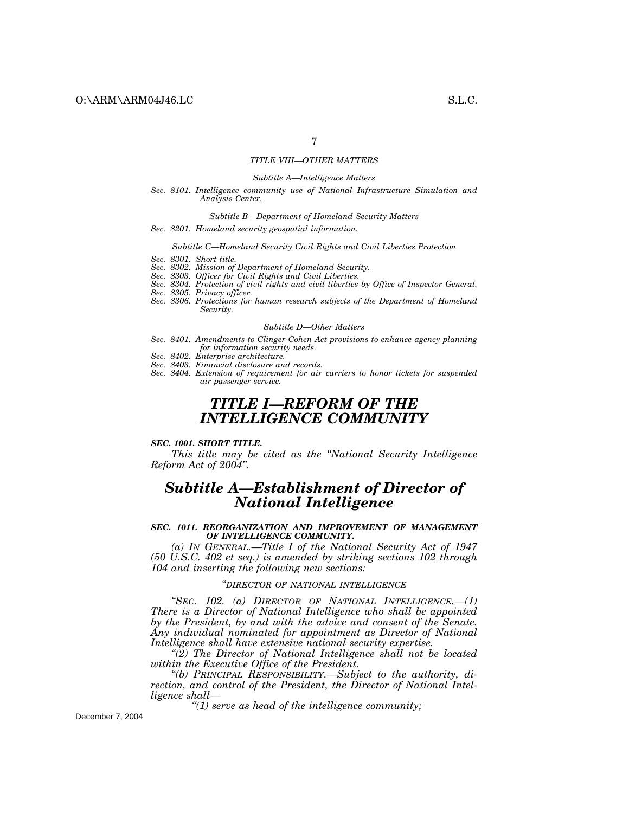# *TITLE VIII—OTHER MATTERS*

#### *Subtitle A—Intelligence Matters*

*Sec. 8101. Intelligence community use of National Infrastructure Simulation and Analysis Center.*

#### *Subtitle B—Department of Homeland Security Matters*

*Sec. 8201. Homeland security geospatial information.*

### *Subtitle C—Homeland Security Civil Rights and Civil Liberties Protection*

- *Sec. 8301. Short title.*
- *Sec. 8302. Mission of Department of Homeland Security.*
- *Sec. 8303. Officer for Civil Rights and Civil Liberties.*
- *Sec. 8304. Protection of civil rights and civil liberties by Office of Inspector General.*
- *Sec. 8305. Privacy officer.*
- *Sec. 8306. Protections for human research subjects of the Department of Homeland Security.*

#### *Subtitle D—Other Matters*

- *Sec. 8401. Amendments to Clinger-Cohen Act provisions to enhance agency planning for information security needs.*
- *Sec. 8402. Enterprise architecture.*
- *Sec. 8403. Financial disclosure and records.*
- *Sec. 8404. Extension of requirement for air carriers to honor tickets for suspended air passenger service.*

# *TITLE I—REFORM OF THE INTELLIGENCE COMMUNITY*

# *SEC. 1001. SHORT TITLE.*

*This title may be cited as the ''National Security Intelligence Reform Act of 2004''.*

# *Subtitle A—Establishment of Director of National Intelligence*

## *SEC. 1011. REORGANIZATION AND IMPROVEMENT OF MANAGEMENT OF INTELLIGENCE COMMUNITY.*

*(a) IN GENERAL.—Title I of the National Security Act of 1947 (50 U.S.C. 402 et seq.) is amended by striking sections 102 through 104 and inserting the following new sections:*

#### *''DIRECTOR OF NATIONAL INTELLIGENCE*

*''SEC. 102. (a) DIRECTOR OF NATIONAL INTELLIGENCE.—(1) There is a Director of National Intelligence who shall be appointed by the President, by and with the advice and consent of the Senate. Any individual nominated for appointment as Director of National Intelligence shall have extensive national security expertise.*

*''(2) The Director of National Intelligence shall not be located within the Executive Office of the President.*

*''(b) PRINCIPAL RESPONSIBILITY.—Subject to the authority, direction, and control of the President, the Director of National Intelligence shall—*

*''(1) serve as head of the intelligence community;*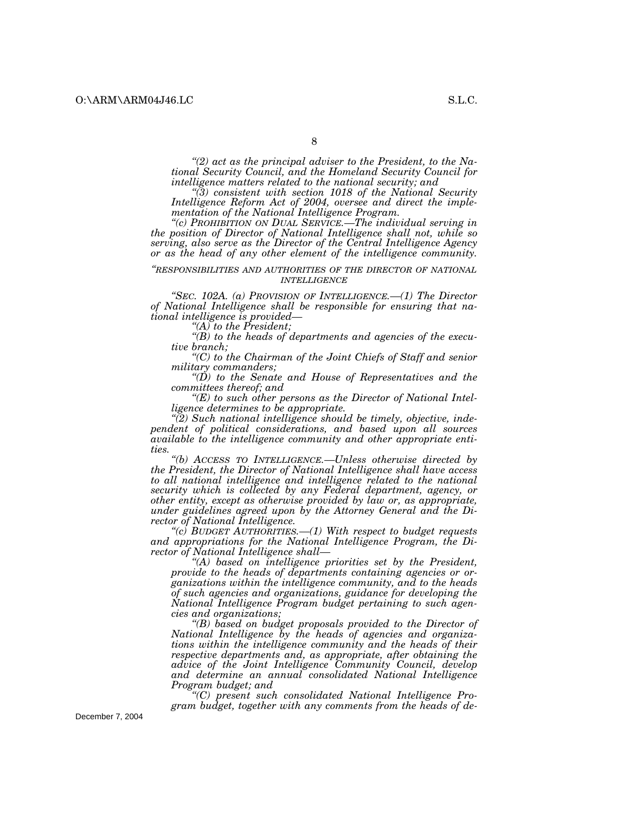*''(2) act as the principal adviser to the President, to the National Security Council, and the Homeland Security Council for intelligence matters related to the national security; and*

*''(3) consistent with section 1018 of the National Security Intelligence Reform Act of 2004, oversee and direct the implementation of the National Intelligence Program.*

*''(c) PROHIBITION ON DUAL SERVICE.—The individual serving in the position of Director of National Intelligence shall not, while so serving, also serve as the Director of the Central Intelligence Agency or as the head of any other element of the intelligence community.*

# *''RESPONSIBILITIES AND AUTHORITIES OF THE DIRECTOR OF NATIONAL INTELLIGENCE*

*''SEC. 102A. (a) PROVISION OF INTELLIGENCE.—(1) The Director of National Intelligence shall be responsible for ensuring that national intelligence is provided—*

*''(A) to the President;*

*''(B) to the heads of departments and agencies of the executive branch;*

*''(C) to the Chairman of the Joint Chiefs of Staff and senior military commanders;*

*''(D) to the Senate and House of Representatives and the committees thereof; and*

*''(E) to such other persons as the Director of National Intelligence determines to be appropriate.*

*''(2) Such national intelligence should be timely, objective, independent of political considerations, and based upon all sources available to the intelligence community and other appropriate entities.*

*''(b) ACCESS TO INTELLIGENCE.—Unless otherwise directed by the President, the Director of National Intelligence shall have access to all national intelligence and intelligence related to the national security which is collected by any Federal department, agency, or other entity, except as otherwise provided by law or, as appropriate, under guidelines agreed upon by the Attorney General and the Director of National Intelligence.*

*''(c) BUDGET AUTHORITIES.—(1) With respect to budget requests and appropriations for the National Intelligence Program, the Director of National Intelligence shall—*

*''(A) based on intelligence priorities set by the President, provide to the heads of departments containing agencies or organizations within the intelligence community, and to the heads of such agencies and organizations, guidance for developing the National Intelligence Program budget pertaining to such agencies and organizations;*

*''(B) based on budget proposals provided to the Director of National Intelligence by the heads of agencies and organizations within the intelligence community and the heads of their respective departments and, as appropriate, after obtaining the advice of the Joint Intelligence Community Council, develop and determine an annual consolidated National Intelligence Program budget; and*

*''(C) present such consolidated National Intelligence Program budget, together with any comments from the heads of de-*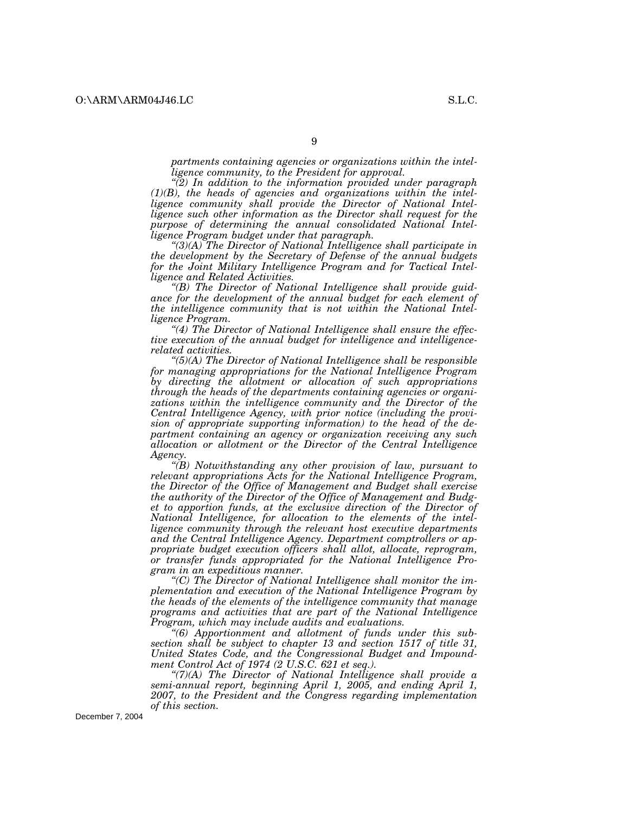*partments containing agencies or organizations within the intelligence community, to the President for approval.*

*''(2) In addition to the information provided under paragraph (1)(B), the heads of agencies and organizations within the intelligence community shall provide the Director of National Intelligence such other information as the Director shall request for the purpose of determining the annual consolidated National Intelligence Program budget under that paragraph.*

*''(3)(A) The Director of National Intelligence shall participate in the development by the Secretary of Defense of the annual budgets for the Joint Military Intelligence Program and for Tactical Intelligence and Related Activities.*

*''(B) The Director of National Intelligence shall provide guidance for the development of the annual budget for each element of the intelligence community that is not within the National Intelligence Program.*

*''(4) The Director of National Intelligence shall ensure the effective execution of the annual budget for intelligence and intelligencerelated activities.*

*''(5)(A) The Director of National Intelligence shall be responsible for managing appropriations for the National Intelligence Program by directing the allotment or allocation of such appropriations through the heads of the departments containing agencies or organizations within the intelligence community and the Director of the Central Intelligence Agency, with prior notice (including the provision of appropriate supporting information) to the head of the department containing an agency or organization receiving any such allocation or allotment or the Director of the Central Intelligence Agency.*

*''(B) Notwithstanding any other provision of law, pursuant to relevant appropriations Acts for the National Intelligence Program, the Director of the Office of Management and Budget shall exercise the authority of the Director of the Office of Management and Budget to apportion funds, at the exclusive direction of the Director of National Intelligence, for allocation to the elements of the intelligence community through the relevant host executive departments and the Central Intelligence Agency. Department comptrollers or appropriate budget execution officers shall allot, allocate, reprogram, or transfer funds appropriated for the National Intelligence Program in an expeditious manner.*

*''(C) The Director of National Intelligence shall monitor the implementation and execution of the National Intelligence Program by the heads of the elements of the intelligence community that manage programs and activities that are part of the National Intelligence Program, which may include audits and evaluations.*

*''(6) Apportionment and allotment of funds under this subsection shall be subject to chapter 13 and section 1517 of title 31, United States Code, and the Congressional Budget and Impoundment Control Act of 1974 (2 U.S.C. 621 et seq.).*

*''(7)(A) The Director of National Intelligence shall provide a semi-annual report, beginning April 1, 2005, and ending April 1, 2007, to the President and the Congress regarding implementation of this section.*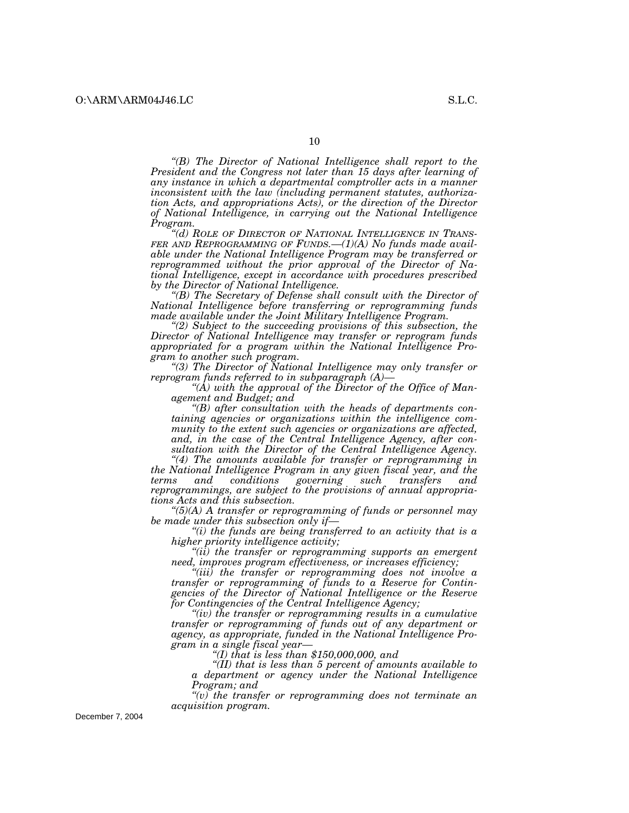*''(B) The Director of National Intelligence shall report to the President and the Congress not later than 15 days after learning of any instance in which a departmental comptroller acts in a manner inconsistent with the law (including permanent statutes, authorization Acts, and appropriations Acts), or the direction of the Director of National Intelligence, in carrying out the National Intelligence Program.*

*''(d) ROLE OF DIRECTOR OF NATIONAL INTELLIGENCE IN TRANS- FER AND REPROGRAMMING OF FUNDS.—(1)(A) No funds made available under the National Intelligence Program may be transferred or reprogrammed without the prior approval of the Director of National Intelligence, except in accordance with procedures prescribed by the Director of National Intelligence.*

*''(B) The Secretary of Defense shall consult with the Director of National Intelligence before transferring or reprogramming funds made available under the Joint Military Intelligence Program.*

*''(2) Subject to the succeeding provisions of this subsection, the Director of National Intelligence may transfer or reprogram funds appropriated for a program within the National Intelligence Program to another such program.*

*''(3) The Director of National Intelligence may only transfer or reprogram funds referred to in subparagraph (A)—*

*''(A) with the approval of the Director of the Office of Management and Budget; and*

*''(B) after consultation with the heads of departments containing agencies or organizations within the intelligence community to the extent such agencies or organizations are affected, and, in the case of the Central Intelligence Agency, after consultation with the Director of the Central Intelligence Agency.*

*''(4) The amounts available for transfer or reprogramming in the National Intelligence Program in any given fiscal year, and the terms and conditions governing such transfers and reprogrammings, are subject to the provisions of annual appropriations Acts and this subsection.*

*''(5)(A) A transfer or reprogramming of funds or personnel may be made under this subsection only if—*

*''(i) the funds are being transferred to an activity that is a higher priority intelligence activity;*

*''(ii) the transfer or reprogramming supports an emergent need, improves program effectiveness, or increases efficiency;*

*''(iii) the transfer or reprogramming does not involve a transfer or reprogramming of funds to a Reserve for Contingencies of the Director of National Intelligence or the Reserve for Contingencies of the Central Intelligence Agency;*

*''(iv) the transfer or reprogramming results in a cumulative transfer or reprogramming of funds out of any department or agency, as appropriate, funded in the National Intelligence Program in a single fiscal year—*

*''(I) that is less than \$150,000,000, and*

*''(II) that is less than 5 percent of amounts available to a department or agency under the National Intelligence Program; and*

*''(v) the transfer or reprogramming does not terminate an acquisition program.*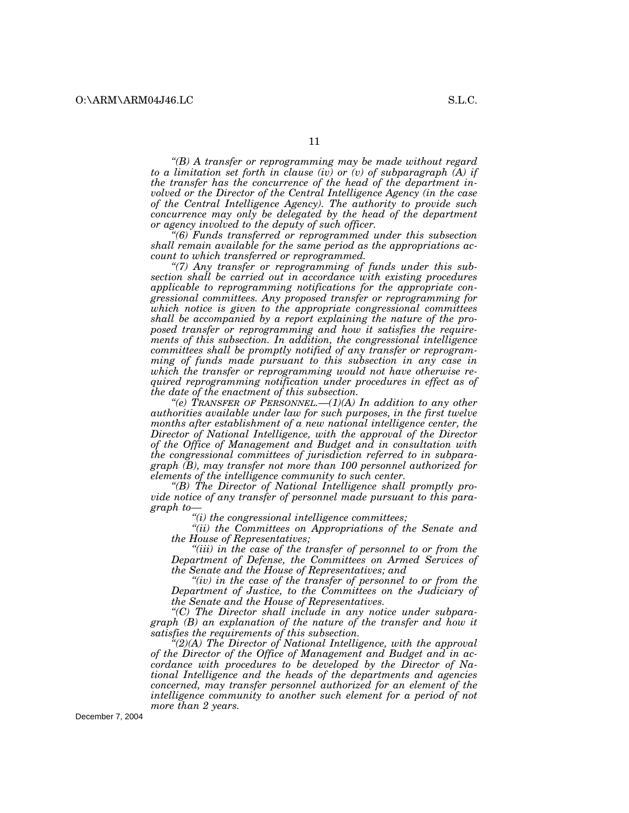*''(B) A transfer or reprogramming may be made without regard to a limitation set forth in clause (iv) or (v) of subparagraph (A) if the transfer has the concurrence of the head of the department involved or the Director of the Central Intelligence Agency (in the case of the Central Intelligence Agency). The authority to provide such concurrence may only be delegated by the head of the department or agency involved to the deputy of such officer.*

*''(6) Funds transferred or reprogrammed under this subsection shall remain available for the same period as the appropriations account to which transferred or reprogrammed.*

*''(7) Any transfer or reprogramming of funds under this subsection shall be carried out in accordance with existing procedures applicable to reprogramming notifications for the appropriate congressional committees. Any proposed transfer or reprogramming for which notice is given to the appropriate congressional committees shall be accompanied by a report explaining the nature of the proposed transfer or reprogramming and how it satisfies the requirements of this subsection. In addition, the congressional intelligence committees shall be promptly notified of any transfer or reprogramming of funds made pursuant to this subsection in any case in which the transfer or reprogramming would not have otherwise required reprogramming notification under procedures in effect as of the date of the enactment of this subsection.*

*''(e) TRANSFER OF PERSONNEL.—(1)(A) In addition to any other authorities available under law for such purposes, in the first twelve months after establishment of a new national intelligence center, the Director of National Intelligence, with the approval of the Director of the Office of Management and Budget and in consultation with the congressional committees of jurisdiction referred to in subparagraph (B), may transfer not more than 100 personnel authorized for elements of the intelligence community to such center.*

*''(B) The Director of National Intelligence shall promptly provide notice of any transfer of personnel made pursuant to this paragraph to—*

*''(i) the congressional intelligence committees;*

*''(ii) the Committees on Appropriations of the Senate and the House of Representatives;*

*''(iii) in the case of the transfer of personnel to or from the Department of Defense, the Committees on Armed Services of the Senate and the House of Representatives; and*

*''(iv) in the case of the transfer of personnel to or from the Department of Justice, to the Committees on the Judiciary of the Senate and the House of Representatives.*

*''(C) The Director shall include in any notice under subparagraph (B) an explanation of the nature of the transfer and how it satisfies the requirements of this subsection.*

*''(2)(A) The Director of National Intelligence, with the approval of the Director of the Office of Management and Budget and in accordance with procedures to be developed by the Director of National Intelligence and the heads of the departments and agencies concerned, may transfer personnel authorized for an element of the intelligence community to another such element for a period of not more than 2 years.*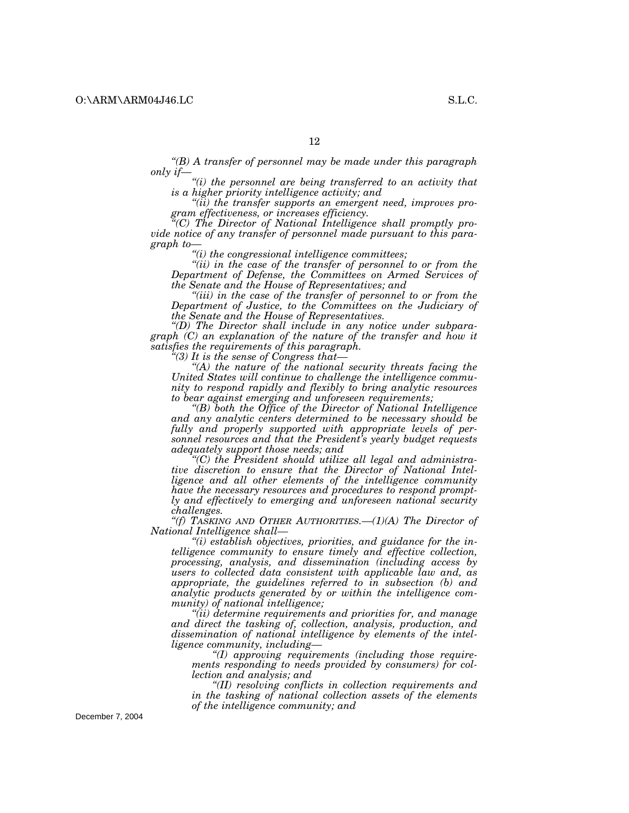*''(B) A transfer of personnel may be made under this paragraph only if—*

*''(i) the personnel are being transferred to an activity that is a higher priority intelligence activity; and*

*''(ii) the transfer supports an emergent need, improves program effectiveness, or increases efficiency.*

*''(C) The Director of National Intelligence shall promptly provide notice of any transfer of personnel made pursuant to this paragraph to—*

*''(i) the congressional intelligence committees;*

*''(ii) in the case of the transfer of personnel to or from the Department of Defense, the Committees on Armed Services of the Senate and the House of Representatives; and*

*''(iii) in the case of the transfer of personnel to or from the Department of Justice, to the Committees on the Judiciary of the Senate and the House of Representatives.*

*''(D) The Director shall include in any notice under subparagraph (C) an explanation of the nature of the transfer and how it satisfies the requirements of this paragraph.*

*''(3) It is the sense of Congress that—*

*''(A) the nature of the national security threats facing the United States will continue to challenge the intelligence community to respond rapidly and flexibly to bring analytic resources to bear against emerging and unforeseen requirements;*

*''(B) both the Office of the Director of National Intelligence and any analytic centers determined to be necessary should be fully and properly supported with appropriate levels of personnel resources and that the President's yearly budget requests adequately support those needs; and*

*''(C) the President should utilize all legal and administrative discretion to ensure that the Director of National Intelligence and all other elements of the intelligence community have the necessary resources and procedures to respond promptly and effectively to emerging and unforeseen national security challenges.*

*''(f) TASKING AND OTHER AUTHORITIES.—(1)(A) The Director of National Intelligence shall—*

*''(i) establish objectives, priorities, and guidance for the intelligence community to ensure timely and effective collection, processing, analysis, and dissemination (including access by users to collected data consistent with applicable law and, as appropriate, the guidelines referred to in subsection (b) and analytic products generated by or within the intelligence community) of national intelligence;*

*''(ii) determine requirements and priorities for, and manage and direct the tasking of, collection, analysis, production, and dissemination of national intelligence by elements of the intelligence community, including—*

*''(I) approving requirements (including those requirements responding to needs provided by consumers) for collection and analysis; and*

*''(II) resolving conflicts in collection requirements and in the tasking of national collection assets of the elements of the intelligence community; and*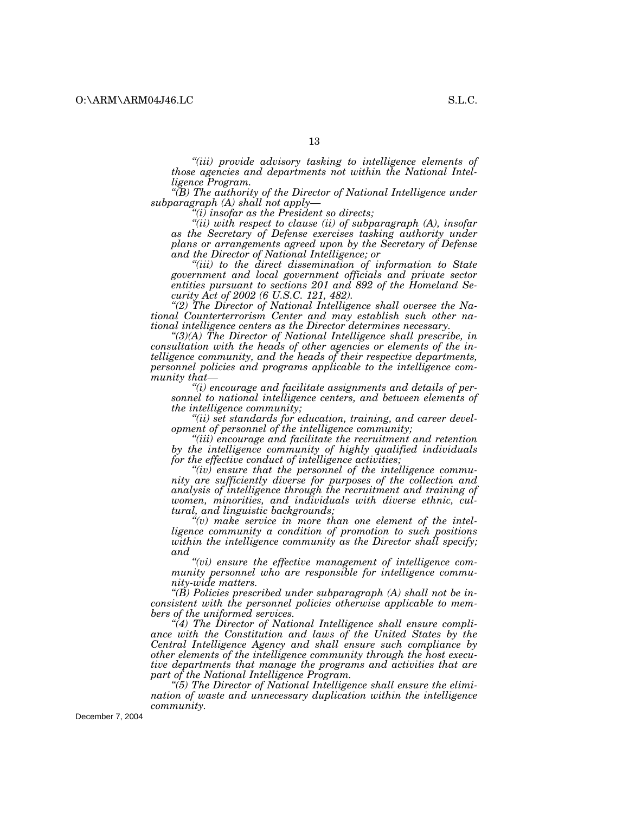*''(iii) provide advisory tasking to intelligence elements of those agencies and departments not within the National Intelligence Program.*

*''(B) The authority of the Director of National Intelligence under subparagraph (A) shall not apply—*

*''(i) insofar as the President so directs;*

*''(ii) with respect to clause (ii) of subparagraph (A), insofar as the Secretary of Defense exercises tasking authority under plans or arrangements agreed upon by the Secretary of Defense and the Director of National Intelligence; or*

*''(iii) to the direct dissemination of information to State government and local government officials and private sector* entities pursuant to sections 201 and 892 of the Homeland Se*curity Act of 2002 (6 U.S.C. 121, 482).*

*''(2) The Director of National Intelligence shall oversee the National Counterterrorism Center and may establish such other national intelligence centers as the Director determines necessary.*

*''(3)(A) The Director of National Intelligence shall prescribe, in consultation with the heads of other agencies or elements of the intelligence community, and the heads of their respective departments, personnel policies and programs applicable to the intelligence community that—*

*''(i) encourage and facilitate assignments and details of personnel to national intelligence centers, and between elements of the intelligence community;*

*''(ii) set standards for education, training, and career development of personnel of the intelligence community;*

*''(iii) encourage and facilitate the recruitment and retention by the intelligence community of highly qualified individuals for the effective conduct of intelligence activities;*

*''(iv) ensure that the personnel of the intelligence community are sufficiently diverse for purposes of the collection and analysis of intelligence through the recruitment and training of women, minorities, and individuals with diverse ethnic, cultural, and linguistic backgrounds;*

*''(v) make service in more than one element of the intelligence community a condition of promotion to such positions within the intelligence community as the Director shall specify; and*

*''(vi) ensure the effective management of intelligence community personnel who are responsible for intelligence community-wide matters.*

*''(B) Policies prescribed under subparagraph (A) shall not be inconsistent with the personnel policies otherwise applicable to members of the uniformed services.*

*''(4) The Director of National Intelligence shall ensure compliance with the Constitution and laws of the United States by the Central Intelligence Agency and shall ensure such compliance by other elements of the intelligence community through the host executive departments that manage the programs and activities that are part of the National Intelligence Program.*

*''(5) The Director of National Intelligence shall ensure the elimination of waste and unnecessary duplication within the intelligence community.*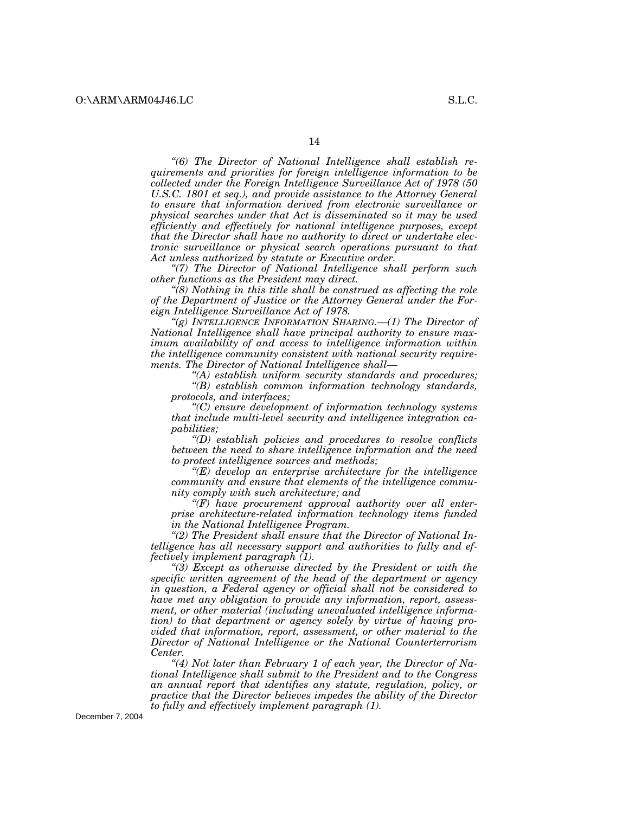*''(6) The Director of National Intelligence shall establish requirements and priorities for foreign intelligence information to be collected under the Foreign Intelligence Surveillance Act of 1978 (50 U.S.C. 1801 et seq.), and provide assistance to the Attorney General to ensure that information derived from electronic surveillance or physical searches under that Act is disseminated so it may be used efficiently and effectively for national intelligence purposes, except that the Director shall have no authority to direct or undertake electronic surveillance or physical search operations pursuant to that Act unless authorized by statute or Executive order.*

*''(7) The Director of National Intelligence shall perform such other functions as the President may direct.*

*''(8) Nothing in this title shall be construed as affecting the role of the Department of Justice or the Attorney General under the Foreign Intelligence Surveillance Act of 1978.*

*''(g) INTELLIGENCE INFORMATION SHARING.—(1) The Director of National Intelligence shall have principal authority to ensure maximum availability of and access to intelligence information within the intelligence community consistent with national security requirements. The Director of National Intelligence shall—*

*''(A) establish uniform security standards and procedures;*

*''(B) establish common information technology standards, protocols, and interfaces;*

*''(C) ensure development of information technology systems that include multi-level security and intelligence integration capabilities;*

*''(D) establish policies and procedures to resolve conflicts between the need to share intelligence information and the need to protect intelligence sources and methods;*

*''(E) develop an enterprise architecture for the intelligence community and ensure that elements of the intelligence community comply with such architecture; and*

*''(F) have procurement approval authority over all enterprise architecture-related information technology items funded in the National Intelligence Program.*

*''(2) The President shall ensure that the Director of National Intelligence has all necessary support and authorities to fully and effectively implement paragraph (1).*

*''(3) Except as otherwise directed by the President or with the specific written agreement of the head of the department or agency in question, a Federal agency or official shall not be considered to have met any obligation to provide any information, report, assessment, or other material (including unevaluated intelligence information) to that department or agency solely by virtue of having provided that information, report, assessment, or other material to the Director of National Intelligence or the National Counterterrorism Center.*

*''(4) Not later than February 1 of each year, the Director of National Intelligence shall submit to the President and to the Congress an annual report that identifies any statute, regulation, policy, or practice that the Director believes impedes the ability of the Director to fully and effectively implement paragraph (1).*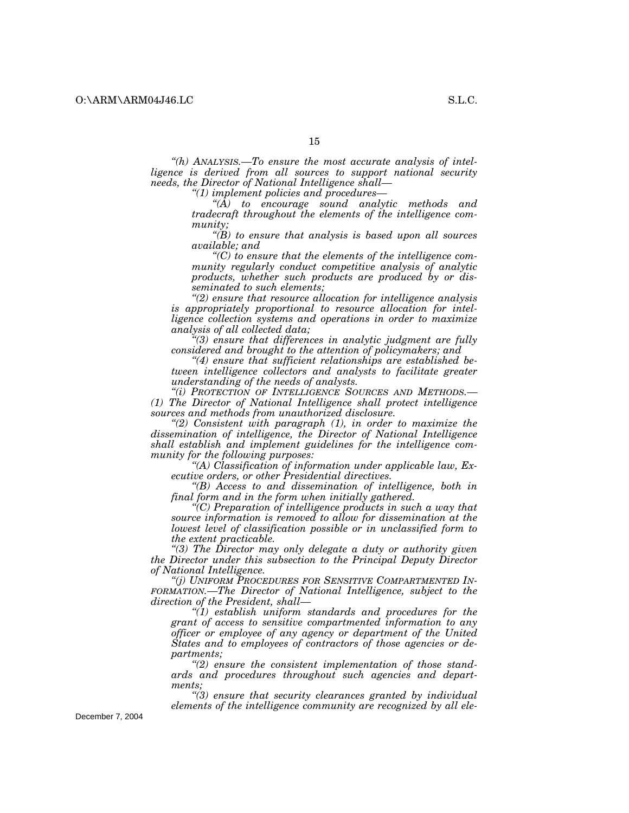*''(h) ANALYSIS.—To ensure the most accurate analysis of intelligence is derived from all sources to support national security needs, the Director of National Intelligence shall—*

*''(1) implement policies and procedures—*

*''(A) to encourage sound analytic methods and tradecraft throughout the elements of the intelligence community;*

*''(B) to ensure that analysis is based upon all sources available; and*

*''(C) to ensure that the elements of the intelligence community regularly conduct competitive analysis of analytic products, whether such products are produced by or disseminated to such elements;*

*''(2) ensure that resource allocation for intelligence analysis is appropriately proportional to resource allocation for intelligence collection systems and operations in order to maximize analysis of all collected data;*

*''(3) ensure that differences in analytic judgment are fully considered and brought to the attention of policymakers; and*

*''(4) ensure that sufficient relationships are established between intelligence collectors and analysts to facilitate greater understanding of the needs of analysts.*

*''(i) PROTECTION OF INTELLIGENCE SOURCES AND METHODS.— (1) The Director of National Intelligence shall protect intelligence sources and methods from unauthorized disclosure.*

*''(2) Consistent with paragraph (1), in order to maximize the dissemination of intelligence, the Director of National Intelligence shall establish and implement guidelines for the intelligence community for the following purposes:*

*''(A) Classification of information under applicable law, Executive orders, or other Presidential directives.*

*''(B) Access to and dissemination of intelligence, both in final form and in the form when initially gathered.*

*''(C) Preparation of intelligence products in such a way that source information is removed to allow for dissemination at the lowest level of classification possible or in unclassified form to the extent practicable.*

*''(3) The Director may only delegate a duty or authority given the Director under this subsection to the Principal Deputy Director of National Intelligence.*

*''(j) UNIFORM PROCEDURES FOR SENSITIVE COMPARTMENTED IN-FORMATION.—The Director of National Intelligence, subject to the direction of the President, shall—*

*''(1) establish uniform standards and procedures for the grant of access to sensitive compartmented information to any officer or employee of any agency or department of the United States and to employees of contractors of those agencies or departments;*

*''(2) ensure the consistent implementation of those standards and procedures throughout such agencies and departments;*

*''(3) ensure that security clearances granted by individual elements of the intelligence community are recognized by all ele-*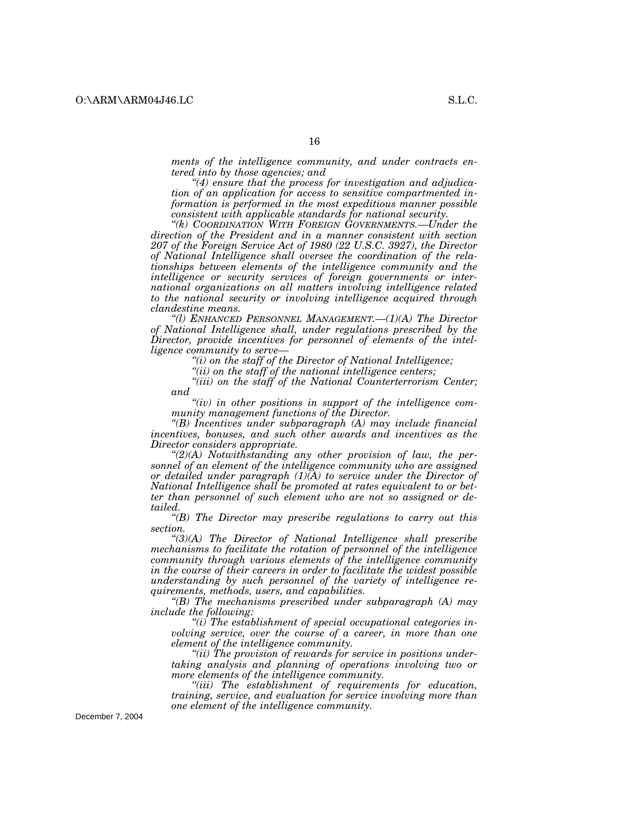*ments of the intelligence community, and under contracts entered into by those agencies; and*

*''(4) ensure that the process for investigation and adjudication of an application for access to sensitive compartmented information is performed in the most expeditious manner possible consistent with applicable standards for national security.*

*''(k) COORDINATION WITH FOREIGN GOVERNMENTS.—Under the direction of the President and in a manner consistent with section 207 of the Foreign Service Act of 1980 (22 U.S.C. 3927), the Director of National Intelligence shall oversee the coordination of the relationships between elements of the intelligence community and the intelligence or security services of foreign governments or international organizations on all matters involving intelligence related to the national security or involving intelligence acquired through clandestine means.*

*''(l) ENHANCED PERSONNEL MANAGEMENT.—(1)(A) The Director of National Intelligence shall, under regulations prescribed by the Director, provide incentives for personnel of elements of the intelligence community to serve—*

*''(i) on the staff of the Director of National Intelligence;*

*''(ii) on the staff of the national intelligence centers;*

*''(iii) on the staff of the National Counterterrorism Center; and*

*''(iv) in other positions in support of the intelligence community management functions of the Director.*

*''(B) Incentives under subparagraph (A) may include financial incentives, bonuses, and such other awards and incentives as the Director considers appropriate.*

*''(2)(A) Notwithstanding any other provision of law, the personnel of an element of the intelligence community who are assigned or detailed under paragraph (1)(A) to service under the Director of National Intelligence shall be promoted at rates equivalent to or better than personnel of such element who are not so assigned or detailed.*

*''(B) The Director may prescribe regulations to carry out this section.*

*''(3)(A) The Director of National Intelligence shall prescribe mechanisms to facilitate the rotation of personnel of the intelligence community through various elements of the intelligence community in the course of their careers in order to facilitate the widest possible understanding by such personnel of the variety of intelligence requirements, methods, users, and capabilities.*

*''(B) The mechanisms prescribed under subparagraph (A) may include the following:*

*''(i) The establishment of special occupational categories involving service, over the course of a career, in more than one element of the intelligence community.*

*''(ii) The provision of rewards for service in positions undertaking analysis and planning of operations involving two or more elements of the intelligence community.*

*''(iii) The establishment of requirements for education, training, service, and evaluation for service involving more than one element of the intelligence community.*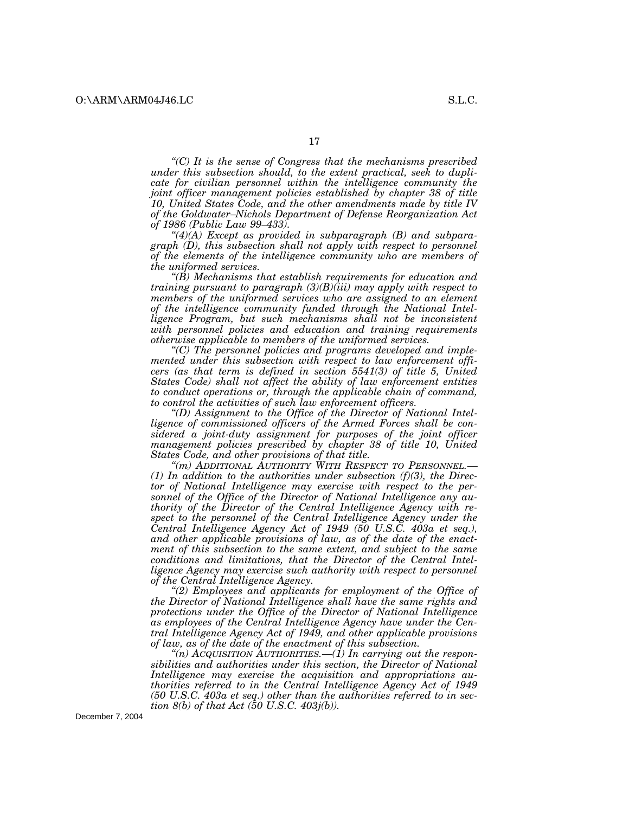*''(C) It is the sense of Congress that the mechanisms prescribed under this subsection should, to the extent practical, seek to duplicate for civilian personnel within the intelligence community the joint officer management policies established by chapter 38 of title 10, United States Code, and the other amendments made by title IV of the Goldwater–Nichols Department of Defense Reorganization Act of 1986 (Public Law 99–433).*

*''(4)(A) Except as provided in subparagraph (B) and subparagraph (D), this subsection shall not apply with respect to personnel of the elements of the intelligence community who are members of the uniformed services.*

*''(B) Mechanisms that establish requirements for education and training pursuant to paragraph (3)(B)(iii) may apply with respect to members of the uniformed services who are assigned to an element of the intelligence community funded through the National Intelligence Program, but such mechanisms shall not be inconsistent with personnel policies and education and training requirements otherwise applicable to members of the uniformed services.*

*''(C) The personnel policies and programs developed and implemented under this subsection with respect to law enforcement officers (as that term is defined in section 5541(3) of title 5, United States Code) shall not affect the ability of law enforcement entities to conduct operations or, through the applicable chain of command, to control the activities of such law enforcement officers.*

*''(D) Assignment to the Office of the Director of National Intelligence of commissioned officers of the Armed Forces shall be considered a joint-duty assignment for purposes of the joint officer management policies prescribed by chapter 38 of title 10, United States Code, and other provisions of that title.*

*''(m) ADDITIONAL AUTHORITY WITH RESPECT TO PERSONNEL.— (1) In addition to the authorities under subsection (f)(3), the Director of National Intelligence may exercise with respect to the personnel of the Office of the Director of National Intelligence any authority of the Director of the Central Intelligence Agency with respect to the personnel of the Central Intelligence Agency under the Central Intelligence Agency Act of 1949 (50 U.S.C. 403a et seq.), and other applicable provisions of law, as of the date of the enactment of this subsection to the same extent, and subject to the same conditions and limitations, that the Director of the Central Intelligence Agency may exercise such authority with respect to personnel of the Central Intelligence Agency.*

*''(2) Employees and applicants for employment of the Office of the Director of National Intelligence shall have the same rights and protections under the Office of the Director of National Intelligence as employees of the Central Intelligence Agency have under the Central Intelligence Agency Act of 1949, and other applicable provisions of law, as of the date of the enactment of this subsection.*

*''(n) ACQUISITION AUTHORITIES.—(1) In carrying out the responsibilities and authorities under this section, the Director of National Intelligence may exercise the acquisition and appropriations authorities referred to in the Central Intelligence Agency Act of 1949 (50 U.S.C. 403a et seq.) other than the authorities referred to in section 8(b) of that Act (50 U.S.C. 403j(b)).*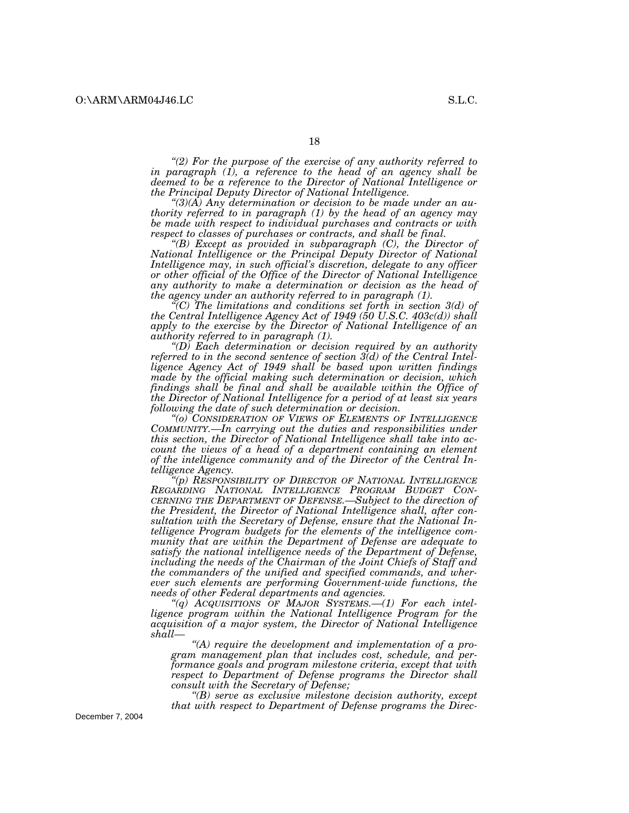*''(2) For the purpose of the exercise of any authority referred to in paragraph (1), a reference to the head of an agency shall be deemed to be a reference to the Director of National Intelligence or the Principal Deputy Director of National Intelligence.*

*''(3)(A) Any determination or decision to be made under an authority referred to in paragraph (1) by the head of an agency may be made with respect to individual purchases and contracts or with respect to classes of purchases or contracts, and shall be final.*

*''(B) Except as provided in subparagraph (C), the Director of National Intelligence or the Principal Deputy Director of National Intelligence may, in such official's discretion, delegate to any officer or other official of the Office of the Director of National Intelligence any authority to make a determination or decision as the head of the agency under an authority referred to in paragraph (1).*

*''(C) The limitations and conditions set forth in section 3(d) of the Central Intelligence Agency Act of 1949 (50 U.S.C. 403c(d)) shall apply to the exercise by the Director of National Intelligence of an authority referred to in paragraph (1).*

*''(D) Each determination or decision required by an authority referred to in the second sentence of section 3(d) of the Central Intelligence Agency Act of 1949 shall be based upon written findings made by the official making such determination or decision, which findings shall be final and shall be available within the Office of the Director of National Intelligence for a period of at least six years following the date of such determination or decision.*

*''(o) CONSIDERATION OF VIEWS OF ELEMENTS OF INTELLIGENCE COMMUNITY.—In carrying out the duties and responsibilities under this section, the Director of National Intelligence shall take into account the views of a head of a department containing an element* of the intelligence community and of the Director of the Central In*telligence Agency.*

*''(p) RESPONSIBILITY OF DIRECTOR OF NATIONAL INTELLIGENCE REGARDING NATIONAL INTELLIGENCE PROGRAM BUDGET CON-CERNING THE DEPARTMENT OF DEFENSE.—Subject to the direction of the President, the Director of National Intelligence shall, after consultation with the Secretary of Defense, ensure that the National Intelligence Program budgets for the elements of the intelligence community that are within the Department of Defense are adequate to satisfy the national intelligence needs of the Department of Defense, including the needs of the Chairman of the Joint Chiefs of Staff and the commanders of the unified and specified commands, and wherever such elements are performing Government-wide functions, the needs of other Federal departments and agencies.*

*''(q) ACQUISITIONS OF MAJOR SYSTEMS.—(1) For each intelligence program within the National Intelligence Program for the acquisition of a major system, the Director of National Intelligence shall—*

*''(A) require the development and implementation of a program management plan that includes cost, schedule, and performance goals and program milestone criteria, except that with respect to Department of Defense programs the Director shall consult with the Secretary of Defense;*

*''(B) serve as exclusive milestone decision authority, except that with respect to Department of Defense programs the Direc-*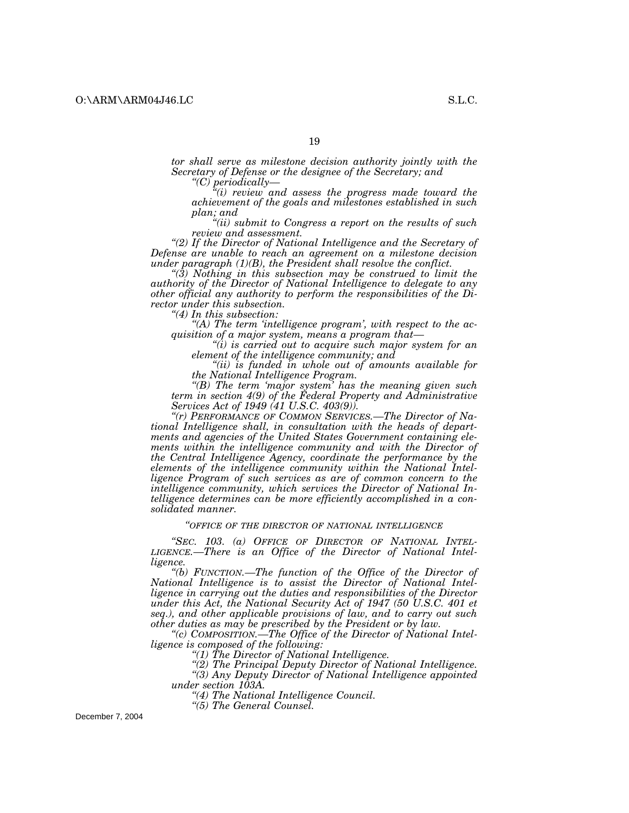*tor shall serve as milestone decision authority jointly with the Secretary of Defense or the designee of the Secretary; and*

*''(C) periodically—*

*''(i) review and assess the progress made toward the achievement of the goals and milestones established in such plan; and*

*''(ii) submit to Congress a report on the results of such review and assessment.*

*''(2) If the Director of National Intelligence and the Secretary of Defense are unable to reach an agreement on a milestone decision under paragraph (1)(B), the President shall resolve the conflict.*

*''(3) Nothing in this subsection may be construed to limit the authority of the Director of National Intelligence to delegate to any other official any authority to perform the responsibilities of the Director under this subsection.*

*''(4) In this subsection:*

*''(A) The term 'intelligence program', with respect to the acquisition of a major system, means a program that—*

*''(i) is carried out to acquire such major system for an element of the intelligence community; and*

*''(ii) is funded in whole out of amounts available for the National Intelligence Program.*

*''(B) The term 'major system' has the meaning given such term in section 4(9) of the Federal Property and Administrative Services Act of 1949 (41 U.S.C. 403(9)).*

*''(r) PERFORMANCE OF COMMON SERVICES.—The Director of National Intelligence shall, in consultation with the heads of departments and agencies of the United States Government containing elements within the intelligence community and with the Director of the Central Intelligence Agency, coordinate the performance by the elements of the intelligence community within the National Intelligence Program of such services as are of common concern to the intelligence community, which services the Director of National Intelligence determines can be more efficiently accomplished in a consolidated manner.*

*''OFFICE OF THE DIRECTOR OF NATIONAL INTELLIGENCE*

*''SEC. 103. (a) OFFICE OF DIRECTOR OF NATIONAL INTEL-LIGENCE.—There is an Office of the Director of National Intelligence.*

*''(b) FUNCTION.—The function of the Office of the Director of National Intelligence is to assist the Director of National Intelligence in carrying out the duties and responsibilities of the Director under this Act, the National Security Act of 1947 (50 U.S.C. 401 et seq.), and other applicable provisions of law, and to carry out such other duties as may be prescribed by the President or by law.*

*''(c) COMPOSITION.—The Office of the Director of National Intelligence is composed of the following:*

*''(1) The Director of National Intelligence.*

*''(2) The Principal Deputy Director of National Intelligence.*

*''(3) Any Deputy Director of National Intelligence appointed under section 103A.*

*''(4) The National Intelligence Council.*

*''(5) The General Counsel.*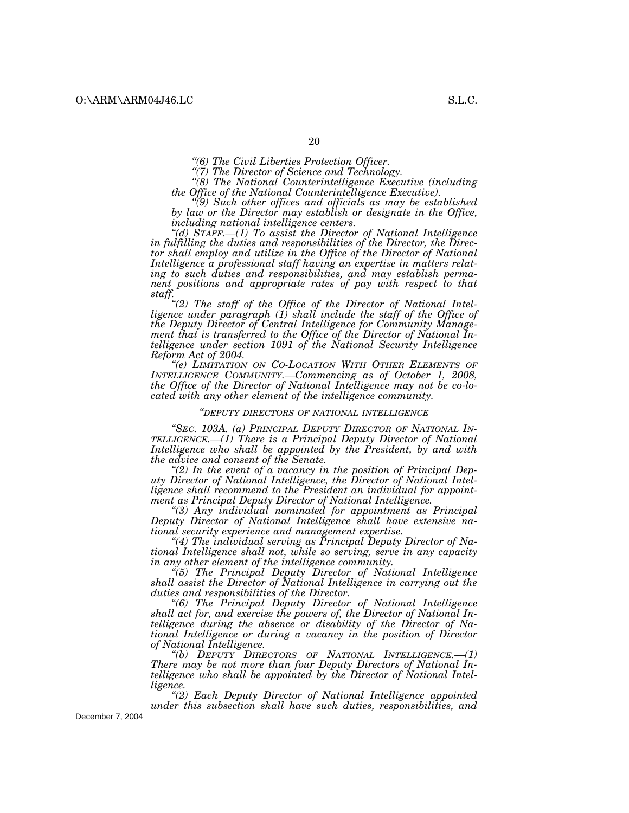*''(6) The Civil Liberties Protection Officer.*

*''(7) The Director of Science and Technology.*

*''(8) The National Counterintelligence Executive (including the Office of the National Counterintelligence Executive).*

*''(9) Such other offices and officials as may be established by law or the Director may establish or designate in the Office, including national intelligence centers.*

*''(d) STAFF.—(1) To assist the Director of National Intelligence in fulfilling the duties and responsibilities of the Director, the Director shall employ and utilize in the Office of the Director of National Intelligence a professional staff having an expertise in matters relating to such duties and responsibilities, and may establish permanent positions and appropriate rates of pay with respect to that staff.*

*''(2) The staff of the Office of the Director of National Intelligence under paragraph (1) shall include the staff of the Office of the Deputy Director of Central Intelligence for Community Management that is transferred to the Office of the Director of National Intelligence under section 1091 of the National Security Intelligence Reform Act of 2004.*

*''(e) LIMITATION ON CO-LOCATION WITH OTHER ELEMENTS OF INTELLIGENCE COMMUNITY.—Commencing as of October 1, 2008, the Office of the Director of National Intelligence may not be co-located with any other element of the intelligence community.*

# *''DEPUTY DIRECTORS OF NATIONAL INTELLIGENCE*

*''SEC. 103A. (a) PRINCIPAL DEPUTY DIRECTOR OF NATIONAL IN- TELLIGENCE.—(1) There is a Principal Deputy Director of National Intelligence who shall be appointed by the President, by and with the advice and consent of the Senate.*

*''(2) In the event of a vacancy in the position of Principal Deputy Director of National Intelligence, the Director of National Intelligence shall recommend to the President an individual for appointment as Principal Deputy Director of National Intelligence.*

*''(3) Any individual nominated for appointment as Principal Deputy Director of National Intelligence shall have extensive national security experience and management expertise.*

*''(4) The individual serving as Principal Deputy Director of National Intelligence shall not, while so serving, serve in any capacity in any other element of the intelligence community.*

*''(5) The Principal Deputy Director of National Intelligence shall assist the Director of National Intelligence in carrying out the duties and responsibilities of the Director.*

*''(6) The Principal Deputy Director of National Intelligence shall act for, and exercise the powers of, the Director of National Intelligence during the absence or disability of the Director of National Intelligence or during a vacancy in the position of Director of National Intelligence.*

*''(b) DEPUTY DIRECTORS OF NATIONAL INTELLIGENCE.—(1) There may be not more than four Deputy Directors of National Intelligence who shall be appointed by the Director of National Intelligence.*

*''(2) Each Deputy Director of National Intelligence appointed under this subsection shall have such duties, responsibilities, and*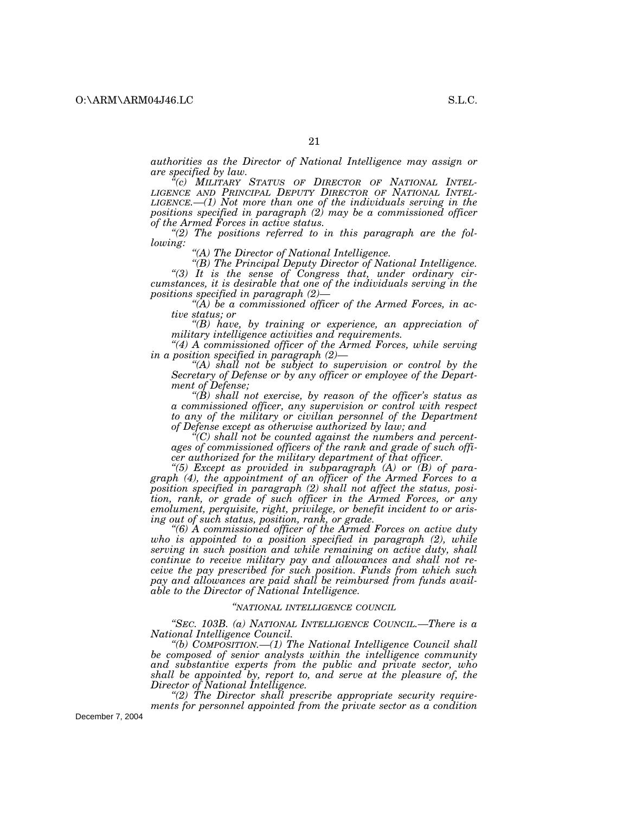*authorities as the Director of National Intelligence may assign or are specified by law.*

*''(c) MILITARY STATUS OF DIRECTOR OF NATIONAL INTEL- LIGENCE AND PRINCIPAL DEPUTY DIRECTOR OF NATIONAL INTEL- LIGENCE.—(1) Not more than one of the individuals serving in the positions specified in paragraph (2) may be a commissioned officer of the Armed Forces in active status.*

*''(2) The positions referred to in this paragraph are the following:*

*''(A) The Director of National Intelligence.*

*''(B) The Principal Deputy Director of National Intelligence.*

*''(3) It is the sense of Congress that, under ordinary circumstances, it is desirable that one of the individuals serving in the positions specified in paragraph (2)—*

*''(A) be a commissioned officer of the Armed Forces, in active status; or*

*''(B) have, by training or experience, an appreciation of military intelligence activities and requirements.*

*''(4) A commissioned officer of the Armed Forces, while serving in a position specified in paragraph (2)—*

*''(A) shall not be subject to supervision or control by the Secretary of Defense or by any officer or employee of the Department of Defense;*

*''(B) shall not exercise, by reason of the officer's status as a commissioned officer, any supervision or control with respect to any of the military or civilian personnel of the Department of Defense except as otherwise authorized by law; and*

*''(C) shall not be counted against the numbers and percentages of commissioned officers of the rank and grade of such officer authorized for the military department of that officer.*

*''(5) Except as provided in subparagraph (A) or (B) of paragraph (4), the appointment of an officer of the Armed Forces to a position specified in paragraph (2) shall not affect the status, position, rank, or grade of such officer in the Armed Forces, or any emolument, perquisite, right, privilege, or benefit incident to or arising out of such status, position, rank, or grade.*

*''(6) A commissioned officer of the Armed Forces on active duty who is appointed to a position specified in paragraph (2), while serving in such position and while remaining on active duty, shall continue to receive military pay and allowances and shall not receive the pay prescribed for such position. Funds from which such pay and allowances are paid shall be reimbursed from funds available to the Director of National Intelligence.*

## *''NATIONAL INTELLIGENCE COUNCIL*

*''SEC. 103B. (a) NATIONAL INTELLIGENCE COUNCIL.—There is a National Intelligence Council.*

*''(b) COMPOSITION.—(1) The National Intelligence Council shall be composed of senior analysts within the intelligence community and substantive experts from the public and private sector, who shall be appointed by, report to, and serve at the pleasure of, the Director of National Intelligence.*

*''(2) The Director shall prescribe appropriate security requirements for personnel appointed from the private sector as a condition*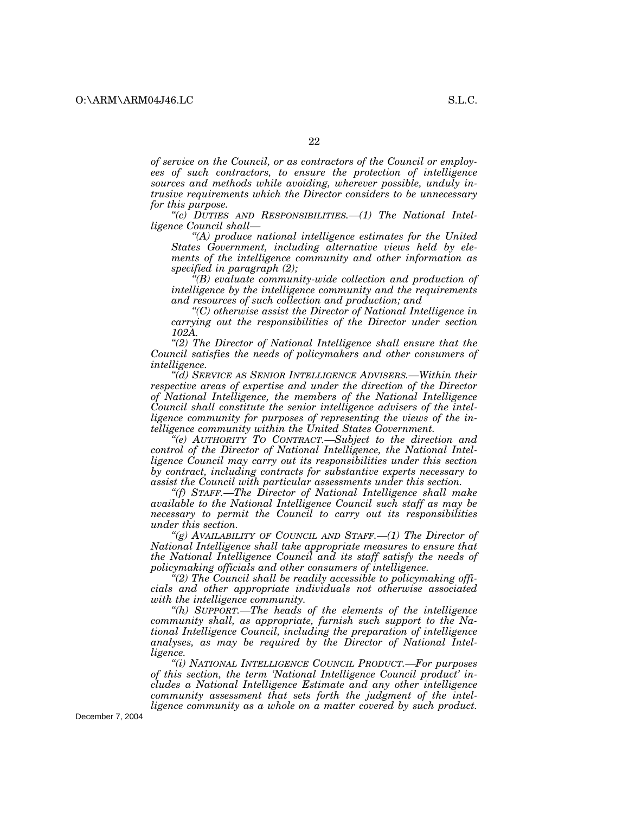*of service on the Council, or as contractors of the Council or employees of such contractors, to ensure the protection of intelligence sources and methods while avoiding, wherever possible, unduly intrusive requirements which the Director considers to be unnecessary for this purpose.*

*''(c) DUTIES AND RESPONSIBILITIES.—(1) The National Intelligence Council shall—*

*''(A) produce national intelligence estimates for the United States Government, including alternative views held by elements of the intelligence community and other information as specified in paragraph (2);*

*''(B) evaluate community-wide collection and production of intelligence by the intelligence community and the requirements and resources of such collection and production; and*

*''(C) otherwise assist the Director of National Intelligence in carrying out the responsibilities of the Director under section 102A.*

*''(2) The Director of National Intelligence shall ensure that the Council satisfies the needs of policymakers and other consumers of intelligence.*

*''(d) SERVICE AS SENIOR INTELLIGENCE ADVISERS.—Within their respective areas of expertise and under the direction of the Director of National Intelligence, the members of the National Intelligence Council shall constitute the senior intelligence advisers of the intelligence community for purposes of representing the views of the intelligence community within the United States Government.*

*''(e) AUTHORITY TO CONTRACT.—Subject to the direction and control of the Director of National Intelligence, the National Intelligence Council may carry out its responsibilities under this section by contract, including contracts for substantive experts necessary to assist the Council with particular assessments under this section.*

*''(f) STAFF.—The Director of National Intelligence shall make available to the National Intelligence Council such staff as may be necessary to permit the Council to carry out its responsibilities under this section.*

*''(g) AVAILABILITY OF COUNCIL AND STAFF.—(1) The Director of National Intelligence shall take appropriate measures to ensure that the National Intelligence Council and its staff satisfy the needs of policymaking officials and other consumers of intelligence.*

*''(2) The Council shall be readily accessible to policymaking officials and other appropriate individuals not otherwise associated with the intelligence community.*

*''(h) SUPPORT.—The heads of the elements of the intelligence community shall, as appropriate, furnish such support to the National Intelligence Council, including the preparation of intelligence analyses, as may be required by the Director of National Intelligence.*

*''(i) NATIONAL INTELLIGENCE COUNCIL PRODUCT.—For purposes of this section, the term 'National Intelligence Council product' includes a National Intelligence Estimate and any other intelligence community assessment that sets forth the judgment of the intelligence community as a whole on a matter covered by such product.*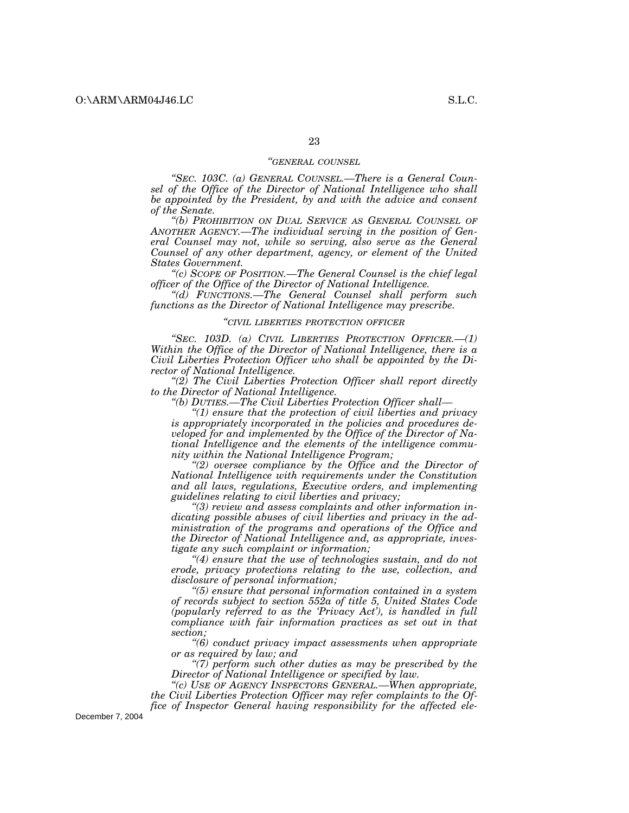## *''GENERAL COUNSEL*

*''SEC. 103C. (a) GENERAL COUNSEL.—There is a General Counsel of the Office of the Director of National Intelligence who shall be appointed by the President, by and with the advice and consent of the Senate.*

*''(b) PROHIBITION ON DUAL SERVICE AS GENERAL COUNSEL OF ANOTHER AGENCY.—The individual serving in the position of General Counsel may not, while so serving, also serve as the General Counsel of any other department, agency, or element of the United States Government.*

*''(c) SCOPE OF POSITION.—The General Counsel is the chief legal officer of the Office of the Director of National Intelligence.*

*''(d) FUNCTIONS.—The General Counsel shall perform such functions as the Director of National Intelligence may prescribe.*

## *''CIVIL LIBERTIES PROTECTION OFFICER*

*''SEC. 103D. (a) CIVIL LIBERTIES PROTECTION OFFICER.—(1) Within the Office of the Director of National Intelligence, there is a Civil Liberties Protection Officer who shall be appointed by the Director of National Intelligence.*

*''(2) The Civil Liberties Protection Officer shall report directly to the Director of National Intelligence.*

*''(b) DUTIES.—The Civil Liberties Protection Officer shall—*

*''(1) ensure that the protection of civil liberties and privacy is appropriately incorporated in the policies and procedures developed for and implemented by the Office of the Director of National Intelligence and the elements of the intelligence community within the National Intelligence Program;*

*''(2) oversee compliance by the Office and the Director of National Intelligence with requirements under the Constitution and all laws, regulations, Executive orders, and implementing guidelines relating to civil liberties and privacy;*

*''(3) review and assess complaints and other information indicating possible abuses of civil liberties and privacy in the administration of the programs and operations of the Office and the Director of National Intelligence and, as appropriate, investigate any such complaint or information;*

*''(4) ensure that the use of technologies sustain, and do not erode, privacy protections relating to the use, collection, and disclosure of personal information;*

*''(5) ensure that personal information contained in a system of records subject to section 552a of title 5, United States Code (popularly referred to as the 'Privacy Act'), is handled in full compliance with fair information practices as set out in that section;*

*''(6) conduct privacy impact assessments when appropriate or as required by law; and*

*''(7) perform such other duties as may be prescribed by the Director of National Intelligence or specified by law.*

*''(c) USE OF AGENCY INSPECTORS GENERAL.—When appropriate, the Civil Liberties Protection Officer may refer complaints to the Office of Inspector General having responsibility for the affected ele-*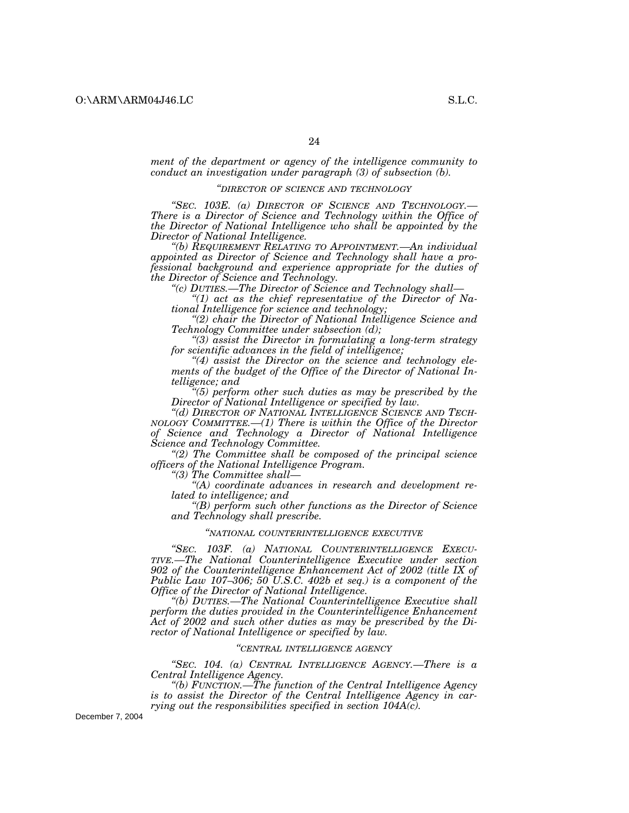*ment of the department or agency of the intelligence community to conduct an investigation under paragraph (3) of subsection (b).*

# *''DIRECTOR OF SCIENCE AND TECHNOLOGY*

*''SEC. 103E. (a) DIRECTOR OF SCIENCE AND TECHNOLOGY.— There is a Director of Science and Technology within the Office of the Director of National Intelligence who shall be appointed by the Director of National Intelligence.*

*''(b) REQUIREMENT RELATING TO APPOINTMENT.—An individual appointed as Director of Science and Technology shall have a professional background and experience appropriate for the duties of the Director of Science and Technology.*

*''(c) DUTIES.—The Director of Science and Technology shall—*

*''(1) act as the chief representative of the Director of National Intelligence for science and technology;*

*''(2) chair the Director of National Intelligence Science and Technology Committee under subsection (d);*

*''(3) assist the Director in formulating a long-term strategy for scientific advances in the field of intelligence;*

*''(4) assist the Director on the science and technology elements of the budget of the Office of the Director of National Intelligence; and*

*''(5) perform other such duties as may be prescribed by the Director of National Intelligence or specified by law.*

*''(d) DIRECTOR OF NATIONAL INTELLIGENCE SCIENCE AND TECH-NOLOGY COMMITTEE.—(1) There is within the Office of the Director of Science and Technology a Director of National Intelligence Science and Technology Committee.*

*''(2) The Committee shall be composed of the principal science officers of the National Intelligence Program.*

*''(3) The Committee shall—*

*''(A) coordinate advances in research and development related to intelligence; and*

*''(B) perform such other functions as the Director of Science and Technology shall prescribe.*

## *''NATIONAL COUNTERINTELLIGENCE EXECUTIVE*

*''SEC. 103F. (a) NATIONAL COUNTERINTELLIGENCE EXECU-TIVE.—The National Counterintelligence Executive under section 902 of the Counterintelligence Enhancement Act of 2002 (title IX of Public Law 107–306; 50 U.S.C. 402b et seq.) is a component of the Office of the Director of National Intelligence.*

*''(b) DUTIES.—The National Counterintelligence Executive shall perform the duties provided in the Counterintelligence Enhancement Act of 2002 and such other duties as may be prescribed by the Director of National Intelligence or specified by law.*

## *''CENTRAL INTELLIGENCE AGENCY*

*''SEC. 104. (a) CENTRAL INTELLIGENCE AGENCY.—There is a Central Intelligence Agency.*

*''(b) FUNCTION.—The function of the Central Intelligence Agency is to assist the Director of the Central Intelligence Agency in carrying out the responsibilities specified in section 104A(c).*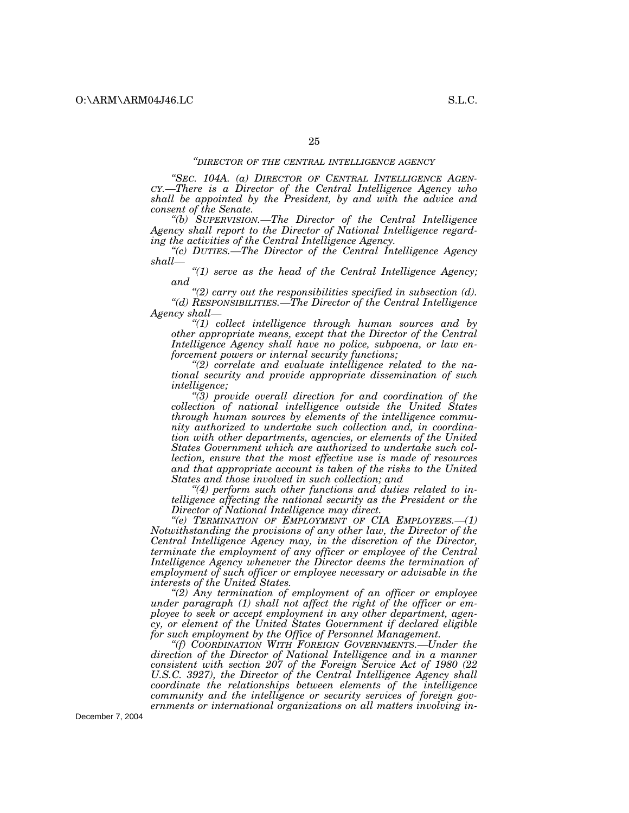# *''DIRECTOR OF THE CENTRAL INTELLIGENCE AGENCY*

*''SEC. 104A. (a) DIRECTOR OF CENTRAL INTELLIGENCE AGEN-CY.—There is a Director of the Central Intelligence Agency who shall be appointed by the President, by and with the advice and consent of the Senate.*

*''(b) SUPERVISION.—The Director of the Central Intelligence Agency shall report to the Director of National Intelligence regarding the activities of the Central Intelligence Agency.*

*''(c) DUTIES.—The Director of the Central Intelligence Agency shall—*

*''(1) serve as the head of the Central Intelligence Agency; and*

*''(2) carry out the responsibilities specified in subsection (d). ''(d) RESPONSIBILITIES.—The Director of the Central Intelligence Agency shall—*

*''(1) collect intelligence through human sources and by other appropriate means, except that the Director of the Central Intelligence Agency shall have no police, subpoena, or law enforcement powers or internal security functions;*

*''(2) correlate and evaluate intelligence related to the national security and provide appropriate dissemination of such intelligence;*

*''(3) provide overall direction for and coordination of the collection of national intelligence outside the United States through human sources by elements of the intelligence community authorized to undertake such collection and, in coordination with other departments, agencies, or elements of the United States Government which are authorized to undertake such collection, ensure that the most effective use is made of resources and that appropriate account is taken of the risks to the United States and those involved in such collection; and*

*''(4) perform such other functions and duties related to intelligence affecting the national security as the President or the Director of National Intelligence may direct.*

*''(e) TERMINATION OF EMPLOYMENT OF CIA EMPLOYEES.—(1) Notwithstanding the provisions of any other law, the Director of the Central Intelligence Agency may, in the discretion of the Director, terminate the employment of any officer or employee of the Central Intelligence Agency whenever the Director deems the termination of employment of such officer or employee necessary or advisable in the interests of the United States.*

*''(2) Any termination of employment of an officer or employee under paragraph (1) shall not affect the right of the officer or employee to seek or accept employment in any other department, agency, or element of the United States Government if declared eligible for such employment by the Office of Personnel Management.*

*''(f) COORDINATION WITH FOREIGN GOVERNMENTS.—Under the direction of the Director of National Intelligence and in a manner consistent with section 207 of the Foreign Service Act of 1980 (22 U.S.C. 3927), the Director of the Central Intelligence Agency shall coordinate the relationships between elements of the intelligence community and the intelligence or security services of foreign governments or international organizations on all matters involving in-*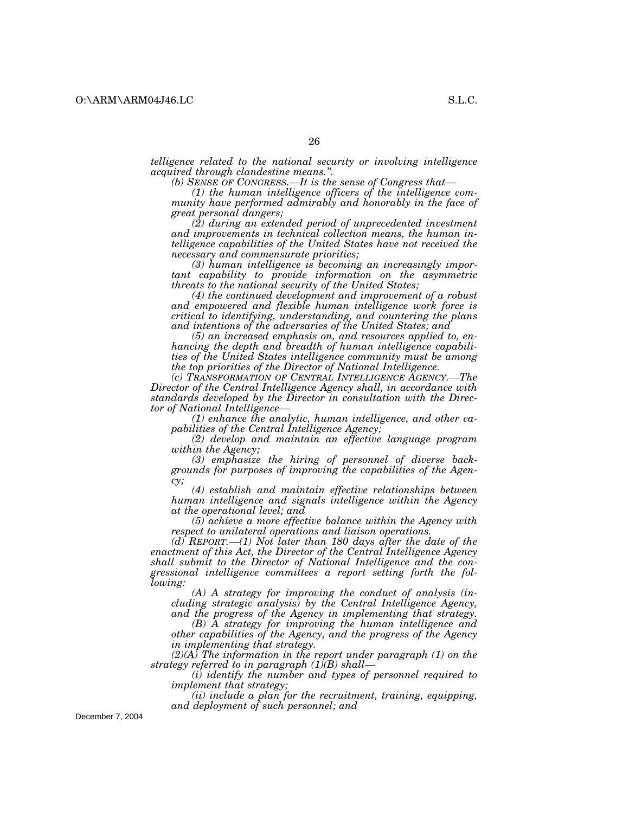*telligence related to the national security or involving intelligence acquired through clandestine means.''.*

*(b) SENSE OF CONGRESS.—It is the sense of Congress that—*

*(1) the human intelligence officers of the intelligence community have performed admirably and honorably in the face of great personal dangers;*

*(2) during an extended period of unprecedented investment and improvements in technical collection means, the human intelligence capabilities of the United States have not received the necessary and commensurate priorities;*

*(3) human intelligence is becoming an increasingly important capability to provide information on the asymmetric threats to the national security of the United States;*

*(4) the continued development and improvement of a robust and empowered and flexible human intelligence work force is critical to identifying, understanding, and countering the plans and intentions of the adversaries of the United States; and*

*(5) an increased emphasis on, and resources applied to, enhancing the depth and breadth of human intelligence capabilities of the United States intelligence community must be among the top priorities of the Director of National Intelligence.*

*(c) TRANSFORMATION OF CENTRAL INTELLIGENCE AGENCY.—The Director of the Central Intelligence Agency shall, in accordance with standards developed by the Director in consultation with the Director of National Intelligence—*

*(1) enhance the analytic, human intelligence, and other capabilities of the Central Intelligence Agency;*

*(2) develop and maintain an effective language program within the Agency;*

*(3) emphasize the hiring of personnel of diverse backgrounds for purposes of improving the capabilities of the Agency;*

*(4) establish and maintain effective relationships between human intelligence and signals intelligence within the Agency at the operational level; and*

*(5) achieve a more effective balance within the Agency with respect to unilateral operations and liaison operations.*

*(d) REPORT.—(1) Not later than 180 days after the date of the enactment of this Act, the Director of the Central Intelligence Agency shall submit to the Director of National Intelligence and the congressional intelligence committees a report setting forth the following:*

*(A) A strategy for improving the conduct of analysis (including strategic analysis) by the Central Intelligence Agency, and the progress of the Agency in implementing that strategy.*

*(B) A strategy for improving the human intelligence and other capabilities of the Agency, and the progress of the Agency in implementing that strategy.*

*(2)(A) The information in the report under paragraph (1) on the strategy referred to in paragraph (1)(B) shall—*

*(i) identify the number and types of personnel required to implement that strategy;*

*(ii) include a plan for the recruitment, training, equipping, and deployment of such personnel; and*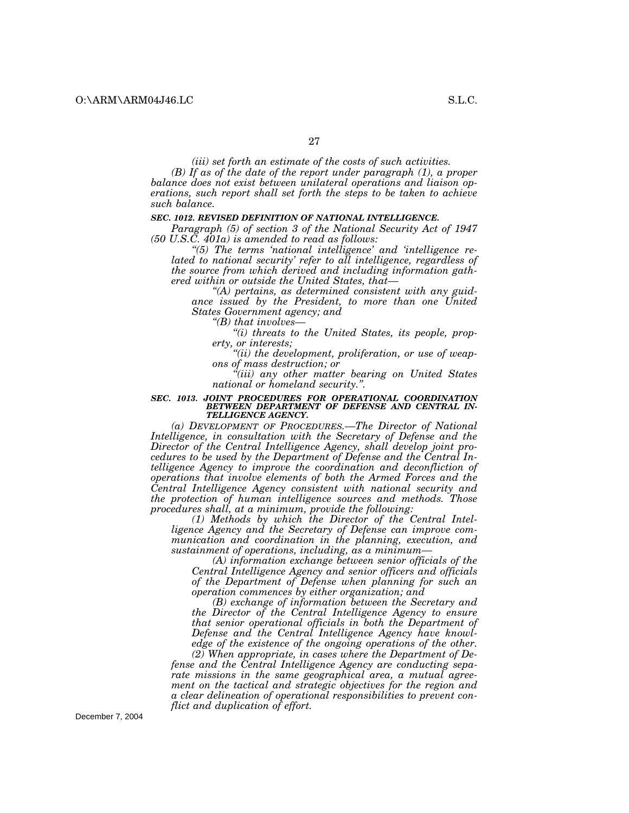*(iii) set forth an estimate of the costs of such activities.*

*(B) If as of the date of the report under paragraph (1), a proper balance does not exist between unilateral operations and liaison operations, such report shall set forth the steps to be taken to achieve such balance.*

# *SEC. 1012. REVISED DEFINITION OF NATIONAL INTELLIGENCE.*

*Paragraph (5) of section 3 of the National Security Act of 1947 (50 U.S.C. 401a) is amended to read as follows:*

*''(5) The terms 'national intelligence' and 'intelligence related to national security' refer to all intelligence, regardless of the source from which derived and including information gathered within or outside the United States, that—*

*''(A) pertains, as determined consistent with any guidance issued by the President, to more than one United States Government agency; and*

*''(B) that involves—*

*''(i) threats to the United States, its people, property, or interests;*

*''(ii) the development, proliferation, or use of weapons of mass destruction; or*

*''(iii) any other matter bearing on United States national or homeland security.''.*

#### *SEC. 1013. JOINT PROCEDURES FOR OPERATIONAL COORDINATION BETWEEN DEPARTMENT OF DEFENSE AND CENTRAL IN-TELLIGENCE AGENCY.*

*(a) DEVELOPMENT OF PROCEDURES.—The Director of National Intelligence, in consultation with the Secretary of Defense and the Director of the Central Intelligence Agency, shall develop joint procedures to be used by the Department of Defense and the Central Intelligence Agency to improve the coordination and deconfliction of operations that involve elements of both the Armed Forces and the Central Intelligence Agency consistent with national security and the protection of human intelligence sources and methods. Those procedures shall, at a minimum, provide the following:*

*(1) Methods by which the Director of the Central Intelligence Agency and the Secretary of Defense can improve communication and coordination in the planning, execution, and sustainment of operations, including, as a minimum—*

*(A) information exchange between senior officials of the Central Intelligence Agency and senior officers and officials of the Department of Defense when planning for such an operation commences by either organization; and*

*(B) exchange of information between the Secretary and the Director of the Central Intelligence Agency to ensure that senior operational officials in both the Department of Defense and the Central Intelligence Agency have knowledge of the existence of the ongoing operations of the other.*

*(2) When appropriate, in cases where the Department of Defense and the Central Intelligence Agency are conducting separate missions in the same geographical area, a mutual agreement on the tactical and strategic objectives for the region and a clear delineation of operational responsibilities to prevent conflict and duplication of effort.*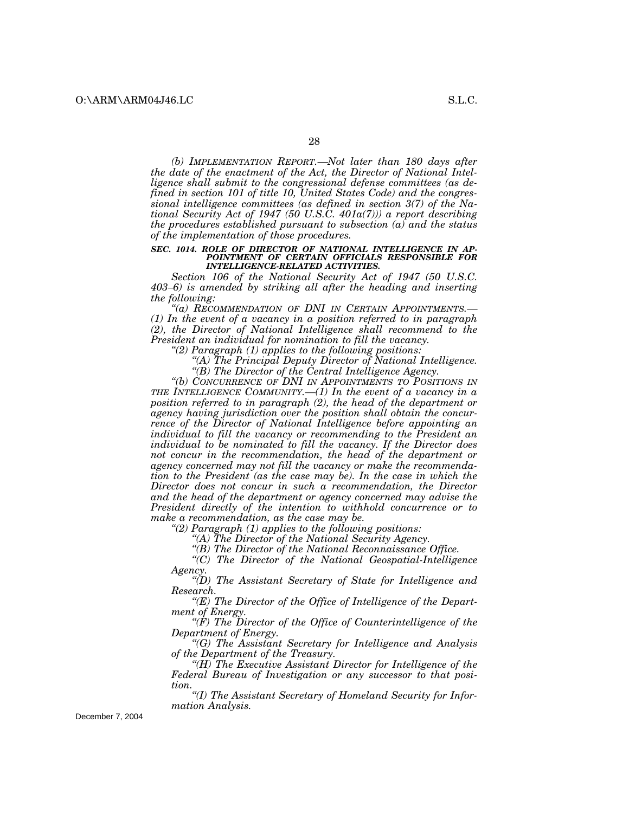*(b) IMPLEMENTATION REPORT.—Not later than 180 days after the date of the enactment of the Act, the Director of National Intelligence shall submit to the congressional defense committees (as defined in section 101 of title 10, United States Code) and the congressional intelligence committees (as defined in section 3(7) of the National Security Act of 1947 (50 U.S.C. 401a(7))) a report describing the procedures established pursuant to subsection (a) and the status of the implementation of those procedures.*

## *SEC. 1014. ROLE OF DIRECTOR OF NATIONAL INTELLIGENCE IN AP-POINTMENT OF CERTAIN OFFICIALS RESPONSIBLE FOR INTELLIGENCE-RELATED ACTIVITIES.*

*Section 106 of the National Security Act of 1947 (50 U.S.C. 403–6) is amended by striking all after the heading and inserting the following:*

*''(a) RECOMMENDATION OF DNI IN CERTAIN APPOINTMENTS.— (1) In the event of a vacancy in a position referred to in paragraph (2), the Director of National Intelligence shall recommend to the President an individual for nomination to fill the vacancy.*

*''(2) Paragraph (1) applies to the following positions:*

*''(A) The Principal Deputy Director of National Intelligence.*

*''(B) The Director of the Central Intelligence Agency.*

*''(b) CONCURRENCE OF DNI IN APPOINTMENTS TO POSITIONS IN THE INTELLIGENCE COMMUNITY.—(1) In the event of a vacancy in a position referred to in paragraph (2), the head of the department or agency having jurisdiction over the position shall obtain the concurrence of the Director of National Intelligence before appointing an individual to fill the vacancy or recommending to the President an individual to be nominated to fill the vacancy. If the Director does not concur in the recommendation, the head of the department or agency concerned may not fill the vacancy or make the recommendation to the President (as the case may be). In the case in which the Director does not concur in such a recommendation, the Director and the head of the department or agency concerned may advise the President directly of the intention to withhold concurrence or to make a recommendation, as the case may be.*

*''(2) Paragraph (1) applies to the following positions:*

*''(A) The Director of the National Security Agency.*

*''(B) The Director of the National Reconnaissance Office.*

*''(C) The Director of the National Geospatial-Intelligence Agency.*

*''(D) The Assistant Secretary of State for Intelligence and Research.*

*''(E) The Director of the Office of Intelligence of the Department of Energy.*

*''(F) The Director of the Office of Counterintelligence of the Department of Energy.*

*''(G) The Assistant Secretary for Intelligence and Analysis of the Department of the Treasury.*

*''(H) The Executive Assistant Director for Intelligence of the Federal Bureau of Investigation or any successor to that position.*

*''(I) The Assistant Secretary of Homeland Security for Information Analysis.*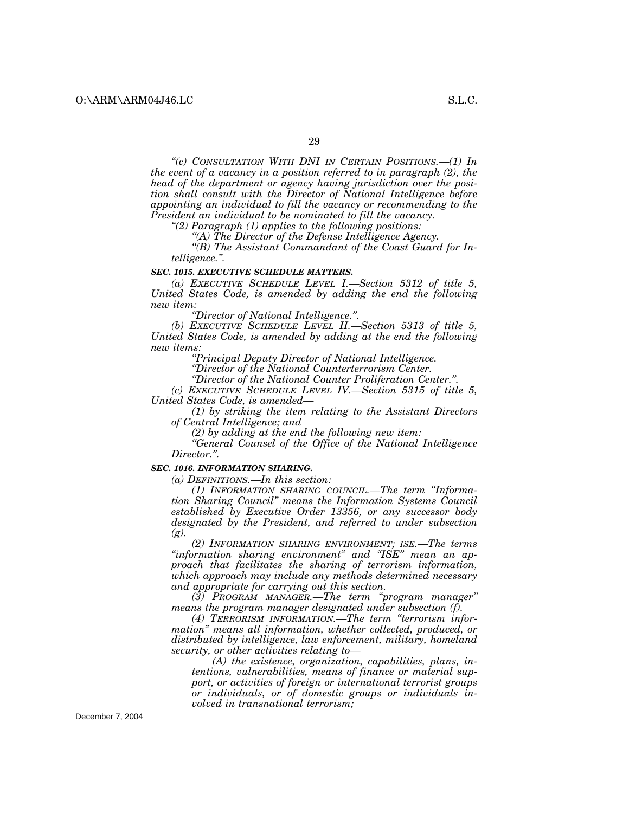*''(c) CONSULTATION WITH DNI IN CERTAIN POSITIONS.—(1) In the event of a vacancy in a position referred to in paragraph (2), the head of the department or agency having jurisdiction over the position shall consult with the Director of National Intelligence before appointing an individual to fill the vacancy or recommending to the President an individual to be nominated to fill the vacancy.*

*''(2) Paragraph (1) applies to the following positions:*

*''(A) The Director of the Defense Intelligence Agency.*

*''(B) The Assistant Commandant of the Coast Guard for Intelligence.''.*

# *SEC. 1015. EXECUTIVE SCHEDULE MATTERS.*

*(a) EXECUTIVE SCHEDULE LEVEL I.—Section 5312 of title 5, United States Code, is amended by adding the end the following new item:*

*''Director of National Intelligence.''.*

*(b) EXECUTIVE SCHEDULE LEVEL II.—Section 5313 of title 5, United States Code, is amended by adding at the end the following new items:*

*''Principal Deputy Director of National Intelligence.*

*''Director of the National Counterterrorism Center.*

*''Director of the National Counter Proliferation Center.''.*

*(c) EXECUTIVE SCHEDULE LEVEL IV.—Section 5315 of title 5, United States Code, is amended—*

*(1) by striking the item relating to the Assistant Directors of Central Intelligence; and*

*(2) by adding at the end the following new item:*

*''General Counsel of the Office of the National Intelligence Director.''.*

#### *SEC. 1016. INFORMATION SHARING.*

*(a) DEFINITIONS.—In this section:*

*(1) INFORMATION SHARING COUNCIL.—The term ''Information Sharing Council'' means the Information Systems Council established by Executive Order 13356, or any successor body designated by the President, and referred to under subsection (g).*

*(2) INFORMATION SHARING ENVIRONMENT; ISE.—The terms ''information sharing environment'' and ''ISE'' mean an approach that facilitates the sharing of terrorism information, which approach may include any methods determined necessary and appropriate for carrying out this section.*

*(3) PROGRAM MANAGER.—The term ''program manager'' means the program manager designated under subsection (f).*

*(4) TERRORISM INFORMATION.—The term ''terrorism information'' means all information, whether collected, produced, or distributed by intelligence, law enforcement, military, homeland security, or other activities relating to—*

*(A) the existence, organization, capabilities, plans, intentions, vulnerabilities, means of finance or material support, or activities of foreign or international terrorist groups or individuals, or of domestic groups or individuals involved in transnational terrorism;*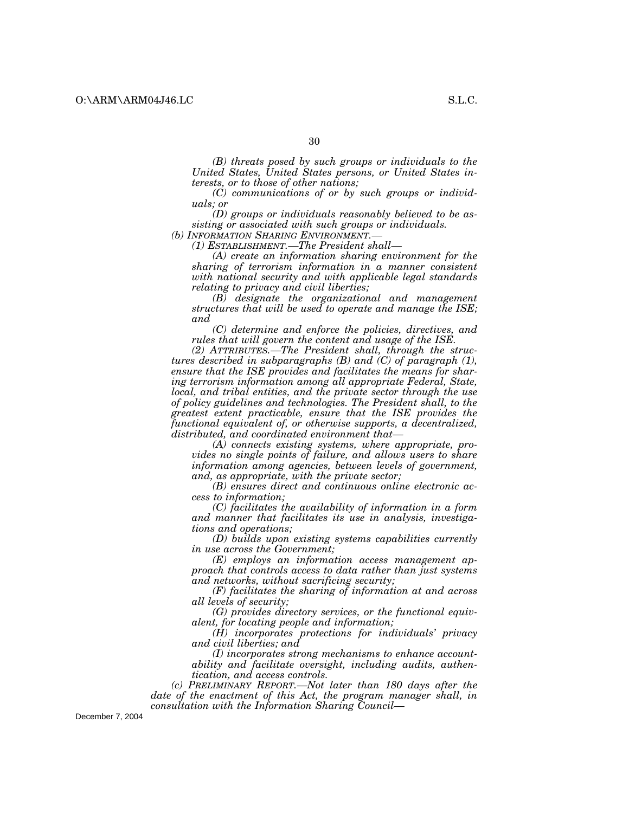*(B) threats posed by such groups or individuals to the United States, United States persons, or United States interests, or to those of other nations;*

*(C) communications of or by such groups or individuals; or*

*(D) groups or individuals reasonably believed to be assisting or associated with such groups or individuals.*

*(b) INFORMATION SHARING ENVIRONMENT.—*

*(1) ESTABLISHMENT.—The President shall—*

*(A) create an information sharing environment for the sharing of terrorism information in a manner consistent with national security and with applicable legal standards relating to privacy and civil liberties;*

*(B) designate the organizational and management structures that will be used to operate and manage the ISE; and*

*(C) determine and enforce the policies, directives, and rules that will govern the content and usage of the ISE.*

*(2) ATTRIBUTES.—The President shall, through the structures described in subparagraphs (B) and (C) of paragraph (1), ensure that the ISE provides and facilitates the means for sharing terrorism information among all appropriate Federal, State, local, and tribal entities, and the private sector through the use of policy guidelines and technologies. The President shall, to the greatest extent practicable, ensure that the ISE provides the functional equivalent of, or otherwise supports, a decentralized, distributed, and coordinated environment that—*

*(A) connects existing systems, where appropriate, provides no single points of failure, and allows users to share information among agencies, between levels of government, and, as appropriate, with the private sector;*

*(B) ensures direct and continuous online electronic access to information;*

*(C) facilitates the availability of information in a form and manner that facilitates its use in analysis, investigations and operations;*

*(D) builds upon existing systems capabilities currently in use across the Government;*

*(E) employs an information access management approach that controls access to data rather than just systems and networks, without sacrificing security;*

*(F) facilitates the sharing of information at and across all levels of security;*

*(G) provides directory services, or the functional equivalent, for locating people and information;*

*(H) incorporates protections for individuals' privacy and civil liberties; and*

*(I) incorporates strong mechanisms to enhance accountability and facilitate oversight, including audits, authentication, and access controls.*

*(c) PRELIMINARY REPORT.—Not later than 180 days after the date of the enactment of this Act, the program manager shall, in consultation with the Information Sharing Council—*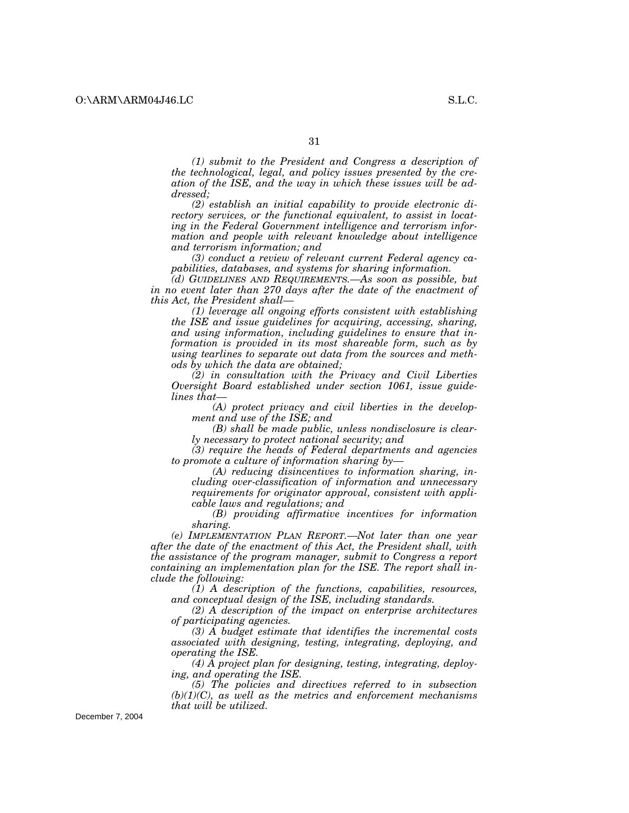*(1) submit to the President and Congress a description of the technological, legal, and policy issues presented by the creation of the ISE, and the way in which these issues will be addressed;*

*(2) establish an initial capability to provide electronic directory services, or the functional equivalent, to assist in locating in the Federal Government intelligence and terrorism information and people with relevant knowledge about intelligence and terrorism information; and*

*(3) conduct a review of relevant current Federal agency capabilities, databases, and systems for sharing information.*

*(d) GUIDELINES AND REQUIREMENTS.—As soon as possible, but in no event later than 270 days after the date of the enactment of this Act, the President shall—*

*(1) leverage all ongoing efforts consistent with establishing the ISE and issue guidelines for acquiring, accessing, sharing, and using information, including guidelines to ensure that information is provided in its most shareable form, such as by using tearlines to separate out data from the sources and methods by which the data are obtained;*

*(2) in consultation with the Privacy and Civil Liberties Oversight Board established under section 1061, issue guidelines that—*

*(A) protect privacy and civil liberties in the development and use of the ISE; and*

*(B) shall be made public, unless nondisclosure is clearly necessary to protect national security; and*

*(3) require the heads of Federal departments and agencies to promote a culture of information sharing by—*

*(A) reducing disincentives to information sharing, including over-classification of information and unnecessary requirements for originator approval, consistent with applicable laws and regulations; and*

*(B) providing affirmative incentives for information sharing.*

*(e) IMPLEMENTATION PLAN REPORT.—Not later than one year after the date of the enactment of this Act, the President shall, with the assistance of the program manager, submit to Congress a report containing an implementation plan for the ISE. The report shall include the following:*

*(1) A description of the functions, capabilities, resources, and conceptual design of the ISE, including standards.*

*(2) A description of the impact on enterprise architectures of participating agencies.*

*(3) A budget estimate that identifies the incremental costs associated with designing, testing, integrating, deploying, and operating the ISE.*

*(4) A project plan for designing, testing, integrating, deploying, and operating the ISE.*

*(5) The policies and directives referred to in subsection (b)(1)(C), as well as the metrics and enforcement mechanisms that will be utilized.*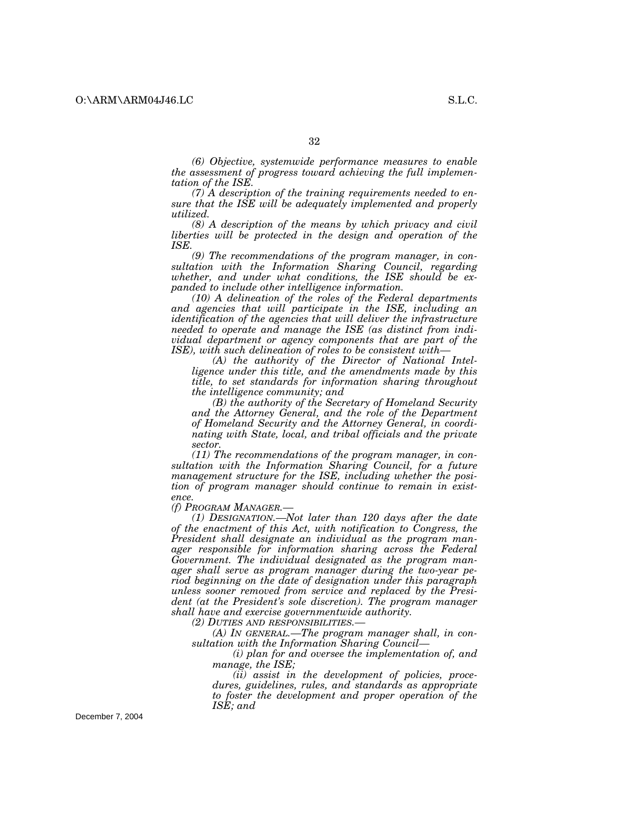*(6) Objective, systemwide performance measures to enable the assessment of progress toward achieving the full implementation of the ISE.*

*(7) A description of the training requirements needed to ensure that the ISE will be adequately implemented and properly utilized.*

*(8) A description of the means by which privacy and civil liberties will be protected in the design and operation of the ISE.*

*(9) The recommendations of the program manager, in consultation with the Information Sharing Council, regarding whether, and under what conditions, the ISE should be expanded to include other intelligence information.*

*(10) A delineation of the roles of the Federal departments and agencies that will participate in the ISE, including an identification of the agencies that will deliver the infrastructure needed to operate and manage the ISE (as distinct from individual department or agency components that are part of the ISE), with such delineation of roles to be consistent with—*

*(A) the authority of the Director of National Intelligence under this title, and the amendments made by this title, to set standards for information sharing throughout the intelligence community; and*

*(B) the authority of the Secretary of Homeland Security and the Attorney General, and the role of the Department of Homeland Security and the Attorney General, in coordinating with State, local, and tribal officials and the private sector.*

*(11) The recommendations of the program manager, in consultation with the Information Sharing Council, for a future management structure for the ISE, including whether the position of program manager should continue to remain in existence.*

*(f) PROGRAM MANAGER.—*

*(1) DESIGNATION.—Not later than 120 days after the date of the enactment of this Act, with notification to Congress, the President shall designate an individual as the program manager responsible for information sharing across the Federal Government. The individual designated as the program manager shall serve as program manager during the two-year period beginning on the date of designation under this paragraph unless sooner removed from service and replaced by the President (at the President's sole discretion). The program manager shall have and exercise governmentwide authority.*

*(2) DUTIES AND RESPONSIBILITIES.—*

*(A) IN GENERAL.—The program manager shall, in consultation with the Information Sharing Council—*

*(i) plan for and oversee the implementation of, and manage, the ISE;*

*(ii) assist in the development of policies, procedures, guidelines, rules, and standards as appropriate to foster the development and proper operation of the ISE; and*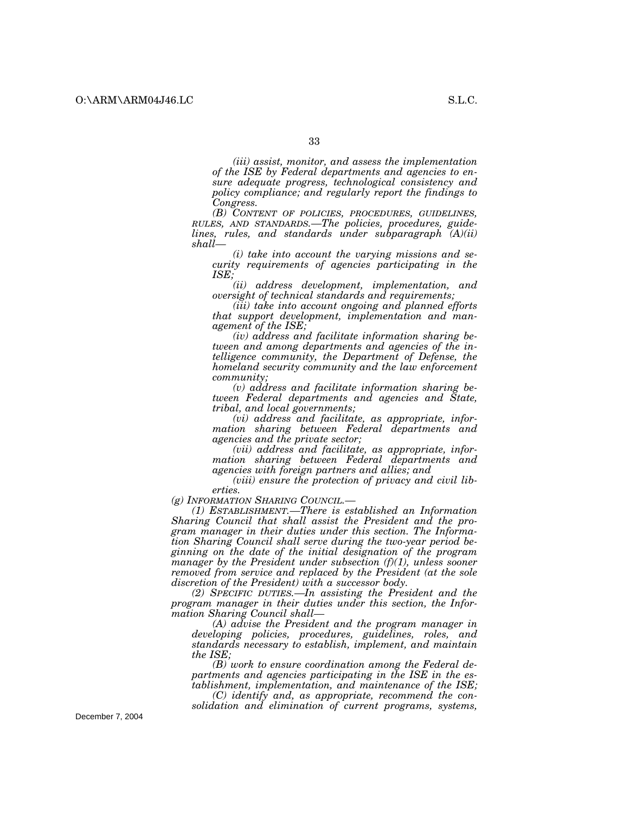*(iii) assist, monitor, and assess the implementation of the ISE by Federal departments and agencies to ensure adequate progress, technological consistency and policy compliance; and regularly report the findings to* Congress.<br>(B) CONTENT OF POLICIES, PROCEDURES, GUIDELINES,

*(B) CONTENT OF POLICIES, PROCEDURES, GUIDELINES, RULES, AND STANDARDS.—The policies, procedures, guidelines, rules, and standards under subparagraph (A)(ii) shall—*

*(i) take into account the varying missions and security requirements of agencies participating in the ISE;*

*(ii) address development, implementation, and oversight of technical standards and requirements;*

*(iii) take into account ongoing and planned efforts that support development, implementation and management of the ISE;*

*(iv) address and facilitate information sharing between and among departments and agencies of the intelligence community, the Department of Defense, the homeland security community and the law enforcement community;*

*(v) address and facilitate information sharing between Federal departments and agencies and State, tribal, and local governments;*

*(vi) address and facilitate, as appropriate, information sharing between Federal departments and agencies and the private sector;*

*(vii) address and facilitate, as appropriate, information sharing between Federal departments and agencies with foreign partners and allies; and*

*(viii) ensure the protection of privacy and civil lib-*

*erties.*<br>(g) INFORMATION SHARING COUNCIL.—

*(1) ESTABLISHMENT.—There is established an Information Sharing Council that shall assist the President and the program manager in their duties under this section. The Information Sharing Council shall serve during the two-year period beginning on the date of the initial designation of the program manager by the President under subsection (f)(1), unless sooner removed from service and replaced by the President (at the sole discretion of the President) with a successor body.*

*(2) SPECIFIC DUTIES.—In assisting the President and the program manager in their duties under this section, the Information Sharing Council shall—*

*(A) advise the President and the program manager in developing policies, procedures, guidelines, roles, and standards necessary to establish, implement, and maintain the ISE;*

*(B) work to ensure coordination among the Federal departments and agencies participating in the ISE in the establishment, implementation, and maintenance of the ISE; (C) identify and, as appropriate, recommend the con-*

*solidation and elimination of current programs, systems,*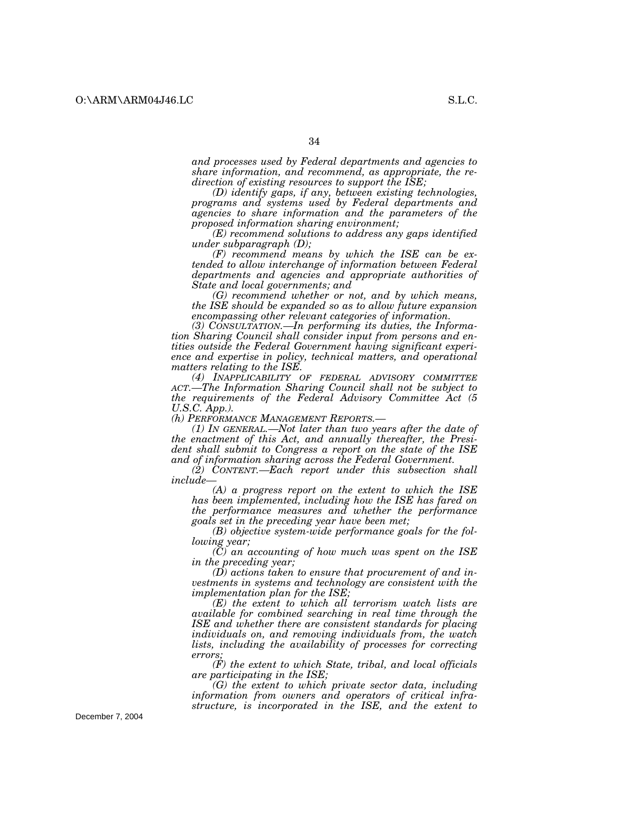*and processes used by Federal departments and agencies to share information, and recommend, as appropriate, the redirection of existing resources to support the ISE;*

*(D) identify gaps, if any, between existing technologies, programs and systems used by Federal departments and agencies to share information and the parameters of the proposed information sharing environment;*

*(E) recommend solutions to address any gaps identified under subparagraph (D);*

*(F) recommend means by which the ISE can be extended to allow interchange of information between Federal departments and agencies and appropriate authorities of State and local governments; and*

*(G) recommend whether or not, and by which means, the ISE should be expanded so as to allow future expansion encompassing other relevant categories of information.*

*(3) CONSULTATION.—In performing its duties, the Information Sharing Council shall consider input from persons and entities outside the Federal Government having significant experience and expertise in policy, technical matters, and operational matters relating to the ISE.*

*(4) INAPPLICABILITY OF FEDERAL ADVISORY COMMITTEE ACT.—The Information Sharing Council shall not be subject to the requirements of the Federal Advisory Committee Act (5 U.S.C. App.).*

*(1) In GENERAL.—Not later than two years after the date of the enactment of this Act, and annually thereafter, the President shall submit to Congress a report on the state of the ISE and of information sharing across the Federal Government.*

*(2) CONTENT.—Each report under this subsection shall include—*

*(A) a progress report on the extent to which the ISE has been implemented, including how the ISE has fared on the performance measures and whether the performance goals set in the preceding year have been met;*

*(B) objective system-wide performance goals for the following year;*

*(C) an accounting of how much was spent on the ISE in the preceding year;*

*(D) actions taken to ensure that procurement of and investments in systems and technology are consistent with the implementation plan for the ISE;*

*(E) the extent to which all terrorism watch lists are available for combined searching in real time through the ISE and whether there are consistent standards for placing individuals on, and removing individuals from, the watch lists, including the availability of processes for correcting errors;*

*(F) the extent to which State, tribal, and local officials are participating in the ISE;*

*(G) the extent to which private sector data, including information from owners and operators of critical infrastructure, is incorporated in the ISE, and the extent to*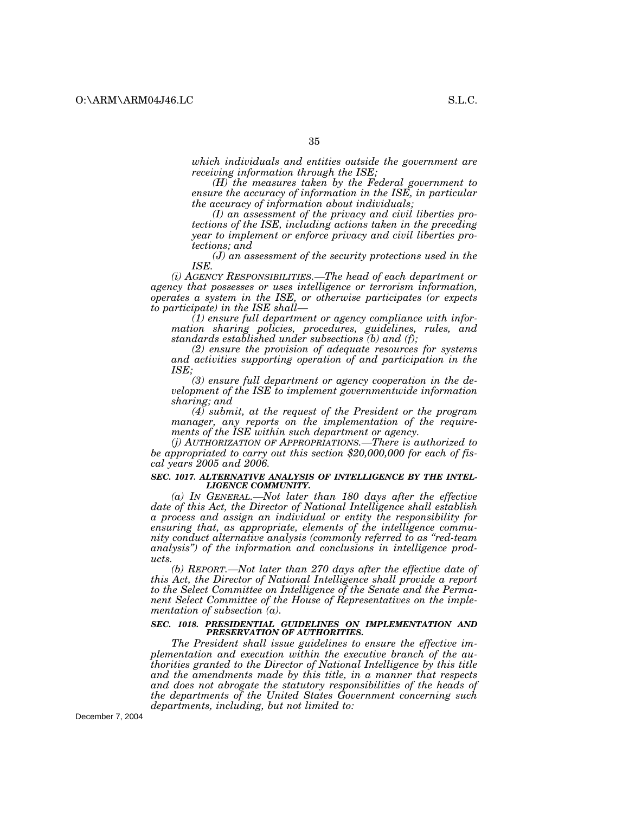*which individuals and entities outside the government are receiving information through the ISE;*

*(H) the measures taken by the Federal government to ensure the accuracy of information in the ISE, in particular the accuracy of information about individuals;*

*(I) an assessment of the privacy and civil liberties protections of the ISE, including actions taken in the preceding year to implement or enforce privacy and civil liberties protections; and*

*(J) an assessment of the security protections used in the ISE.*

*(i) AGENCY RESPONSIBILITIES.—The head of each department or agency that possesses or uses intelligence or terrorism information, operates a system in the ISE, or otherwise participates (or expects to participate) in the ISE shall—*

*(1) ensure full department or agency compliance with information sharing policies, procedures, guidelines, rules, and standards established under subsections (b) and (f);*

*(2) ensure the provision of adequate resources for systems and activities supporting operation of and participation in the ISE;*

*(3) ensure full department or agency cooperation in the development of the ISE to implement governmentwide information sharing; and*

*(4) submit, at the request of the President or the program manager, any reports on the implementation of the requirements of the ISE within such department or agency.*

*(j) AUTHORIZATION OF APPROPRIATIONS.—There is authorized to be appropriated to carry out this section \$20,000,000 for each of fiscal years 2005 and 2006.*

## *SEC. 1017. ALTERNATIVE ANALYSIS OF INTELLIGENCE BY THE INTEL-LIGENCE COMMUNITY.*

*(a) IN GENERAL.—Not later than 180 days after the effective date of this Act, the Director of National Intelligence shall establish a process and assign an individual or entity the responsibility for ensuring that, as appropriate, elements of the intelligence community conduct alternative analysis (commonly referred to as ''red-team analysis'') of the information and conclusions in intelligence products.*

*(b) REPORT.—Not later than 270 days after the effective date of this Act, the Director of National Intelligence shall provide a report to the Select Committee on Intelligence of the Senate and the Permanent Select Committee of the House of Representatives on the implementation of subsection (a).*

#### *SEC. 1018. PRESIDENTIAL GUIDELINES ON IMPLEMENTATION AND PRESERVATION OF AUTHORITIES.*

*The President shall issue guidelines to ensure the effective implementation and execution within the executive branch of the authorities granted to the Director of National Intelligence by this title and the amendments made by this title, in a manner that respects and does not abrogate the statutory responsibilities of the heads of the departments of the United States Government concerning such departments, including, but not limited to:*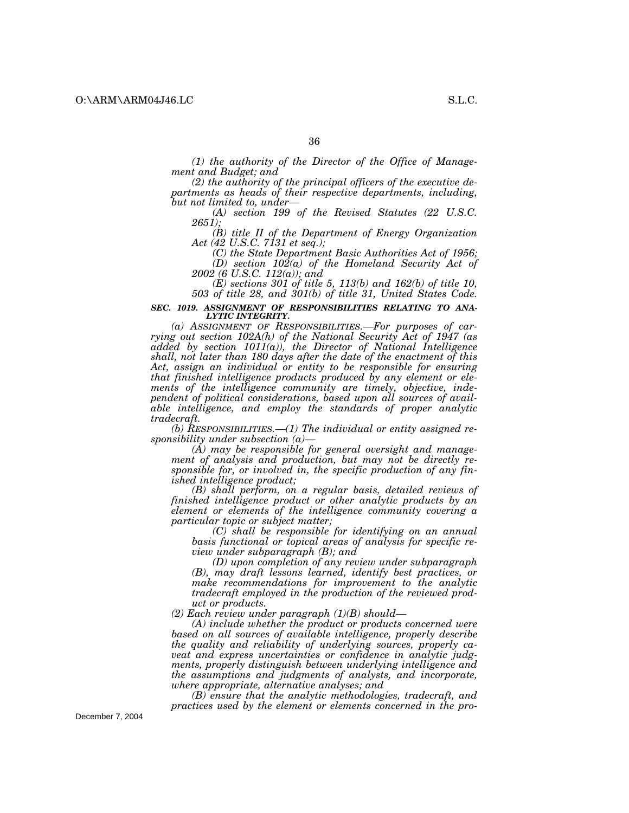*(1) the authority of the Director of the Office of Management and Budget; and*

*(2) the authority of the principal officers of the executive departments as heads of their respective departments, including, but not limited to, under—*

*(A) section 199 of the Revised Statutes (22 U.S.C. 2651);*

*(B) title II of the Department of Energy Organization Act (42 U.S.C. 7131 et seq.);*

*(C) the State Department Basic Authorities Act of 1956; (D) section 102(a) of the Homeland Security Act of 2002 (6 U.S.C. 112(a)); and*

*(E) sections 301 of title 5, 113(b) and 162(b) of title 10, 503 of title 28, and 301(b) of title 31, United States Code.*

# *SEC. 1019. ASSIGNMENT OF RESPONSIBILITIES RELATING TO ANA-LYTIC INTEGRITY.*

*(a) ASSIGNMENT OF RESPONSIBILITIES.—For purposes of carrying out section 102A(h) of the National Security Act of 1947 (as added by section 1011(a)), the Director of National Intelligence shall, not later than 180 days after the date of the enactment of this Act, assign an individual or entity to be responsible for ensuring that finished intelligence products produced by any element or elements of the intelligence community are timely, objective, independent of political considerations, based upon all sources of available intelligence, and employ the standards of proper analytic tradecraft.*

*(b) RESPONSIBILITIES.—(1) The individual or entity assigned responsibility under subsection (a)—*

*(A) may be responsible for general oversight and management of analysis and production, but may not be directly responsible for, or involved in, the specific production of any finished intelligence product;*

*(B) shall perform, on a regular basis, detailed reviews of finished intelligence product or other analytic products by an element or elements of the intelligence community covering a particular topic or subject matter;*

*(C) shall be responsible for identifying on an annual basis functional or topical areas of analysis for specific review under subparagraph (B); and*

*(D) upon completion of any review under subparagraph (B), may draft lessons learned, identify best practices, or make recommendations for improvement to the analytic tradecraft employed in the production of the reviewed product or products.*

*(2) Each review under paragraph (1)(B) should—*

*(A) include whether the product or products concerned were based on all sources of available intelligence, properly describe the quality and reliability of underlying sources, properly caveat and express uncertainties or confidence in analytic judgments, properly distinguish between underlying intelligence and the assumptions and judgments of analysts, and incorporate, where appropriate, alternative analyses; and*

*(B) ensure that the analytic methodologies, tradecraft, and practices used by the element or elements concerned in the pro-*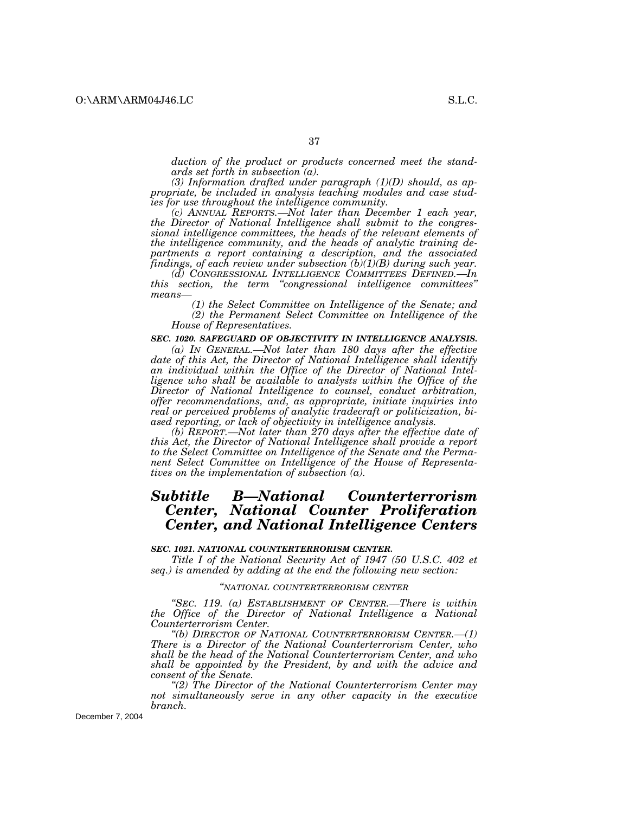*duction of the product or products concerned meet the standards set forth in subsection (a).*

*(3) Information drafted under paragraph (1)(D) should, as appropriate, be included in analysis teaching modules and case studies for use throughout the intelligence community.*

*(c) ANNUAL REPORTS.—Not later than December 1 each year, the Director of National Intelligence shall submit to the congressional intelligence committees, the heads of the relevant elements of the intelligence community, and the heads of analytic training departments a report containing a description, and the associated findings, of each review under subsection (b)(1)(B) during such year.*

*(d) CONGRESSIONAL INTELLIGENCE COMMITTEES DEFINED.—In this section, the term ''congressional intelligence committees'' means—*

*(1) the Select Committee on Intelligence of the Senate; and*

*(2) the Permanent Select Committee on Intelligence of the House of Representatives.*

## *SEC. 1020. SAFEGUARD OF OBJECTIVITY IN INTELLIGENCE ANALYSIS.*

*(a) IN GENERAL.—Not later than 180 days after the effective date of this Act, the Director of National Intelligence shall identify an individual within the Office of the Director of National Intelligence who shall be available to analysts within the Office of the Director of National Intelligence to counsel, conduct arbitration, offer recommendations, and, as appropriate, initiate inquiries into real or perceived problems of analytic tradecraft or politicization, biased reporting, or lack of objectivity in intelligence analysis.*

*(b) REPORT.—Not later than 270 days after the effective date of this Act, the Director of National Intelligence shall provide a report to the Select Committee on Intelligence of the Senate and the Permanent Select Committee on Intelligence of the House of Representatives on the implementation of subsection (a).*

## *Subtitle B—National Counterterrorism Center, National Counter Proliferation Center, and National Intelligence Centers*

### *SEC. 1021. NATIONAL COUNTERTERRORISM CENTER.*

*Title I of the National Security Act of 1947 (50 U.S.C. 402 et seq.) is amended by adding at the end the following new section:*

#### *''NATIONAL COUNTERTERRORISM CENTER*

*''SEC. 119. (a) ESTABLISHMENT OF CENTER.—There is within the Office of the Director of National Intelligence a National Counterterrorism Center.*

*''(b) DIRECTOR OF NATIONAL COUNTERTERRORISM CENTER.—(1) There is a Director of the National Counterterrorism Center, who shall be the head of the National Counterterrorism Center, and who shall be appointed by the President, by and with the advice and consent of the Senate.*

*''(2) The Director of the National Counterterrorism Center may not simultaneously serve in any other capacity in the executive branch.*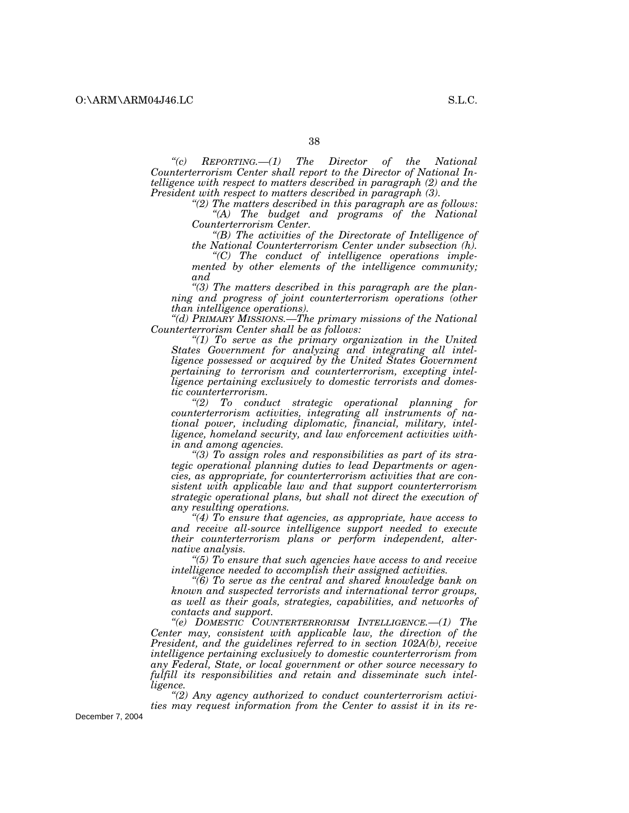*''(c) REPORTING.—(1) The Director of the National Counterterrorism Center shall report to the Director of National Intelligence with respect to matters described in paragraph (2) and the President with respect to matters described in paragraph (3).*

*''(2) The matters described in this paragraph are as follows: ''(A) The budget and programs of the National Counterterrorism Center.*

*''(B) The activities of the Directorate of Intelligence of the National Counterterrorism Center under subsection (h).*

*''(C) The conduct of intelligence operations implemented by other elements of the intelligence community; and*

*''(3) The matters described in this paragraph are the planning and progress of joint counterterrorism operations (other than intelligence operations).*

*''(d) PRIMARY MISSIONS.—The primary missions of the National Counterterrorism Center shall be as follows:*

*''(1) To serve as the primary organization in the United States Government for analyzing and integrating all intelligence possessed or acquired by the United States Government pertaining to terrorism and counterterrorism, excepting intelligence pertaining exclusively to domestic terrorists and domestic counterterrorism.*

*''(2) To conduct strategic operational planning for counterterrorism activities, integrating all instruments of national power, including diplomatic, financial, military, intelligence, homeland security, and law enforcement activities within and among agencies.*

*''(3) To assign roles and responsibilities as part of its strategic operational planning duties to lead Departments or agencies, as appropriate, for counterterrorism activities that are consistent with applicable law and that support counterterrorism strategic operational plans, but shall not direct the execution of any resulting operations.*

*''(4) To ensure that agencies, as appropriate, have access to and receive all-source intelligence support needed to execute their counterterrorism plans or perform independent, alternative analysis.*

*''(5) To ensure that such agencies have access to and receive intelligence needed to accomplish their assigned activities.*

*''(6) To serve as the central and shared knowledge bank on known and suspected terrorists and international terror groups, as well as their goals, strategies, capabilities, and networks of contacts and support.*

*''(e) DOMESTIC COUNTERTERRORISM INTELLIGENCE.—(1) The Center may, consistent with applicable law, the direction of the President, and the guidelines referred to in section 102A(b), receive intelligence pertaining exclusively to domestic counterterrorism from any Federal, State, or local government or other source necessary to fulfill its responsibilities and retain and disseminate such intelligence.*

*''(2) Any agency authorized to conduct counterterrorism activities may request information from the Center to assist it in its re-*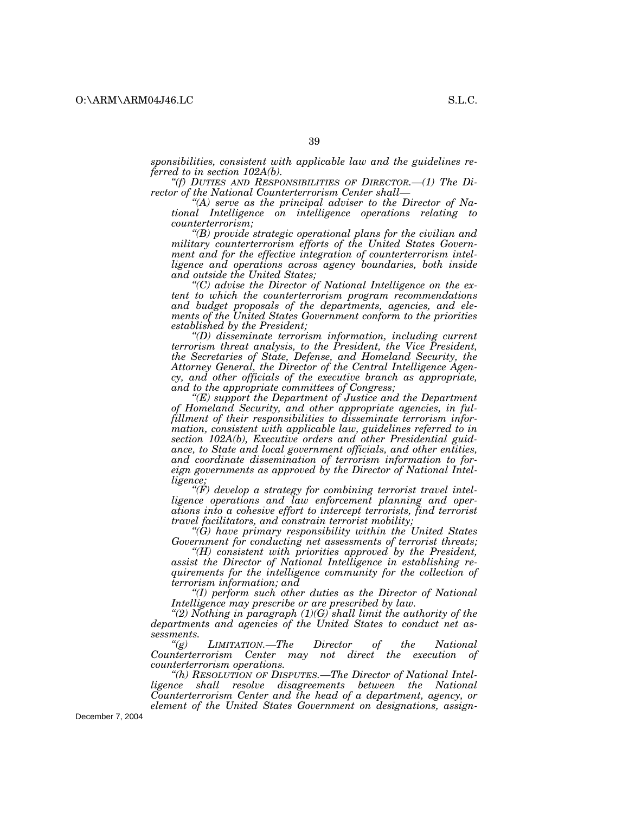*sponsibilities, consistent with applicable law and the guidelines referred to in section 102A(b).*

*''(f) DUTIES AND RESPONSIBILITIES OF DIRECTOR.—(1) The Director of the National Counterterrorism Center shall—*

*''(A) serve as the principal adviser to the Director of National Intelligence on intelligence operations relating to counterterrorism;*

*''(B) provide strategic operational plans for the civilian and military counterterrorism efforts of the United States Government and for the effective integration of counterterrorism intelligence and operations across agency boundaries, both inside and outside the United States;*

*''(C) advise the Director of National Intelligence on the extent to which the counterterrorism program recommendations and budget proposals of the departments, agencies, and elements of the United States Government conform to the priorities established by the President;*

*''(D) disseminate terrorism information, including current terrorism threat analysis, to the President, the Vice President, the Secretaries of State, Defense, and Homeland Security, the Attorney General, the Director of the Central Intelligence Agency, and other officials of the executive branch as appropriate, and to the appropriate committees of Congress;*

*''(E) support the Department of Justice and the Department of Homeland Security, and other appropriate agencies, in fulfillment of their responsibilities to disseminate terrorism information, consistent with applicable law, guidelines referred to in section 102A(b), Executive orders and other Presidential guidance, to State and local government officials, and other entities, and coordinate dissemination of terrorism information to foreign governments as approved by the Director of National Intelligence;*

*''(F) develop a strategy for combining terrorist travel intelligence operations and law enforcement planning and operations into a cohesive effort to intercept terrorists, find terrorist travel facilitators, and constrain terrorist mobility;*

*''(G) have primary responsibility within the United States Government for conducting net assessments of terrorist threats;*

*''(H) consistent with priorities approved by the President, assist the Director of National Intelligence in establishing requirements for the intelligence community for the collection of terrorism information; and*

*''(I) perform such other duties as the Director of National Intelligence may prescribe or are prescribed by law.*

*''(2) Nothing in paragraph (1)(G) shall limit the authority of the departments and agencies of the United States to conduct net assessments.*

*''(g) LIMITATION.—The Director of the National Counterterrorism Center may not direct the execution of counterterrorism operations.*

*''(h) RESOLUTION OF DISPUTES.—The Director of National Intelligence shall resolve disagreements between the National Counterterrorism Center and the head of a department, agency, or element of the United States Government on designations, assign-*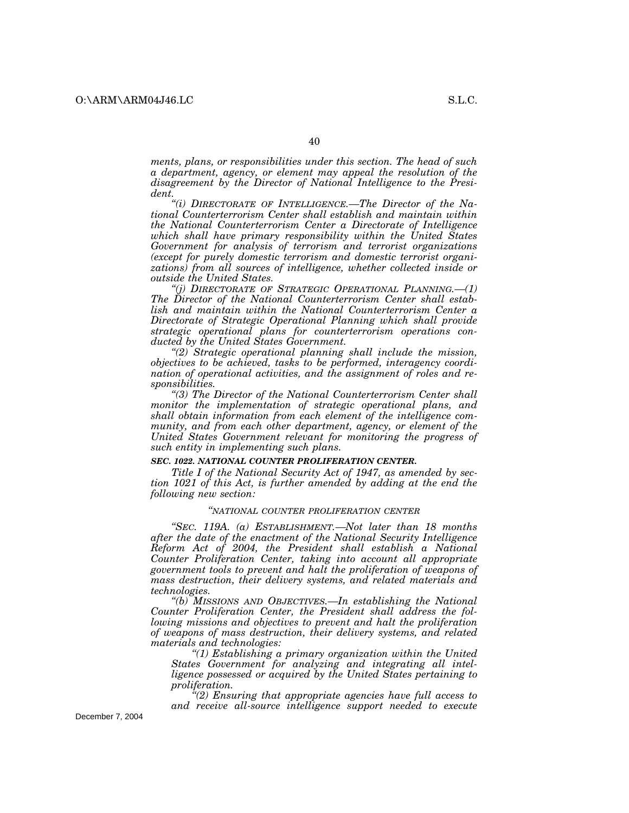*ments, plans, or responsibilities under this section. The head of such a department, agency, or element may appeal the resolution of the disagreement by the Director of National Intelligence to the President.*

*''(i) DIRECTORATE OF INTELLIGENCE.—The Director of the National Counterterrorism Center shall establish and maintain within the National Counterterrorism Center a Directorate of Intelligence which shall have primary responsibility within the United States Government for analysis of terrorism and terrorist organizations (except for purely domestic terrorism and domestic terrorist organizations) from all sources of intelligence, whether collected inside or outside the United States.*

*''(j) DIRECTORATE OF STRATEGIC OPERATIONAL PLANNING.—(1) The Director of the National Counterterrorism Center shall establish and maintain within the National Counterterrorism Center a Directorate of Strategic Operational Planning which shall provide strategic operational plans for counterterrorism operations conducted by the United States Government.*

*''(2) Strategic operational planning shall include the mission, objectives to be achieved, tasks to be performed, interagency coordination of operational activities, and the assignment of roles and responsibilities.*

*''(3) The Director of the National Counterterrorism Center shall monitor the implementation of strategic operational plans, and shall obtain information from each element of the intelligence community, and from each other department, agency, or element of the United States Government relevant for monitoring the progress of such entity in implementing such plans.*

#### *SEC. 1022. NATIONAL COUNTER PROLIFERATION CENTER.*

*Title I of the National Security Act of 1947, as amended by section 1021 of this Act, is further amended by adding at the end the following new section:*

### *''NATIONAL COUNTER PROLIFERATION CENTER*

*''SEC. 119A. (a) ESTABLISHMENT.—Not later than 18 months after the date of the enactment of the National Security Intelligence Reform Act of 2004, the President shall establish a National Counter Proliferation Center, taking into account all appropriate government tools to prevent and halt the proliferation of weapons of mass destruction, their delivery systems, and related materials and technologies.*

*''(b) MISSIONS AND OBJECTIVES.—In establishing the National Counter Proliferation Center, the President shall address the following missions and objectives to prevent and halt the proliferation of weapons of mass destruction, their delivery systems, and related materials and technologies:*

*''(1) Establishing a primary organization within the United States Government for analyzing and integrating all intelligence possessed or acquired by the United States pertaining to proliferation.*

*''(2) Ensuring that appropriate agencies have full access to and receive all-source intelligence support needed to execute*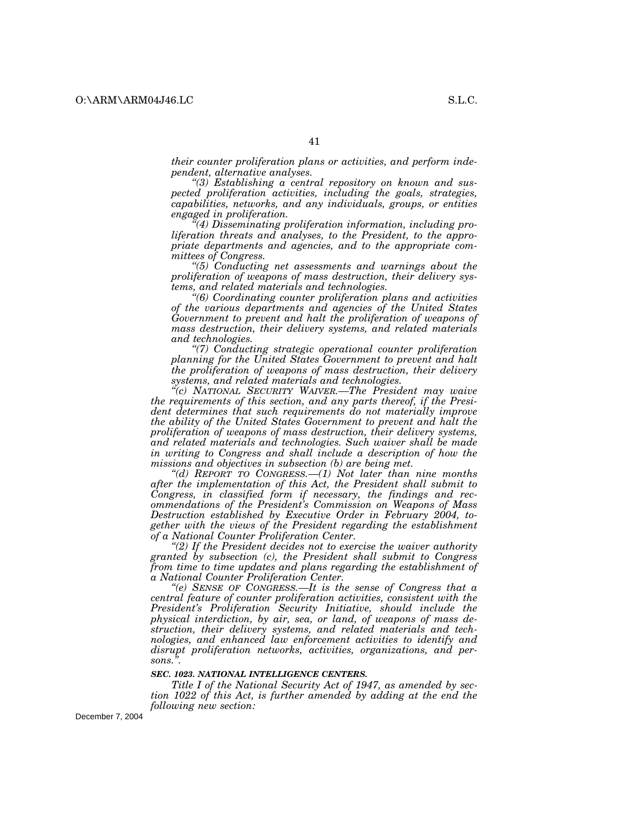*their counter proliferation plans or activities, and perform independent, alternative analyses.*

*''(3) Establishing a central repository on known and suspected proliferation activities, including the goals, strategies, capabilities, networks, and any individuals, groups, or entities engaged in proliferation.*

*''(4) Disseminating proliferation information, including proliferation threats and analyses, to the President, to the appropriate departments and agencies, and to the appropriate committees of Congress.*

*''(5) Conducting net assessments and warnings about the proliferation of weapons of mass destruction, their delivery systems, and related materials and technologies.*

*''(6) Coordinating counter proliferation plans and activities of the various departments and agencies of the United States Government to prevent and halt the proliferation of weapons of mass destruction, their delivery systems, and related materials and technologies.*

*''(7) Conducting strategic operational counter proliferation planning for the United States Government to prevent and halt the proliferation of weapons of mass destruction, their delivery systems, and related materials and technologies.*

*''(c) NATIONAL SECURITY WAIVER.—The President may waive the requirements of this section, and any parts thereof, if the President determines that such requirements do not materially improve the ability of the United States Government to prevent and halt the proliferation of weapons of mass destruction, their delivery systems, and related materials and technologies. Such waiver shall be made in writing to Congress and shall include a description of how the missions and objectives in subsection (b) are being met.*

*''(d) REPORT TO CONGRESS.—(1) Not later than nine months after the implementation of this Act, the President shall submit to Congress, in classified form if necessary, the findings and recommendations of the President's Commission on Weapons of Mass Destruction established by Executive Order in February 2004, together with the views of the President regarding the establishment of a National Counter Proliferation Center.*

*''(2) If the President decides not to exercise the waiver authority granted by subsection (c), the President shall submit to Congress from time to time updates and plans regarding the establishment of a National Counter Proliferation Center.*

*''(e) SENSE OF CONGRESS.—It is the sense of Congress that a central feature of counter proliferation activities, consistent with the President's Proliferation Security Initiative, should include the physical interdiction, by air, sea, or land, of weapons of mass destruction, their delivery systems, and related materials and technologies, and enhanced law enforcement activities to identify and disrupt proliferation networks, activities, organizations, and persons.''.*

#### *SEC. 1023. NATIONAL INTELLIGENCE CENTERS.*

*Title I of the National Security Act of 1947, as amended by section 1022 of this Act, is further amended by adding at the end the following new section:*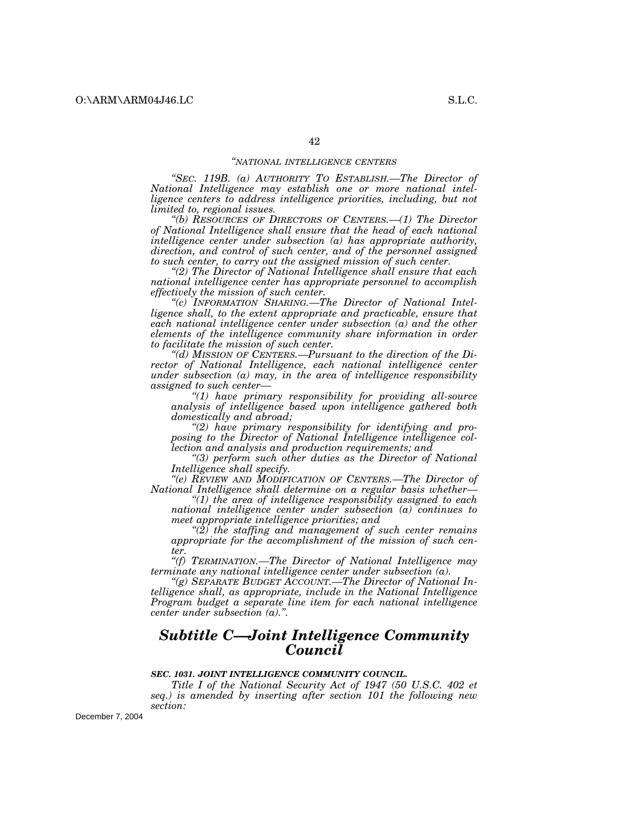#### *''NATIONAL INTELLIGENCE CENTERS*

*''SEC. 119B. (a) AUTHORITY TO ESTABLISH.—The Director of National Intelligence may establish one or more national intelligence centers to address intelligence priorities, including, but not limited to, regional issues.*

*''(b) RESOURCES OF DIRECTORS OF CENTERS.—(1) The Director of National Intelligence shall ensure that the head of each national intelligence center under subsection (a) has appropriate authority, direction, and control of such center, and of the personnel assigned to such center, to carry out the assigned mission of such center.*

*''(2) The Director of National Intelligence shall ensure that each national intelligence center has appropriate personnel to accomplish effectively the mission of such center.*

*''(c) INFORMATION SHARING.—The Director of National Intelligence shall, to the extent appropriate and practicable, ensure that each national intelligence center under subsection (a) and the other elements of the intelligence community share information in order to facilitate the mission of such center.*

*''(d) MISSION OF CENTERS.—Pursuant to the direction of the Director of National Intelligence, each national intelligence center under subsection (a) may, in the area of intelligence responsibility assigned to such center—*

*''(1) have primary responsibility for providing all-source analysis of intelligence based upon intelligence gathered both domestically and abroad;*

*''(2) have primary responsibility for identifying and pro*posing to the Director of National Intelligence intelligence col*lection and analysis and production requirements; and*

*''(3) perform such other duties as the Director of National Intelligence shall specify.*

*''(e) REVIEW AND MODIFICATION OF CENTERS.—The Director of National Intelligence shall determine on a regular basis whether—*

*''(1) the area of intelligence responsibility assigned to each national intelligence center under subsection (a) continues to meet appropriate intelligence priorities; and*

*''(2) the staffing and management of such center remains appropriate for the accomplishment of the mission of such center.*

*''(f) TERMINATION.—The Director of National Intelligence may terminate any national intelligence center under subsection (a).*

*''(g) SEPARATE BUDGET ACCOUNT.—The Director of National Intelligence shall, as appropriate, include in the National Intelligence Program budget a separate line item for each national intelligence center under subsection (a).''.*

## *Subtitle C—Joint Intelligence Community Council*

#### *SEC. 1031. JOINT INTELLIGENCE COMMUNITY COUNCIL.*

*Title I of the National Security Act of 1947 (50 U.S.C. 402 et seq.) is amended by inserting after section 101 the following new section:*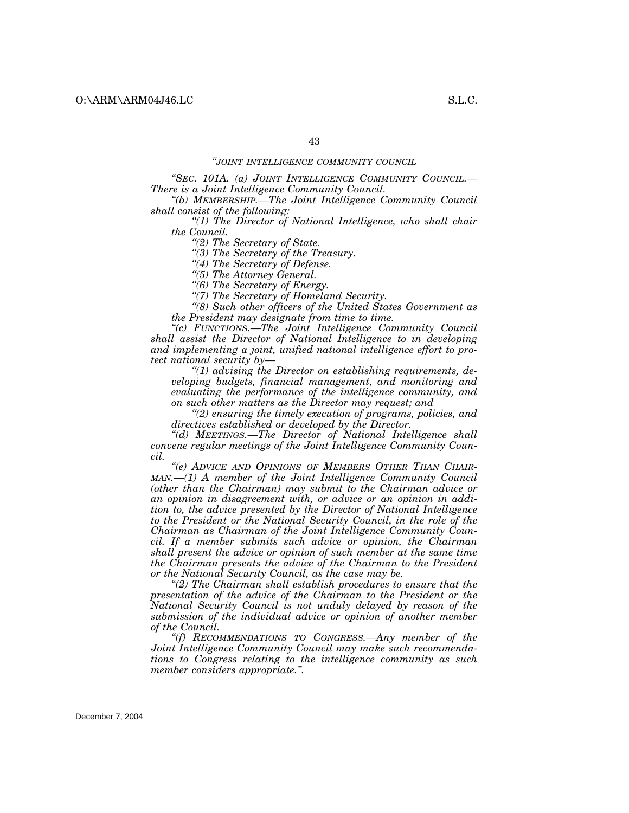### *''JOINT INTELLIGENCE COMMUNITY COUNCIL*

*''SEC. 101A. (a) JOINT INTELLIGENCE COMMUNITY COUNCIL.— There is a Joint Intelligence Community Council.*

*''(b) MEMBERSHIP.—The Joint Intelligence Community Council shall consist of the following:*

*''(1) The Director of National Intelligence, who shall chair the Council.*

*''(2) The Secretary of State.*

*''(3) The Secretary of the Treasury.*

*''(4) The Secretary of Defense.*

*''(5) The Attorney General.*

*''(6) The Secretary of Energy.*

*''(7) The Secretary of Homeland Security.*

*''(8) Such other officers of the United States Government as the President may designate from time to time.*

*''(c) FUNCTIONS.—The Joint Intelligence Community Council shall assist the Director of National Intelligence to in developing and implementing a joint, unified national intelligence effort to protect national security by—*

*''(1) advising the Director on establishing requirements, developing budgets, financial management, and monitoring and evaluating the performance of the intelligence community, and on such other matters as the Director may request; and*

*''(2) ensuring the timely execution of programs, policies, and directives established or developed by the Director.*

*''(d) MEETINGS.—The Director of National Intelligence shall convene regular meetings of the Joint Intelligence Community Council.*

*''(e) ADVICE AND OPINIONS OF MEMBERS OTHER THAN CHAIR-MAN.—(1) A member of the Joint Intelligence Community Council (other than the Chairman) may submit to the Chairman advice or an opinion in disagreement with, or advice or an opinion in addition to, the advice presented by the Director of National Intelligence to the President or the National Security Council, in the role of the Chairman as Chairman of the Joint Intelligence Community Council. If a member submits such advice or opinion, the Chairman shall present the advice or opinion of such member at the same time the Chairman presents the advice of the Chairman to the President or the National Security Council, as the case may be.*

*''(2) The Chairman shall establish procedures to ensure that the presentation of the advice of the Chairman to the President or the National Security Council is not unduly delayed by reason of the submission of the individual advice or opinion of another member of the Council.*

*''(f) RECOMMENDATIONS TO CONGRESS.—Any member of the Joint Intelligence Community Council may make such recommendations to Congress relating to the intelligence community as such member considers appropriate.''.*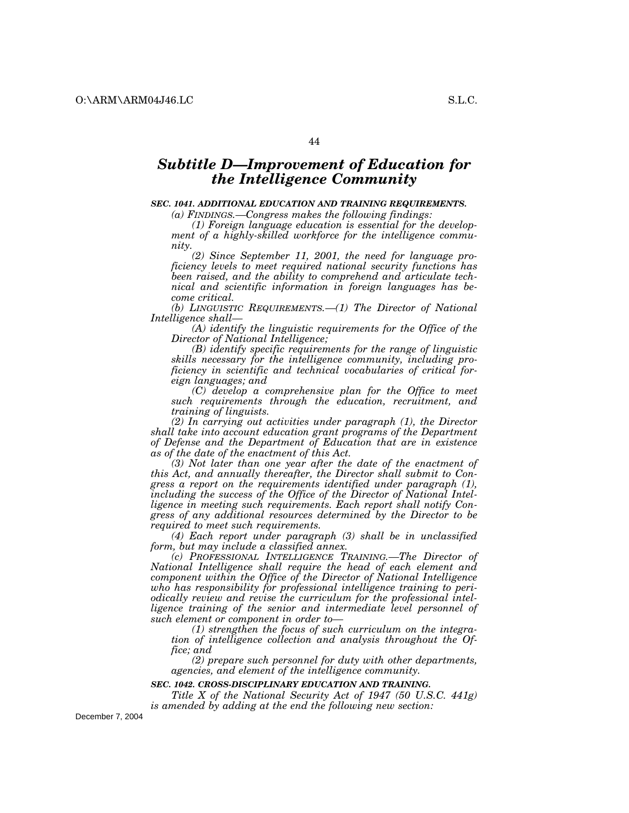## *Subtitle D—Improvement of Education for the Intelligence Community*

*SEC. 1041. ADDITIONAL EDUCATION AND TRAINING REQUIREMENTS.*

*(a) FINDINGS.—Congress makes the following findings:*

*(1) Foreign language education is essential for the development of a highly-skilled workforce for the intelligence community.*

*(2) Since September 11, 2001, the need for language proficiency levels to meet required national security functions has been raised, and the ability to comprehend and articulate technical and scientific information in foreign languages has become critical.*

*(b) LINGUISTIC REQUIREMENTS.—(1) The Director of National Intelligence shall—*

*(A) identify the linguistic requirements for the Office of the Director of National Intelligence;*

*(B) identify specific requirements for the range of linguistic skills necessary for the intelligence community, including proficiency in scientific and technical vocabularies of critical foreign languages; and*

*(C) develop a comprehensive plan for the Office to meet such requirements through the education, recruitment, and training of linguists.*

*(2) In carrying out activities under paragraph (1), the Director shall take into account education grant programs of the Department of Defense and the Department of Education that are in existence as of the date of the enactment of this Act.*

*(3) Not later than one year after the date of the enactment of this Act, and annually thereafter, the Director shall submit to Congress a report on the requirements identified under paragraph (1), including the success of the Office of the Director of National Intelligence in meeting such requirements. Each report shall notify Congress of any additional resources determined by the Director to be required to meet such requirements.*

*(4) Each report under paragraph (3) shall be in unclassified form, but may include a classified annex.*

*(c) PROFESSIONAL INTELLIGENCE TRAINING.—The Director of National Intelligence shall require the head of each element and component within the Office of the Director of National Intelligence who has responsibility for professional intelligence training to periodically review and revise the curriculum for the professional intelligence training of the senior and intermediate level personnel of such element or component in order to—*

*(1) strengthen the focus of such curriculum on the integration of intelligence collection and analysis throughout the Office; and*

*(2) prepare such personnel for duty with other departments, agencies, and element of the intelligence community.*

#### *SEC. 1042. CROSS-DISCIPLINARY EDUCATION AND TRAINING.*

*Title X of the National Security Act of 1947 (50 U.S.C. 441g) is amended by adding at the end the following new section:*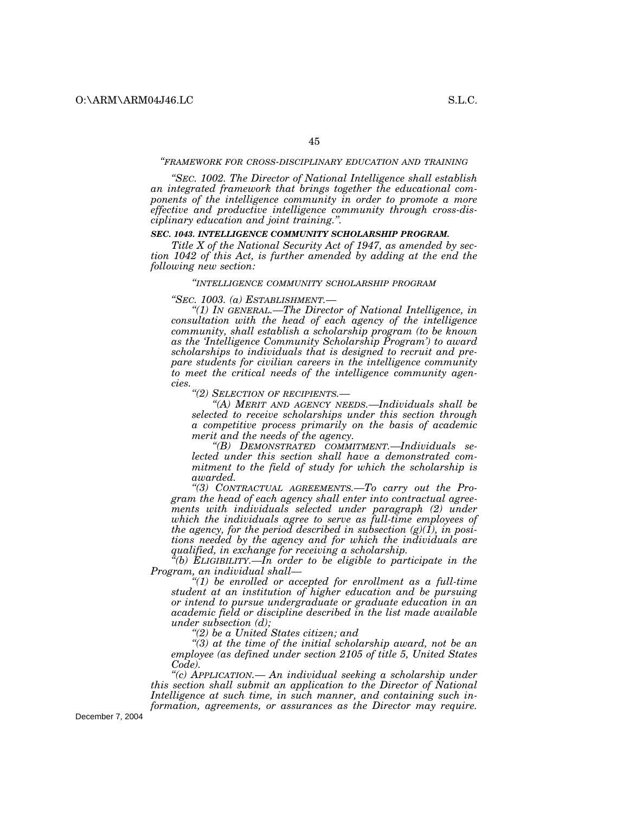*''FRAMEWORK FOR CROSS-DISCIPLINARY EDUCATION AND TRAINING*

*''SEC. 1002. The Director of National Intelligence shall establish an integrated framework that brings together the educational components of the intelligence community in order to promote a more effective and productive intelligence community through cross-disciplinary education and joint training.''.*

## *SEC. 1043. INTELLIGENCE COMMUNITY SCHOLARSHIP PROGRAM.*

*Title X of the National Security Act of 1947, as amended by section 1042 of this Act, is further amended by adding at the end the following new section:*

#### *''INTELLIGENCE COMMUNITY SCHOLARSHIP PROGRAM*

*''SEC. 1003. (a) ESTABLISHMENT.—*

*''(1) IN GENERAL.—The Director of National Intelligence, in consultation with the head of each agency of the intelligence community, shall establish a scholarship program (to be known as the 'Intelligence Community Scholarship Program') to award scholarships to individuals that is designed to recruit and prepare students for civilian careers in the intelligence community to meet the critical needs of the intelligence community agencies.*

*''(2) SELECTION OF RECIPIENTS.—*

*''(A) MERIT AND AGENCY NEEDS.—Individuals shall be selected to receive scholarships under this section through a competitive process primarily on the basis of academic merit and the needs of the agency.*

*''(B) DEMONSTRATED COMMITMENT.—Individuals selected under this section shall have a demonstrated commitment to the field of study for which the scholarship is awarded.*

*''(3) CONTRACTUAL AGREEMENTS.—To carry out the Program the head of each agency shall enter into contractual agreements with individuals selected under paragraph (2) under which the individuals agree to serve as full-time employees of the agency, for the period described in subsection*  $(g)(\hat{I})$ *, in positions needed by the agency and for which the individuals are qualified, in exchange for receiving a scholarship.*

*''(b) ELIGIBILITY.—In order to be eligible to participate in the Program, an individual shall—*

*''(1) be enrolled or accepted for enrollment as a full-time student at an institution of higher education and be pursuing or intend to pursue undergraduate or graduate education in an academic field or discipline described in the list made available under subsection (d);*

*''(2) be a United States citizen; and*

*''(3) at the time of the initial scholarship award, not be an employee (as defined under section 2105 of title 5, United States Code).*

*''(c) APPLICATION.— An individual seeking a scholarship under this section shall submit an application to the Director of National Intelligence at such time, in such manner, and containing such information, agreements, or assurances as the Director may require.*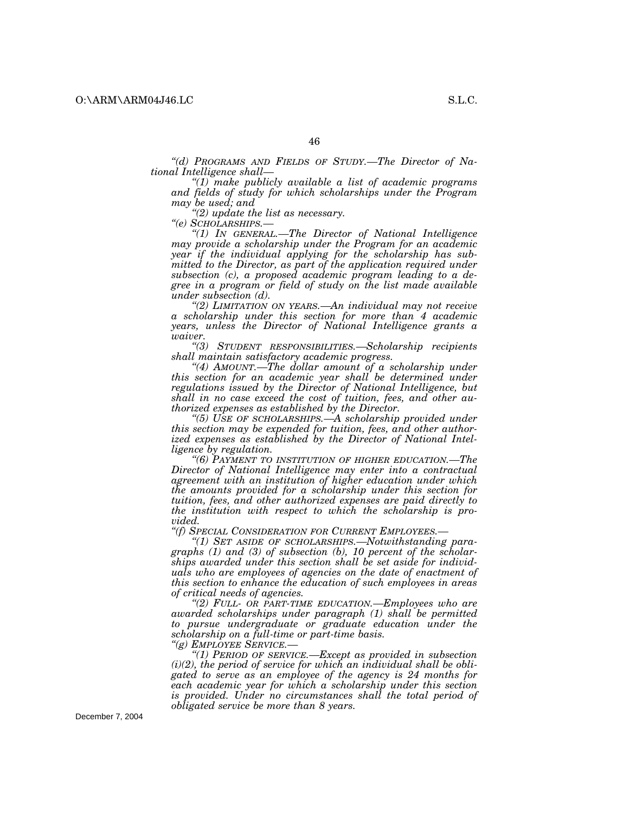*''(d) PROGRAMS AND FIELDS OF STUDY.—The Director of National Intelligence shall—*

*''(1) make publicly available a list of academic programs and fields of study for which scholarships under the Program may be used; and*

*''(2) update the list as necessary.*

*''(e) SCHOLARSHIPS.— ''(1) IN GENERAL.—The Director of National Intelligence may provide a scholarship under the Program for an academic year if the individual applying for the scholarship has submitted to the Director, as part of the application required under subsection (c), a proposed academic program leading to a degree in a program or field of study on the list made available under subsection (d).*

*''(2) LIMITATION ON YEARS.—An individual may not receive a scholarship under this section for more than 4 academic years, unless the Director of National Intelligence grants a waiver.*

*''(3) STUDENT RESPONSIBILITIES.—Scholarship recipients shall maintain satisfactory academic progress.*

*''(4) AMOUNT.—The dollar amount of a scholarship under this section for an academic year shall be determined under regulations issued by the Director of National Intelligence, but shall in no case exceed the cost of tuition, fees, and other authorized expenses as established by the Director.*

*''(5) USE OF SCHOLARSHIPS.—A scholarship provided under this section may be expended for tuition, fees, and other authorized expenses as established by the Director of National Intelligence by regulation.*

*''(6) PAYMENT TO INSTITUTION OF HIGHER EDUCATION.—The Director of National Intelligence may enter into a contractual agreement with an institution of higher education under which the amounts provided for a scholarship under this section for tuition, fees, and other authorized expenses are paid directly to the institution with respect to which the scholarship is pro*vided.<br>"(f) SPECIAL CONSIDERATION FOR CURRENT EMPLOYEES.—

<sup>"(1)</sup> SET ASIDE OF SCHOLARSHIPS.—Notwithstanding para*graphs (1) and (3) of subsection (b), 10 percent of the scholarships awarded under this section shall be set aside for individuals who are employees of agencies on the date of enactment of this section to enhance the education of such employees in areas of critical needs of agencies.*

*''(2) FULL- OR PART-TIME EDUCATION.—Employees who are awarded scholarships under paragraph (1) shall be permitted to pursue undergraduate or graduate education under the scholarship on a full-time or part-time basis.*

(1) PERIOD OF SERVICE.—Except as provided in subsection *(i)(2), the period of service for which an individual shall be obligated to serve as an employee of the agency is 24 months for each academic year for which a scholarship under this section is provided. Under no circumstances shall the total period of obligated service be more than 8 years.*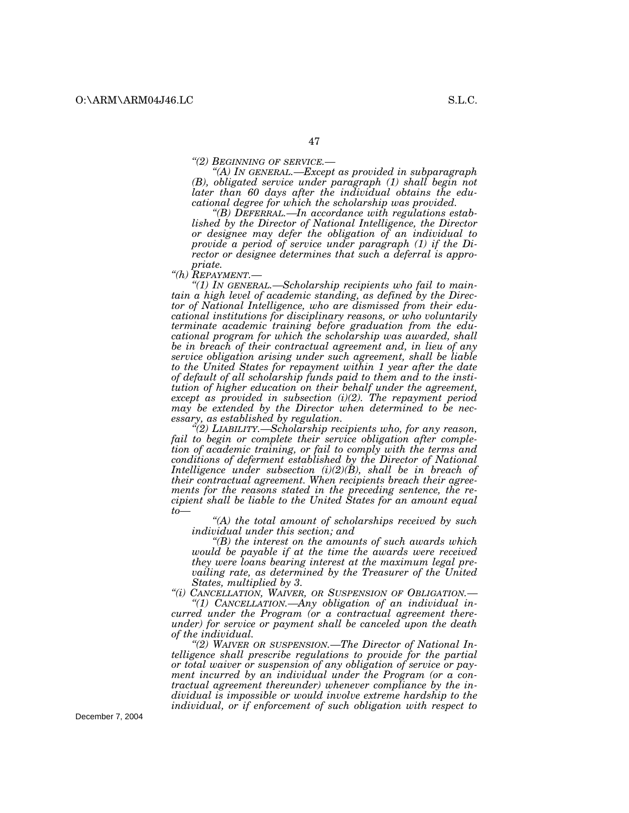*''(2) BEGINNING OF SERVICE.— ''(A) IN GENERAL.—Except as provided in subparagraph (B), obligated service under paragraph (1) shall begin not later than 60 days after the individual obtains the educational degree for which the scholarship was provided.*

*''(B) DEFERRAL.—In accordance with regulations established by the Director of National Intelligence, the Director or designee may defer the obligation of an individual to provide a period of service under paragraph (1) if the Director or designee determines that such a deferral is appro-*

priate.<br>*(h)* REPAYMENT.-

"(1) In GENERAL.—Scholarship recipients who fail to main*tain a high level of academic standing, as defined by the Director of National Intelligence, who are dismissed from their educational institutions for disciplinary reasons, or who voluntarily terminate academic training before graduation from the educational program for which the scholarship was awarded, shall be in breach of their contractual agreement and, in lieu of any service obligation arising under such agreement, shall be liable to the United States for repayment within 1 year after the date of default of all scholarship funds paid to them and to the institution of higher education on their behalf under the agreement, except as provided in subsection (i)(2). The repayment period may be extended by the Director when determined to be necessary, as established by regulation.*

*''(2) LIABILITY.—Scholarship recipients who, for any reason, fail to begin or complete their service obligation after completion of academic training, or fail to comply with the terms and conditions of deferment established by the Director of National Intelligence under subsection (i)(2)(B), shall be in breach of their contractual agreement. When recipients breach their agreements for the reasons stated in the preceding sentence, the recipient shall be liable to the United States for an amount equal to—*

*''(A) the total amount of scholarships received by such individual under this section; and*

*''(B) the interest on the amounts of such awards which would be payable if at the time the awards were received they were loans bearing interest at the maximum legal prevailing rate, as determined by the Treasurer of the United States, multiplied by 3.*

*''(i) CANCELLATION, WAIVER, OR SUSPENSION OF OBLIGATION.—*

*''(1) CANCELLATION.—Any obligation of an individual incurred under the Program (or a contractual agreement thereunder) for service or payment shall be canceled upon the death of the individual.*

*''(2) WAIVER OR SUSPENSION.—The Director of National Intelligence shall prescribe regulations to provide for the partial or total waiver or suspension of any obligation of service or payment incurred by an individual under the Program (or a contractual agreement thereunder) whenever compliance by the individual is impossible or would involve extreme hardship to the individual, or if enforcement of such obligation with respect to*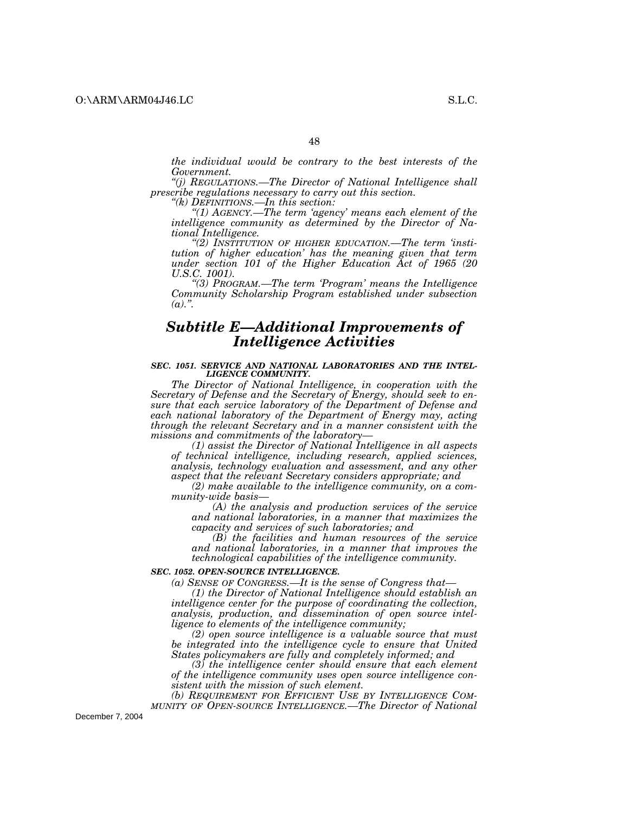*the individual would be contrary to the best interests of the Government.*

*''(j) REGULATIONS.—The Director of National Intelligence shall prescribe regulations necessary to carry out this section.*

*''(k) DEFINITIONS.—In this section:*

*''(1) AGENCY.—The term 'agency' means each element of the intelligence community as determined by the Director of National Intelligence.*

*''(2) INSTITUTION OF HIGHER EDUCATION.—The term 'institution of higher education' has the meaning given that term under section 101 of the Higher Education Act of 1965 (20 U.S.C. 1001).*

*''(3) PROGRAM.—The term 'Program' means the Intelligence Community Scholarship Program established under subsection (a).''.*

## *Subtitle E—Additional Improvements of Intelligence Activities*

#### *SEC. 1051. SERVICE AND NATIONAL LABORATORIES AND THE INTEL-LIGENCE COMMUNITY.*

*The Director of National Intelligence, in cooperation with the Secretary of Defense and the Secretary of Energy, should seek to ensure that each service laboratory of the Department of Defense and each national laboratory of the Department of Energy may, acting through the relevant Secretary and in a manner consistent with the missions and commitments of the laboratory—*

*(1) assist the Director of National Intelligence in all aspects of technical intelligence, including research, applied sciences, analysis, technology evaluation and assessment, and any other aspect that the relevant Secretary considers appropriate; and*

*(2) make available to the intelligence community, on a community-wide basis—*

*(A) the analysis and production services of the service and national laboratories, in a manner that maximizes the capacity and services of such laboratories; and*

*(B) the facilities and human resources of the service and national laboratories, in a manner that improves the technological capabilities of the intelligence community.*

#### *SEC. 1052. OPEN-SOURCE INTELLIGENCE.*

*(a) SENSE OF CONGRESS.—It is the sense of Congress that—*

*(1) the Director of National Intelligence should establish an intelligence center for the purpose of coordinating the collection, analysis, production, and dissemination of open source intelligence to elements of the intelligence community;*

*(2) open source intelligence is a valuable source that must be integrated into the intelligence cycle to ensure that United States policymakers are fully and completely informed; and*

*(3) the intelligence center should ensure that each element of the intelligence community uses open source intelligence consistent with the mission of such element.*

*(b) REQUIREMENT FOR EFFICIENT USE BY INTELLIGENCE COM-MUNITY OF OPEN-SOURCE INTELLIGENCE.—The Director of National*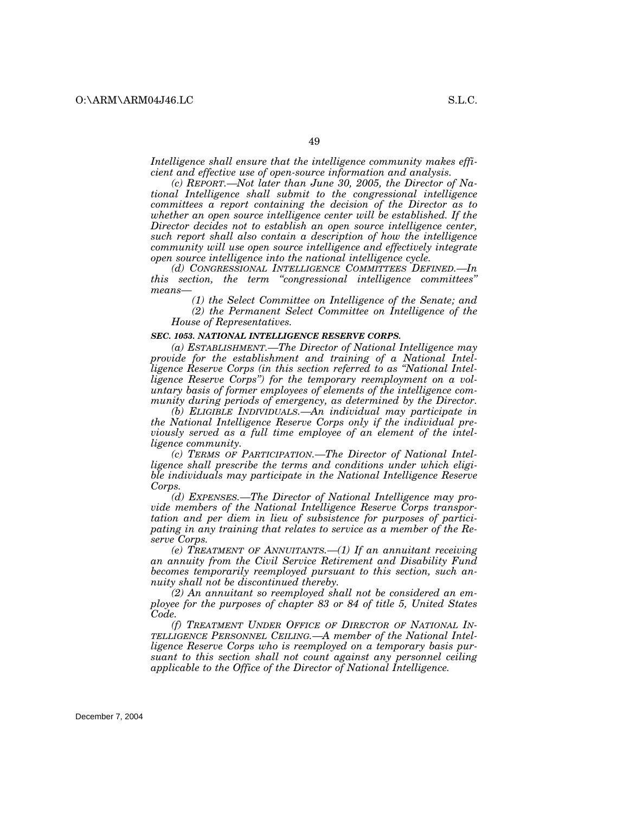*Intelligence shall ensure that the intelligence community makes efficient and effective use of open-source information and analysis.*

*(c) REPORT.—Not later than June 30, 2005, the Director of National Intelligence shall submit to the congressional intelligence committees a report containing the decision of the Director as to whether an open source intelligence center will be established. If the Director decides not to establish an open source intelligence center, such report shall also contain a description of how the intelligence community will use open source intelligence and effectively integrate open source intelligence into the national intelligence cycle.*

*(d) CONGRESSIONAL INTELLIGENCE COMMITTEES DEFINED.—In this section, the term ''congressional intelligence committees'' means—*

*(1) the Select Committee on Intelligence of the Senate; and (2) the Permanent Select Committee on Intelligence of the House of Representatives.*

## *SEC. 1053. NATIONAL INTELLIGENCE RESERVE CORPS.*

*(a) ESTABLISHMENT.—The Director of National Intelligence may provide for the establishment and training of a National Intelligence Reserve Corps (in this section referred to as ''National Intelligence Reserve Corps'') for the temporary reemployment on a voluntary basis of former employees of elements of the intelligence community during periods of emergency, as determined by the Director.*

*(b) ELIGIBLE INDIVIDUALS.—An individual may participate in the National Intelligence Reserve Corps only if the individual previously served as a full time employee of an element of the intelligence community.*

*(c) TERMS OF PARTICIPATION.—The Director of National Intelligence shall prescribe the terms and conditions under which eligible individuals may participate in the National Intelligence Reserve Corps.*

*(d) EXPENSES.—The Director of National Intelligence may provide members of the National Intelligence Reserve Corps transportation and per diem in lieu of subsistence for purposes of participating in any training that relates to service as a member of the Reserve Corps.*

*(e) TREATMENT OF ANNUITANTS.—(1) If an annuitant receiving an annuity from the Civil Service Retirement and Disability Fund becomes temporarily reemployed pursuant to this section, such annuity shall not be discontinued thereby.*

*(2) An annuitant so reemployed shall not be considered an employee for the purposes of chapter 83 or 84 of title 5, United States Code.*

*(f) TREATMENT UNDER OFFICE OF DIRECTOR OF NATIONAL IN-TELLIGENCE PERSONNEL CEILING.—A member of the National Intelligence Reserve Corps who is reemployed on a temporary basis pursuant to this section shall not count against any personnel ceiling applicable to the Office of the Director of National Intelligence.*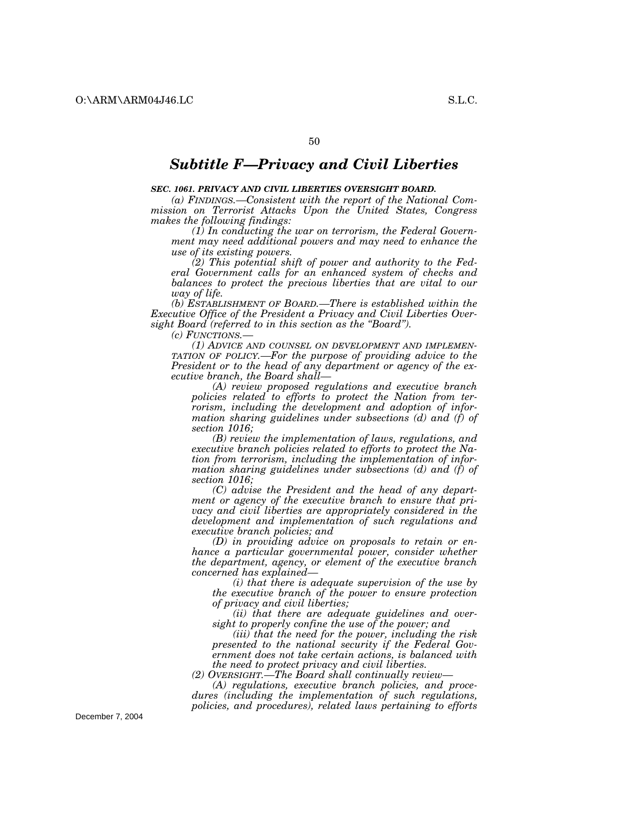## *Subtitle F—Privacy and Civil Liberties*

## *SEC. 1061. PRIVACY AND CIVIL LIBERTIES OVERSIGHT BOARD.*

*(a) FINDINGS.—Consistent with the report of the National Commission on Terrorist Attacks Upon the United States, Congress makes the following findings:*

*(1) In conducting the war on terrorism, the Federal Government may need additional powers and may need to enhance the use of its existing powers.*

*(2) This potential shift of power and authority to the Federal Government calls for an enhanced system of checks and balances to protect the precious liberties that are vital to our way of life.*

*(b) ESTABLISHMENT OF BOARD.—There is established within the Executive Office of the President a Privacy and Civil Liberties Oversight Board (referred to in this section as the ''Board'').*

*(c) FUNCTIONS.—*

*(1) ADVICE AND COUNSEL ON DEVELOPMENT AND IMPLEMEN-TATION OF POLICY.—For the purpose of providing advice to the President or to the head of any department or agency of the executive branch, the Board shall—*

*(A) review proposed regulations and executive branch policies related to efforts to protect the Nation from terrorism, including the development and adoption of information sharing guidelines under subsections (d) and (f) of section 1016;*

*(B) review the implementation of laws, regulations, and executive branch policies related to efforts to protect the Nation from terrorism, including the implementation of information sharing guidelines under subsections (d) and (f) of section 1016;*

*(C) advise the President and the head of any department or agency of the executive branch to ensure that privacy and civil liberties are appropriately considered in the development and implementation of such regulations and executive branch policies; and*

*(D) in providing advice on proposals to retain or enhance a particular governmental power, consider whether the department, agency, or element of the executive branch concerned has explained—*

*(i) that there is adequate supervision of the use by the executive branch of the power to ensure protection of privacy and civil liberties;*

*(ii) that there are adequate guidelines and oversight to properly confine the use of the power; and*

*(iii) that the need for the power, including the risk presented to the national security if the Federal Government does not take certain actions, is balanced with the need to protect privacy and civil liberties.*

*(2) OVERSIGHT.—The Board shall continually review—*

*(A) regulations, executive branch policies, and procedures (including the implementation of such regulations, policies, and procedures), related laws pertaining to efforts*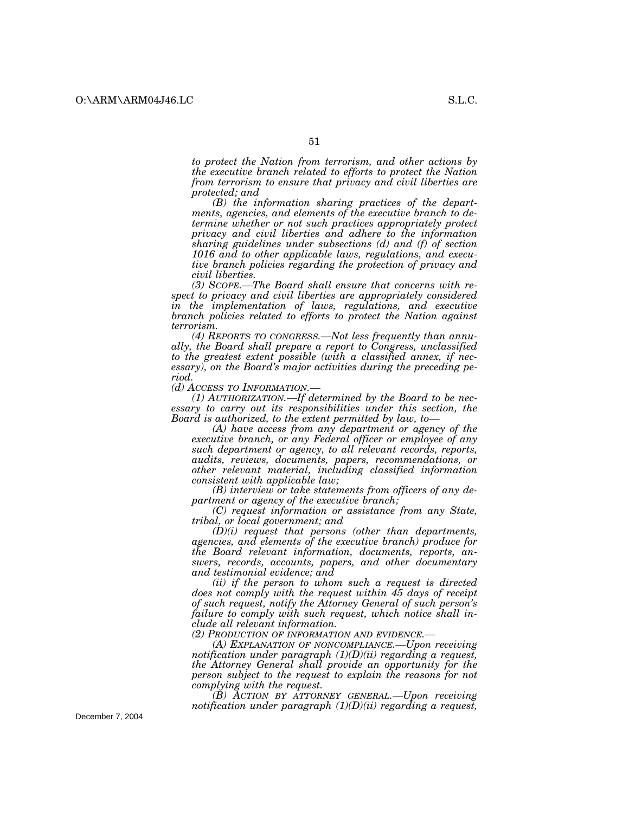*to protect the Nation from terrorism, and other actions by the executive branch related to efforts to protect the Nation from terrorism to ensure that privacy and civil liberties are protected; and*

*(B) the information sharing practices of the departments, agencies, and elements of the executive branch to determine whether or not such practices appropriately protect privacy and civil liberties and adhere to the information sharing guidelines under subsections (d) and (f) of section 1016 and to other applicable laws, regulations, and executive branch policies regarding the protection of privacy and civil liberties.*

*(3) SCOPE.—The Board shall ensure that concerns with respect to privacy and civil liberties are appropriately considered in the implementation of laws, regulations, and executive branch policies related to efforts to protect the Nation against terrorism.*

*(4) REPORTS TO CONGRESS.—Not less frequently than annually, the Board shall prepare a report to Congress, unclassified to the greatest extent possible (with a classified annex, if necessary), on the Board's major activities during the preceding period.*<br>(d) ACCESS TO INFORMATION.

(1) AUTHORIZATION.—If determined by the Board to be nec*essary to carry out its responsibilities under this section, the Board is authorized, to the extent permitted by law, to—*

*(A) have access from any department or agency of the executive branch, or any Federal officer or employee of any such department or agency, to all relevant records, reports, audits, reviews, documents, papers, recommendations, or other relevant material, including classified information consistent with applicable law;*

*(B) interview or take statements from officers of any department or agency of the executive branch;*

*(C) request information or assistance from any State, tribal, or local government; and*

*(D)(i) request that persons (other than departments, agencies, and elements of the executive branch) produce for the Board relevant information, documents, reports, answers, records, accounts, papers, and other documentary and testimonial evidence; and*

*(ii) if the person to whom such a request is directed does not comply with the request within 45 days of receipt of such request, notify the Attorney General of such person's failure to comply with such request, which notice shall include all relevant information.*

*(2) PRODUCTION OF INFORMATION AND EVIDENCE.—*

*(A) EXPLANATION OF NONCOMPLIANCE.—Upon receiving notification under paragraph (1)(D)(ii) regarding a request, the Attorney General shall provide an opportunity for the person subject to the request to explain the reasons for not complying with the request.*

*(B) ACTION BY ATTORNEY GENERAL.—Upon receiving notification under paragraph (1)(D)(ii) regarding a request,*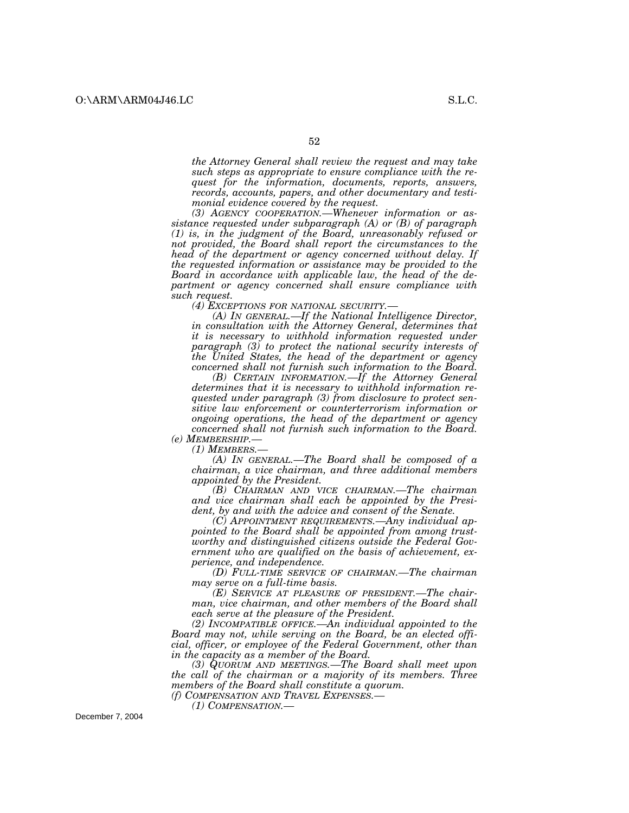*the Attorney General shall review the request and may take such steps as appropriate to ensure compliance with the request for the information, documents, reports, answers, records, accounts, papers, and other documentary and testimonial evidence covered by the request.*

*(3) AGENCY COOPERATION.—Whenever information or assistance requested under subparagraph (A) or (B) of paragraph (1) is, in the judgment of the Board, unreasonably refused or not provided, the Board shall report the circumstances to the head of the department or agency concerned without delay. If the requested information or assistance may be provided to the Board in accordance with applicable law, the head of the department or agency concerned shall ensure compliance with such request.*

*(4) EXCEPTIONS FOR NATIONAL SECURITY.— (A) IN GENERAL.—If the National Intelligence Director, in consultation with the Attorney General, determines that it is necessary to withhold information requested under paragraph (3) to protect the national security interests of the United States, the head of the department or agency concerned shall not furnish such information to the Board.*

*(B) CERTAIN INFORMATION.—If the Attorney General determines that it is necessary to withhold information requested under paragraph (3) from disclosure to protect sensitive law enforcement or counterterrorism information or ongoing operations, the head of the department or agency concerned shall not furnish such information to the Board.*

*(1) MEMBERS.—*<br>*(A) IN GENERAL.—The Board shall be composed of a chairman, a vice chairman, and three additional members appointed by the President.*

*(B) CHAIRMAN AND VICE CHAIRMAN.—The chairman and vice chairman shall each be appointed by the President, by and with the advice and consent of the Senate.*

*(C) APPOINTMENT REQUIREMENTS.—Any individual appointed to the Board shall be appointed from among trustworthy and distinguished citizens outside the Federal Government who are qualified on the basis of achievement, experience, and independence.*

*(D) FULL-TIME SERVICE OF CHAIRMAN.—The chairman may serve on a full-time basis.*

*(E) SERVICE AT PLEASURE OF PRESIDENT.—The chairman, vice chairman, and other members of the Board shall each serve at the pleasure of the President.*

*(2) INCOMPATIBLE OFFICE.—An individual appointed to the Board may not, while serving on the Board, be an elected official, officer, or employee of the Federal Government, other than in the capacity as a member of the Board.*

*(3) QUORUM AND MEETINGS.—The Board shall meet upon the call of the chairman or a majority of its members. Three members of the Board shall constitute a quorum.*

*(f) COMPENSATION AND TRAVEL EXPENSES.— (1) COMPENSATION.—*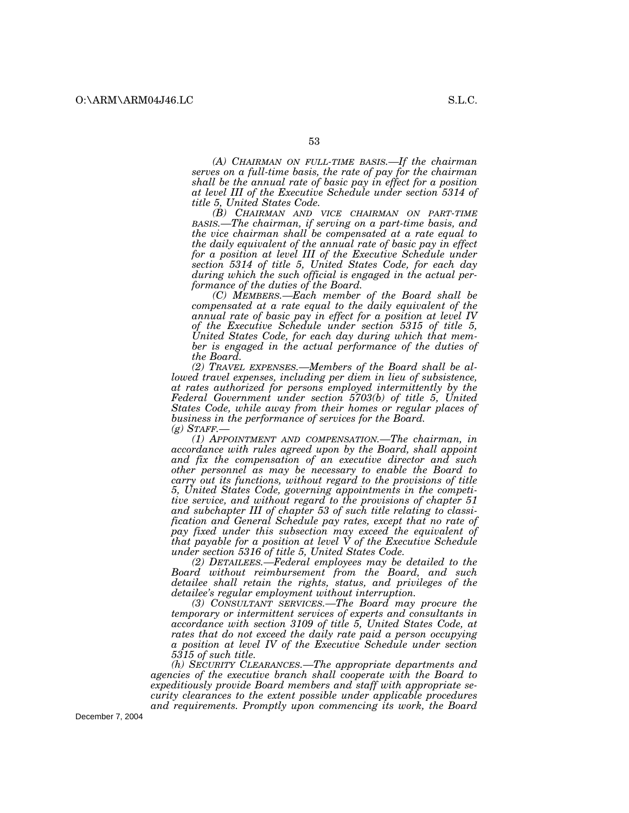*(A) CHAIRMAN ON FULL-TIME BASIS.—If the chairman serves on a full-time basis, the rate of pay for the chairman shall be the annual rate of basic pay in effect for a position at level III of the Executive Schedule under section 5314 of title 5, United States Code.*

*(B) CHAIRMAN AND VICE CHAIRMAN ON PART-TIME BASIS.—The chairman, if serving on a part-time basis, and the vice chairman shall be compensated at a rate equal to the daily equivalent of the annual rate of basic pay in effect for a position at level III of the Executive Schedule under section 5314 of title 5, United States Code, for each day during which the such official is engaged in the actual performance of the duties of the Board.*

*(C) MEMBERS.—Each member of the Board shall be compensated at a rate equal to the daily equivalent of the annual rate of basic pay in effect for a position at level IV of the Executive Schedule under section 5315 of title 5, United States Code, for each day during which that member is engaged in the actual performance of the duties of the Board.*

*(2) TRAVEL EXPENSES.—Members of the Board shall be allowed travel expenses, including per diem in lieu of subsistence, at rates authorized for persons employed intermittently by the Federal Government under section 5703(b) of title 5, United States Code, while away from their homes or regular places of business in the performance of services for the Board.*<br>(g) STAFF.—

*(g) STAFF.— (1) APPOINTMENT AND COMPENSATION.—The chairman, in accordance with rules agreed upon by the Board, shall appoint and fix the compensation of an executive director and such other personnel as may be necessary to enable the Board to carry out its functions, without regard to the provisions of title 5, United States Code, governing appointments in the competitive service, and without regard to the provisions of chapter 51 and subchapter III of chapter 53 of such title relating to classification and General Schedule pay rates, except that no rate of pay fixed under this subsection may exceed the equivalent of that payable for a position at level V of the Executive Schedule under section 5316 of title 5, United States Code.*

*(2) DETAILEES.—Federal employees may be detailed to the Board without reimbursement from the Board, and such detailee shall retain the rights, status, and privileges of the detailee's regular employment without interruption.*

*(3) CONSULTANT SERVICES.—The Board may procure the temporary or intermittent services of experts and consultants in accordance with section 3109 of title 5, United States Code, at rates that do not exceed the daily rate paid a person occupying a position at level IV of the Executive Schedule under section 5315 of such title.*

*(h) SECURITY CLEARANCES.—The appropriate departments and agencies of the executive branch shall cooperate with the Board to expeditiously provide Board members and staff with appropriate security clearances to the extent possible under applicable procedures and requirements. Promptly upon commencing its work, the Board*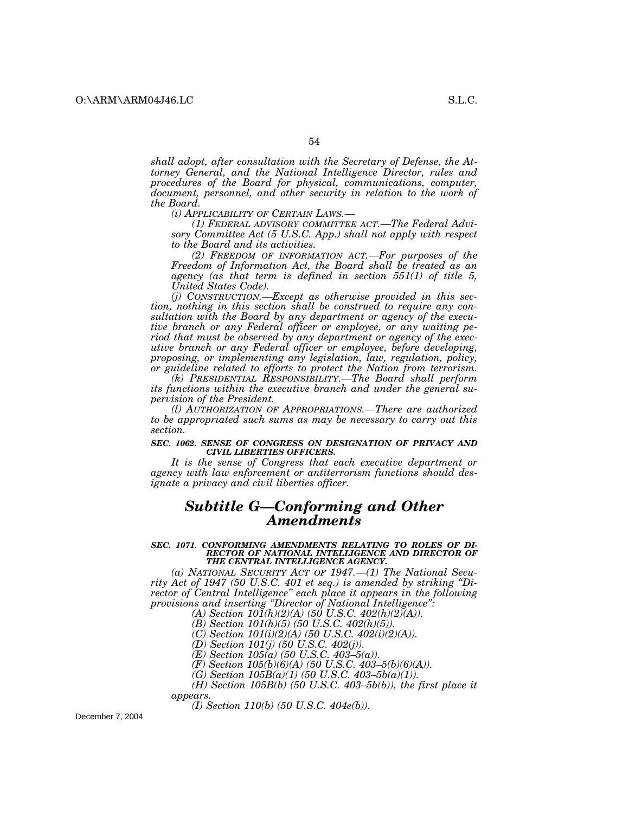*shall adopt, after consultation with the Secretary of Defense, the Attorney General, and the National Intelligence Director, rules and procedures of the Board for physical, communications, computer, document, personnel, and other security in relation to the work of the Board.*

*(i) APPLICABILITY OF CERTAIN LAWS.—*

*(1) FEDERAL ADVISORY COMMITTEE ACT.—The Federal Advisory Committee Act (5 U.S.C. App.) shall not apply with respect to the Board and its activities.*

*(2) FREEDOM OF INFORMATION ACT.—For purposes of the Freedom of Information Act, the Board shall be treated as an agency (as that term is defined in section 551(1) of title 5, United States Code).*

*(j) CONSTRUCTION.—Except as otherwise provided in this section, nothing in this section shall be construed to require any consultation with the Board by any department or agency of the executive branch or any Federal officer or employee, or any waiting period that must be observed by any department or agency of the executive branch or any Federal officer or employee, before developing, proposing, or implementing any legislation, law, regulation, policy, or guideline related to efforts to protect the Nation from terrorism.*

*(k) PRESIDENTIAL RESPONSIBILITY.—The Board shall perform its functions within the executive branch and under the general supervision of the President.*

*(l) AUTHORIZATION OF APPROPRIATIONS.—There are authorized to be appropriated such sums as may be necessary to carry out this section.*

#### *SEC. 1062. SENSE OF CONGRESS ON DESIGNATION OF PRIVACY AND CIVIL LIBERTIES OFFICERS.*

*It is the sense of Congress that each executive department or agency with law enforcement or antiterrorism functions should designate a privacy and civil liberties officer.*

## *Subtitle G—Conforming and Other Amendments*

#### *SEC. 1071. CONFORMING AMENDMENTS RELATING TO ROLES OF DI-RECTOR OF NATIONAL INTELLIGENCE AND DIRECTOR OF THE CENTRAL INTELLIGENCE AGENCY.*

*(a) NATIONAL SECURITY ACT OF 1947.—(1) The National Security Act of 1947 (50 U.S.C. 401 et seq.) is amended by striking ''Director of Central Intelligence'' each place it appears in the following provisions and inserting ''Director of National Intelligence'':*

*(A) Section 101(h)(2)(A) (50 U.S.C. 402(h)(2)(A)).*

*(B) Section 101(h)(5) (50 U.S.C. 402(h)(5)).*

*(C) Section 101(i)(2)(A) (50 U.S.C. 402(i)(2)(A)).*

*(D) Section 101(j) (50 U.S.C. 402(j)).*

*(E) Section 105(a) (50 U.S.C. 403–5(a)).*

*(F) Section 105(b)(6)(A) (50 U.S.C. 403–5(b)(6)(A)).*

*(G) Section 105B(a)(1) (50 U.S.C. 403–5b(a)(1)).*

*(H) Section 105B(b) (50 U.S.C. 403–5b(b)), the first place it appears.*

*(I) Section 110(b) (50 U.S.C. 404e(b)).*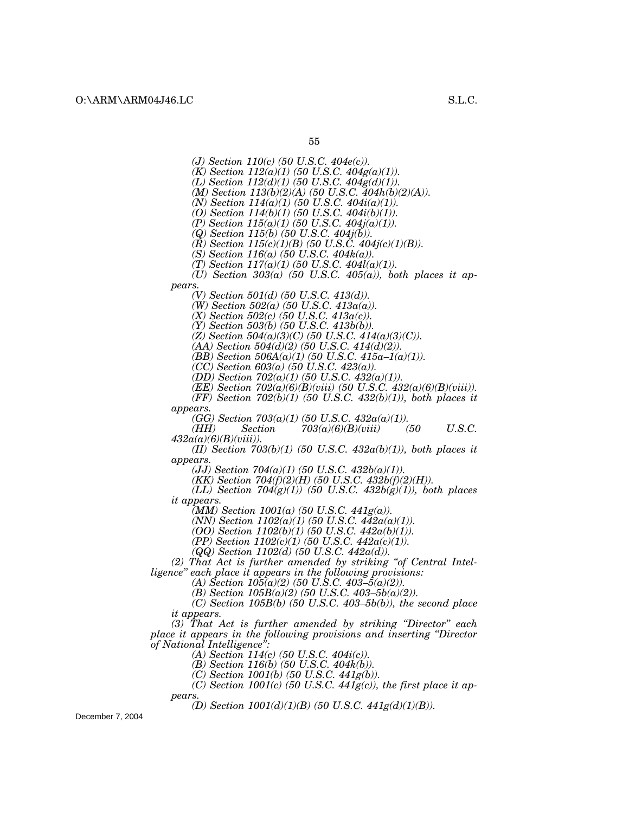55

*(J) Section 110(c) (50 U.S.C. 404e(c)).*

*(K) Section 112(a)(1) (50 U.S.C. 404g(a)(1)).*

*(L) Section 112(d)(1) (50 U.S.C. 404g(d)(1)).*

*(M) Section 113(b)(2)(A) (50 U.S.C. 404h(b)(2)(A)).*

*(N) Section 114(a)(1) (50 U.S.C. 404i(a)(1)).*

*(O) Section 114(b)(1) (50 U.S.C. 404i(b)(1)).*

*(P) Section 115(a)(1) (50 U.S.C. 404j(a)(1)).*

*(Q) Section 115(b) (50 U.S.C. 404j(b)).*

*(R) Section 115(c)(1)(B) (50 U.S.C. 404j(c)(1)(B)).*

*(S) Section 116(a) (50 U.S.C. 404k(a)).*

*(T) Section 117(a)(1) (50 U.S.C. 404l(a)(1)).*

*(U) Section 303(a) (50 U.S.C. 405(a)), both places it appears.*

*(V) Section 501(d) (50 U.S.C. 413(d)).*

*(W) Section 502(a) (50 U.S.C. 413a(a)).*

*(X) Section 502(c) (50 U.S.C. 413a(c)).*

*(Y) Section 503(b) (50 U.S.C. 413b(b)).*

*(Z) Section 504(a)(3)(C) (50 U.S.C. 414(a)(3)(C)).*

*(AA) Section 504(d)(2) (50 U.S.C. 414(d)(2)).*

*(BB) Section 506A(a)(1) (50 U.S.C. 415a–1(a)(1)).*

*(CC) Section 603(a) (50 U.S.C. 423(a)).*

*(DD) Section 702(a)(1) (50 U.S.C. 432(a)(1)).*

*(EE) Section 702(a)(6)(B)(viii) (50 U.S.C. 432(a)(6)(B)(viii)).*

*(FF) Section 702(b)(1) (50 U.S.C. 432(b)(1)), both places it*

*appears.*

*(GG) Section 703(a)(1) (50 U.S.C. 432a(a)(1)). (HH) Section 703(a)(6)(B)(viii) (50 U.S.C. 432a(a)(6)(B)(viii)).*

*(II) Section 703(b)(1) (50 U.S.C. 432a(b)(1)), both places it appears.*

*(JJ) Section 704(a)(1) (50 U.S.C. 432b(a)(1)).*

*(KK) Section 704(f)(2)(H) (50 U.S.C. 432b(f)(2)(H)).*

*(LL) Section 704(g)(1)) (50 U.S.C. 432b(g)(1)), both places it appears.*

*(MM) Section 1001(a) (50 U.S.C. 441g(a)).*

*(NN) Section 1102(a)(1) (50 U.S.C. 442a(a)(1)).*

*(OO) Section 1102(b)(1) (50 U.S.C. 442a(b)(1)).*

*(PP) Section 1102(c)(1) (50 U.S.C. 442a(c)(1)).*

*(QQ) Section 1102(d) (50 U.S.C. 442a(d)).*

*(2) That Act is further amended by striking ''of Central Intel-*

*ligence'' each place it appears in the following provisions:*

*(A) Section 105(a)(2) (50 U.S.C. 403–5(a)(2)).*

*(B) Section 105B(a)(2) (50 U.S.C. 403–5b(a)(2)).*

*(C) Section 105B(b) (50 U.S.C. 403–5b(b)), the second place it appears.*

*(3) That Act is further amended by striking ''Director'' each place it appears in the following provisions and inserting ''Director of National Intelligence'':*

*(A) Section 114(c) (50 U.S.C. 404i(c)).*

*(B) Section 116(b) (50 U.S.C. 404k(b)).*

*(C) Section 1001(b) (50 U.S.C. 441g(b)).*

*(C) Section 1001(c) (50 U.S.C. 441g(c)), the first place it appears.*

*(D) Section 1001(d)(1)(B) (50 U.S.C. 441g(d)(1)(B)).*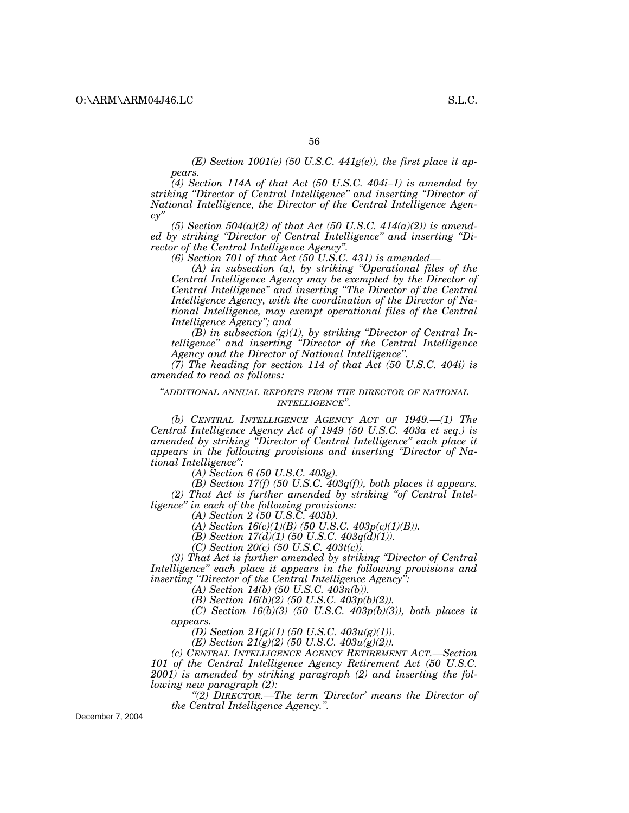*(E) Section 1001(e) (50 U.S.C. 441g(e)), the first place it appears.*

*(4) Section 114A of that Act (50 U.S.C. 404i–1) is amended by striking ''Director of Central Intelligence'' and inserting ''Director of National Intelligence, the Director of the Central Intelligence Agency''*

*(5) Section 504(a)(2) of that Act (50 U.S.C. 414(a)(2)) is amended by striking ''Director of Central Intelligence'' and inserting ''Director of the Central Intelligence Agency''.*

*(6) Section 701 of that Act (50 U.S.C. 431) is amended—*

*(A) in subsection (a), by striking ''Operational files of the Central Intelligence Agency may be exempted by the Director of Central Intelligence'' and inserting ''The Director of the Central Intelligence Agency, with the coordination of the Director of National Intelligence, may exempt operational files of the Central Intelligence Agency''; and*

*(B) in subsection (g)(1), by striking ''Director of Central Intelligence'' and inserting ''Director of the Central Intelligence Agency and the Director of National Intelligence''.*

*(7) The heading for section 114 of that Act (50 U.S.C. 404i) is amended to read as follows:*

#### *''ADDITIONAL ANNUAL REPORTS FROM THE DIRECTOR OF NATIONAL INTELLIGENCE''.*

*(b) CENTRAL INTELLIGENCE AGENCY ACT OF 1949.—(1) The Central Intelligence Agency Act of 1949 (50 U.S.C. 403a et seq.) is amended by striking ''Director of Central Intelligence'' each place it appears in the following provisions and inserting ''Director of National Intelligence'':*

*(A) Section 6 (50 U.S.C. 403g).*

*(B) Section 17(f) (50 U.S.C. 403q(f)), both places it appears. (2) That Act is further amended by striking ''of Central Intelligence'' in each of the following provisions:*

*(A) Section 2 (50 U.S.C. 403b).*

*(A) Section 16(c)(1)(B) (50 U.S.C. 403p(c)(1)(B)).*

*(B) Section 17(d)(1) (50 U.S.C. 403q(d)(1)).*

*(C) Section 20(c) (50 U.S.C. 403t(c)).*

*(3) That Act is further amended by striking ''Director of Central Intelligence'' each place it appears in the following provisions and inserting ''Director of the Central Intelligence Agency'':*

*(A) Section 14(b) (50 U.S.C. 403n(b)).*

*(B) Section 16(b)(2) (50 U.S.C. 403p(b)(2)).*

*(C) Section 16(b)(3) (50 U.S.C. 403p(b)(3)), both places it appears.*

*(D) Section 21(g)(1) (50 U.S.C. 403u(g)(1)).*

*(E) Section 21(g)(2) (50 U.S.C. 403u(g)(2)).*

*(c) CENTRAL INTELLIGENCE AGENCY RETIREMENT ACT.—Section 101 of the Central Intelligence Agency Retirement Act (50 U.S.C. 2001) is amended by striking paragraph (2) and inserting the following new paragraph (2):*

*''(2) DIRECTOR.—The term 'Director' means the Director of the Central Intelligence Agency.''.*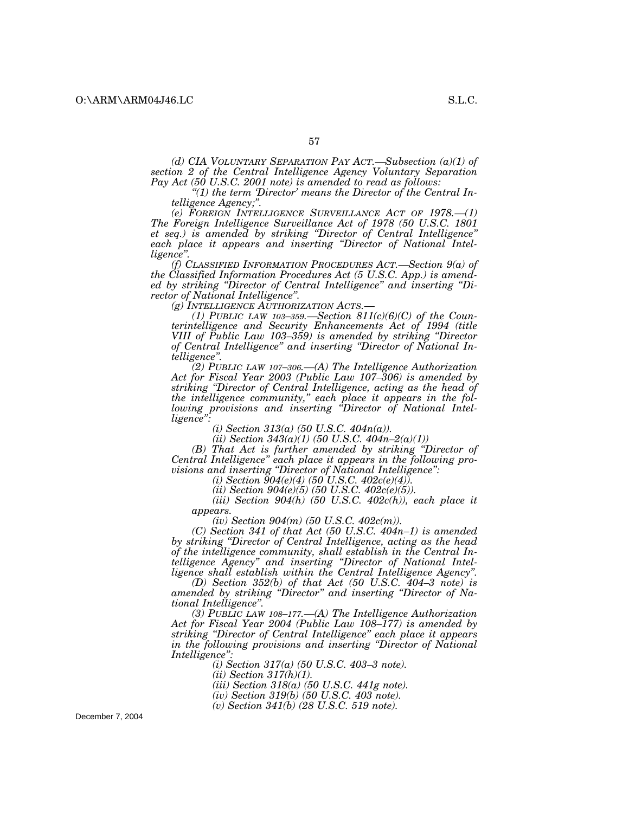*(d) CIA VOLUNTARY SEPARATION PAY ACT.—Subsection (a)(1) of section 2 of the Central Intelligence Agency Voluntary Separation Pay Act (50 U.S.C. 2001 note) is amended to read as follows:*

*''(1) the term 'Director' means the Director of the Central Intelligence Agency;''.*

*(e) FOREIGN INTELLIGENCE SURVEILLANCE ACT OF 1978.—(1) The Foreign Intelligence Surveillance Act of 1978 (50 U.S.C. 1801 et seq.) is amended by striking ''Director of Central Intelligence'' each place it appears and inserting ''Director of National Intelligence''.*

*(f) CLASSIFIED INFORMATION PROCEDURES ACT.—Section 9(a) of the Classified Information Procedures Act (5 U.S.C. App.) is amended by striking ''Director of Central Intelligence'' and inserting ''Director of National Intelligence''.*

*(1) PUBLIC LAW 103-359.*—Section  $811(c)(6)(C)$  of the Coun*terintelligence and Security Enhancements Act of 1994 (title VIII of Public Law 103–359) is amended by striking ''Director of Central Intelligence'' and inserting ''Director of National Intelligence''.*

*(2) PUBLIC LAW 107–306.—(A) The Intelligence Authorization Act for Fiscal Year 2003 (Public Law 107–306) is amended by striking ''Director of Central Intelligence, acting as the head of the intelligence community,'' each place it appears in the following provisions and inserting ''Director of National Intelligence'':*

*(i) Section 313(a) (50 U.S.C. 404n(a)).*

*(ii) Section 343(a)(1) (50 U.S.C. 404n–2(a)(1))*

*(B) That Act is further amended by striking ''Director of Central Intelligence'' each place it appears in the following provisions and inserting ''Director of National Intelligence'':*

*(i) Section 904(e)(4) (50 U.S.C. 402c(e)(4)).*

*(ii) Section 904(e)(5) (50 U.S.C. 402c(e)(5)).*

*(iii) Section 904(h) (50 U.S.C. 402c(h)), each place it appears.*

*(iv) Section 904(m) (50 U.S.C. 402c(m)).*

*(C) Section 341 of that Act (50 U.S.C. 404n–1) is amended by striking ''Director of Central Intelligence, acting as the head of the intelligence community, shall establish in the Central Intelligence Agency'' and inserting ''Director of National Intelligence shall establish within the Central Intelligence Agency''.*

*(D) Section 352(b) of that Act (50 U.S.C. 404–3 note) is amended by striking ''Director'' and inserting ''Director of National Intelligence''.*

*(3) PUBLIC LAW 108–177.—(A) The Intelligence Authorization Act for Fiscal Year 2004 (Public Law 108–177) is amended by striking ''Director of Central Intelligence'' each place it appears in the following provisions and inserting ''Director of National Intelligence'':*

*(i) Section 317(a) (50 U.S.C. 403–3 note).*

*(ii) Section 317(h)(1).*

*(iii) Section 318(a) (50 U.S.C. 441g note).*

*(iv) Section 319(b) (50 U.S.C. 403 note).*

*(v) Section 341(b) (28 U.S.C. 519 note).*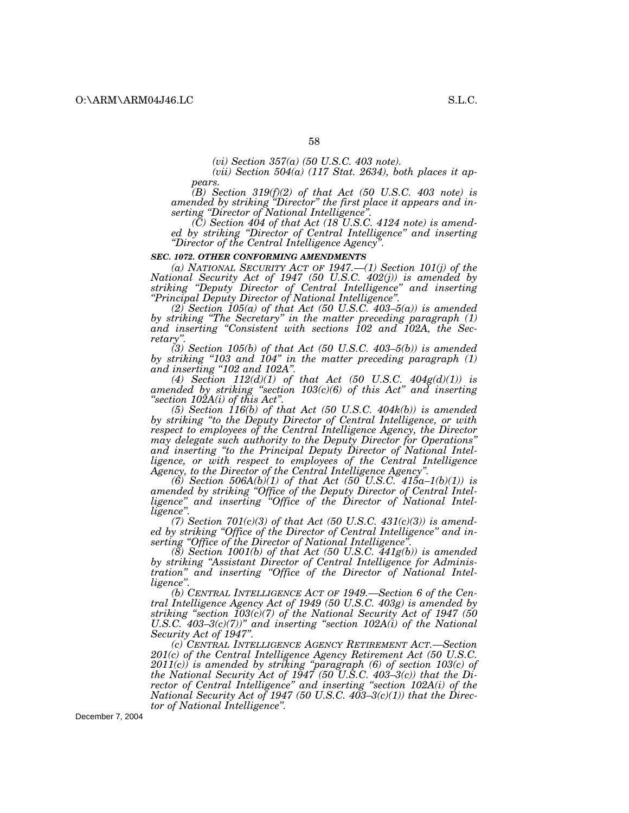*(vi) Section 357(a) (50 U.S.C. 403 note).*

*(vii) Section 504(a) (117 Stat. 2634), both places it appears.*

*(B) Section 319(f)(2) of that Act (50 U.S.C. 403 note) is amended by striking ''Director'' the first place it appears and inserting ''Director of National Intelligence''.*

*(C) Section 404 of that Act (18 U.S.C. 4124 note) is amended by striking ''Director of Central Intelligence'' and inserting ''Director of the Central Intelligence Agency''.*

#### *SEC. 1072. OTHER CONFORMING AMENDMENTS*

*(a) NATIONAL SECURITY ACT OF 1947.—(1) Section 101(j) of the National Security Act of 1947 (50 U.S.C. 402(j)) is amended by striking ''Deputy Director of Central Intelligence'' and inserting ''Principal Deputy Director of National Intelligence''.*

 $(2)$  Section  $105(a)$  of that Act  $(50 \text{ U.S. C. } 403-5(a))$  is amended *by striking ''The Secretary'' in the matter preceding paragraph (1) and inserting ''Consistent with sections 102 and 102A, the Secretary''.*

*(3) Section 105(b) of that Act (50 U.S.C. 403–5(b)) is amended by striking ''103 and 104'' in the matter preceding paragraph (1) and inserting ''102 and 102A''.*

*(4) Section 112(d)(1) of that Act (50 U.S.C. 404g(d)(1)) is amended by striking ''section 103(c)(6) of this Act'' and inserting ''section 102A(i) of this Act''.*

*(5) Section 116(b) of that Act (50 U.S.C. 404k(b)) is amended by striking ''to the Deputy Director of Central Intelligence, or with respect to employees of the Central Intelligence Agency, the Director may delegate such authority to the Deputy Director for Operations'' and inserting ''to the Principal Deputy Director of National Intelligence, or with respect to employees of the Central Intelligence Agency, to the Director of the Central Intelligence Agency''.*

*(6) Section 506A(b)(1) of that Act (50 U.S.C. 415a–1(b)(1)) is amended by striking ''Office of the Deputy Director of Central Intelligence'' and inserting ''Office of the Director of National Intelligence''.*

*(7) Section 701(c)(3) of that Act (50 U.S.C. 431(c)(3)) is amended by striking ''Office of the Director of Central Intelligence'' and inserting ''Office of the Director of National Intelligence''.*

*(8) Section 1001(b) of that Act (50 U.S.C. 441g(b)) is amended by striking ''Assistant Director of Central Intelligence for Administration'' and inserting ''Office of the Director of National Intelligence''.*

*(b) CENTRAL INTELLIGENCE ACT OF 1949.—Section 6 of the Central Intelligence Agency Act of 1949 (50 U.S.C. 403g) is amended by striking ''section 103(c)(7) of the National Security Act of 1947 (50 U.S.C. 403–3(c)(7))'' and inserting ''section 102A(i) of the National Security Act of 1947''.*

*(c) CENTRAL INTELLIGENCE AGENCY RETIREMENT ACT.—Section 201(c) of the Central Intelligence Agency Retirement Act (50 U.S.C. 2011(c)) is amended by striking ''paragraph (6) of section 103(c) of the National Security Act of 1947 (50 U.S.C. 403–3(c)) that the Director of Central Intelligence'' and inserting ''section 102A(i) of the National Security Act of 1947 (50 U.S.C. 403–3(c)(1)) that the Director of National Intelligence''.*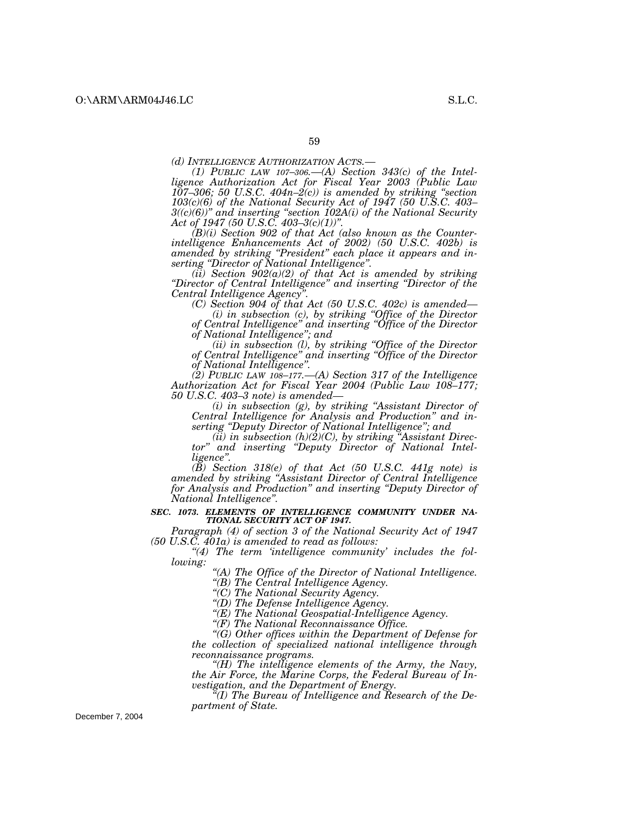*(d) INTELLIGENCE AUTHORIZATION ACTS.— (1) PUBLIC LAW 107–306.—(A) Section 343(c) of the Intelligence Authorization Act for Fiscal Year 2003 (Public Law 107–306; 50 U.S.C. 404n–2(c)) is amended by striking ''section 103(c)(6) of the National Security Act of 1947 (50 U.S.C. 403– 3((c)(6))'' and inserting ''section 102A(i) of the National Security Act of 1947 (50 U.S.C. 403–3(c)(1))''.*

*(B)(i) Section 902 of that Act (also known as the Counterintelligence Enhancements Act of 2002) (50 U.S.C. 402b) is amended by striking ''President'' each place it appears and inserting ''Director of National Intelligence''.*

*(ii) Section 902(a)(2) of that Act is amended by striking ''Director of Central Intelligence'' and inserting ''Director of the Central Intelligence Agency''.*

*(C) Section 904 of that Act (50 U.S.C. 402c) is amended—*

*(i) in subsection (c), by striking ''Office of the Director of Central Intelligence'' and inserting ''Office of the Director of National Intelligence''; and*

*(ii) in subsection (l), by striking ''Office of the Director of Central Intelligence'' and inserting ''Office of the Director of National Intelligence''.*

*(2) PUBLIC LAW 108–177.—(A) Section 317 of the Intelligence Authorization Act for Fiscal Year 2004 (Public Law 108–177; 50 U.S.C. 403–3 note) is amended—*

*(i) in subsection (g), by striking ''Assistant Director of Central Intelligence for Analysis and Production'' and inserting ''Deputy Director of National Intelligence''; and*

*(ii) in subsection (h)(2)(C), by striking ''Assistant Director'' and inserting ''Deputy Director of National Intelligence''.*

*(B) Section 318(e) of that Act (50 U.S.C. 441g note) is amended by striking ''Assistant Director of Central Intelligence for Analysis and Production'' and inserting ''Deputy Director of National Intelligence''.*

#### *SEC. 1073. ELEMENTS OF INTELLIGENCE COMMUNITY UNDER NA-TIONAL SECURITY ACT OF 1947.*

*Paragraph (4) of section 3 of the National Security Act of 1947 (50 U.S.C. 401a) is amended to read as follows:*

*''(4) The term 'intelligence community' includes the following:*

*''(A) The Office of the Director of National Intelligence.*

*''(B) The Central Intelligence Agency.*

*''(C) The National Security Agency.*

*''(D) The Defense Intelligence Agency.*

*''(E) The National Geospatial-Intelligence Agency.*

*''(F) The National Reconnaissance Office.*

*''(G) Other offices within the Department of Defense for the collection of specialized national intelligence through reconnaissance programs.*

*''(H) The intelligence elements of the Army, the Navy, the Air Force, the Marine Corps, the Federal Bureau of Investigation, and the Department of Energy.*

*''(I) The Bureau of Intelligence and Research of the Department of State.*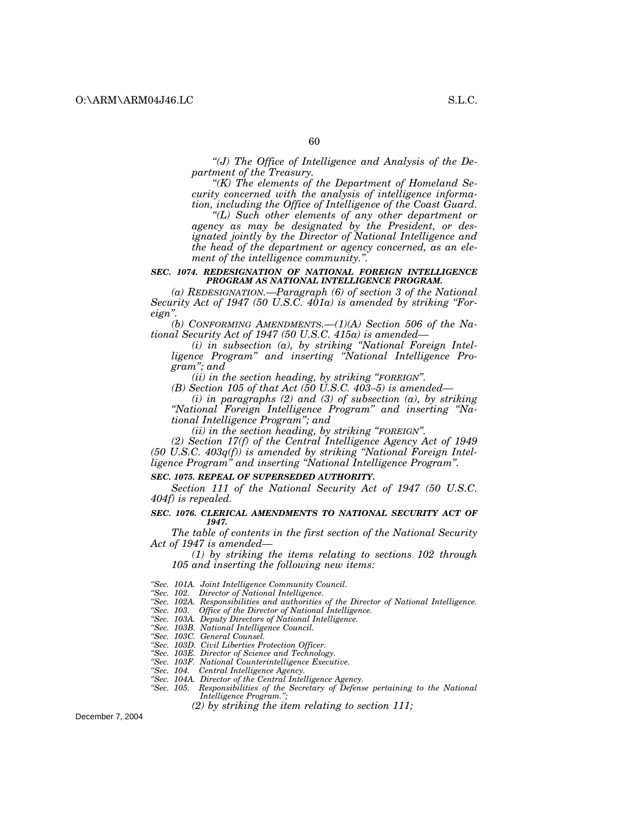*''(J) The Office of Intelligence and Analysis of the Department of the Treasury.*

*''(K) The elements of the Department of Homeland Security concerned with the analysis of intelligence information, including the Office of Intelligence of the Coast Guard.*

*''(L) Such other elements of any other department or agency as may be designated by the President, or designated jointly by the Director of National Intelligence and the head of the department or agency concerned, as an element of the intelligence community.''.*

#### *SEC. 1074. REDESIGNATION OF NATIONAL FOREIGN INTELLIGENCE PROGRAM AS NATIONAL INTELLIGENCE PROGRAM.*

*(a) REDESIGNATION.—Paragraph (6) of section 3 of the National Security Act of 1947 (50 U.S.C. 401a) is amended by striking ''Foreign''.*

*(b) CONFORMING AMENDMENTS.—(1)(A) Section 506 of the National Security Act of 1947 (50 U.S.C. 415a) is amended—*

*(i) in subsection (a), by striking ''National Foreign Intelligence Program'' and inserting ''National Intelligence Program''; and*

*(ii) in the section heading, by striking ''FOREIGN''.*

*(B) Section 105 of that Act (50 U.S.C. 403–5) is amended—*

*(i) in paragraphs (2) and (3) of subsection (a), by striking ''National Foreign Intelligence Program'' and inserting ''National Intelligence Program''; and*

*(ii) in the section heading, by striking ''FOREIGN''.*

*(2) Section 17(f) of the Central Intelligence Agency Act of 1949 (50 U.S.C. 403q(f)) is amended by striking ''National Foreign Intelligence Program'' and inserting ''National Intelligence Program''.*

## *SEC. 1075. REPEAL OF SUPERSEDED AUTHORITY.*

*Section 111 of the National Security Act of 1947 (50 U.S.C. 404f) is repealed.*

### *SEC. 1076. CLERICAL AMENDMENTS TO NATIONAL SECURITY ACT OF 1947.*

*The table of contents in the first section of the National Security Act of 1947 is amended—*

*(1) by striking the items relating to sections 102 through 105 and inserting the following new items:*

*''Sec. 101A. Joint Intelligence Community Council.*

*''Sec. 102. Director of National Intelligence.*

*''Sec. 102A. Responsibilities and authorities of the Director of National Intelligence.*

*''Sec. 103. Office of the Director of National Intelligence.*

*''Sec. 103A. Deputy Directors of National Intelligence.*

*''Sec. 103B. National Intelligence Council.*

*''Sec. 103C. General Counsel.*

*''Sec. 103D. Civil Liberties Protection Officer.*

*''Sec. 103E. Director of Science and Technology.*

*''Sec. 103F. National Counterintelligence Executive.*

- *''Sec. 104. Central Intelligence Agency.*
- *''Sec. 104A. Director of the Central Intelligence Agency.*
- $Resposibilities$  of the Secretary of Defense pertaining to the National *Intelligence Program.'';*
	- *(2) by striking the item relating to section 111;*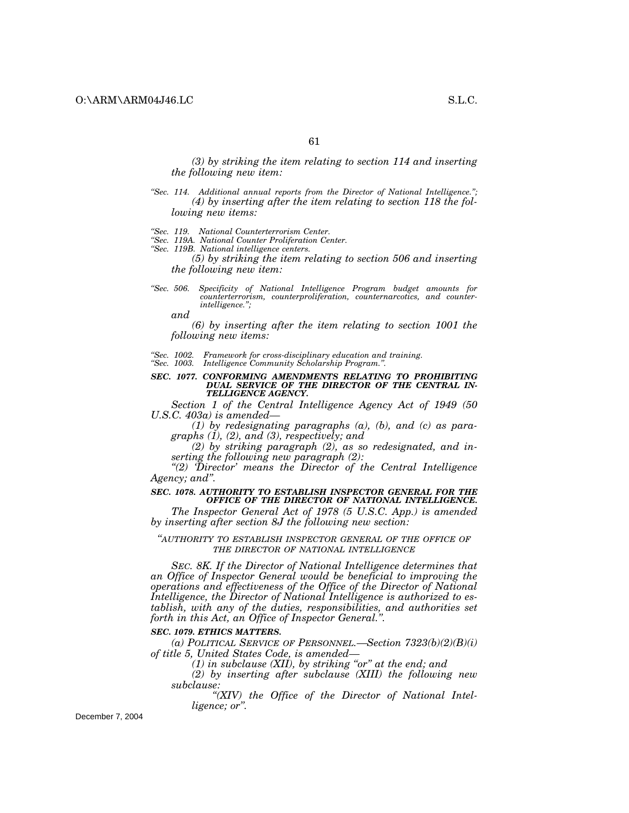*(3) by striking the item relating to section 114 and inserting the following new item:*

*''Sec. 114. Additional annual reports from the Director of National Intelligence.''; (4) by inserting after the item relating to section 118 the following new items:*

*''Sec. 119. National Counterterrorism Center.*

- *''Sec. 119A. National Counter Proliferation Center.*
- *''Sec. 119B. National intelligence centers.*

*(5) by striking the item relating to section 506 and inserting the following new item:*

*''Sec. 506. Specificity of National Intelligence Program budget amounts for counterterrorism, counterproliferation, counternarcotics, and counterintelligence.'';*

*and*

*(6) by inserting after the item relating to section 1001 the following new items:*

*''Sec. 1002. Framework for cross-disciplinary education and training.*

*''Sec. 1003. Intelligence Community Scholarship Program.''.*

#### *SEC. 1077. CONFORMING AMENDMENTS RELATING TO PROHIBITING DUAL SERVICE OF THE DIRECTOR OF THE CENTRAL IN-TELLIGENCE AGENCY.*

*Section 1 of the Central Intelligence Agency Act of 1949 (50 U.S.C. 403a) is amended—*

*(1) by redesignating paragraphs (a), (b), and (c) as paragraphs (1), (2), and (3), respectively; and*

*(2) by striking paragraph (2), as so redesignated, and inserting the following new paragraph (2):*

*''(2) 'Director' means the Director of the Central Intelligence Agency; and''.*

#### *SEC. 1078. AUTHORITY TO ESTABLISH INSPECTOR GENERAL FOR THE OFFICE OF THE DIRECTOR OF NATIONAL INTELLIGENCE.*

*The Inspector General Act of 1978 (5 U.S.C. App.) is amended by inserting after section 8J the following new section:*

#### *''AUTHORITY TO ESTABLISH INSPECTOR GENERAL OF THE OFFICE OF THE DIRECTOR OF NATIONAL INTELLIGENCE*

*SEC. 8K. If the Director of National Intelligence determines that an Office of Inspector General would be beneficial to improving the operations and effectiveness of the Office of the Director of National Intelligence, the Director of National Intelligence is authorized to establish, with any of the duties, responsibilities, and authorities set forth in this Act, an Office of Inspector General.''.*

#### *SEC. 1079. ETHICS MATTERS.*

*(a) POLITICAL SERVICE OF PERSONNEL.—Section 7323(b)(2)(B)(i) of title 5, United States Code, is amended—*

*(1) in subclause (XII), by striking ''or'' at the end; and*

*(2) by inserting after subclause (XIII) the following new subclause:*

*''(XIV) the Office of the Director of National Intelligence; or''.*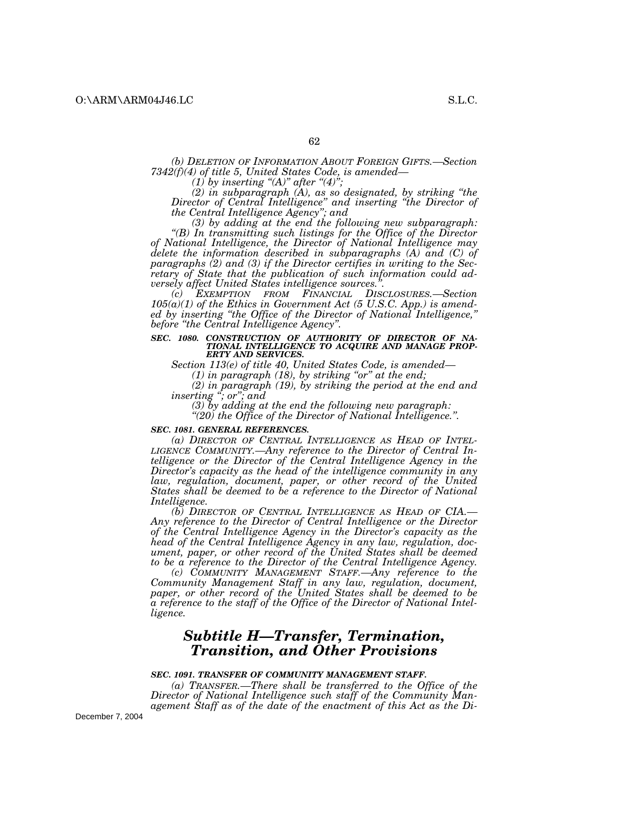*(b) DELETION OF INFORMATION ABOUT FOREIGN GIFTS.—Section 7342(f)(4) of title 5, United States Code, is amended—*

*(1) by inserting ''(A)'' after ''(4)'';*

*(2) in subparagraph (A), as so designated, by striking ''the Director of Central Intelligence'' and inserting ''the Director of the Central Intelligence Agency''; and*

*(3) by adding at the end the following new subparagraph: ''(B) In transmitting such listings for the Office of the Director of National Intelligence, the Director of National Intelligence may delete the information described in subparagraphs (A) and (C) of paragraphs (2) and (3) if the Director certifies in writing to the Secretary of State that the publication of such information could adversely affect United States intelligence sources.''.*

*(c) EXEMPTION FROM FINANCIAL DISCLOSURES.—Section 105(a)(1) of the Ethics in Government Act (5 U.S.C. App.) is amended by inserting ''the Office of the Director of National Intelligence,'' before ''the Central Intelligence Agency''.*

## *SEC. 1080. CONSTRUCTION OF AUTHORITY OF DIRECTOR OF NA-TIONAL INTELLIGENCE TO ACQUIRE AND MANAGE PROP-ERTY AND SERVICES.*

*Section 113(e) of title 40, United States Code, is amended—*

*(1) in paragraph (18), by striking ''or'' at the end;*

*(2) in paragraph (19), by striking the period at the end and inserting ''; or''; and*

*(3) by adding at the end the following new paragraph:*

*''(20) the Office of the Director of National Intelligence.''.*

## *SEC. 1081. GENERAL REFERENCES.*

*(a) DIRECTOR OF CENTRAL INTELLIGENCE AS HEAD OF INTEL- LIGENCE COMMUNITY.—Any reference to the Director of Central Intelligence or the Director of the Central Intelligence Agency in the Director's capacity as the head of the intelligence community in any law, regulation, document, paper, or other record of the United States shall be deemed to be a reference to the Director of National Intelligence.*

*(b) DIRECTOR OF CENTRAL INTELLIGENCE AS HEAD OF CIA.— Any reference to the Director of Central Intelligence or the Director of the Central Intelligence Agency in the Director's capacity as the head of the Central Intelligence Agency in any law, regulation, document, paper, or other record of the United States shall be deemed to be a reference to the Director of the Central Intelligence Agency.*

*(c) COMMUNITY MANAGEMENT STAFF.—Any reference to the Community Management Staff in any law, regulation, document, paper, or other record of the United States shall be deemed to be a reference to the staff of the Office of the Director of National Intelligence.*

## *Subtitle H—Transfer, Termination, Transition, and Other Provisions*

### *SEC. 1091. TRANSFER OF COMMUNITY MANAGEMENT STAFF.*

*(a) TRANSFER.—There shall be transferred to the Office of the Director of National Intelligence such staff of the Community Management Staff as of the date of the enactment of this Act as the Di-*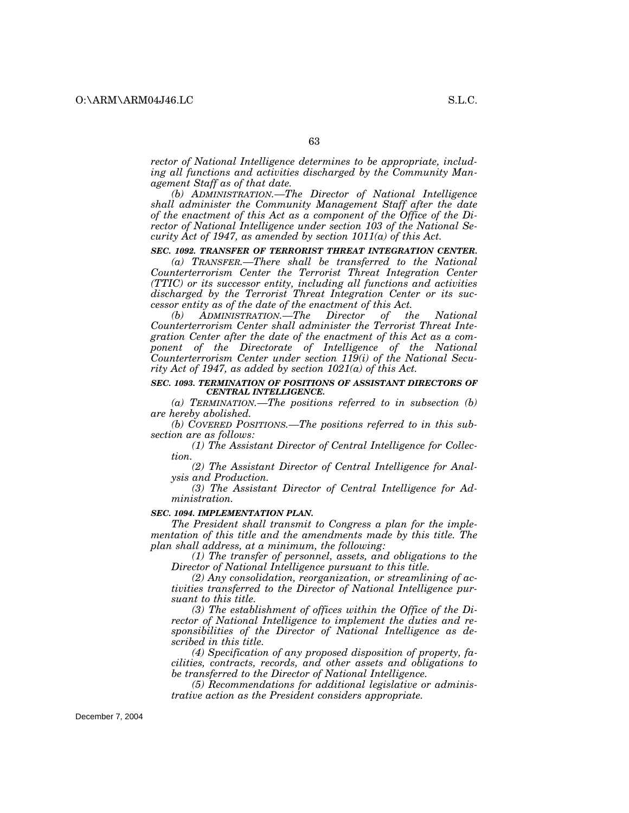*rector of National Intelligence determines to be appropriate, including all functions and activities discharged by the Community Management Staff as of that date.*

*(b) ADMINISTRATION.—The Director of National Intelligence shall administer the Community Management Staff after the date of the enactment of this Act as a component of the Office of the Director of National Intelligence under section 103 of the National Security Act of 1947, as amended by section 1011(a) of this Act.*

## *SEC. 1092. TRANSFER OF TERRORIST THREAT INTEGRATION CENTER.*

*(a) TRANSFER.—There shall be transferred to the National Counterterrorism Center the Terrorist Threat Integration Center (TTIC) or its successor entity, including all functions and activities discharged by the Terrorist Threat Integration Center or its successor entity as of the date of the enactment of this Act.*

*(b) ADMINISTRATION.—The Director of the National Counterterrorism Center shall administer the Terrorist Threat Integration Center after the date of the enactment of this Act as a component of the Directorate of Intelligence of the National Counterterrorism Center under section 119(i) of the National Security Act of 1947, as added by section 1021(a) of this Act.*

#### *SEC. 1093. TERMINATION OF POSITIONS OF ASSISTANT DIRECTORS OF CENTRAL INTELLIGENCE.*

*(a) TERMINATION.—The positions referred to in subsection (b) are hereby abolished.*

*(b) COVERED POSITIONS.—The positions referred to in this subsection are as follows:*

*(1) The Assistant Director of Central Intelligence for Collection.*

*(2) The Assistant Director of Central Intelligence for Analysis and Production.*

*(3) The Assistant Director of Central Intelligence for Administration.*

#### *SEC. 1094. IMPLEMENTATION PLAN.*

*The President shall transmit to Congress a plan for the implementation of this title and the amendments made by this title. The plan shall address, at a minimum, the following:*

*(1) The transfer of personnel, assets, and obligations to the Director of National Intelligence pursuant to this title.*

*(2) Any consolidation, reorganization, or streamlining of activities transferred to the Director of National Intelligence pursuant to this title.*

*(3) The establishment of offices within the Office of the Director of National Intelligence to implement the duties and responsibilities of the Director of National Intelligence as described in this title.*

*(4) Specification of any proposed disposition of property, facilities, contracts, records, and other assets and obligations to be transferred to the Director of National Intelligence.*

*(5) Recommendations for additional legislative or administrative action as the President considers appropriate.*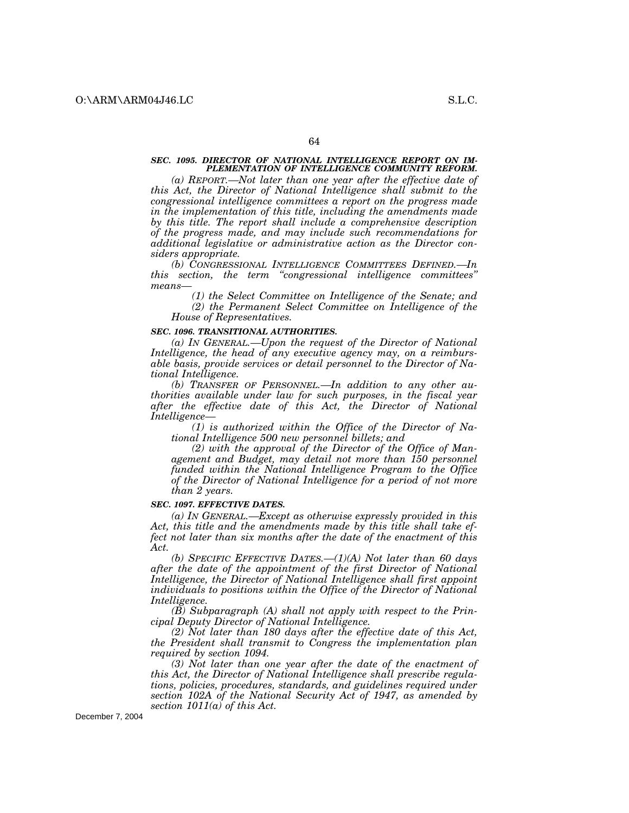#### *SEC. 1095. DIRECTOR OF NATIONAL INTELLIGENCE REPORT ON IM-PLEMENTATION OF INTELLIGENCE COMMUNITY REFORM.*

*(a) REPORT.—Not later than one year after the effective date of this Act, the Director of National Intelligence shall submit to the congressional intelligence committees a report on the progress made in the implementation of this title, including the amendments made by this title. The report shall include a comprehensive description of the progress made, and may include such recommendations for additional legislative or administrative action as the Director considers appropriate.*

*(b) CONGRESSIONAL INTELLIGENCE COMMITTEES DEFINED.—In this section, the term ''congressional intelligence committees'' means—*

*(1) the Select Committee on Intelligence of the Senate; and*

*(2) the Permanent Select Committee on Intelligence of the House of Representatives.*

#### *SEC. 1096. TRANSITIONAL AUTHORITIES.*

*(a) IN GENERAL.—Upon the request of the Director of National Intelligence, the head of any executive agency may, on a reimbursable basis, provide services or detail personnel to the Director of National Intelligence.*

*(b) TRANSFER OF PERSONNEL.—In addition to any other authorities available under law for such purposes, in the fiscal year after the effective date of this Act, the Director of National Intelligence—*

*(1) is authorized within the Office of the Director of National Intelligence 500 new personnel billets; and*

*(2) with the approval of the Director of the Office of Management and Budget, may detail not more than 150 personnel funded within the National Intelligence Program to the Office of the Director of National Intelligence for a period of not more than 2 years.*

## *SEC. 1097. EFFECTIVE DATES.*

*(a) IN GENERAL.—Except as otherwise expressly provided in this Act, this title and the amendments made by this title shall take effect not later than six months after the date of the enactment of this Act.*

*(b) SPECIFIC EFFECTIVE DATES.—(1)(A) Not later than 60 days after the date of the appointment of the first Director of National Intelligence, the Director of National Intelligence shall first appoint individuals to positions within the Office of the Director of National Intelligence.*

*(B) Subparagraph (A) shall not apply with respect to the Principal Deputy Director of National Intelligence.*

*(2) Not later than 180 days after the effective date of this Act, the President shall transmit to Congress the implementation plan required by section 1094.*

*(3) Not later than one year after the date of the enactment of this Act, the Director of National Intelligence shall prescribe regulations, policies, procedures, standards, and guidelines required under section 102A of the National Security Act of 1947, as amended by section 1011(a) of this Act.*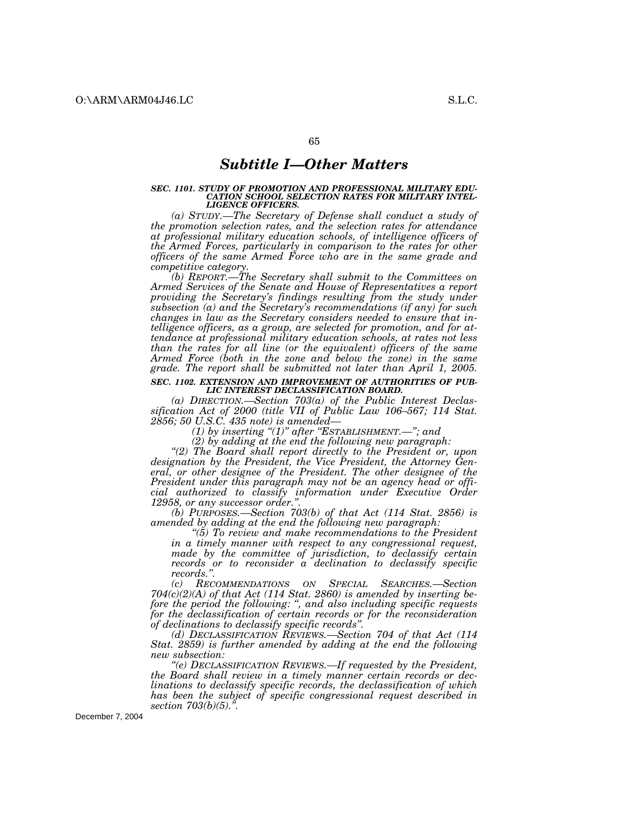## *Subtitle I—Other Matters*

#### *SEC. 1101. STUDY OF PROMOTION AND PROFESSIONAL MILITARY EDU-CATION SCHOOL SELECTION RATES FOR MILITARY INTEL-LIGENCE OFFICERS.*

*(a) STUDY.—The Secretary of Defense shall conduct a study of the promotion selection rates, and the selection rates for attendance at professional military education schools, of intelligence officers of the Armed Forces, particularly in comparison to the rates for other officers of the same Armed Force who are in the same grade and competitive category.*

*(b) REPORT.—The Secretary shall submit to the Committees on Armed Services of the Senate and House of Representatives a report providing the Secretary's findings resulting from the study under subsection (a) and the Secretary's recommendations (if any) for such changes in law as the Secretary considers needed to ensure that intelligence officers, as a group, are selected for promotion, and for attendance at professional military education schools, at rates not less than the rates for all line (or the equivalent) officers of the same Armed Force (both in the zone and below the zone) in the same grade. The report shall be submitted not later than April 1, 2005.*

#### *SEC. 1102. EXTENSION AND IMPROVEMENT OF AUTHORITIES OF PUB-LIC INTEREST DECLASSIFICATION BOARD.*

*(a) DIRECTION.—Section 703(a) of the Public Interest Declassification Act of 2000 (title VII of Public Law 106–567; 114 Stat. 2856; 50 U.S.C. 435 note) is amended—*

*(1) by inserting ''(1)'' after ''ESTABLISHMENT.—''; and*

*(2) by adding at the end the following new paragraph:*

*''(2) The Board shall report directly to the President or, upon designation by the President, the Vice President, the Attorney General, or other designee of the President. The other designee of the President under this paragraph may not be an agency head or official authorized to classify information under Executive Order 12958, or any successor order.''.*

*(b) PURPOSES.—Section 703(b) of that Act (114 Stat. 2856) is amended by adding at the end the following new paragraph:*

*''(5) To review and make recommendations to the President in a timely manner with respect to any congressional request, made by the committee of jurisdiction, to declassify certain records or to reconsider a declination to declassify specific records.''.*

*(c) RECOMMENDATIONS ON SPECIAL SEARCHES.—Section 704(c)(2)(A) of that Act (114 Stat. 2860) is amended by inserting before the period the following: '', and also including specific requests for the declassification of certain records or for the reconsideration of declinations to declassify specific records''.*

*(d) DECLASSIFICATION REVIEWS.—Section 704 of that Act (114 Stat. 2859) is further amended by adding at the end the following new subsection:*

*''(e) DECLASSIFICATION REVIEWS.—If requested by the President, the Board shall review in a timely manner certain records or declinations to declassify specific records, the declassification of which has been the subject of specific congressional request described in section 703(b)(5).''.*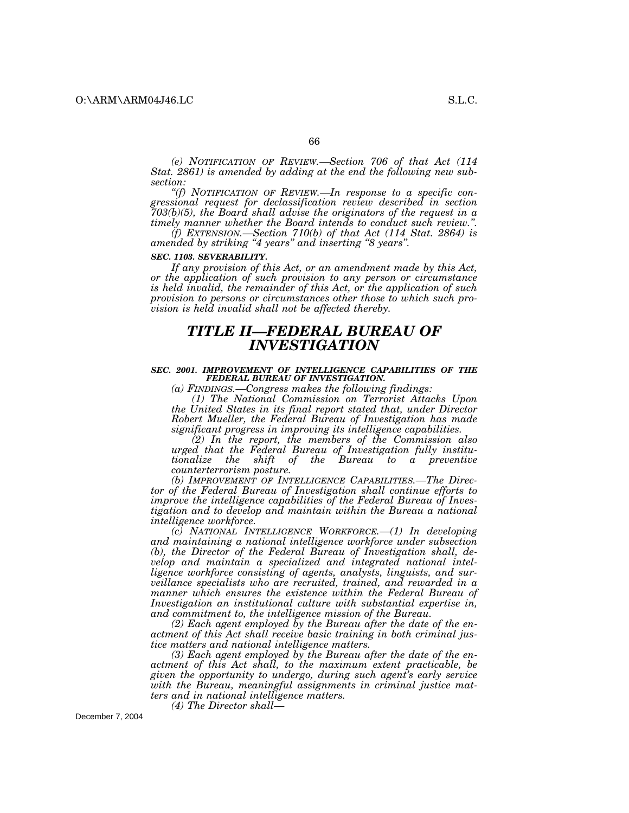*(e) NOTIFICATION OF REVIEW.—Section 706 of that Act (114 Stat. 2861) is amended by adding at the end the following new subsection:*

*''(f) NOTIFICATION OF REVIEW.—In response to a specific congressional request for declassification review described in section 703(b)(5), the Board shall advise the originators of the request in a timely manner whether the Board intends to conduct such review.''.*

*(f) EXTENSION.—Section 710(b) of that Act (114 Stat. 2864) is amended by striking ''4 years'' and inserting ''8 years''.*

## *SEC. 1103. SEVERABILITY.*

*If any provision of this Act, or an amendment made by this Act, or the application of such provision to any person or circumstance is held invalid, the remainder of this Act, or the application of such provision to persons or circumstances other those to which such provision is held invalid shall not be affected thereby.*

## *TITLE II—FEDERAL BUREAU OF INVESTIGATION*

# *SEC. 2001. IMPROVEMENT OF INTELLIGENCE CAPABILITIES OF THE FEDERAL BUREAU OF INVESTIGATION.*

*(a) FINDINGS.—Congress makes the following findings:*

*(1) The National Commission on Terrorist Attacks Upon the United States in its final report stated that, under Director Robert Mueller, the Federal Bureau of Investigation has made significant progress in improving its intelligence capabilities.*

*(2) In the report, the members of the Commission also urged that the Federal Bureau of Investigation fully institutionalize the shift of the Bureau to a preventive counterterrorism posture.*

*(b) IMPROVEMENT OF INTELLIGENCE CAPABILITIES.—The Director of the Federal Bureau of Investigation shall continue efforts to improve the intelligence capabilities of the Federal Bureau of Investigation and to develop and maintain within the Bureau a national intelligence workforce.*

*(c) NATIONAL INTELLIGENCE WORKFORCE.—(1) In developing and maintaining a national intelligence workforce under subsection (b), the Director of the Federal Bureau of Investigation shall, develop and maintain a specialized and integrated national intelligence workforce consisting of agents, analysts, linguists, and surveillance specialists who are recruited, trained, and rewarded in a manner which ensures the existence within the Federal Bureau of Investigation an institutional culture with substantial expertise in, and commitment to, the intelligence mission of the Bureau.*

*(2) Each agent employed by the Bureau after the date of the enactment of this Act shall receive basic training in both criminal justice matters and national intelligence matters.*

*(3) Each agent employed by the Bureau after the date of the enactment of this Act shall, to the maximum extent practicable, be given the opportunity to undergo, during such agent's early service with the Bureau, meaningful assignments in criminal justice matters and in national intelligence matters.*

*(4) The Director shall—*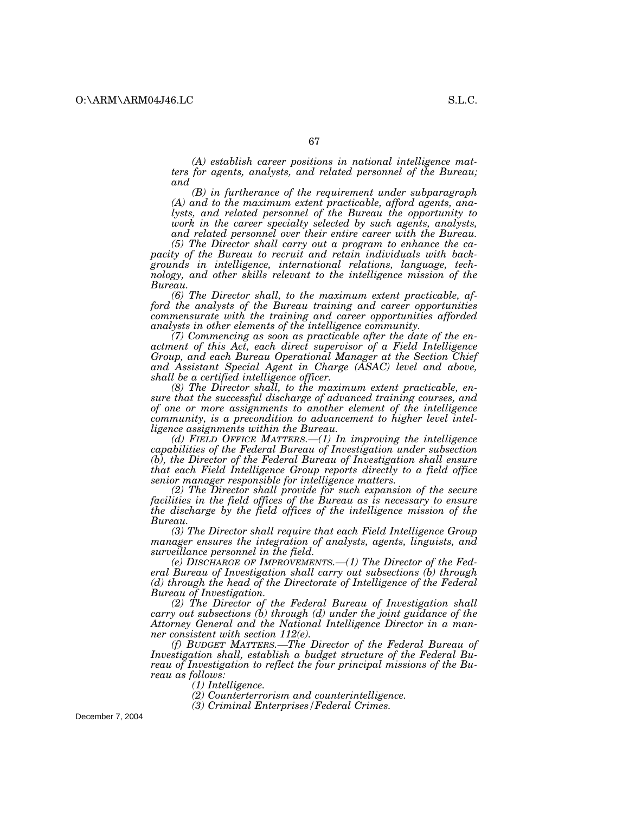*(A) establish career positions in national intelligence matters for agents, analysts, and related personnel of the Bureau; and*

*(B) in furtherance of the requirement under subparagraph (A) and to the maximum extent practicable, afford agents, analysts, and related personnel of the Bureau the opportunity to work in the career specialty selected by such agents, analysts, and related personnel over their entire career with the Bureau.*

*(5) The Director shall carry out a program to enhance the capacity of the Bureau to recruit and retain individuals with backgrounds in intelligence, international relations, language, technology, and other skills relevant to the intelligence mission of the Bureau.*

*(6) The Director shall, to the maximum extent practicable, afford the analysts of the Bureau training and career opportunities commensurate with the training and career opportunities afforded analysts in other elements of the intelligence community.*

*(7) Commencing as soon as practicable after the date of the enactment of this Act, each direct supervisor of a Field Intelligence Group, and each Bureau Operational Manager at the Section Chief and Assistant Special Agent in Charge (ASAC) level and above, shall be a certified intelligence officer.*

*(8) The Director shall, to the maximum extent practicable, ensure that the successful discharge of advanced training courses, and of one or more assignments to another element of the intelligence community, is a precondition to advancement to higher level intelligence assignments within the Bureau.*

*(d) FIELD OFFICE MATTERS.—(1) In improving the intelligence capabilities of the Federal Bureau of Investigation under subsection (b), the Director of the Federal Bureau of Investigation shall ensure that each Field Intelligence Group reports directly to a field office senior manager responsible for intelligence matters.*

*(2) The Director shall provide for such expansion of the secure facilities in the field offices of the Bureau as is necessary to ensure the discharge by the field offices of the intelligence mission of the Bureau.*

*(3) The Director shall require that each Field Intelligence Group manager ensures the integration of analysts, agents, linguists, and surveillance personnel in the field.*

*(e) DISCHARGE OF IMPROVEMENTS.—(1) The Director of the Federal Bureau of Investigation shall carry out subsections (b) through (d) through the head of the Directorate of Intelligence of the Federal Bureau of Investigation.*

*(2) The Director of the Federal Bureau of Investigation shall carry out subsections (b) through (d) under the joint guidance of the Attorney General and the National Intelligence Director in a manner consistent with section 112(e).*

*(f) BUDGET MATTERS.—The Director of the Federal Bureau of Investigation shall, establish a budget structure of the Federal Bureau of Investigation to reflect the four principal missions of the Bureau as follows:*

*(1) Intelligence.*

*(2) Counterterrorism and counterintelligence.*

*(3) Criminal Enterprises/Federal Crimes.*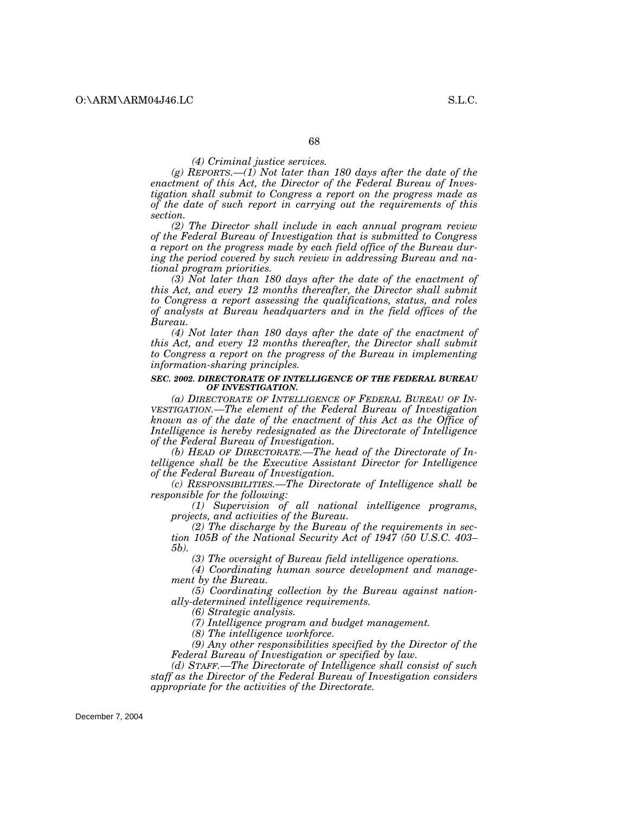*(4) Criminal justice services.*

*(g) REPORTS.—(1) Not later than 180 days after the date of the enactment of this Act, the Director of the Federal Bureau of Investigation shall submit to Congress a report on the progress made as of the date of such report in carrying out the requirements of this section.*

*(2) The Director shall include in each annual program review of the Federal Bureau of Investigation that is submitted to Congress a report on the progress made by each field office of the Bureau during the period covered by such review in addressing Bureau and national program priorities.*

*(3) Not later than 180 days after the date of the enactment of this Act, and every 12 months thereafter, the Director shall submit to Congress a report assessing the qualifications, status, and roles of analysts at Bureau headquarters and in the field offices of the Bureau.*

*(4) Not later than 180 days after the date of the enactment of this Act, and every 12 months thereafter, the Director shall submit to Congress a report on the progress of the Bureau in implementing information-sharing principles.*

## *SEC. 2002. DIRECTORATE OF INTELLIGENCE OF THE FEDERAL BUREAU OF INVESTIGATION.*

*(a) DIRECTORATE OF INTELLIGENCE OF FEDERAL BUREAU OF IN-VESTIGATION.—The element of the Federal Bureau of Investigation known as of the date of the enactment of this Act as the Office of Intelligence is hereby redesignated as the Directorate of Intelligence of the Federal Bureau of Investigation.*

*(b) HEAD OF DIRECTORATE.—The head of the Directorate of Intelligence shall be the Executive Assistant Director for Intelligence of the Federal Bureau of Investigation.*

*(c) RESPONSIBILITIES.—The Directorate of Intelligence shall be responsible for the following:*

*(1) Supervision of all national intelligence programs, projects, and activities of the Bureau.*

*(2) The discharge by the Bureau of the requirements in section 105B of the National Security Act of 1947 (50 U.S.C. 403– 5b).*

*(3) The oversight of Bureau field intelligence operations.*

*(4) Coordinating human source development and management by the Bureau.*

*(5) Coordinating collection by the Bureau against nationally-determined intelligence requirements.*

*(6) Strategic analysis.*

*(7) Intelligence program and budget management.*

*(8) The intelligence workforce.*

*(9) Any other responsibilities specified by the Director of the Federal Bureau of Investigation or specified by law.*

*(d) STAFF.—The Directorate of Intelligence shall consist of such staff as the Director of the Federal Bureau of Investigation considers appropriate for the activities of the Directorate.*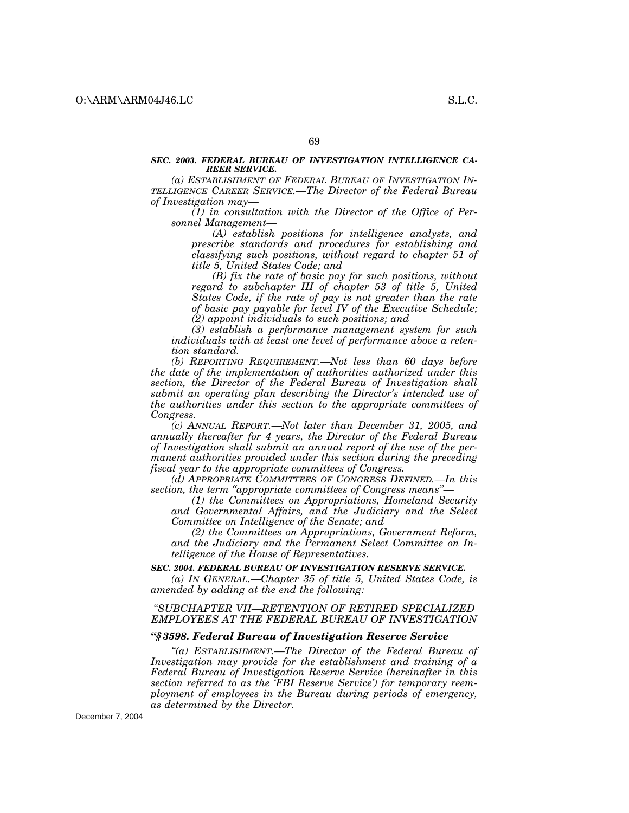#### *SEC. 2003. FEDERAL BUREAU OF INVESTIGATION INTELLIGENCE CA-REER SERVICE.*

*(a) ESTABLISHMENT OF FEDERAL BUREAU OF INVESTIGATION IN-TELLIGENCE CAREER SERVICE.—The Director of the Federal Bureau of Investigation may—*

*(1) in consultation with the Director of the Office of Personnel Management—*

*(A) establish positions for intelligence analysts, and prescribe standards and procedures for establishing and classifying such positions, without regard to chapter 51 of title 5, United States Code; and*

*(B) fix the rate of basic pay for such positions, without regard to subchapter III of chapter 53 of title 5, United States Code, if the rate of pay is not greater than the rate of basic pay payable for level IV of the Executive Schedule; (2) appoint individuals to such positions; and*

*(3) establish a performance management system for such individuals with at least one level of performance above a retention standard.*

*(b) REPORTING REQUIREMENT.—Not less than 60 days before the date of the implementation of authorities authorized under this section, the Director of the Federal Bureau of Investigation shall submit an operating plan describing the Director's intended use of the authorities under this section to the appropriate committees of Congress.*

*(c) ANNUAL REPORT.—Not later than December 31, 2005, and annually thereafter for 4 years, the Director of the Federal Bureau of Investigation shall submit an annual report of the use of the permanent authorities provided under this section during the preceding fiscal year to the appropriate committees of Congress.*

*(d) APPROPRIATE COMMITTEES OF CONGRESS DEFINED.—In this section, the term ''appropriate committees of Congress means''—*

*(1) the Committees on Appropriations, Homeland Security and Governmental Affairs, and the Judiciary and the Select Committee on Intelligence of the Senate; and*

*(2) the Committees on Appropriations, Government Reform, and the Judiciary and the Permanent Select Committee on Intelligence of the House of Representatives.*

#### *SEC. 2004. FEDERAL BUREAU OF INVESTIGATION RESERVE SERVICE.*

*(a) IN GENERAL.—Chapter 35 of title 5, United States Code, is amended by adding at the end the following:*

## *''SUBCHAPTER VII—RETENTION OF RETIRED SPECIALIZED EMPLOYEES AT THE FEDERAL BUREAU OF INVESTIGATION*

## *''§ 3598. Federal Bureau of Investigation Reserve Service*

*''(a) ESTABLISHMENT.—The Director of the Federal Bureau of Investigation may provide for the establishment and training of a Federal Bureau of Investigation Reserve Service (hereinafter in this section referred to as the 'FBI Reserve Service') for temporary reemployment of employees in the Bureau during periods of emergency, as determined by the Director.*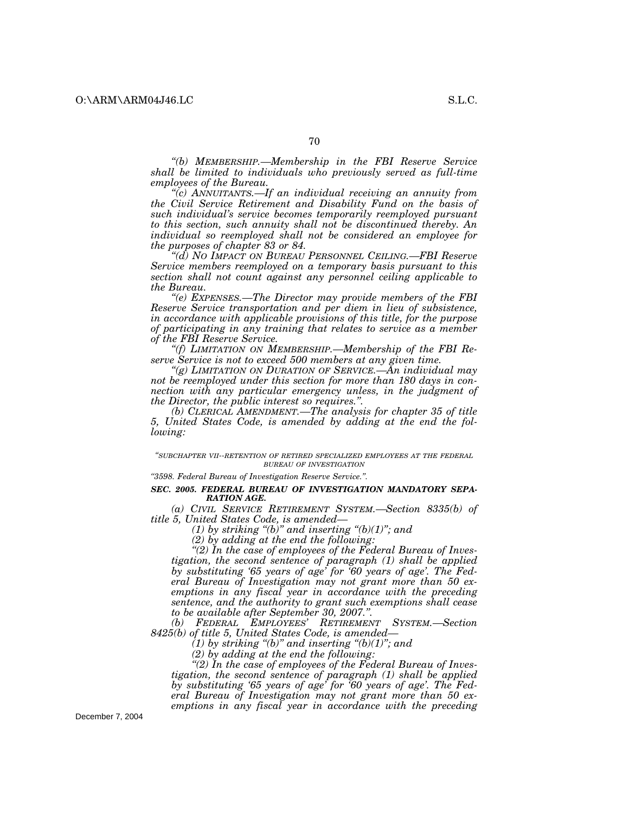*''(b) MEMBERSHIP.—Membership in the FBI Reserve Service shall be limited to individuals who previously served as full-time employees of the Bureau.*

*''(c) ANNUITANTS.—If an individual receiving an annuity from the Civil Service Retirement and Disability Fund on the basis of such individual's service becomes temporarily reemployed pursuant to this section, such annuity shall not be discontinued thereby. An individual so reemployed shall not be considered an employee for the purposes of chapter 83 or 84.*

*''(d) NO IMPACT ON BUREAU PERSONNEL CEILING.—FBI Reserve Service members reemployed on a temporary basis pursuant to this section shall not count against any personnel ceiling applicable to the Bureau.*

*''(e) EXPENSES.—The Director may provide members of the FBI Reserve Service transportation and per diem in lieu of subsistence, in accordance with applicable provisions of this title, for the purpose of participating in any training that relates to service as a member of the FBI Reserve Service.*

*''(f) LIMITATION ON MEMBERSHIP.—Membership of the FBI Reserve Service is not to exceed 500 members at any given time.*

*''(g) LIMITATION ON DURATION OF SERVICE.—An individual may not be reemployed under this section for more than 180 days in connection with any particular emergency unless, in the judgment of the Director, the public interest so requires.''.*

*(b) CLERICAL AMENDMENT.—The analysis for chapter 35 of title 5, United States Code, is amended by adding at the end the following:*

*''SUBCHAPTER VII--RETENTION OF RETIRED SPECIALIZED EMPLOYEES AT THE FEDERAL BUREAU OF INVESTIGATION*

*''3598. Federal Bureau of Investigation Reserve Service.''.*

#### *SEC. 2005. FEDERAL BUREAU OF INVESTIGATION MANDATORY SEPA-RATION AGE.*

*(a) CIVIL SERVICE RETIREMENT SYSTEM.—Section 8335(b) of title 5, United States Code, is amended—*

*(1) by striking ''(b)'' and inserting ''(b)(1)''; and*

*(2) by adding at the end the following:*

*''(2) In the case of employees of the Federal Bureau of Investigation, the second sentence of paragraph (1) shall be applied by substituting '65 years of age' for '60 years of age'. The Federal Bureau of Investigation may not grant more than 50 exemptions in any fiscal year in accordance with the preceding sentence, and the authority to grant such exemptions shall cease to be available after September 30, 2007.''.*

*(b) FEDERAL EMPLOYEES' RETIREMENT SYSTEM.—Section 8425(b) of title 5, United States Code, is amended—*

*(1) by striking ''(b)'' and inserting ''(b)(1)''; and*

*(2) by adding at the end the following:*

*''(2) In the case of employees of the Federal Bureau of Investigation, the second sentence of paragraph (1) shall be applied by substituting '65 years of age' for '60 years of age'. The Federal Bureau of Investigation may not grant more than 50 exemptions in any fiscal year in accordance with the preceding*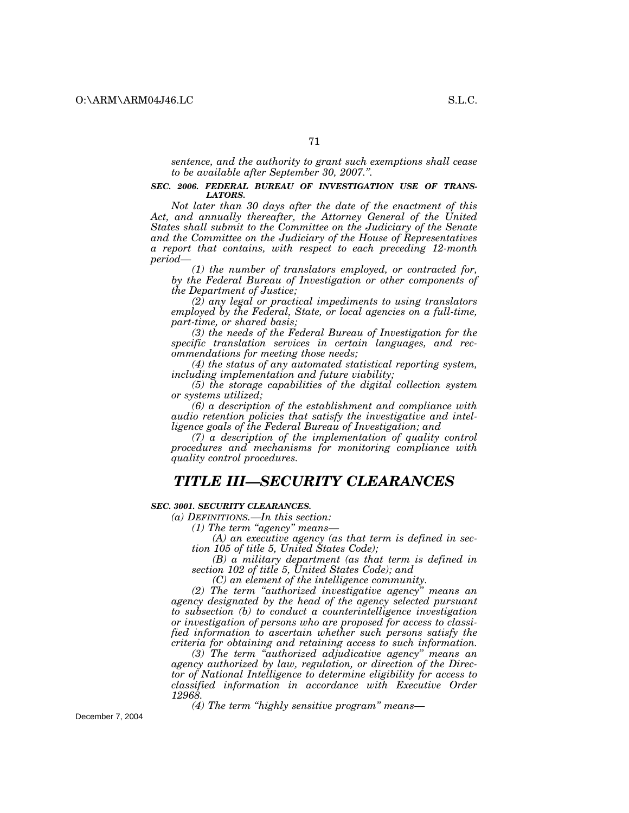*sentence, and the authority to grant such exemptions shall cease to be available after September 30, 2007.''.*

### *SEC. 2006. FEDERAL BUREAU OF INVESTIGATION USE OF TRANS-LATORS.*

*Not later than 30 days after the date of the enactment of this Act, and annually thereafter, the Attorney General of the United States shall submit to the Committee on the Judiciary of the Senate and the Committee on the Judiciary of the House of Representatives a report that contains, with respect to each preceding 12-month period—*

*(1) the number of translators employed, or contracted for, by the Federal Bureau of Investigation or other components of the Department of Justice;*

*(2) any legal or practical impediments to using translators employed by the Federal, State, or local agencies on a full-time, part-time, or shared basis;*

*(3) the needs of the Federal Bureau of Investigation for the specific translation services in certain languages, and recommendations for meeting those needs;*

*(4) the status of any automated statistical reporting system, including implementation and future viability;*

*(5) the storage capabilities of the digital collection system or systems utilized;*

*(6) a description of the establishment and compliance with audio retention policies that satisfy the investigative and intelligence goals of the Federal Bureau of Investigation; and*

*(7) a description of the implementation of quality control procedures and mechanisms for monitoring compliance with quality control procedures.*

## *TITLE III—SECURITY CLEARANCES*

## *SEC. 3001. SECURITY CLEARANCES.*

*(a) DEFINITIONS.—In this section:*

*(1) The term ''agency'' means—*

*(A) an executive agency (as that term is defined in section 105 of title 5, United States Code);*

*(B) a military department (as that term is defined in section 102 of title 5, United States Code); and*

*(C) an element of the intelligence community.*

*(2) The term ''authorized investigative agency'' means an agency designated by the head of the agency selected pursuant to subsection (b) to conduct a counterintelligence investigation or investigation of persons who are proposed for access to classified information to ascertain whether such persons satisfy the criteria for obtaining and retaining access to such information.*

*(3) The term ''authorized adjudicative agency'' means an agency authorized by law, regulation, or direction of the Director of National Intelligence to determine eligibility for access to classified information in accordance with Executive Order 12968.*

*(4) The term ''highly sensitive program'' means—*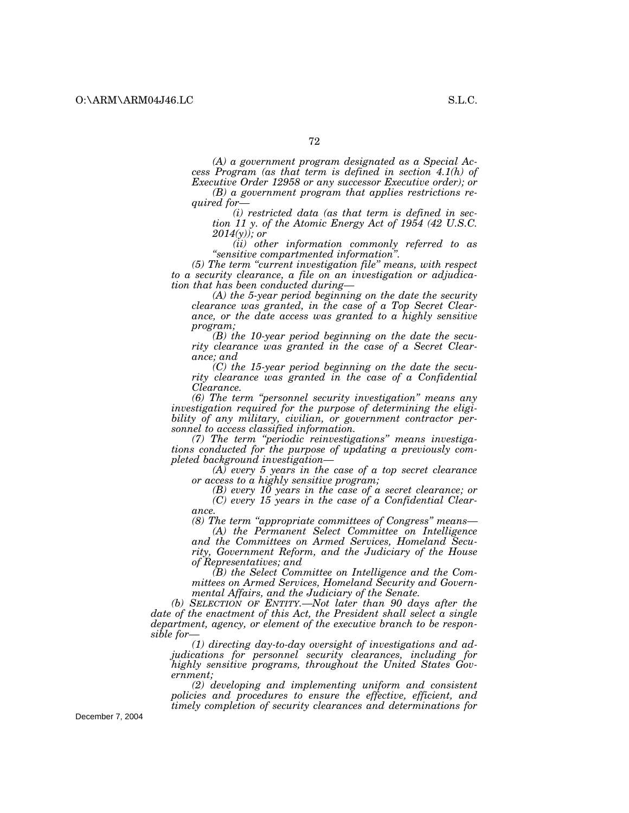*(A) a government program designated as a Special Access Program (as that term is defined in section 4.1(h) of Executive Order 12958 or any successor Executive order); or*

*(B) a government program that applies restrictions required for—*

*(i) restricted data (as that term is defined in section 11 y. of the Atomic Energy Act of 1954 (42 U.S.C. 2014(y)); or*

*(ii) other information commonly referred to as ''sensitive compartmented information''.*

*(5) The term ''current investigation file'' means, with respect to a security clearance, a file on an investigation or adjudication that has been conducted during—*

*(A) the 5-year period beginning on the date the security clearance was granted, in the case of a Top Secret Clearance, or the date access was granted to a highly sensitive program;*

*(B) the 10-year period beginning on the date the security clearance was granted in the case of a Secret Clearance; and*

*(C) the 15-year period beginning on the date the security clearance was granted in the case of a Confidential Clearance.*

*(6) The term ''personnel security investigation'' means any investigation required for the purpose of determining the eligibility of any military, civilian, or government contractor personnel to access classified information.*

*(7) The term ''periodic reinvestigations'' means investigations conducted for the purpose of updating a previously completed background investigation—*

*(A) every 5 years in the case of a top secret clearance or access to a highly sensitive program;*

*(B) every 10 years in the case of a secret clearance; or*

*(C) every 15 years in the case of a Confidential Clearance.*

*(8) The term ''appropriate committees of Congress'' means—*

*(A) the Permanent Select Committee on Intelligence and the Committees on Armed Services, Homeland Security, Government Reform, and the Judiciary of the House of Representatives; and*

*(B) the Select Committee on Intelligence and the Committees on Armed Services, Homeland Security and Governmental Affairs, and the Judiciary of the Senate.*

*(b) SELECTION OF ENTITY.—Not later than 90 days after the date of the enactment of this Act, the President shall select a single department, agency, or element of the executive branch to be responsible for—*

*(1) directing day-to-day oversight of investigations and adjudications for personnel security clearances, including for highly sensitive programs, throughout the United States Government;*

*(2) developing and implementing uniform and consistent policies and procedures to ensure the effective, efficient, and timely completion of security clearances and determinations for*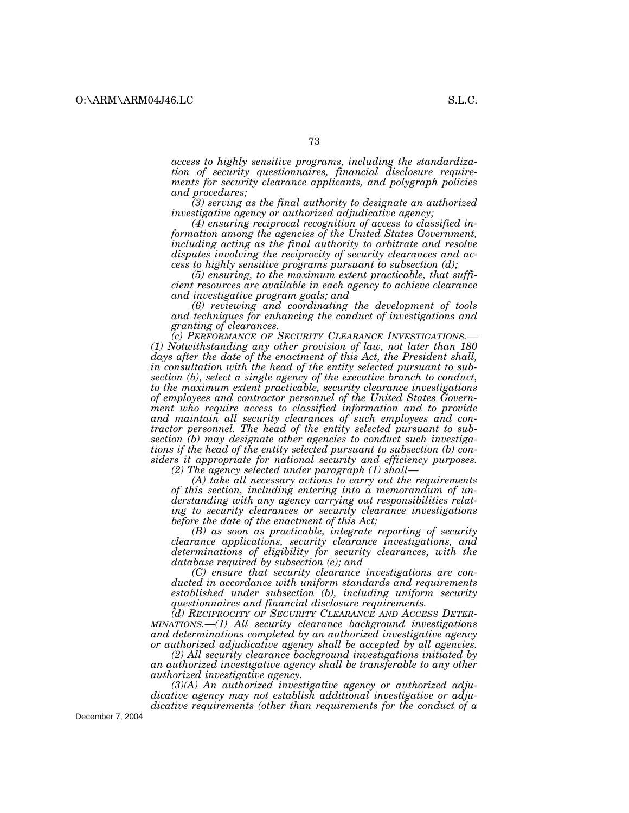*access to highly sensitive programs, including the standardization of security questionnaires, financial disclosure requirements for security clearance applicants, and polygraph policies and procedures;*

*(3) serving as the final authority to designate an authorized investigative agency or authorized adjudicative agency;*

*(4) ensuring reciprocal recognition of access to classified information among the agencies of the United States Government, including acting as the final authority to arbitrate and resolve disputes involving the reciprocity of security clearances and access to highly sensitive programs pursuant to subsection (d);*

*(5) ensuring, to the maximum extent practicable, that sufficient resources are available in each agency to achieve clearance and investigative program goals; and*

*(6) reviewing and coordinating the development of tools and techniques for enhancing the conduct of investigations and granting of clearances.*

*(1) Notwithstanding any other provision of law, not later than 180 days after the date of the enactment of this Act, the President shall, in consultation with the head of the entity selected pursuant to subsection (b), select a single agency of the executive branch to conduct, to the maximum extent practicable, security clearance investigations of employees and contractor personnel of the United States Government who require access to classified information and to provide and maintain all security clearances of such employees and contractor personnel. The head of the entity selected pursuant to subsection (b) may designate other agencies to conduct such investigations if the head of the entity selected pursuant to subsection (b) considers it appropriate for national security and efficiency purposes.*

*(2) The agency selected under paragraph (1) shall—*

*(A) take all necessary actions to carry out the requirements of this section, including entering into a memorandum of understanding with any agency carrying out responsibilities relating to security clearances or security clearance investigations before the date of the enactment of this Act;*

*(B) as soon as practicable, integrate reporting of security clearance applications, security clearance investigations, and determinations of eligibility for security clearances, with the database required by subsection (e); and*

*(C) ensure that security clearance investigations are conducted in accordance with uniform standards and requirements established under subsection (b), including uniform security questionnaires and financial disclosure requirements.*

*(d) RECIPROCITY OF SECURITY CLEARANCE AND ACCESS DETER-MINATIONS.—(1) All security clearance background investigations and determinations completed by an authorized investigative agency or authorized adjudicative agency shall be accepted by all agencies.*

*(2) All security clearance background investigations initiated by an authorized investigative agency shall be transferable to any other authorized investigative agency.*

*(3)(A) An authorized investigative agency or authorized adjudicative agency may not establish additional investigative or adjudicative requirements (other than requirements for the conduct of a*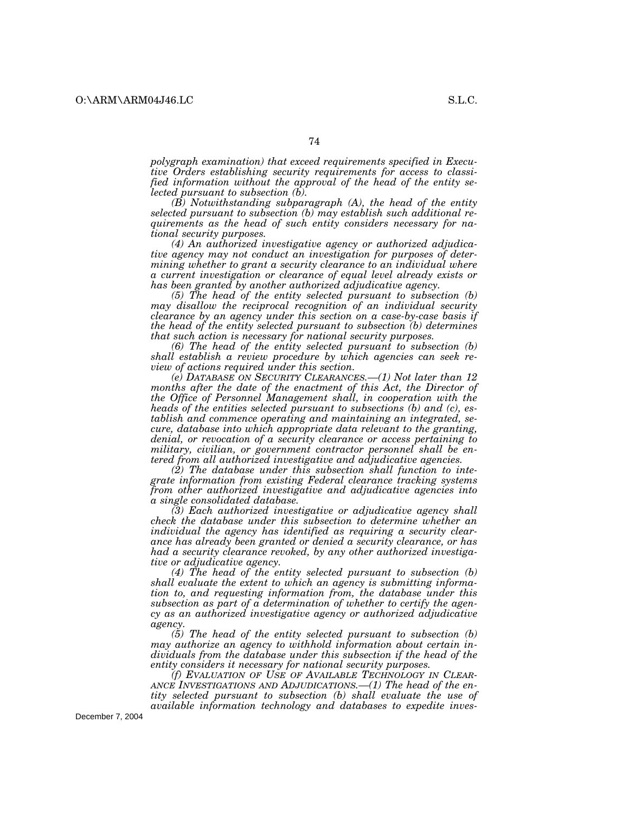*polygraph examination) that exceed requirements specified in Executive Orders establishing security requirements for access to classified information without the approval of the head of the entity selected pursuant to subsection (b).*

*(B) Notwithstanding subparagraph (A), the head of the entity selected pursuant to subsection (b) may establish such additional requirements as the head of such entity considers necessary for national security purposes.*

*(4) An authorized investigative agency or authorized adjudicative agency may not conduct an investigation for purposes of determining whether to grant a security clearance to an individual where a current investigation or clearance of equal level already exists or has been granted by another authorized adjudicative agency.*

*(5) The head of the entity selected pursuant to subsection (b) may disallow the reciprocal recognition of an individual security clearance by an agency under this section on a case-by-case basis if the head of the entity selected pursuant to subsection (b) determines that such action is necessary for national security purposes.*

*(6) The head of the entity selected pursuant to subsection (b) shall establish a review procedure by which agencies can seek review of actions required under this section.*

*(e) DATABASE ON SECURITY CLEARANCES.—(1) Not later than 12 months after the date of the enactment of this Act, the Director of the Office of Personnel Management shall, in cooperation with the heads of the entities selected pursuant to subsections (b) and (c), establish and commence operating and maintaining an integrated, secure, database into which appropriate data relevant to the granting, denial, or revocation of a security clearance or access pertaining to military, civilian, or government contractor personnel shall be entered from all authorized investigative and adjudicative agencies.*

*(2) The database under this subsection shall function to integrate information from existing Federal clearance tracking systems from other authorized investigative and adjudicative agencies into a single consolidated database.*

*(3) Each authorized investigative or adjudicative agency shall check the database under this subsection to determine whether an individual the agency has identified as requiring a security clearance has already been granted or denied a security clearance, or has had a security clearance revoked, by any other authorized investigative or adjudicative agency.*

*(4) The head of the entity selected pursuant to subsection (b) shall evaluate the extent to which an agency is submitting information to, and requesting information from, the database under this subsection as part of a determination of whether to certify the agency as an authorized investigative agency or authorized adjudicative agency.*

*(5) The head of the entity selected pursuant to subsection (b) may authorize an agency to withhold information about certain individuals from the database under this subsection if the head of the entity considers it necessary for national security purposes.*

*(f) EVALUATION OF USE OF AVAILABLE TECHNOLOGY IN CLEAR- ANCE INVESTIGATIONS AND ADJUDICATIONS.—(1) The head of the entity selected pursuant to subsection (b) shall evaluate the use of available information technology and databases to expedite inves-*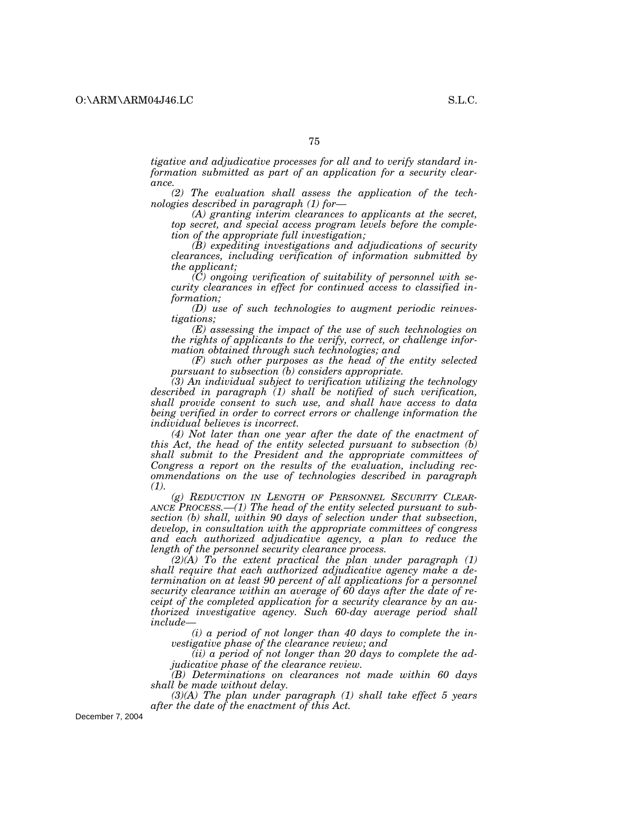*tigative and adjudicative processes for all and to verify standard information submitted as part of an application for a security clearance.*

*(2) The evaluation shall assess the application of the technologies described in paragraph (1) for—*

*(A) granting interim clearances to applicants at the secret, top secret, and special access program levels before the completion of the appropriate full investigation;*

*(B) expediting investigations and adjudications of security clearances, including verification of information submitted by the applicant;*

*(C) ongoing verification of suitability of personnel with security clearances in effect for continued access to classified information;*

*(D) use of such technologies to augment periodic reinvestigations;*

*(E) assessing the impact of the use of such technologies on the rights of applicants to the verify, correct, or challenge information obtained through such technologies; and*

*(F) such other purposes as the head of the entity selected pursuant to subsection (b) considers appropriate.*

*(3) An individual subject to verification utilizing the technology described in paragraph (1) shall be notified of such verification, shall provide consent to such use, and shall have access to data being verified in order to correct errors or challenge information the individual believes is incorrect.*

*(4) Not later than one year after the date of the enactment of this Act, the head of the entity selected pursuant to subsection (b) shall submit to the President and the appropriate committees of Congress a report on the results of the evaluation, including recommendations on the use of technologies described in paragraph (1).*

*(g) REDUCTION IN LENGTH OF PERSONNEL SECURITY CLEAR-ANCE PROCESS.—(1) The head of the entity selected pursuant to subsection (b) shall, within 90 days of selection under that subsection, develop, in consultation with the appropriate committees of congress and each authorized adjudicative agency, a plan to reduce the length of the personnel security clearance process.*

*(2)(A) To the extent practical the plan under paragraph (1) shall require that each authorized adjudicative agency make a determination on at least 90 percent of all applications for a personnel security clearance within an average of 60 days after the date of receipt of the completed application for a security clearance by an authorized investigative agency. Such 60-day average period shall include—*

*(i) a period of not longer than 40 days to complete the investigative phase of the clearance review; and*

*(ii) a period of not longer than 20 days to complete the adjudicative phase of the clearance review.*

*(B) Determinations on clearances not made within 60 days shall be made without delay.*

*(3)(A) The plan under paragraph (1) shall take effect 5 years after the date of the enactment of this Act.*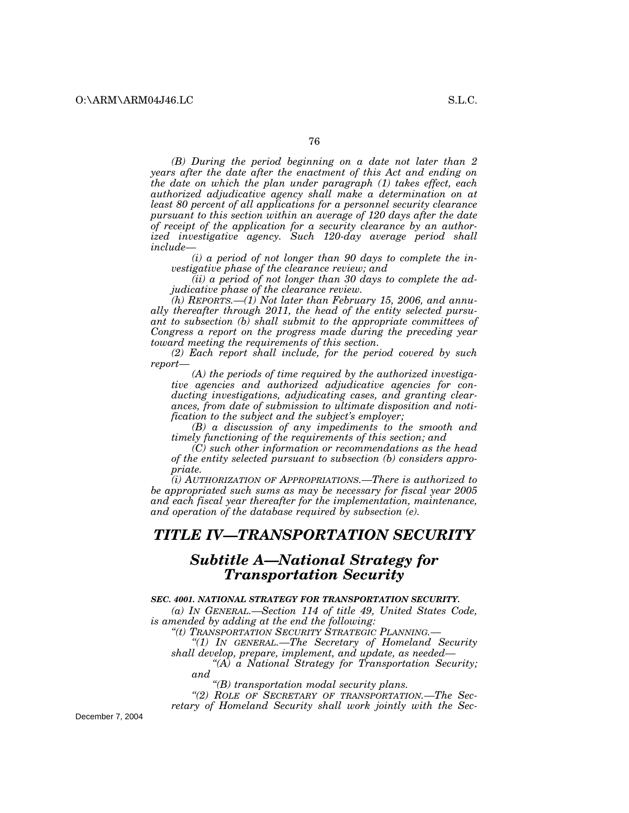*(B) During the period beginning on a date not later than 2 years after the date after the enactment of this Act and ending on the date on which the plan under paragraph (1) takes effect, each authorized adjudicative agency shall make a determination on at least 80 percent of all applications for a personnel security clearance pursuant to this section within an average of 120 days after the date of receipt of the application for a security clearance by an authorized investigative agency. Such 120-day average period shall include—*

*(i) a period of not longer than 90 days to complete the investigative phase of the clearance review; and*

*(ii) a period of not longer than 30 days to complete the adjudicative phase of the clearance review.*

*(h) REPORTS.—(1) Not later than February 15, 2006, and annually thereafter through 2011, the head of the entity selected pursuant to subsection (b) shall submit to the appropriate committees of Congress a report on the progress made during the preceding year toward meeting the requirements of this section.*

*(2) Each report shall include, for the period covered by such report—*

*(A) the periods of time required by the authorized investigative agencies and authorized adjudicative agencies for conducting investigations, adjudicating cases, and granting clearances, from date of submission to ultimate disposition and notification to the subject and the subject's employer;*

*(B) a discussion of any impediments to the smooth and timely functioning of the requirements of this section; and*

*(C) such other information or recommendations as the head of the entity selected pursuant to subsection (b) considers appropriate.*

*(i) AUTHORIZATION OF APPROPRIATIONS.—There is authorized to be appropriated such sums as may be necessary for fiscal year 2005 and each fiscal year thereafter for the implementation, maintenance, and operation of the database required by subsection (e).*

## *TITLE IV—TRANSPORTATION SECURITY*

# *Subtitle A—National Strategy for Transportation Security*

*SEC. 4001. NATIONAL STRATEGY FOR TRANSPORTATION SECURITY.*

*(a) IN GENERAL.—Section 114 of title 49, United States Code, is amended by adding at the end the following:*

*''(t) TRANSPORTATION SECURITY STRATEGIC PLANNING.—*

*''(1) IN GENERAL.—The Secretary of Homeland Security shall develop, prepare, implement, and update, as needed—*

*''(A) a National Strategy for Transportation Security; and*

*''(B) transportation modal security plans.*

*''(2) ROLE OF SECRETARY OF TRANSPORTATION.—The Secretary of Homeland Security shall work jointly with the Sec-*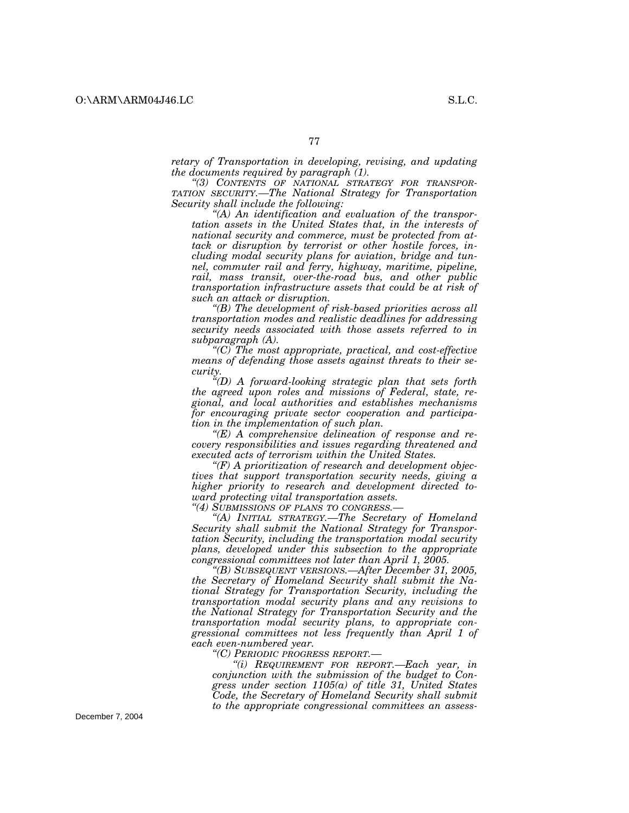*retary of Transportation in developing, revising, and updating the documents required by paragraph (1).*

*''(3) CONTENTS OF NATIONAL STRATEGY FOR TRANSPOR-TATION SECURITY.—The National Strategy for Transportation Security shall include the following:*

*''(A) An identification and evaluation of the transportation assets in the United States that, in the interests of national security and commerce, must be protected from attack or disruption by terrorist or other hostile forces, including modal security plans for aviation, bridge and tunnel, commuter rail and ferry, highway, maritime, pipeline, rail, mass transit, over-the-road bus, and other public transportation infrastructure assets that could be at risk of such an attack or disruption.*

*''(B) The development of risk-based priorities across all transportation modes and realistic deadlines for addressing security needs associated with those assets referred to in subparagraph (A).*

*''(C) The most appropriate, practical, and cost-effective means of defending those assets against threats to their security.*

*''(D) A forward-looking strategic plan that sets forth the agreed upon roles and missions of Federal, state, regional, and local authorities and establishes mechanisms for encouraging private sector cooperation and participation in the implementation of such plan.*

*''(E) A comprehensive delineation of response and recovery responsibilities and issues regarding threatened and executed acts of terrorism within the United States.*

*''(F) A prioritization of research and development objectives that support transportation security needs, giving a higher priority to research and development directed toward protecting vital transportation assets.*

*''(4) SUBMISSIONS OF PLANS TO CONGRESS.—*

*''(A) INITIAL STRATEGY.—The Secretary of Homeland Security shall submit the National Strategy for Transportation Security, including the transportation modal security plans, developed under this subsection to the appropriate congressional committees not later than April 1, 2005.*

*''(B) SUBSEQUENT VERSIONS.—After December 31, 2005, the Secretary of Homeland Security shall submit the National Strategy for Transportation Security, including the transportation modal security plans and any revisions to the National Strategy for Transportation Security and the transportation modal security plans, to appropriate congressional committees not less frequently than April 1 of each even-numbered year.*

*''(C) PERIODIC PROGRESS REPORT.—*

*''(i) REQUIREMENT FOR REPORT.—Each year, in conjunction with the submission of the budget to Congress under section 1105(a) of title 31, United States Code, the Secretary of Homeland Security shall submit to the appropriate congressional committees an assess-*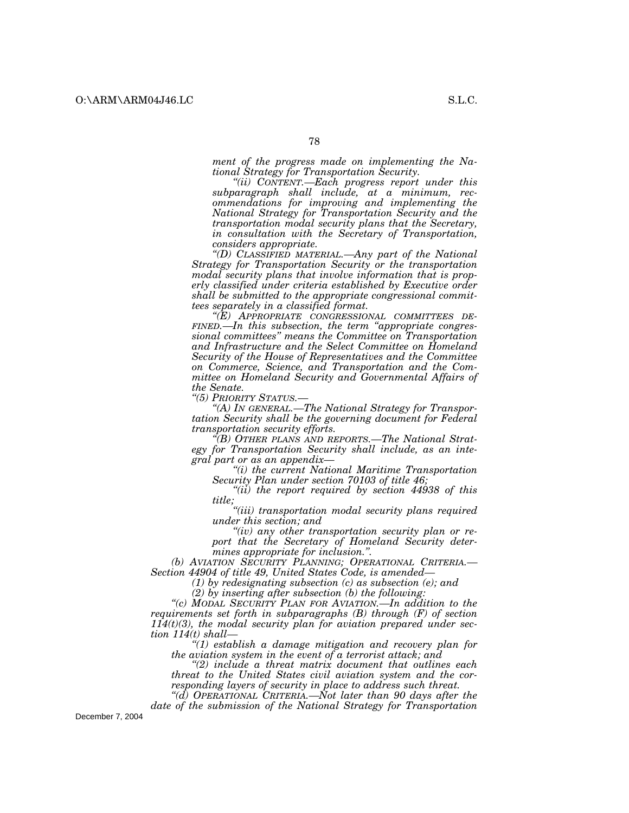*ment of the progress made on implementing the National Strategy for Transportation Security.*

*''(ii) CONTENT.—Each progress report under this subparagraph shall include, at a minimum, recommendations for improving and implementing the National Strategy for Transportation Security and the transportation modal security plans that the Secretary, in consultation with the Secretary of Transportation, considers appropriate.*

*''(D) CLASSIFIED MATERIAL.—Any part of the National Strategy for Transportation Security or the transportation modal security plans that involve information that is properly classified under criteria established by Executive order shall be submitted to the appropriate congressional committees separately in a classified format.*

 $FINED$ —In this subsection, the term "appropriate congres*sional committees'' means the Committee on Transportation and Infrastructure and the Select Committee on Homeland Security of the House of Representatives and the Committee on Commerce, Science, and Transportation and the Committee on Homeland Security and Governmental Affairs of the Senate.*

*''(5) PRIORITY STATUS.— ''(A) IN GENERAL.—The National Strategy for Transportation Security shall be the governing document for Federal transportation security efforts.*

*''(B) OTHER PLANS AND REPORTS.—The National Strategy for Transportation Security shall include, as an integral part or as an appendix—*

*''(i) the current National Maritime Transportation Security Plan under section 70103 of title 46;*

*''(ii) the report required by section 44938 of this title;*

*''(iii) transportation modal security plans required under this section; and*

*''(iv) any other transportation security plan or report that the Secretary of Homeland Security determines appropriate for inclusion.''.*

*(b) AVIATION SECURITY PLANNING; OPERATIONAL CRITERIA.— Section 44904 of title 49, United States Code, is amended—*

*(1) by redesignating subsection (c) as subsection (e); and*

*(2) by inserting after subsection (b) the following:*

*''(c) MODAL SECURITY PLAN FOR AVIATION.—In addition to the requirements set forth in subparagraphs (B) through (F) of section 114(t)(3), the modal security plan for aviation prepared under section 114(t) shall—*

*''(1) establish a damage mitigation and recovery plan for the aviation system in the event of a terrorist attack; and*

*''(2) include a threat matrix document that outlines each threat to the United States civil aviation system and the corresponding layers of security in place to address such threat.*

*''(d) OPERATIONAL CRITERIA.—Not later than 90 days after the date of the submission of the National Strategy for Transportation*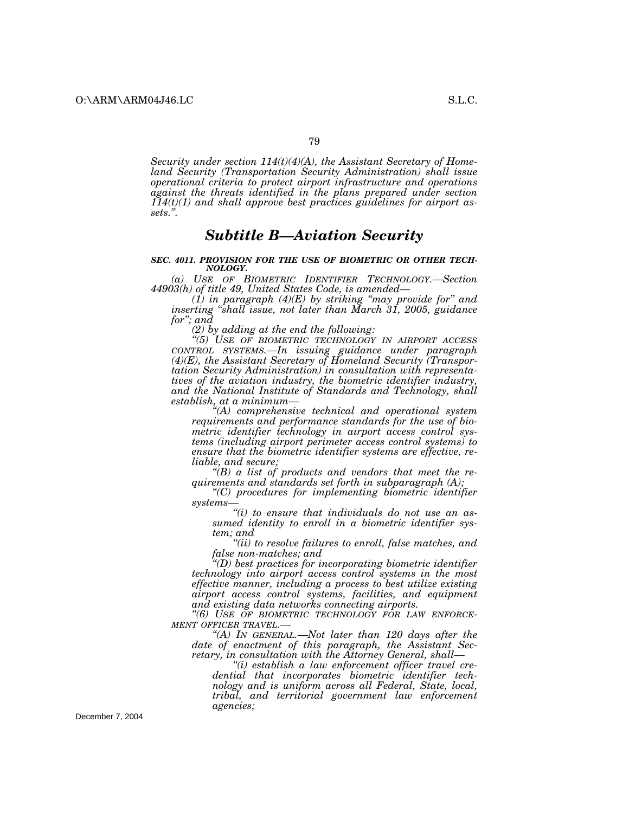*Security under section 114(t)(4)(A), the Assistant Secretary of Homeland Security (Transportation Security Administration) shall issue operational criteria to protect airport infrastructure and operations against the threats identified in the plans prepared under section 114(t)(1) and shall approve best practices guidelines for airport assets.''.*

# *Subtitle B—Aviation Security*

#### *SEC. 4011. PROVISION FOR THE USE OF BIOMETRIC OR OTHER TECH-NOLOGY.*

*(a) USE OF BIOMETRIC IDENTIFIER TECHNOLOGY.—Section 44903(h) of title 49, United States Code, is amended—*

*(1) in paragraph (4)(E) by striking ''may provide for'' and inserting ''shall issue, not later than March 31, 2005, guidance for''; and*

*(2) by adding at the end the following:*

*''(5) USE OF BIOMETRIC TECHNOLOGY IN AIRPORT ACCESS CONTROL SYSTEMS.—In issuing guidance under paragraph (4)(E), the Assistant Secretary of Homeland Security (Transportation Security Administration) in consultation with representatives of the aviation industry, the biometric identifier industry, and the National Institute of Standards and Technology, shall establish, at a minimum—*

*''(A) comprehensive technical and operational system requirements and performance standards for the use of biometric identifier technology in airport access control systems (including airport perimeter access control systems) to ensure that the biometric identifier systems are effective, reliable, and secure;*

*''(B) a list of products and vendors that meet the requirements and standards set forth in subparagraph (A);*

*''(C) procedures for implementing biometric identifier systems—*

*''(i) to ensure that individuals do not use an assumed identity to enroll in a biometric identifier system; and*

*''(ii) to resolve failures to enroll, false matches, and false non-matches; and*

*''(D) best practices for incorporating biometric identifier technology into airport access control systems in the most effective manner, including a process to best utilize existing airport access control systems, facilities, and equipment and existing data networks connecting airports.*

*''(6) USE OF BIOMETRIC TECHNOLOGY FOR LAW ENFORCE- MENT OFFICER TRAVEL.— ''(A) IN GENERAL.—Not later than 120 days after the*

*date of enactment of this paragraph, the Assistant Secretary, in consultation with the Attorney General, shall—*

*''(i) establish a law enforcement officer travel credential that incorporates biometric identifier technology and is uniform across all Federal, State, local, tribal, and territorial government law enforcement agencies;*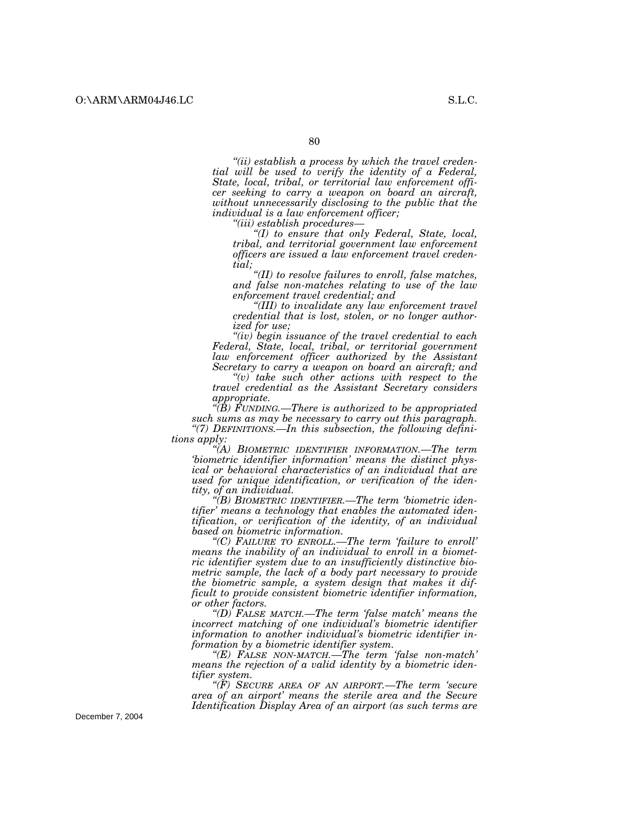*''(ii) establish a process by which the travel credential will be used to verify the identity of a Federal, State, local, tribal, or territorial law enforcement officer seeking to carry a weapon on board an aircraft, without unnecessarily disclosing to the public that the individual is a law enforcement officer;*

*''(iii) establish procedures—*

*''(I) to ensure that only Federal, State, local, tribal, and territorial government law enforcement officers are issued a law enforcement travel credential;*

*''(II) to resolve failures to enroll, false matches, and false non-matches relating to use of the law enforcement travel credential; and*

*''(III) to invalidate any law enforcement travel credential that is lost, stolen, or no longer authorized for use;*

*''(iv) begin issuance of the travel credential to each Federal, State, local, tribal, or territorial government law enforcement officer authorized by the Assistant Secretary to carry a weapon on board an aircraft; and*

*''(v) take such other actions with respect to the travel credential as the Assistant Secretary considers appropriate.*

*''(B) FUNDING.—There is authorized to be appropriated such sums as may be necessary to carry out this paragraph. ''(7) DEFINITIONS.—In this subsection, the following defini-*

*tions apply:*

*''(A) BIOMETRIC IDENTIFIER INFORMATION.—The term 'biometric identifier information' means the distinct physical or behavioral characteristics of an individual that are used for unique identification, or verification of the identity, of an individual.*

*''(B) BIOMETRIC IDENTIFIER.—The term 'biometric identifier' means a technology that enables the automated identification, or verification of the identity, of an individual based on biometric information.*

*''(C) FAILURE TO ENROLL.—The term 'failure to enroll' means the inability of an individual to enroll in a biometric identifier system due to an insufficiently distinctive biometric sample, the lack of a body part necessary to provide the biometric sample, a system design that makes it difficult to provide consistent biometric identifier information, or other factors.*

*''(D) FALSE MATCH.—The term 'false match' means the incorrect matching of one individual's biometric identifier information to another individual's biometric identifier information by a biometric identifier system.*

*''(E) FALSE NON-MATCH.—The term 'false non-match' means the rejection of a valid identity by a biometric identifier system.*

*''(F) SECURE AREA OF AN AIRPORT.—The term 'secure area of an airport' means the sterile area and the Secure Identification Display Area of an airport (as such terms are*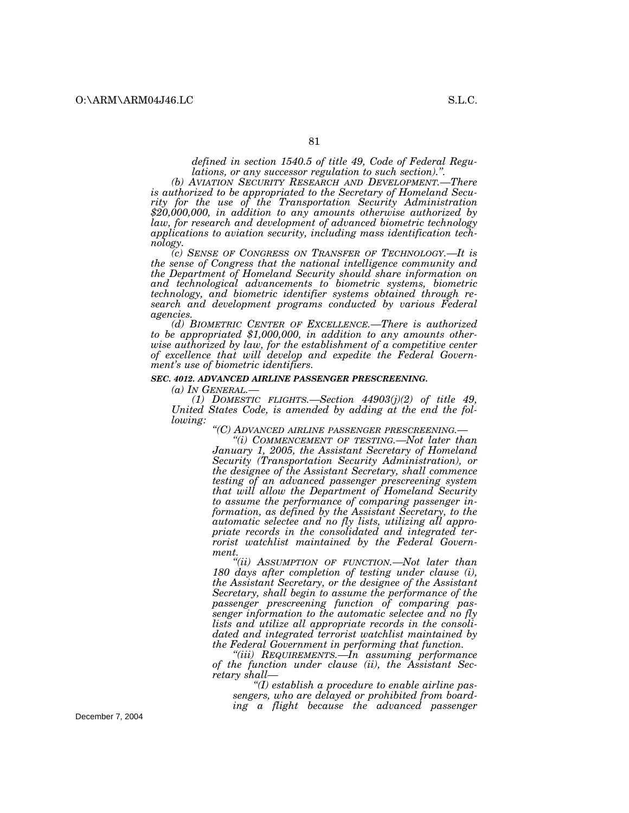*defined in section 1540.5 of title 49, Code of Federal Regulations, or any successor regulation to such section).''.*

*(b) AVIATION SECURITY RESEARCH AND DEVELOPMENT.—There is authorized to be appropriated to the Secretary of Homeland Security for the use of the Transportation Security Administration \$20,000,000, in addition to any amounts otherwise authorized by law, for research and development of advanced biometric technology applications to aviation security, including mass identification technology.*

*(c) SENSE OF CONGRESS ON TRANSFER OF TECHNOLOGY.—It is the sense of Congress that the national intelligence community and the Department of Homeland Security should share information on and technological advancements to biometric systems, biometric technology, and biometric identifier systems obtained through research and development programs conducted by various Federal agencies.*

*(d) BIOMETRIC CENTER OF EXCELLENCE.—There is authorized to be appropriated \$1,000,000, in addition to any amounts otherwise authorized by law, for the establishment of a competitive center of excellence that will develop and expedite the Federal Government's use of biometric identifiers.*

#### *SEC. 4012. ADVANCED AIRLINE PASSENGER PRESCREENING.*

*(a) IN GENERAL.— (1) DOMESTIC FLIGHTS.—Section 44903(j)(2) of title 49, United States Code, is amended by adding at the end the following:*

*''(C) ADVANCED AIRLINE PASSENGER PRESCREENING.— ''(i) COMMENCEMENT OF TESTING.—Not later than*

*January 1, 2005, the Assistant Secretary of Homeland Security (Transportation Security Administration), or the designee of the Assistant Secretary, shall commence testing of an advanced passenger prescreening system that will allow the Department of Homeland Security to assume the performance of comparing passenger information, as defined by the Assistant Secretary, to the automatic selectee and no fly lists, utilizing all appropriate records in the consolidated and integrated terrorist watchlist maintained by the Federal Government.*

*''(ii) ASSUMPTION OF FUNCTION.—Not later than 180 days after completion of testing under clause (i), the Assistant Secretary, or the designee of the Assistant Secretary, shall begin to assume the performance of the passenger prescreening function of comparing passenger information to the automatic selectee and no fly lists and utilize all appropriate records in the consolidated and integrated terrorist watchlist maintained by the Federal Government in performing that function.*

*''(iii) REQUIREMENTS.—In assuming performance of the function under clause (ii), the Assistant Secretary shall—*

*''(I) establish a procedure to enable airline passengers, who are delayed or prohibited from boarding a flight because the advanced passenger*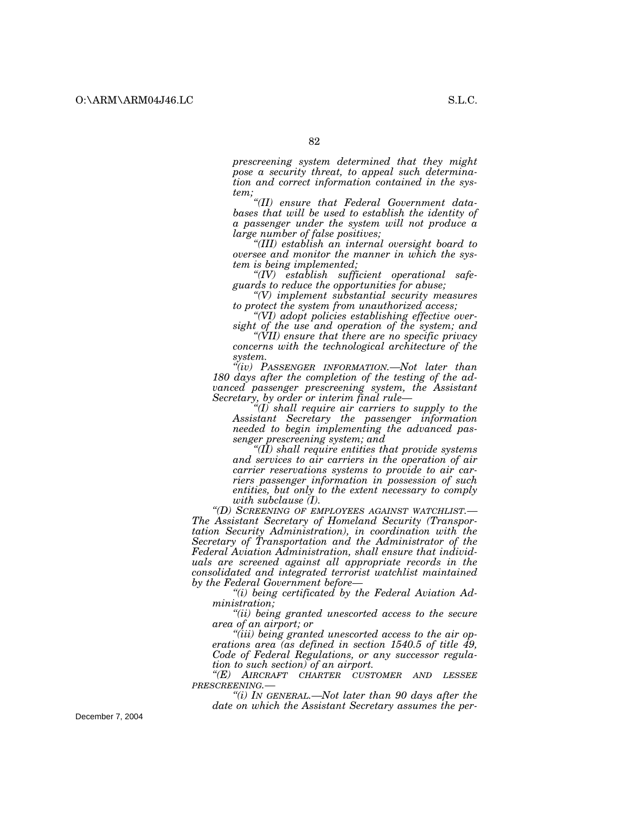*prescreening system determined that they might pose a security threat, to appeal such determination and correct information contained in the system;*

*''(II) ensure that Federal Government databases that will be used to establish the identity of a passenger under the system will not produce a large number of false positives;*

*''(III) establish an internal oversight board to oversee and monitor the manner in which the system is being implemented;*

*''(IV) establish sufficient operational safeguards to reduce the opportunities for abuse;*

*''(V) implement substantial security measures to protect the system from unauthorized access;*

*''(VI) adopt policies establishing effective oversight of the use and operation of the system; and*

*''(VII) ensure that there are no specific privacy concerns with the technological architecture of the system.*

*''(iv) PASSENGER INFORMATION.—Not later than 180 days after the completion of the testing of the advanced passenger prescreening system, the Assistant Secretary, by order or interim final rule—*

*''(I) shall require air carriers to supply to the Assistant Secretary the passenger information needed to begin implementing the advanced passenger prescreening system; and*

*''(II) shall require entities that provide systems and services to air carriers in the operation of air carrier reservations systems to provide to air carriers passenger information in possession of such entities, but only to the extent necessary to comply*

*with subclause (I).*<br> *"(D)* SCREENING OF EMPLOYEES AGAINST WATCHLIST. *The Assistant Secretary of Homeland Security (Transportation Security Administration), in coordination with the Secretary of Transportation and the Administrator of the Federal Aviation Administration, shall ensure that individuals are screened against all appropriate records in the consolidated and integrated terrorist watchlist maintained by the Federal Government before—*

*''(i) being certificated by the Federal Aviation Administration;*

*''(ii) being granted unescorted access to the secure area of an airport; or*

*''(iii) being granted unescorted access to the air operations area (as defined in section 1540.5 of title 49, Code of Federal Regulations, or any successor regulation to such section) of an airport.*

*''(E) AIRCRAFT CHARTER CUSTOMER AND LESSEE PRESCREENING.—*

*''(i) IN GENERAL.—Not later than 90 days after the date on which the Assistant Secretary assumes the per-*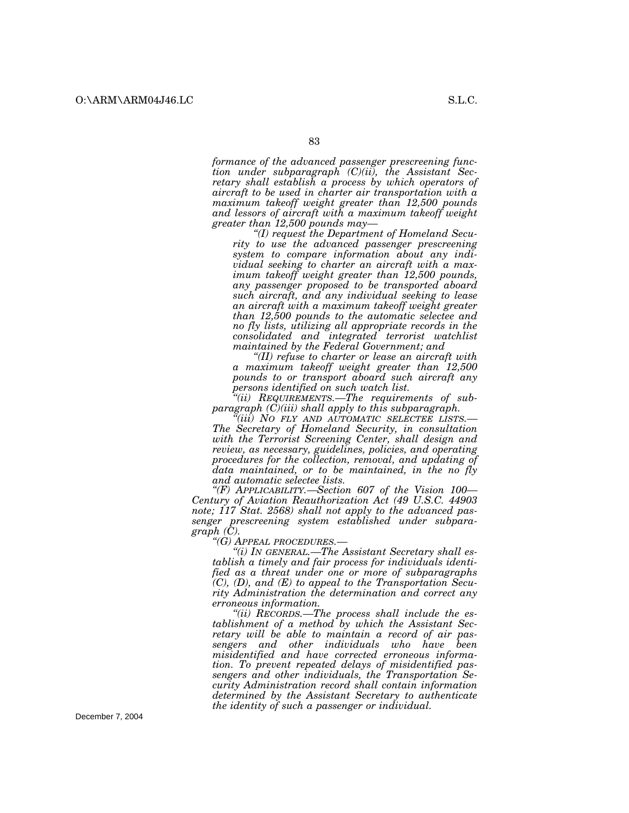*formance of the advanced passenger prescreening function under subparagraph (C)(ii), the Assistant Secretary shall establish a process by which operators of aircraft to be used in charter air transportation with a maximum takeoff weight greater than 12,500 pounds and lessors of aircraft with a maximum takeoff weight greater than 12,500 pounds may—*

*''(I) request the Department of Homeland Security to use the advanced passenger prescreening system to compare information about any individual seeking to charter an aircraft with a maximum takeoff weight greater than 12,500 pounds, any passenger proposed to be transported aboard such aircraft, and any individual seeking to lease an aircraft with a maximum takeoff weight greater than 12,500 pounds to the automatic selectee and no fly lists, utilizing all appropriate records in the consolidated and integrated terrorist watchlist maintained by the Federal Government; and*

*''(II) refuse to charter or lease an aircraft with a maximum takeoff weight greater than 12,500 pounds to or transport aboard such aircraft any persons identified on such watch list.*

*''(ii) REQUIREMENTS.—The requirements of subparagraph (C)(iii) shall apply to this subparagraph.*

*The Secretary of Homeland Security, in consultation with the Terrorist Screening Center, shall design and review, as necessary, guidelines, policies, and operating procedures for the collection, removal, and updating of data maintained, or to be maintained, in the no fly and automatic selectee lists.*

*''(F) APPLICABILITY.—Section 607 of the Vision 100— Century of Aviation Reauthorization Act (49 U.S.C. 44903 note; 117 Stat. 2568) shall not apply to the advanced passenger prescreening system established under subparagraph (C).*

*''(i) In GENERAL.—The Assistant Secretary shall establish a timely and fair process for individuals identified as a threat under one or more of subparagraphs (C), (D), and (E) to appeal to the Transportation Security Administration the determination and correct any erroneous information.*

*''(ii) RECORDS.—The process shall include the establishment of a method by which the Assistant Secretary will be able to maintain a record of air passengers and other individuals who have been misidentified and have corrected erroneous information. To prevent repeated delays of misidentified passengers and other individuals, the Transportation Security Administration record shall contain information determined by the Assistant Secretary to authenticate the identity of such a passenger or individual.*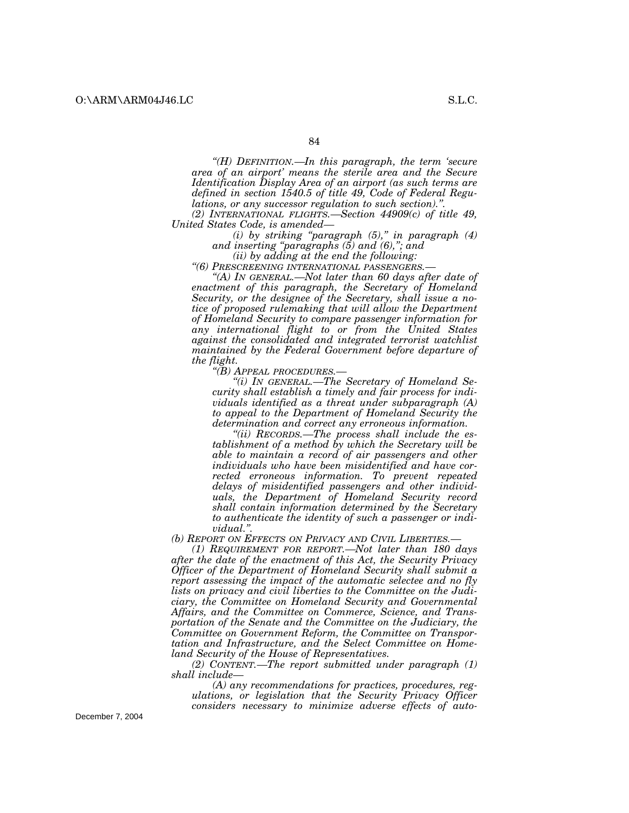*''(H) DEFINITION.—In this paragraph, the term 'secure area of an airport' means the sterile area and the Secure Identification Display Area of an airport (as such terms are defined in section 1540.5 of title 49, Code of Federal Regulations, or any successor regulation to such section).''.*

*(2) INTERNATIONAL FLIGHTS.—Section 44909(c) of title 49, United States Code, is amended—*

> *(i) by striking ''paragraph (5),'' in paragraph (4) and inserting ''paragraphs (5) and (6),''; and*

*(ii) by adding at the end the following:*

*''(6) PRESCREENING INTERNATIONAL PASSENGERS.—*

*''(A) IN GENERAL.—Not later than 60 days after date of enactment of this paragraph, the Secretary of Homeland Security, or the designee of the Secretary, shall issue a notice of proposed rulemaking that will allow the Department of Homeland Security to compare passenger information for any international flight to or from the United States against the consolidated and integrated terrorist watchlist maintained by the Federal Government before departure of the flight.*

*''(B) APPEAL PROCEDURES.—*

*''(i) IN GENERAL.—The Secretary of Homeland Security shall establish a timely and fair process for individuals identified as a threat under subparagraph (A) to appeal to the Department of Homeland Security the determination and correct any erroneous information.*

*''(ii) RECORDS.—The process shall include the establishment of a method by which the Secretary will be able to maintain a record of air passengers and other individuals who have been misidentified and have corrected erroneous information. To prevent repeated delays of misidentified passengers and other individuals, the Department of Homeland Security record shall contain information determined by the Secretary to authenticate the identity of such a passenger or individual.''.*

*(b) REPORT ON EFFECTS ON PRIVACY AND CIVIL LIBERTIES.—*

*(1) REQUIREMENT FOR REPORT.—Not later than 180 days after the date of the enactment of this Act, the Security Privacy Officer of the Department of Homeland Security shall submit a report assessing the impact of the automatic selectee and no fly lists on privacy and civil liberties to the Committee on the Judiciary, the Committee on Homeland Security and Governmental Affairs, and the Committee on Commerce, Science, and Transportation of the Senate and the Committee on the Judiciary, the Committee on Government Reform, the Committee on Transportation and Infrastructure, and the Select Committee on Homeland Security of the House of Representatives.*

*(2) CONTENT.—The report submitted under paragraph (1) shall include—*

*(A) any recommendations for practices, procedures, regulations, or legislation that the Security Privacy Officer considers necessary to minimize adverse effects of auto-*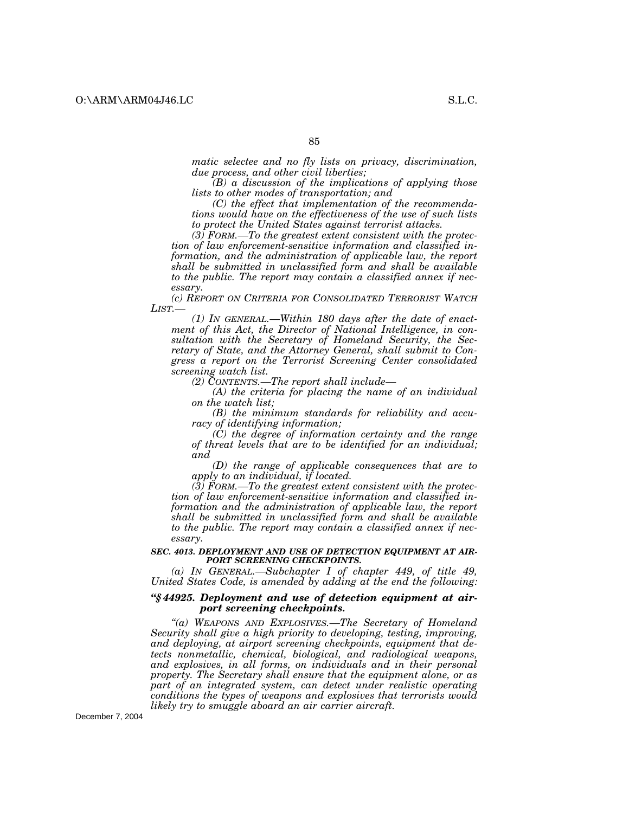*matic selectee and no fly lists on privacy, discrimination, due process, and other civil liberties;*

*(B) a discussion of the implications of applying those lists to other modes of transportation; and*

*(C) the effect that implementation of the recommendations would have on the effectiveness of the use of such lists to protect the United States against terrorist attacks.*

*(3) FORM.—To the greatest extent consistent with the protection of law enforcement-sensitive information and classified information, and the administration of applicable law, the report shall be submitted in unclassified form and shall be available to the public. The report may contain a classified annex if necessary.*

*(c) REPORT ON CRITERIA FOR CONSOLIDATED TERRORIST WATCH LIST.—*

*(1) IN GENERAL.—Within 180 days after the date of enactment of this Act, the Director of National Intelligence, in consultation with the Secretary of Homeland Security, the Secretary of State, and the Attorney General, shall submit to Congress a report on the Terrorist Screening Center consolidated screening watch list.*

*(2) CONTENTS.—The report shall include—*

*(A) the criteria for placing the name of an individual on the watch list;*

*(B) the minimum standards for reliability and accuracy of identifying information;*

*(C) the degree of information certainty and the range of threat levels that are to be identified for an individual; and*

*(D) the range of applicable consequences that are to apply to an individual, if located.*

*(3) FORM.—To the greatest extent consistent with the protection of law enforcement-sensitive information and classified information and the administration of applicable law, the report shall be submitted in unclassified form and shall be available to the public. The report may contain a classified annex if necessary.*

#### *SEC. 4013. DEPLOYMENT AND USE OF DETECTION EQUIPMENT AT AIR-PORT SCREENING CHECKPOINTS.*

*(a) IN GENERAL.—Subchapter I of chapter 449, of title 49, United States Code, is amended by adding at the end the following:*

## *''§ 44925. Deployment and use of detection equipment at airport screening checkpoints.*

*''(a) WEAPONS AND EXPLOSIVES.—The Secretary of Homeland Security shall give a high priority to developing, testing, improving, and deploying, at airport screening checkpoints, equipment that detects nonmetallic, chemical, biological, and radiological weapons, and explosives, in all forms, on individuals and in their personal property. The Secretary shall ensure that the equipment alone, or as part of an integrated system, can detect under realistic operating conditions the types of weapons and explosives that terrorists would likely try to smuggle aboard an air carrier aircraft.*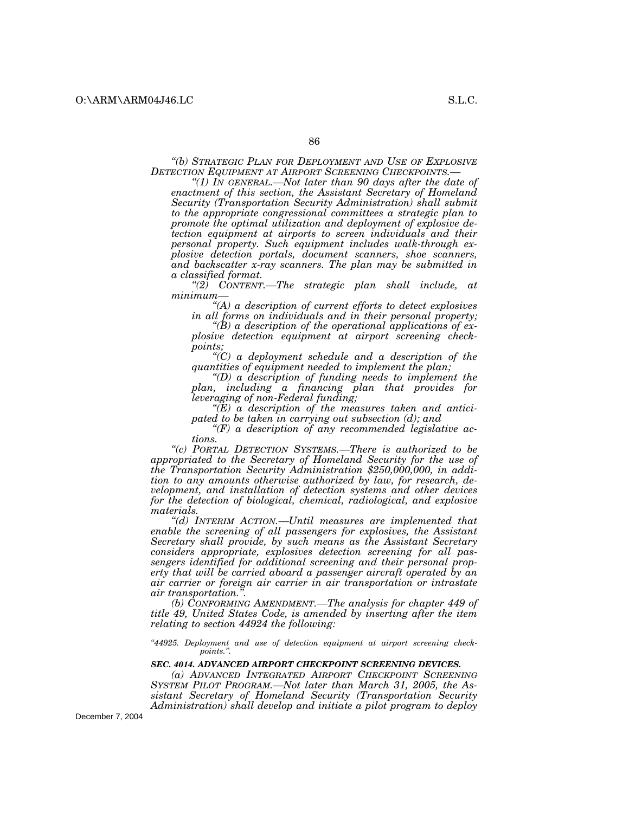*''(b) STRATEGIC PLAN FOR DEPLOYMENT AND USE OF EXPLOSIVE DETECTION EQUIPMENT AT AIRPORT SCREENING CHECKPOINTS.— ''(1) IN GENERAL.—Not later than 90 days after the date of*

*enactment of this section, the Assistant Secretary of Homeland Security (Transportation Security Administration) shall submit to the appropriate congressional committees a strategic plan to promote the optimal utilization and deployment of explosive detection equipment at airports to screen individuals and their personal property. Such equipment includes walk-through explosive detection portals, document scanners, shoe scanners, and backscatter x-ray scanners. The plan may be submitted in a classified format.*

*''(2) CONTENT.—The strategic plan shall include, at minimum—*

*''(A) a description of current efforts to detect explosives in all forms on individuals and in their personal property;*

*''(B) a description of the operational applications of explosive detection equipment at airport screening checkpoints;*

*''(C) a deployment schedule and a description of the quantities of equipment needed to implement the plan;*

*''(D) a description of funding needs to implement the plan, including a financing plan that provides for leveraging of non-Federal funding;*

*''(E) a description of the measures taken and anticipated to be taken in carrying out subsection (d); and*

*''(F) a description of any recommended legislative actions.*

*''(c) PORTAL DETECTION SYSTEMS.—There is authorized to be appropriated to the Secretary of Homeland Security for the use of the Transportation Security Administration \$250,000,000, in addition to any amounts otherwise authorized by law, for research, development, and installation of detection systems and other devices for the detection of biological, chemical, radiological, and explosive materials.*

*''(d) INTERIM ACTION.—Until measures are implemented that enable the screening of all passengers for explosives, the Assistant Secretary shall provide, by such means as the Assistant Secretary considers appropriate, explosives detection screening for all passengers identified for additional screening and their personal property that will be carried aboard a passenger aircraft operated by an air carrier or foreign air carrier in air transportation or intrastate air transportation.''.*

*(b) CONFORMING AMENDMENT.—The analysis for chapter 449 of title 49, United States Code, is amended by inserting after the item relating to section 44924 the following:*

*''44925. Deployment and use of detection equipment at airport screening checkpoints.''.*

### *SEC. 4014. ADVANCED AIRPORT CHECKPOINT SCREENING DEVICES.*

*(a) ADVANCED INTEGRATED AIRPORT CHECKPOINT SCREENING SYSTEM PILOT PROGRAM.—Not later than March 31, 2005, the Assistant Secretary of Homeland Security (Transportation Security Administration) shall develop and initiate a pilot program to deploy*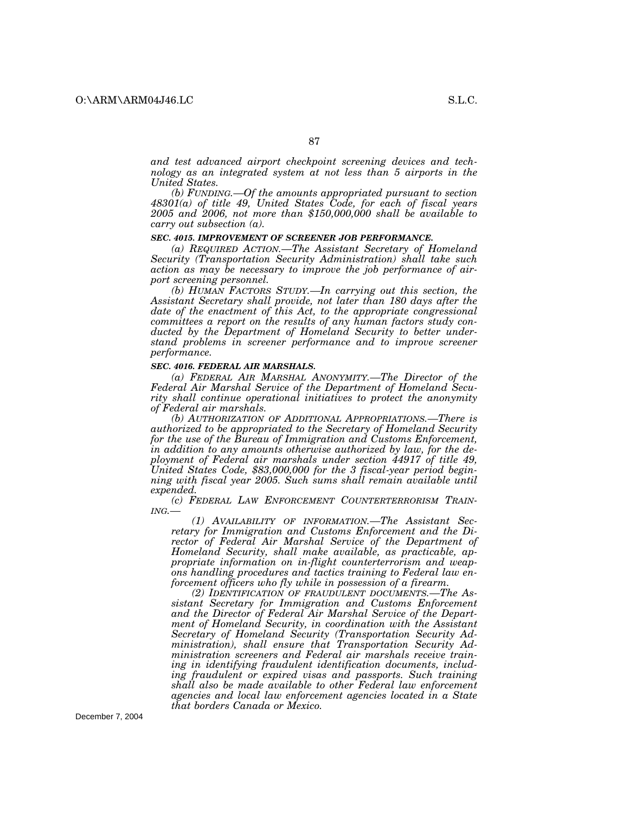*and test advanced airport checkpoint screening devices and technology as an integrated system at not less than 5 airports in the United States.*

*(b) FUNDING.—Of the amounts appropriated pursuant to section 48301(a) of title 49, United States Code, for each of fiscal years 2005 and 2006, not more than \$150,000,000 shall be available to carry out subsection (a).*

#### *SEC. 4015. IMPROVEMENT OF SCREENER JOB PERFORMANCE.*

*(a) REQUIRED ACTION.—The Assistant Secretary of Homeland Security (Transportation Security Administration) shall take such action as may be necessary to improve the job performance of airport screening personnel.*

*(b) HUMAN FACTORS STUDY.—In carrying out this section, the Assistant Secretary shall provide, not later than 180 days after the date of the enactment of this Act, to the appropriate congressional committees a report on the results of any human factors study conducted by the Department of Homeland Security to better understand problems in screener performance and to improve screener performance.*

## *SEC. 4016. FEDERAL AIR MARSHALS.*

*(a) FEDERAL AIR MARSHAL ANONYMITY.—The Director of the Federal Air Marshal Service of the Department of Homeland Security shall continue operational initiatives to protect the anonymity of Federal air marshals.*

*(b) AUTHORIZATION OF ADDITIONAL APPROPRIATIONS.—There is authorized to be appropriated to the Secretary of Homeland Security for the use of the Bureau of Immigration and Customs Enforcement, in addition to any amounts otherwise authorized by law, for the deployment of Federal air marshals under section 44917 of title 49, United States Code, \$83,000,000 for the 3 fiscal-year period beginning with fiscal year 2005. Such sums shall remain available until expended.*

*(c) FEDERAL LAW ENFORCEMENT COUNTERTERRORISM TRAIN-ING.—*

*(1) AVAILABILITY OF INFORMATION.—The Assistant Secretary for Immigration and Customs Enforcement and the Director of Federal Air Marshal Service of the Department of Homeland Security, shall make available, as practicable, appropriate information on in-flight counterterrorism and weapons handling procedures and tactics training to Federal law enforcement officers who fly while in possession of a firearm.*

*(2) IDENTIFICATION OF FRAUDULENT DOCUMENTS.—The Assistant Secretary for Immigration and Customs Enforcement and the Director of Federal Air Marshal Service of the Department of Homeland Security, in coordination with the Assistant Secretary of Homeland Security (Transportation Security Administration), shall ensure that Transportation Security Administration screeners and Federal air marshals receive training in identifying fraudulent identification documents, including fraudulent or expired visas and passports. Such training shall also be made available to other Federal law enforcement agencies and local law enforcement agencies located in a State that borders Canada or Mexico.*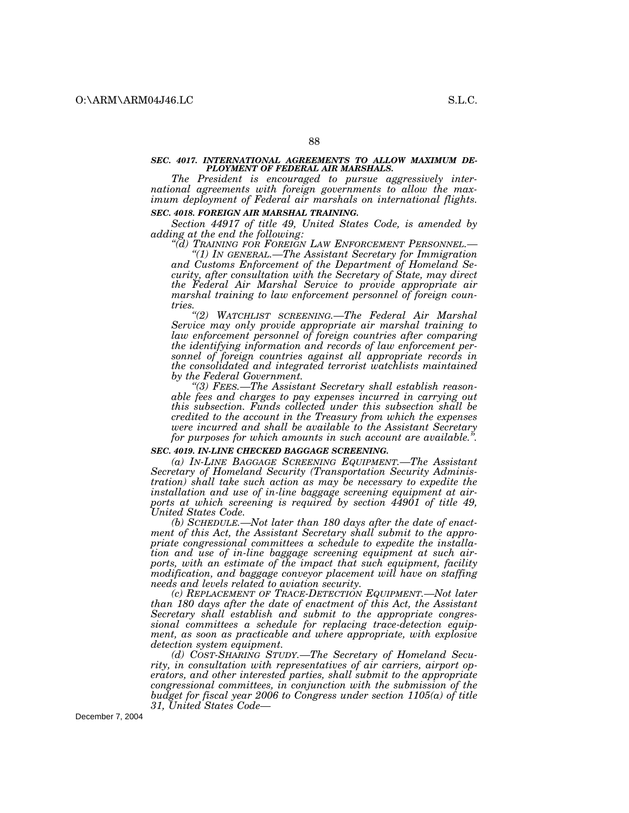### *SEC. 4017. INTERNATIONAL AGREEMENTS TO ALLOW MAXIMUM DE-PLOYMENT OF FEDERAL AIR MARSHALS.*

*The President is encouraged to pursue aggressively international agreements with foreign governments to allow the maximum deployment of Federal air marshals on international flights.*

## *SEC. 4018. FOREIGN AIR MARSHAL TRAINING.*

*Section 44917 of title 49, United States Code, is amended by adding at the end the following:*

*''(d) TRAINING FOR FOREIGN LAW ENFORCEMENT PERSONNEL.— ''(1) IN GENERAL.—The Assistant Secretary for Immigration and Customs Enforcement of the Department of Homeland Security, after consultation with the Secretary of State, may direct the Federal Air Marshal Service to provide appropriate air marshal training to law enforcement personnel of foreign countries.*

*''(2) WATCHLIST SCREENING.—The Federal Air Marshal Service may only provide appropriate air marshal training to law enforcement personnel of foreign countries after comparing the identifying information and records of law enforcement personnel of foreign countries against all appropriate records in the consolidated and integrated terrorist watchlists maintained by the Federal Government.*

*''(3) FEES.—The Assistant Secretary shall establish reasonable fees and charges to pay expenses incurred in carrying out this subsection. Funds collected under this subsection shall be credited to the account in the Treasury from which the expenses were incurred and shall be available to the Assistant Secretary for purposes for which amounts in such account are available.''.*

## *SEC. 4019. IN-LINE CHECKED BAGGAGE SCREENING.*

*(a) IN-LINE BAGGAGE SCREENING EQUIPMENT.—The Assistant Secretary of Homeland Security (Transportation Security Administration) shall take such action as may be necessary to expedite the installation and use of in-line baggage screening equipment at airports at which screening is required by section 44901 of title 49, United States Code.*

*(b) SCHEDULE.—Not later than 180 days after the date of enactment of this Act, the Assistant Secretary shall submit to the appropriate congressional committees a schedule to expedite the installation and use of in-line baggage screening equipment at such airports, with an estimate of the impact that such equipment, facility modification, and baggage conveyor placement will have on staffing needs and levels related to aviation security.*

*(c) REPLACEMENT OF TRACE-DETECTION EQUIPMENT.—Not later than 180 days after the date of enactment of this Act, the Assistant Secretary shall establish and submit to the appropriate congressional committees a schedule for replacing trace-detection equipment, as soon as practicable and where appropriate, with explosive detection system equipment.*

*(d) COST-SHARING STUDY.—The Secretary of Homeland Security, in consultation with representatives of air carriers, airport operators, and other interested parties, shall submit to the appropriate congressional committees, in conjunction with the submission of the budget for fiscal year 2006 to Congress under section 1105(a) of title 31, United States Code—*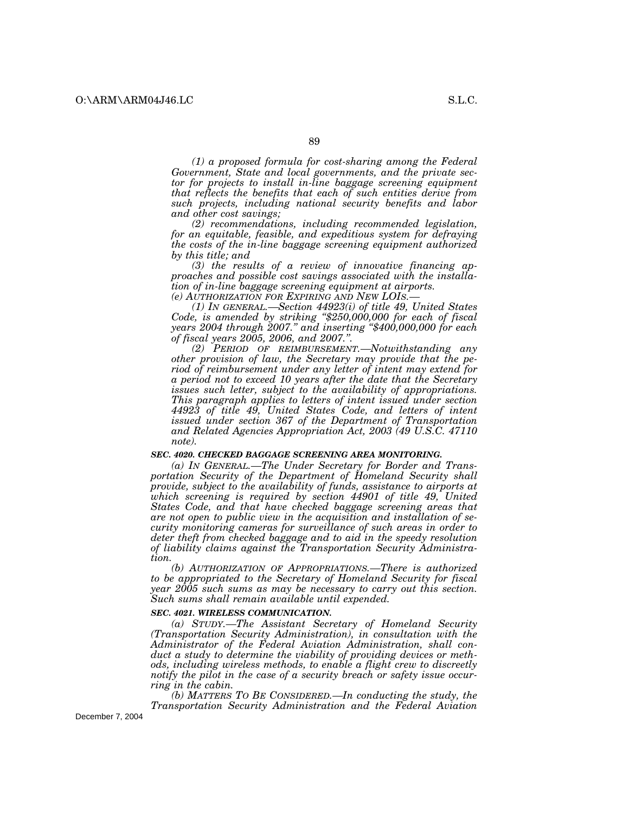*(1) a proposed formula for cost-sharing among the Federal Government, State and local governments, and the private sector for projects to install in-line baggage screening equipment that reflects the benefits that each of such entities derive from such projects, including national security benefits and labor and other cost savings;*

*(2) recommendations, including recommended legislation, for an equitable, feasible, and expeditious system for defraying the costs of the in-line baggage screening equipment authorized by this title; and*

*(3) the results of a review of innovative financing approaches and possible cost savings associated with the installation of in-line baggage screening equipment at airports. (e) AUTHORIZATION FOR EXPIRING AND NEW LOIS.—*

*(1) IN GENERAL.—Section 44923(i) of title 49, United States Code, is amended by striking ''\$250,000,000 for each of fiscal years 2004 through 2007.'' and inserting ''\$400,000,000 for each of fiscal years 2005, 2006, and 2007.''.*

*(2) PERIOD OF REIMBURSEMENT.—Notwithstanding any other provision of law, the Secretary may provide that the period of reimbursement under any letter of intent may extend for a period not to exceed 10 years after the date that the Secretary issues such letter, subject to the availability of appropriations. This paragraph applies to letters of intent issued under section 44923 of title 49, United States Code, and letters of intent issued under section 367 of the Department of Transportation and Related Agencies Appropriation Act, 2003 (49 U.S.C. 47110 note).*

### *SEC. 4020. CHECKED BAGGAGE SCREENING AREA MONITORING.*

*(a) IN GENERAL.—The Under Secretary for Border and Transportation Security of the Department of Homeland Security shall provide, subject to the availability of funds, assistance to airports at which screening is required by section 44901 of title 49, United States Code, and that have checked baggage screening areas that are not open to public view in the acquisition and installation of security monitoring cameras for surveillance of such areas in order to deter theft from checked baggage and to aid in the speedy resolution of liability claims against the Transportation Security Administration.*

*(b) AUTHORIZATION OF APPROPRIATIONS.—There is authorized to be appropriated to the Secretary of Homeland Security for fiscal year 2005 such sums as may be necessary to carry out this section. Such sums shall remain available until expended.*

#### *SEC. 4021. WIRELESS COMMUNICATION.*

*(a) STUDY.—The Assistant Secretary of Homeland Security (Transportation Security Administration), in consultation with the Administrator of the Federal Aviation Administration, shall conduct a study to determine the viability of providing devices or methods, including wireless methods, to enable a flight crew to discreetly notify the pilot in the case of a security breach or safety issue occurring in the cabin.*

*(b) MATTERS TO BE CONSIDERED.—In conducting the study, the Transportation Security Administration and the Federal Aviation*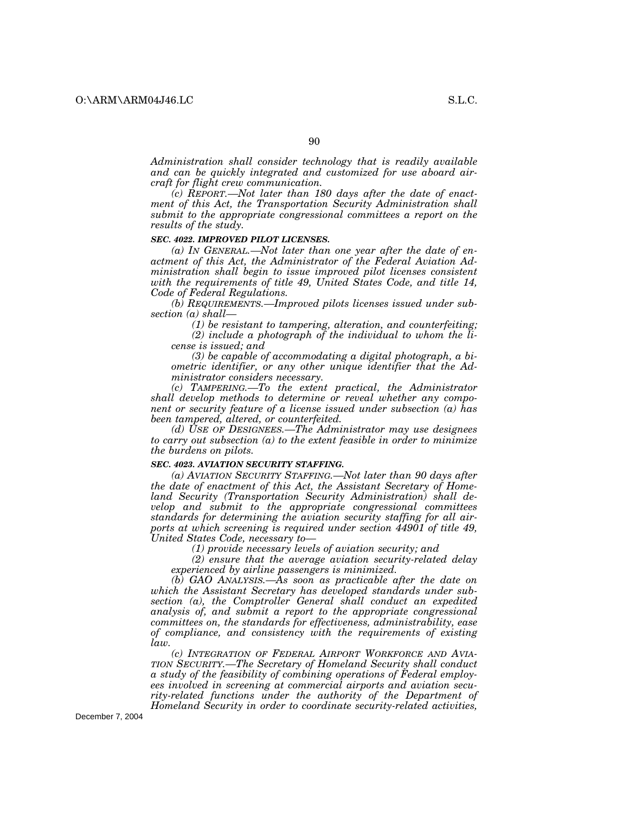*Administration shall consider technology that is readily available and can be quickly integrated and customized for use aboard aircraft for flight crew communication.*

*(c) REPORT.—Not later than 180 days after the date of enactment of this Act, the Transportation Security Administration shall submit to the appropriate congressional committees a report on the results of the study.*

## *SEC. 4022. IMPROVED PILOT LICENSES.*

*(a) IN GENERAL.—Not later than one year after the date of enactment of this Act, the Administrator of the Federal Aviation Administration shall begin to issue improved pilot licenses consistent with the requirements of title 49, United States Code, and title 14, Code of Federal Regulations.*

*(b) REQUIREMENTS.—Improved pilots licenses issued under subsection (a) shall—*

*(1) be resistant to tampering, alteration, and counterfeiting;*

*(2) include a photograph of the individual to whom the license is issued; and*

*(3) be capable of accommodating a digital photograph, a biometric identifier, or any other unique identifier that the Administrator considers necessary.*

*(c) TAMPERING.—To the extent practical, the Administrator shall develop methods to determine or reveal whether any component or security feature of a license issued under subsection (a) has been tampered, altered, or counterfeited.*

*(d) USE OF DESIGNEES.—The Administrator may use designees to carry out subsection (a) to the extent feasible in order to minimize the burdens on pilots.*

## *SEC. 4023. AVIATION SECURITY STAFFING.*

*(a) AVIATION SECURITY STAFFING.—Not later than 90 days after the date of enactment of this Act, the Assistant Secretary of Homeland Security (Transportation Security Administration) shall develop and submit to the appropriate congressional committees standards for determining the aviation security staffing for all airports at which screening is required under section 44901 of title 49, United States Code, necessary to—*

*(1) provide necessary levels of aviation security; and*

*(2) ensure that the average aviation security-related delay experienced by airline passengers is minimized.*

*(b) GAO ANALYSIS.—As soon as practicable after the date on which the Assistant Secretary has developed standards under subsection (a), the Comptroller General shall conduct an expedited analysis of, and submit a report to the appropriate congressional committees on, the standards for effectiveness, administrability, ease of compliance, and consistency with the requirements of existing law.*

*(c) INTEGRATION OF FEDERAL AIRPORT WORKFORCE AND AVIA-TION SECURITY.—The Secretary of Homeland Security shall conduct a study of the feasibility of combining operations of Federal employees involved in screening at commercial airports and aviation security-related functions under the authority of the Department of Homeland Security in order to coordinate security-related activities,*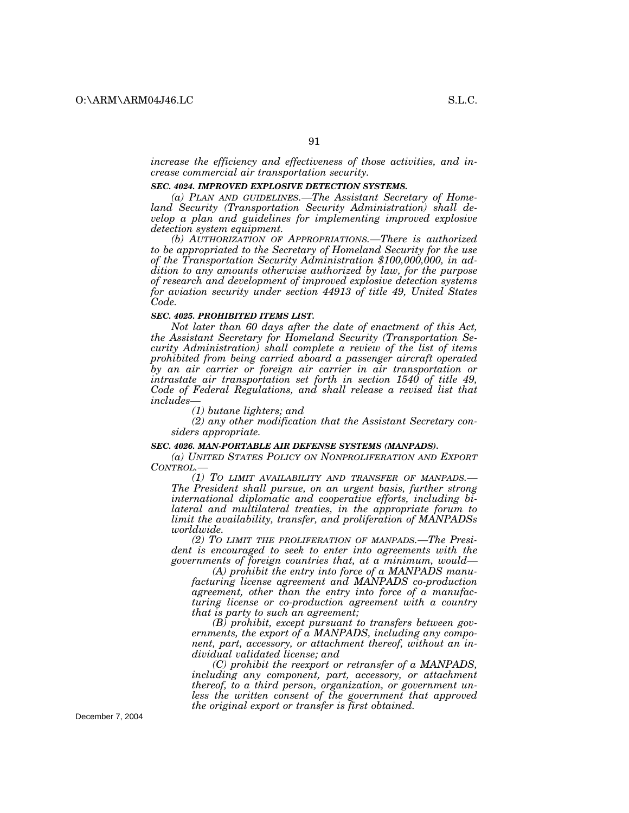*increase the efficiency and effectiveness of those activities, and increase commercial air transportation security.*

## *SEC. 4024. IMPROVED EXPLOSIVE DETECTION SYSTEMS.*

*(a) PLAN AND GUIDELINES.—The Assistant Secretary of Homeland Security (Transportation Security Administration) shall develop a plan and guidelines for implementing improved explosive detection system equipment.*

*(b) AUTHORIZATION OF APPROPRIATIONS.—There is authorized to be appropriated to the Secretary of Homeland Security for the use of the Transportation Security Administration \$100,000,000, in addition to any amounts otherwise authorized by law, for the purpose of research and development of improved explosive detection systems for aviation security under section 44913 of title 49, United States Code.*

## *SEC. 4025. PROHIBITED ITEMS LIST.*

*Not later than 60 days after the date of enactment of this Act, the Assistant Secretary for Homeland Security (Transportation Security Administration) shall complete a review of the list of items prohibited from being carried aboard a passenger aircraft operated by an air carrier or foreign air carrier in air transportation or intrastate air transportation set forth in section 1540 of title 49, Code of Federal Regulations, and shall release a revised list that includes—*

*(1) butane lighters; and*

*(2) any other modification that the Assistant Secretary considers appropriate.*

## *SEC. 4026. MAN-PORTABLE AIR DEFENSE SYSTEMS (MANPADS).*

*(a) UNITED STATES POLICY ON NONPROLIFERATION AND EXPORT CONTROL.—*

*(1) TO LIMIT AVAILABILITY AND TRANSFER OF MANPADS.— The President shall pursue, on an urgent basis, further strong international diplomatic and cooperative efforts, including bilateral and multilateral treaties, in the appropriate forum to limit the availability, transfer, and proliferation of MANPADSs worldwide.*

*(2) TO LIMIT THE PROLIFERATION OF MANPADS.—The President is encouraged to seek to enter into agreements with the governments of foreign countries that, at a minimum, would—*

*(A) prohibit the entry into force of a MANPADS manufacturing license agreement and MANPADS co-production agreement, other than the entry into force of a manufacturing license or co-production agreement with a country that is party to such an agreement;*

*(B) prohibit, except pursuant to transfers between governments, the export of a MANPADS, including any component, part, accessory, or attachment thereof, without an individual validated license; and*

*(C) prohibit the reexport or retransfer of a MANPADS, including any component, part, accessory, or attachment thereof, to a third person, organization, or government unless the written consent of the government that approved the original export or transfer is first obtained.*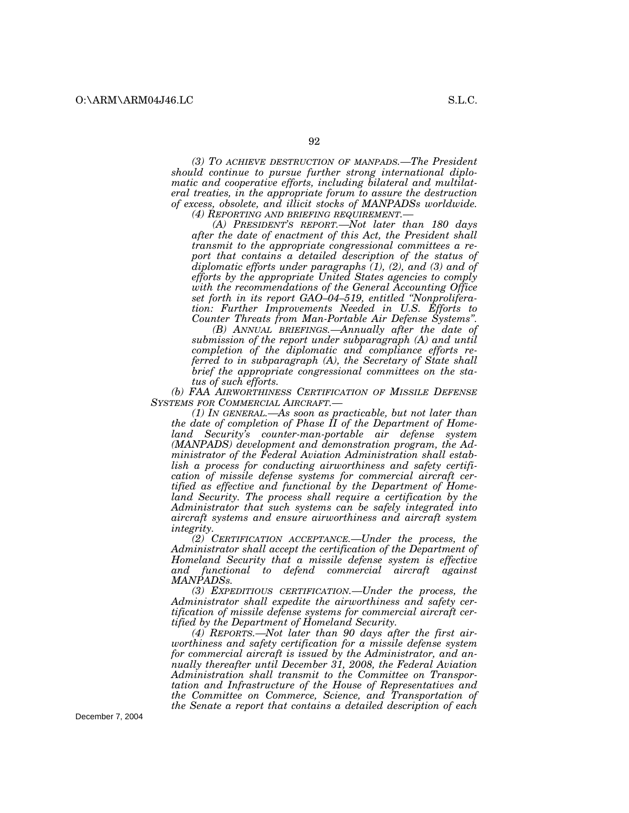*(3) TO ACHIEVE DESTRUCTION OF MANPADS.—The President should continue to pursue further strong international diplomatic and cooperative efforts, including bilateral and multilateral treaties, in the appropriate forum to assure the destruction of excess, obsolete, and illicit stocks of MANPADSs worldwide.*

*(4) REPORTING AND BRIEFING REQUIREMENT.—*

*(A) PRESIDENT'S REPORT.—Not later than 180 days after the date of enactment of this Act, the President shall transmit to the appropriate congressional committees a report that contains a detailed description of the status of diplomatic efforts under paragraphs (1), (2), and (3) and of efforts by the appropriate United States agencies to comply with the recommendations of the General Accounting Office set forth in its report GAO–04–519, entitled ''Nonproliferation: Further Improvements Needed in U.S. Efforts to Counter Threats from Man-Portable Air Defense Systems''.*

*(B) ANNUAL BRIEFINGS.—Annually after the date of submission of the report under subparagraph (A) and until completion of the diplomatic and compliance efforts referred to in subparagraph (A), the Secretary of State shall brief the appropriate congressional committees on the status of such efforts.*

*(b) FAA AIRWORTHINESS CERTIFICATION OF MISSILE DEFENSE SYSTEMS FOR COMMERCIAL AIRCRAFT.—*

*(1) IN GENERAL.—As soon as practicable, but not later than the date of completion of Phase II of the Department of Homeland Security's counter-man-portable air defense system (MANPADS) development and demonstration program, the Administrator of the Federal Aviation Administration shall establish a process for conducting airworthiness and safety certification of missile defense systems for commercial aircraft certified as effective and functional by the Department of Homeland Security. The process shall require a certification by the Administrator that such systems can be safely integrated into aircraft systems and ensure airworthiness and aircraft system integrity.*

*(2) CERTIFICATION ACCEPTANCE.—Under the process, the Administrator shall accept the certification of the Department of Homeland Security that a missile defense system is effective and functional to defend commercial aircraft against MANPADSs.*

*(3) EXPEDITIOUS CERTIFICATION.—Under the process, the Administrator shall expedite the airworthiness and safety certification of missile defense systems for commercial aircraft certified by the Department of Homeland Security.*

*(4) REPORTS.—Not later than 90 days after the first airworthiness and safety certification for a missile defense system for commercial aircraft is issued by the Administrator, and annually thereafter until December 31, 2008, the Federal Aviation Administration shall transmit to the Committee on Transportation and Infrastructure of the House of Representatives and the Committee on Commerce, Science, and Transportation of the Senate a report that contains a detailed description of each*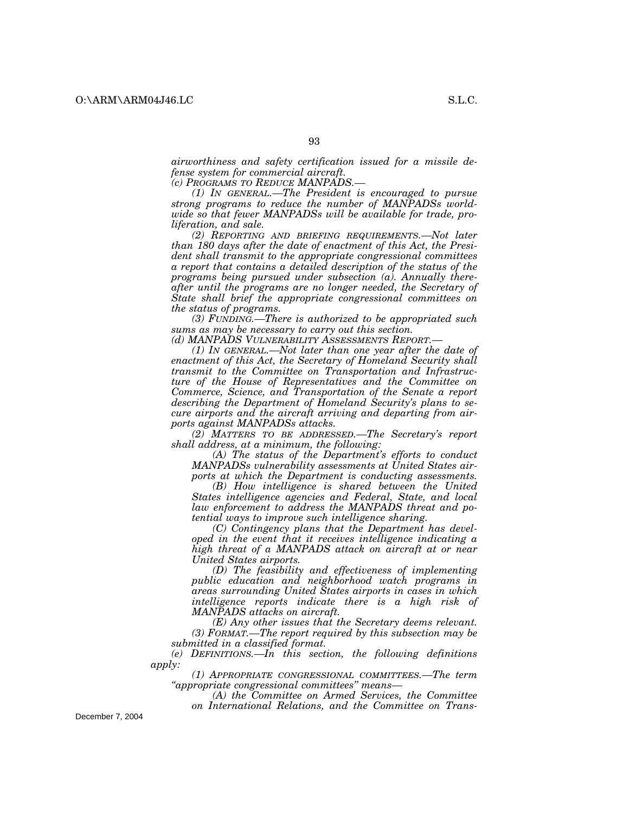*airworthiness and safety certification issued for a missile defense system for commercial aircraft.*

*(c) PROGRAMS TO REDUCE MANPADS.—*

*(1) IN GENERAL.—The President is encouraged to pursue strong programs to reduce the number of MANPADSs worldwide so that fewer MANPADSs will be available for trade, proliferation, and sale.*

*(2) REPORTING AND BRIEFING REQUIREMENTS.—Not later than 180 days after the date of enactment of this Act, the President shall transmit to the appropriate congressional committees a report that contains a detailed description of the status of the programs being pursued under subsection (a). Annually thereafter until the programs are no longer needed, the Secretary of State shall brief the appropriate congressional committees on the status of programs.*

*(3) FUNDING.—There is authorized to be appropriated such sums as may be necessary to carry out this section.*

*(d) MANPADS VULNERABILITY ASSESSMENTS REPORT.—*

*(1) IN GENERAL.—Not later than one year after the date of enactment of this Act, the Secretary of Homeland Security shall transmit to the Committee on Transportation and Infrastructure of the House of Representatives and the Committee on Commerce, Science, and Transportation of the Senate a report describing the Department of Homeland Security's plans to secure airports and the aircraft arriving and departing from airports against MANPADSs attacks.*

*(2) MATTERS TO BE ADDRESSED.—The Secretary's report shall address, at a minimum, the following:*

*(A) The status of the Department's efforts to conduct MANPADSs vulnerability assessments at United States airports at which the Department is conducting assessments.*

*(B) How intelligence is shared between the United States intelligence agencies and Federal, State, and local law enforcement to address the MANPADS threat and potential ways to improve such intelligence sharing.*

*(C) Contingency plans that the Department has developed in the event that it receives intelligence indicating a high threat of a MANPADS attack on aircraft at or near United States airports.*

*(D) The feasibility and effectiveness of implementing public education and neighborhood watch programs in areas surrounding United States airports in cases in which intelligence reports indicate there is a high risk of MANPADS attacks on aircraft.*

*(E) Any other issues that the Secretary deems relevant. (3) FORMAT.—The report required by this subsection may be submitted in a classified format.*

*(e) DEFINITIONS.—In this section, the following definitions apply:*

*(1) APPROPRIATE CONGRESSIONAL COMMITTEES.—The term ''appropriate congressional committees'' means—*

*(A) the Committee on Armed Services, the Committee on International Relations, and the Committee on Trans-*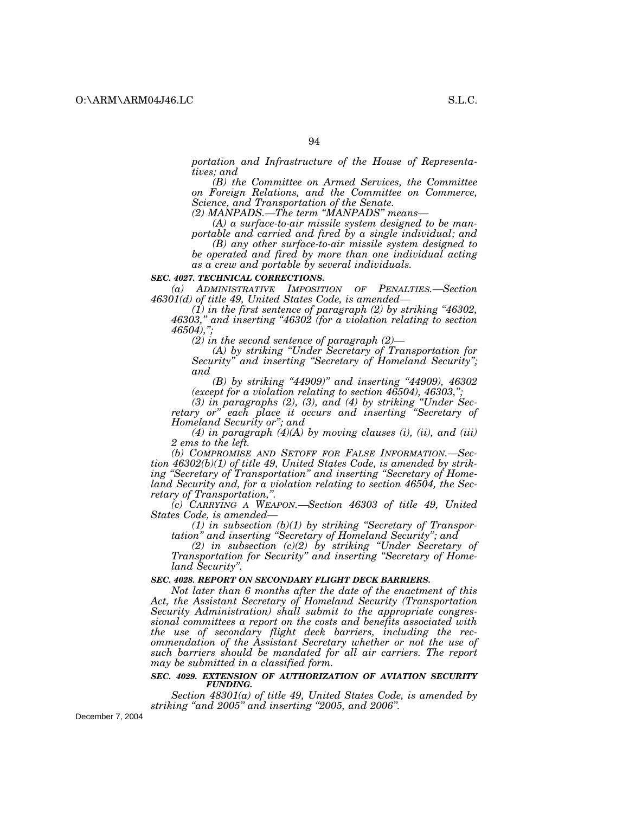*portation and Infrastructure of the House of Representatives; and*

*(B) the Committee on Armed Services, the Committee on Foreign Relations, and the Committee on Commerce, Science, and Transportation of the Senate.*

*(2) MANPADS.—The term ''MANPADS'' means—*

*(A) a surface-to-air missile system designed to be manportable and carried and fired by a single individual; and*

*(B) any other surface-to-air missile system designed to be operated and fired by more than one individual acting as a crew and portable by several individuals.*

#### *SEC. 4027. TECHNICAL CORRECTIONS.*

*(a) ADMINISTRATIVE IMPOSITION OF PENALTIES.—Section 46301(d) of title 49, United States Code, is amended—*

*(1) in the first sentence of paragraph (2) by striking ''46302, 46303,'' and inserting ''46302 (for a violation relating to section 46504),'';*

*(2) in the second sentence of paragraph (2)—*

*(A) by striking ''Under Secretary of Transportation for Security'' and inserting ''Secretary of Homeland Security''; and*

*(B) by striking ''44909)'' and inserting ''44909), 46302 (except for a violation relating to section 46504), 46303,'';*

*(3) in paragraphs (2), (3), and (4) by striking ''Under Secretary or'' each place it occurs and inserting ''Secretary of Homeland Security or''; and*

*(4) in paragraph (4)(A) by moving clauses (i), (ii), and (iii) 2 ems to the left.*

*(b) COMPROMISE AND SETOFF FOR FALSE INFORMATION.—Section 46302(b)(1) of title 49, United States Code, is amended by striking ''Secretary of Transportation'' and inserting ''Secretary of Homeland Security and, for a violation relating to section 46504, the Secretary of Transportation,''.*

*(c) CARRYING A WEAPON.—Section 46303 of title 49, United States Code, is amended—*

*(1) in subsection (b)(1) by striking ''Secretary of Transportation'' and inserting ''Secretary of Homeland Security''; and*

*(2) in subsection (c)(2) by striking ''Under Secretary of Transportation for Security'' and inserting ''Secretary of Homeland Security''.*

#### *SEC. 4028. REPORT ON SECONDARY FLIGHT DECK BARRIERS.*

*Not later than 6 months after the date of the enactment of this Act, the Assistant Secretary of Homeland Security (Transportation Security Administration) shall submit to the appropriate congressional committees a report on the costs and benefits associated with the use of secondary flight deck barriers, including the recommendation of the Assistant Secretary whether or not the use of such barriers should be mandated for all air carriers. The report may be submitted in a classified form.*

## *SEC. 4029. EXTENSION OF AUTHORIZATION OF AVIATION SECURITY FUNDING.*

*Section 48301(a) of title 49, United States Code, is amended by striking ''and 2005'' and inserting ''2005, and 2006''.*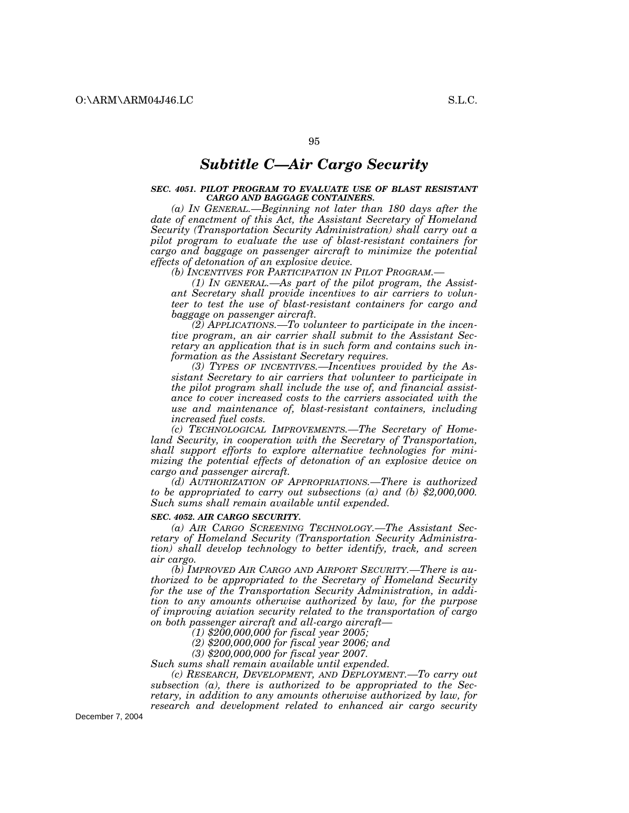# *Subtitle C—Air Cargo Security*

### *SEC. 4051. PILOT PROGRAM TO EVALUATE USE OF BLAST RESISTANT CARGO AND BAGGAGE CONTAINERS.*

*(a) IN GENERAL.—Beginning not later than 180 days after the date of enactment of this Act, the Assistant Secretary of Homeland Security (Transportation Security Administration) shall carry out a pilot program to evaluate the use of blast-resistant containers for cargo and baggage on passenger aircraft to minimize the potential effects of detonation of an explosive device.*

*(b) INCENTIVES FOR PARTICIPATION IN PILOT PROGRAM.—*

*(1) IN GENERAL.—As part of the pilot program, the Assistant Secretary shall provide incentives to air carriers to volunteer to test the use of blast-resistant containers for cargo and baggage on passenger aircraft.*

*(2) APPLICATIONS.—To volunteer to participate in the incentive program, an air carrier shall submit to the Assistant Secretary an application that is in such form and contains such information as the Assistant Secretary requires.*

*(3) TYPES OF INCENTIVES.—Incentives provided by the Assistant Secretary to air carriers that volunteer to participate in the pilot program shall include the use of, and financial assistance to cover increased costs to the carriers associated with the use and maintenance of, blast-resistant containers, including increased fuel costs.*

*(c) TECHNOLOGICAL IMPROVEMENTS.—The Secretary of Homeland Security, in cooperation with the Secretary of Transportation, shall support efforts to explore alternative technologies for minimizing the potential effects of detonation of an explosive device on cargo and passenger aircraft.*

*(d) AUTHORIZATION OF APPROPRIATIONS.—There is authorized to be appropriated to carry out subsections (a) and (b) \$2,000,000. Such sums shall remain available until expended.*

### *SEC. 4052. AIR CARGO SECURITY.*

*(a) AIR CARGO SCREENING TECHNOLOGY.—The Assistant Secretary of Homeland Security (Transportation Security Administration) shall develop technology to better identify, track, and screen air cargo.*

*(b) IMPROVED AIR CARGO AND AIRPORT SECURITY.—There is authorized to be appropriated to the Secretary of Homeland Security for the use of the Transportation Security Administration, in addition to any amounts otherwise authorized by law, for the purpose of improving aviation security related to the transportation of cargo on both passenger aircraft and all-cargo aircraft—*

*(1) \$200,000,000 for fiscal year 2005;*

*(2) \$200,000,000 for fiscal year 2006; and*

*(3) \$200,000,000 for fiscal year 2007.*

*Such sums shall remain available until expended.*

*(c) RESEARCH, DEVELOPMENT, AND DEPLOYMENT.—To carry out subsection (a), there is authorized to be appropriated to the Secretary, in addition to any amounts otherwise authorized by law, for research and development related to enhanced air cargo security*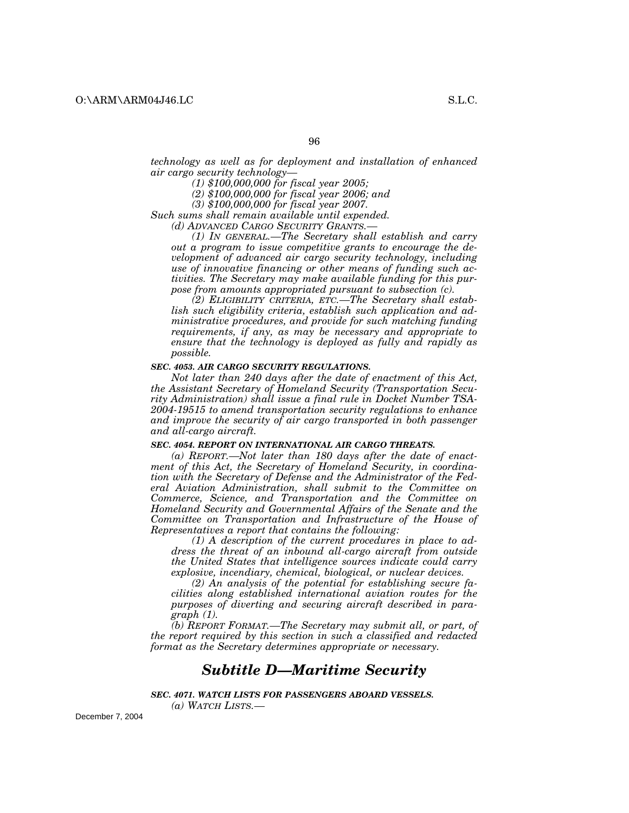*technology as well as for deployment and installation of enhanced air cargo security technology—*

*(1) \$100,000,000 for fiscal year 2005;*

*(2) \$100,000,000 for fiscal year 2006; and*

*(3) \$100,000,000 for fiscal year 2007.*

*Such sums shall remain available until expended.*

*(d) ADVANCED CARGO SECURITY GRANTS.—*

*(1) IN GENERAL.—The Secretary shall establish and carry out a program to issue competitive grants to encourage the development of advanced air cargo security technology, including use of innovative financing or other means of funding such activities. The Secretary may make available funding for this purpose from amounts appropriated pursuant to subsection (c).*

*(2) ELIGIBILITY CRITERIA, ETC.—The Secretary shall establish such eligibility criteria, establish such application and administrative procedures, and provide for such matching funding requirements, if any, as may be necessary and appropriate to ensure that the technology is deployed as fully and rapidly as possible.*

## *SEC. 4053. AIR CARGO SECURITY REGULATIONS.*

*Not later than 240 days after the date of enactment of this Act, the Assistant Secretary of Homeland Security (Transportation Security Administration) shall issue a final rule in Docket Number TSA-2004-19515 to amend transportation security regulations to enhance and improve the security of air cargo transported in both passenger and all-cargo aircraft.*

## *SEC. 4054. REPORT ON INTERNATIONAL AIR CARGO THREATS.*

*(a) REPORT.—Not later than 180 days after the date of enactment of this Act, the Secretary of Homeland Security, in coordination with the Secretary of Defense and the Administrator of the Federal Aviation Administration, shall submit to the Committee on Commerce, Science, and Transportation and the Committee on Homeland Security and Governmental Affairs of the Senate and the Committee on Transportation and Infrastructure of the House of Representatives a report that contains the following:*

*(1) A description of the current procedures in place to address the threat of an inbound all-cargo aircraft from outside the United States that intelligence sources indicate could carry explosive, incendiary, chemical, biological, or nuclear devices.*

*(2) An analysis of the potential for establishing secure facilities along established international aviation routes for the purposes of diverting and securing aircraft described in paragraph (1).*

*(b) REPORT FORMAT.—The Secretary may submit all, or part, of the report required by this section in such a classified and redacted format as the Secretary determines appropriate or necessary.*

# *Subtitle D—Maritime Security*

*SEC. 4071. WATCH LISTS FOR PASSENGERS ABOARD VESSELS. (a) WATCH LISTS.—*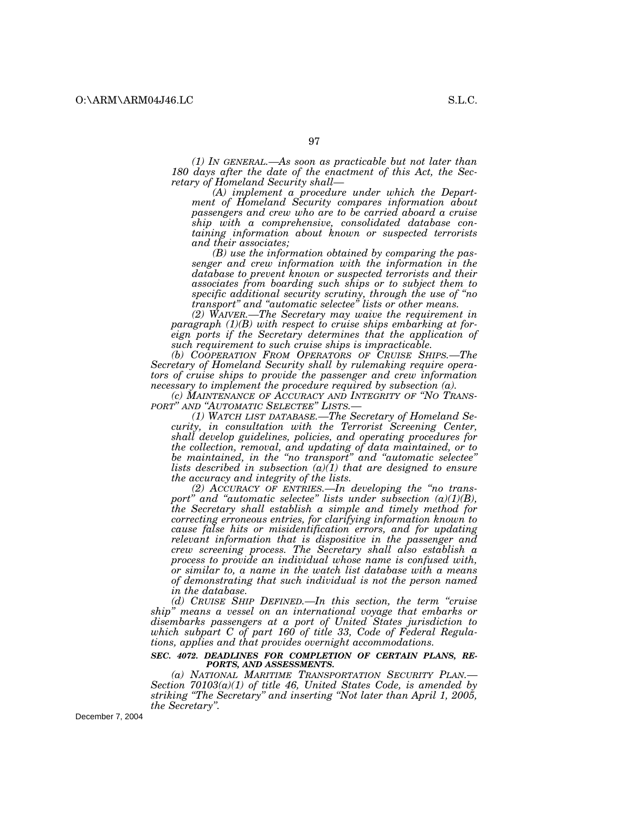*(1) IN GENERAL.—As soon as practicable but not later than 180 days after the date of the enactment of this Act, the Secretary of Homeland Security shall—*

*(A) implement a procedure under which the Department of Homeland Security compares information about passengers and crew who are to be carried aboard a cruise ship with a comprehensive, consolidated database containing information about known or suspected terrorists and their associates;*

*(B) use the information obtained by comparing the passenger and crew information with the information in the database to prevent known or suspected terrorists and their associates from boarding such ships or to subject them to specific additional security scrutiny, through the use of ''no transport'' and ''automatic selectee'' lists or other means.*

*(2) WAIVER.—The Secretary may waive the requirement in paragraph (1)(B) with respect to cruise ships embarking at foreign ports if the Secretary determines that the application of such requirement to such cruise ships is impracticable.*

*(b) COOPERATION FROM OPERATORS OF CRUISE SHIPS.—The Secretary of Homeland Security shall by rulemaking require operators of cruise ships to provide the passenger and crew information necessary to implement the procedure required by subsection (a).*

*(c) MAINTENANCE OF ACCURACY AND INTEGRITY OF ''NO TRANS-PORT'' AND ''AUTOMATIC SELECTEE'' LISTS.—*

*(1) WATCH LIST DATABASE.—The Secretary of Homeland Security, in consultation with the Terrorist Screening Center, shall develop guidelines, policies, and operating procedures for the collection, removal, and updating of data maintained, or to be maintained, in the ''no transport'' and ''automatic selectee'' lists described in subsection (a)(1) that are designed to ensure the accuracy and integrity of the lists.*

*(2) ACCURACY OF ENTRIES.—In developing the ''no transport'' and ''automatic selectee'' lists under subsection (a)(1)(B), the Secretary shall establish a simple and timely method for correcting erroneous entries, for clarifying information known to cause false hits or misidentification errors, and for updating relevant information that is dispositive in the passenger and crew screening process. The Secretary shall also establish a process to provide an individual whose name is confused with, or similar to, a name in the watch list database with a means of demonstrating that such individual is not the person named in the database.*

*(d) CRUISE SHIP DEFINED.—In this section, the term ''cruise ship'' means a vessel on an international voyage that embarks or disembarks passengers at a port of United States jurisdiction to which subpart C of part 160 of title 33, Code of Federal Regulations, applies and that provides overnight accommodations.*

### *SEC. 4072. DEADLINES FOR COMPLETION OF CERTAIN PLANS, RE-PORTS, AND ASSESSMENTS.*

*(a) NATIONAL MARITIME TRANSPORTATION SECURITY PLAN.— Section 70103(a)(1) of title 46, United States Code, is amended by striking ''The Secretary'' and inserting ''Not later than April 1, 2005, the Secretary''.*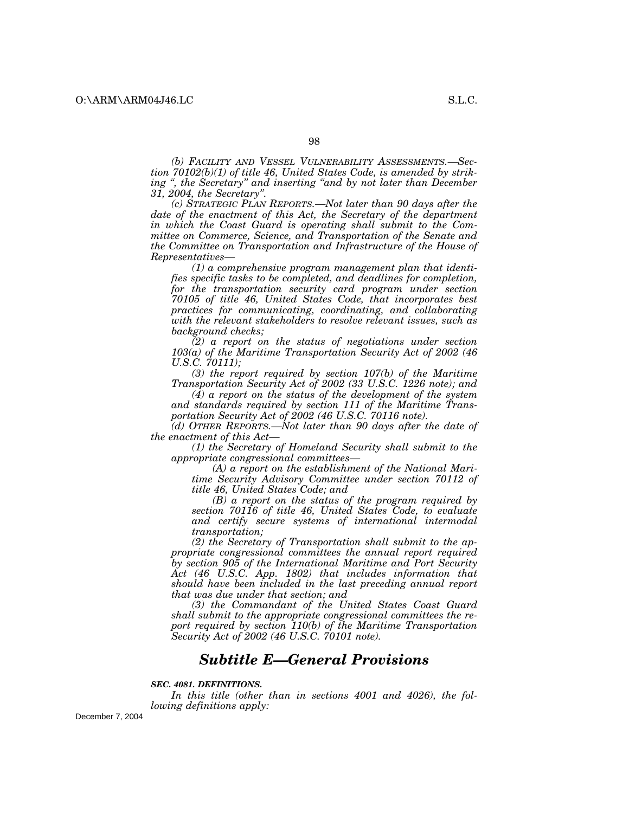*(b) FACILITY AND VESSEL VULNERABILITY ASSESSMENTS.—Section 70102(b)(1) of title 46, United States Code, is amended by striking '', the Secretary'' and inserting ''and by not later than December 31, 2004, the Secretary''.*

*(c) STRATEGIC PLAN REPORTS.—Not later than 90 days after the date of the enactment of this Act, the Secretary of the department in which the Coast Guard is operating shall submit to the Committee on Commerce, Science, and Transportation of the Senate and the Committee on Transportation and Infrastructure of the House of Representatives—*

*(1) a comprehensive program management plan that identifies specific tasks to be completed, and deadlines for completion, for the transportation security card program under section 70105 of title 46, United States Code, that incorporates best practices for communicating, coordinating, and collaborating with the relevant stakeholders to resolve relevant issues, such as background checks;*

*(2) a report on the status of negotiations under section 103(a) of the Maritime Transportation Security Act of 2002 (46 U.S.C. 70111);*

*(3) the report required by section 107(b) of the Maritime Transportation Security Act of 2002 (33 U.S.C. 1226 note); and*

*(4) a report on the status of the development of the system and standards required by section 111 of the Maritime Transportation Security Act of 2002 (46 U.S.C. 70116 note).*

*(d) OTHER REPORTS.—Not later than 90 days after the date of the enactment of this Act—*

*(1) the Secretary of Homeland Security shall submit to the appropriate congressional committees—*

*(A) a report on the establishment of the National Maritime Security Advisory Committee under section 70112 of title 46, United States Code; and*

*(B) a report on the status of the program required by section 70116 of title 46, United States Code, to evaluate and certify secure systems of international intermodal transportation;*

*(2) the Secretary of Transportation shall submit to the appropriate congressional committees the annual report required by section 905 of the International Maritime and Port Security Act (46 U.S.C. App. 1802) that includes information that should have been included in the last preceding annual report that was due under that section; and*

*(3) the Commandant of the United States Coast Guard shall submit to the appropriate congressional committees the report required by section 110(b) of the Maritime Transportation Security Act of 2002 (46 U.S.C. 70101 note).*

# *Subtitle E—General Provisions*

## *SEC. 4081. DEFINITIONS.*

*In this title (other than in sections 4001 and 4026), the following definitions apply:*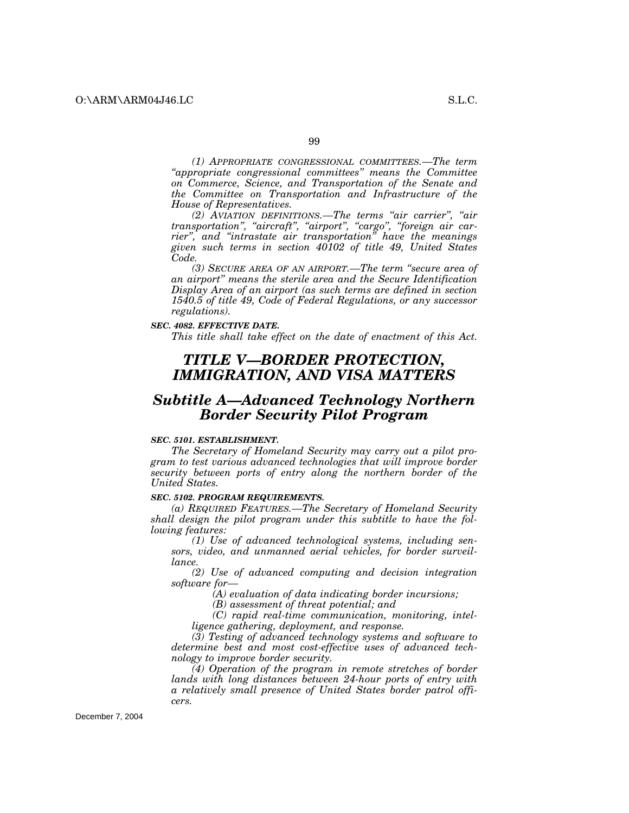*(1) APPROPRIATE CONGRESSIONAL COMMITTEES.—The term ''appropriate congressional committees'' means the Committee on Commerce, Science, and Transportation of the Senate and the Committee on Transportation and Infrastructure of the House of Representatives.*

*(2) AVIATION DEFINITIONS.—The terms ''air carrier'', ''air transportation'', ''aircraft'', ''airport'', ''cargo'', ''foreign air carrier'', and ''intrastate air transportation'' have the meanings given such terms in section 40102 of title 49, United States Code.*

*(3) SECURE AREA OF AN AIRPORT.—The term ''secure area of an airport'' means the sterile area and the Secure Identification Display Area of an airport (as such terms are defined in section 1540.5 of title 49, Code of Federal Regulations, or any successor regulations).*

## *SEC. 4082. EFFECTIVE DATE.*

*This title shall take effect on the date of enactment of this Act.*

# *TITLE V—BORDER PROTECTION, IMMIGRATION, AND VISA MATTERS*

# *Subtitle A—Advanced Technology Northern Border Security Pilot Program*

## *SEC. 5101. ESTABLISHMENT.*

*The Secretary of Homeland Security may carry out a pilot program to test various advanced technologies that will improve border security between ports of entry along the northern border of the United States.*

## *SEC. 5102. PROGRAM REQUIREMENTS.*

*(a) REQUIRED FEATURES.—The Secretary of Homeland Security shall design the pilot program under this subtitle to have the following features:*

*(1) Use of advanced technological systems, including sensors, video, and unmanned aerial vehicles, for border surveillance.*

*(2) Use of advanced computing and decision integration software for—*

*(A) evaluation of data indicating border incursions;*

*(B) assessment of threat potential; and*

*(C) rapid real-time communication, monitoring, intelligence gathering, deployment, and response.*

*(3) Testing of advanced technology systems and software to determine best and most cost-effective uses of advanced technology to improve border security.*

*(4) Operation of the program in remote stretches of border lands with long distances between 24-hour ports of entry with a relatively small presence of United States border patrol officers.*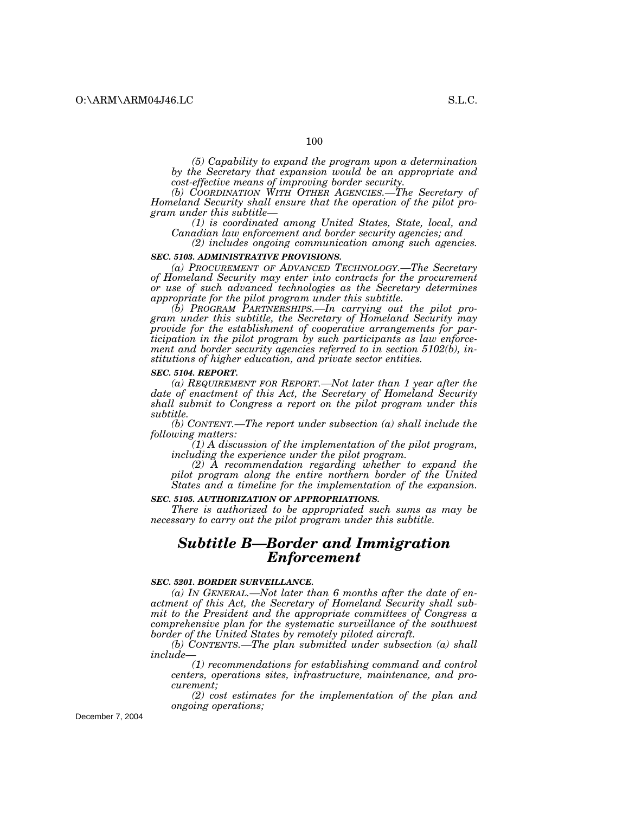*(5) Capability to expand the program upon a determination by the Secretary that expansion would be an appropriate and cost-effective means of improving border security.*

*(b) COORDINATION WITH OTHER AGENCIES.—The Secretary of Homeland Security shall ensure that the operation of the pilot program under this subtitle—*

*(1) is coordinated among United States, State, local, and Canadian law enforcement and border security agencies; and*

*(2) includes ongoing communication among such agencies.*

## *SEC. 5103. ADMINISTRATIVE PROVISIONS.*

*(a) PROCUREMENT OF ADVANCED TECHNOLOGY.—The Secretary of Homeland Security may enter into contracts for the procurement or use of such advanced technologies as the Secretary determines appropriate for the pilot program under this subtitle.*

*(b) PROGRAM PARTNERSHIPS.—In carrying out the pilot program under this subtitle, the Secretary of Homeland Security may provide for the establishment of cooperative arrangements for participation in the pilot program by such participants as law enforcement and border security agencies referred to in section 5102(b), institutions of higher education, and private sector entities.*

## *SEC. 5104. REPORT.*

*(a) REQUIREMENT FOR REPORT.—Not later than 1 year after the date of enactment of this Act, the Secretary of Homeland Security shall submit to Congress a report on the pilot program under this subtitle.*

*(b) CONTENT.—The report under subsection (a) shall include the following matters:*

*(1) A discussion of the implementation of the pilot program, including the experience under the pilot program.*

*(2) A recommendation regarding whether to expand the pilot program along the entire northern border of the United States and a timeline for the implementation of the expansion.*

#### *SEC. 5105. AUTHORIZATION OF APPROPRIATIONS.*

*There is authorized to be appropriated such sums as may be necessary to carry out the pilot program under this subtitle.*

# *Subtitle B—Border and Immigration Enforcement*

## *SEC. 5201. BORDER SURVEILLANCE.*

*(a) IN GENERAL.—Not later than 6 months after the date of enactment of this Act, the Secretary of Homeland Security shall submit to the President and the appropriate committees of Congress a comprehensive plan for the systematic surveillance of the southwest border of the United States by remotely piloted aircraft.*

*(b) CONTENTS.—The plan submitted under subsection (a) shall include—*

*(1) recommendations for establishing command and control centers, operations sites, infrastructure, maintenance, and procurement;*

*(2) cost estimates for the implementation of the plan and ongoing operations;*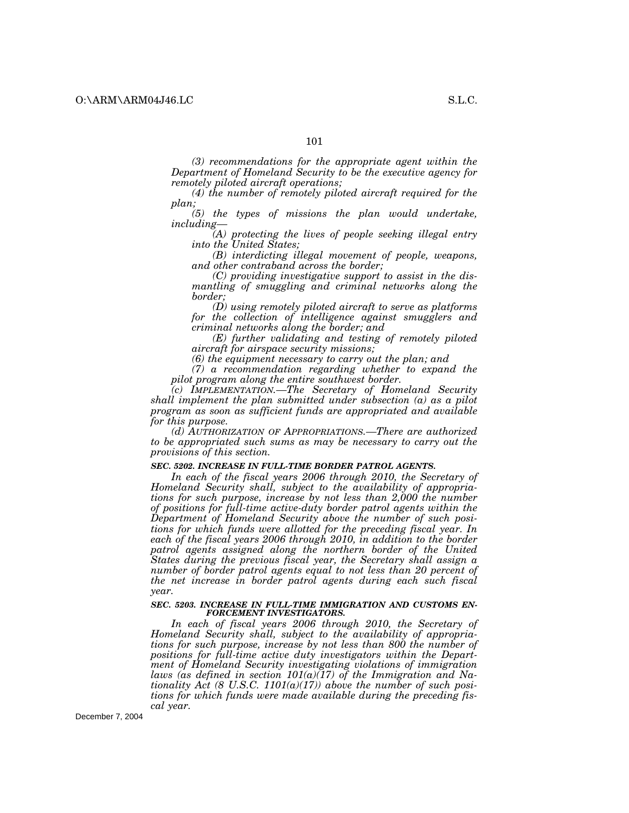*(3) recommendations for the appropriate agent within the Department of Homeland Security to be the executive agency for remotely piloted aircraft operations;*

*(4) the number of remotely piloted aircraft required for the plan;*

*(5) the types of missions the plan would undertake, including—*

*(A) protecting the lives of people seeking illegal entry into the United States;*

*(B) interdicting illegal movement of people, weapons, and other contraband across the border;*

*(C) providing investigative support to assist in the dismantling of smuggling and criminal networks along the border;*

*(D) using remotely piloted aircraft to serve as platforms for the collection of intelligence against smugglers and criminal networks along the border; and*

*(E) further validating and testing of remotely piloted aircraft for airspace security missions;*

*(6) the equipment necessary to carry out the plan; and*

*(7) a recommendation regarding whether to expand the pilot program along the entire southwest border.*

*(c) IMPLEMENTATION.—The Secretary of Homeland Security shall implement the plan submitted under subsection (a) as a pilot program as soon as sufficient funds are appropriated and available for this purpose.*

*(d) AUTHORIZATION OF APPROPRIATIONS.—There are authorized to be appropriated such sums as may be necessary to carry out the provisions of this section.*

#### *SEC. 5202. INCREASE IN FULL-TIME BORDER PATROL AGENTS.*

*In each of the fiscal years 2006 through 2010, the Secretary of Homeland Security shall, subject to the availability of appropriations for such purpose, increase by not less than 2,000 the number of positions for full-time active-duty border patrol agents within the Department of Homeland Security above the number of such positions for which funds were allotted for the preceding fiscal year. In each of the fiscal years 2006 through 2010, in addition to the border patrol agents assigned along the northern border of the United States during the previous fiscal year, the Secretary shall assign a number of border patrol agents equal to not less than 20 percent of the net increase in border patrol agents during each such fiscal year.*

### *SEC. 5203. INCREASE IN FULL-TIME IMMIGRATION AND CUSTOMS EN-FORCEMENT INVESTIGATORS.*

*In each of fiscal years 2006 through 2010, the Secretary of Homeland Security shall, subject to the availability of appropriations for such purpose, increase by not less than 800 the number of positions for full-time active duty investigators within the Department of Homeland Security investigating violations of immigration laws (as defined in section 101(a)(17) of the Immigration and Nationality Act (8 U.S.C. 1101(a)(17)) above the number of such positions for which funds were made available during the preceding fiscal year.*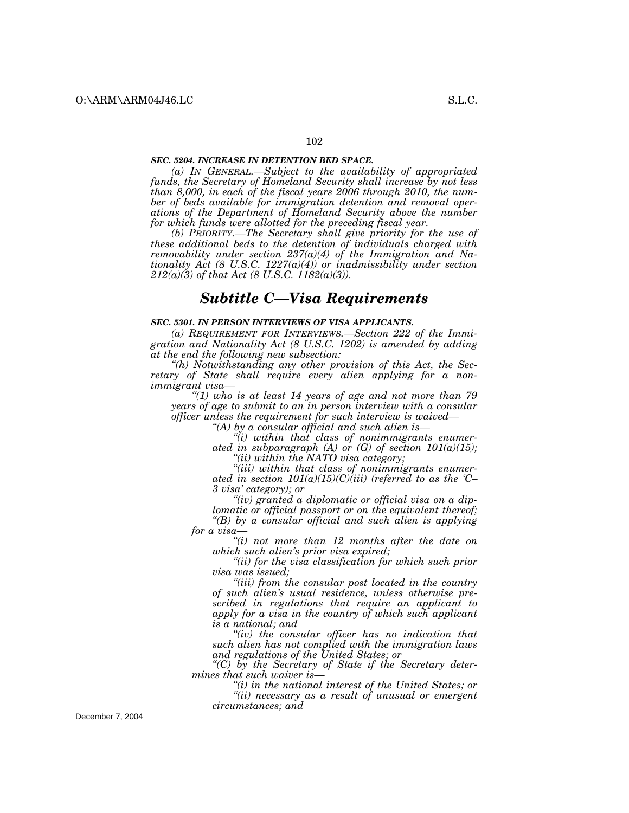## *SEC. 5204. INCREASE IN DETENTION BED SPACE.*

*(a) IN GENERAL.—Subject to the availability of appropriated funds, the Secretary of Homeland Security shall increase by not less than 8,000, in each of the fiscal years 2006 through 2010, the number of beds available for immigration detention and removal operations of the Department of Homeland Security above the number for which funds were allotted for the preceding fiscal year.*

*(b) PRIORITY.—The Secretary shall give priority for the use of these additional beds to the detention of individuals charged with removability under section 237(a)(4) of the Immigration and Nationality Act (8 U.S.C. 1227(a)(4)) or inadmissibility under section 212(a)(3) of that Act (8 U.S.C. 1182(a)(3)).*

# *Subtitle C—Visa Requirements*

## *SEC. 5301. IN PERSON INTERVIEWS OF VISA APPLICANTS.*

*(a) REQUIREMENT FOR INTERVIEWS.—Section 222 of the Immigration and Nationality Act (8 U.S.C. 1202) is amended by adding at the end the following new subsection:*

*''(h) Notwithstanding any other provision of this Act, the Secretary of State shall require every alien applying for a nonimmigrant visa—*

*''(1) who is at least 14 years of age and not more than 79 years of age to submit to an in person interview with a consular officer unless the requirement for such interview is waived—*

*''(A) by a consular official and such alien is—*

*''(i) within that class of nonimmigrants enumerated in subparagraph (A) or (G) of section 101(a)(15);*

*''(ii) within the NATO visa category;*

*''(iii) within that class of nonimmigrants enumerated in section 101(a)(15)(C)(iii) (referred to as the 'C– 3 visa' category); or*

*''(iv) granted a diplomatic or official visa on a diplomatic or official passport or on the equivalent thereof; ''(B) by a consular official and such alien is applying for a visa—*

*''(i) not more than 12 months after the date on which such alien's prior visa expired;*

*''(ii) for the visa classification for which such prior visa was issued;*

*''(iii) from the consular post located in the country of such alien's usual residence, unless otherwise prescribed in regulations that require an applicant to apply for a visa in the country of which such applicant is a national; and*

*''(iv) the consular officer has no indication that such alien has not complied with the immigration laws and regulations of the United States; or*

*''(C) by the Secretary of State if the Secretary determines that such waiver is—*

*''(i) in the national interest of the United States; or ''(ii) necessary as a result of unusual or emergent circumstances; and*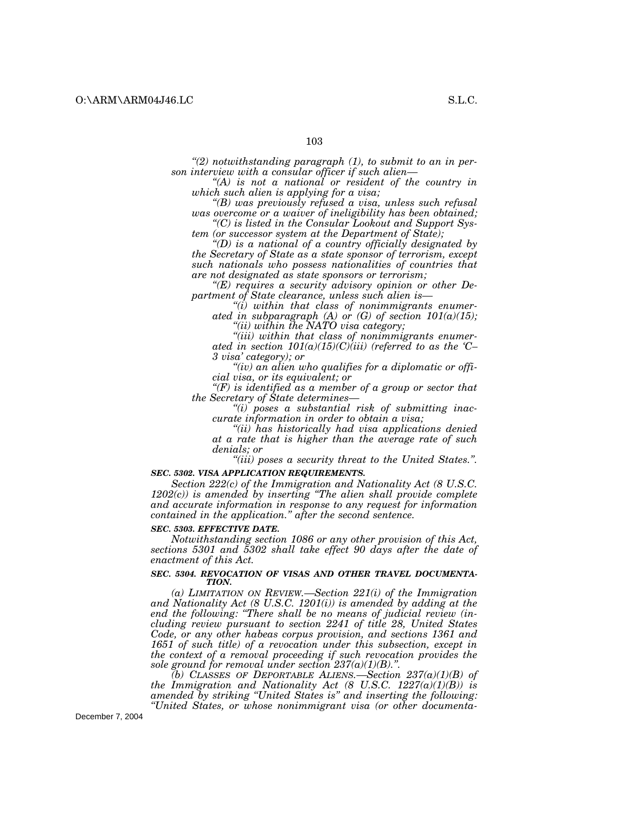*''(2) notwithstanding paragraph (1), to submit to an in person interview with a consular officer if such alien—*

*''(A) is not a national or resident of the country in which such alien is applying for a visa;*

*''(B) was previously refused a visa, unless such refusal was overcome or a waiver of ineligibility has been obtained; ''(C) is listed in the Consular Lookout and Support Sys-*

*tem (or successor system at the Department of State);*

*''(D) is a national of a country officially designated by the Secretary of State as a state sponsor of terrorism, except such nationals who possess nationalities of countries that are not designated as state sponsors or terrorism;*

*''(E) requires a security advisory opinion or other Department of State clearance, unless such alien is—*

*''(i) within that class of nonimmigrants enumerated in subparagraph (A) or (G) of section 101(a)(15); ''(ii) within the NATO visa category;*

*''(iii) within that class of nonimmigrants enumerated in section 101(a)(15)(C)(iii) (referred to as the 'C– 3 visa' category); or*

*''(iv) an alien who qualifies for a diplomatic or official visa, or its equivalent; or*

*''(F) is identified as a member of a group or sector that the Secretary of State determines—*

*''(i) poses a substantial risk of submitting inaccurate information in order to obtain a visa;*

*''(ii) has historically had visa applications denied at a rate that is higher than the average rate of such denials; or*

*''(iii) poses a security threat to the United States.''.*

*SEC. 5302. VISA APPLICATION REQUIREMENTS.*

*Section 222(c) of the Immigration and Nationality Act (8 U.S.C. 1202(c)) is amended by inserting ''The alien shall provide complete and accurate information in response to any request for information contained in the application.'' after the second sentence.*

#### *SEC. 5303. EFFECTIVE DATE.*

*Notwithstanding section 1086 or any other provision of this Act, sections 5301 and 5302 shall take effect 90 days after the date of enactment of this Act.*

### *SEC. 5304. REVOCATION OF VISAS AND OTHER TRAVEL DOCUMENTA-TION.*

*(a) LIMITATION ON REVIEW.—Section 221(i) of the Immigration and Nationality Act (8 U.S.C. 1201(i)) is amended by adding at the end the following: ''There shall be no means of judicial review (including review pursuant to section 2241 of title 28, United States Code, or any other habeas corpus provision, and sections 1361 and 1651 of such title) of a revocation under this subsection, except in the context of a removal proceeding if such revocation provides the sole ground for removal under section 237(a)(1)(B).''.*

*(b) CLASSES OF DEPORTABLE ALIENS.—Section 237(a)(1)(B) of the Immigration and Nationality Act (8 U.S.C. 1227(a)(1)(B)) is amended by striking ''United States is'' and inserting the following: ''United States, or whose nonimmigrant visa (or other documenta-*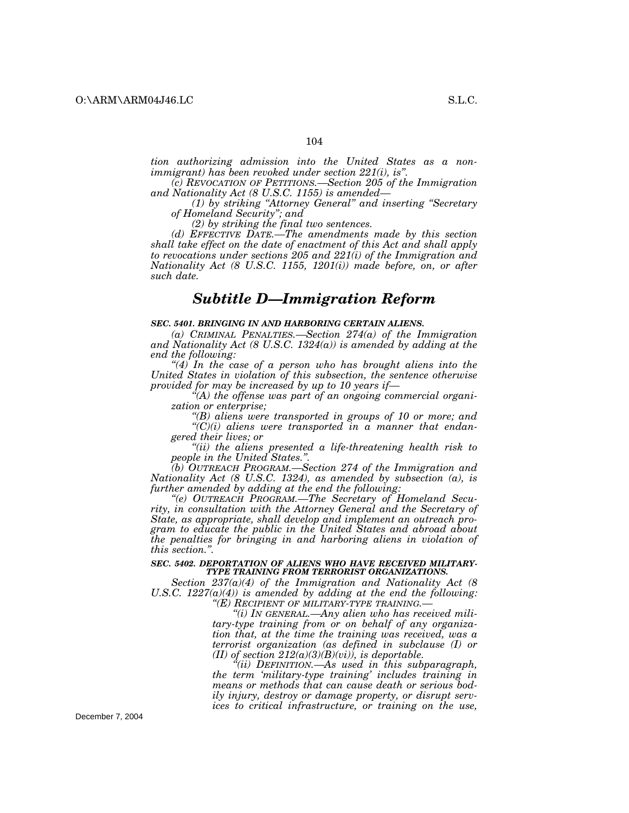*tion authorizing admission into the United States as a nonimmigrant) has been revoked under section 221(i), is''.*

*(c) REVOCATION OF PETITIONS.—Section 205 of the Immigration and Nationality Act (8 U.S.C. 1155) is amended—*

*(1) by striking ''Attorney General'' and inserting ''Secretary of Homeland Security''; and*

*(2) by striking the final two sentences.*

*(d) EFFECTIVE DATE.—The amendments made by this section shall take effect on the date of enactment of this Act and shall apply to revocations under sections 205 and 221(i) of the Immigration and Nationality Act (8 U.S.C. 1155, 1201(i)) made before, on, or after such date.*

# *Subtitle D—Immigration Reform*

## *SEC. 5401. BRINGING IN AND HARBORING CERTAIN ALIENS.*

*(a) CRIMINAL PENALTIES.—Section 274(a) of the Immigration and Nationality Act (8 U.S.C. 1324(a)) is amended by adding at the end the following:*

*''(4) In the case of a person who has brought aliens into the United States in violation of this subsection, the sentence otherwise provided for may be increased by up to 10 years if—*

*''(A) the offense was part of an ongoing commercial organization or enterprise;*

*''(B) aliens were transported in groups of 10 or more; and ''(C)(i) aliens were transported in a manner that endan-*

*gered their lives; or ''(ii) the aliens presented a life-threatening health risk to*

*people in the United States.''.*

*(b) OUTREACH PROGRAM.—Section 274 of the Immigration and Nationality Act (8 U.S.C. 1324), as amended by subsection (a), is further amended by adding at the end the following:*

*''(e) OUTREACH PROGRAM.—The Secretary of Homeland Security, in consultation with the Attorney General and the Secretary of State, as appropriate, shall develop and implement an outreach program to educate the public in the United States and abroad about the penalties for bringing in and harboring aliens in violation of this section.''.*

### *SEC. 5402. DEPORTATION OF ALIENS WHO HAVE RECEIVED MILITARY-TYPE TRAINING FROM TERRORIST ORGANIZATIONS.*

*Section 237(a)(4) of the Immigration and Nationality Act (8 U.S.C. 1227(a)(4)) is amended by adding at the end the following: ''(E) RECIPIENT OF MILITARY-TYPE TRAINING.—*

*''(i) IN GENERAL.—Any alien who has received military-type training from or on behalf of any organization that, at the time the training was received, was a terrorist organization (as defined in subclause (I) or (II) of section 212(a)(3)(B)(vi)), is deportable.*

*''(ii) DEFINITION.—As used in this subparagraph, the term 'military-type training' includes training in means or methods that can cause death or serious bodily injury, destroy or damage property, or disrupt services to critical infrastructure, or training on the use,*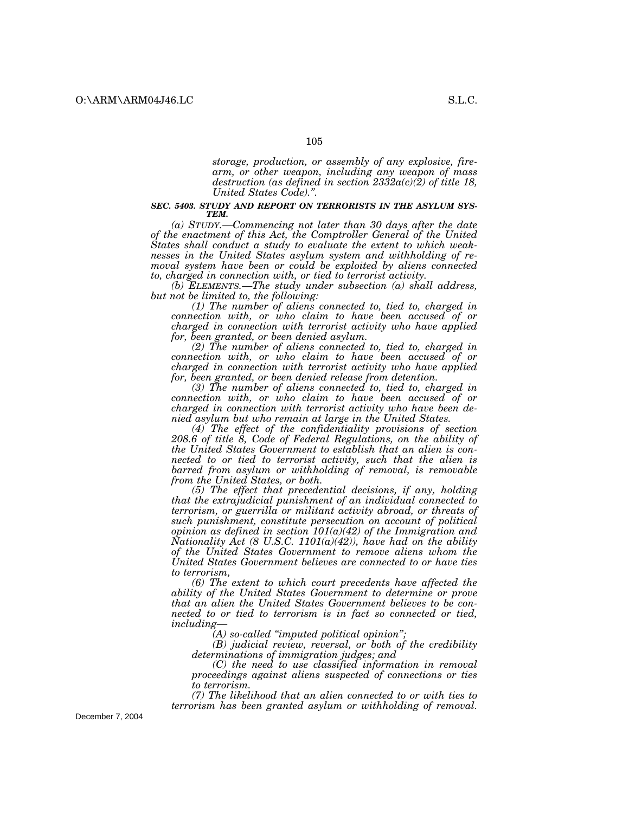*storage, production, or assembly of any explosive, firearm, or other weapon, including any weapon of mass destruction (as defined in section 2332a(c)(2) of title 18, United States Code).''.*

#### *SEC. 5403. STUDY AND REPORT ON TERRORISTS IN THE ASYLUM SYS-TEM.*

*(a) STUDY.—Commencing not later than 30 days after the date of the enactment of this Act, the Comptroller General of the United States shall conduct a study to evaluate the extent to which weaknesses in the United States asylum system and withholding of removal system have been or could be exploited by aliens connected to, charged in connection with, or tied to terrorist activity.*

*(b) ELEMENTS.—The study under subsection (a) shall address, but not be limited to, the following:*

*(1) The number of aliens connected to, tied to, charged in connection with, or who claim to have been accused of or charged in connection with terrorist activity who have applied for, been granted, or been denied asylum.*

*(2) The number of aliens connected to, tied to, charged in connection with, or who claim to have been accused of or charged in connection with terrorist activity who have applied for, been granted, or been denied release from detention.*

*(3) The number of aliens connected to, tied to, charged in connection with, or who claim to have been accused of or charged in connection with terrorist activity who have been denied asylum but who remain at large in the United States.*

*(4) The effect of the confidentiality provisions of section 208.6 of title 8, Code of Federal Regulations, on the ability of the United States Government to establish that an alien is connected to or tied to terrorist activity, such that the alien is barred from asylum or withholding of removal, is removable from the United States, or both.*

*(5) The effect that precedential decisions, if any, holding that the extrajudicial punishment of an individual connected to terrorism, or guerrilla or militant activity abroad, or threats of such punishment, constitute persecution on account of political opinion as defined in section 101(a)(42) of the Immigration and Nationality Act (8 U.S.C. 1101(a)(42)), have had on the ability of the United States Government to remove aliens whom the United States Government believes are connected to or have ties to terrorism,*

*(6) The extent to which court precedents have affected the ability of the United States Government to determine or prove that an alien the United States Government believes to be connected to or tied to terrorism is in fact so connected or tied, including—*

*(A) so-called ''imputed political opinion'';*

*(B) judicial review, reversal, or both of the credibility determinations of immigration judges; and*

*(C) the need to use classified information in removal proceedings against aliens suspected of connections or ties to terrorism.*

*(7) The likelihood that an alien connected to or with ties to terrorism has been granted asylum or withholding of removal.*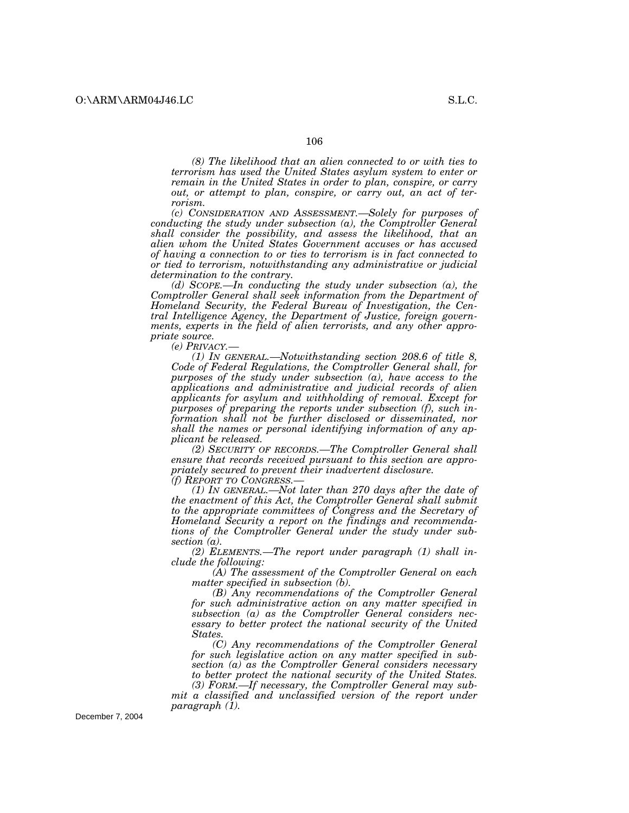*(8) The likelihood that an alien connected to or with ties to terrorism has used the United States asylum system to enter or remain in the United States in order to plan, conspire, or carry out, or attempt to plan, conspire, or carry out, an act of terrorism.*

*(c) CONSIDERATION AND ASSESSMENT.—Solely for purposes of conducting the study under subsection (a), the Comptroller General shall consider the possibility, and assess the likelihood, that an alien whom the United States Government accuses or has accused of having a connection to or ties to terrorism is in fact connected to or tied to terrorism, notwithstanding any administrative or judicial determination to the contrary.*

*(d) SCOPE.—In conducting the study under subsection (a), the Comptroller General shall seek information from the Department of Homeland Security, the Federal Bureau of Investigation, the Central Intelligence Agency, the Department of Justice, foreign governments, experts in the field of alien terrorists, and any other appropriate source.*

*(e) PRIVACY.— (1) IN GENERAL.—Notwithstanding section 208.6 of title 8, Code of Federal Regulations, the Comptroller General shall, for purposes of the study under subsection (a), have access to the applications and administrative and judicial records of alien applicants for asylum and withholding of removal. Except for purposes of preparing the reports under subsection (f), such information shall not be further disclosed or disseminated, nor shall the names or personal identifying information of any applicant be released.*

*(2) SECURITY OF RECORDS.—The Comptroller General shall ensure that records received pursuant to this section are appropriately secured to prevent their inadvertent disclosure.*

*(1) In GENERAL.—Not later than 270 days after the date of the enactment of this Act, the Comptroller General shall submit to the appropriate committees of Congress and the Secretary of Homeland Security a report on the findings and recommendations of the Comptroller General under the study under subsection (a).*

*(2) ELEMENTS.—The report under paragraph (1) shall include the following:*

*(A) The assessment of the Comptroller General on each matter specified in subsection (b).*

*(B) Any recommendations of the Comptroller General for such administrative action on any matter specified in subsection (a) as the Comptroller General considers necessary to better protect the national security of the United States.*

*(C) Any recommendations of the Comptroller General for such legislative action on any matter specified in subsection (a) as the Comptroller General considers necessary to better protect the national security of the United States.*

*(3) FORM.—If necessary, the Comptroller General may submit a classified and unclassified version of the report under paragraph (1).*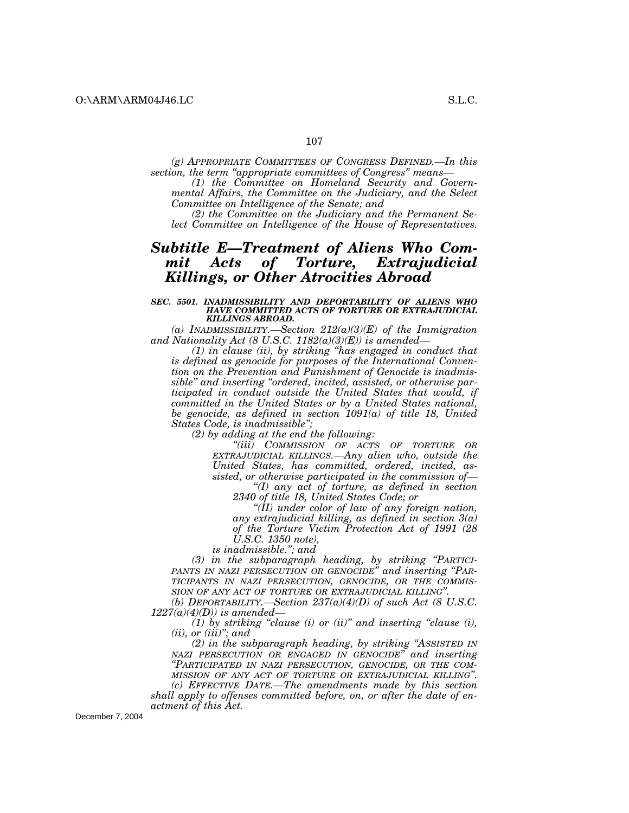*(g) APPROPRIATE COMMITTEES OF CONGRESS DEFINED.—In this section, the term ''appropriate committees of Congress'' means—*

*(1) the Committee on Homeland Security and Governmental Affairs, the Committee on the Judiciary, and the Select Committee on Intelligence of the Senate; and*

*(2) the Committee on the Judiciary and the Permanent Select Committee on Intelligence of the House of Representatives.*

# *Subtitle E—Treatment of Aliens Who Commit Acts of Torture, Extrajudicial Killings, or Other Atrocities Abroad*

#### *SEC. 5501. INADMISSIBILITY AND DEPORTABILITY OF ALIENS WHO HAVE COMMITTED ACTS OF TORTURE OR EXTRAJUDICIAL KILLINGS ABROAD.*

*(a) INADMISSIBILITY.—Section 212(a)(3)(E) of the Immigration and Nationality Act (8 U.S.C. 1182(a)(3)(E)) is amended—*

*(1) in clause (ii), by striking ''has engaged in conduct that is defined as genocide for purposes of the International Convention on the Prevention and Punishment of Genocide is inadmissible'' and inserting ''ordered, incited, assisted, or otherwise participated in conduct outside the United States that would, if committed in the United States or by a United States national, be genocide, as defined in section 1091(a) of title 18, United States Code, is inadmissible'';*

*(2) by adding at the end the following:*

*''(iii) COMMISSION OF ACTS OF TORTURE OR EXTRAJUDICIAL KILLINGS.—Any alien who, outside the United States, has committed, ordered, incited, assisted, or otherwise participated in the commission of—*

*''(I) any act of torture, as defined in section 2340 of title 18, United States Code; or*

*''(II) under color of law of any foreign nation, any extrajudicial killing, as defined in section 3(a) of the Torture Victim Protection Act of 1991 (28 U.S.C. 1350 note),*

*is inadmissible.''; and*

*(3) in the subparagraph heading, by striking ''PARTICI-PANTS IN NAZI PERSECUTION OR GENOCIDE'' and inserting ''PAR-TICIPANTS IN NAZI PERSECUTION, GENOCIDE, OR THE COMMIS-SION OF ANY ACT OF TORTURE OR EXTRAJUDICIAL KILLING''.*

*(b) DEPORTABILITY.—Section 237(a)(4)(D) of such Act (8 U.S.C. 1227(a)(4)(D)) is amended—*

*(1) by striking ''clause (i) or (ii)'' and inserting ''clause (i), (ii), or (iii)''; and*

*(2) in the subparagraph heading, by striking ''ASSISTED IN NAZI PERSECUTION OR ENGAGED IN GENOCIDE'' and inserting ''PARTICIPATED IN NAZI PERSECUTION, GENOCIDE, OR THE COM-MISSION OF ANY ACT OF TORTURE OR EXTRAJUDICIAL KILLING''.*

*(c) EFFECTIVE DATE.—The amendments made by this section shall apply to offenses committed before, on, or after the date of enactment of this Act.*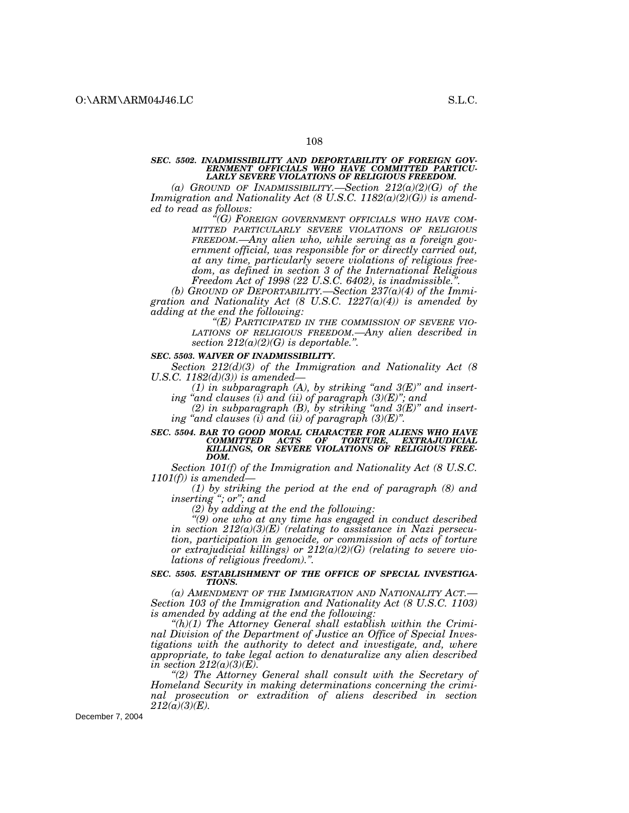#### *SEC. 5502. INADMISSIBILITY AND DEPORTABILITY OF FOREIGN GOV-ERNMENT OFFICIALS WHO HAVE COMMITTED PARTICU-LARLY SEVERE VIOLATIONS OF RELIGIOUS FREEDOM.*

*(a) GROUND OF INADMISSIBILITY.—Section 212(a)(2)(G) of the Immigration and Nationality Act (8 U.S.C. 1182(a)(2)(G)) is amended to read as follows:*

> *''(G) FOREIGN GOVERNMENT OFFICIALS WHO HAVE COM-MITTED PARTICULARLY SEVERE VIOLATIONS OF RELIGIOUS FREEDOM.—Any alien who, while serving as a foreign government official, was responsible for or directly carried out, at any time, particularly severe violations of religious freedom, as defined in section 3 of the International Religious Freedom Act of 1998 (22 U.S.C. 6402), is inadmissible.''.*

*(b) GROUND OF DEPORTABILITY.—Section 237(a)(4) of the Immigration and Nationality Act (8 U.S.C. 1227(a)(4)) is amended by adding at the end the following:*

> *''(E) PARTICIPATED IN THE COMMISSION OF SEVERE VIO-LATIONS OF RELIGIOUS FREEDOM.—Any alien described in section 212(a)(2)(G) is deportable.''.*

### *SEC. 5503. WAIVER OF INADMISSIBILITY.*

*Section 212(d)(3) of the Immigration and Nationality Act (8 U.S.C. 1182(d)(3)) is amended—*

*(1) in subparagraph (A), by striking ''and 3(E)'' and inserting ''and clauses (i) and (ii) of paragraph (3)(E)''; and*

*(2) in subparagraph (B), by striking ''and 3(E)'' and inserting ''and clauses (i) and (ii) of paragraph (3)(E)''.*

#### *SEC. 5504. BAR TO GOOD MORAL CHARACTER FOR ALIENS WHO HAVE COMMITTED ACTS OF TORTURE, EXTRAJUDICIAL KILLINGS, OR SEVERE VIOLATIONS OF RELIGIOUS FREE-DOM.*

*Section 101(f) of the Immigration and Nationality Act (8 U.S.C. 1101(f)) is amended—*

*(1) by striking the period at the end of paragraph (8) and inserting ''; or''; and*

*(2) by adding at the end the following:*

*''(9) one who at any time has engaged in conduct described in section 212(a)(3)(E) (relating to assistance in Nazi persecution, participation in genocide, or commission of acts of torture or extrajudicial killings) or 212(a)(2)(G) (relating to severe violations of religious freedom).''.*

#### *SEC. 5505. ESTABLISHMENT OF THE OFFICE OF SPECIAL INVESTIGA-TIONS.*

*(a) AMENDMENT OF THE IMMIGRATION AND NATIONALITY ACT.— Section 103 of the Immigration and Nationality Act (8 U.S.C. 1103) is amended by adding at the end the following:*

*''(h)(1) The Attorney General shall establish within the Criminal Division of the Department of Justice an Office of Special Investigations with the authority to detect and investigate, and, where appropriate, to take legal action to denaturalize any alien described in section 212(a)(3)(E).*

*''(2) The Attorney General shall consult with the Secretary of Homeland Security in making determinations concerning the criminal prosecution or extradition of aliens described in section 212(a)(3)(E).*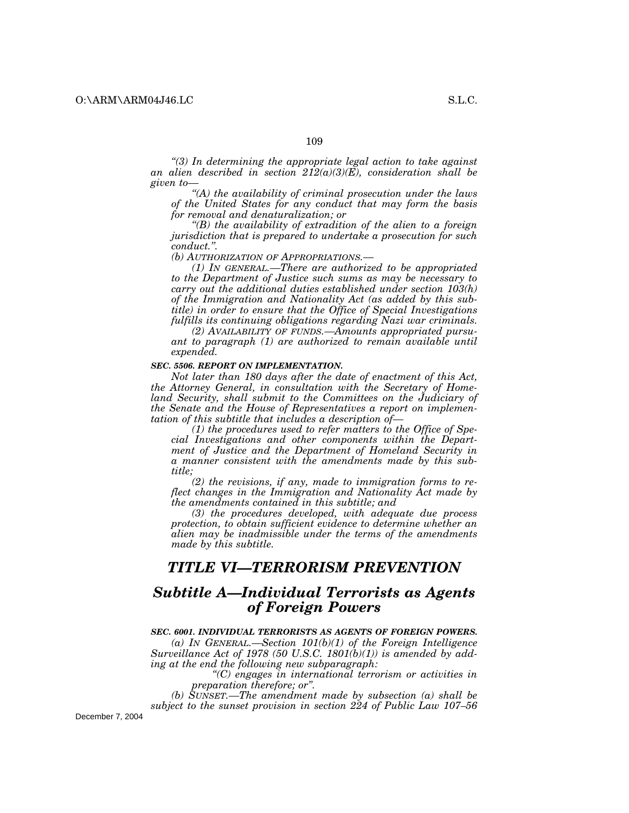*''(3) In determining the appropriate legal action to take against an alien described in section 212(a)(3)(E), consideration shall be given to—*

*''(A) the availability of criminal prosecution under the laws of the United States for any conduct that may form the basis for removal and denaturalization; or*

*''(B) the availability of extradition of the alien to a foreign jurisdiction that is prepared to undertake a prosecution for such conduct.''.*

*(b) AUTHORIZATION OF APPROPRIATIONS.—*

*(1) IN GENERAL.—There are authorized to be appropriated to the Department of Justice such sums as may be necessary to carry out the additional duties established under section 103(h) of the Immigration and Nationality Act (as added by this subtitle) in order to ensure that the Office of Special Investigations fulfills its continuing obligations regarding Nazi war criminals.*

*(2) AVAILABILITY OF FUNDS.—Amounts appropriated pursuant to paragraph (1) are authorized to remain available until expended.*

#### *SEC. 5506. REPORT ON IMPLEMENTATION.*

*Not later than 180 days after the date of enactment of this Act, the Attorney General, in consultation with the Secretary of Homeland Security, shall submit to the Committees on the Judiciary of the Senate and the House of Representatives a report on implementation of this subtitle that includes a description of—*

*(1) the procedures used to refer matters to the Office of Special Investigations and other components within the Department of Justice and the Department of Homeland Security in a manner consistent with the amendments made by this subtitle;*

*(2) the revisions, if any, made to immigration forms to reflect changes in the Immigration and Nationality Act made by the amendments contained in this subtitle; and*

*(3) the procedures developed, with adequate due process protection, to obtain sufficient evidence to determine whether an alien may be inadmissible under the terms of the amendments made by this subtitle.*

## *TITLE VI—TERRORISM PREVENTION*

## *Subtitle A—Individual Terrorists as Agents of Foreign Powers*

*SEC. 6001. INDIVIDUAL TERRORISTS AS AGENTS OF FOREIGN POWERS.*

*(a) IN GENERAL.—Section 101(b)(1) of the Foreign Intelligence Surveillance Act of 1978 (50 U.S.C. 1801(b)(1)) is amended by adding at the end the following new subparagraph:*

*''(C) engages in international terrorism or activities in preparation therefore; or''.*

*(b) SUNSET.—The amendment made by subsection (a) shall be subject to the sunset provision in section 224 of Public Law 107–56*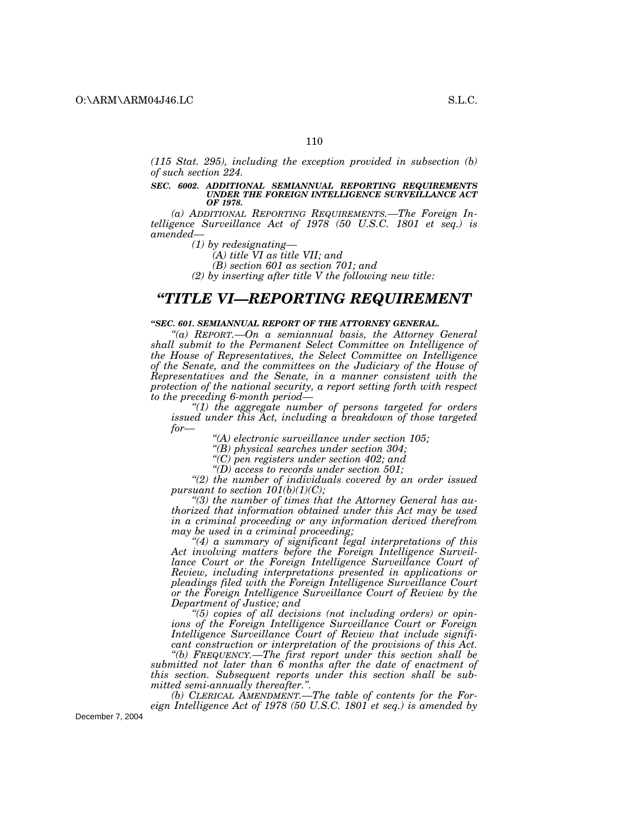*(115 Stat. 295), including the exception provided in subsection (b) of such section 224.*

#### *SEC. 6002. ADDITIONAL SEMIANNUAL REPORTING REQUIREMENTS UNDER THE FOREIGN INTELLIGENCE SURVEILLANCE ACT OF 1978.*

*(a) ADDITIONAL REPORTING REQUIREMENTS.—The Foreign Intelligence Surveillance Act of 1978 (50 U.S.C. 1801 et seq.) is amended—*

*(1) by redesignating—*

*(A) title VI as title VII; and*

*(B) section 601 as section 701; and*

*(2) by inserting after title V the following new title:*

## *''TITLE VI—REPORTING REQUIREMENT*

### *''SEC. 601. SEMIANNUAL REPORT OF THE ATTORNEY GENERAL.*

*''(a) REPORT.—On a semiannual basis, the Attorney General shall submit to the Permanent Select Committee on Intelligence of the House of Representatives, the Select Committee on Intelligence of the Senate, and the committees on the Judiciary of the House of Representatives and the Senate, in a manner consistent with the protection of the national security, a report setting forth with respect to the preceding 6-month period—*

*''(1) the aggregate number of persons targeted for orders issued under this Act, including a breakdown of those targeted for—*

*''(A) electronic surveillance under section 105;*

*''(B) physical searches under section 304;*

*''(C) pen registers under section 402; and*

*''(D) access to records under section 501;*

*''(2) the number of individuals covered by an order issued pursuant to section 101(b)(1)(C);*

*''(3) the number of times that the Attorney General has authorized that information obtained under this Act may be used in a criminal proceeding or any information derived therefrom may be used in a criminal proceeding;*

*''(4) a summary of significant legal interpretations of this Act involving matters before the Foreign Intelligence Surveillance Court or the Foreign Intelligence Surveillance Court of Review, including interpretations presented in applications or pleadings filed with the Foreign Intelligence Surveillance Court or the Foreign Intelligence Surveillance Court of Review by the Department of Justice; and*

*''(5) copies of all decisions (not including orders) or opinions of the Foreign Intelligence Surveillance Court or Foreign Intelligence Surveillance Court of Review that include significant construction or interpretation of the provisions of this Act.*

*''(b) FREQUENCY.—The first report under this section shall be submitted not later than 6 months after the date of enactment of this section. Subsequent reports under this section shall be submitted semi-annually thereafter.''.*

*(b) CLERICAL AMENDMENT.—The table of contents for the Foreign Intelligence Act of 1978 (50 U.S.C. 1801 et seq.) is amended by*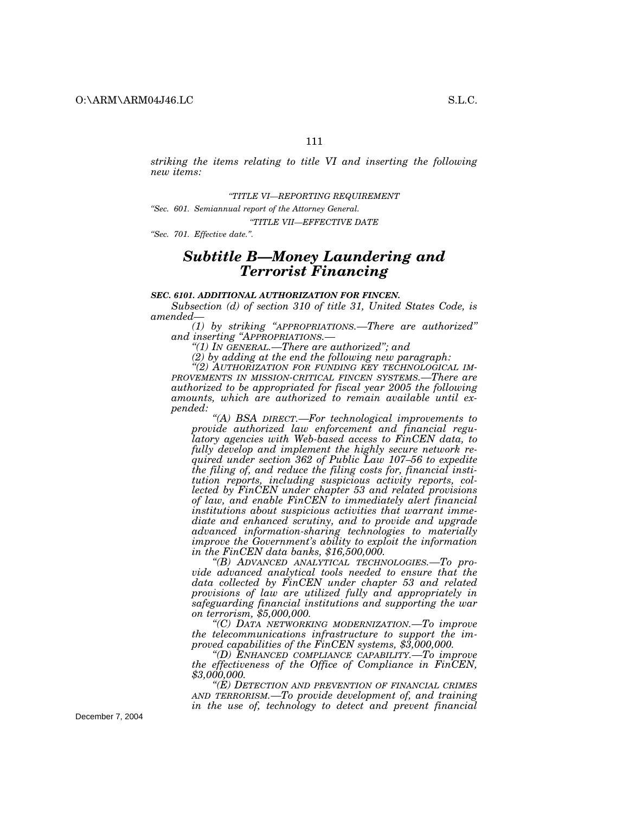*striking the items relating to title VI and inserting the following new items:*

*''TITLE VI—REPORTING REQUIREMENT ''Sec. 601. Semiannual report of the Attorney General. ''TITLE VII—EFFECTIVE DATE*

*''Sec. 701. Effective date.''.*

# *Subtitle B—Money Laundering and Terrorist Financing*

### *SEC. 6101. ADDITIONAL AUTHORIZATION FOR FINCEN.*

*Subsection (d) of section 310 of title 31, United States Code, is amended—*

*(1) by striking ''APPROPRIATIONS.—There are authorized''*

*and inserting ''APPROPRIATIONS.— ''(1) IN GENERAL.—There are authorized''; and*

*(2) by adding at the end the following new paragraph: PROVEMENTS IN MISSION-CRITICAL FINCEN SYSTEMS.—There are authorized to be appropriated for fiscal year 2005 the following amounts, which are authorized to remain available until expended:*

*''(A) BSA DIRECT.—For technological improvements to provide authorized law enforcement and financial regulatory agencies with Web-based access to FinCEN data, to fully develop and implement the highly secure network required under section 362 of Public Law 107–56 to expedite the filing of, and reduce the filing costs for, financial institution reports, including suspicious activity reports, collected by FinCEN under chapter 53 and related provisions of law, and enable FinCEN to immediately alert financial institutions about suspicious activities that warrant immediate and enhanced scrutiny, and to provide and upgrade advanced information-sharing technologies to materially improve the Government's ability to exploit the information in the FinCEN data banks, \$16,500,000.*

*''(B) ADVANCED ANALYTICAL TECHNOLOGIES.—To provide advanced analytical tools needed to ensure that the data collected by FinCEN under chapter 53 and related provisions of law are utilized fully and appropriately in safeguarding financial institutions and supporting the war on terrorism, \$5,000,000.*

*''(C) DATA NETWORKING MODERNIZATION.—To improve the telecommunications infrastructure to support the improved capabilities of the FinCEN systems, \$3,000,000.*

*''(D) ENHANCED COMPLIANCE CAPABILITY.—To improve the effectiveness of the Office of Compliance in FinCEN, \$3,000,000.*

*''(E) DETECTION AND PREVENTION OF FINANCIAL CRIMES AND TERRORISM.—To provide development of, and training in the use of, technology to detect and prevent financial*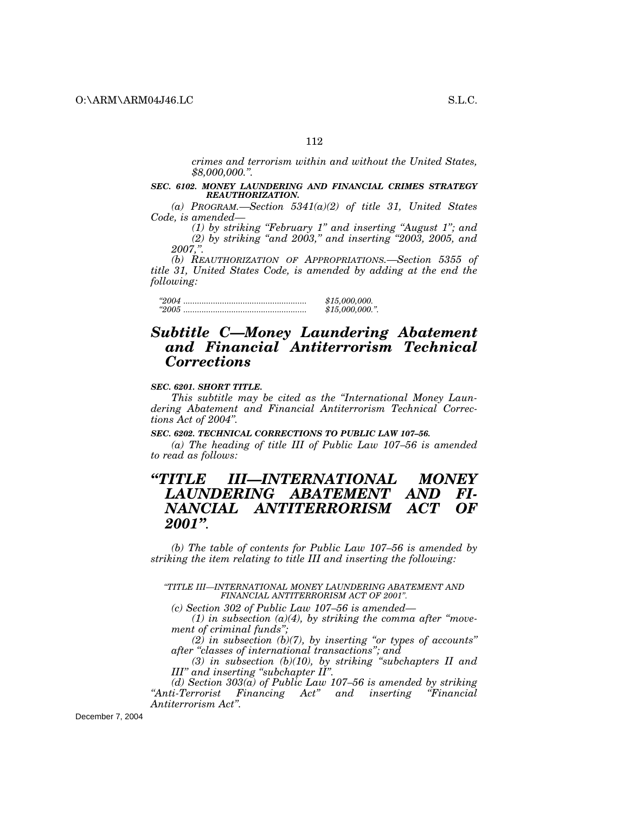*crimes and terrorism within and without the United States, \$8,000,000.''.*

## *SEC. 6102. MONEY LAUNDERING AND FINANCIAL CRIMES STRATEGY REAUTHORIZATION.*

*(a) PROGRAM.—Section 5341(a)(2) of title 31, United States Code, is amended—*

*(1) by striking ''February 1'' and inserting ''August 1''; and (2) by striking ''and 2003,'' and inserting ''2003, 2005, and 2007,''.*

*(b) REAUTHORIZATION OF APPROPRIATIONS.—Section 5355 of title 31, United States Code, is amended by adding at the end the following:*

*''2004 ...................................................... \$15,000,000. ''2005 ...................................................... \$15,000,000.''.*

# *Subtitle C—Money Laundering Abatement and Financial Antiterrorism Technical Corrections*

### *SEC. 6201. SHORT TITLE.*

*This subtitle may be cited as the ''International Money Laundering Abatement and Financial Antiterrorism Technical Corrections Act of 2004''.*

*SEC. 6202. TECHNICAL CORRECTIONS TO PUBLIC LAW 107–56.*

*(a) The heading of title III of Public Law 107–56 is amended to read as follows:*

# *''TITLE III—INTERNATIONAL MONEY LAUNDERING ABATEMENT AND FI-NANCIAL ANTITERRORISM ACT OF 2001''.*

*(b) The table of contents for Public Law 107–56 is amended by striking the item relating to title III and inserting the following:*

*''TITLE III—INTERNATIONAL MONEY LAUNDERING ABATEMENT AND FINANCIAL ANTITERRORISM ACT OF 2001''.*

*(c) Section 302 of Public Law 107–56 is amended—*

*(1) in subsection (a)(4), by striking the comma after ''movement of criminal funds'';*

 $(2)$  in subsection  $(b)(7)$ , by inserting "or types of accounts" *after ''classes of international transactions''; and*

*(3) in subsection (b)(10), by striking ''subchapters II and III'' and inserting ''subchapter II''.*

*(d) Section 303(a) of Public Law 107–56 is amended by striking ''Anti-Terrorist Financing Act'' and inserting ''Financial Antiterrorism Act''.*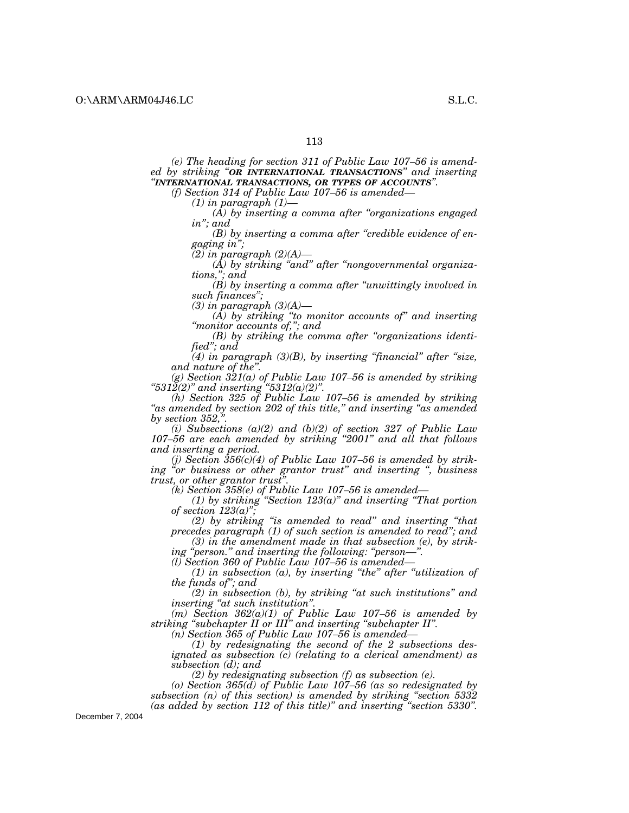*(e) The heading for section 311 of Public Law 107–56 is amended by striking ''OR INTERNATIONAL TRANSACTIONS'' and inserting ''INTERNATIONAL TRANSACTIONS, OR TYPES OF ACCOUNTS''.*

*(f) Section 314 of Public Law 107–56 is amended—*

*(1) in paragraph (1)—*

*(A) by inserting a comma after ''organizations engaged in''; and*

*(B) by inserting a comma after ''credible evidence of engaging in'';*

*(2) in paragraph (2)(A)—*

*(A) by striking ''and'' after ''nongovernmental organizations,''; and*

*(B) by inserting a comma after ''unwittingly involved in such finances'';*

*(3) in paragraph (3)(A)—*

*(A) by striking ''to monitor accounts of'' and inserting ''monitor accounts of,''; and*

*(B) by striking the comma after ''organizations identified''; and*

*(4) in paragraph (3)(B), by inserting ''financial'' after ''size, and nature of the''.*

*(g) Section 321(a) of Public Law 107–56 is amended by striking ''5312(2)'' and inserting ''5312(a)(2)''.*

*(h) Section 325 of Public Law 107–56 is amended by striking ''as amended by section 202 of this title,'' and inserting ''as amended by section 352,''.*

*(i) Subsections (a)(2) and (b)(2) of section 327 of Public Law 107–56 are each amended by striking ''2001'' and all that follows and inserting a period.*

*(j) Section 356(c)(4) of Public Law 107–56 is amended by striking ''or business or other grantor trust'' and inserting '', business trust, or other grantor trust''.*

*(k) Section 358(e) of Public Law 107–56 is amended—*

*(1) by striking ''Section 123(a)'' and inserting ''That portion of section 123(a)'';*

*(2) by striking ''is amended to read'' and inserting ''that precedes paragraph (1) of such section is amended to read''; and*

*(3) in the amendment made in that subsection (e), by striking ''person.'' and inserting the following: ''person—''.*

*(l) Section 360 of Public Law 107–56 is amended—*

*(1) in subsection (a), by inserting ''the'' after ''utilization of the funds of''; and*

*(2) in subsection (b), by striking ''at such institutions'' and inserting ''at such institution''.*

*(m) Section 362(a)(1) of Public Law 107–56 is amended by striking ''subchapter II or III'' and inserting ''subchapter II''.*

*(n) Section 365 of Public Law 107–56 is amended—*

*(1) by redesignating the second of the 2 subsections designated as subsection (c) (relating to a clerical amendment) as subsection (d); and*

*(2) by redesignating subsection (f) as subsection (e).*

*(o) Section 365(d) of Public Law 107–56 (as so redesignated by subsection (n) of this section) is amended by striking ''section 5332 (as added by section 112 of this title)'' and inserting ''section 5330''.*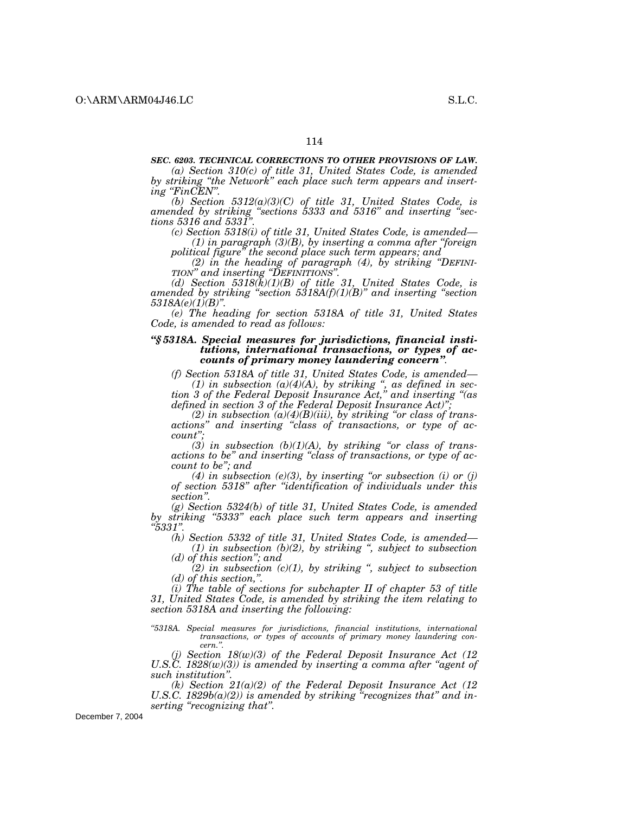*SEC. 6203. TECHNICAL CORRECTIONS TO OTHER PROVISIONS OF LAW.*

*(a) Section 310(c) of title 31, United States Code, is amended by striking ''the Network'' each place such term appears and inserting ''FinCEN''.*

*(b) Section 5312(a)(3)(C) of title 31, United States Code, is amended by striking ''sections 5333 and 5316'' and inserting ''sections 5316 and 5331''.*

*(c) Section 5318(i) of title 31, United States Code, is amended— (1) in paragraph (3)(B), by inserting a comma after ''foreign political figure'' the second place such term appears; and*

*(2) in the heading of paragraph (4), by striking ''DEFINI- TION'' and inserting ''DEFINITIONS''.*

*(d) Section 5318(k)(1)(B) of title 31, United States Code, is amended by striking ''section 5318A(f)(1)(B)'' and inserting ''section 5318A(e)(1)(B)''.*

*(e) The heading for section 5318A of title 31, United States Code, is amended to read as follows:*

### *''§ 5318A. Special measures for jurisdictions, financial institutions, international transactions, or types of accounts of primary money laundering concern''.*

*(f) Section 5318A of title 31, United States Code, is amended— (1) in subsection (a)(4)(A), by striking '', as defined in sec-*

*tion 3 of the Federal Deposit Insurance Act,'' and inserting ''(as defined in section 3 of the Federal Deposit Insurance Act)'';*

*(2) in subsection (a)(4)(B)(iii), by striking ''or class of transactions'' and inserting ''class of transactions, or type of account'';*

*(3) in subsection (b)(1)(A), by striking ''or class of transactions to be'' and inserting ''class of transactions, or type of account to be''; and*

*(4) in subsection (e)(3), by inserting ''or subsection (i) or (j) of section 5318'' after ''identification of individuals under this section''.*

*(g) Section 5324(b) of title 31, United States Code, is amended by striking ''5333'' each place such term appears and inserting ''5331''.*

*(h) Section 5332 of title 31, United States Code, is amended— (1) in subsection (b)(2), by striking '', subject to subsection (d) of this section''; and*

*(2) in subsection (c)(1), by striking '', subject to subsection (d) of this section,''.*

*(i) The table of sections for subchapter II of chapter 53 of title 31, United States Code, is amended by striking the item relating to section 5318A and inserting the following:*

*''5318A. Special measures for jurisdictions, financial institutions, international transactions, or types of accounts of primary money laundering concern.''.*

*(j) Section 18(w)(3) of the Federal Deposit Insurance Act (12 U.S.C. 1828(w)(3)) is amended by inserting a comma after ''agent of such institution''.*

*(k) Section 21(a)(2) of the Federal Deposit Insurance Act (12 U.S.C. 1829b(a)(2)) is amended by striking ''recognizes that'' and inserting ''recognizing that''.*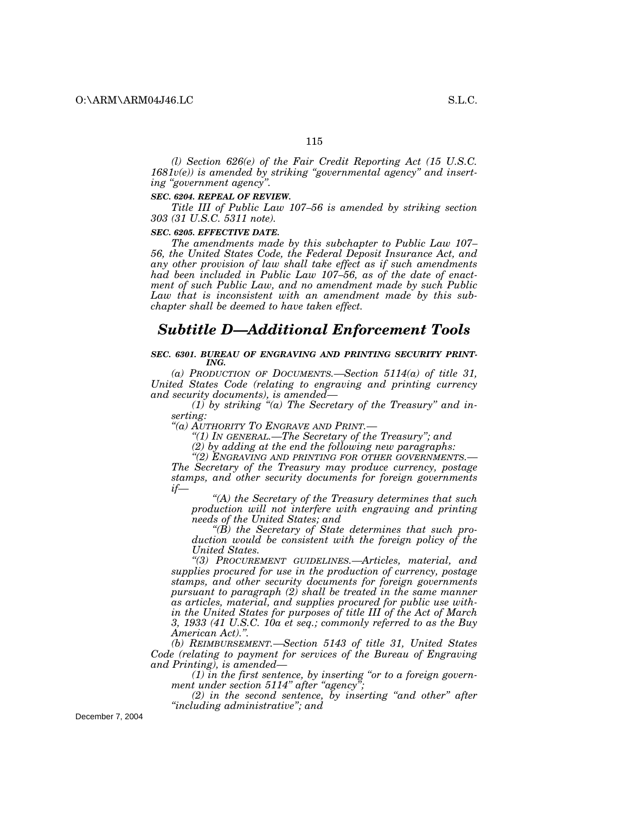*(l) Section 626(e) of the Fair Credit Reporting Act (15 U.S.C. 1681v(e)) is amended by striking ''governmental agency'' and inserting ''government agency''.*

#### *SEC. 6204. REPEAL OF REVIEW.*

*Title III of Public Law 107–56 is amended by striking section 303 (31 U.S.C. 5311 note).*

#### *SEC. 6205. EFFECTIVE DATE.*

*The amendments made by this subchapter to Public Law 107– 56, the United States Code, the Federal Deposit Insurance Act, and any other provision of law shall take effect as if such amendments had been included in Public Law 107–56, as of the date of enactment of such Public Law, and no amendment made by such Public Law that is inconsistent with an amendment made by this subchapter shall be deemed to have taken effect.*

## *Subtitle D—Additional Enforcement Tools*

### *SEC. 6301. BUREAU OF ENGRAVING AND PRINTING SECURITY PRINT-ING.*

*(a) PRODUCTION OF DOCUMENTS.—Section 5114(a) of title 31, United States Code (relating to engraving and printing currency and security documents), is amended—*

*(1) by striking ''(a) The Secretary of the Treasury'' and inserting:*

*''(a) AUTHORITY TO ENGRAVE AND PRINT.—*

*''(1) IN GENERAL.—The Secretary of the Treasury''; and*

*(2) by adding at the end the following new paragraphs:*

*''(2) ENGRAVING AND PRINTING FOR OTHER GOVERNMENTS.—*

*The Secretary of the Treasury may produce currency, postage stamps, and other security documents for foreign governments if—*

*''(A) the Secretary of the Treasury determines that such production will not interfere with engraving and printing needs of the United States; and*

*''(B) the Secretary of State determines that such production would be consistent with the foreign policy of the United States.*

*''(3) PROCUREMENT GUIDELINES.—Articles, material, and supplies procured for use in the production of currency, postage stamps, and other security documents for foreign governments pursuant to paragraph (2) shall be treated in the same manner as articles, material, and supplies procured for public use within the United States for purposes of title III of the Act of March 3, 1933 (41 U.S.C. 10a et seq.; commonly referred to as the Buy American Act).''.*

*(b) REIMBURSEMENT.—Section 5143 of title 31, United States Code (relating to payment for services of the Bureau of Engraving and Printing), is amended—*

*(1) in the first sentence, by inserting ''or to a foreign government under section 5114'' after ''agency'';*

*(2) in the second sentence, by inserting ''and other'' after ''including administrative''; and*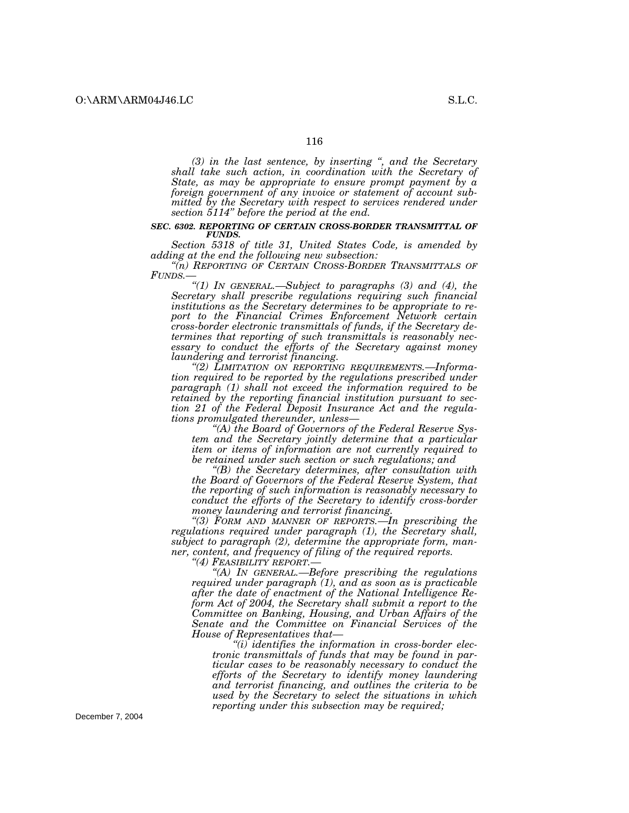*(3) in the last sentence, by inserting '', and the Secretary shall take such action, in coordination with the Secretary of State, as may be appropriate to ensure prompt payment by a foreign government of any invoice or statement of account submitted by the Secretary with respect to services rendered under section 5114'' before the period at the end.*

### *SEC. 6302. REPORTING OF CERTAIN CROSS-BORDER TRANSMITTAL OF FUNDS.*

*Section 5318 of title 31, United States Code, is amended by adding at the end the following new subsection:*

*''(n) REPORTING OF CERTAIN CROSS-BORDER TRANSMITTALS OF FUNDS.—*

*''(1) IN GENERAL.—Subject to paragraphs (3) and (4), the Secretary shall prescribe regulations requiring such financial institutions as the Secretary determines to be appropriate to report to the Financial Crimes Enforcement Network certain cross-border electronic transmittals of funds, if the Secretary determines that reporting of such transmittals is reasonably necessary to conduct the efforts of the Secretary against money laundering and terrorist financing.*

*''(2) LIMITATION ON REPORTING REQUIREMENTS.—Information required to be reported by the regulations prescribed under paragraph (1) shall not exceed the information required to be retained by the reporting financial institution pursuant to section 21 of the Federal Deposit Insurance Act and the regulations promulgated thereunder, unless—*

*''(A) the Board of Governors of the Federal Reserve System and the Secretary jointly determine that a particular item or items of information are not currently required to be retained under such section or such regulations; and*

*''(B) the Secretary determines, after consultation with the Board of Governors of the Federal Reserve System, that the reporting of such information is reasonably necessary to conduct the efforts of the Secretary to identify cross-border money laundering and terrorist financing.*

*''(3) FORM AND MANNER OF REPORTS.—In prescribing the regulations required under paragraph (1), the Secretary shall, subject to paragraph (2), determine the appropriate form, manner, content, and frequency of filing of the required reports.*

*''(4) FEASIBILITY REPORT.—*

*''(A) IN GENERAL.—Before prescribing the regulations required under paragraph (1), and as soon as is practicable after the date of enactment of the National Intelligence Reform Act of 2004, the Secretary shall submit a report to the Committee on Banking, Housing, and Urban Affairs of the Senate and the Committee on Financial Services of the House of Representatives that—*

*''(i) identifies the information in cross-border electronic transmittals of funds that may be found in particular cases to be reasonably necessary to conduct the efforts of the Secretary to identify money laundering and terrorist financing, and outlines the criteria to be used by the Secretary to select the situations in which reporting under this subsection may be required;*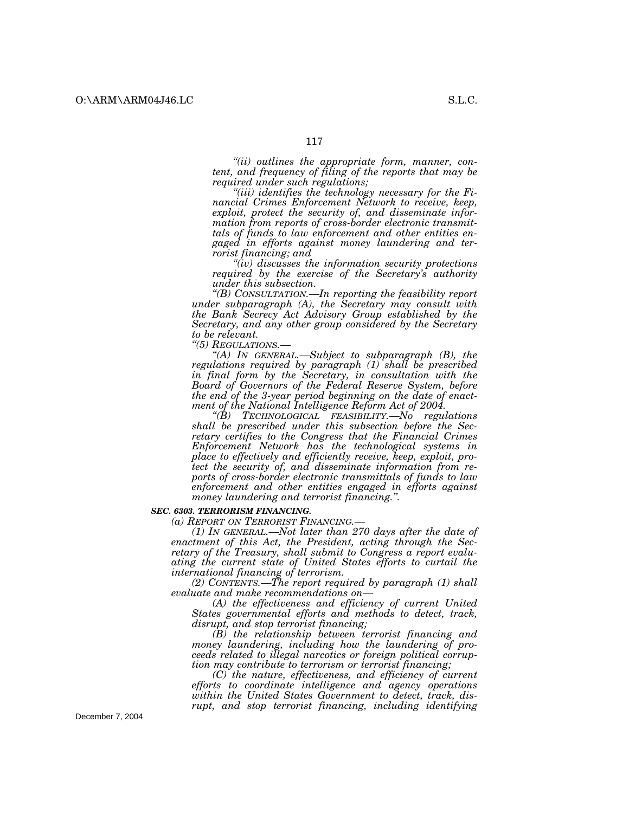*''(ii) outlines the appropriate form, manner, content, and frequency of filing of the reports that may be required under such regulations;*

*''(iii) identifies the technology necessary for the Financial Crimes Enforcement Network to receive, keep, exploit, protect the security of, and disseminate information from reports of cross-border electronic transmittals of funds to law enforcement and other entities engaged in efforts against money laundering and terrorist financing; and*

*''(iv) discusses the information security protections required by the exercise of the Secretary's authority under this subsection.*

*''(B) CONSULTATION.—In reporting the feasibility report under subparagraph (A), the Secretary may consult with the Bank Secrecy Act Advisory Group established by the Secretary, and any other group considered by the Secretary to be relevant.*

*''(5) REGULATIONS.— ''(A) IN GENERAL.—Subject to subparagraph (B), the regulations required by paragraph (1) shall be prescribed in final form by the Secretary, in consultation with the Board of Governors of the Federal Reserve System, before the end of the 3-year period beginning on the date of enactment of the National Intelligence Reform Act of 2004.*

*''(B) TECHNOLOGICAL FEASIBILITY.—No regulations shall be prescribed under this subsection before the Secretary certifies to the Congress that the Financial Crimes Enforcement Network has the technological systems in place to effectively and efficiently receive, keep, exploit, protect the security of, and disseminate information from reports of cross-border electronic transmittals of funds to law enforcement and other entities engaged in efforts against money laundering and terrorist financing.''.*

## *SEC. 6303. TERRORISM FINANCING.*

*(a) REPORT ON TERRORIST FINANCING.— (1) IN GENERAL.—Not later than 270 days after the date of enactment of this Act, the President, acting through the Secretary of the Treasury, shall submit to Congress a report evaluating the current state of United States efforts to curtail the international financing of terrorism.*

*(2) CONTENTS.—The report required by paragraph (1) shall evaluate and make recommendations on—*

*(A) the effectiveness and efficiency of current United States governmental efforts and methods to detect, track, disrupt, and stop terrorist financing;*

*(B) the relationship between terrorist financing and money laundering, including how the laundering of proceeds related to illegal narcotics or foreign political corruption may contribute to terrorism or terrorist financing;*

*(C) the nature, effectiveness, and efficiency of current efforts to coordinate intelligence and agency operations within the United States Government to detect, track, disrupt, and stop terrorist financing, including identifying*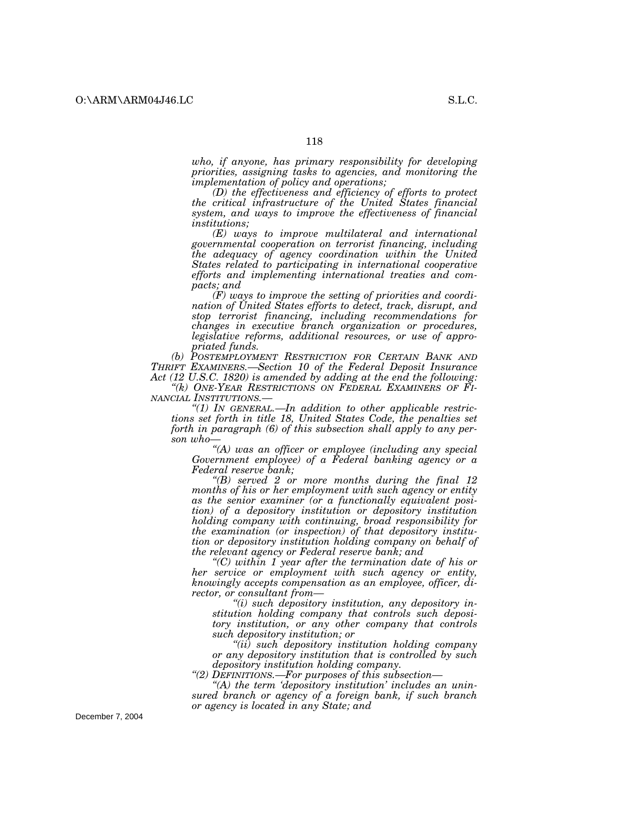*who, if anyone, has primary responsibility for developing priorities, assigning tasks to agencies, and monitoring the implementation of policy and operations;*

*(D) the effectiveness and efficiency of efforts to protect the critical infrastructure of the United States financial system, and ways to improve the effectiveness of financial institutions;*

*(E) ways to improve multilateral and international governmental cooperation on terrorist financing, including the adequacy of agency coordination within the United States related to participating in international cooperative efforts and implementing international treaties and compacts; and*

*(F) ways to improve the setting of priorities and coordination of United States efforts to detect, track, disrupt, and stop terrorist financing, including recommendations for changes in executive branch organization or procedures, legislative reforms, additional resources, or use of appropriated funds.*

*(b) POSTEMPLOYMENT RESTRICTION FOR CERTAIN BANK AND THRIFT EXAMINERS.—Section 10 of the Federal Deposit Insurance Act (12 U.S.C. 1820) is amended by adding at the end the following:*

*''(k) ONE-YEAR RESTRICTIONS ON FEDERAL EXAMINERS OF FI- NANCIAL INSTITUTIONS.— ''(1) IN GENERAL.—In addition to other applicable restric-*

*tions set forth in title 18, United States Code, the penalties set forth in paragraph (6) of this subsection shall apply to any person who—*

*''(A) was an officer or employee (including any special Government employee) of a Federal banking agency or a Federal reserve bank;*

*''(B) served 2 or more months during the final 12 months of his or her employment with such agency or entity as the senior examiner (or a functionally equivalent position) of a depository institution or depository institution holding company with continuing, broad responsibility for the examination (or inspection) of that depository institution or depository institution holding company on behalf of the relevant agency or Federal reserve bank; and*

*''(C) within 1 year after the termination date of his or her service or employment with such agency or entity, knowingly accepts compensation as an employee, officer, director, or consultant from—*

*''(i) such depository institution, any depository institution holding company that controls such depository institution, or any other company that controls such depository institution; or*

*''(ii) such depository institution holding company or any depository institution that is controlled by such depository institution holding company.*

*''(2) DEFINITIONS.—For purposes of this subsection—*

*''(A) the term 'depository institution' includes an uninsured branch or agency of a foreign bank, if such branch or agency is located in any State; and*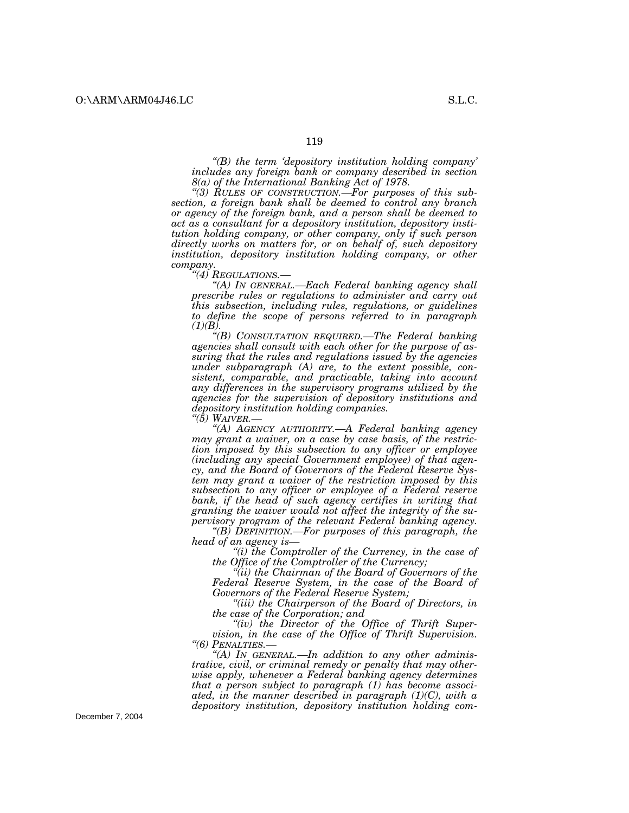*''(B) the term 'depository institution holding company' includes any foreign bank or company described in section 8(a) of the International Banking Act of 1978.*

*''(3) RULES OF CONSTRUCTION.—For purposes of this subsection, a foreign bank shall be deemed to control any branch or agency of the foreign bank, and a person shall be deemed to act as a consultant for a depository institution, depository institution holding company, or other company, only if such person directly works on matters for, or on behalf of, such depository institution, depository institution holding company, or other company.*

*''(4) REGULATIONS.— ''(A) IN GENERAL.—Each Federal banking agency shall prescribe rules or regulations to administer and carry out this subsection, including rules, regulations, or guidelines to define the scope of persons referred to in paragraph (1)(B).*

*''(B) CONSULTATION REQUIRED.—The Federal banking agencies shall consult with each other for the purpose of assuring that the rules and regulations issued by the agencies under subparagraph (A) are, to the extent possible, consistent, comparable, and practicable, taking into account any differences in the supervisory programs utilized by the agencies for the supervision of depository institutions and depository institution holding companies.*

*''(5) WAIVER.— ''(A) AGENCY AUTHORITY.—A Federal banking agency may grant a waiver, on a case by case basis, of the restriction imposed by this subsection to any officer or employee (including any special Government employee) of that agency, and the Board of Governors of the Federal Reserve System may grant a waiver of the restriction imposed by this subsection to any officer or employee of a Federal reserve bank, if the head of such agency certifies in writing that granting the waiver would not affect the integrity of the supervisory program of the relevant Federal banking agency.*

*''(B) DEFINITION.—For purposes of this paragraph, the head of an agency is—*

*''(i) the Comptroller of the Currency, in the case of the Office of the Comptroller of the Currency;*

*''(ii) the Chairman of the Board of Governors of the Federal Reserve System, in the case of the Board of Governors of the Federal Reserve System;*

*''(iii) the Chairperson of the Board of Directors, in the case of the Corporation; and*

*''(iv) the Director of the Office of Thrift Supervision, in the case of the Office of Thrift Supervision.*

*''(A)* In GENERAL.—In addition to any other adminis*trative, civil, or criminal remedy or penalty that may otherwise apply, whenever a Federal banking agency determines that a person subject to paragraph (1) has become associated, in the manner described in paragraph (1)(C), with a depository institution, depository institution holding com-*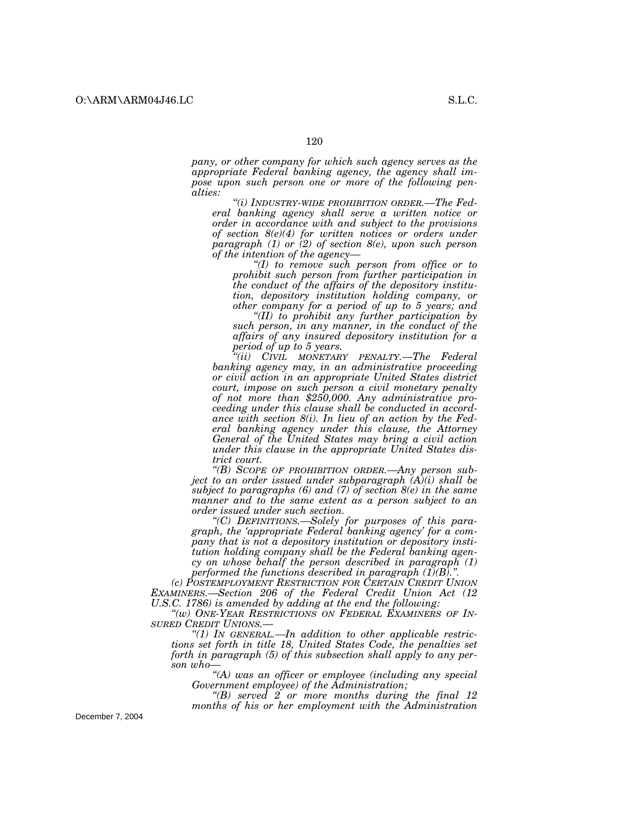*pany, or other company for which such agency serves as the appropriate Federal banking agency, the agency shall impose upon such person one or more of the following penalties:*

*''(i) INDUSTRY-WIDE PROHIBITION ORDER.—The Federal banking agency shall serve a written notice or order in accordance with and subject to the provisions of section 8(e)(4) for written notices or orders under paragraph (1) or (2) of section 8(e), upon such person of the intention of the agency—*

*''(I) to remove such person from office or to prohibit such person from further participation in the conduct of the affairs of the depository institution, depository institution holding company, or other company for a period of up to 5 years; and*

*''(II) to prohibit any further participation by such person, in any manner, in the conduct of the affairs of any insured depository institution for a period of up to 5 years.*

*''(ii) CIVIL MONETARY PENALTY.—The Federal banking agency may, in an administrative proceeding or civil action in an appropriate United States district court, impose on such person a civil monetary penalty of not more than \$250,000. Any administrative proceeding under this clause shall be conducted in accordance with section 8(i). In lieu of an action by the Federal banking agency under this clause, the Attorney General of the United States may bring a civil action under this clause in the appropriate United States district court.*

*''(B) SCOPE OF PROHIBITION ORDER.—Any person subject to an order issued under subparagraph (A)(i) shall be subject to paragraphs (6) and (7) of section 8(e) in the same manner and to the same extent as a person subject to an order issued under such section.*

*''(C) DEFINITIONS.—Solely for purposes of this paragraph, the 'appropriate Federal banking agency' for a company that is not a depository institution or depository institution holding company shall be the Federal banking agency on whose behalf the person described in paragraph (1) performed the functions described in paragraph (1)(B).''.*

*(c) POSTEMPLOYMENT RESTRICTION FOR CERTAIN CREDIT UNION EXAMINERS.—Section 206 of the Federal Credit Union Act (12 U.S.C. 1786) is amended by adding at the end the following:*

*''(w) ONE-YEAR RESTRICTIONS ON FEDERAL EXAMINERS OF IN-SURED CREDIT UNIONS.—*

*''(1) IN GENERAL.—In addition to other applicable restrictions set forth in title 18, United States Code, the penalties set forth in paragraph (5) of this subsection shall apply to any person who—*

*''(A) was an officer or employee (including any special Government employee) of the Administration;*

*''(B) served 2 or more months during the final 12 months of his or her employment with the Administration*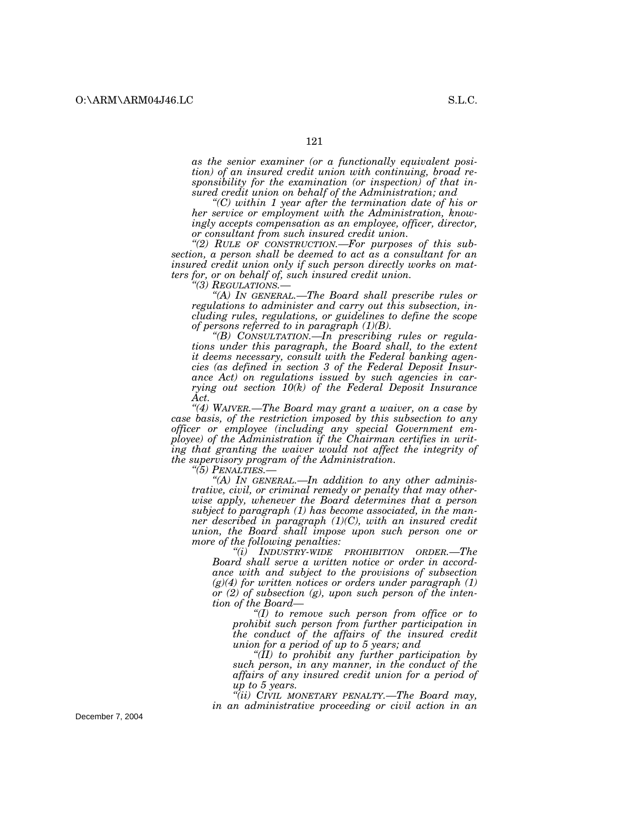*as the senior examiner (or a functionally equivalent position) of an insured credit union with continuing, broad responsibility for the examination (or inspection) of that insured credit union on behalf of the Administration; and*

*''(C) within 1 year after the termination date of his or her service or employment with the Administration, knowingly accepts compensation as an employee, officer, director, or consultant from such insured credit union.*

*''(2) RULE OF CONSTRUCTION.—For purposes of this subsection, a person shall be deemed to act as a consultant for an insured credit union only if such person directly works on matters for, or on behalf of, such insured credit union.*

*''(3) REGULATIONS.— ''(A) IN GENERAL.—The Board shall prescribe rules or regulations to administer and carry out this subsection, including rules, regulations, or guidelines to define the scope of persons referred to in paragraph (1)(B).*

*''(B) CONSULTATION.—In prescribing rules or regulations under this paragraph, the Board shall, to the extent it deems necessary, consult with the Federal banking agencies (as defined in section 3 of the Federal Deposit Insurance Act) on regulations issued by such agencies in carrying out section 10(k) of the Federal Deposit Insurance Act.*

*''(4) WAIVER.—The Board may grant a waiver, on a case by case basis, of the restriction imposed by this subsection to any officer or employee (including any special Government employee) of the Administration if the Chairman certifies in writing that granting the waiver would not affect the integrity of the supervisory program of the Administration.*

*''(5) PENALTIES.—*

*''(A) IN GENERAL.—In addition to any other administrative, civil, or criminal remedy or penalty that may otherwise apply, whenever the Board determines that a person subject to paragraph (1) has become associated, in the manner described in paragraph (1)(C), with an insured credit union, the Board shall impose upon such person one or more of the following penalties:*

*''(i) INDUSTRY-WIDE PROHIBITION ORDER.—The Board shall serve a written notice or order in accordance with and subject to the provisions of subsection (g)(4) for written notices or orders under paragraph (1) or (2) of subsection (g), upon such person of the intention of the Board—*

*''(I) to remove such person from office or to prohibit such person from further participation in the conduct of the affairs of the insured credit union for a period of up to 5 years; and*

*''(II) to prohibit any further participation by such person, in any manner, in the conduct of the affairs of any insured credit union for a period of up to 5 years.*

*''(ii) CIVIL MONETARY PENALTY.—The Board may, in an administrative proceeding or civil action in an*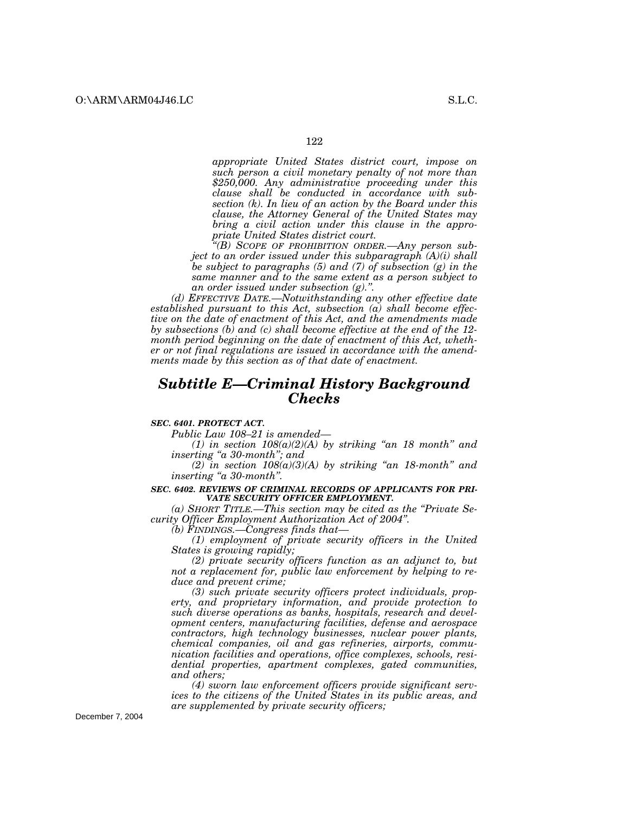*appropriate United States district court, impose on such person a civil monetary penalty of not more than \$250,000. Any administrative proceeding under this clause shall be conducted in accordance with subsection (k). In lieu of an action by the Board under this clause, the Attorney General of the United States may bring a civil action under this clause in the appropriate United States district court.*

*''(B) SCOPE OF PROHIBITION ORDER.—Any person subject to an order issued under this subparagraph (A)(i) shall be subject to paragraphs (5) and (7) of subsection (g) in the same manner and to the same extent as a person subject to an order issued under subsection (g).''.*

*(d) EFFECTIVE DATE.—Notwithstanding any other effective date established pursuant to this Act, subsection (a) shall become effective on the date of enactment of this Act, and the amendments made by subsections (b) and (c) shall become effective at the end of the 12 month period beginning on the date of enactment of this Act, whether or not final regulations are issued in accordance with the amendments made by this section as of that date of enactment.*

## *Subtitle E—Criminal History Background Checks*

*SEC. 6401. PROTECT ACT.*

*Public Law 108–21 is amended—*

*(1) in section 108(a)(2)(A) by striking ''an 18 month'' and inserting ''a 30-month''; and*

 $(2)$  in section  $108(a)(3)(A)$  by striking "an 18-month" and *inserting ''a 30-month''.*

*SEC. 6402. REVIEWS OF CRIMINAL RECORDS OF APPLICANTS FOR PRI-VATE SECURITY OFFICER EMPLOYMENT.*

*(a) SHORT TITLE.—This section may be cited as the ''Private Security Officer Employment Authorization Act of 2004''.*

*(b) FINDINGS.—Congress finds that—*

*(1) employment of private security officers in the United States is growing rapidly;*

*(2) private security officers function as an adjunct to, but not a replacement for, public law enforcement by helping to reduce and prevent crime;*

*(3) such private security officers protect individuals, property, and proprietary information, and provide protection to such diverse operations as banks, hospitals, research and development centers, manufacturing facilities, defense and aerospace contractors, high technology businesses, nuclear power plants, chemical companies, oil and gas refineries, airports, communication facilities and operations, office complexes, schools, residential properties, apartment complexes, gated communities, and others;*

*(4) sworn law enforcement officers provide significant services to the citizens of the United States in its public areas, and are supplemented by private security officers;*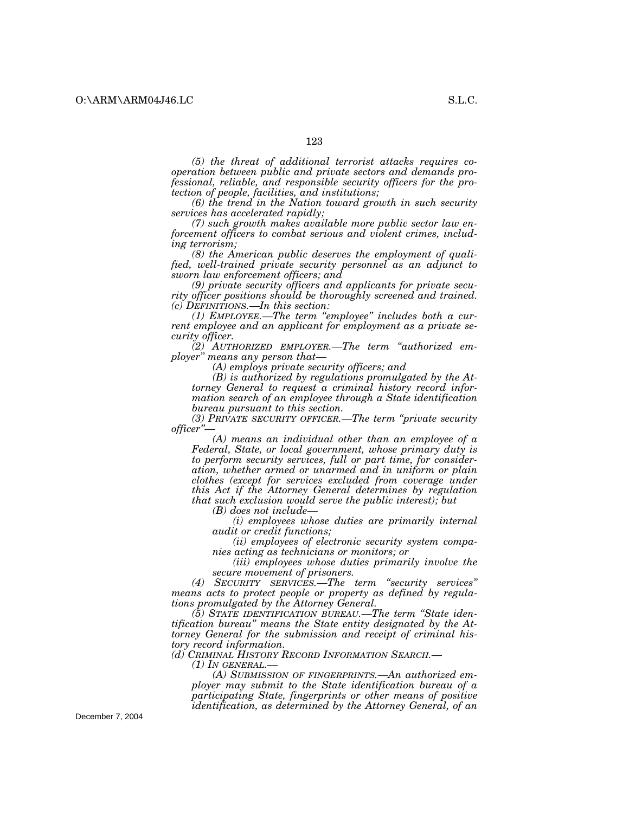*(5) the threat of additional terrorist attacks requires cooperation between public and private sectors and demands professional, reliable, and responsible security officers for the protection of people, facilities, and institutions;*

*(6) the trend in the Nation toward growth in such security services has accelerated rapidly;*

*(7) such growth makes available more public sector law enforcement officers to combat serious and violent crimes, including terrorism;*

*(8) the American public deserves the employment of qualified, well-trained private security personnel as an adjunct to sworn law enforcement officers; and*

*(9) private security officers and applicants for private security officer positions should be thoroughly screened and trained. (c) DEFINITIONS.—In this section:*

*(1) EMPLOYEE.—The term ''employee'' includes both a current employee and an applicant for employment as a private security officer.*

*(2) AUTHORIZED EMPLOYER.—The term ''authorized employer'' means any person that—*

*(A) employs private security officers; and*

*(B) is authorized by regulations promulgated by the Attorney General to request a criminal history record information search of an employee through a State identification bureau pursuant to this section.*

*(3) PRIVATE SECURITY OFFICER.—The term ''private security officer''—*

*(A) means an individual other than an employee of a Federal, State, or local government, whose primary duty is to perform security services, full or part time, for consideration, whether armed or unarmed and in uniform or plain clothes (except for services excluded from coverage under this Act if the Attorney General determines by regulation that such exclusion would serve the public interest); but*

*(B) does not include—*

*(i) employees whose duties are primarily internal audit or credit functions;*

*(ii) employees of electronic security system companies acting as technicians or monitors; or*

*(iii) employees whose duties primarily involve the secure movement of prisoners.*

*(4) SECURITY SERVICES.—The term ''security services'' means acts to protect people or property as defined by regulations promulgated by the Attorney General.*

*(5) STATE IDENTIFICATION BUREAU.—The term ''State identification bureau'' means the State entity designated by the Attorney General for the submission and receipt of criminal history record information.*

*(d) CRIMINAL HISTORY RECORD INFORMATION SEARCH.— (1) IN GENERAL.—*

*(A) SUBMISSION OF FINGERPRINTS.—An authorized employer may submit to the State identification bureau of a participating State, fingerprints or other means of positive identification, as determined by the Attorney General, of an*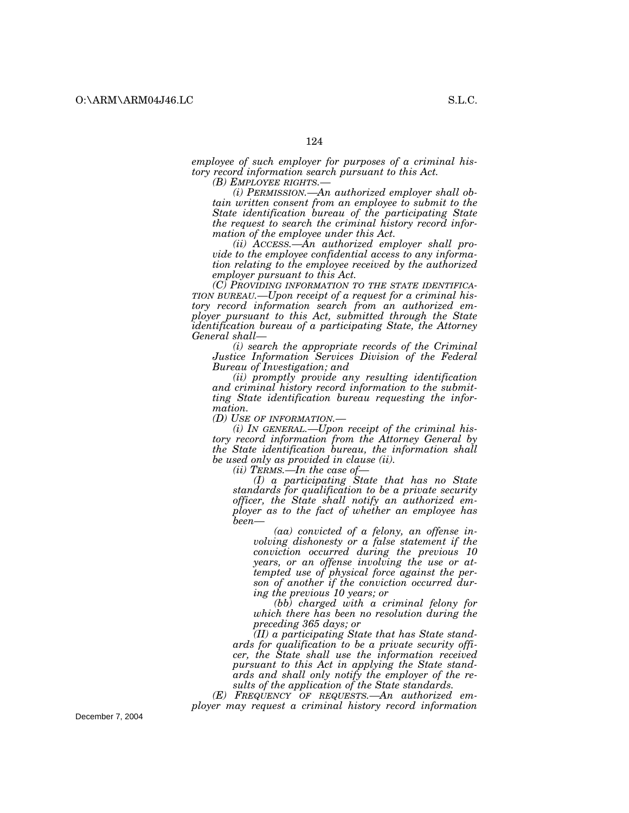*employee of such employer for purposes of a criminal history record information search pursuant to this Act.*

(*i*) PERMISSION.—An authorized employer shall ob*tain written consent from an employee to submit to the State identification bureau of the participating State the request to search the criminal history record information of the employee under this Act.*

*(ii) ACCESS.—An authorized employer shall provide to the employee confidential access to any information relating to the employee received by the authorized employer pursuant to this Act.*

*(TION BUREAU.—Upon receipt of a request for a criminal history record information search from an authorized employer pursuant to this Act, submitted through the State identification bureau of a participating State, the Attorney General shall—*

*(i) search the appropriate records of the Criminal Justice Information Services Division of the Federal Bureau of Investigation; and*

*(ii) promptly provide any resulting identification and criminal history record information to the submitting State identification bureau requesting the infor*mation.<br>*(D)* USE OF INFORMATION.—

*(i)* IN GENERAL.—Upon receipt of the criminal his*tory record information from the Attorney General by the State identification bureau, the information shall be used only as provided in clause (ii).*

*(ii) TERMS.—In the case of—*

*(I) a participating State that has no State standards for qualification to be a private security officer, the State shall notify an authorized employer as to the fact of whether an employee has been—*

*(aa) convicted of a felony, an offense involving dishonesty or a false statement if the conviction occurred during the previous 10 years, or an offense involving the use or attempted use of physical force against the person of another if the conviction occurred during the previous 10 years; or*

*(bb) charged with a criminal felony for which there has been no resolution during the preceding 365 days; or*

*(II) a participating State that has State standards for qualification to be a private security officer, the State shall use the information received pursuant to this Act in applying the State standards and shall only notify the employer of the results of the application of the State standards.*

*(E) FREQUENCY OF REQUESTS.—An authorized employer may request a criminal history record information*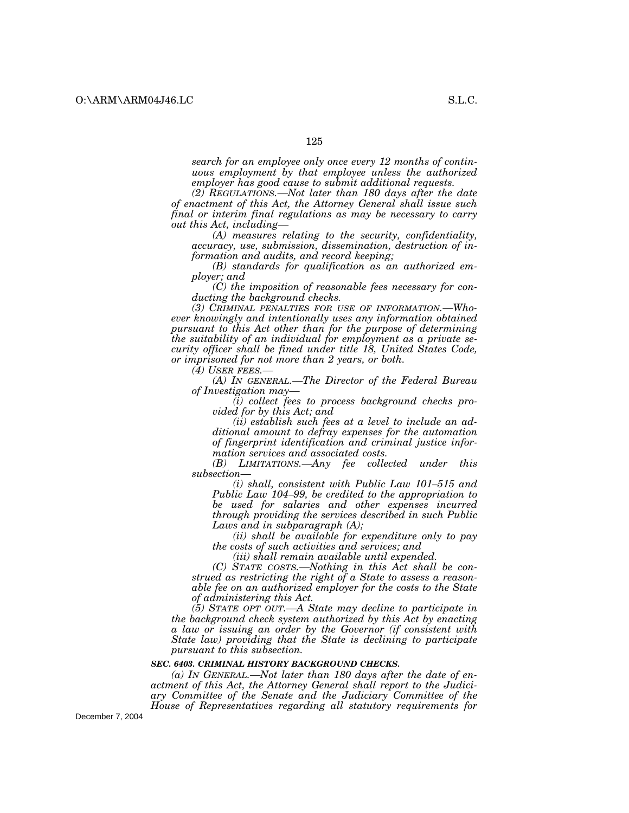*search for an employee only once every 12 months of continuous employment by that employee unless the authorized employer has good cause to submit additional requests.*

*(2) REGULATIONS.—Not later than 180 days after the date of enactment of this Act, the Attorney General shall issue such final or interim final regulations as may be necessary to carry out this Act, including—*

*(A) measures relating to the security, confidentiality, accuracy, use, submission, dissemination, destruction of information and audits, and record keeping;*

*(B) standards for qualification as an authorized employer; and*

*(C) the imposition of reasonable fees necessary for conducting the background checks.*

*(3) CRIMINAL PENALTIES FOR USE OF INFORMATION.—Whoever knowingly and intentionally uses any information obtained pursuant to this Act other than for the purpose of determining the suitability of an individual for employment as a private security officer shall be fined under title 18, United States Code, or imprisoned for not more than 2 years, or both.*

*(4) USER FEES.—*

*(A) IN GENERAL.—The Director of the Federal Bureau of Investigation may—*

*(i) collect fees to process background checks provided for by this Act; and*

*(ii) establish such fees at a level to include an additional amount to defray expenses for the automation of fingerprint identification and criminal justice information services and associated costs.*

*(B) LIMITATIONS.—Any fee collected under this subsection—*

*(i) shall, consistent with Public Law 101–515 and Public Law 104–99, be credited to the appropriation to be used for salaries and other expenses incurred through providing the services described in such Public Laws and in subparagraph (A);*

*(ii) shall be available for expenditure only to pay the costs of such activities and services; and*

*(iii) shall remain available until expended.*

*(C) STATE COSTS.—Nothing in this Act shall be construed as restricting the right of a State to assess a reasonable fee on an authorized employer for the costs to the State of administering this Act.*

*(5) STATE OPT OUT.—A State may decline to participate in the background check system authorized by this Act by enacting a law or issuing an order by the Governor (if consistent with State law) providing that the State is declining to participate pursuant to this subsection.*

#### *SEC. 6403. CRIMINAL HISTORY BACKGROUND CHECKS.*

*(a) IN GENERAL.—Not later than 180 days after the date of enactment of this Act, the Attorney General shall report to the Judiciary Committee of the Senate and the Judiciary Committee of the House of Representatives regarding all statutory requirements for*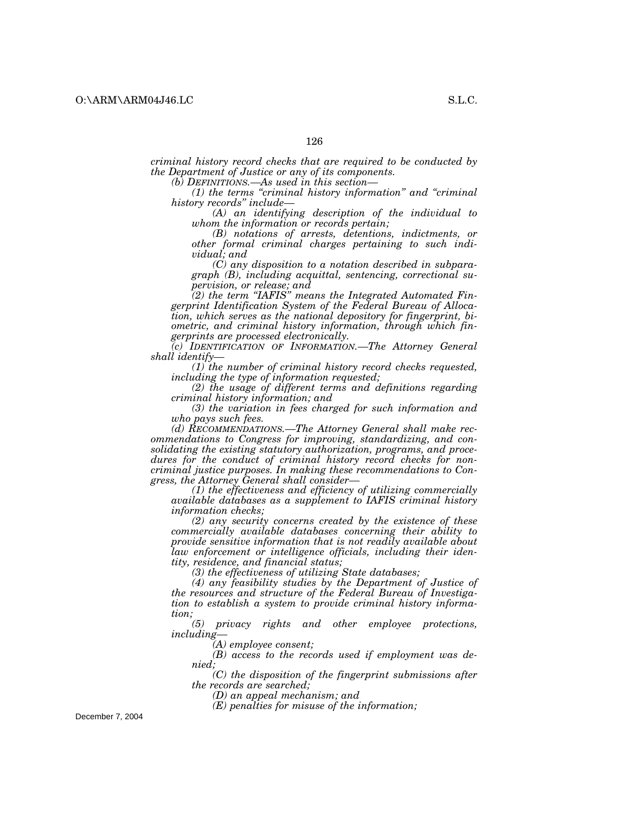*criminal history record checks that are required to be conducted by the Department of Justice or any of its components.*

*(b) DEFINITIONS.—As used in this section—*

*(1) the terms ''criminal history information'' and ''criminal history records'' include—*

*(A) an identifying description of the individual to whom the information or records pertain;*

*(B) notations of arrests, detentions, indictments, or other formal criminal charges pertaining to such individual; and*

*(C) any disposition to a notation described in subparagraph (B), including acquittal, sentencing, correctional supervision, or release; and*

*(2) the term ''IAFIS'' means the Integrated Automated Fingerprint Identification System of the Federal Bureau of Allocation, which serves as the national depository for fingerprint, biometric, and criminal history information, through which fingerprints are processed electronically.*

*(c) IDENTIFICATION OF INFORMATION.—The Attorney General shall identify—*

*(1) the number of criminal history record checks requested, including the type of information requested;*

*(2) the usage of different terms and definitions regarding criminal history information; and*

*(3) the variation in fees charged for such information and who pays such fees.*

*(d) RECOMMENDATIONS.—The Attorney General shall make recommendations to Congress for improving, standardizing, and consolidating the existing statutory authorization, programs, and procedures for the conduct of criminal history record checks for noncriminal justice purposes. In making these recommendations to Congress, the Attorney General shall consider—*

*(1) the effectiveness and efficiency of utilizing commercially available databases as a supplement to IAFIS criminal history information checks;*

*(2) any security concerns created by the existence of these commercially available databases concerning their ability to provide sensitive information that is not readily available about law enforcement or intelligence officials, including their identity, residence, and financial status;*

*(3) the effectiveness of utilizing State databases;*

*(4) any feasibility studies by the Department of Justice of the resources and structure of the Federal Bureau of Investigation to establish a system to provide criminal history information;*

*(5) privacy rights and other employee protections, including—*

*(A) employee consent;*

*(B) access to the records used if employment was denied;*

*(C) the disposition of the fingerprint submissions after the records are searched;*

*(D) an appeal mechanism; and*

*(E) penalties for misuse of the information;*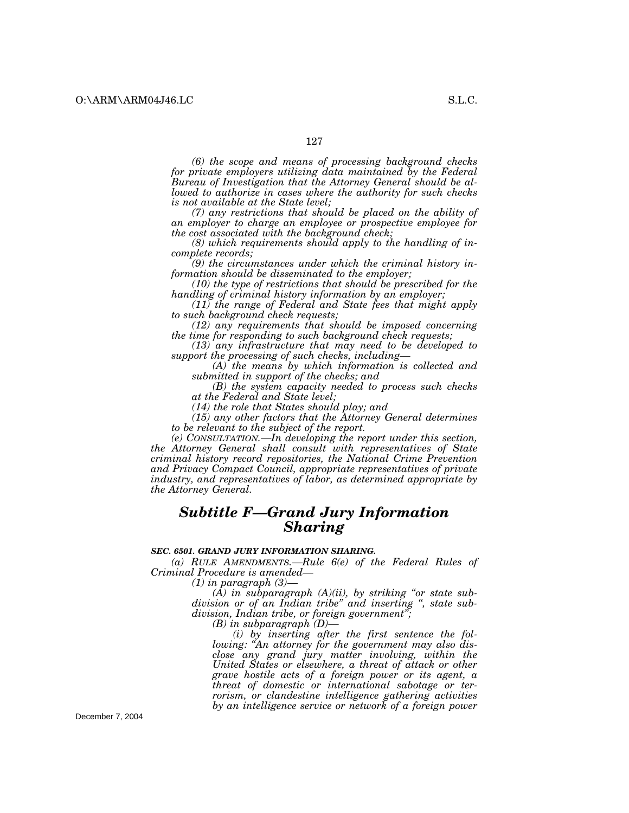*(6) the scope and means of processing background checks for private employers utilizing data maintained by the Federal Bureau of Investigation that the Attorney General should be allowed to authorize in cases where the authority for such checks is not available at the State level;*

*(7) any restrictions that should be placed on the ability of an employer to charge an employee or prospective employee for the cost associated with the background check;*

*(8) which requirements should apply to the handling of incomplete records;*

*(9) the circumstances under which the criminal history information should be disseminated to the employer;*

*(10) the type of restrictions that should be prescribed for the handling of criminal history information by an employer;*

*(11) the range of Federal and State fees that might apply to such background check requests;*

*(12) any requirements that should be imposed concerning the time for responding to such background check requests;*

*(13) any infrastructure that may need to be developed to support the processing of such checks, including—*

*(A) the means by which information is collected and submitted in support of the checks; and*

*(B) the system capacity needed to process such checks at the Federal and State level;*

*(14) the role that States should play; and*

*(15) any other factors that the Attorney General determines to be relevant to the subject of the report.*

*(e) CONSULTATION.—In developing the report under this section, the Attorney General shall consult with representatives of State criminal history record repositories, the National Crime Prevention and Privacy Compact Council, appropriate representatives of private industry, and representatives of labor, as determined appropriate by the Attorney General.*

# *Subtitle F—Grand Jury Information Sharing*

#### *SEC. 6501. GRAND JURY INFORMATION SHARING.*

*(a) RULE AMENDMENTS.—Rule 6(e) of the Federal Rules of Criminal Procedure is amended—*

*(1) in paragraph (3)—*

*(A) in subparagraph (A)(ii), by striking ''or state subdivision or of an Indian tribe'' and inserting '', state subdivision, Indian tribe, or foreign government'';*

*(B) in subparagraph (D)—*

*(i) by inserting after the first sentence the following: ''An attorney for the government may also disclose any grand jury matter involving, within the United States or elsewhere, a threat of attack or other grave hostile acts of a foreign power or its agent, a threat of domestic or international sabotage or terrorism, or clandestine intelligence gathering activities by an intelligence service or network of a foreign power*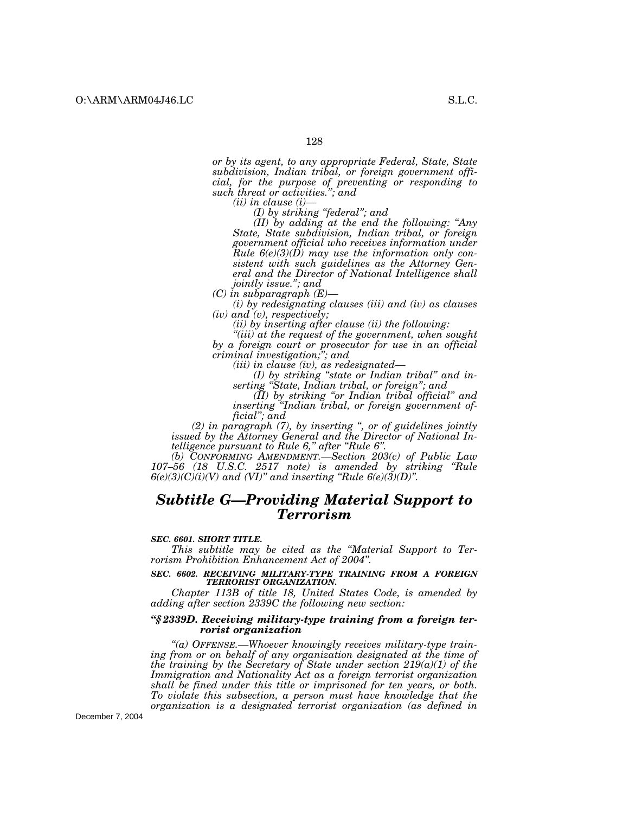*or by its agent, to any appropriate Federal, State, State subdivision, Indian tribal, or foreign government official, for the purpose of preventing or responding to such threat or activities.''; and*

*(ii) in clause (i)—*

*(I) by striking ''federal''; and*

*(II) by adding at the end the following: ''Any State, State subdivision, Indian tribal, or foreign government official who receives information under Rule 6(e)(3)(D) may use the information only consistent with such guidelines as the Attorney General and the Director of National Intelligence shall jointly issue.''; and*

*(C) in subparagraph (E)—*

*(i) by redesignating clauses (iii) and (iv) as clauses (iv) and (v), respectively;*

*(ii) by inserting after clause (ii) the following:*

*''(iii) at the request of the government, when sought by a foreign court or prosecutor for use in an official criminal investigation;''; and*

*(iii) in clause (iv), as redesignated—*

*(I) by striking ''state or Indian tribal'' and inserting ''State, Indian tribal, or foreign''; and*

*(II) by striking ''or Indian tribal official'' and inserting ''Indian tribal, or foreign government of-*

*ficial''; and*

*(2) in paragraph (7), by inserting '', or of guidelines jointly issued by the Attorney General and the Director of National Intelligence pursuant to Rule 6,'' after ''Rule 6''.*

*(b) CONFORMING AMENDMENT.—Section 203(c) of Public Law 107–56 (18 U.S.C. 2517 note) is amended by striking ''Rule*  $6(e)(3)(C)(i)(V)$  and  $(VI)'$  and inserting "Rule  $6(e)(3)(D)$ ".

## *Subtitle G—Providing Material Support to Terrorism*

### *SEC. 6601. SHORT TITLE.*

*This subtitle may be cited as the ''Material Support to Terrorism Prohibition Enhancement Act of 2004''.*

### *SEC. 6602. RECEIVING MILITARY-TYPE TRAINING FROM A FOREIGN TERRORIST ORGANIZATION.*

*Chapter 113B of title 18, United States Code, is amended by adding after section 2339C the following new section:*

### *''§ 2339D. Receiving military-type training from a foreign terrorist organization*

*''(a) OFFENSE.—Whoever knowingly receives military-type training from or on behalf of any organization designated at the time of the training by the Secretary of State under section 219(a)(1) of the Immigration and Nationality Act as a foreign terrorist organization shall be fined under this title or imprisoned for ten years, or both. To violate this subsection, a person must have knowledge that the organization is a designated terrorist organization (as defined in*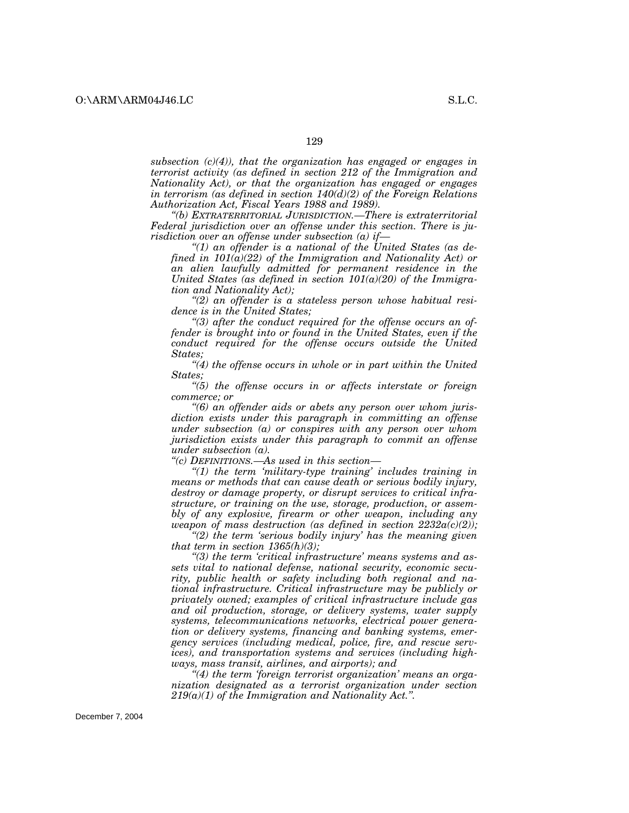*subsection (c)(4)), that the organization has engaged or engages in terrorist activity (as defined in section 212 of the Immigration and Nationality Act), or that the organization has engaged or engages in terrorism (as defined in section 140(d)(2) of the Foreign Relations Authorization Act, Fiscal Years 1988 and 1989).*

*''(b) EXTRATERRITORIAL JURISDICTION.—There is extraterritorial Federal jurisdiction over an offense under this section. There is jurisdiction over an offense under subsection (a) if—*

*''(1) an offender is a national of the United States (as defined in 101(a)(22) of the Immigration and Nationality Act) or an alien lawfully admitted for permanent residence in the United States (as defined in section 101(a)(20) of the Immigration and Nationality Act);*

*''(2) an offender is a stateless person whose habitual residence is in the United States;*

*''(3) after the conduct required for the offense occurs an offender is brought into or found in the United States, even if the conduct required for the offense occurs outside the United States;*

*''(4) the offense occurs in whole or in part within the United States;*

*''(5) the offense occurs in or affects interstate or foreign commerce; or*

*''(6) an offender aids or abets any person over whom jurisdiction exists under this paragraph in committing an offense under subsection (a) or conspires with any person over whom jurisdiction exists under this paragraph to commit an offense under subsection (a).*

*''(c) DEFINITIONS.—As used in this section—*

*''(1) the term 'military-type training' includes training in means or methods that can cause death or serious bodily injury, destroy or damage property, or disrupt services to critical infrastructure, or training on the use, storage, production, or assembly of any explosive, firearm or other weapon, including any weapon of mass destruction (as defined in section 2232a(c)(2));*

*''(2) the term 'serious bodily injury' has the meaning given that term in section 1365(h)(3);*

*''(3) the term 'critical infrastructure' means systems and assets vital to national defense, national security, economic security, public health or safety including both regional and national infrastructure. Critical infrastructure may be publicly or privately owned; examples of critical infrastructure include gas and oil production, storage, or delivery systems, water supply systems, telecommunications networks, electrical power generation or delivery systems, financing and banking systems, emergency services (including medical, police, fire, and rescue services), and transportation systems and services (including highways, mass transit, airlines, and airports); and*

*''(4) the term 'foreign terrorist organization' means an organization designated as a terrorist organization under section 219(a)(1) of the Immigration and Nationality Act.''.*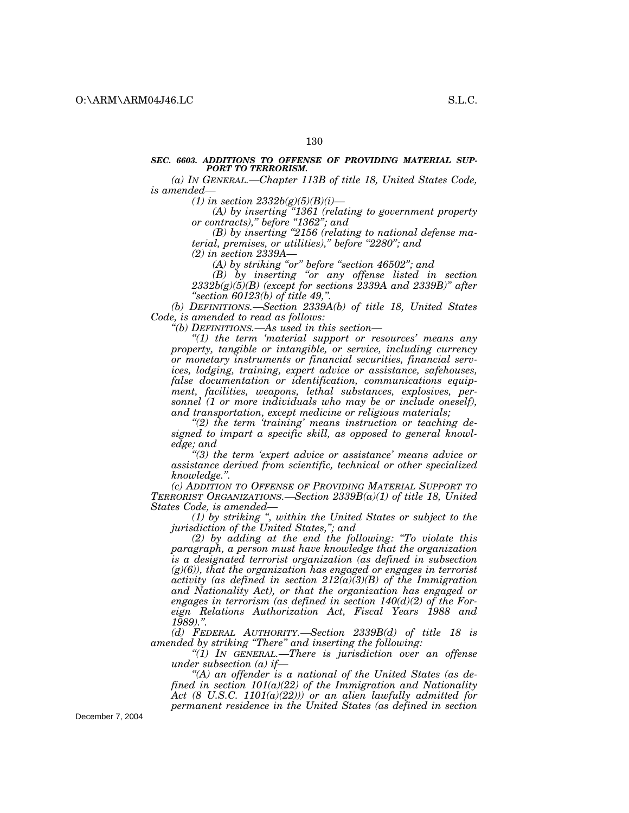*SEC. 6603. ADDITIONS TO OFFENSE OF PROVIDING MATERIAL SUP-PORT TO TERRORISM.*

*(a) IN GENERAL.—Chapter 113B of title 18, United States Code, is amended—*

*(1) in section 2332b(g)(5)(B)(i)—*

*(A) by inserting ''1361 (relating to government property or contracts),'' before ''1362''; and*

*(B) by inserting ''2156 (relating to national defense material, premises, or utilities),'' before ''2280''; and*

*(2) in section 2339A—*

*(A) by striking ''or'' before ''section 46502''; and*

*(B) by inserting ''or any offense listed in section 2332b(g)(5)(B) (except for sections 2339A and 2339B)'' after ''section 60123(b) of title 49,''.*

*(b) DEFINITIONS.—Section 2339A(b) of title 18, United States Code, is amended to read as follows:*

*''(b) DEFINITIONS.—As used in this section—*

*''(1) the term 'material support or resources' means any property, tangible or intangible, or service, including currency or monetary instruments or financial securities, financial services, lodging, training, expert advice or assistance, safehouses, false documentation or identification, communications equipment, facilities, weapons, lethal substances, explosives, personnel (1 or more individuals who may be or include oneself), and transportation, except medicine or religious materials;*

*''(2) the term 'training' means instruction or teaching designed to impart a specific skill, as opposed to general knowledge; and*

*''(3) the term 'expert advice or assistance' means advice or assistance derived from scientific, technical or other specialized knowledge.''.*

*(c) ADDITION TO OFFENSE OF PROVIDING MATERIAL SUPPORT TO TERRORIST ORGANIZATIONS.—Section 2339B(a)(1) of title 18, United States Code, is amended—*

*(1) by striking '', within the United States or subject to the jurisdiction of the United States,''; and*

*(2) by adding at the end the following: ''To violate this paragraph, a person must have knowledge that the organization is a designated terrorist organization (as defined in subsection (g)(6)), that the organization has engaged or engages in terrorist activity (as defined in section 212(a)(3)(B) of the Immigration and Nationality Act), or that the organization has engaged or engages in terrorism (as defined in section 140(d)(2) of the Foreign Relations Authorization Act, Fiscal Years 1988 and 1989).''.*

*(d) FEDERAL AUTHORITY.—Section 2339B(d) of title 18 is amended by striking ''There'' and inserting the following:*

*''(1) IN GENERAL.—There is jurisdiction over an offense under subsection (a) if—*

*''(A) an offender is a national of the United States (as defined in section 101(a)(22) of the Immigration and Nationality Act (8 U.S.C. 1101(a)(22))) or an alien lawfully admitted for permanent residence in the United States (as defined in section*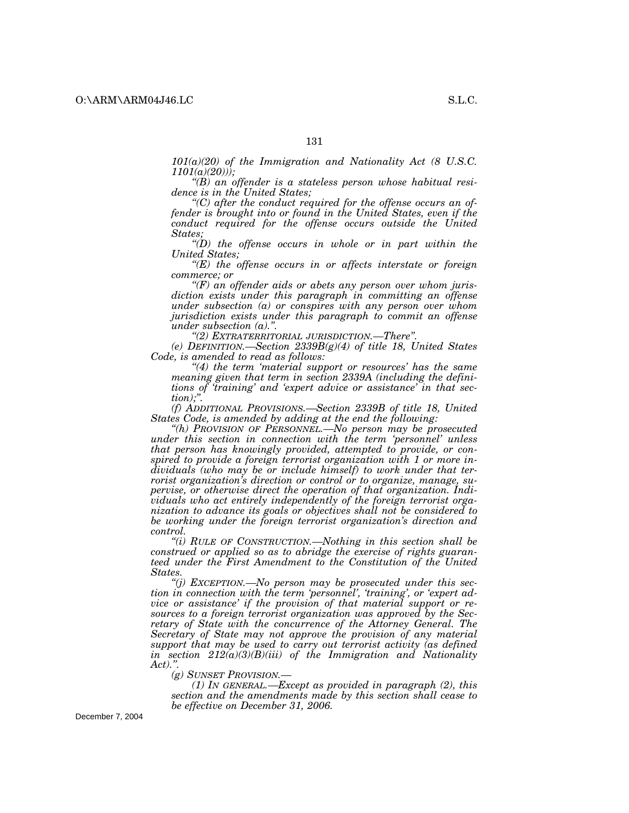*101(a)(20) of the Immigration and Nationality Act (8 U.S.C. 1101(a)(20)));*

*''(B) an offender is a stateless person whose habitual residence is in the United States;*

*''(C) after the conduct required for the offense occurs an offender is brought into or found in the United States, even if the conduct required for the offense occurs outside the United States;*

*''(D) the offense occurs in whole or in part within the United States;*

*''(E) the offense occurs in or affects interstate or foreign commerce; or*

*''(F) an offender aids or abets any person over whom jurisdiction exists under this paragraph in committing an offense under subsection (a) or conspires with any person over whom jurisdiction exists under this paragraph to commit an offense under subsection (a).''.*

*''(2) EXTRATERRITORIAL JURISDICTION.—There''.*

*(e) DEFINITION.—Section 2339B(g)(4) of title 18, United States Code, is amended to read as follows:*

*''(4) the term 'material support or resources' has the same meaning given that term in section 2339A (including the definitions of 'training' and 'expert advice or assistance' in that section);''.*

*(f) ADDITIONAL PROVISIONS.—Section 2339B of title 18, United States Code, is amended by adding at the end the following:*

*''(h) PROVISION OF PERSONNEL.—No person may be prosecuted under this section in connection with the term 'personnel' unless that person has knowingly provided, attempted to provide, or conspired to provide a foreign terrorist organization with 1 or more individuals (who may be or include himself) to work under that terrorist organization's direction or control or to organize, manage, supervise, or otherwise direct the operation of that organization. Individuals who act entirely independently of the foreign terrorist organization to advance its goals or objectives shall not be considered to be working under the foreign terrorist organization's direction and control.*

*''(i) RULE OF CONSTRUCTION.—Nothing in this section shall be construed or applied so as to abridge the exercise of rights guaranteed under the First Amendment to the Constitution of the United States.*

*''(j) EXCEPTION.—No person may be prosecuted under this section in connection with the term 'personnel', 'training', or 'expert advice or assistance' if the provision of that material support or resources to a foreign terrorist organization was approved by the Secretary of State with the concurrence of the Attorney General. The Secretary of State may not approve the provision of any material support that may be used to carry out terrorist activity (as defined in section 212(a)(3)(B)(iii) of the Immigration and Nationality* Act).".<br>(g) SUNSET PROVISION.—

*(1) In GENERAL.—Except as provided in paragraph (2), this section and the amendments made by this section shall cease to be effective on December 31, 2006.*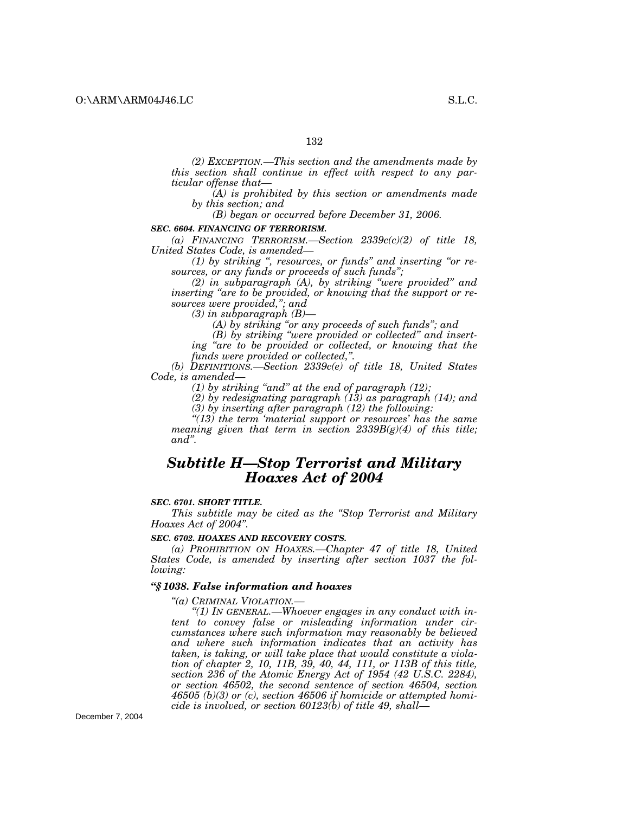*(2) EXCEPTION.—This section and the amendments made by this section shall continue in effect with respect to any particular offense that—*

*(A) is prohibited by this section or amendments made by this section; and*

*(B) began or occurred before December 31, 2006.*

## *SEC. 6604. FINANCING OF TERRORISM.*

*(a) FINANCING TERRORISM.—Section 2339c(c)(2) of title 18, United States Code, is amended—*

*(1) by striking '', resources, or funds'' and inserting ''or resources, or any funds or proceeds of such funds'';*

*(2) in subparagraph (A), by striking ''were provided'' and inserting ''are to be provided, or knowing that the support or resources were provided,''; and*

*(3) in subparagraph (B)—*

*(A) by striking ''or any proceeds of such funds''; and*

*(B) by striking ''were provided or collected'' and inserting ''are to be provided or collected, or knowing that the funds were provided or collected,''.*

*(b) DEFINITIONS.—Section 2339c(e) of title 18, United States Code, is amended—*

*(1) by striking ''and'' at the end of paragraph (12);*

*(2) by redesignating paragraph (13) as paragraph (14); and (3) by inserting after paragraph (12) the following:*

*''(13) the term 'material support or resources' has the same meaning given that term in section 2339B(g)(4) of this title; and''.*

# *Subtitle H—Stop Terrorist and Military Hoaxes Act of 2004*

### *SEC. 6701. SHORT TITLE.*

*This subtitle may be cited as the ''Stop Terrorist and Military Hoaxes Act of 2004''.*

#### *SEC. 6702. HOAXES AND RECOVERY COSTS.*

*(a) PROHIBITION ON HOAXES.—Chapter 47 of title 18, United States Code, is amended by inserting after section 1037 the following:*

## *''§ 1038. False information and hoaxes*

*''(a) CRIMINAL VIOLATION.—*

*''(1) IN GENERAL.—Whoever engages in any conduct with intent to convey false or misleading information under circumstances where such information may reasonably be believed and where such information indicates that an activity has taken, is taking, or will take place that would constitute a violation of chapter 2, 10, 11B, 39, 40, 44, 111, or 113B of this title, section 236 of the Atomic Energy Act of 1954 (42 U.S.C. 2284), or section 46502, the second sentence of section 46504, section 46505 (b)(3) or (c), section 46506 if homicide or attempted homicide is involved, or section 60123(b) of title 49, shall—*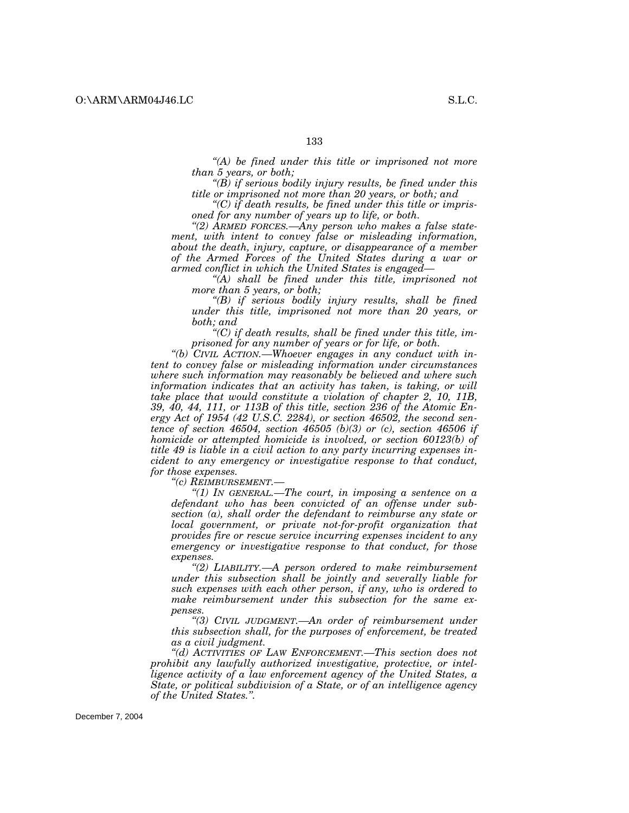*''(A) be fined under this title or imprisoned not more than 5 years, or both;*

*''(B) if serious bodily injury results, be fined under this title or imprisoned not more than 20 years, or both; and*

*''(C) if death results, be fined under this title or imprisoned for any number of years up to life, or both.*

*''(2) ARMED FORCES.—Any person who makes a false statement, with intent to convey false or misleading information, about the death, injury, capture, or disappearance of a member of the Armed Forces of the United States during a war or armed conflict in which the United States is engaged—*

*''(A) shall be fined under this title, imprisoned not more than 5 years, or both;*

*''(B) if serious bodily injury results, shall be fined under this title, imprisoned not more than 20 years, or both; and*

*''(C) if death results, shall be fined under this title, imprisoned for any number of years or for life, or both.*

*''(b) CIVIL ACTION.—Whoever engages in any conduct with intent to convey false or misleading information under circumstances where such information may reasonably be believed and where such information indicates that an activity has taken, is taking, or will take place that would constitute a violation of chapter 2, 10, 11B, 39, 40, 44, 111, or 113B of this title, section 236 of the Atomic Energy Act of 1954 (42 U.S.C. 2284), or section 46502, the second sentence of section 46504, section 46505 (b)(3) or (c), section 46506 if homicide or attempted homicide is involved, or section 60123(b) of title 49 is liable in a civil action to any party incurring expenses incident to any emergency or investigative response to that conduct, for those expenses.*

*''(c) REIMBURSEMENT.—*

*''(1) IN GENERAL.—The court, in imposing a sentence on a defendant who has been convicted of an offense under subsection (a), shall order the defendant to reimburse any state or local government, or private not-for-profit organization that provides fire or rescue service incurring expenses incident to any emergency or investigative response to that conduct, for those expenses.*

*''(2) LIABILITY.—A person ordered to make reimbursement under this subsection shall be jointly and severally liable for such expenses with each other person, if any, who is ordered to make reimbursement under this subsection for the same expenses.*

*''(3) CIVIL JUDGMENT.—An order of reimbursement under this subsection shall, for the purposes of enforcement, be treated as a civil judgment.*

*''(d) ACTIVITIES OF LAW ENFORCEMENT.—This section does not prohibit any lawfully authorized investigative, protective, or intelligence activity of a law enforcement agency of the United States, a State, or political subdivision of a State, or of an intelligence agency of the United States.''.*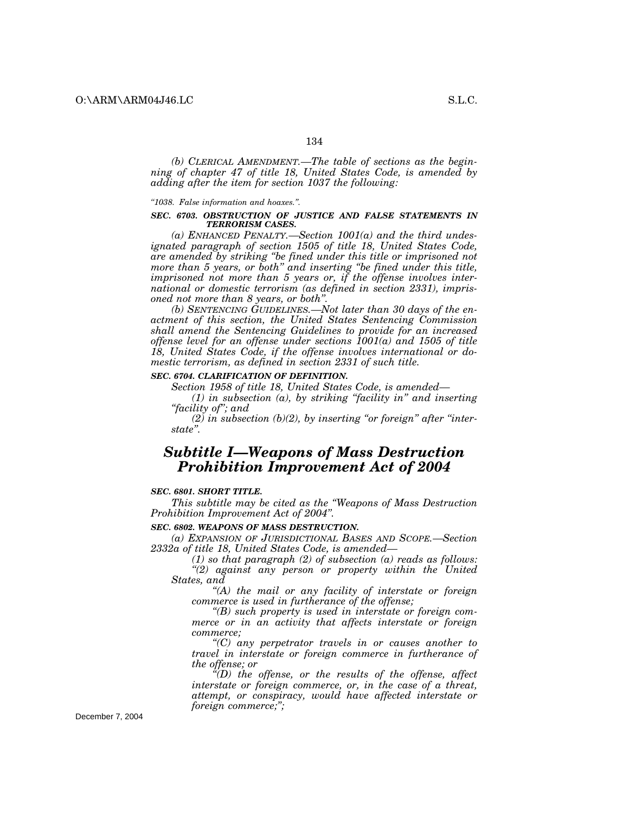*(b) CLERICAL AMENDMENT.—The table of sections as the beginning of chapter 47 of title 18, United States Code, is amended by adding after the item for section 1037 the following:*

*''1038. False information and hoaxes.''.*

### *SEC. 6703. OBSTRUCTION OF JUSTICE AND FALSE STATEMENTS IN TERRORISM CASES.*

*(a) ENHANCED PENALTY.—Section 1001(a) and the third undesignated paragraph of section 1505 of title 18, United States Code, are amended by striking ''be fined under this title or imprisoned not more than 5 years, or both'' and inserting ''be fined under this title, imprisoned not more than 5 years or, if the offense involves international or domestic terrorism (as defined in section 2331), imprisoned not more than 8 years, or both''.*

*(b) SENTENCING GUIDELINES.—Not later than 30 days of the enactment of this section, the United States Sentencing Commission shall amend the Sentencing Guidelines to provide for an increased offense level for an offense under sections 1001(a) and 1505 of title 18, United States Code, if the offense involves international or domestic terrorism, as defined in section 2331 of such title.*

### *SEC. 6704. CLARIFICATION OF DEFINITION.*

*Section 1958 of title 18, United States Code, is amended—*

*(1) in subsection (a), by striking ''facility in'' and inserting ''facility of''; and*

*(2) in subsection (b)(2), by inserting ''or foreign'' after ''interstate''.*

# *Subtitle I—Weapons of Mass Destruction Prohibition Improvement Act of 2004*

### *SEC. 6801. SHORT TITLE.*

*This subtitle may be cited as the ''Weapons of Mass Destruction Prohibition Improvement Act of 2004''.*

#### *SEC. 6802. WEAPONS OF MASS DESTRUCTION.*

*(a) EXPANSION OF JURISDICTIONAL BASES AND SCOPE.—Section 2332a of title 18, United States Code, is amended—*

*(1) so that paragraph (2) of subsection (a) reads as follows: ''(2) against any person or property within the United States, and*

*''(A) the mail or any facility of interstate or foreign commerce is used in furtherance of the offense;*

*''(B) such property is used in interstate or foreign commerce or in an activity that affects interstate or foreign commerce;*

*''(C) any perpetrator travels in or causes another to travel in interstate or foreign commerce in furtherance of the offense; or*

*''(D) the offense, or the results of the offense, affect interstate or foreign commerce, or, in the case of a threat, attempt, or conspiracy, would have affected interstate or foreign commerce;'';*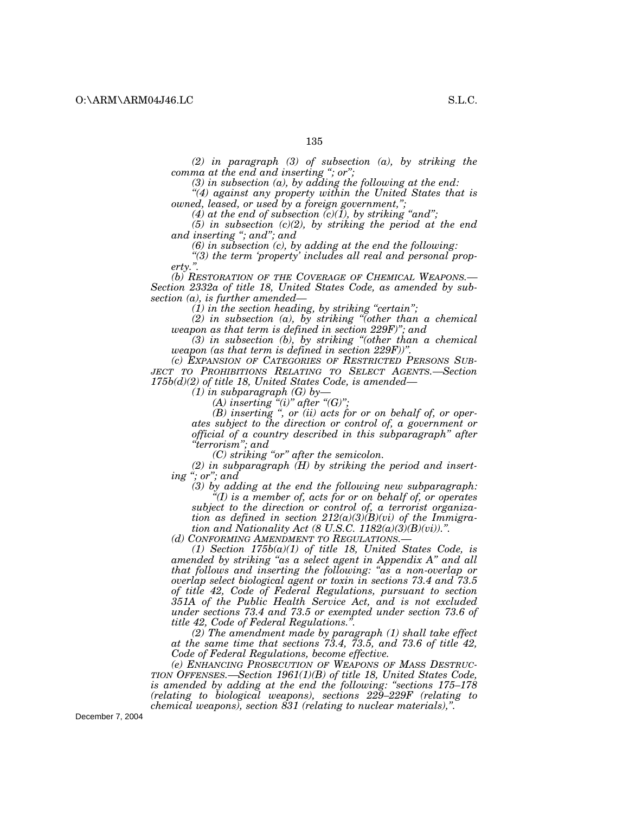*(2) in paragraph (3) of subsection (a), by striking the comma at the end and inserting ''; or'';*

*(3) in subsection (a), by adding the following at the end:*

*''(4) against any property within the United States that is owned, leased, or used by a foreign government,'';*

(4) at the end of subsection  $\overline{\text{c}}$ )( $\overline{\text{I}}$ ), by striking "and";

*(5) in subsection (c)(2), by striking the period at the end and inserting ''; and''; and*

*(6) in subsection (c), by adding at the end the following:*

*''(3) the term 'property' includes all real and personal property.''.*

*(b) RESTORATION OF THE COVERAGE OF CHEMICAL WEAPONS.— Section 2332a of title 18, United States Code, as amended by subsection (a), is further amended—*

*(1) in the section heading, by striking ''certain'';*

*(2) in subsection (a), by striking ''(other than a chemical weapon as that term is defined in section 229F)''; and*

*(3) in subsection (b), by striking ''(other than a chemical weapon (as that term is defined in section 229F))''.*

*(c) EXPANSION OF CATEGORIES OF RESTRICTED PERSONS SUB-JECT TO PROHIBITIONS RELATING TO SELECT AGENTS.—Section 175b(d)(2) of title 18, United States Code, is amended—*

*(1) in subparagraph (G) by—*

 $(A)$  inserting "(i)" after " $(G)$ ";

*(B) inserting '', or (ii) acts for or on behalf of, or operates subject to the direction or control of, a government or official of a country described in this subparagraph'' after ''terrorism''; and*

*(C) striking ''or'' after the semicolon.*

*(2) in subparagraph (H) by striking the period and inserting ''; or''; and*

*(3) by adding at the end the following new subparagraph:*

*''(I) is a member of, acts for or on behalf of, or operates subject to the direction or control of, a terrorist organization as defined in section 212(a)(3)(B)(vi) of the Immigration and Nationality Act (8 U.S.C. 1182(a)(3)(B)(vi)).*".

*(d) CONFORMING AMENDMENT TO REGULATIONS.—*

*(1) Section 175b(a)(1) of title 18, United States Code, is amended by striking ''as a select agent in Appendix A'' and all that follows and inserting the following: ''as a non-overlap or overlap select biological agent or toxin in sections 73.4 and 73.5 of title 42, Code of Federal Regulations, pursuant to section 351A of the Public Health Service Act, and is not excluded under sections 73.4 and 73.5 or exempted under section 73.6 of title 42, Code of Federal Regulations.''.*

*(2) The amendment made by paragraph (1) shall take effect at the same time that sections 73.4, 73.5, and 73.6 of title 42, Code of Federal Regulations, become effective.*

*(e) ENHANCING PROSECUTION OF WEAPONS OF MASS DESTRUC-TION OFFENSES.—Section 1961(1)(B) of title 18, United States Code, is amended by adding at the end the following: ''sections 175–178 (relating to biological weapons), sections 229–229F (relating to chemical weapons), section 831 (relating to nuclear materials),''.*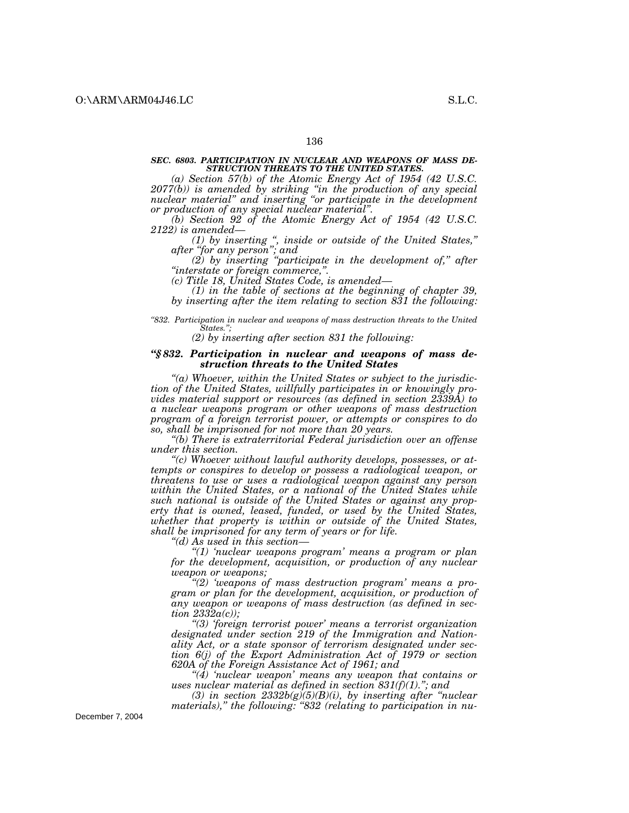#### *SEC. 6803. PARTICIPATION IN NUCLEAR AND WEAPONS OF MASS DE-STRUCTION THREATS TO THE UNITED STATES.*

*(a) Section 57(b) of the Atomic Energy Act of 1954 (42 U.S.C. 2077(b)) is amended by striking ''in the production of any special nuclear material'' and inserting ''or participate in the development or production of any special nuclear material''.*

*(b) Section 92 of the Atomic Energy Act of 1954 (42 U.S.C. 2122) is amended—*

*(1) by inserting '', inside or outside of the United States,'' after ''for any person''; and*

*(2) by inserting ''participate in the development of,'' after ''interstate or foreign commerce,''.*

*(c) Title 18, United States Code, is amended—*

*(1) in the table of sections at the beginning of chapter 39, by inserting after the item relating to section 831 the following:*

*''832. Participation in nuclear and weapons of mass destruction threats to the United States.'';*

*(2) by inserting after section 831 the following:*

### *''§ 832. Participation in nuclear and weapons of mass destruction threats to the United States*

*''(a) Whoever, within the United States or subject to the jurisdiction of the United States, willfully participates in or knowingly provides material support or resources (as defined in section 2339A) to a nuclear weapons program or other weapons of mass destruction program of a foreign terrorist power, or attempts or conspires to do so, shall be imprisoned for not more than 20 years.*

*''(b) There is extraterritorial Federal jurisdiction over an offense under this section.*

*''(c) Whoever without lawful authority develops, possesses, or attempts or conspires to develop or possess a radiological weapon, or threatens to use or uses a radiological weapon against any person within the United States, or a national of the United States while such national is outside of the United States or against any property that is owned, leased, funded, or used by the United States, whether that property is within or outside of the United States, shall be imprisoned for any term of years or for life.*

*''(d) As used in this section—*

*''(1) 'nuclear weapons program' means a program or plan for the development, acquisition, or production of any nuclear weapon or weapons;*

*''(2) 'weapons of mass destruction program' means a program or plan for the development, acquisition, or production of any weapon or weapons of mass destruction (as defined in section 2332a(c));*

*''(3) 'foreign terrorist power' means a terrorist organization designated under section 219 of the Immigration and Nationality Act, or a state sponsor of terrorism designated under section 6(j) of the Export Administration Act of 1979 or section 620A of the Foreign Assistance Act of 1961; and*

*''(4) 'nuclear weapon' means any weapon that contains or uses nuclear material as defined in section 831(f)(1).''; and*

*(3) in section 2332b(g)(5)(B)(i), by inserting after ''nuclear materials),'' the following: ''832 (relating to participation in nu-*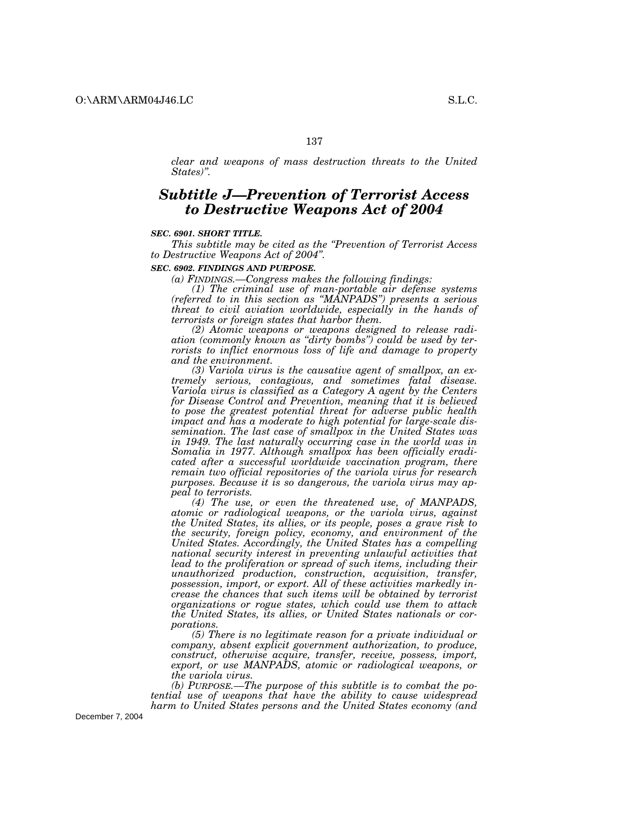*clear and weapons of mass destruction threats to the United States)''.*

## *Subtitle J—Prevention of Terrorist Access to Destructive Weapons Act of 2004*

#### *SEC. 6901. SHORT TITLE.*

*This subtitle may be cited as the ''Prevention of Terrorist Access to Destructive Weapons Act of 2004''.*

#### *SEC. 6902. FINDINGS AND PURPOSE.*

*(a) FINDINGS.—Congress makes the following findings:*

*(1) The criminal use of man-portable air defense systems (referred to in this section as ''MANPADS'') presents a serious threat to civil aviation worldwide, especially in the hands of terrorists or foreign states that harbor them.*

*(2) Atomic weapons or weapons designed to release radiation (commonly known as ''dirty bombs'') could be used by terrorists to inflict enormous loss of life and damage to property and the environment.*

*(3) Variola virus is the causative agent of smallpox, an extremely serious, contagious, and sometimes fatal disease. Variola virus is classified as a Category A agent by the Centers for Disease Control and Prevention, meaning that it is believed to pose the greatest potential threat for adverse public health impact and has a moderate to high potential for large-scale dissemination. The last case of smallpox in the United States was in 1949. The last naturally occurring case in the world was in Somalia in 1977. Although smallpox has been officially eradicated after a successful worldwide vaccination program, there remain two official repositories of the variola virus for research purposes. Because it is so dangerous, the variola virus may appeal to terrorists.*

*(4) The use, or even the threatened use, of MANPADS, atomic or radiological weapons, or the variola virus, against the United States, its allies, or its people, poses a grave risk to the security, foreign policy, economy, and environment of the United States. Accordingly, the United States has a compelling national security interest in preventing unlawful activities that lead to the proliferation or spread of such items, including their unauthorized production, construction, acquisition, transfer, possession, import, or export. All of these activities markedly increase the chances that such items will be obtained by terrorist organizations or rogue states, which could use them to attack the United States, its allies, or United States nationals or corporations.*

*(5) There is no legitimate reason for a private individual or company, absent explicit government authorization, to produce, construct, otherwise acquire, transfer, receive, possess, import, export, or use MANPADS, atomic or radiological weapons, or the variola virus.*

*(b) PURPOSE.—The purpose of this subtitle is to combat the potential use of weapons that have the ability to cause widespread harm to United States persons and the United States economy (and*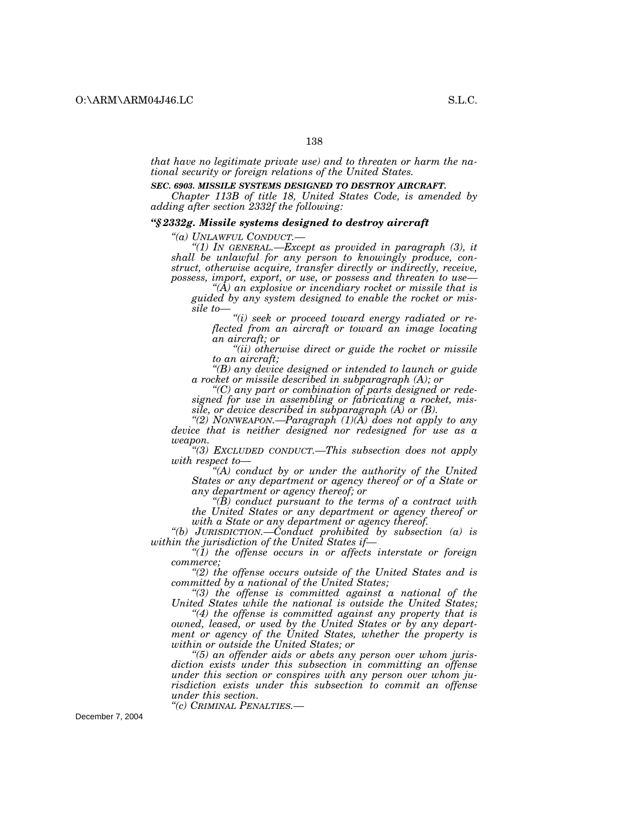*that have no legitimate private use) and to threaten or harm the national security or foreign relations of the United States.*

## *SEC. 6903. MISSILE SYSTEMS DESIGNED TO DESTROY AIRCRAFT.*

*Chapter 113B of title 18, United States Code, is amended by adding after section 2332f the following:*

## *''§ 2332g. Missile systems designed to destroy aircraft*

*''(a) UNLAWFUL CONDUCT.— ''(1) IN GENERAL.—Except as provided in paragraph (3), it shall be unlawful for any person to knowingly produce, construct, otherwise acquire, transfer directly or indirectly, receive, possess, import, export, or use, or possess and threaten to use—*

*''(A) an explosive or incendiary rocket or missile that is guided by any system designed to enable the rocket or missile to—*

*''(i) seek or proceed toward energy radiated or reflected from an aircraft or toward an image locating an aircraft; or*

*''(ii) otherwise direct or guide the rocket or missile to an aircraft;*

*''(B) any device designed or intended to launch or guide a rocket or missile described in subparagraph (A); or*

*''(C) any part or combination of parts designed or redesigned for use in assembling or fabricating a rocket, missile, or device described in subparagraph (A) or (B).*

*''(2) NONWEAPON.—Paragraph (1)(A) does not apply to any device that is neither designed nor redesigned for use as a weapon.*

*''(3) EXCLUDED CONDUCT.—This subsection does not apply with respect to—*

*''(A) conduct by or under the authority of the United States or any department or agency thereof or of a State or any department or agency thereof; or*

*''(B) conduct pursuant to the terms of a contract with the United States or any department or agency thereof or with a State or any department or agency thereof.*

*''(b) JURISDICTION.—Conduct prohibited by subsection (a) is within the jurisdiction of the United States if—*

*''(1) the offense occurs in or affects interstate or foreign commerce;*

*''(2) the offense occurs outside of the United States and is committed by a national of the United States;*

*''(3) the offense is committed against a national of the United States while the national is outside the United States;*

*''(4) the offense is committed against any property that is owned, leased, or used by the United States or by any department or agency of the United States, whether the property is within or outside the United States; or*

*''(5) an offender aids or abets any person over whom jurisdiction exists under this subsection in committing an offense under this section or conspires with any person over whom jurisdiction exists under this subsection to commit an offense under this section.*

*''(c) CRIMINAL PENALTIES.—*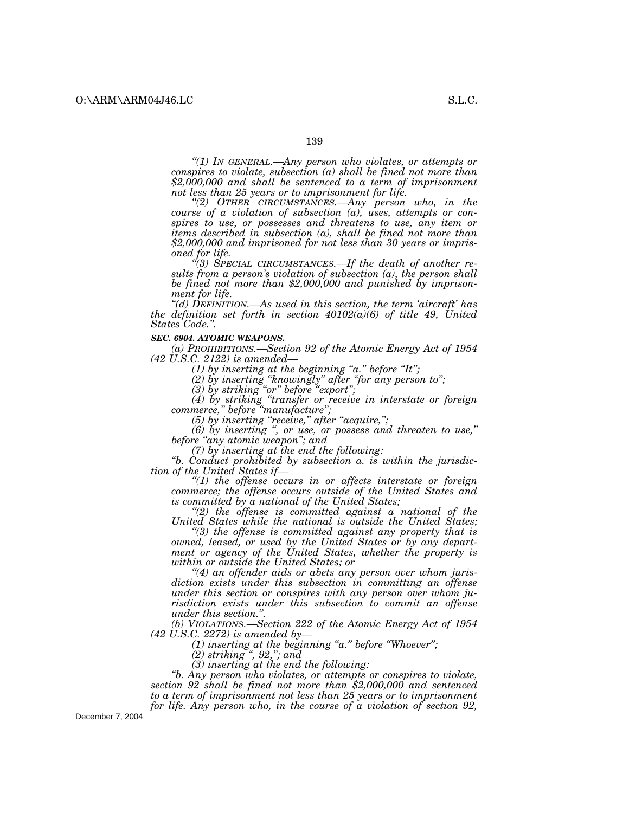*''(1) IN GENERAL.—Any person who violates, or attempts or conspires to violate, subsection (a) shall be fined not more than \$2,000,000 and shall be sentenced to a term of imprisonment not less than 25 years or to imprisonment for life.*

*''(2) OTHER CIRCUMSTANCES.—Any person who, in the course of a violation of subsection (a), uses, attempts or conspires to use, or possesses and threatens to use, any item or items described in subsection (a), shall be fined not more than \$2,000,000 and imprisoned for not less than 30 years or imprisoned for life.*

*''(3) SPECIAL CIRCUMSTANCES.—If the death of another results from a person's violation of subsection (a), the person shall be fined not more than \$2,000,000 and punished by imprisonment for life.*

*''(d) DEFINITION.—As used in this section, the term 'aircraft' has the definition set forth in section 40102(a)(6) of title 49, United States Code.''.*

#### *SEC. 6904. ATOMIC WEAPONS.*

*(a) PROHIBITIONS.—Section 92 of the Atomic Energy Act of 1954 (42 U.S.C. 2122) is amended—*

*(1) by inserting at the beginning ''a.'' before ''It'';*

*(2) by inserting ''knowingly'' after ''for any person to'';*

*(3) by striking ''or'' before ''export'';*

*(4) by striking ''transfer or receive in interstate or foreign commerce,'' before ''manufacture'';*

*(5) by inserting ''receive,'' after ''acquire,'';*

*(6) by inserting '', or use, or possess and threaten to use,'' before ''any atomic weapon''; and*

*(7) by inserting at the end the following:*

*''b. Conduct prohibited by subsection a. is within the jurisdiction of the United States if—*

*''(1) the offense occurs in or affects interstate or foreign commerce; the offense occurs outside of the United States and is committed by a national of the United States;*

*''(2) the offense is committed against a national of the United States while the national is outside the United States;*

*''(3) the offense is committed against any property that is owned, leased, or used by the United States or by any department or agency of the United States, whether the property is within or outside the United States; or*

*''(4) an offender aids or abets any person over whom jurisdiction exists under this subsection in committing an offense under this section or conspires with any person over whom jurisdiction exists under this subsection to commit an offense under this section.''.*

*(b) VIOLATIONS.—Section 222 of the Atomic Energy Act of 1954 (42 U.S.C. 2272) is amended by—*

*(1) inserting at the beginning ''a.'' before ''Whoever'';*

*(2) striking '', 92,''; and*

*(3) inserting at the end the following:*

*''b. Any person who violates, or attempts or conspires to violate, section 92 shall be fined not more than \$2,000,000 and sentenced to a term of imprisonment not less than 25 years or to imprisonment for life. Any person who, in the course of a violation of section 92,*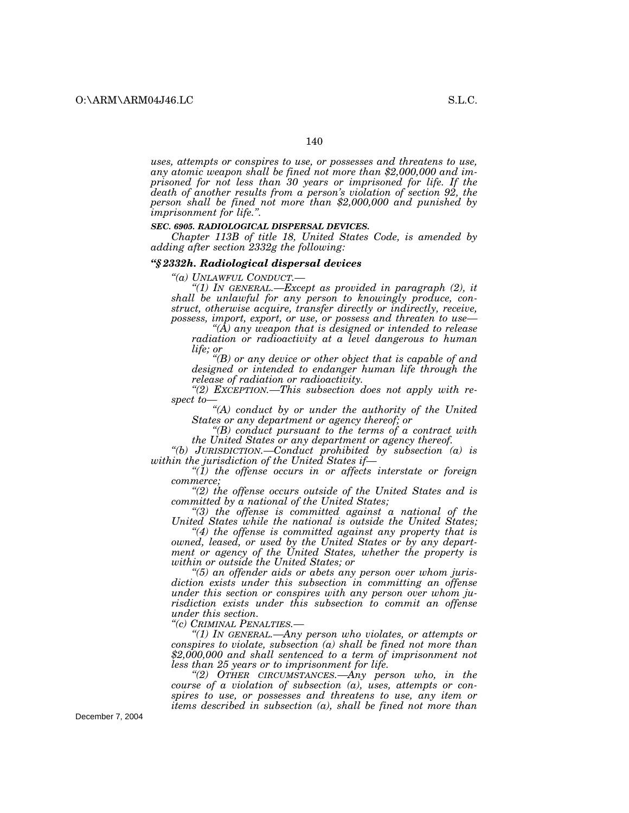*uses, attempts or conspires to use, or possesses and threatens to use, any atomic weapon shall be fined not more than \$2,000,000 and imprisoned for not less than 30 years or imprisoned for life. If the death of another results from a person's violation of section 92, the person shall be fined not more than \$2,000,000 and punished by imprisonment for life.''.*

### *SEC. 6905. RADIOLOGICAL DISPERSAL DEVICES.*

*Chapter 113B of title 18, United States Code, is amended by adding after section 2332g the following:*

### *''§ 2332h. Radiological dispersal devices*

*''(a) UNLAWFUL CONDUCT.— ''(1) IN GENERAL.—Except as provided in paragraph (2), it shall be unlawful for any person to knowingly produce, construct, otherwise acquire, transfer directly or indirectly, receive, possess, import, export, or use, or possess and threaten to use—*

*''(A) any weapon that is designed or intended to release radiation or radioactivity at a level dangerous to human life; or*

*''(B) or any device or other object that is capable of and designed or intended to endanger human life through the release of radiation or radioactivity.*

*''(2) EXCEPTION.—This subsection does not apply with respect to—*

*''(A) conduct by or under the authority of the United States or any department or agency thereof; or*

*''(B) conduct pursuant to the terms of a contract with the United States or any department or agency thereof.*

*''(b) JURISDICTION.—Conduct prohibited by subsection (a) is within the jurisdiction of the United States if—*

*''(1) the offense occurs in or affects interstate or foreign commerce;*

*''(2) the offense occurs outside of the United States and is committed by a national of the United States;*

*''(3) the offense is committed against a national of the United States while the national is outside the United States;*

*''(4) the offense is committed against any property that is owned, leased, or used by the United States or by any department or agency of the United States, whether the property is within or outside the United States; or*

*''(5) an offender aids or abets any person over whom jurisdiction exists under this subsection in committing an offense under this section or conspires with any person over whom jurisdiction exists under this subsection to commit an offense under this section.*

*''(c) CRIMINAL PENALTIES.—*

*''(1) IN GENERAL.—Any person who violates, or attempts or conspires to violate, subsection (a) shall be fined not more than \$2,000,000 and shall sentenced to a term of imprisonment not less than 25 years or to imprisonment for life.*

*''(2) OTHER CIRCUMSTANCES.—Any person who, in the course of a violation of subsection (a), uses, attempts or conspires to use, or possesses and threatens to use, any item or items described in subsection (a), shall be fined not more than*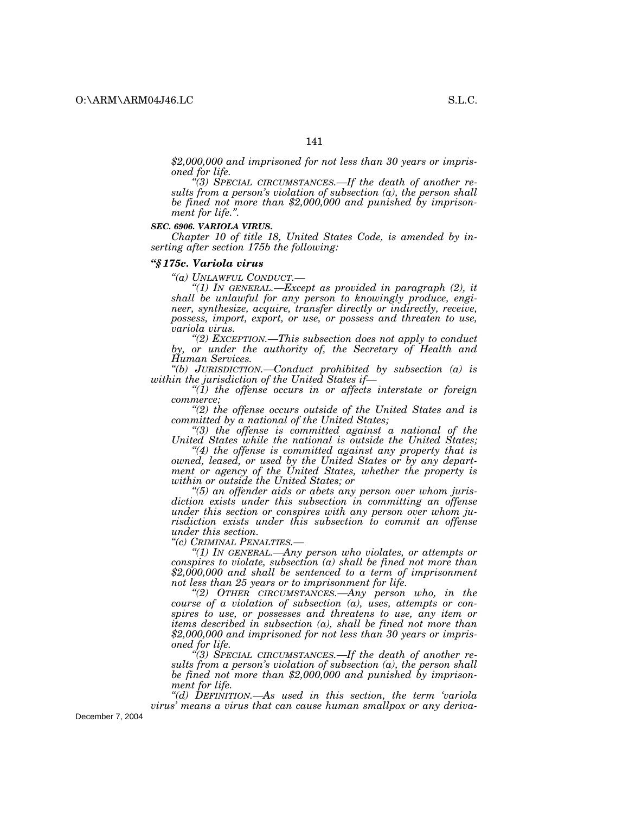*\$2,000,000 and imprisoned for not less than 30 years or imprisoned for life.*

*''(3) SPECIAL CIRCUMSTANCES.—If the death of another results from a person's violation of subsection (a), the person shall be fined not more than \$2,000,000 and punished by imprisonment for life.''.*

## *SEC. 6906. VARIOLA VIRUS.*

*Chapter 10 of title 18, United States Code, is amended by inserting after section 175b the following:*

#### *''§ 175c. Variola virus*

*''(a) UNLAWFUL CONDUCT.— ''(1) IN GENERAL.—Except as provided in paragraph (2), it shall be unlawful for any person to knowingly produce, engineer, synthesize, acquire, transfer directly or indirectly, receive, possess, import, export, or use, or possess and threaten to use, variola virus.*

*''(2) EXCEPTION.—This subsection does not apply to conduct by, or under the authority of, the Secretary of Health and Human Services.*

*''(b) JURISDICTION.—Conduct prohibited by subsection (a) is within the jurisdiction of the United States if—*

*''(1) the offense occurs in or affects interstate or foreign commerce;*

*''(2) the offense occurs outside of the United States and is committed by a national of the United States;*

*''(3) the offense is committed against a national of the United States while the national is outside the United States;*

*''(4) the offense is committed against any property that is owned, leased, or used by the United States or by any department or agency of the United States, whether the property is within or outside the United States; or*

*''(5) an offender aids or abets any person over whom jurisdiction exists under this subsection in committing an offense under this section or conspires with any person over whom jurisdiction exists under this subsection to commit an offense under this section.*

*''(c) CRIMINAL PENALTIES.— ''(1) IN GENERAL.—Any person who violates, or attempts or conspires to violate, subsection (a) shall be fined not more than \$2,000,000 and shall be sentenced to a term of imprisonment not less than 25 years or to imprisonment for life.*

*''(2) OTHER CIRCUMSTANCES.—Any person who, in the course of a violation of subsection (a), uses, attempts or conspires to use, or possesses and threatens to use, any item or items described in subsection (a), shall be fined not more than \$2,000,000 and imprisoned for not less than 30 years or imprisoned for life.*

*''(3) SPECIAL CIRCUMSTANCES.—If the death of another results from a person's violation of subsection (a), the person shall be fined not more than \$2,000,000 and punished by imprisonment for life.*

*''(d) DEFINITION.—As used in this section, the term 'variola virus' means a virus that can cause human smallpox or any deriva-*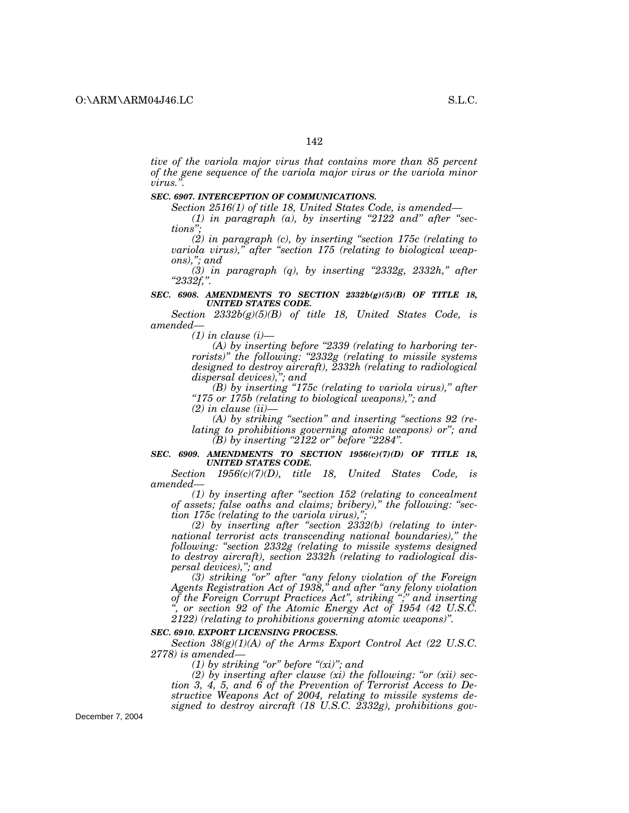*tive of the variola major virus that contains more than 85 percent of the gene sequence of the variola major virus or the variola minor virus.''.*

### *SEC. 6907. INTERCEPTION OF COMMUNICATIONS.*

*Section 2516(1) of title 18, United States Code, is amended—*

*(1) in paragraph (a), by inserting ''2122 and'' after ''sections'';*

*(2) in paragraph (c), by inserting ''section 175c (relating to variola virus),'' after ''section 175 (relating to biological weapons),''; and*

*(3) in paragraph (q), by inserting ''2332g, 2332h,'' after ''2332f,''.*

*SEC. 6908. AMENDMENTS TO SECTION 2332b(g)(5)(B) OF TITLE 18, UNITED STATES CODE.*

*Section 2332b(g)(5)(B) of title 18, United States Code, is amended—*

*(1) in clause (i)—*

*(A) by inserting before ''2339 (relating to harboring terrorists)'' the following: ''2332g (relating to missile systems designed to destroy aircraft), 2332h (relating to radiological dispersal devices),''; and*

*(B) by inserting ''175c (relating to variola virus),'' after ''175 or 175b (relating to biological weapons),''; and*

*(2) in clause (ii)—*

*(A) by striking ''section'' and inserting ''sections 92 (relating to prohibitions governing atomic weapons) or''; and (B) by inserting ''2122 or'' before ''2284''.*

#### *SEC. 6909. AMENDMENTS TO SECTION 1956(c)(7)(D) OF TITLE 18, UNITED STATES CODE.*

*Section 1956(c)(7)(D), title 18, United States Code, is amended—*

*(1) by inserting after ''section 152 (relating to concealment of assets; false oaths and claims; bribery),'' the following: ''section 175c (relating to the variola virus),'';*

*(2) by inserting after ''section 2332(b) (relating to international terrorist acts transcending national boundaries),'' the following: ''section 2332g (relating to missile systems designed to destroy aircraft), section 2332h (relating to radiological dispersal devices),''; and*

*(3) striking ''or'' after ''any felony violation of the Foreign Agents Registration Act of 1938,'' and after ''any felony violation of the Foreign Corrupt Practices Act'', striking '';'' and inserting* or section 92 of the Atomic Energy Act of 1954 (42 U.S.C. *2122) (relating to prohibitions governing atomic weapons)''.*

## *SEC. 6910. EXPORT LICENSING PROCESS.*

*Section 38(g)(1)(A) of the Arms Export Control Act (22 U.S.C. 2778) is amended—*

*(1) by striking ''or'' before ''(xi)''; and*

*(2) by inserting after clause (xi) the following: ''or (xii) section 3, 4, 5, and 6 of the Prevention of Terrorist Access to Destructive Weapons Act of 2004, relating to missile systems designed to destroy aircraft (18 U.S.C. 2332g), prohibitions gov-*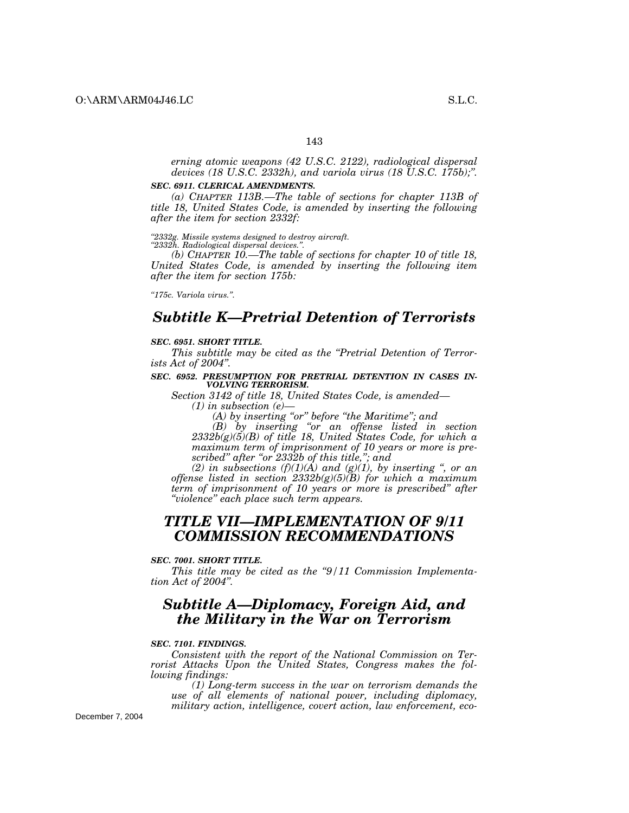*erning atomic weapons (42 U.S.C. 2122), radiological dispersal devices (18 U.S.C. 2332h), and variola virus (18 U.S.C. 175b);''.*

#### *SEC. 6911. CLERICAL AMENDMENTS.*

*(a) CHAPTER 113B.—The table of sections for chapter 113B of title 18, United States Code, is amended by inserting the following after the item for section 2332f:*

*''2332g. Missile systems designed to destroy aircraft. ''2332h. Radiological dispersal devices.''.*

*(b) CHAPTER 10.—The table of sections for chapter 10 of title 18, United States Code, is amended by inserting the following item after the item for section 175b:*

*''175c. Variola virus.''.*

# *Subtitle K—Pretrial Detention of Terrorists*

#### *SEC. 6951. SHORT TITLE.*

*This subtitle may be cited as the ''Pretrial Detention of Terrorists Act of 2004''.*

#### *SEC. 6952. PRESUMPTION FOR PRETRIAL DETENTION IN CASES IN-VOLVING TERRORISM.*

*Section 3142 of title 18, United States Code, is amended— (1) in subsection (e)—*

*(A) by inserting ''or'' before ''the Maritime''; and*

*(B) by inserting ''or an offense listed in section 2332b(g)(5)(B) of title 18, United States Code, for which a maximum term of imprisonment of 10 years or more is prescribed'' after ''or 2332b of this title,''; and*

(2) in subsections  $(f)(1)(\vec{A})$  and  $(g)(1)$ , by inserting ", or an *offense listed in section 2332b(g)(5)(B) for which a maximum term of imprisonment of 10 years or more is prescribed'' after ''violence'' each place such term appears.*

## *TITLE VII—IMPLEMENTATION OF 9/11 COMMISSION RECOMMENDATIONS*

#### *SEC. 7001. SHORT TITLE.*

*This title may be cited as the ''9/11 Commission Implementation Act of 2004''.*

# *Subtitle A—Diplomacy, Foreign Aid, and the Military in the War on Terrorism*

### *SEC. 7101. FINDINGS.*

*Consistent with the report of the National Commission on Terrorist Attacks Upon the United States, Congress makes the following findings:*

*(1) Long-term success in the war on terrorism demands the use of all elements of national power, including diplomacy, military action, intelligence, covert action, law enforcement, eco-*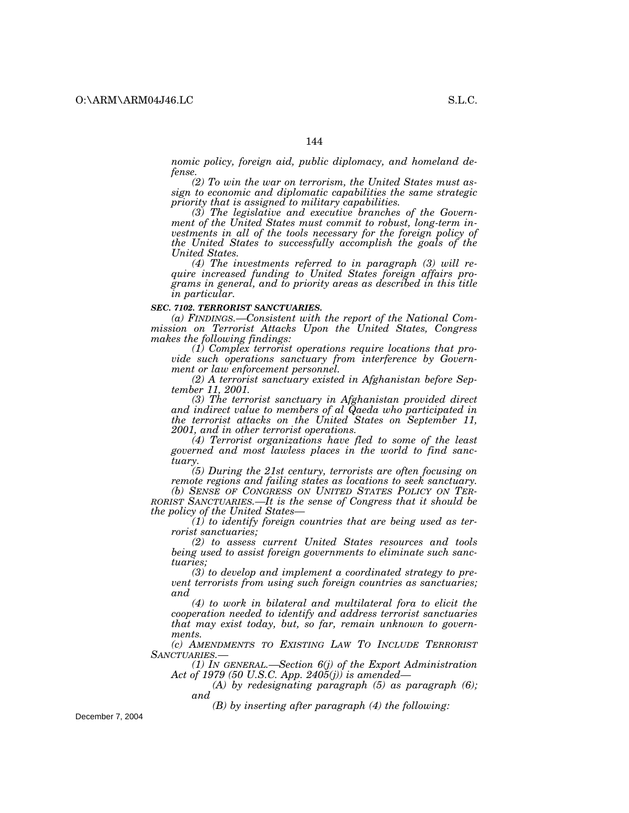*nomic policy, foreign aid, public diplomacy, and homeland defense.*

*(2) To win the war on terrorism, the United States must assign to economic and diplomatic capabilities the same strategic priority that is assigned to military capabilities.*

*(3) The legislative and executive branches of the Government of the United States must commit to robust, long-term investments in all of the tools necessary for the foreign policy of the United States to successfully accomplish the goals of the United States.*

*(4) The investments referred to in paragraph (3) will require increased funding to United States foreign affairs programs in general, and to priority areas as described in this title in particular.*

### *SEC. 7102. TERRORIST SANCTUARIES.*

*(a) FINDINGS.—Consistent with the report of the National Commission on Terrorist Attacks Upon the United States, Congress makes the following findings:*

*(1) Complex terrorist operations require locations that provide such operations sanctuary from interference by Government or law enforcement personnel.*

*(2) A terrorist sanctuary existed in Afghanistan before September 11, 2001.*

*(3) The terrorist sanctuary in Afghanistan provided direct and indirect value to members of al Qaeda who participated in the terrorist attacks on the United States on September 11, 2001, and in other terrorist operations.*

*(4) Terrorist organizations have fled to some of the least governed and most lawless places in the world to find sanctuary.*

*(5) During the 21st century, terrorists are often focusing on remote regions and failing states as locations to seek sanctuary.*

*(b) SENSE OF CONGRESS ON UNITED STATES POLICY ON TER- RORIST SANCTUARIES.—It is the sense of Congress that it should be the policy of the United States—*

*(1) to identify foreign countries that are being used as terrorist sanctuaries;*

*(2) to assess current United States resources and tools being used to assist foreign governments to eliminate such sanctuaries;*

*(3) to develop and implement a coordinated strategy to prevent terrorists from using such foreign countries as sanctuaries; and*

*(4) to work in bilateral and multilateral fora to elicit the cooperation needed to identify and address terrorist sanctuaries that may exist today, but, so far, remain unknown to governments.*

*(c) AMENDMENTS TO EXISTING LAW TO INCLUDE TERRORIST SANCTUARIES.—*

*(1) IN GENERAL.—Section 6(j) of the Export Administration Act of 1979 (50 U.S.C. App. 2405(j)) is amended—*

*(A) by redesignating paragraph (5) as paragraph (6); and*

*(B) by inserting after paragraph (4) the following:*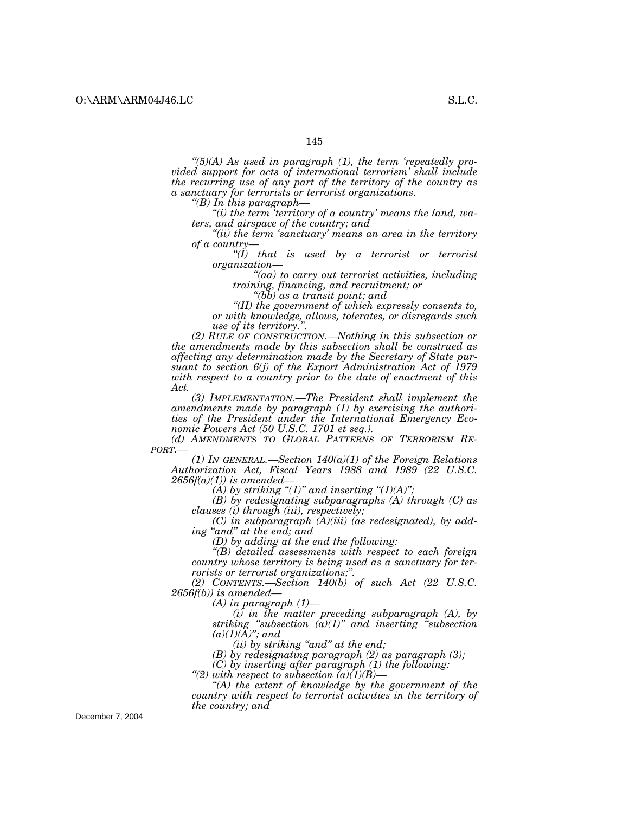*''(5)(A) As used in paragraph (1), the term 'repeatedly provided support for acts of international terrorism' shall include the recurring use of any part of the territory of the country as a sanctuary for terrorists or terrorist organizations.*

*''(B) In this paragraph—*

*''(i) the term 'territory of a country' means the land, waters, and airspace of the country; and*

*''(ii) the term 'sanctuary' means an area in the territory of a country—*

*''(I) that is used by a terrorist or terrorist organization—*

*''(aa) to carry out terrorist activities, including training, financing, and recruitment; or*

*''(bb) as a transit point; and*

*''(II) the government of which expressly consents to, or with knowledge, allows, tolerates, or disregards such use of its territory.''.*

*(2) RULE OF CONSTRUCTION.—Nothing in this subsection or the amendments made by this subsection shall be construed as affecting any determination made by the Secretary of State pursuant to section 6(j) of the Export Administration Act of 1979 with respect to a country prior to the date of enactment of this Act.*

*(3) IMPLEMENTATION.—The President shall implement the amendments made by paragraph (1) by exercising the authorities of the President under the International Emergency Economic Powers Act (50 U.S.C. 1701 et seq.).*<br>(d) AMENDMENTS TO GLOBAL PATTERNS OF TERRORISM RE-

 $PORT.$  *(1) IN GENERAL.—Section 140(a)(1) of the Foreign Relations* 

*Authorization Act, Fiscal Years 1988 and 1989 (22 U.S.C. 2656f(a)(1)) is amended—*

 $(A)$  by striking " $(1)$ " and inserting " $(1)(A)$ ";

*(B) by redesignating subparagraphs (A) through (C) as clauses (i) through (iii), respectively;*

*(C) in subparagraph (A)(iii) (as redesignated), by adding ''and'' at the end; and*

*(D) by adding at the end the following:*

*''(B) detailed assessments with respect to each foreign country whose territory is being used as a sanctuary for terrorists or terrorist organizations;''.*

*(2) CONTENTS.—Section 140(b) of such Act (22 U.S.C. 2656f(b)) is amended—*

*(A) in paragraph (1)—*

*(i) in the matter preceding subparagraph (A), by striking ''subsection (a)(1)'' and inserting ''subsection (a)(1)(A)''; and*

*(ii) by striking ''and'' at the end;*

*(B) by redesignating paragraph (2) as paragraph (3);*

*(C) by inserting after paragraph (1) the following:*

*''(2) with respect to subsection (a)(1)(B)—*

*''(A) the extent of knowledge by the government of the country with respect to terrorist activities in the territory of the country; and*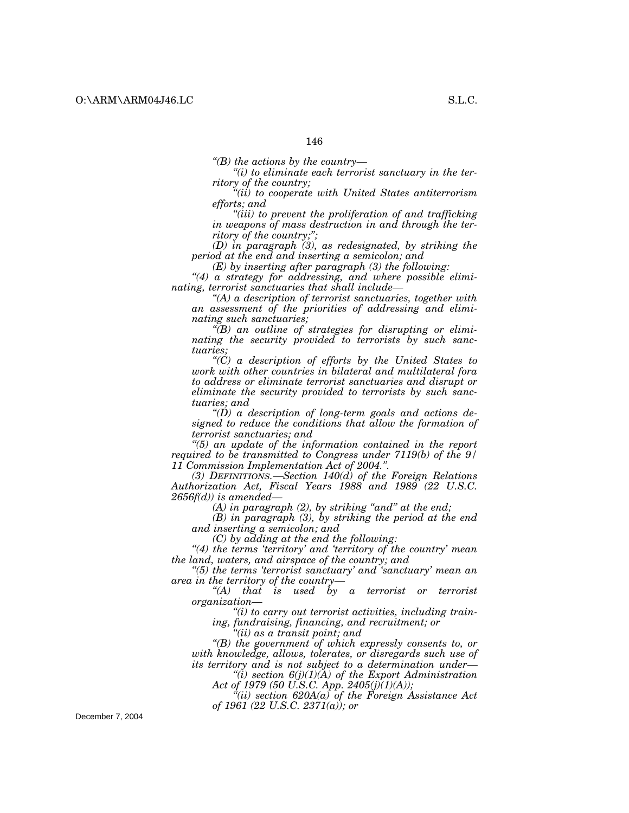*''(B) the actions by the country—*

*''(i) to eliminate each terrorist sanctuary in the territory of the country;*

*''(ii) to cooperate with United States antiterrorism efforts; and*

*''(iii) to prevent the proliferation of and trafficking in weapons of mass destruction in and through the territory of the country;'';*

*(D) in paragraph (3), as redesignated, by striking the period at the end and inserting a semicolon; and*

*(E) by inserting after paragraph (3) the following:*

*''(4) a strategy for addressing, and where possible eliminating, terrorist sanctuaries that shall include—*

*''(A) a description of terrorist sanctuaries, together with an assessment of the priorities of addressing and eliminating such sanctuaries;*

*''(B) an outline of strategies for disrupting or eliminating the security provided to terrorists by such sanctuaries;*

*''(C) a description of efforts by the United States to work with other countries in bilateral and multilateral fora to address or eliminate terrorist sanctuaries and disrupt or eliminate the security provided to terrorists by such sanctuaries; and*

*''(D) a description of long-term goals and actions designed to reduce the conditions that allow the formation of terrorist sanctuaries; and*

*''(5) an update of the information contained in the report required to be transmitted to Congress under 7119(b) of the 9/ 11 Commission Implementation Act of 2004.''.*

*(3) DEFINITIONS.—Section 140(d) of the Foreign Relations Authorization Act, Fiscal Years 1988 and 1989 (22 U.S.C. 2656f(d)) is amended—*

*(A) in paragraph (2), by striking ''and'' at the end;*

*(B) in paragraph (3), by striking the period at the end and inserting a semicolon; and*

*(C) by adding at the end the following:*

*''(4) the terms 'territory' and 'territory of the country' mean the land, waters, and airspace of the country; and*

*''(5) the terms 'terrorist sanctuary' and 'sanctuary' mean an area in the territory of the country—*

*''(A) that is used by a terrorist or terrorist organization—*

*''(i) to carry out terrorist activities, including training, fundraising, financing, and recruitment; or*

*''(ii) as a transit point; and*

*''(B) the government of which expressly consents to, or with knowledge, allows, tolerates, or disregards such use of its territory and is not subject to a determination under—*

*''(i) section 6(j)(1)(A) of the Export Administration Act of 1979 (50 U.S.C. App. 2405(j)(1)(A));*

*''(ii) section 620A(a) of the Foreign Assistance Act of 1961 (22 U.S.C. 2371(a)); or*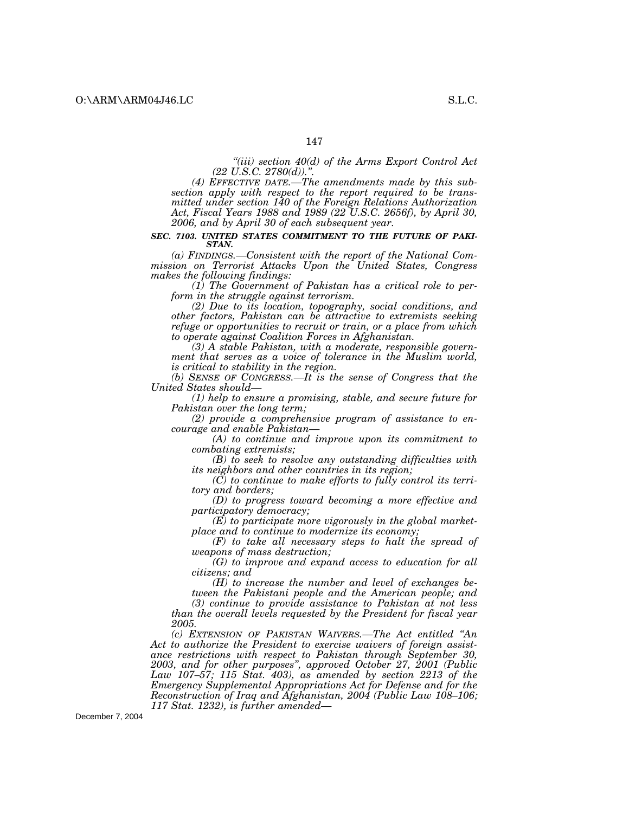*''(iii) section 40(d) of the Arms Export Control Act (22 U.S.C. 2780(d)).''.*

*(4) EFFECTIVE DATE.—The amendments made by this subsection apply with respect to the report required to be transmitted under section 140 of the Foreign Relations Authorization Act, Fiscal Years 1988 and 1989 (22 U.S.C. 2656f), by April 30, 2006, and by April 30 of each subsequent year.*

## *SEC. 7103. UNITED STATES COMMITMENT TO THE FUTURE OF PAKI-STAN.*

*(a) FINDINGS.—Consistent with the report of the National Commission on Terrorist Attacks Upon the United States, Congress makes the following findings:*

*(1) The Government of Pakistan has a critical role to perform in the struggle against terrorism.*

*(2) Due to its location, topography, social conditions, and other factors, Pakistan can be attractive to extremists seeking refuge or opportunities to recruit or train, or a place from which to operate against Coalition Forces in Afghanistan.*

*(3) A stable Pakistan, with a moderate, responsible government that serves as a voice of tolerance in the Muslim world, is critical to stability in the region.*

*(b) SENSE OF CONGRESS.—It is the sense of Congress that the United States should—*

*(1) help to ensure a promising, stable, and secure future for Pakistan over the long term;*

*(2) provide a comprehensive program of assistance to encourage and enable Pakistan—*

*(A) to continue and improve upon its commitment to combating extremists;*

*(B) to seek to resolve any outstanding difficulties with its neighbors and other countries in its region;*

*(C) to continue to make efforts to fully control its territory and borders;*

*(D) to progress toward becoming a more effective and participatory democracy;*

*(E) to participate more vigorously in the global marketplace and to continue to modernize its economy;*

*(F) to take all necessary steps to halt the spread of weapons of mass destruction;*

*(G) to improve and expand access to education for all citizens; and*

*(H) to increase the number and level of exchanges between the Pakistani people and the American people; and*

*(3) continue to provide assistance to Pakistan at not less than the overall levels requested by the President for fiscal year 2005.*

*(c) EXTENSION OF PAKISTAN WAIVERS.—The Act entitled ''An Act to authorize the President to exercise waivers of foreign assistance restrictions with respect to Pakistan through September 30, 2003, and for other purposes'', approved October 27, 2001 (Public Law 107–57; 115 Stat. 403), as amended by section 2213 of the Emergency Supplemental Appropriations Act for Defense and for the Reconstruction of Iraq and Afghanistan, 2004 (Public Law 108–106; 117 Stat. 1232), is further amended—*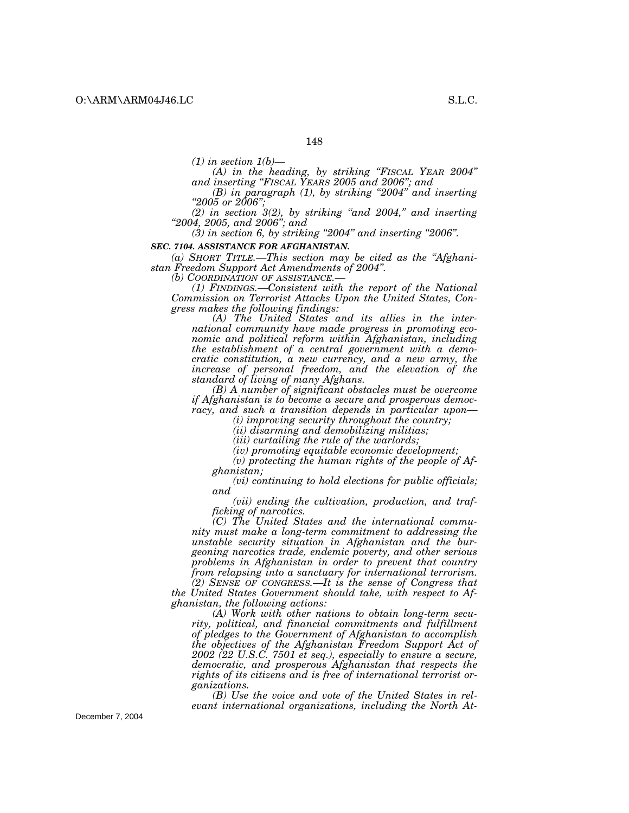*(1) in section 1(b)—*

*(A) in the heading, by striking ''FISCAL YEAR 2004'' and inserting ''FISCAL YEARS 2005 and 2006''; and*

*(B) in paragraph (1), by striking ''2004'' and inserting ''2005 or 2006'';*

*(2) in section 3(2), by striking ''and 2004,'' and inserting ''2004, 2005, and 2006''; and*

*(3) in section 6, by striking ''2004'' and inserting ''2006''.*

#### *SEC. 7104. ASSISTANCE FOR AFGHANISTAN.*

*(a) SHORT TITLE.—This section may be cited as the ''Afghanistan Freedom Support Act Amendments of 2004''.*

*(b) COORDINATION OF ASSISTANCE.— (1) FINDINGS.—Consistent with the report of the National Commission on Terrorist Attacks Upon the United States, Congress makes the following findings:*

*(A) The United States and its allies in the international community have made progress in promoting economic and political reform within Afghanistan, including the establishment of a central government with a democratic constitution, a new currency, and a new army, the increase of personal freedom, and the elevation of the standard of living of many Afghans.*

*(B) A number of significant obstacles must be overcome if Afghanistan is to become a secure and prosperous democracy, and such a transition depends in particular upon—*

*(i) improving security throughout the country;*

*(ii) disarming and demobilizing militias;*

*(iii) curtailing the rule of the warlords;*

*(iv) promoting equitable economic development;*

*(v) protecting the human rights of the people of Afghanistan;*

*(vi) continuing to hold elections for public officials; and*

*(vii) ending the cultivation, production, and trafficking of narcotics.*

*(C) The United States and the international community must make a long-term commitment to addressing the unstable security situation in Afghanistan and the burgeoning narcotics trade, endemic poverty, and other serious problems in Afghanistan in order to prevent that country from relapsing into a sanctuary for international terrorism.*

*(2) SENSE OF CONGRESS.—It is the sense of Congress that the United States Government should take, with respect to Afghanistan, the following actions:*

*(A) Work with other nations to obtain long-term security, political, and financial commitments and fulfillment of pledges to the Government of Afghanistan to accomplish the objectives of the Afghanistan Freedom Support Act of 2002 (22 U.S.C. 7501 et seq.), especially to ensure a secure, democratic, and prosperous Afghanistan that respects the rights of its citizens and is free of international terrorist organizations.*

*(B) Use the voice and vote of the United States in relevant international organizations, including the North At-*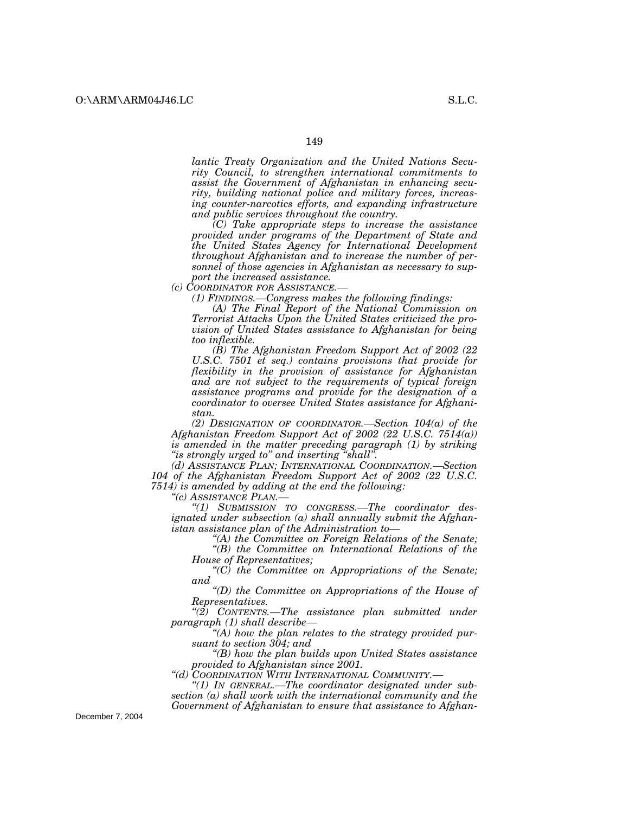*lantic Treaty Organization and the United Nations Security Council, to strengthen international commitments to assist the Government of Afghanistan in enhancing security, building national police and military forces, increasing counter-narcotics efforts, and expanding infrastructure and public services throughout the country.*

*(C) Take appropriate steps to increase the assistance provided under programs of the Department of State and the United States Agency for International Development throughout Afghanistan and to increase the number of personnel of those agencies in Afghanistan as necessary to support the increased assistance.*

*(c) COORDINATOR FOR ASSISTANCE.—*

*(1) FINDINGS.—Congress makes the following findings:*

*(A) The Final Report of the National Commission on Terrorist Attacks Upon the United States criticized the provision of United States assistance to Afghanistan for being too inflexible.*

*(B) The Afghanistan Freedom Support Act of 2002 (22 U.S.C. 7501 et seq.) contains provisions that provide for flexibility in the provision of assistance for Afghanistan and are not subject to the requirements of typical foreign assistance programs and provide for the designation of a coordinator to oversee United States assistance for Afghanistan.*

*(2) DESIGNATION OF COORDINATOR.—Section 104(a) of the Afghanistan Freedom Support Act of 2002 (22 U.S.C. 7514(a)) is amended in the matter preceding paragraph (1) by striking ''is strongly urged to'' and inserting ''shall''.*

*(d) ASSISTANCE PLAN; INTERNATIONAL COORDINATION.—Section 104 of the Afghanistan Freedom Support Act of 2002 (22 U.S.C. 7514) is amended by adding at the end the following:*

*''(c) ASSISTANCE PLAN.—*

*''(1) SUBMISSION TO CONGRESS.—The coordinator designated under subsection (a) shall annually submit the Afghanistan assistance plan of the Administration to—*

*''(A) the Committee on Foreign Relations of the Senate; ''(B) the Committee on International Relations of the*

*House of Representatives; ''(C) the Committee on Appropriations of the Senate;*

*and ''(D) the Committee on Appropriations of the House of Representatives.*

*''(2) CONTENTS.—The assistance plan submitted under paragraph (1) shall describe—*

*''(A) how the plan relates to the strategy provided pursuant to section 304; and*

*''(B) how the plan builds upon United States assistance provided to Afghanistan since 2001.*

*''(d) COORDINATION WITH INTERNATIONAL COMMUNITY.—*

*''(1) IN GENERAL.—The coordinator designated under subsection (a) shall work with the international community and the Government of Afghanistan to ensure that assistance to Afghan-*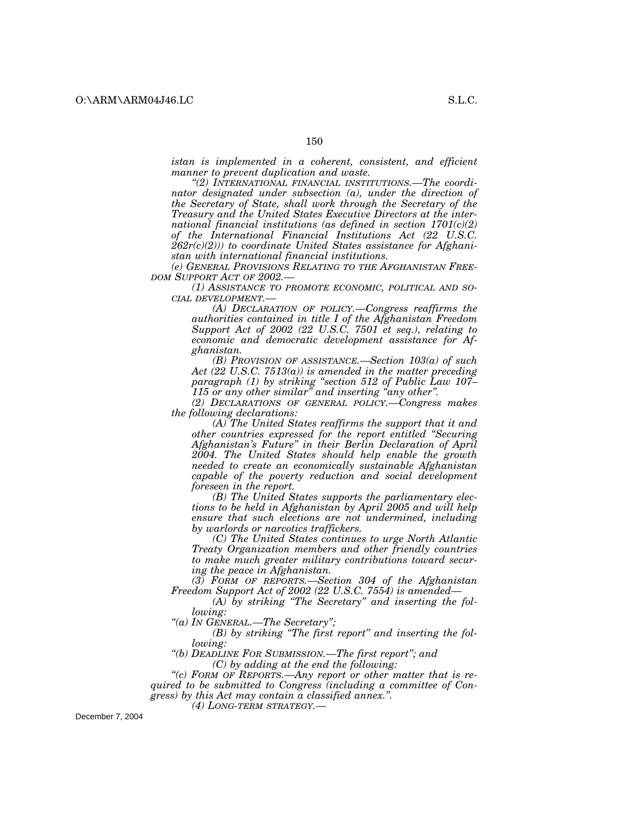*istan is implemented in a coherent, consistent, and efficient manner to prevent duplication and waste.*

*''(2) INTERNATIONAL FINANCIAL INSTITUTIONS.—The coordinator designated under subsection (a), under the direction of the Secretary of State, shall work through the Secretary of the Treasury and the United States Executive Directors at the international financial institutions (as defined in section 1701(c)(2) of the International Financial Institutions Act (22 U.S.C. 262r(c)(2))) to coordinate United States assistance for Afghanistan with international financial institutions.*

*(e) GENERAL PROVISIONS RELATING TO THE AFGHANISTAN FREE-DOM SUPPORT ACT OF 2002.—*

*(1) ASSISTANCE TO PROMOTE ECONOMIC, POLITICAL AND SO-CIAL DEVELOPMENT.—*

*(A) DECLARATION OF POLICY.—Congress reaffirms the authorities contained in title I of the Afghanistan Freedom Support Act of 2002 (22 U.S.C. 7501 et seq.), relating to economic and democratic development assistance for Afghanistan.*

*(B) PROVISION OF ASSISTANCE.—Section 103(a) of such Act (22 U.S.C. 7513(a)) is amended in the matter preceding paragraph (1) by striking ''section 512 of Public Law 107– 115 or any other similar'' and inserting ''any other''.*

*(2) DECLARATIONS OF GENERAL POLICY.—Congress makes the following declarations:*

*(A) The United States reaffirms the support that it and other countries expressed for the report entitled ''Securing Afghanistan's Future'' in their Berlin Declaration of April 2004. The United States should help enable the growth needed to create an economically sustainable Afghanistan capable of the poverty reduction and social development foreseen in the report.*

*(B) The United States supports the parliamentary elections to be held in Afghanistan by April 2005 and will help ensure that such elections are not undermined, including by warlords or narcotics traffickers.*

*(C) The United States continues to urge North Atlantic Treaty Organization members and other friendly countries to make much greater military contributions toward securing the peace in Afghanistan.*

*(3) FORM OF REPORTS.—Section 304 of the Afghanistan Freedom Support Act of 2002 (22 U.S.C. 7554) is amended—*

*(A) by striking ''The Secretary'' and inserting the following:*

*''(a) IN GENERAL.—The Secretary'';*

*(B) by striking ''The first report'' and inserting the following:*

*''(b) DEADLINE FOR SUBMISSION.—The first report''; and*

*(C) by adding at the end the following:*

*''(c) FORM OF REPORTS.—Any report or other matter that is required to be submitted to Congress (including a committee of Congress) by this Act may contain a classified annex.''.*

*(4) LONG-TERM STRATEGY.—*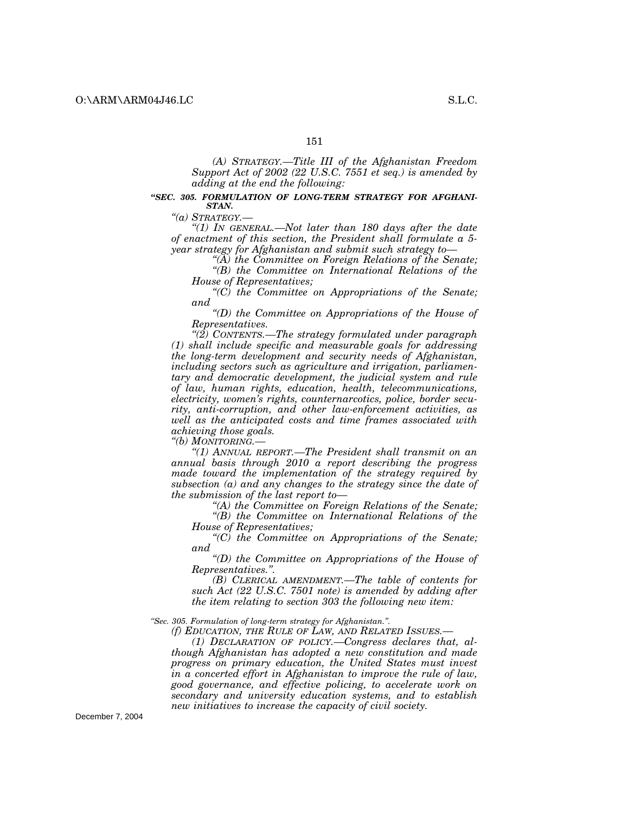*(A) STRATEGY.—Title III of the Afghanistan Freedom Support Act of 2002 (22 U.S.C. 7551 et seq.) is amended by adding at the end the following:*

## *''SEC. 305. FORMULATION OF LONG-TERM STRATEGY FOR AFGHANI-STAN.*

*''(a) STRATEGY.—*

*''(1) IN GENERAL.—Not later than 180 days after the date of enactment of this section, the President shall formulate a 5 year strategy for Afghanistan and submit such strategy to—*

*''(A) the Committee on Foreign Relations of the Senate; ''(B) the Committee on International Relations of the House of Representatives;*

*''(C) the Committee on Appropriations of the Senate; and*

*''(D) the Committee on Appropriations of the House of Representatives.*

*''(2) CONTENTS.—The strategy formulated under paragraph (1) shall include specific and measurable goals for addressing the long-term development and security needs of Afghanistan, including sectors such as agriculture and irrigation, parliamentary and democratic development, the judicial system and rule of law, human rights, education, health, telecommunications, electricity, women's rights, counternarcotics, police, border security, anti-corruption, and other law-enforcement activities, as well as the anticipated costs and time frames associated with achieving those goals.*

*''(b) MONITORING.—*

*''(1) ANNUAL REPORT.—The President shall transmit on an annual basis through 2010 a report describing the progress made toward the implementation of the strategy required by subsection (a) and any changes to the strategy since the date of the submission of the last report to—*

*''(A) the Committee on Foreign Relations of the Senate;*

*''(B) the Committee on International Relations of the House of Representatives;*

*''(C) the Committee on Appropriations of the Senate; and*

*''(D) the Committee on Appropriations of the House of Representatives.''.*

*(B) CLERICAL AMENDMENT.—The table of contents for such Act (22 U.S.C. 7501 note) is amended by adding after the item relating to section 303 the following new item:*

*''Sec. 305. Formulation of long-term strategy for Afghanistan.''.*

*(f) EDUCATION, THE RULE OF LAW, AND RELATED ISSUES.—*

*(1) DECLARATION OF POLICY.—Congress declares that, although Afghanistan has adopted a new constitution and made progress on primary education, the United States must invest in a concerted effort in Afghanistan to improve the rule of law, good governance, and effective policing, to accelerate work on secondary and university education systems, and to establish new initiatives to increase the capacity of civil society.*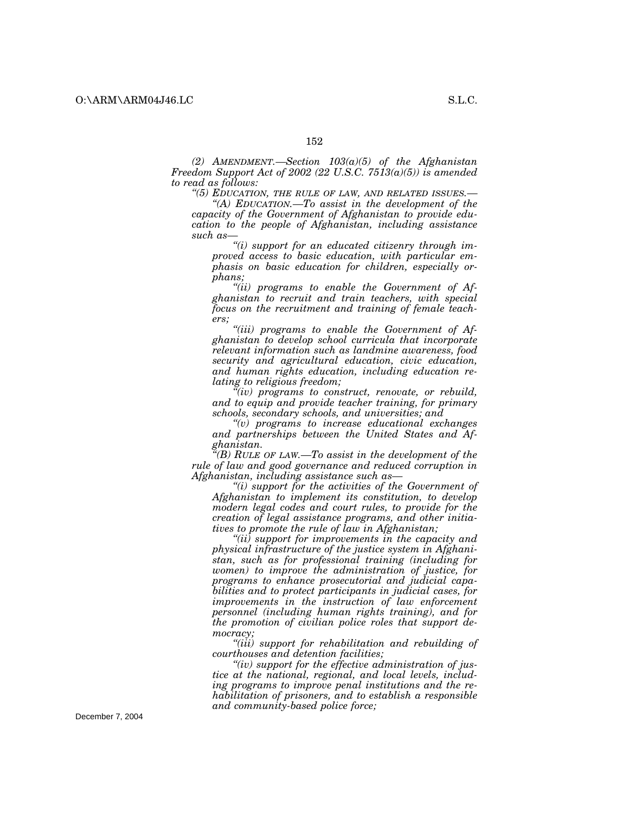*(2) AMENDMENT.—Section 103(a)(5) of the Afghanistan Freedom Support Act of 2002 (22 U.S.C. 7513(a)(5)) is amended to read as follows:*

*''(5) EDUCATION, THE RULE OF LAW, AND RELATED ISSUES.—*

*''(A) EDUCATION.—To assist in the development of the capacity of the Government of Afghanistan to provide education to the people of Afghanistan, including assistance such as—*

*''(i) support for an educated citizenry through improved access to basic education, with particular emphasis on basic education for children, especially orphans;*

*''(ii) programs to enable the Government of Afghanistan to recruit and train teachers, with special focus on the recruitment and training of female teachers;*

*''(iii) programs to enable the Government of Afghanistan to develop school curricula that incorporate relevant information such as landmine awareness, food security and agricultural education, civic education, and human rights education, including education relating to religious freedom;*

*''(iv) programs to construct, renovate, or rebuild, and to equip and provide teacher training, for primary schools, secondary schools, and universities; and*

*''(v) programs to increase educational exchanges and partnerships between the United States and Afghanistan.*

*''(B) RULE OF LAW.—To assist in the development of the rule of law and good governance and reduced corruption in Afghanistan, including assistance such as—*

*''(i) support for the activities of the Government of Afghanistan to implement its constitution, to develop modern legal codes and court rules, to provide for the creation of legal assistance programs, and other initiatives to promote the rule of law in Afghanistan;*

*''(ii) support for improvements in the capacity and physical infrastructure of the justice system in Afghanistan, such as for professional training (including for women) to improve the administration of justice, for programs to enhance prosecutorial and judicial capabilities and to protect participants in judicial cases, for improvements in the instruction of law enforcement personnel (including human rights training), and for the promotion of civilian police roles that support democracy;*

*''(iii) support for rehabilitation and rebuilding of courthouses and detention facilities;*

*''(iv) support for the effective administration of justice at the national, regional, and local levels, including programs to improve penal institutions and the rehabilitation of prisoners, and to establish a responsible and community-based police force;*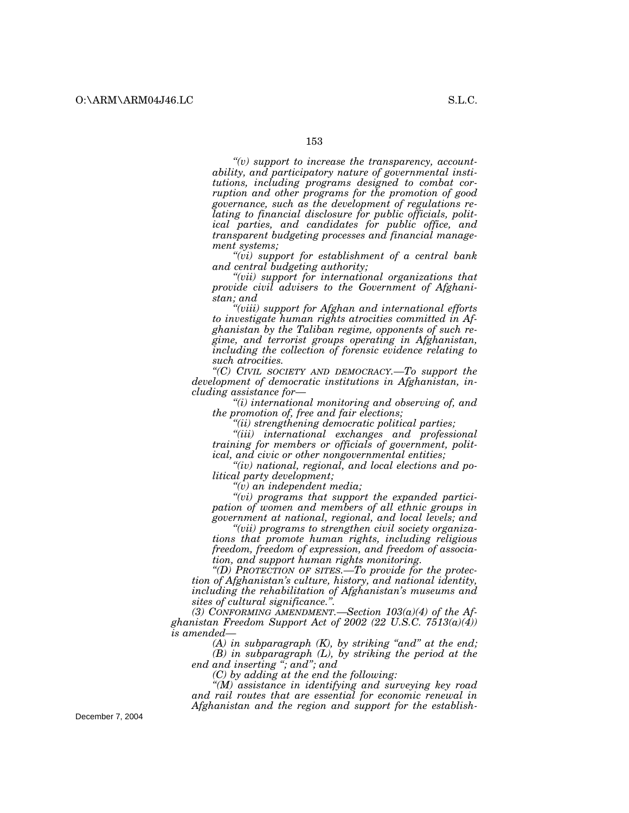*''(v) support to increase the transparency, accountability, and participatory nature of governmental institutions, including programs designed to combat corruption and other programs for the promotion of good governance, such as the development of regulations relating to financial disclosure for public officials, political parties, and candidates for public office, and transparent budgeting processes and financial management systems;*

*''(vi) support for establishment of a central bank and central budgeting authority;*

*''(vii) support for international organizations that provide civil advisers to the Government of Afghanistan; and*

*''(viii) support for Afghan and international efforts to investigate human rights atrocities committed in Afghanistan by the Taliban regime, opponents of such regime, and terrorist groups operating in Afghanistan, including the collection of forensic evidence relating to such atrocities.*

*''(C) CIVIL SOCIETY AND DEMOCRACY.—To support the development of democratic institutions in Afghanistan, including assistance for—*

*''(i) international monitoring and observing of, and the promotion of, free and fair elections;*

*''(ii) strengthening democratic political parties;*

*''(iii) international exchanges and professional training for members or officials of government, political, and civic or other nongovernmental entities;*

*''(iv) national, regional, and local elections and political party development;*

*''(v) an independent media;*

*''(vi) programs that support the expanded participation of women and members of all ethnic groups in government at national, regional, and local levels; and*

*''(vii) programs to strengthen civil society organizations that promote human rights, including religious freedom, freedom of expression, and freedom of association, and support human rights monitoring.*

*''(D) PROTECTION OF SITES.—To provide for the protection of Afghanistan's culture, history, and national identity, including the rehabilitation of Afghanistan's museums and sites of cultural significance.''.*

*(3) CONFORMING AMENDMENT.—Section 103(a)(4) of the Afghanistan Freedom Support Act of 2002 (22 U.S.C. 7513(a)(4)) is amended—*

*(A) in subparagraph (K), by striking ''and'' at the end; (B) in subparagraph (L), by striking the period at the*

*end and inserting ''; and''; and (C) by adding at the end the following:*

*''(M) assistance in identifying and surveying key road and rail routes that are essential for economic renewal in Afghanistan and the region and support for the establish-*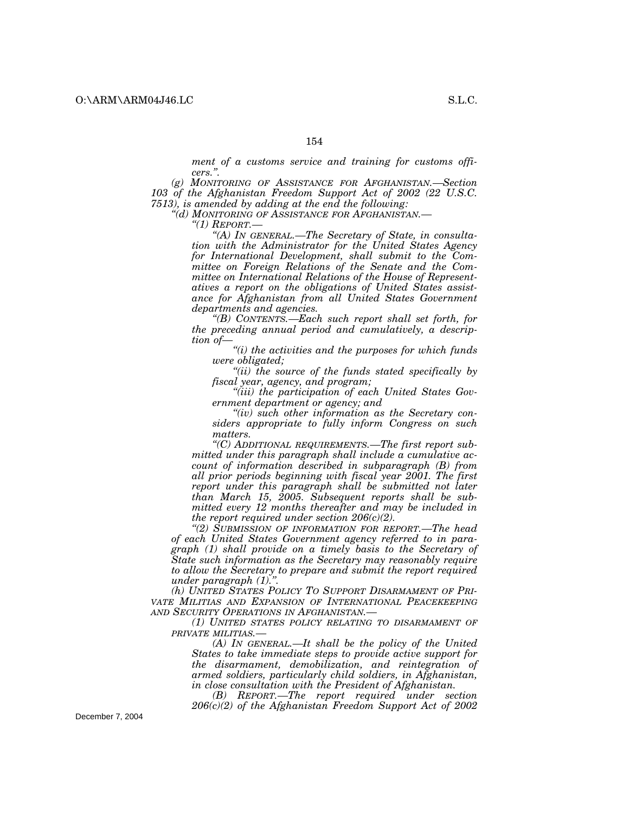*ment of a customs service and training for customs officers.''.*

*(g) MONITORING OF ASSISTANCE FOR AFGHANISTAN.—Section 103 of the Afghanistan Freedom Support Act of 2002 (22 U.S.C. 7513), is amended by adding at the end the following:*

*''(d) MONITORING OF ASSISTANCE FOR AFGHANISTAN.—*

*''(1) REPORT.—*

*''(A) IN GENERAL.—The Secretary of State, in consultation with the Administrator for the United States Agency for International Development, shall submit to the Committee on Foreign Relations of the Senate and the Committee on International Relations of the House of Representatives a report on the obligations of United States assistance for Afghanistan from all United States Government departments and agencies.*

*''(B) CONTENTS.—Each such report shall set forth, for the preceding annual period and cumulatively, a description of—*

*''(i) the activities and the purposes for which funds were obligated;*

*''(ii) the source of the funds stated specifically by fiscal year, agency, and program;*

*''(iii) the participation of each United States Government department or agency; and*

*''(iv) such other information as the Secretary considers appropriate to fully inform Congress on such matters.*

*''(C) ADDITIONAL REQUIREMENTS.—The first report submitted under this paragraph shall include a cumulative account of information described in subparagraph (B) from all prior periods beginning with fiscal year 2001. The first report under this paragraph shall be submitted not later than March 15, 2005. Subsequent reports shall be submitted every 12 months thereafter and may be included in the report required under section 206(c)(2).*

*''(2) SUBMISSION OF INFORMATION FOR REPORT.—The head of each United States Government agency referred to in paragraph (1) shall provide on a timely basis to the Secretary of State such information as the Secretary may reasonably require to allow the Secretary to prepare and submit the report required under paragraph (1).''.*

*(h) UNITED STATES POLICY TO SUPPORT DISARMAMENT OF PRI-VATE MILITIAS AND EXPANSION OF INTERNATIONAL PEACEKEEPING AND SECURITY OPERATIONS IN AFGHANISTAN.—*

*(1) UNITED STATES POLICY RELATING TO DISARMAMENT OF PRIVATE MILITIAS.—*

*(A) IN GENERAL.—It shall be the policy of the United States to take immediate steps to provide active support for the disarmament, demobilization, and reintegration of armed soldiers, particularly child soldiers, in Afghanistan, in close consultation with the President of Afghanistan.*

*(B) REPORT.—The report required under section 206(c)(2) of the Afghanistan Freedom Support Act of 2002*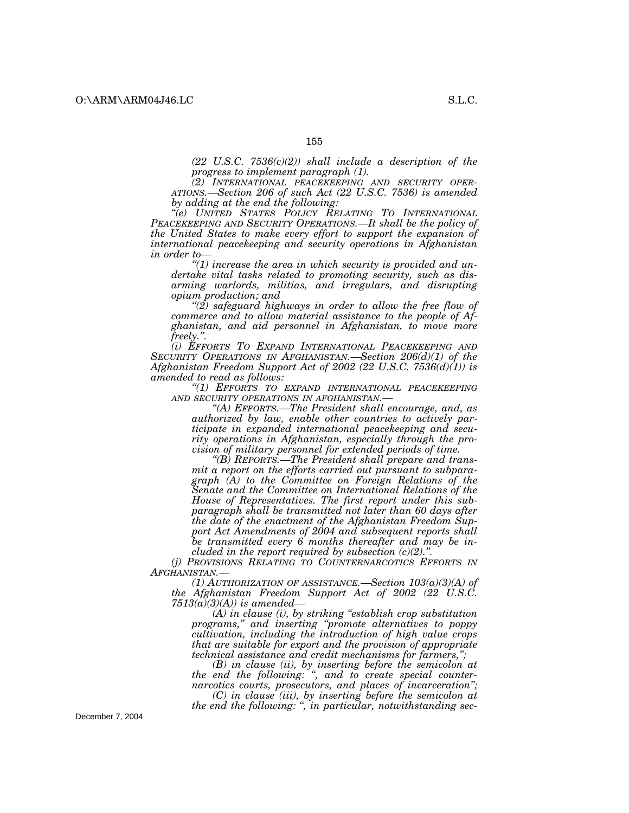*(22 U.S.C. 7536(c)(2)) shall include a description of the progress to implement paragraph (1).*

*(2) INTERNATIONAL PEACEKEEPING AND SECURITY OPER- ATIONS.—Section 206 of such Act (22 U.S.C. 7536) is amended by adding at the end the following:*

*''(e) UNITED STATES POLICY RELATING TO INTERNATIONAL PEACEKEEPING AND SECURITY OPERATIONS.—It shall be the policy of the United States to make every effort to support the expansion of international peacekeeping and security operations in Afghanistan in order to—*

*''(1) increase the area in which security is provided and undertake vital tasks related to promoting security, such as disarming warlords, militias, and irregulars, and disrupting opium production; and*

*''(2) safeguard highways in order to allow the free flow of commerce and to allow material assistance to the people of Afghanistan, and aid personnel in Afghanistan, to move more freely.''.*

*(i) EFFORTS TO EXPAND INTERNATIONAL PEACEKEEPING AND SECURITY OPERATIONS IN AFGHANISTAN.—Section 206(d)(1) of the Afghanistan Freedom Support Act of 2002 (22 U.S.C. 7536(d)(1)) is amended to read as follows:*

*''(1) EFFORTS TO EXPAND INTERNATIONAL PEACEKEEPING AND SECURITY OPERATIONS IN AFGHANISTAN.— ''(A) EFFORTS.—The President shall encourage, and, as*

*authorized by law, enable other countries to actively participate in expanded international peacekeeping and security operations in Afghanistan, especially through the provision of military personnel for extended periods of time.*

*''(B) REPORTS.—The President shall prepare and transmit a report on the efforts carried out pursuant to subparagraph (A) to the Committee on Foreign Relations of the Senate and the Committee on International Relations of the House of Representatives. The first report under this subparagraph shall be transmitted not later than 60 days after the date of the enactment of the Afghanistan Freedom Support Act Amendments of 2004 and subsequent reports shall be transmitted every 6 months thereafter and may be included in the report required by subsection (c)(2).''.*

*(j) PROVISIONS RELATING TO COUNTERNARCOTICS EFFORTS IN AFGHANISTAN.—*

*(1) AUTHORIZATION OF ASSISTANCE.—Section 103(a)(3)(A) of the Afghanistan Freedom Support Act of 2002 (22 U.S.C. 7513(a)(3)(A)) is amended—*

*(A) in clause (i), by striking ''establish crop substitution programs,'' and inserting ''promote alternatives to poppy cultivation, including the introduction of high value crops that are suitable for export and the provision of appropriate technical assistance and credit mechanisms for farmers,'';*

*(B) in clause (ii), by inserting before the semicolon at the end the following: '', and to create special counternarcotics courts, prosecutors, and places of incarceration''; (C) in clause (iii), by inserting before the semicolon at*

*the end the following: '', in particular, notwithstanding sec-*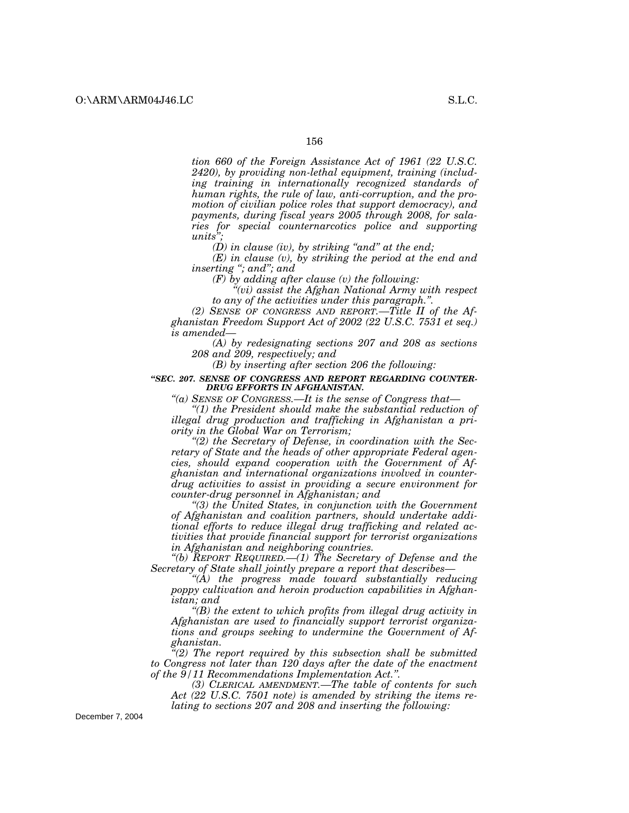*tion 660 of the Foreign Assistance Act of 1961 (22 U.S.C. 2420), by providing non-lethal equipment, training (including training in internationally recognized standards of human rights, the rule of law, anti-corruption, and the promotion of civilian police roles that support democracy), and payments, during fiscal years 2005 through 2008, for salaries for special counternarcotics police and supporting units'';*

*(D) in clause (iv), by striking ''and'' at the end;*

*(E) in clause (v), by striking the period at the end and inserting ''; and''; and*

*(F) by adding after clause (v) the following:*

*''(vi) assist the Afghan National Army with respect to any of the activities under this paragraph.''.*

*(2) SENSE OF CONGRESS AND REPORT.—Title II of the Afghanistan Freedom Support Act of 2002 (22 U.S.C. 7531 et seq.) is amended—*

*(A) by redesignating sections 207 and 208 as sections 208 and 209, respectively; and*

*(B) by inserting after section 206 the following:*

## *''SEC. 207. SENSE OF CONGRESS AND REPORT REGARDING COUNTER-DRUG EFFORTS IN AFGHANISTAN.*

*''(a) SENSE OF CONGRESS.—It is the sense of Congress that—*

*''(1) the President should make the substantial reduction of illegal drug production and trafficking in Afghanistan a priority in the Global War on Terrorism;*

*''(2) the Secretary of Defense, in coordination with the Secretary of State and the heads of other appropriate Federal agencies, should expand cooperation with the Government of Afghanistan and international organizations involved in counterdrug activities to assist in providing a secure environment for counter-drug personnel in Afghanistan; and*

*''(3) the United States, in conjunction with the Government of Afghanistan and coalition partners, should undertake additional efforts to reduce illegal drug trafficking and related activities that provide financial support for terrorist organizations in Afghanistan and neighboring countries.*

*''(b) REPORT REQUIRED.—(1) The Secretary of Defense and the Secretary of State shall jointly prepare a report that describes—*

*''(A) the progress made toward substantially reducing poppy cultivation and heroin production capabilities in Afghanistan; and*

*''(B) the extent to which profits from illegal drug activity in Afghanistan are used to financially support terrorist organizations and groups seeking to undermine the Government of Afghanistan.*

*''(2) The report required by this subsection shall be submitted to Congress not later than 120 days after the date of the enactment of the 9/11 Recommendations Implementation Act.''.*

*(3) CLERICAL AMENDMENT.—The table of contents for such Act (22 U.S.C. 7501 note) is amended by striking the items relating to sections 207 and 208 and inserting the following:*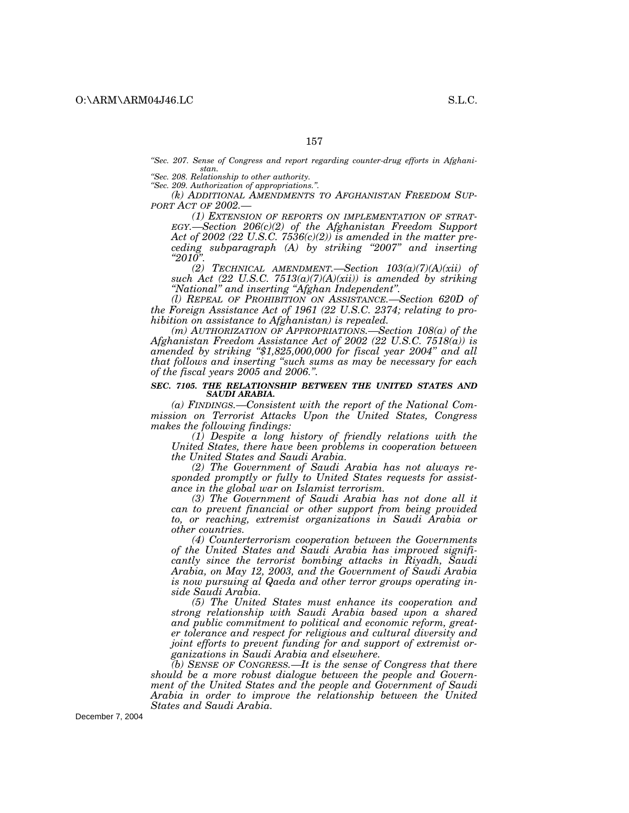*''Sec. 207. Sense of Congress and report regarding counter-drug efforts in Afghanistan.*

*''Sec. 208. Relationship to other authority. ''Sec. 209. Authorization of appropriations.''.*

*(k) ADDITIONAL AMENDMENTS TO AFGHANISTAN FREEDOM SUP-PORT ACT OF 2002.—*

*(1) EXTENSION OF REPORTS ON IMPLEMENTATION OF STRAT-EGY.—Section 206(c)(2) of the Afghanistan Freedom Support Act of 2002 (22 U.S.C. 7536(c)(2)) is amended in the matter preceding subparagraph (A) by striking ''2007'' and inserting ''2010''.*

*(2) TECHNICAL AMENDMENT.—Section 103(a)(7)(A)(xii) of such Act (22 U.S.C. 7513(a)(7)(A)(xii)) is amended by striking ''National'' and inserting ''Afghan Independent''.*

*(l) REPEAL OF PROHIBITION ON ASSISTANCE.—Section 620D of the Foreign Assistance Act of 1961 (22 U.S.C. 2374; relating to prohibition on assistance to Afghanistan) is repealed.*

*(m) AUTHORIZATION OF APPROPRIATIONS.—Section 108(a) of the Afghanistan Freedom Assistance Act of 2002 (22 U.S.C. 7518(a)) is amended by striking ''\$1,825,000,000 for fiscal year 2004'' and all that follows and inserting ''such sums as may be necessary for each of the fiscal years 2005 and 2006.''.*

## *SEC. 7105. THE RELATIONSHIP BETWEEN THE UNITED STATES AND SAUDI ARABIA.*

*(a) FINDINGS.—Consistent with the report of the National Commission on Terrorist Attacks Upon the United States, Congress makes the following findings:*

*(1) Despite a long history of friendly relations with the United States, there have been problems in cooperation between the United States and Saudi Arabia.*

*(2) The Government of Saudi Arabia has not always responded promptly or fully to United States requests for assistance in the global war on Islamist terrorism.*

*(3) The Government of Saudi Arabia has not done all it can to prevent financial or other support from being provided to, or reaching, extremist organizations in Saudi Arabia or other countries.*

*(4) Counterterrorism cooperation between the Governments of the United States and Saudi Arabia has improved significantly since the terrorist bombing attacks in Riyadh, Saudi Arabia, on May 12, 2003, and the Government of Saudi Arabia is now pursuing al Qaeda and other terror groups operating inside Saudi Arabia.*

*(5) The United States must enhance its cooperation and strong relationship with Saudi Arabia based upon a shared and public commitment to political and economic reform, greater tolerance and respect for religious and cultural diversity and joint efforts to prevent funding for and support of extremist organizations in Saudi Arabia and elsewhere.*

*(b) SENSE OF CONGRESS.—It is the sense of Congress that there should be a more robust dialogue between the people and Government of the United States and the people and Government of Saudi Arabia in order to improve the relationship between the United States and Saudi Arabia.*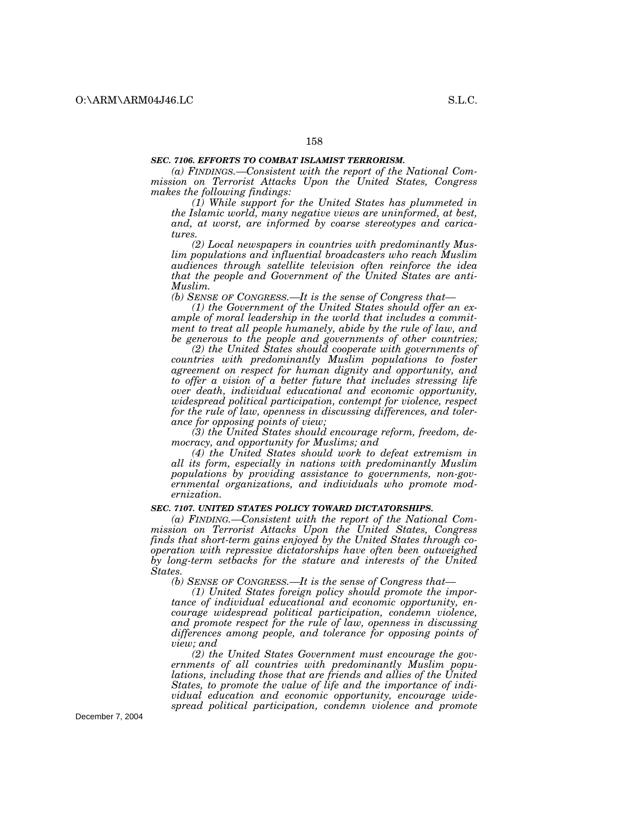## *SEC. 7106. EFFORTS TO COMBAT ISLAMIST TERRORISM.*

*(a) FINDINGS.—Consistent with the report of the National Commission on Terrorist Attacks Upon the United States, Congress makes the following findings:*

*(1) While support for the United States has plummeted in the Islamic world, many negative views are uninformed, at best, and, at worst, are informed by coarse stereotypes and caricatures.*

*(2) Local newspapers in countries with predominantly Muslim populations and influential broadcasters who reach Muslim audiences through satellite television often reinforce the idea that the people and Government of the United States are anti-Muslim.*

*(b) SENSE OF CONGRESS.—It is the sense of Congress that—*

*(1) the Government of the United States should offer an example of moral leadership in the world that includes a commitment to treat all people humanely, abide by the rule of law, and be generous to the people and governments of other countries;*

*(2) the United States should cooperate with governments of countries with predominantly Muslim populations to foster agreement on respect for human dignity and opportunity, and to offer a vision of a better future that includes stressing life over death, individual educational and economic opportunity, widespread political participation, contempt for violence, respect for the rule of law, openness in discussing differences, and tolerance for opposing points of view;*

*(3) the United States should encourage reform, freedom, democracy, and opportunity for Muslims; and*

*(4) the United States should work to defeat extremism in all its form, especially in nations with predominantly Muslim populations by providing assistance to governments, non-governmental organizations, and individuals who promote modernization.*

## *SEC. 7107. UNITED STATES POLICY TOWARD DICTATORSHIPS.*

*(a) FINDING.—Consistent with the report of the National Commission on Terrorist Attacks Upon the United States, Congress finds that short-term gains enjoyed by the United States through cooperation with repressive dictatorships have often been outweighed by long-term setbacks for the stature and interests of the United States.*

*(b) SENSE OF CONGRESS.—It is the sense of Congress that—*

*(1) United States foreign policy should promote the importance of individual educational and economic opportunity, encourage widespread political participation, condemn violence, and promote respect for the rule of law, openness in discussing differences among people, and tolerance for opposing points of view; and*

*(2) the United States Government must encourage the governments of all countries with predominantly Muslim populations, including those that are friends and allies of the United States, to promote the value of life and the importance of individual education and economic opportunity, encourage widespread political participation, condemn violence and promote*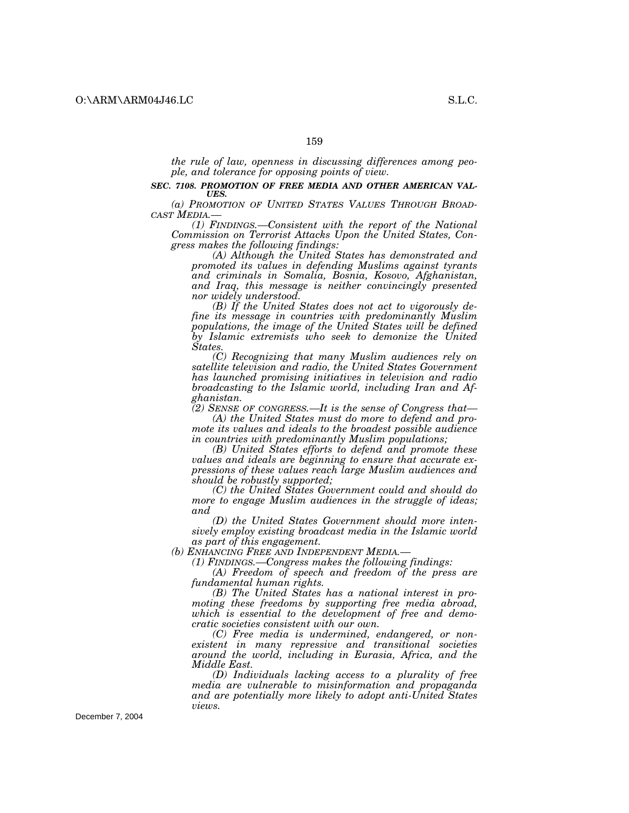*the rule of law, openness in discussing differences among people, and tolerance for opposing points of view.*

## *SEC. 7108. PROMOTION OF FREE MEDIA AND OTHER AMERICAN VAL-UES.*

*(a) PROMOTION OF UNITED STATES VALUES THROUGH BROAD-*

*CAST MEDIA.— (1) FINDINGS.—Consistent with the report of the National Commission on Terrorist Attacks Upon the United States, Congress makes the following findings:*

*(A) Although the United States has demonstrated and promoted its values in defending Muslims against tyrants and criminals in Somalia, Bosnia, Kosovo, Afghanistan, and Iraq, this message is neither convincingly presented nor widely understood.*

*(B) If the United States does not act to vigorously define its message in countries with predominantly Muslim populations, the image of the United States will be defined by Islamic extremists who seek to demonize the United States.*

*(C) Recognizing that many Muslim audiences rely on satellite television and radio, the United States Government has launched promising initiatives in television and radio broadcasting to the Islamic world, including Iran and Afghanistan.*

*(2) SENSE OF CONGRESS.—It is the sense of Congress that—*

*(A) the United States must do more to defend and promote its values and ideals to the broadest possible audience in countries with predominantly Muslim populations;*

*(B) United States efforts to defend and promote these values and ideals are beginning to ensure that accurate expressions of these values reach large Muslim audiences and should be robustly supported;*

*(C) the United States Government could and should do more to engage Muslim audiences in the struggle of ideas; and*

*(D) the United States Government should more intensively employ existing broadcast media in the Islamic world as part of this engagement.*

*(b) ENHANCING FREE AND INDEPENDENT MEDIA.—*

*(1) FINDINGS.—Congress makes the following findings:*

*(A) Freedom of speech and freedom of the press are fundamental human rights.*

*(B) The United States has a national interest in promoting these freedoms by supporting free media abroad, which is essential to the development of free and democratic societies consistent with our own.*

*(C) Free media is undermined, endangered, or nonexistent in many repressive and transitional societies around the world, including in Eurasia, Africa, and the Middle East.*

*(D) Individuals lacking access to a plurality of free media are vulnerable to misinformation and propaganda and are potentially more likely to adopt anti-United States views.*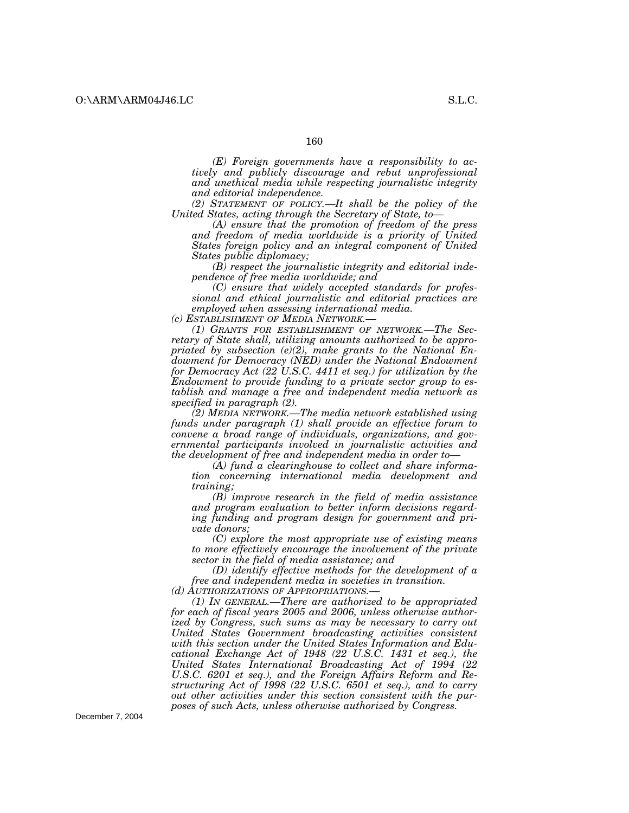*(E) Foreign governments have a responsibility to actively and publicly discourage and rebut unprofessional and unethical media while respecting journalistic integrity and editorial independence.*

*(2) STATEMENT OF POLICY.—It shall be the policy of the United States, acting through the Secretary of State, to—*

*(A) ensure that the promotion of freedom of the press and freedom of media worldwide is a priority of United States foreign policy and an integral component of United States public diplomacy;*

*(B) respect the journalistic integrity and editorial independence of free media worldwide; and*

*(C) ensure that widely accepted standards for professional and ethical journalistic and editorial practices are employed when assessing international media.*

*(c) ESTABLISHMENT OF MEDIA NETWORK.—*

*(1) GRANTS FOR ESTABLISHMENT OF NETWORK.—The Secretary of State shall, utilizing amounts authorized to be appropriated by subsection (e)(2), make grants to the National Endowment for Democracy (NED) under the National Endowment for Democracy Act (22 U.S.C. 4411 et seq.) for utilization by the Endowment to provide funding to a private sector group to establish and manage a free and independent media network as specified in paragraph (2).*

*(2) MEDIA NETWORK.—The media network established using funds under paragraph (1) shall provide an effective forum to convene a broad range of individuals, organizations, and governmental participants involved in journalistic activities and the development of free and independent media in order to—*

*(A) fund a clearinghouse to collect and share information concerning international media development and training;*

*(B) improve research in the field of media assistance and program evaluation to better inform decisions regarding funding and program design for government and private donors;*

*(C) explore the most appropriate use of existing means to more effectively encourage the involvement of the private sector in the field of media assistance; and*

*(D) identify effective methods for the development of a free and independent media in societies in transition.*

*(d) AUTHORIZATIONS OF APPROPRIATIONS.—*

*(1) IN GENERAL.—There are authorized to be appropriated for each of fiscal years 2005 and 2006, unless otherwise authorized by Congress, such sums as may be necessary to carry out United States Government broadcasting activities consistent with this section under the United States Information and Educational Exchange Act of 1948 (22 U.S.C. 1431 et seq.), the United States International Broadcasting Act of 1994 (22 U.S.C. 6201 et seq.), and the Foreign Affairs Reform and Restructuring Act of 1998 (22 U.S.C. 6501 et seq.), and to carry out other activities under this section consistent with the purposes of such Acts, unless otherwise authorized by Congress.*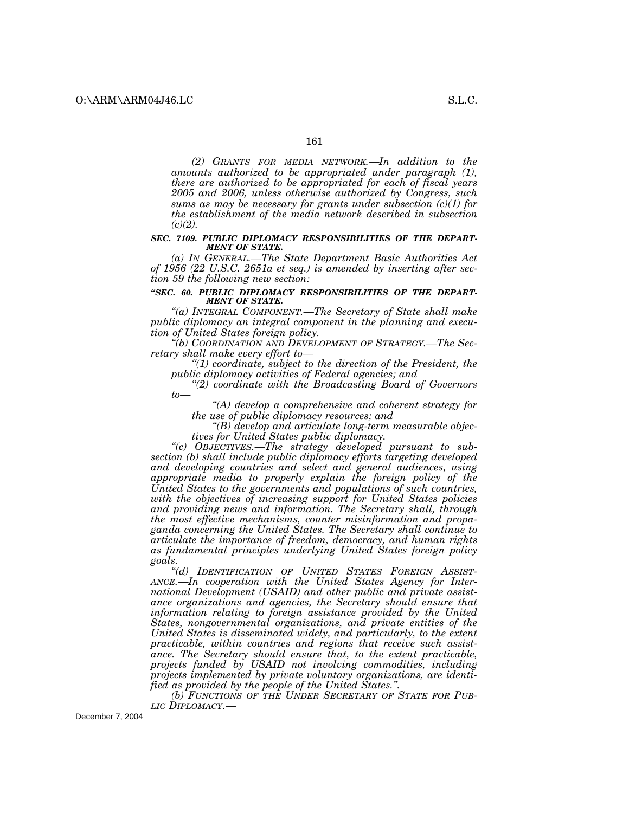*(2) GRANTS FOR MEDIA NETWORK.—In addition to the amounts authorized to be appropriated under paragraph (1), there are authorized to be appropriated for each of fiscal years 2005 and 2006, unless otherwise authorized by Congress, such sums as may be necessary for grants under subsection (c)(1) for the establishment of the media network described in subsection (c)(2).*

## *SEC. 7109. PUBLIC DIPLOMACY RESPONSIBILITIES OF THE DEPART-MENT OF STATE.*

*(a) IN GENERAL.—The State Department Basic Authorities Act of 1956 (22 U.S.C. 2651a et seq.) is amended by inserting after section 59 the following new section:*

## *''SEC. 60. PUBLIC DIPLOMACY RESPONSIBILITIES OF THE DEPART-MENT OF STATE.*

*''(a) INTEGRAL COMPONENT.—The Secretary of State shall make public diplomacy an integral component in the planning and execution of United States foreign policy.*

*''(b) COORDINATION AND DEVELOPMENT OF STRATEGY.—The Secretary shall make every effort to—*

*''(1) coordinate, subject to the direction of the President, the public diplomacy activities of Federal agencies; and*

*''(2) coordinate with the Broadcasting Board of Governors to—*

*''(A) develop a comprehensive and coherent strategy for the use of public diplomacy resources; and*

*''(B) develop and articulate long-term measurable objectives for United States public diplomacy.*

*''(c) OBJECTIVES.—The strategy developed pursuant to subsection (b) shall include public diplomacy efforts targeting developed and developing countries and select and general audiences, using appropriate media to properly explain the foreign policy of the United States to the governments and populations of such countries, with the objectives of increasing support for United States policies and providing news and information. The Secretary shall, through the most effective mechanisms, counter misinformation and propaganda concerning the United States. The Secretary shall continue to articulate the importance of freedom, democracy, and human rights as fundamental principles underlying United States foreign policy goals.*

*''(d) IDENTIFICATION OF UNITED STATES FOREIGN ASSIST-ANCE.—In cooperation with the United States Agency for International Development (USAID) and other public and private assistance organizations and agencies, the Secretary should ensure that information relating to foreign assistance provided by the United States, nongovernmental organizations, and private entities of the United States is disseminated widely, and particularly, to the extent practicable, within countries and regions that receive such assistance. The Secretary should ensure that, to the extent practicable, projects funded by USAID not involving commodities, including projects implemented by private voluntary organizations, are identified as provided by the people of the United States.''.*

*(b) FUNCTIONS OF THE UNDER SECRETARY OF STATE FOR PUB-LIC DIPLOMACY.—*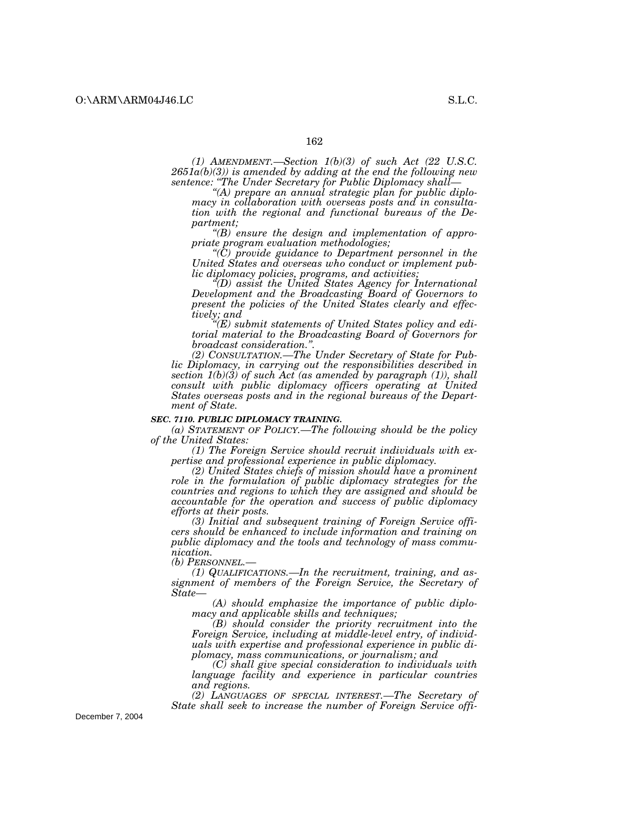*(1) AMENDMENT.—Section 1(b)(3) of such Act (22 U.S.C. 2651a(b)(3)) is amended by adding at the end the following new sentence: ''The Under Secretary for Public Diplomacy shall—*

*''(A) prepare an annual strategic plan for public diplomacy in collaboration with overseas posts and in consultation with the regional and functional bureaus of the Department;*

*''(B) ensure the design and implementation of appropriate program evaluation methodologies;*

*''(C) provide guidance to Department personnel in the United States and overseas who conduct or implement public diplomacy policies, programs, and activities;*

*''(D) assist the United States Agency for International Development and the Broadcasting Board of Governors to present the policies of the United States clearly and effectively; and*

*''(E) submit statements of United States policy and editorial material to the Broadcasting Board of Governors for broadcast consideration.''.*

*(2) CONSULTATION.—The Under Secretary of State for Public Diplomacy, in carrying out the responsibilities described in section 1(b)(3) of such Act (as amended by paragraph (1)), shall consult with public diplomacy officers operating at United States overseas posts and in the regional bureaus of the Department of State.*

#### *SEC. 7110. PUBLIC DIPLOMACY TRAINING.*

*(a) STATEMENT OF POLICY.—The following should be the policy of the United States:*

*(1) The Foreign Service should recruit individuals with expertise and professional experience in public diplomacy.*

*(2) United States chiefs of mission should have a prominent role in the formulation of public diplomacy strategies for the countries and regions to which they are assigned and should be accountable for the operation and success of public diplomacy efforts at their posts.*

*(3) Initial and subsequent training of Foreign Service officers should be enhanced to include information and training on public diplomacy and the tools and technology of mass communication.*

*(b) PERSONNEL.— (1) QUALIFICATIONS.—In the recruitment, training, and assignment of members of the Foreign Service, the Secretary of State—*

*(A) should emphasize the importance of public diplomacy and applicable skills and techniques;*

*(B) should consider the priority recruitment into the Foreign Service, including at middle-level entry, of individuals with expertise and professional experience in public diplomacy, mass communications, or journalism; and*

*(C) shall give special consideration to individuals with language facility and experience in particular countries and regions.*

*(2) LANGUAGES OF SPECIAL INTEREST.—The Secretary of State shall seek to increase the number of Foreign Service offi-*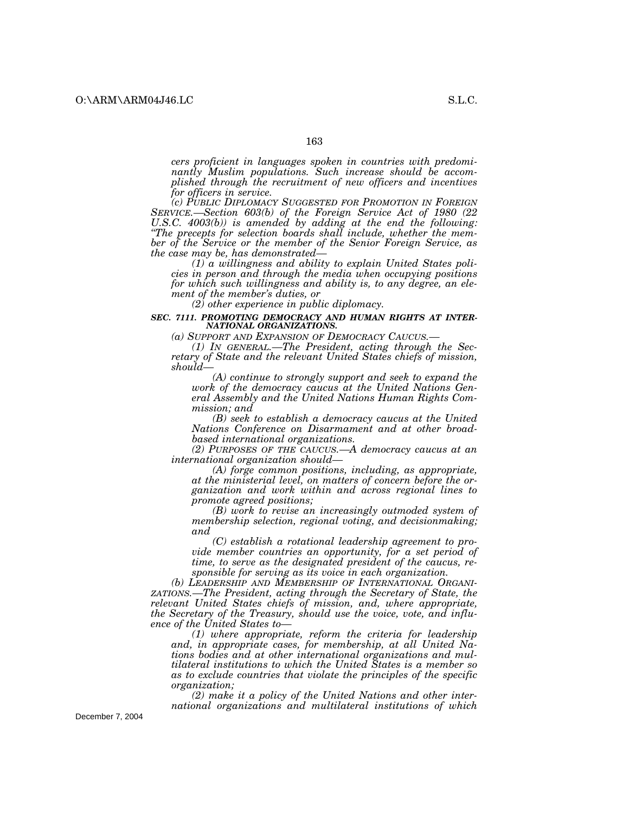*cers proficient in languages spoken in countries with predominantly Muslim populations. Such increase should be accomplished through the recruitment of new officers and incentives for officers in service.*

*(c) PUBLIC DIPLOMACY SUGGESTED FOR PROMOTION IN FOREIGN SERVICE.—Section 603(b) of the Foreign Service Act of 1980 (22 U.S.C. 4003(b)) is amended by adding at the end the following: ''The precepts for selection boards shall include, whether the member of the Service or the member of the Senior Foreign Service, as the case may be, has demonstrated—*

*(1) a willingness and ability to explain United States policies in person and through the media when occupying positions for which such willingness and ability is, to any degree, an element of the member's duties, or*

*(2) other experience in public diplomacy.*

# *SEC. 7111. PROMOTING DEMOCRACY AND HUMAN RIGHTS AT INTER-NATIONAL ORGANIZATIONS.*

*(a) SUPPORT AND EXPANSION OF DEMOCRACY CAUCUS.— (1) IN GENERAL.—The President, acting through the Secretary of State and the relevant United States chiefs of mission, should—*

*(A) continue to strongly support and seek to expand the work of the democracy caucus at the United Nations General Assembly and the United Nations Human Rights Commission; and*

*(B) seek to establish a democracy caucus at the United Nations Conference on Disarmament and at other broadbased international organizations.*

*(2) PURPOSES OF THE CAUCUS.—A democracy caucus at an international organization should—*

*(A) forge common positions, including, as appropriate, at the ministerial level, on matters of concern before the organization and work within and across regional lines to promote agreed positions;*

*(B) work to revise an increasingly outmoded system of membership selection, regional voting, and decisionmaking; and*

*(C) establish a rotational leadership agreement to provide member countries an opportunity, for a set period of time, to serve as the designated president of the caucus, responsible for serving as its voice in each organization.*

*(b) LEADERSHIP AND MEMBERSHIP OF INTERNATIONAL ORGANI-ZATIONS.—The President, acting through the Secretary of State, the relevant United States chiefs of mission, and, where appropriate, the Secretary of the Treasury, should use the voice, vote, and influence of the United States to—*

*(1) where appropriate, reform the criteria for leadership and, in appropriate cases, for membership, at all United Nations bodies and at other international organizations and multilateral institutions to which the United States is a member so as to exclude countries that violate the principles of the specific organization;*

*(2) make it a policy of the United Nations and other international organizations and multilateral institutions of which*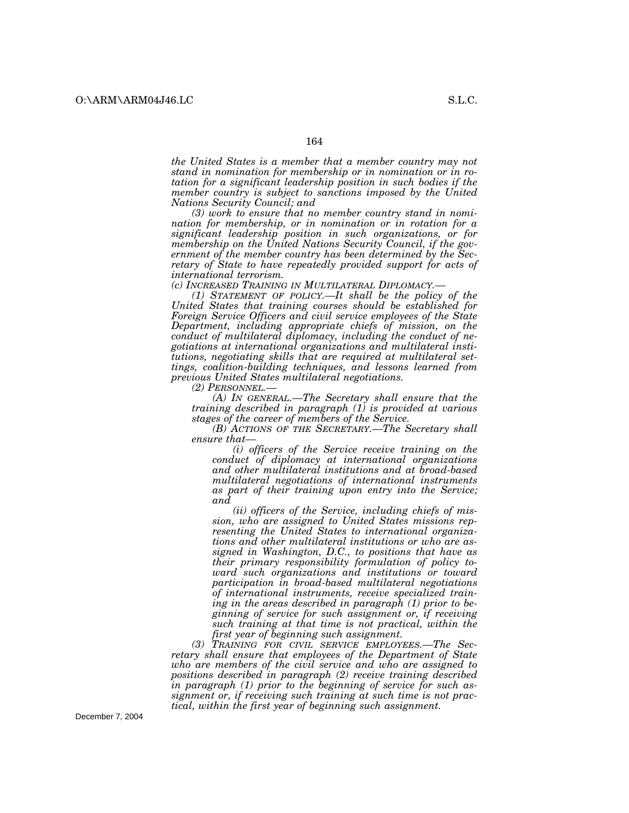*the United States is a member that a member country may not stand in nomination for membership or in nomination or in rotation for a significant leadership position in such bodies if the member country is subject to sanctions imposed by the United Nations Security Council; and*

*(3) work to ensure that no member country stand in nomination for membership, or in nomination or in rotation for a significant leadership position in such organizations, or for membership on the United Nations Security Council, if the government of the member country has been determined by the Secretary of State to have repeatedly provided support for acts of international terrorism.*

*(c) INCREASED TRAINING IN MULTILATERAL DIPLOMACY.— (1) STATEMENT OF POLICY.—It shall be the policy of the United States that training courses should be established for Foreign Service Officers and civil service employees of the State Department, including appropriate chiefs of mission, on the conduct of multilateral diplomacy, including the conduct of negotiations at international organizations and multilateral institutions, negotiating skills that are required at multilateral settings, coalition-building techniques, and lessons learned from previous United States multilateral negotiations.*

*(A) IN GENERAL.—The Secretary shall ensure that the training described in paragraph (1) is provided at various stages of the career of members of the Service.*

*(B) ACTIONS OF THE SECRETARY.—The Secretary shall ensure that—*

*(i) officers of the Service receive training on the conduct of diplomacy at international organizations and other multilateral institutions and at broad-based multilateral negotiations of international instruments as part of their training upon entry into the Service; and*

*(ii) officers of the Service, including chiefs of mission, who are assigned to United States missions representing the United States to international organizations and other multilateral institutions or who are assigned in Washington, D.C., to positions that have as their primary responsibility formulation of policy toward such organizations and institutions or toward participation in broad-based multilateral negotiations of international instruments, receive specialized training in the areas described in paragraph (1) prior to beginning of service for such assignment or, if receiving such training at that time is not practical, within the first year of beginning such assignment.*

*(3) TRAINING FOR CIVIL SERVICE EMPLOYEES.—The Secretary shall ensure that employees of the Department of State who are members of the civil service and who are assigned to positions described in paragraph (2) receive training described in paragraph (1) prior to the beginning of service for such assignment or, if receiving such training at such time is not practical, within the first year of beginning such assignment.*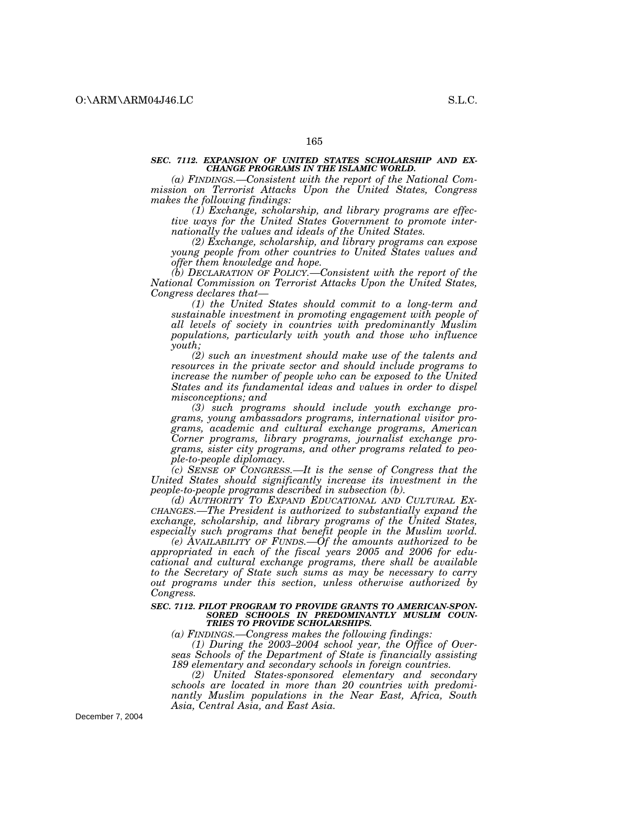## *SEC. 7112. EXPANSION OF UNITED STATES SCHOLARSHIP AND EX-CHANGE PROGRAMS IN THE ISLAMIC WORLD.*

*(a) FINDINGS.—Consistent with the report of the National Commission on Terrorist Attacks Upon the United States, Congress makes the following findings:*

*(1) Exchange, scholarship, and library programs are effective ways for the United States Government to promote internationally the values and ideals of the United States.*

*(2) Exchange, scholarship, and library programs can expose young people from other countries to United States values and offer them knowledge and hope.*

*(b) DECLARATION OF POLICY.—Consistent with the report of the National Commission on Terrorist Attacks Upon the United States, Congress declares that—*

*(1) the United States should commit to a long-term and sustainable investment in promoting engagement with people of all levels of society in countries with predominantly Muslim populations, particularly with youth and those who influence youth;*

*(2) such an investment should make use of the talents and resources in the private sector and should include programs to increase the number of people who can be exposed to the United States and its fundamental ideas and values in order to dispel misconceptions; and*

*(3) such programs should include youth exchange programs, young ambassadors programs, international visitor programs, academic and cultural exchange programs, American Corner programs, library programs, journalist exchange programs, sister city programs, and other programs related to people-to-people diplomacy.*

*(c) SENSE OF CONGRESS.—It is the sense of Congress that the United States should significantly increase its investment in the people-to-people programs described in subsection (b).*

*(d) AUTHORITY TO EXPAND EDUCATIONAL AND CULTURAL EX-CHANGES.—The President is authorized to substantially expand the exchange, scholarship, and library programs of the United States, especially such programs that benefit people in the Muslim world.*

*(e) AVAILABILITY OF FUNDS.—Of the amounts authorized to be appropriated in each of the fiscal years 2005 and 2006 for educational and cultural exchange programs, there shall be available to the Secretary of State such sums as may be necessary to carry out programs under this section, unless otherwise authorized by Congress.*

#### *SEC. 7112. PILOT PROGRAM TO PROVIDE GRANTS TO AMERICAN-SPON-SORED SCHOOLS IN PREDOMINANTLY MUSLIM COUN-TRIES TO PROVIDE SCHOLARSHIPS.*

*(a) FINDINGS.—Congress makes the following findings:*

*(1) During the 2003–2004 school year, the Office of Overseas Schools of the Department of State is financially assisting 189 elementary and secondary schools in foreign countries.*

*(2) United States-sponsored elementary and secondary schools are located in more than 20 countries with predominantly Muslim populations in the Near East, Africa, South Asia, Central Asia, and East Asia.*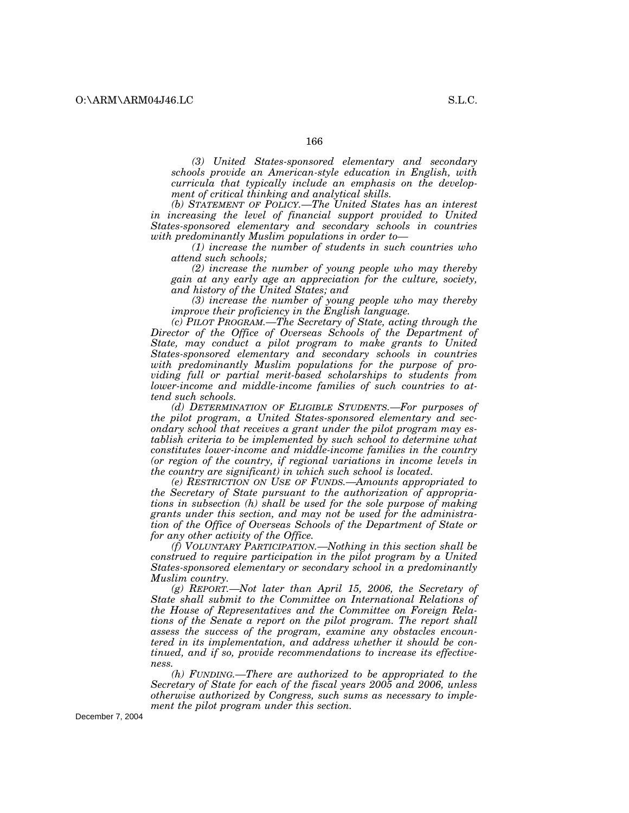*(3) United States-sponsored elementary and secondary schools provide an American-style education in English, with curricula that typically include an emphasis on the development of critical thinking and analytical skills.*

*(b) STATEMENT OF POLICY.—The United States has an interest in increasing the level of financial support provided to United States-sponsored elementary and secondary schools in countries with predominantly Muslim populations in order to—*

*(1) increase the number of students in such countries who attend such schools;*

*(2) increase the number of young people who may thereby gain at any early age an appreciation for the culture, society, and history of the United States; and*

*(3) increase the number of young people who may thereby improve their proficiency in the English language.*

*(c) PILOT PROGRAM.—The Secretary of State, acting through the Director of the Office of Overseas Schools of the Department of State, may conduct a pilot program to make grants to United States-sponsored elementary and secondary schools in countries with predominantly Muslim populations for the purpose of providing full or partial merit-based scholarships to students from lower-income and middle-income families of such countries to attend such schools.*

*(d) DETERMINATION OF ELIGIBLE STUDENTS.—For purposes of the pilot program, a United States-sponsored elementary and secondary school that receives a grant under the pilot program may establish criteria to be implemented by such school to determine what constitutes lower-income and middle-income families in the country (or region of the country, if regional variations in income levels in the country are significant) in which such school is located.*

*(e) RESTRICTION ON USE OF FUNDS.—Amounts appropriated to the Secretary of State pursuant to the authorization of appropriations in subsection (h) shall be used for the sole purpose of making grants under this section, and may not be used for the administration of the Office of Overseas Schools of the Department of State or for any other activity of the Office.*

*(f) VOLUNTARY PARTICIPATION.—Nothing in this section shall be construed to require participation in the pilot program by a United States-sponsored elementary or secondary school in a predominantly Muslim country.*

*(g) REPORT.—Not later than April 15, 2006, the Secretary of State shall submit to the Committee on International Relations of the House of Representatives and the Committee on Foreign Relations of the Senate a report on the pilot program. The report shall assess the success of the program, examine any obstacles encountered in its implementation, and address whether it should be continued, and if so, provide recommendations to increase its effectiveness.*

*(h) FUNDING.—There are authorized to be appropriated to the Secretary of State for each of the fiscal years 2005 and 2006, unless otherwise authorized by Congress, such sums as necessary to implement the pilot program under this section.*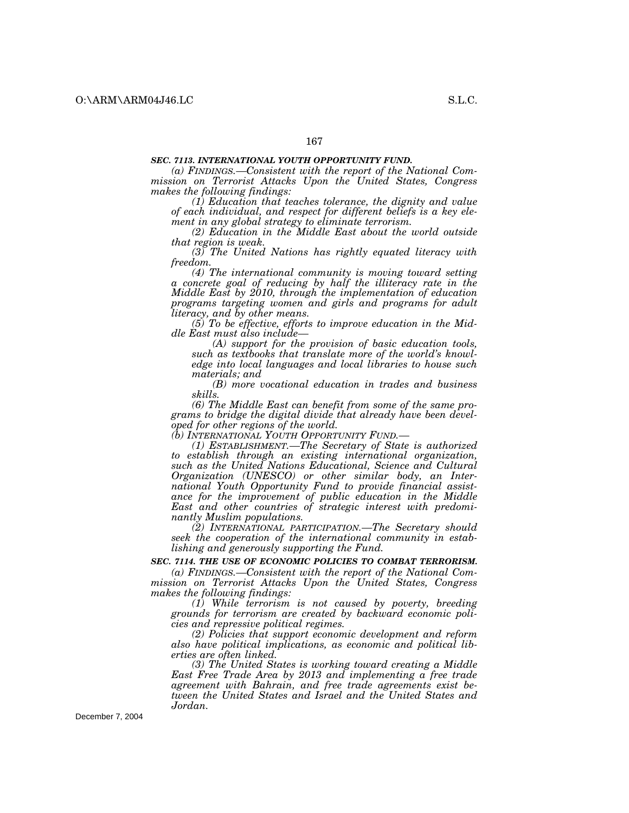## *SEC. 7113. INTERNATIONAL YOUTH OPPORTUNITY FUND.*

*(a) FINDINGS.—Consistent with the report of the National Commission on Terrorist Attacks Upon the United States, Congress makes the following findings:*

*(1) Education that teaches tolerance, the dignity and value of each individual, and respect for different beliefs is a key element in any global strategy to eliminate terrorism.*

*(2) Education in the Middle East about the world outside that region is weak.*

*(3) The United Nations has rightly equated literacy with freedom.*

*(4) The international community is moving toward setting a concrete goal of reducing by half the illiteracy rate in the Middle East by 2010, through the implementation of education programs targeting women and girls and programs for adult literacy, and by other means.*

*(5) To be effective, efforts to improve education in the Middle East must also include—*

*(A) support for the provision of basic education tools, such as textbooks that translate more of the world's knowledge into local languages and local libraries to house such materials; and*

*(B) more vocational education in trades and business skills.*

*(6) The Middle East can benefit from some of the same programs to bridge the digital divide that already have been developed for other regions of the world.*

*(1) ESTABLISHMENT.—The Secretary of State is authorized to establish through an existing international organization, such as the United Nations Educational, Science and Cultural Organization (UNESCO) or other similar body, an International Youth Opportunity Fund to provide financial assistance for the improvement of public education in the Middle East and other countries of strategic interest with predominantly Muslim populations.*

*(2) INTERNATIONAL PARTICIPATION.—The Secretary should seek the cooperation of the international community in establishing and generously supporting the Fund.*

#### *SEC. 7114. THE USE OF ECONOMIC POLICIES TO COMBAT TERRORISM.*

*(a) FINDINGS.—Consistent with the report of the National Commission on Terrorist Attacks Upon the United States, Congress makes the following findings:*

*(1) While terrorism is not caused by poverty, breeding grounds for terrorism are created by backward economic policies and repressive political regimes.*

*(2) Policies that support economic development and reform also have political implications, as economic and political liberties are often linked.*

*(3) The United States is working toward creating a Middle East Free Trade Area by 2013 and implementing a free trade agreement with Bahrain, and free trade agreements exist between the United States and Israel and the United States and Jordan.*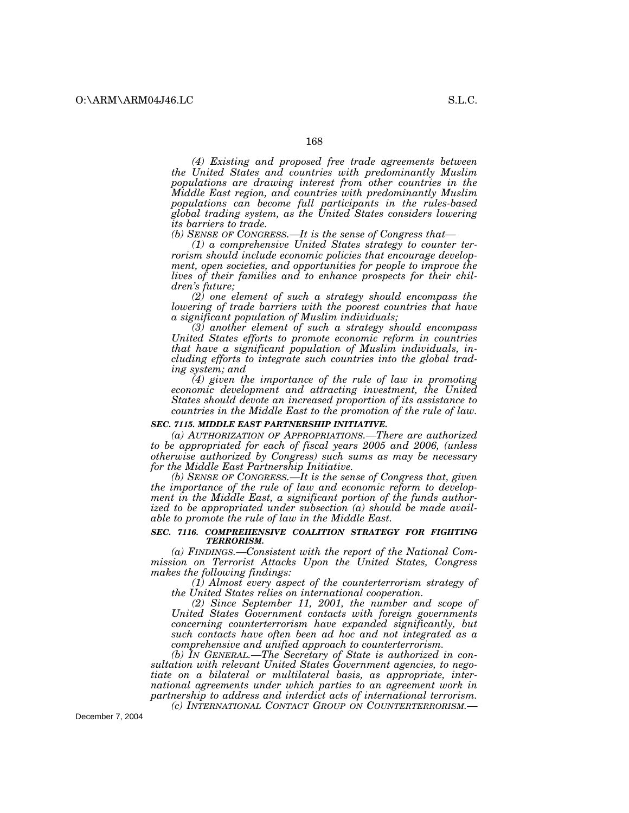*(4) Existing and proposed free trade agreements between the United States and countries with predominantly Muslim populations are drawing interest from other countries in the Middle East region, and countries with predominantly Muslim populations can become full participants in the rules-based global trading system, as the United States considers lowering its barriers to trade.*

*(b) SENSE OF CONGRESS.—It is the sense of Congress that—*

*(1) a comprehensive United States strategy to counter terrorism should include economic policies that encourage development, open societies, and opportunities for people to improve the lives of their families and to enhance prospects for their children's future;*

*(2) one element of such a strategy should encompass the lowering of trade barriers with the poorest countries that have a significant population of Muslim individuals;*

*(3) another element of such a strategy should encompass United States efforts to promote economic reform in countries that have a significant population of Muslim individuals, including efforts to integrate such countries into the global trading system; and*

*(4) given the importance of the rule of law in promoting economic development and attracting investment, the United States should devote an increased proportion of its assistance to countries in the Middle East to the promotion of the rule of law.*

## *SEC. 7115. MIDDLE EAST PARTNERSHIP INITIATIVE.*

*(a) AUTHORIZATION OF APPROPRIATIONS.—There are authorized to be appropriated for each of fiscal years 2005 and 2006, (unless otherwise authorized by Congress) such sums as may be necessary for the Middle East Partnership Initiative.*

*(b) SENSE OF CONGRESS.—It is the sense of Congress that, given the importance of the rule of law and economic reform to development in the Middle East, a significant portion of the funds authorized to be appropriated under subsection (a) should be made available to promote the rule of law in the Middle East.*

## *SEC. 7116. COMPREHENSIVE COALITION STRATEGY FOR FIGHTING TERRORISM.*

*(a) FINDINGS.—Consistent with the report of the National Commission on Terrorist Attacks Upon the United States, Congress makes the following findings:*

*(1) Almost every aspect of the counterterrorism strategy of the United States relies on international cooperation.*

*(2) Since September 11, 2001, the number and scope of United States Government contacts with foreign governments concerning counterterrorism have expanded significantly, but such contacts have often been ad hoc and not integrated as a comprehensive and unified approach to counterterrorism.*

*(b) IN GENERAL.—The Secretary of State is authorized in consultation with relevant United States Government agencies, to negotiate on a bilateral or multilateral basis, as appropriate, international agreements under which parties to an agreement work in partnership to address and interdict acts of international terrorism.*

*(c) INTERNATIONAL CONTACT GROUP ON COUNTERTERRORISM.—*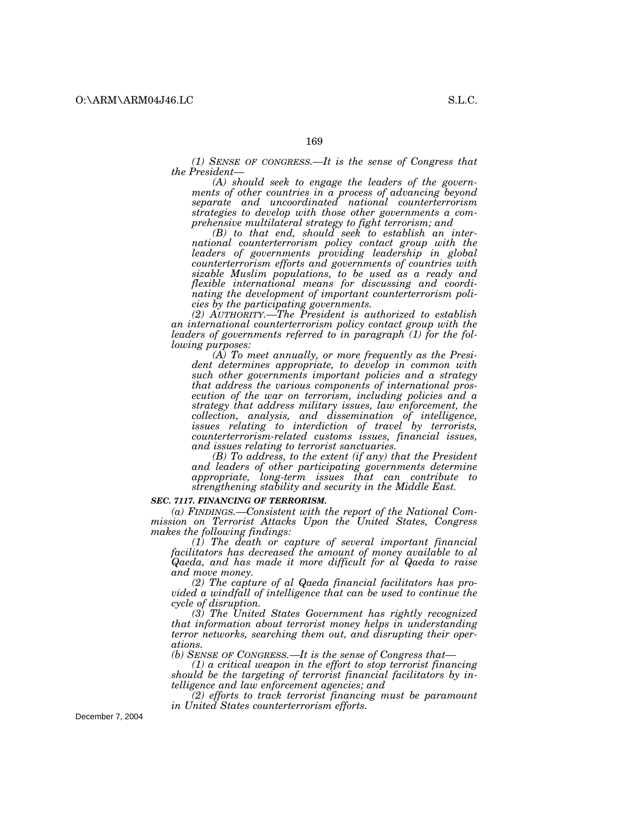*(1) SENSE OF CONGRESS.—It is the sense of Congress that the President—*

*(A) should seek to engage the leaders of the governments of other countries in a process of advancing beyond separate and uncoordinated national counterterrorism strategies to develop with those other governments a comprehensive multilateral strategy to fight terrorism; and*

*(B) to that end, should seek to establish an international counterterrorism policy contact group with the leaders of governments providing leadership in global counterterrorism efforts and governments of countries with sizable Muslim populations, to be used as a ready and flexible international means for discussing and coordinating the development of important counterterrorism policies by the participating governments.*

*(2) AUTHORITY.—The President is authorized to establish an international counterterrorism policy contact group with the leaders of governments referred to in paragraph (1) for the following purposes:*

*(A) To meet annually, or more frequently as the President determines appropriate, to develop in common with such other governments important policies and a strategy that address the various components of international prosecution of the war on terrorism, including policies and a strategy that address military issues, law enforcement, the collection, analysis, and dissemination of intelligence, issues relating to interdiction of travel by terrorists, counterterrorism-related customs issues, financial issues, and issues relating to terrorist sanctuaries.*

*(B) To address, to the extent (if any) that the President and leaders of other participating governments determine appropriate, long-term issues that can contribute to strengthening stability and security in the Middle East.*

## *SEC. 7117. FINANCING OF TERRORISM.*

*(a) FINDINGS.—Consistent with the report of the National Commission on Terrorist Attacks Upon the United States, Congress makes the following findings:*

*(1) The death or capture of several important financial facilitators has decreased the amount of money available to al Qaeda, and has made it more difficult for al Qaeda to raise and move money.*

*(2) The capture of al Qaeda financial facilitators has provided a windfall of intelligence that can be used to continue the cycle of disruption.*

*(3) The United States Government has rightly recognized that information about terrorist money helps in understanding terror networks, searching them out, and disrupting their operations.*

*(b) SENSE OF CONGRESS.—It is the sense of Congress that—*

*(1) a critical weapon in the effort to stop terrorist financing should be the targeting of terrorist financial facilitators by intelligence and law enforcement agencies; and*

*(2) efforts to track terrorist financing must be paramount in United States counterterrorism efforts.*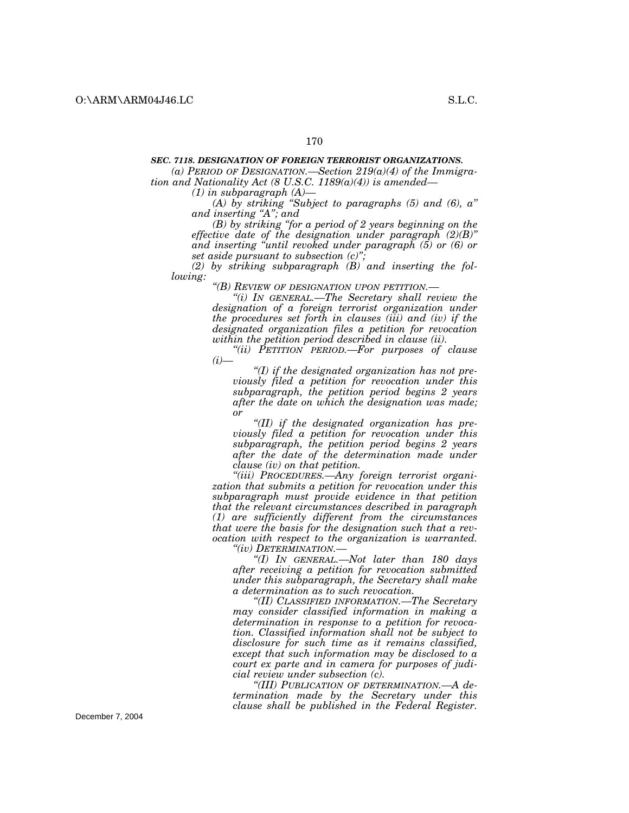*SEC. 7118. DESIGNATION OF FOREIGN TERRORIST ORGANIZATIONS.*

*(a) PERIOD OF DESIGNATION.—Section 219(a)(4) of the Immigration and Nationality Act (8 U.S.C. 1189(a)(4)) is amended—*

*(1) in subparagraph (A)—*

*(A) by striking ''Subject to paragraphs (5) and (6), a'' and inserting ''A''; and*

*(B) by striking ''for a period of 2 years beginning on the effective date of the designation under paragraph (2)(B)'' and inserting ''until revoked under paragraph (5) or (6) or set aside pursuant to subsection (c)'';*

*(2) by striking subparagraph (B) and inserting the following:*

*''(B) REVIEW OF DESIGNATION UPON PETITION.—*

*''(i) IN GENERAL.—The Secretary shall review the designation of a foreign terrorist organization under the procedures set forth in clauses (iii) and (iv) if the designated organization files a petition for revocation within the petition period described in clause (ii).*

*''(ii) PETITION PERIOD.—For purposes of clause (i)—*

*''(I) if the designated organization has not previously filed a petition for revocation under this subparagraph, the petition period begins 2 years after the date on which the designation was made; or*

*''(II) if the designated organization has previously filed a petition for revocation under this subparagraph, the petition period begins 2 years after the date of the determination made under clause (iv) on that petition.*

*''(iii) PROCEDURES.—Any foreign terrorist organization that submits a petition for revocation under this subparagraph must provide evidence in that petition that the relevant circumstances described in paragraph (1) are sufficiently different from the circumstances that were the basis for the designation such that a revocation with respect to the organization is warranted. ''(iv) DETERMINATION.—*

*''(I) IN GENERAL.—Not later than 180 days after receiving a petition for revocation submitted under this subparagraph, the Secretary shall make a determination as to such revocation.*

*''(II) CLASSIFIED INFORMATION.—The Secretary may consider classified information in making a determination in response to a petition for revocation. Classified information shall not be subject to disclosure for such time as it remains classified, except that such information may be disclosed to a court ex parte and in camera for purposes of judicial review under subsection (c).*

*''(III) PUBLICATION OF DETERMINATION.—A determination made by the Secretary under this clause shall be published in the Federal Register.*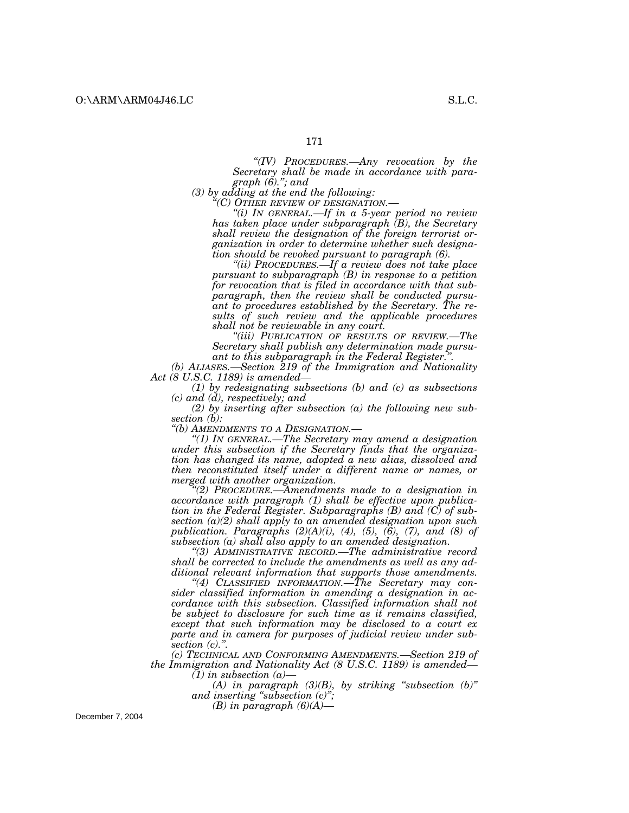*''(IV) PROCEDURES.—Any revocation by the Secretary shall be made in accordance with paragraph (6).''; and*

*(3) by adding at the end the following:*

*''(C) OTHER REVIEW OF DESIGNATION.— ''(i) IN GENERAL.—If in a 5-year period no review has taken place under subparagraph (B), the Secretary shall review the designation of the foreign terrorist organization in order to determine whether such designation should be revoked pursuant to paragraph (6).*

*''(ii) PROCEDURES.—If a review does not take place pursuant to subparagraph (B) in response to a petition for revocation that is filed in accordance with that subparagraph, then the review shall be conducted pursuant to procedures established by the Secretary. The results of such review and the applicable procedures shall not be reviewable in any court.*

*''(iii) PUBLICATION OF RESULTS OF REVIEW.—The Secretary shall publish any determination made pursuant to this subparagraph in the Federal Register.''.*

*(b) ALIASES.—Section 219 of the Immigration and Nationality Act (8 U.S.C. 1189) is amended—*

*(1) by redesignating subsections (b) and (c) as subsections (c) and (d), respectively; and*

*(2) by inserting after subsection (a) the following new subsection (b):*

*''(b) AMENDMENTS TO A DESIGNATION.— ''(1) IN GENERAL.—The Secretary may amend a designation under this subsection if the Secretary finds that the organization has changed its name, adopted a new alias, dissolved and then reconstituted itself under a different name or names, or merged with another organization.*

*''(2) PROCEDURE.—Amendments made to a designation in accordance with paragraph (1) shall be effective upon publication in the Federal Register. Subparagraphs (B) and (C) of subsection (a)(2) shall apply to an amended designation upon such publication. Paragraphs (2)(A)(i), (4), (5), (6), (7), and (8) of subsection (a) shall also apply to an amended designation.*

*''(3) ADMINISTRATIVE RECORD.—The administrative record shall be corrected to include the amendments as well as any additional relevant information that supports those amendments.*

*''(4) CLASSIFIED INFORMATION.—The Secretary may consider classified information in amending a designation in accordance with this subsection. Classified information shall not be subject to disclosure for such time as it remains classified, except that such information may be disclosed to a court ex parte and in camera for purposes of judicial review under subsection (c).''.*

*(c) TECHNICAL AND CONFORMING AMENDMENTS.—Section 219 of the Immigration and Nationality Act (8 U.S.C. 1189) is amended— (1) in subsection (a)—*

> *(A) in paragraph (3)(B), by striking ''subsection (b)'' and inserting ''subsection (c)'';*

*(B) in paragraph (6)(A)—*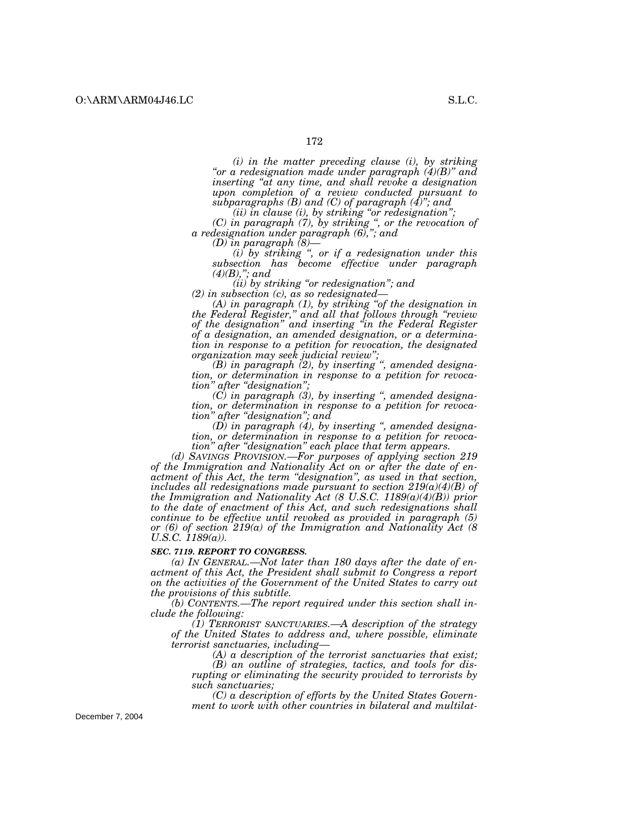*(i) in the matter preceding clause (i), by striking ''or a redesignation made under paragraph (4)(B)'' and inserting ''at any time, and shall revoke a designation upon completion of a review conducted pursuant to subparagraphs (B) and (C) of paragraph (4)''; and*

*(ii) in clause (i), by striking ''or redesignation'';*

*(C) in paragraph (7), by striking '', or the revocation of a redesignation under paragraph (6),''; and*

*(D) in paragraph (8)—*

*(i) by striking '', or if a redesignation under this subsection has become effective under paragraph (4)(B),''; and*

*(ii) by striking ''or redesignation''; and*

*(2) in subsection (c), as so redesignated—*

*(A) in paragraph (1), by striking ''of the designation in the Federal Register,'' and all that follows through ''review of the designation'' and inserting ''in the Federal Register of a designation, an amended designation, or a determination in response to a petition for revocation, the designated organization may seek judicial review'';*

*(B) in paragraph (2), by inserting '', amended designation, or determination in response to a petition for revocation'' after ''designation'';*

*(C) in paragraph (3), by inserting '', amended designation, or determination in response to a petition for revocation'' after ''designation''; and*

*(D) in paragraph (4), by inserting '', amended designation, or determination in response to a petition for revocation'' after ''designation'' each place that term appears.*

*(d) SAVINGS PROVISION.—For purposes of applying section 219 of the Immigration and Nationality Act on or after the date of enactment of this Act, the term ''designation'', as used in that section, includes all redesignations made pursuant to section 219(a)(4)(B) of the Immigration and Nationality Act (8 U.S.C. 1189(a)(4)(B)) prior to the date of enactment of this Act, and such redesignations shall continue to be effective until revoked as provided in paragraph (5) or (6) of section 219(a) of the Immigration and Nationality Act (8 U.S.C. 1189(a)).*

#### *SEC. 7119. REPORT TO CONGRESS.*

*(a) IN GENERAL.—Not later than 180 days after the date of enactment of this Act, the President shall submit to Congress a report on the activities of the Government of the United States to carry out the provisions of this subtitle.*

*(b) CONTENTS.—The report required under this section shall include the following:*

*(1) TERRORIST SANCTUARIES.—A description of the strategy of the United States to address and, where possible, eliminate terrorist sanctuaries, including—*

*(A) a description of the terrorist sanctuaries that exist;*

*(B) an outline of strategies, tactics, and tools for disrupting or eliminating the security provided to terrorists by such sanctuaries;*

*(C) a description of efforts by the United States Government to work with other countries in bilateral and multilat-*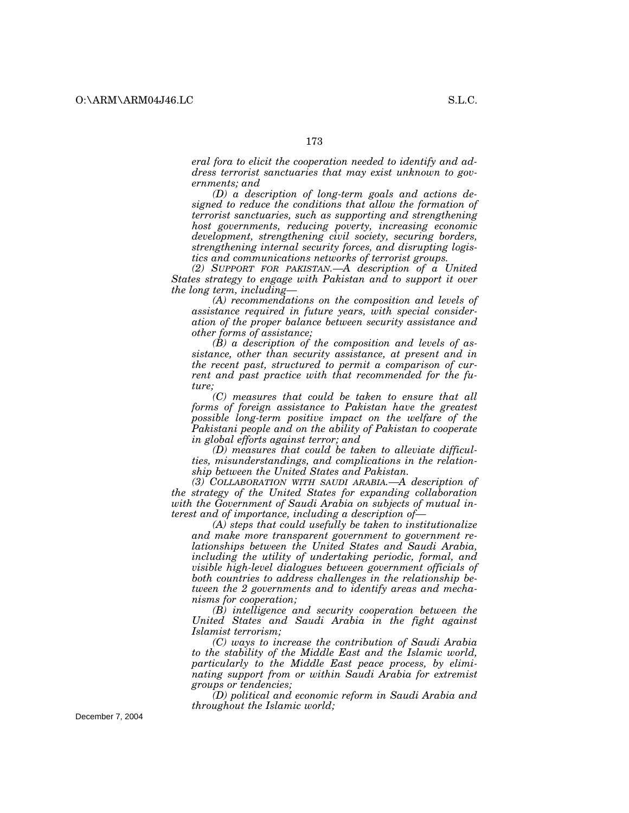*eral fora to elicit the cooperation needed to identify and address terrorist sanctuaries that may exist unknown to governments; and*

*(D) a description of long-term goals and actions designed to reduce the conditions that allow the formation of terrorist sanctuaries, such as supporting and strengthening host governments, reducing poverty, increasing economic development, strengthening civil society, securing borders, strengthening internal security forces, and disrupting logistics and communications networks of terrorist groups.*

*(2) SUPPORT FOR PAKISTAN.—A description of a United States strategy to engage with Pakistan and to support it over the long term, including—*

*(A) recommendations on the composition and levels of assistance required in future years, with special consideration of the proper balance between security assistance and other forms of assistance;*

*(B) a description of the composition and levels of assistance, other than security assistance, at present and in the recent past, structured to permit a comparison of current and past practice with that recommended for the future;*

*(C) measures that could be taken to ensure that all forms of foreign assistance to Pakistan have the greatest possible long-term positive impact on the welfare of the Pakistani people and on the ability of Pakistan to cooperate in global efforts against terror; and*

*(D) measures that could be taken to alleviate difficulties, misunderstandings, and complications in the relationship between the United States and Pakistan.*

*(3) COLLABORATION WITH SAUDI ARABIA.—A description of the strategy of the United States for expanding collaboration with the Government of Saudi Arabia on subjects of mutual interest and of importance, including a description of—*

*(A) steps that could usefully be taken to institutionalize and make more transparent government to government relationships between the United States and Saudi Arabia, including the utility of undertaking periodic, formal, and visible high-level dialogues between government officials of both countries to address challenges in the relationship between the 2 governments and to identify areas and mechanisms for cooperation;*

*(B) intelligence and security cooperation between the United States and Saudi Arabia in the fight against Islamist terrorism;*

*(C) ways to increase the contribution of Saudi Arabia to the stability of the Middle East and the Islamic world, particularly to the Middle East peace process, by eliminating support from or within Saudi Arabia for extremist groups or tendencies;*

*(D) political and economic reform in Saudi Arabia and throughout the Islamic world;*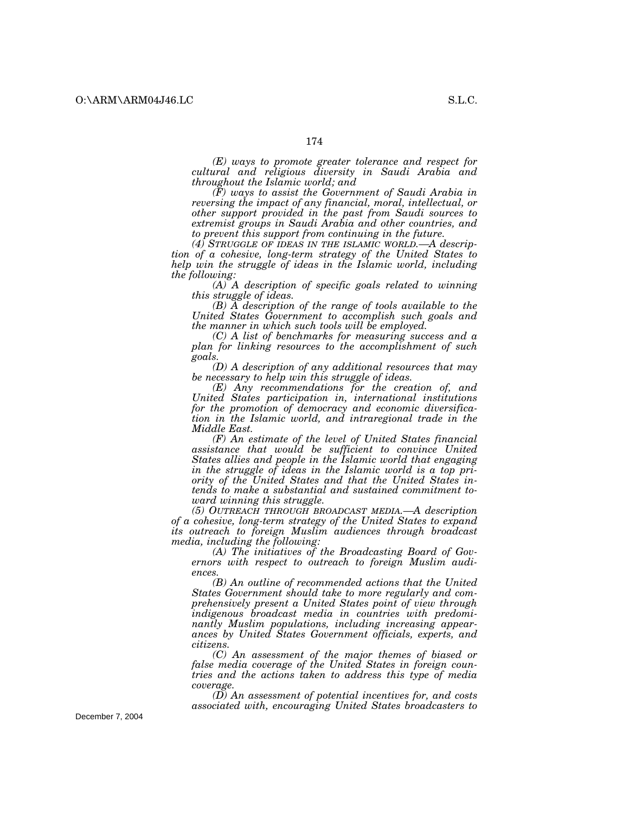*(E) ways to promote greater tolerance and respect for cultural and religious diversity in Saudi Arabia and throughout the Islamic world; and*

*(F) ways to assist the Government of Saudi Arabia in reversing the impact of any financial, moral, intellectual, or other support provided in the past from Saudi sources to extremist groups in Saudi Arabia and other countries, and to prevent this support from continuing in the future.*

*(4) STRUGGLE OF IDEAS IN THE ISLAMIC WORLD.—A description of a cohesive, long-term strategy of the United States to help win the struggle of ideas in the Islamic world, including the following:*

*(A) A description of specific goals related to winning this struggle of ideas.*

*(B) A description of the range of tools available to the United States Government to accomplish such goals and the manner in which such tools will be employed.*

*(C) A list of benchmarks for measuring success and a plan for linking resources to the accomplishment of such goals.*

*(D) A description of any additional resources that may be necessary to help win this struggle of ideas.*

*(E) Any recommendations for the creation of, and United States participation in, international institutions for the promotion of democracy and economic diversification in the Islamic world, and intraregional trade in the Middle East.*

*(F) An estimate of the level of United States financial assistance that would be sufficient to convince United States allies and people in the Islamic world that engaging in the struggle of ideas in the Islamic world is a top priority of the United States and that the United States intends to make a substantial and sustained commitment toward winning this struggle.*

*(5) OUTREACH THROUGH BROADCAST MEDIA.—A description of a cohesive, long-term strategy of the United States to expand its outreach to foreign Muslim audiences through broadcast media, including the following:*

*(A) The initiatives of the Broadcasting Board of Governors with respect to outreach to foreign Muslim audiences.*

*(B) An outline of recommended actions that the United States Government should take to more regularly and comprehensively present a United States point of view through indigenous broadcast media in countries with predominantly Muslim populations, including increasing appearances by United States Government officials, experts, and citizens.*

*(C) An assessment of the major themes of biased or false media coverage of the United States in foreign countries and the actions taken to address this type of media coverage.*

*(D) An assessment of potential incentives for, and costs associated with, encouraging United States broadcasters to*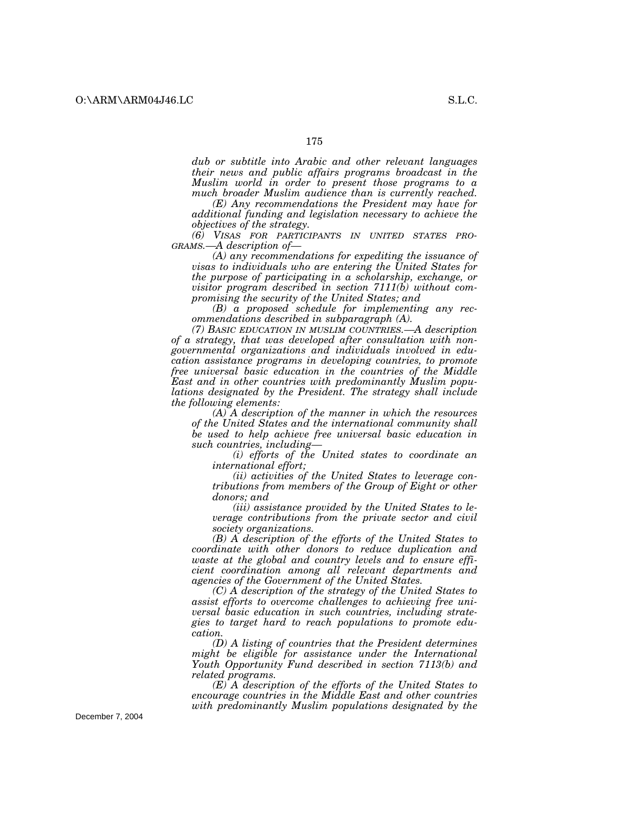*dub or subtitle into Arabic and other relevant languages their news and public affairs programs broadcast in the Muslim world in order to present those programs to a much broader Muslim audience than is currently reached.*

*(E) Any recommendations the President may have for additional funding and legislation necessary to achieve the objectives of the strategy.*

*(6) VISAS FOR PARTICIPANTS IN UNITED STATES PRO-GRAMS.—A description of—*

*(A) any recommendations for expediting the issuance of visas to individuals who are entering the United States for the purpose of participating in a scholarship, exchange, or visitor program described in section 7111(b) without compromising the security of the United States; and*

*(B) a proposed schedule for implementing any recommendations described in subparagraph (A).*

*(7) BASIC EDUCATION IN MUSLIM COUNTRIES.—A description of a strategy, that was developed after consultation with nongovernmental organizations and individuals involved in education assistance programs in developing countries, to promote free universal basic education in the countries of the Middle East and in other countries with predominantly Muslim populations designated by the President. The strategy shall include the following elements:*

*(A) A description of the manner in which the resources of the United States and the international community shall be used to help achieve free universal basic education in such countries, including—*

*(i) efforts of the United states to coordinate an international effort;*

*(ii) activities of the United States to leverage contributions from members of the Group of Eight or other donors; and*

*(iii) assistance provided by the United States to leverage contributions from the private sector and civil society organizations.*

*(B) A description of the efforts of the United States to coordinate with other donors to reduce duplication and waste at the global and country levels and to ensure efficient coordination among all relevant departments and agencies of the Government of the United States.*

*(C) A description of the strategy of the United States to assist efforts to overcome challenges to achieving free universal basic education in such countries, including strategies to target hard to reach populations to promote education.*

*(D) A listing of countries that the President determines might be eligible for assistance under the International Youth Opportunity Fund described in section 7113(b) and related programs.*

*(E) A description of the efforts of the United States to encourage countries in the Middle East and other countries with predominantly Muslim populations designated by the*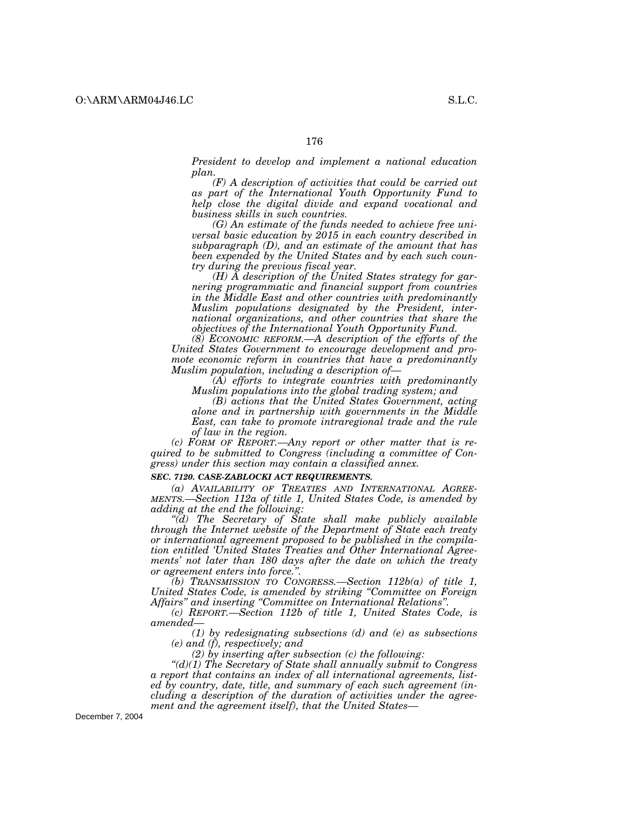*President to develop and implement a national education plan.*

*(F) A description of activities that could be carried out as part of the International Youth Opportunity Fund to help close the digital divide and expand vocational and business skills in such countries.*

*(G) An estimate of the funds needed to achieve free universal basic education by 2015 in each country described in subparagraph (D), and an estimate of the amount that has been expended by the United States and by each such country during the previous fiscal year.*

*(H) A description of the United States strategy for garnering programmatic and financial support from countries in the Middle East and other countries with predominantly Muslim populations designated by the President, international organizations, and other countries that share the objectives of the International Youth Opportunity Fund.*

*(8) ECONOMIC REFORM.—A description of the efforts of the United States Government to encourage development and promote economic reform in countries that have a predominantly Muslim population, including a description of—*

*(A) efforts to integrate countries with predominantly Muslim populations into the global trading system; and*

*(B) actions that the United States Government, acting alone and in partnership with governments in the Middle East, can take to promote intraregional trade and the rule of law in the region.*

*(c) FORM OF REPORT.—Any report or other matter that is required to be submitted to Congress (including a committee of Congress) under this section may contain a classified annex.*

#### *SEC. 7120. CASE-ZABLOCKI ACT REQUIREMENTS.*

*(a) AVAILABILITY OF TREATIES AND INTERNATIONAL AGREE-MENTS.—Section 112a of title 1, United States Code, is amended by adding at the end the following:*

*''(d) The Secretary of State shall make publicly available through the Internet website of the Department of State each treaty or international agreement proposed to be published in the compilation entitled 'United States Treaties and Other International Agreements' not later than 180 days after the date on which the treaty or agreement enters into force.''.*

*(b) TRANSMISSION TO CONGRESS.—Section 112b(a) of title 1, United States Code, is amended by striking ''Committee on Foreign Affairs'' and inserting ''Committee on International Relations''.*

*(c) REPORT.—Section 112b of title 1, United States Code, is amended—*

*(1) by redesignating subsections (d) and (e) as subsections (e) and (f), respectively; and*

*(2) by inserting after subsection (c) the following:*

*''(d)(1) The Secretary of State shall annually submit to Congress a report that contains an index of all international agreements, listed by country, date, title, and summary of each such agreement (including a description of the duration of activities under the agreement and the agreement itself), that the United States—*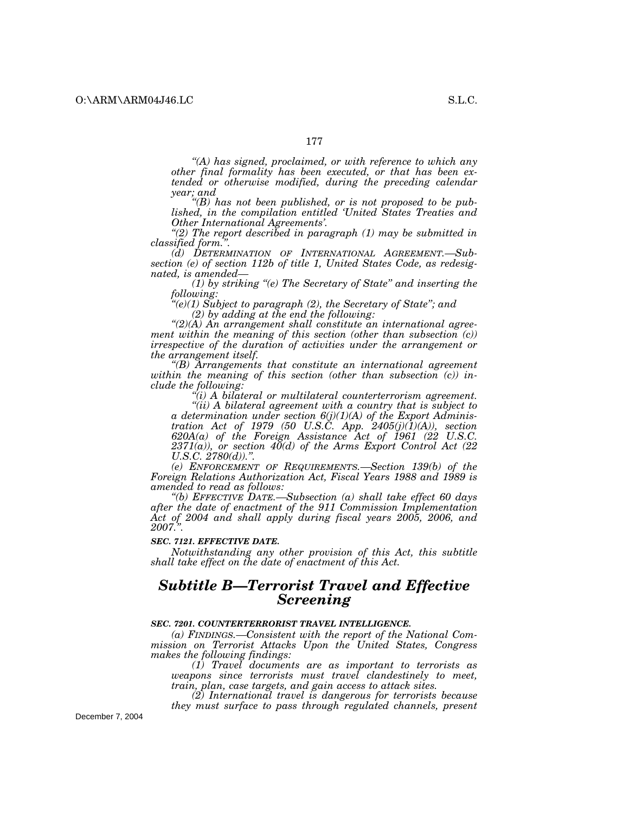*''(A) has signed, proclaimed, or with reference to which any other final formality has been executed, or that has been extended or otherwise modified, during the preceding calendar year; and*

*''(B) has not been published, or is not proposed to be published, in the compilation entitled 'United States Treaties and Other International Agreements'.*

*''(2) The report described in paragraph (1) may be submitted in classified form.''.*

*(d) DETERMINATION OF INTERNATIONAL AGREEMENT.—Subsection (e) of section 112b of title 1, United States Code, as redesignated, is amended—*

*(1) by striking ''(e) The Secretary of State'' and inserting the following:*

*''(e)(1) Subject to paragraph (2), the Secretary of State''; and*

*(2) by adding at the end the following:*

*''(2)(A) An arrangement shall constitute an international agreement within the meaning of this section (other than subsection (c)) irrespective of the duration of activities under the arrangement or the arrangement itself.*

*''(B) Arrangements that constitute an international agreement within the meaning of this section (other than subsection (c)) include the following:*

*''(i) A bilateral or multilateral counterterrorism agreement.*

*''(ii) A bilateral agreement with a country that is subject to a determination under section 6(j)(1)(A) of the Export Administration Act of 1979 (50 U.S.C. App. 2405(j)(1)(A)), section 620A(a) of the Foreign Assistance Act of 1961 (22 U.S.C.*  $2371(a)$ , or section  $40(d)$  of the Arms Export Control Act  $(22)$ *U.S.C. 2780(d)).''.*

*(e) ENFORCEMENT OF REQUIREMENTS.—Section 139(b) of the Foreign Relations Authorization Act, Fiscal Years 1988 and 1989 is amended to read as follows:*

*''(b) EFFECTIVE DATE.—Subsection (a) shall take effect 60 days after the date of enactment of the 911 Commission Implementation Act of 2004 and shall apply during fiscal years 2005, 2006, and 2007.''.*

## *SEC. 7121. EFFECTIVE DATE.*

*Notwithstanding any other provision of this Act, this subtitle shall take effect on the date of enactment of this Act.*

## *Subtitle B—Terrorist Travel and Effective Screening*

## *SEC. 7201. COUNTERTERRORIST TRAVEL INTELLIGENCE.*

*(a) FINDINGS.—Consistent with the report of the National Commission on Terrorist Attacks Upon the United States, Congress makes the following findings:*

*(1) Travel documents are as important to terrorists as weapons since terrorists must travel clandestinely to meet, train, plan, case targets, and gain access to attack sites.*

*(2) International travel is dangerous for terrorists because they must surface to pass through regulated channels, present*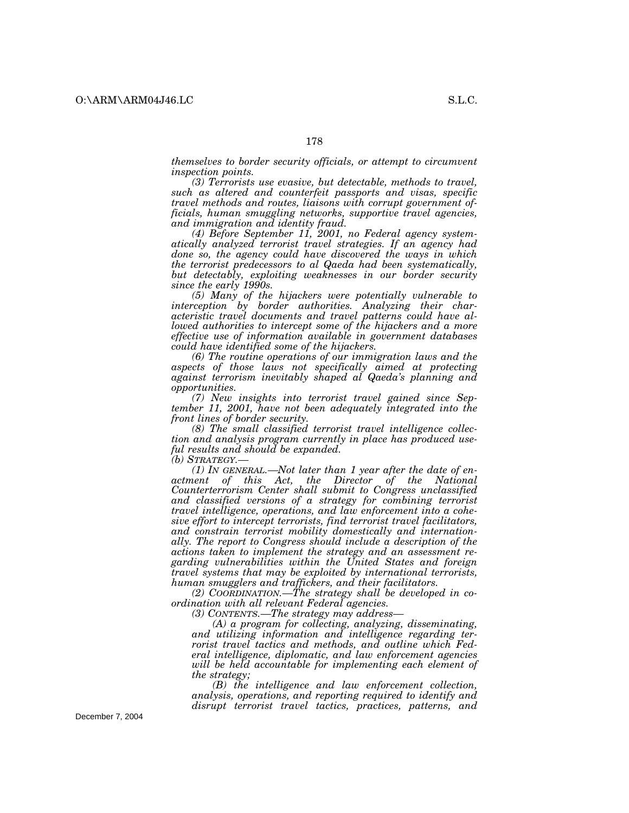*themselves to border security officials, or attempt to circumvent inspection points.*

*(3) Terrorists use evasive, but detectable, methods to travel, such as altered and counterfeit passports and visas, specific travel methods and routes, liaisons with corrupt government officials, human smuggling networks, supportive travel agencies, and immigration and identity fraud.*

*(4) Before September 11, 2001, no Federal agency systematically analyzed terrorist travel strategies. If an agency had done so, the agency could have discovered the ways in which the terrorist predecessors to al Qaeda had been systematically, but detectably, exploiting weaknesses in our border security since the early 1990s.*

*(5) Many of the hijackers were potentially vulnerable to interception by border authorities. Analyzing their characteristic travel documents and travel patterns could have allowed authorities to intercept some of the hijackers and a more effective use of information available in government databases could have identified some of the hijackers.*

*(6) The routine operations of our immigration laws and the aspects of those laws not specifically aimed at protecting against terrorism inevitably shaped al Qaeda's planning and opportunities.*

*(7) New insights into terrorist travel gained since September 11, 2001, have not been adequately integrated into the front lines of border security.*

*(8) The small classified terrorist travel intelligence collection and analysis program currently in place has produced useful results and should be expanded.*

*(1)* In GENERAL.—Not later than 1 year after the date of en*actment of this Act, the Director of the National Counterterrorism Center shall submit to Congress unclassified and classified versions of a strategy for combining terrorist travel intelligence, operations, and law enforcement into a cohesive effort to intercept terrorists, find terrorist travel facilitators, and constrain terrorist mobility domestically and internationally. The report to Congress should include a description of the actions taken to implement the strategy and an assessment regarding vulnerabilities within the United States and foreign travel systems that may be exploited by international terrorists, human smugglers and traffickers, and their facilitators.*

*(2) COORDINATION.—The strategy shall be developed in coordination with all relevant Federal agencies.*

*(3) CONTENTS.—The strategy may address—*

*(A) a program for collecting, analyzing, disseminating, and utilizing information and intelligence regarding terrorist travel tactics and methods, and outline which Federal intelligence, diplomatic, and law enforcement agencies will be held accountable for implementing each element of the strategy;*

*(B) the intelligence and law enforcement collection, analysis, operations, and reporting required to identify and disrupt terrorist travel tactics, practices, patterns, and*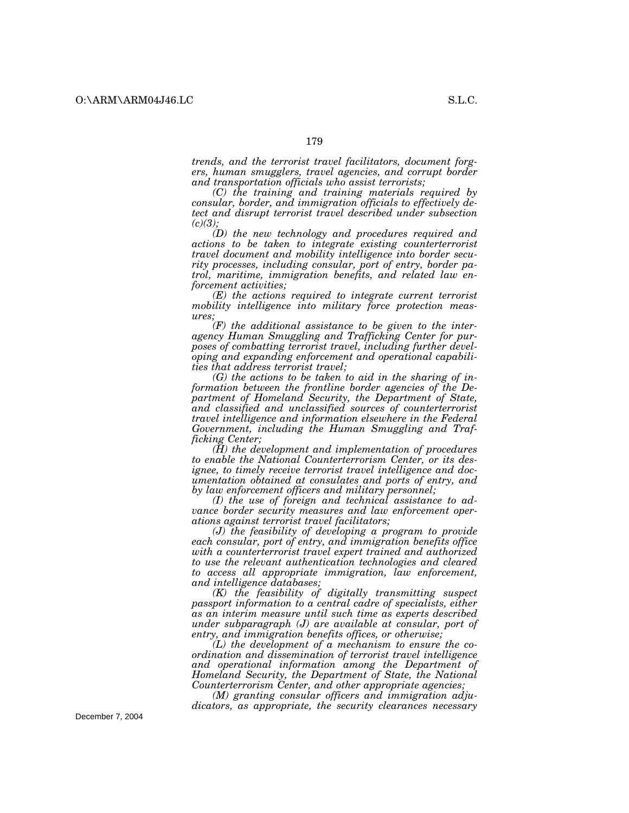*trends, and the terrorist travel facilitators, document forgers, human smugglers, travel agencies, and corrupt border and transportation officials who assist terrorists;*

*(C) the training and training materials required by consular, border, and immigration officials to effectively detect and disrupt terrorist travel described under subsection (c)(3);*

*(D) the new technology and procedures required and actions to be taken to integrate existing counterterrorist travel document and mobility intelligence into border security processes, including consular, port of entry, border patrol, maritime, immigration benefits, and related law enforcement activities;*

*(E) the actions required to integrate current terrorist mobility intelligence into military force protection measures;*

*(F) the additional assistance to be given to the interagency Human Smuggling and Trafficking Center for purposes of combatting terrorist travel, including further developing and expanding enforcement and operational capabilities that address terrorist travel;*

*(G) the actions to be taken to aid in the sharing of information between the frontline border agencies of the Department of Homeland Security, the Department of State, and classified and unclassified sources of counterterrorist travel intelligence and information elsewhere in the Federal Government, including the Human Smuggling and Trafficking Center;*

*(H) the development and implementation of procedures to enable the National Counterterrorism Center, or its designee, to timely receive terrorist travel intelligence and documentation obtained at consulates and ports of entry, and by law enforcement officers and military personnel;*

*(I) the use of foreign and technical assistance to advance border security measures and law enforcement operations against terrorist travel facilitators;*

*(J) the feasibility of developing a program to provide each consular, port of entry, and immigration benefits office with a counterterrorist travel expert trained and authorized to use the relevant authentication technologies and cleared to access all appropriate immigration, law enforcement, and intelligence databases;*

*(K) the feasibility of digitally transmitting suspect passport information to a central cadre of specialists, either as an interim measure until such time as experts described under subparagraph (J) are available at consular, port of entry, and immigration benefits offices, or otherwise;*

*(L) the development of a mechanism to ensure the coordination and dissemination of terrorist travel intelligence and operational information among the Department of Homeland Security, the Department of State, the National Counterterrorism Center, and other appropriate agencies;*

*(M) granting consular officers and immigration adjudicators, as appropriate, the security clearances necessary*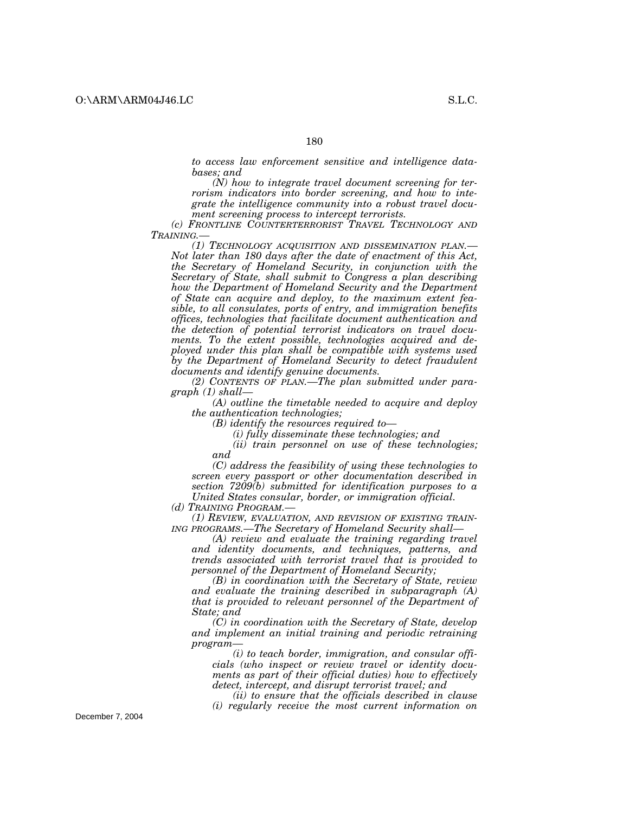*to access law enforcement sensitive and intelligence databases; and*

*(N) how to integrate travel document screening for terrorism indicators into border screening, and how to integrate the intelligence community into a robust travel document screening process to intercept terrorists.*

*(c) FRONTLINE COUNTERTERRORIST TRAVEL TECHNOLOGY AND TRAINING.—*

*(1) TECHNOLOGY ACQUISITION AND DISSEMINATION PLAN.— Not later than 180 days after the date of enactment of this Act, the Secretary of Homeland Security, in conjunction with the Secretary of State, shall submit to Congress a plan describing how the Department of Homeland Security and the Department of State can acquire and deploy, to the maximum extent feasible, to all consulates, ports of entry, and immigration benefits offices, technologies that facilitate document authentication and the detection of potential terrorist indicators on travel documents. To the extent possible, technologies acquired and deployed under this plan shall be compatible with systems used by the Department of Homeland Security to detect fraudulent documents and identify genuine documents.*

*(2) CONTENTS OF PLAN.—The plan submitted under paragraph (1) shall—*

*(A) outline the timetable needed to acquire and deploy the authentication technologies;*

*(B) identify the resources required to—*

*(i) fully disseminate these technologies; and*

*(ii) train personnel on use of these technologies; and*

*(C) address the feasibility of using these technologies to screen every passport or other documentation described in section 7209(b) submitted for identification purposes to a United States consular, border, or immigration official.*

*(d) TRAINING PROGRAM.—*

*(1) REVIEW, EVALUATION, AND REVISION OF EXISTING TRAIN-ING PROGRAMS.—The Secretary of Homeland Security shall—*

*(A) review and evaluate the training regarding travel and identity documents, and techniques, patterns, and trends associated with terrorist travel that is provided to personnel of the Department of Homeland Security;*

*(B) in coordination with the Secretary of State, review and evaluate the training described in subparagraph (A) that is provided to relevant personnel of the Department of State; and*

*(C) in coordination with the Secretary of State, develop and implement an initial training and periodic retraining program—*

*(i) to teach border, immigration, and consular officials (who inspect or review travel or identity documents as part of their official duties) how to effectively detect, intercept, and disrupt terrorist travel; and*

*(ii) to ensure that the officials described in clause (i) regularly receive the most current information on*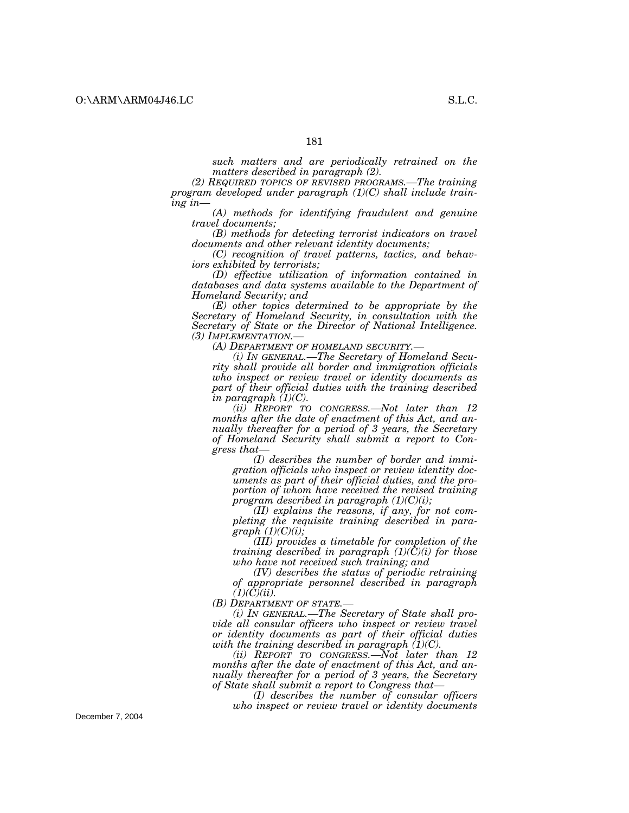*such matters and are periodically retrained on the matters described in paragraph (2).*

*(2) REQUIRED TOPICS OF REVISED PROGRAMS.—The training program developed under paragraph (1)(C) shall include training in—*

*(A) methods for identifying fraudulent and genuine travel documents;*

*(B) methods for detecting terrorist indicators on travel documents and other relevant identity documents;*

*(C) recognition of travel patterns, tactics, and behaviors exhibited by terrorists;*

*(D) effective utilization of information contained in databases and data systems available to the Department of Homeland Security; and*

*(E) other topics determined to be appropriate by the Secretary of Homeland Security, in consultation with the Secretary of State or the Director of National Intelligence. (3) IMPLEMENTATION.— (A) DEPARTMENT OF HOMELAND SECURITY.— (i) IN GENERAL.—The Secretary of Homeland Secu-*

*rity shall provide all border and immigration officials who inspect or review travel or identity documents as part of their official duties with the training described in paragraph (1)(C).*

*(ii) REPORT TO CONGRESS.—Not later than 12 months after the date of enactment of this Act, and annually thereafter for a period of 3 years, the Secretary of Homeland Security shall submit a report to Congress that—*

*(I) describes the number of border and immigration officials who inspect or review identity documents as part of their official duties, and the proportion of whom have received the revised training program described in paragraph (1)(C)(i);*

*(II) explains the reasons, if any, for not completing the requisite training described in para* $g \mapsto f(1)(C)(i)$ ;

*(III) provides a timetable for completion of the training described in paragraph (1)(C)(i) for those who have not received such training; and*

*(IV) describes the status of periodic retraining of appropriate personnel described in paragraph (1)(C)(ii).*

*(B) DEPARTMENT OF STATE.—*

*(i) IN GENERAL.—The Secretary of State shall provide all consular officers who inspect or review travel or identity documents as part of their official duties with the training described in paragraph (1)(C).*

*(ii) REPORT TO CONGRESS.—Not later than 12 months after the date of enactment of this Act, and annually thereafter for a period of 3 years, the Secretary of State shall submit a report to Congress that—*

*(I) describes the number of consular officers who inspect or review travel or identity documents*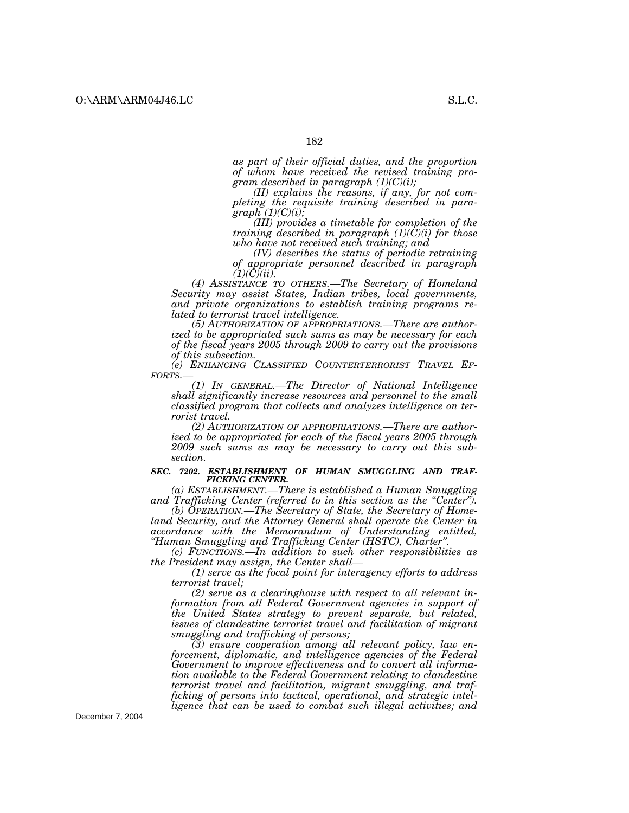*as part of their official duties, and the proportion of whom have received the revised training program described in paragraph (1)(C)(i);*

*(II) explains the reasons, if any, for not completing the requisite training described in paragraph (1)(C)(i);*

*(III) provides a timetable for completion of the training described in paragraph (1)(C)(i) for those who have not received such training; and*

*(IV) describes the status of periodic retraining of appropriate personnel described in paragraph (1)(C)(ii).*

*(4) ASSISTANCE TO OTHERS.—The Secretary of Homeland Security may assist States, Indian tribes, local governments, and private organizations to establish training programs related to terrorist travel intelligence.*

*(5) AUTHORIZATION OF APPROPRIATIONS.—There are authorized to be appropriated such sums as may be necessary for each of the fiscal years 2005 through 2009 to carry out the provisions of this subsection.*

*(e) ENHANCING CLASSIFIED COUNTERTERRORIST TRAVEL EF-FORTS.—*

*(1) IN GENERAL.—The Director of National Intelligence shall significantly increase resources and personnel to the small classified program that collects and analyzes intelligence on terrorist travel.*

*(2) AUTHORIZATION OF APPROPRIATIONS.—There are authorized to be appropriated for each of the fiscal years 2005 through 2009 such sums as may be necessary to carry out this subsection.*

### *SEC. 7202. ESTABLISHMENT OF HUMAN SMUGGLING AND TRAF-FICKING CENTER.*

*(a) ESTABLISHMENT.—There is established a Human Smuggling and Trafficking Center (referred to in this section as the ''Center'').*

*(b) OPERATION.—The Secretary of State, the Secretary of Homeland Security, and the Attorney General shall operate the Center in accordance with the Memorandum of Understanding entitled, ''Human Smuggling and Trafficking Center (HSTC), Charter''.*

*(c) FUNCTIONS.—In addition to such other responsibilities as the President may assign, the Center shall—*

*(1) serve as the focal point for interagency efforts to address terrorist travel;*

*(2) serve as a clearinghouse with respect to all relevant information from all Federal Government agencies in support of the United States strategy to prevent separate, but related, issues of clandestine terrorist travel and facilitation of migrant smuggling and trafficking of persons;*

*(3) ensure cooperation among all relevant policy, law enforcement, diplomatic, and intelligence agencies of the Federal Government to improve effectiveness and to convert all information available to the Federal Government relating to clandestine terrorist travel and facilitation, migrant smuggling, and trafficking of persons into tactical, operational, and strategic intelligence that can be used to combat such illegal activities; and*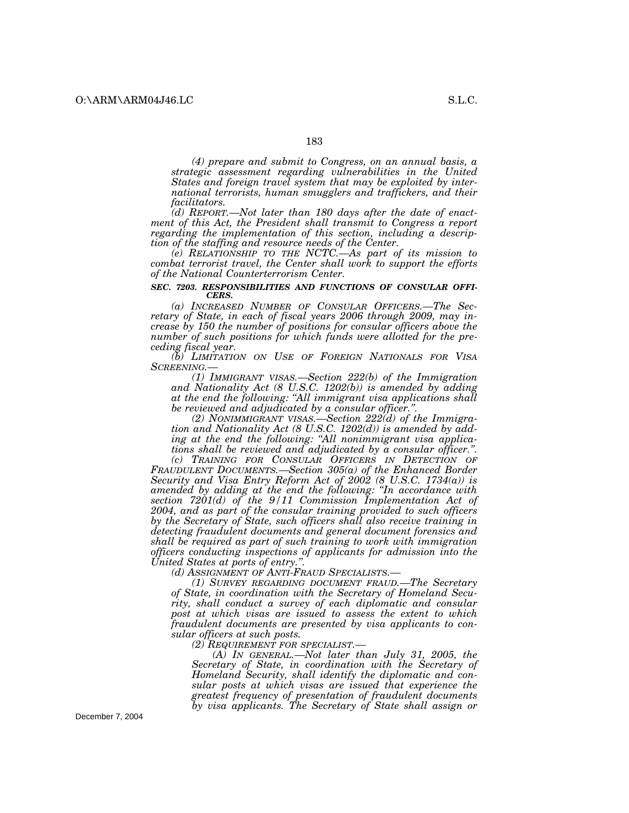*(4) prepare and submit to Congress, on an annual basis, a strategic assessment regarding vulnerabilities in the United States and foreign travel system that may be exploited by international terrorists, human smugglers and traffickers, and their facilitators.*

*(d) REPORT.—Not later than 180 days after the date of enactment of this Act, the President shall transmit to Congress a report regarding the implementation of this section, including a description of the staffing and resource needs of the Center.*

*(e) RELATIONSHIP TO THE NCTC.—As part of its mission to combat terrorist travel, the Center shall work to support the efforts of the National Counterterrorism Center.*

### *SEC. 7203. RESPONSIBILITIES AND FUNCTIONS OF CONSULAR OFFI-CERS.*

*(a) INCREASED NUMBER OF CONSULAR OFFICERS.—The Secretary of State, in each of fiscal years 2006 through 2009, may increase by 150 the number of positions for consular officers above the number of such positions for which funds were allotted for the preceding fiscal year.*

*(b) LIMITATION ON USE OF FOREIGN NATIONALS FOR VISA SCREENING.— (1) IMMIGRANT VISAS.—Section 222(b) of the Immigration*

*and Nationality Act (8 U.S.C. 1202(b)) is amended by adding at the end the following: ''All immigrant visa applications shall be reviewed and adjudicated by a consular officer.''.*

*(2) NONIMMIGRANT VISAS.—Section 222(d) of the Immigration and Nationality Act (8 U.S.C. 1202(d)) is amended by adding at the end the following: ''All nonimmigrant visa applications shall be reviewed and adjudicated by a consular officer.''. (c) TRAINING FOR CONSULAR OFFICERS IN DETECTION OF*

*FRAUDULENT DOCUMENTS.—Section 305(a) of the Enhanced Border Security and Visa Entry Reform Act of 2002 (8 U.S.C. 1734(a)) is amended by adding at the end the following: ''In accordance with section 7201(d) of the 9/11 Commission Implementation Act of 2004, and as part of the consular training provided to such officers by the Secretary of State, such officers shall also receive training in detecting fraudulent documents and general document forensics and shall be required as part of such training to work with immigration officers conducting inspections of applicants for admission into the United States at ports of entry.''.*

*(d) ASSIGNMENT OF ANTI-FRAUD SPECIALISTS.—*

*(1) SURVEY REGARDING DOCUMENT FRAUD.—The Secretary of State, in coordination with the Secretary of Homeland Security, shall conduct a survey of each diplomatic and consular post at which visas are issued to assess the extent to which fraudulent documents are presented by visa applicants to consular officers at such posts.*

*(2) REQUIREMENT FOR SPECIALIST.—*

*(A) IN GENERAL.—Not later than July 31, 2005, the Secretary of State, in coordination with the Secretary of Homeland Security, shall identify the diplomatic and consular posts at which visas are issued that experience the greatest frequency of presentation of fraudulent documents by visa applicants. The Secretary of State shall assign or*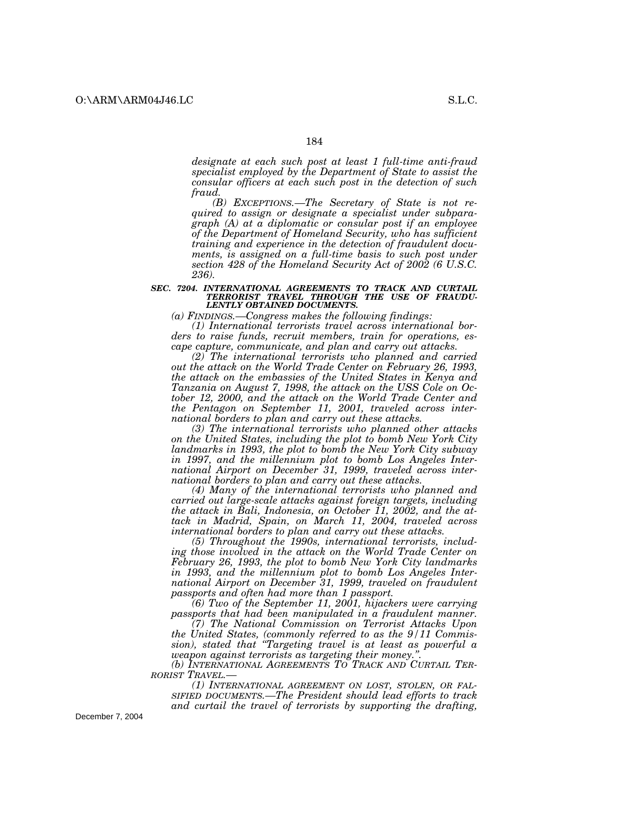*designate at each such post at least 1 full-time anti-fraud specialist employed by the Department of State to assist the consular officers at each such post in the detection of such fraud.*

*(B) EXCEPTIONS.—The Secretary of State is not required to assign or designate a specialist under subparagraph (A) at a diplomatic or consular post if an employee of the Department of Homeland Security, who has sufficient training and experience in the detection of fraudulent documents, is assigned on a full-time basis to such post under section 428 of the Homeland Security Act of 2002 (6 U.S.C. 236).*

#### *SEC. 7204. INTERNATIONAL AGREEMENTS TO TRACK AND CURTAIL TERRORIST TRAVEL THROUGH THE USE OF FRAUDU-LENTLY OBTAINED DOCUMENTS.*

*(a) FINDINGS.—Congress makes the following findings:*

*(1) International terrorists travel across international borders to raise funds, recruit members, train for operations, escape capture, communicate, and plan and carry out attacks.*

*(2) The international terrorists who planned and carried out the attack on the World Trade Center on February 26, 1993, the attack on the embassies of the United States in Kenya and Tanzania on August 7, 1998, the attack on the USS Cole on October 12, 2000, and the attack on the World Trade Center and the Pentagon on September 11, 2001, traveled across international borders to plan and carry out these attacks.*

*(3) The international terrorists who planned other attacks on the United States, including the plot to bomb New York City landmarks in 1993, the plot to bomb the New York City subway in 1997, and the millennium plot to bomb Los Angeles International Airport on December 31, 1999, traveled across international borders to plan and carry out these attacks.*

*(4) Many of the international terrorists who planned and carried out large-scale attacks against foreign targets, including the attack in Bali, Indonesia, on October 11, 2002, and the attack in Madrid, Spain, on March 11, 2004, traveled across international borders to plan and carry out these attacks.*

*(5) Throughout the 1990s, international terrorists, including those involved in the attack on the World Trade Center on February 26, 1993, the plot to bomb New York City landmarks in 1993, and the millennium plot to bomb Los Angeles International Airport on December 31, 1999, traveled on fraudulent passports and often had more than 1 passport.*

*(6) Two of the September 11, 2001, hijackers were carrying passports that had been manipulated in a fraudulent manner.*

*(7) The National Commission on Terrorist Attacks Upon the United States, (commonly referred to as the 9/11 Commission), stated that ''Targeting travel is at least as powerful a weapon against terrorists as targeting their money.''.*

*(b) INTERNATIONAL AGREEMENTS TO TRACK AND CURTAIL TER-*

*RORIST TRAVEL.— (1) INTERNATIONAL AGREEMENT ON LOST, STOLEN, OR FAL- SIFIED DOCUMENTS.—The President should lead efforts to track and curtail the travel of terrorists by supporting the drafting,*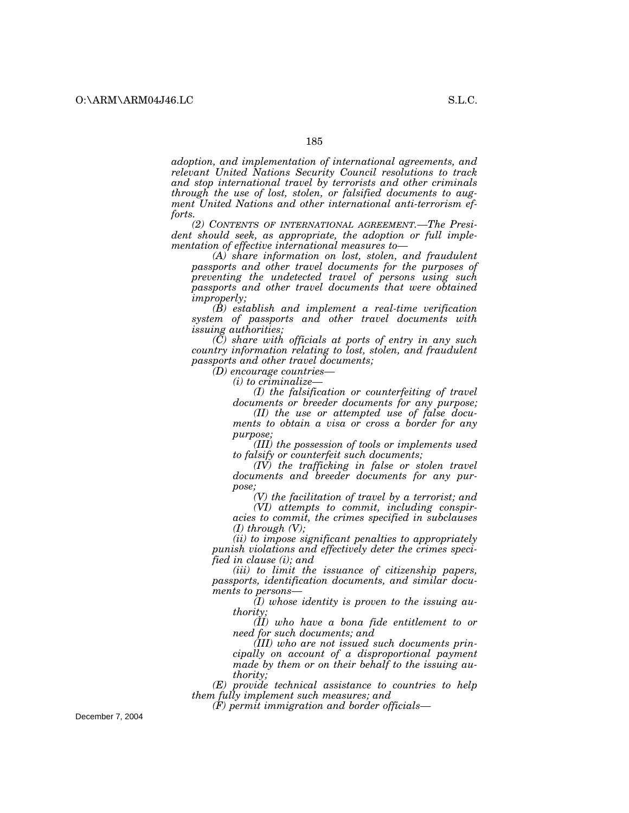*adoption, and implementation of international agreements, and relevant United Nations Security Council resolutions to track and stop international travel by terrorists and other criminals through the use of lost, stolen, or falsified documents to augment United Nations and other international anti-terrorism efforts.*

*(2) CONTENTS OF INTERNATIONAL AGREEMENT.—The President should seek, as appropriate, the adoption or full implementation of effective international measures to—*

*(A) share information on lost, stolen, and fraudulent passports and other travel documents for the purposes of preventing the undetected travel of persons using such passports and other travel documents that were obtained improperly;*

*(B) establish and implement a real-time verification system of passports and other travel documents with issuing authorities;*

*(C) share with officials at ports of entry in any such country information relating to lost, stolen, and fraudulent passports and other travel documents;*

*(D) encourage countries—*

*(i) to criminalize—*

*(I) the falsification or counterfeiting of travel documents or breeder documents for any purpose;*

*(II) the use or attempted use of false documents to obtain a visa or cross a border for any purpose;*

*(III) the possession of tools or implements used to falsify or counterfeit such documents;*

*(IV) the trafficking in false or stolen travel documents and breeder documents for any purpose;*

*(V) the facilitation of travel by a terrorist; and*

*(VI) attempts to commit, including conspiracies to commit, the crimes specified in subclauses (I) through (V);*

*(ii) to impose significant penalties to appropriately punish violations and effectively deter the crimes specified in clause (i); and*

*(iii) to limit the issuance of citizenship papers, passports, identification documents, and similar documents to persons—*

*(I) whose identity is proven to the issuing authority;*

*(II) who have a bona fide entitlement to or need for such documents; and*

*(III) who are not issued such documents principally on account of a disproportional payment made by them or on their behalf to the issuing authority;*

*(E) provide technical assistance to countries to help them fully implement such measures; and*

*(F) permit immigration and border officials—*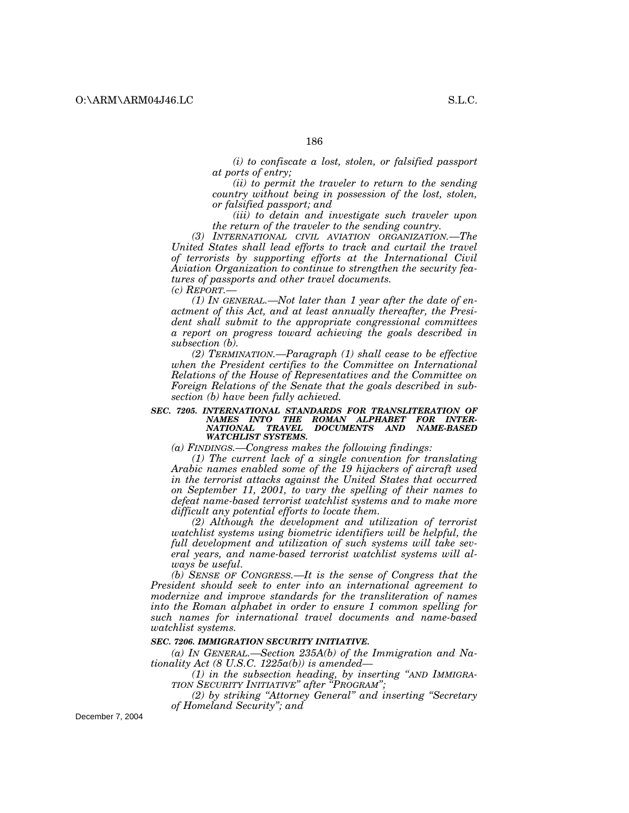*(i) to confiscate a lost, stolen, or falsified passport at ports of entry;*

*(ii) to permit the traveler to return to the sending country without being in possession of the lost, stolen, or falsified passport; and*

*(iii) to detain and investigate such traveler upon the return of the traveler to the sending country.*

*(3) INTERNATIONAL CIVIL AVIATION ORGANIZATION.—The United States shall lead efforts to track and curtail the travel of terrorists by supporting efforts at the International Civil Aviation Organization to continue to strengthen the security features of passports and other travel documents. (c) REPORT.—*

*(1) IN GENERAL.—Not later than 1 year after the date of enactment of this Act, and at least annually thereafter, the President shall submit to the appropriate congressional committees a report on progress toward achieving the goals described in subsection (b).*

*(2) TERMINATION.—Paragraph (1) shall cease to be effective when the President certifies to the Committee on International Relations of the House of Representatives and the Committee on Foreign Relations of the Senate that the goals described in subsection (b) have been fully achieved.*

*SEC. 7205. INTERNATIONAL STANDARDS FOR TRANSLITERATION OF NAMES INTO THE ROMAN ALPHABET FOR INTER-NATIONAL TRAVEL DOCUMENTS AND NAME-BASED WATCHLIST SYSTEMS.*

*(a) FINDINGS.—Congress makes the following findings:*

*(1) The current lack of a single convention for translating Arabic names enabled some of the 19 hijackers of aircraft used in the terrorist attacks against the United States that occurred on September 11, 2001, to vary the spelling of their names to defeat name-based terrorist watchlist systems and to make more difficult any potential efforts to locate them.*

*(2) Although the development and utilization of terrorist watchlist systems using biometric identifiers will be helpful, the full development and utilization of such systems will take several years, and name-based terrorist watchlist systems will always be useful.*

*(b) SENSE OF CONGRESS.—It is the sense of Congress that the President should seek to enter into an international agreement to modernize and improve standards for the transliteration of names into the Roman alphabet in order to ensure 1 common spelling for such names for international travel documents and name-based watchlist systems.*

### *SEC. 7206. IMMIGRATION SECURITY INITIATIVE.*

*(a) IN GENERAL.—Section 235A(b) of the Immigration and Nationality Act (8 U.S.C. 1225a(b)) is amended—*

*(1) in the subsection heading, by inserting ''AND IMMIGRA-TION SECURITY INITIATIVE'' after ''PROGRAM'';*

*(2) by striking ''Attorney General'' and inserting ''Secretary of Homeland Security''; and*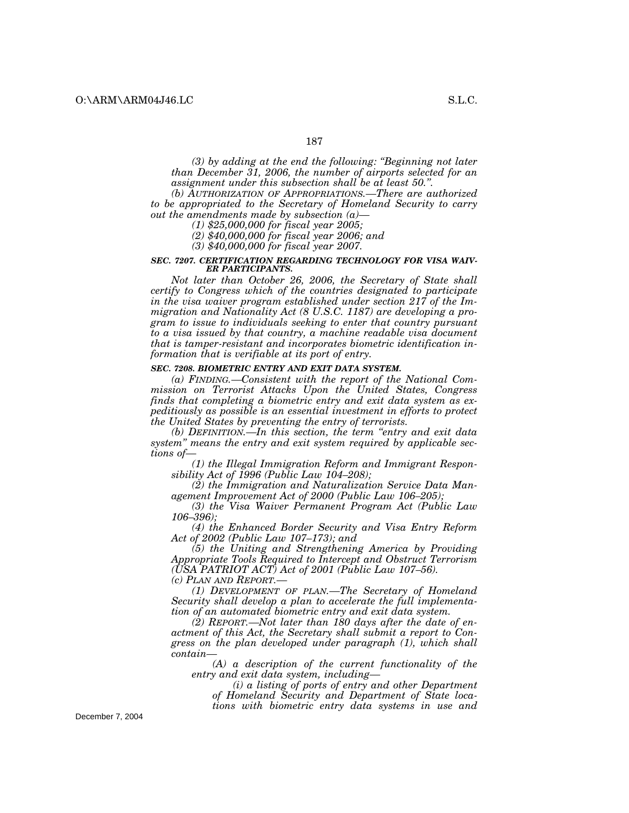*(3) by adding at the end the following: ''Beginning not later than December 31, 2006, the number of airports selected for an assignment under this subsection shall be at least 50.''.*

*(b) AUTHORIZATION OF APPROPRIATIONS.—There are authorized to be appropriated to the Secretary of Homeland Security to carry out the amendments made by subsection (a)—*

*(1) \$25,000,000 for fiscal year 2005;*

*(2) \$40,000,000 for fiscal year 2006; and*

*(3) \$40,000,000 for fiscal year 2007.*

### *SEC. 7207. CERTIFICATION REGARDING TECHNOLOGY FOR VISA WAIV-ER PARTICIPANTS.*

*Not later than October 26, 2006, the Secretary of State shall certify to Congress which of the countries designated to participate in the visa waiver program established under section 217 of the Immigration and Nationality Act (8 U.S.C. 1187) are developing a program to issue to individuals seeking to enter that country pursuant to a visa issued by that country, a machine readable visa document that is tamper-resistant and incorporates biometric identification information that is verifiable at its port of entry.*

### *SEC. 7208. BIOMETRIC ENTRY AND EXIT DATA SYSTEM.*

*(a) FINDING.—Consistent with the report of the National Commission on Terrorist Attacks Upon the United States, Congress finds that completing a biometric entry and exit data system as expeditiously as possible is an essential investment in efforts to protect the United States by preventing the entry of terrorists.*

*(b) DEFINITION.—In this section, the term ''entry and exit data system'' means the entry and exit system required by applicable sections of—*

*(1) the Illegal Immigration Reform and Immigrant Responsibility Act of 1996 (Public Law 104–208);*

*(2) the Immigration and Naturalization Service Data Management Improvement Act of 2000 (Public Law 106–205);*

*(3) the Visa Waiver Permanent Program Act (Public Law 106–396);*

*(4) the Enhanced Border Security and Visa Entry Reform Act of 2002 (Public Law 107–173); and*

*(5) the Uniting and Strengthening America by Providing Appropriate Tools Required to Intercept and Obstruct Terrorism (USA PATRIOT ACT) Act of 2001 (Public Law 107–56). (c) PLAN AND REPORT.—*

*(1) DEVELOPMENT OF PLAN.—The Secretary of Homeland Security shall develop a plan to accelerate the full implementation of an automated biometric entry and exit data system.*

*(2) REPORT.—Not later than 180 days after the date of enactment of this Act, the Secretary shall submit a report to Congress on the plan developed under paragraph (1), which shall contain—*

*(A) a description of the current functionality of the entry and exit data system, including—*

*(i) a listing of ports of entry and other Department of Homeland Security and Department of State locations with biometric entry data systems in use and*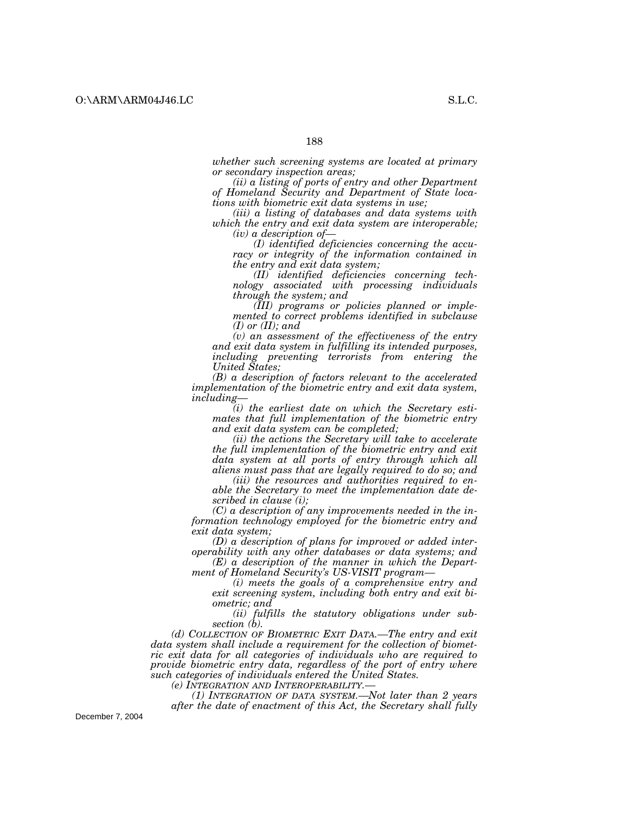*whether such screening systems are located at primary or secondary inspection areas;*

*(ii) a listing of ports of entry and other Department of Homeland Security and Department of State locations with biometric exit data systems in use;*

*(iii) a listing of databases and data systems with which the entry and exit data system are interoperable; (iv) a description of—*

*(I) identified deficiencies concerning the accuracy or integrity of the information contained in*

*the entry and exit data system; (II) identified deficiencies concerning tech-*

*nology associated with processing individuals through the system; and*

*(III) programs or policies planned or implemented to correct problems identified in subclause (I) or (II); and*

*(v) an assessment of the effectiveness of the entry and exit data system in fulfilling its intended purposes, including preventing terrorists from entering the United States;*

*(B) a description of factors relevant to the accelerated implementation of the biometric entry and exit data system, including—*

*(i) the earliest date on which the Secretary estimates that full implementation of the biometric entry and exit data system can be completed;*

*(ii) the actions the Secretary will take to accelerate the full implementation of the biometric entry and exit data system at all ports of entry through which all aliens must pass that are legally required to do so; and*

*(iii) the resources and authorities required to enable the Secretary to meet the implementation date described in clause (i);*

*(C) a description of any improvements needed in the information technology employed for the biometric entry and exit data system;*

*(D) a description of plans for improved or added interoperability with any other databases or data systems; and (E) a description of the manner in which the Depart-*

*ment of Homeland Security's US-VISIT program—*

*(i) meets the goals of a comprehensive entry and exit screening system, including both entry and exit biometric; and*

*(ii) fulfills the statutory obligations under subsection (b).*

*(d) COLLECTION OF BIOMETRIC EXIT DATA.—The entry and exit data system shall include a requirement for the collection of biometric exit data for all categories of individuals who are required to provide biometric entry data, regardless of the port of entry where such categories of individuals entered the United States.*

*(e) INTEGRATION AND INTEROPERABILITY.—*

*(1) INTEGRATION OF DATA SYSTEM.—Not later than 2 years after the date of enactment of this Act, the Secretary shall fully*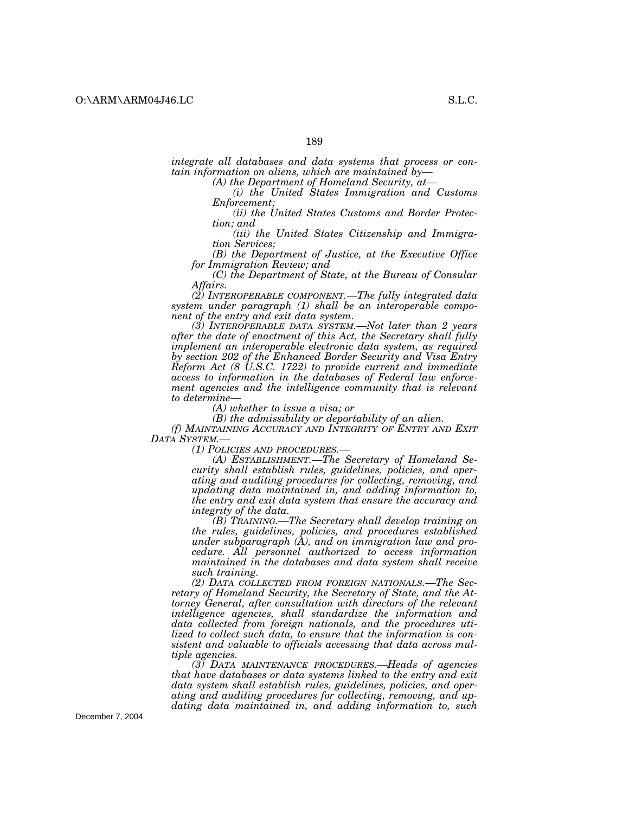*integrate all databases and data systems that process or contain information on aliens, which are maintained by—*

*(A) the Department of Homeland Security, at—*

*(i) the United States Immigration and Customs Enforcement;*

*(ii) the United States Customs and Border Protection; and*

*(iii) the United States Citizenship and Immigration Services;*

*(B) the Department of Justice, at the Executive Office for Immigration Review; and*

*(C) the Department of State, at the Bureau of Consular Affairs.*

*(2) INTEROPERABLE COMPONENT.—The fully integrated data system under paragraph (1) shall be an interoperable component of the entry and exit data system.*

*(3) INTEROPERABLE DATA SYSTEM.—Not later than 2 years after the date of enactment of this Act, the Secretary shall fully implement an interoperable electronic data system, as required by section 202 of the Enhanced Border Security and Visa Entry Reform Act (8 U.S.C. 1722) to provide current and immediate access to information in the databases of Federal law enforcement agencies and the intelligence community that is relevant to determine—*

*(A) whether to issue a visa; or*

*(B) the admissibility or deportability of an alien.*

*(f) MAINTAINING ACCURACY AND INTEGRITY OF ENTRY AND EXIT*

*(1) POLICIES AND PROCEDURES.—*<br> *(A) ESTABLISHMENT.—The Secretary of Homeland Security shall establish rules, guidelines, policies, and operating and auditing procedures for collecting, removing, and updating data maintained in, and adding information to, the entry and exit data system that ensure the accuracy and integrity of the data.*

*(B) TRAINING.—The Secretary shall develop training on the rules, guidelines, policies, and procedures established under subparagraph (A), and on immigration law and procedure. All personnel authorized to access information maintained in the databases and data system shall receive such training.*

*(2) DATA COLLECTED FROM FOREIGN NATIONALS.—The Secretary of Homeland Security, the Secretary of State, and the Attorney General, after consultation with directors of the relevant intelligence agencies, shall standardize the information and data collected from foreign nationals, and the procedures utilized to collect such data, to ensure that the information is consistent and valuable to officials accessing that data across multiple agencies.*

*(3) DATA MAINTENANCE PROCEDURES.—Heads of agencies that have databases or data systems linked to the entry and exit data system shall establish rules, guidelines, policies, and operating and auditing procedures for collecting, removing, and updating data maintained in, and adding information to, such*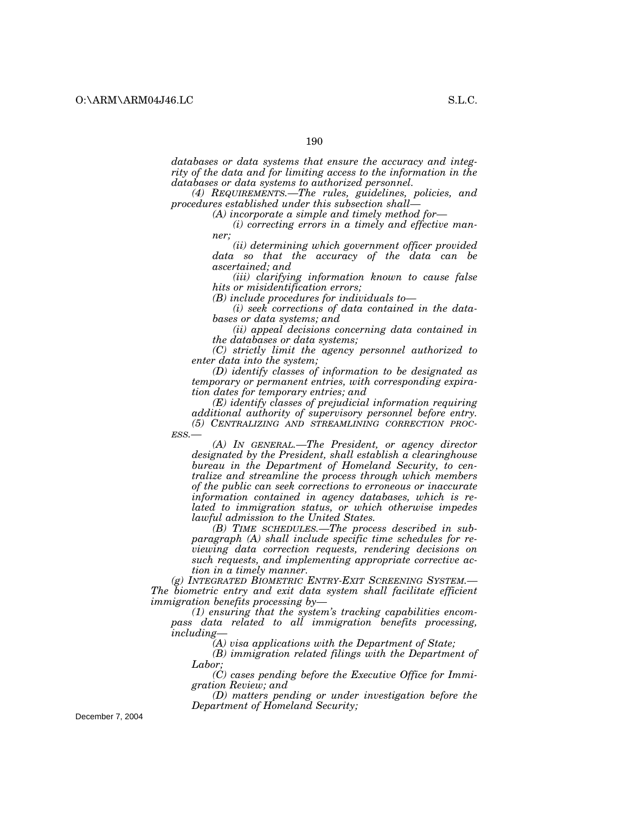*databases or data systems that ensure the accuracy and integrity of the data and for limiting access to the information in the databases or data systems to authorized personnel.*

*(4) REQUIREMENTS.—The rules, guidelines, policies, and procedures established under this subsection shall—*

*(A) incorporate a simple and timely method for—*

*(i) correcting errors in a timely and effective manner;*

*(ii) determining which government officer provided data so that the accuracy of the data can be ascertained; and*

*(iii) clarifying information known to cause false hits or misidentification errors;*

*(B) include procedures for individuals to—*

*(i) seek corrections of data contained in the databases or data systems; and*

*(ii) appeal decisions concerning data contained in the databases or data systems;*

*(C) strictly limit the agency personnel authorized to enter data into the system;*

*(D) identify classes of information to be designated as temporary or permanent entries, with corresponding expiration dates for temporary entries; and*

*(E) identify classes of prejudicial information requiring additional authority of supervisory personnel before entry. (5) CENTRALIZING AND STREAMLINING CORRECTION PROC-ESS.—*

*(A) IN GENERAL.—The President, or agency director designated by the President, shall establish a clearinghouse bureau in the Department of Homeland Security, to centralize and streamline the process through which members of the public can seek corrections to erroneous or inaccurate information contained in agency databases, which is related to immigration status, or which otherwise impedes lawful admission to the United States.*

*(B) TIME SCHEDULES.—The process described in subparagraph (A) shall include specific time schedules for reviewing data correction requests, rendering decisions on such requests, and implementing appropriate corrective action in a timely manner.*

*(g) INTEGRATED BIOMETRIC ENTRY-EXIT SCREENING SYSTEM.— The biometric entry and exit data system shall facilitate efficient immigration benefits processing by—*

*(1) ensuring that the system's tracking capabilities encompass data related to all immigration benefits processing, including—*

*(A) visa applications with the Department of State;*

*(B) immigration related filings with the Department of Labor;*

*(C) cases pending before the Executive Office for Immigration Review; and*

*(D) matters pending or under investigation before the Department of Homeland Security;*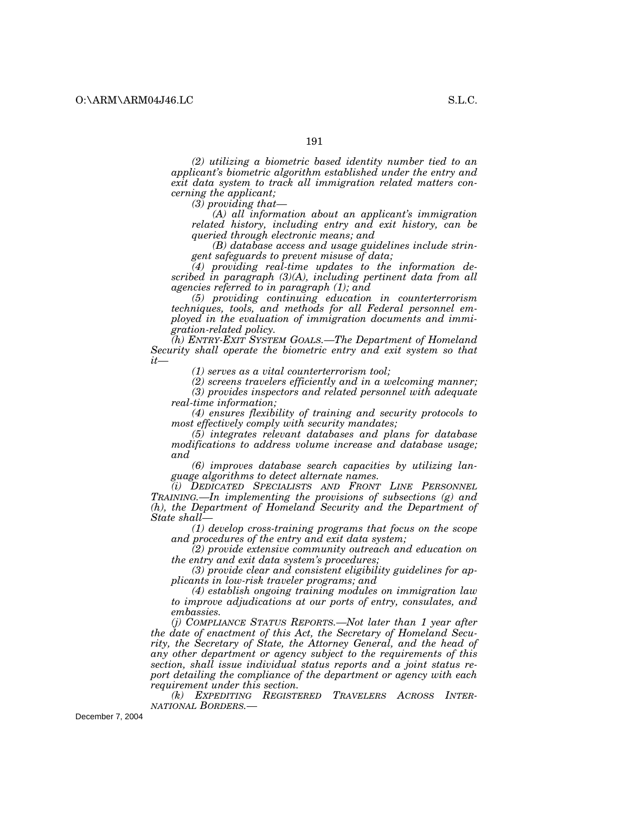*(2) utilizing a biometric based identity number tied to an applicant's biometric algorithm established under the entry and exit data system to track all immigration related matters concerning the applicant;*

*(3) providing that—*

*(A) all information about an applicant's immigration related history, including entry and exit history, can be queried through electronic means; and*

*(B) database access and usage guidelines include stringent safeguards to prevent misuse of data;*

*(4) providing real-time updates to the information described in paragraph (3)(A), including pertinent data from all agencies referred to in paragraph (1); and*

*(5) providing continuing education in counterterrorism techniques, tools, and methods for all Federal personnel employed in the evaluation of immigration documents and immigration-related policy.*

*(h) ENTRY-EXIT SYSTEM GOALS.—The Department of Homeland Security shall operate the biometric entry and exit system so that it—*

*(1) serves as a vital counterterrorism tool;*

*(2) screens travelers efficiently and in a welcoming manner; (3) provides inspectors and related personnel with adequate real-time information;*

*(4) ensures flexibility of training and security protocols to most effectively comply with security mandates;*

*(5) integrates relevant databases and plans for database modifications to address volume increase and database usage; and*

*(6) improves database search capacities by utilizing language algorithms to detect alternate names.*

*(i) DEDICATED SPECIALISTS AND FRONT LINE PERSONNEL TRAINING.—In implementing the provisions of subsections (g) and (h), the Department of Homeland Security and the Department of State shall—*

*(1) develop cross-training programs that focus on the scope and procedures of the entry and exit data system;*

*(2) provide extensive community outreach and education on the entry and exit data system's procedures;*

*(3) provide clear and consistent eligibility guidelines for applicants in low-risk traveler programs; and*

*(4) establish ongoing training modules on immigration law to improve adjudications at our ports of entry, consulates, and embassies.*

*(j) COMPLIANCE STATUS REPORTS.—Not later than 1 year after the date of enactment of this Act, the Secretary of Homeland Security, the Secretary of State, the Attorney General, and the head of any other department or agency subject to the requirements of this section, shall issue individual status reports and a joint status report detailing the compliance of the department or agency with each requirement under this section.*

*(k) EXPEDITING REGISTERED TRAVELERS ACROSS INTER-NATIONAL BORDERS.—*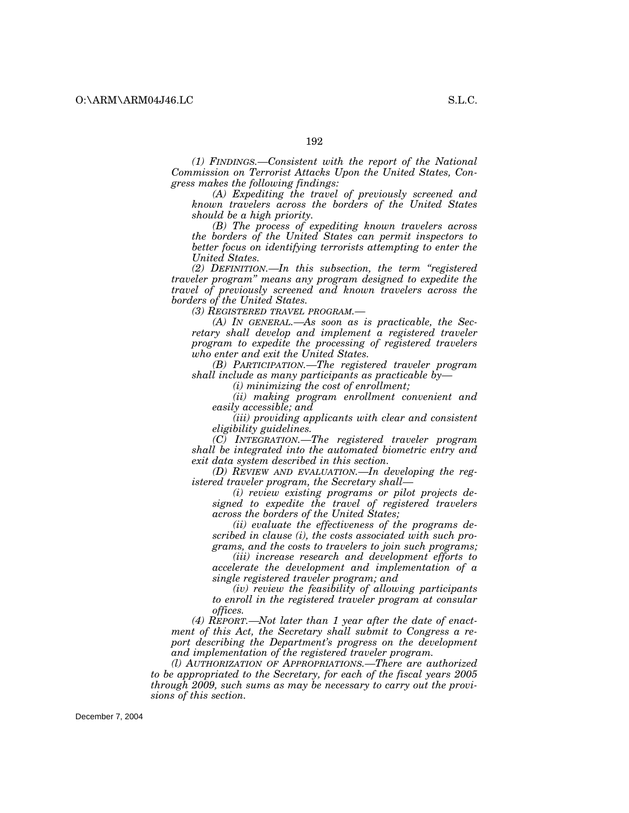*(1) FINDINGS.—Consistent with the report of the National Commission on Terrorist Attacks Upon the United States, Congress makes the following findings:*

*(A) Expediting the travel of previously screened and known travelers across the borders of the United States should be a high priority.*

*(B) The process of expediting known travelers across the borders of the United States can permit inspectors to better focus on identifying terrorists attempting to enter the United States.*

*(2) DEFINITION.—In this subsection, the term ''registered traveler program'' means any program designed to expedite the travel of previously screened and known travelers across the borders of the United States.*

*(3) REGISTERED TRAVEL PROGRAM.—*

*(A) IN GENERAL.—As soon as is practicable, the Secretary shall develop and implement a registered traveler program to expedite the processing of registered travelers who enter and exit the United States.*

*(B) PARTICIPATION.—The registered traveler program shall include as many participants as practicable by—*

*(i) minimizing the cost of enrollment;*

*(ii) making program enrollment convenient and easily accessible; and*

*(iii) providing applicants with clear and consistent eligibility guidelines.*

*(C) INTEGRATION.—The registered traveler program shall be integrated into the automated biometric entry and exit data system described in this section.*

*(D) REVIEW AND EVALUATION.—In developing the registered traveler program, the Secretary shall—*

*(i) review existing programs or pilot projects designed to expedite the travel of registered travelers across the borders of the United States;*

*(ii) evaluate the effectiveness of the programs described in clause (i), the costs associated with such programs, and the costs to travelers to join such programs;*

*(iii) increase research and development efforts to accelerate the development and implementation of a single registered traveler program; and*

*(iv) review the feasibility of allowing participants to enroll in the registered traveler program at consular offices.*

*(4) REPORT.—Not later than 1 year after the date of enactment of this Act, the Secretary shall submit to Congress a report describing the Department's progress on the development and implementation of the registered traveler program.*

*(l) AUTHORIZATION OF APPROPRIATIONS.—There are authorized to be appropriated to the Secretary, for each of the fiscal years 2005 through 2009, such sums as may be necessary to carry out the provisions of this section.*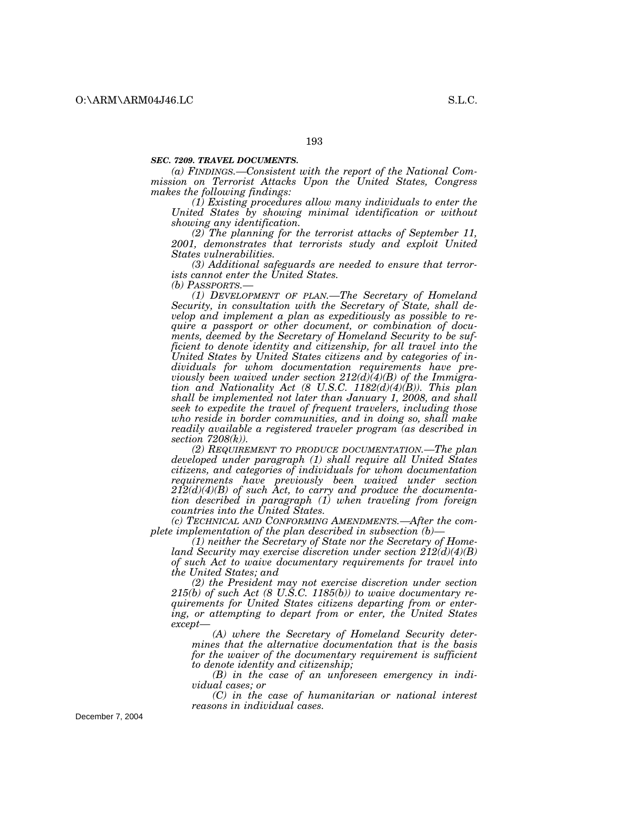### 193

### *SEC. 7209. TRAVEL DOCUMENTS.*

*(a) FINDINGS.—Consistent with the report of the National Commission on Terrorist Attacks Upon the United States, Congress makes the following findings:*

*(1) Existing procedures allow many individuals to enter the United States by showing minimal identification or without showing any identification.*

*(2) The planning for the terrorist attacks of September 11, 2001, demonstrates that terrorists study and exploit United States vulnerabilities.*

*(3) Additional safeguards are needed to ensure that terrorists cannot enter the United States.*

*(b) PASSPORTS.—*

*(1) DEVELOPMENT OF PLAN.—The Secretary of Homeland Security, in consultation with the Secretary of State, shall develop and implement a plan as expeditiously as possible to require a passport or other document, or combination of documents, deemed by the Secretary of Homeland Security to be sufficient to denote identity and citizenship, for all travel into the United States by United States citizens and by categories of individuals for whom documentation requirements have previously been waived under section 212(d)(4)(B) of the Immigration and Nationality Act (8 U.S.C. 1182(d)(4)(B)). This plan shall be implemented not later than January 1, 2008, and shall seek to expedite the travel of frequent travelers, including those who reside in border communities, and in doing so, shall make readily available a registered traveler program (as described in section 7208(k)).*

*(2) REQUIREMENT TO PRODUCE DOCUMENTATION.—The plan developed under paragraph (1) shall require all United States citizens, and categories of individuals for whom documentation requirements have previously been waived under section 212(d)(4)(B) of such Act, to carry and produce the documentation described in paragraph (1) when traveling from foreign countries into the United States.*

*(c) TECHNICAL AND CONFORMING AMENDMENTS.—After the complete implementation of the plan described in subsection (b)—*

*(1) neither the Secretary of State nor the Secretary of Homeland Security may exercise discretion under section 212(d)(4)(B) of such Act to waive documentary requirements for travel into the United States; and*

*(2) the President may not exercise discretion under section 215(b) of such Act (8 U.S.C. 1185(b)) to waive documentary requirements for United States citizens departing from or entering, or attempting to depart from or enter, the United States except—*

*(A) where the Secretary of Homeland Security determines that the alternative documentation that is the basis for the waiver of the documentary requirement is sufficient to denote identity and citizenship;*

*(B) in the case of an unforeseen emergency in individual cases; or*

*(C) in the case of humanitarian or national interest reasons in individual cases.*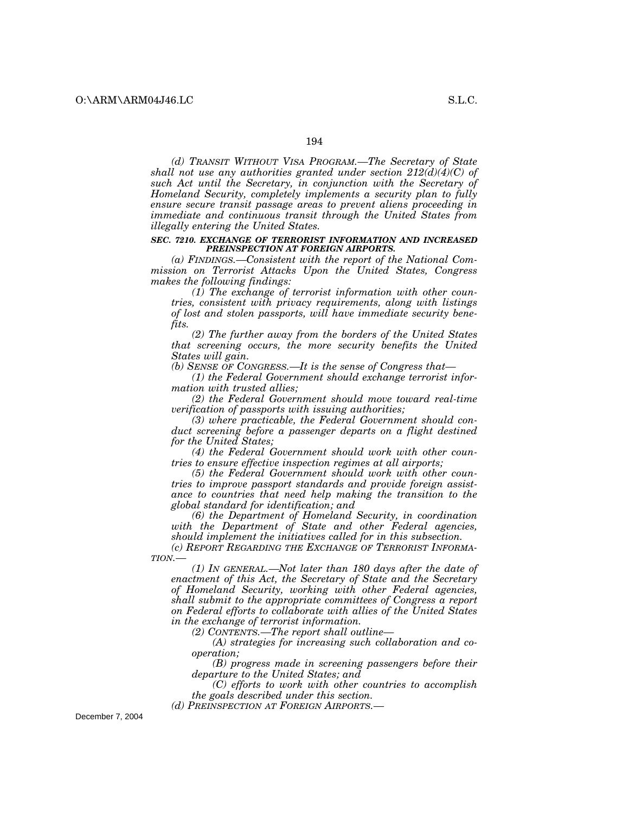*(d) TRANSIT WITHOUT VISA PROGRAM.—The Secretary of State shall not use any authorities granted under section 212(d)(4)(C) of such Act until the Secretary, in conjunction with the Secretary of Homeland Security, completely implements a security plan to fully ensure secure transit passage areas to prevent aliens proceeding in immediate and continuous transit through the United States from illegally entering the United States.*

### *SEC. 7210. EXCHANGE OF TERRORIST INFORMATION AND INCREASED PREINSPECTION AT FOREIGN AIRPORTS.*

*(a) FINDINGS.—Consistent with the report of the National Commission on Terrorist Attacks Upon the United States, Congress makes the following findings:*

*(1) The exchange of terrorist information with other countries, consistent with privacy requirements, along with listings of lost and stolen passports, will have immediate security benefits.*

*(2) The further away from the borders of the United States that screening occurs, the more security benefits the United States will gain.*

*(b) SENSE OF CONGRESS.—It is the sense of Congress that—*

*(1) the Federal Government should exchange terrorist information with trusted allies;*

*(2) the Federal Government should move toward real-time verification of passports with issuing authorities;*

*(3) where practicable, the Federal Government should conduct screening before a passenger departs on a flight destined for the United States;*

*(4) the Federal Government should work with other countries to ensure effective inspection regimes at all airports;*

*(5) the Federal Government should work with other countries to improve passport standards and provide foreign assistance to countries that need help making the transition to the global standard for identification; and*

*(6) the Department of Homeland Security, in coordination with the Department of State and other Federal agencies, should implement the initiatives called for in this subsection.*

*(c) REPORT REGARDING THE EXCHANGE OF TERRORIST INFORMA-TION.—*

*(1) IN GENERAL.—Not later than 180 days after the date of enactment of this Act, the Secretary of State and the Secretary of Homeland Security, working with other Federal agencies, shall submit to the appropriate committees of Congress a report on Federal efforts to collaborate with allies of the United States in the exchange of terrorist information.*

*(2) CONTENTS.—The report shall outline—*

*(A) strategies for increasing such collaboration and cooperation;*

*(B) progress made in screening passengers before their departure to the United States; and*

*(C) efforts to work with other countries to accomplish the goals described under this section.*

*(d) PREINSPECTION AT FOREIGN AIRPORTS.—*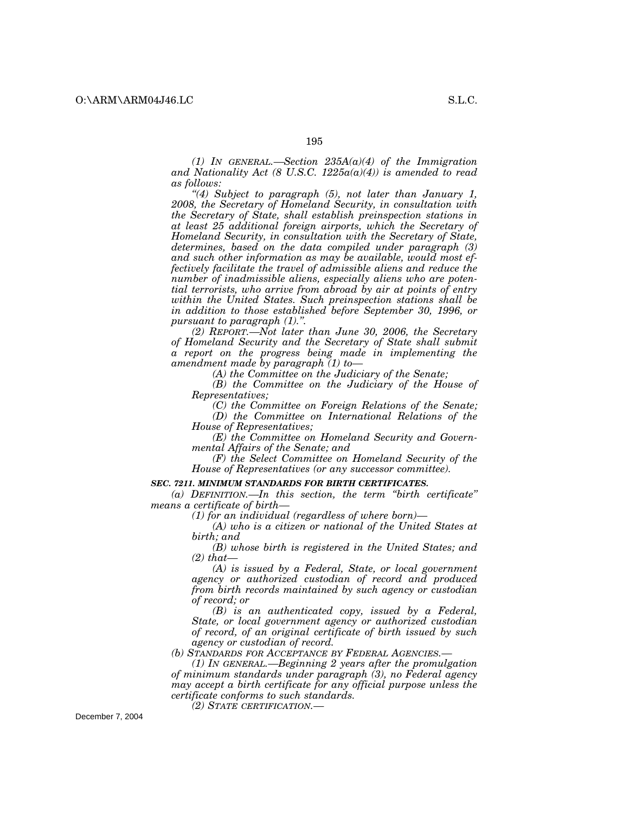*(1) IN GENERAL.—Section 235A(a)(4) of the Immigration and Nationality Act (8 U.S.C. 1225a(a)(4)) is amended to read as follows:*

*''(4) Subject to paragraph (5), not later than January 1, 2008, the Secretary of Homeland Security, in consultation with the Secretary of State, shall establish preinspection stations in at least 25 additional foreign airports, which the Secretary of Homeland Security, in consultation with the Secretary of State, determines, based on the data compiled under paragraph (3) and such other information as may be available, would most effectively facilitate the travel of admissible aliens and reduce the number of inadmissible aliens, especially aliens who are potential terrorists, who arrive from abroad by air at points of entry within the United States. Such preinspection stations shall be in addition to those established before September 30, 1996, or pursuant to paragraph (1).''.*

*(2) REPORT.—Not later than June 30, 2006, the Secretary of Homeland Security and the Secretary of State shall submit a report on the progress being made in implementing the amendment made by paragraph (1) to—*

*(A) the Committee on the Judiciary of the Senate;*

*(B) the Committee on the Judiciary of the House of Representatives;*

*(C) the Committee on Foreign Relations of the Senate;*

*(D) the Committee on International Relations of the House of Representatives;*

*(E) the Committee on Homeland Security and Governmental Affairs of the Senate; and*

*(F) the Select Committee on Homeland Security of the House of Representatives (or any successor committee).*

### *SEC. 7211. MINIMUM STANDARDS FOR BIRTH CERTIFICATES.*

*(a) DEFINITION.—In this section, the term ''birth certificate'' means a certificate of birth—*

*(1) for an individual (regardless of where born)—*

*(A) who is a citizen or national of the United States at birth; and*

*(B) whose birth is registered in the United States; and (2) that—*

*(A) is issued by a Federal, State, or local government agency or authorized custodian of record and produced from birth records maintained by such agency or custodian of record; or*

*(B) is an authenticated copy, issued by a Federal, State, or local government agency or authorized custodian of record, of an original certificate of birth issued by such agency or custodian of record.*

*(b) STANDARDS FOR ACCEPTANCE BY FEDERAL AGENCIES.—*

*(1) IN GENERAL.—Beginning 2 years after the promulgation of minimum standards under paragraph (3), no Federal agency may accept a birth certificate for any official purpose unless the certificate conforms to such standards.*

*(2) STATE CERTIFICATION.—*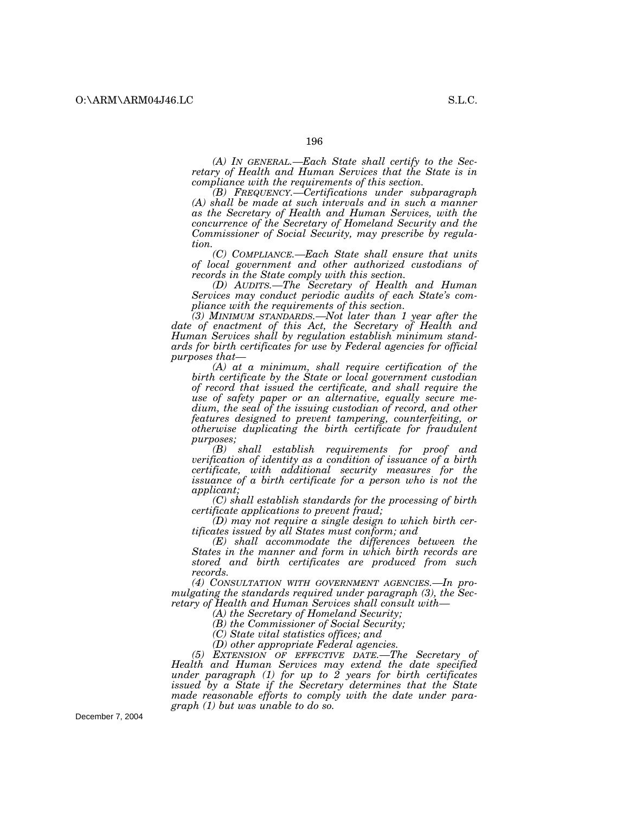*(A) IN GENERAL.—Each State shall certify to the Secretary of Health and Human Services that the State is in compliance with the requirements of this section.*

*(B) FREQUENCY.—Certifications under subparagraph (A) shall be made at such intervals and in such a manner as the Secretary of Health and Human Services, with the concurrence of the Secretary of Homeland Security and the Commissioner of Social Security, may prescribe by regulation.*

*(C) COMPLIANCE.—Each State shall ensure that units of local government and other authorized custodians of records in the State comply with this section.*

*(D) AUDITS.—The Secretary of Health and Human Services may conduct periodic audits of each State's compliance with the requirements of this section.*

*(3) MINIMUM STANDARDS.—Not later than 1 year after the date of enactment of this Act, the Secretary of Health and Human Services shall by regulation establish minimum standards for birth certificates for use by Federal agencies for official purposes that—*

*(A) at a minimum, shall require certification of the birth certificate by the State or local government custodian of record that issued the certificate, and shall require the use of safety paper or an alternative, equally secure medium, the seal of the issuing custodian of record, and other features designed to prevent tampering, counterfeiting, or otherwise duplicating the birth certificate for fraudulent purposes;*

*(B) shall establish requirements for proof and verification of identity as a condition of issuance of a birth certificate, with additional security measures for the issuance of a birth certificate for a person who is not the applicant;*

*(C) shall establish standards for the processing of birth certificate applications to prevent fraud;*

*(D) may not require a single design to which birth certificates issued by all States must conform; and*

*(E) shall accommodate the differences between the States in the manner and form in which birth records are stored and birth certificates are produced from such records.*

*(4) CONSULTATION WITH GOVERNMENT AGENCIES.—In promulgating the standards required under paragraph (3), the Secretary of Health and Human Services shall consult with—*

*(A) the Secretary of Homeland Security;*

*(B) the Commissioner of Social Security;*

*(C) State vital statistics offices; and*

*(D) other appropriate Federal agencies.*

*(5) EXTENSION OF EFFECTIVE DATE.—The Secretary of Health and Human Services may extend the date specified under paragraph (1) for up to 2 years for birth certificates issued by a State if the Secretary determines that the State made reasonable efforts to comply with the date under paragraph (1) but was unable to do so.*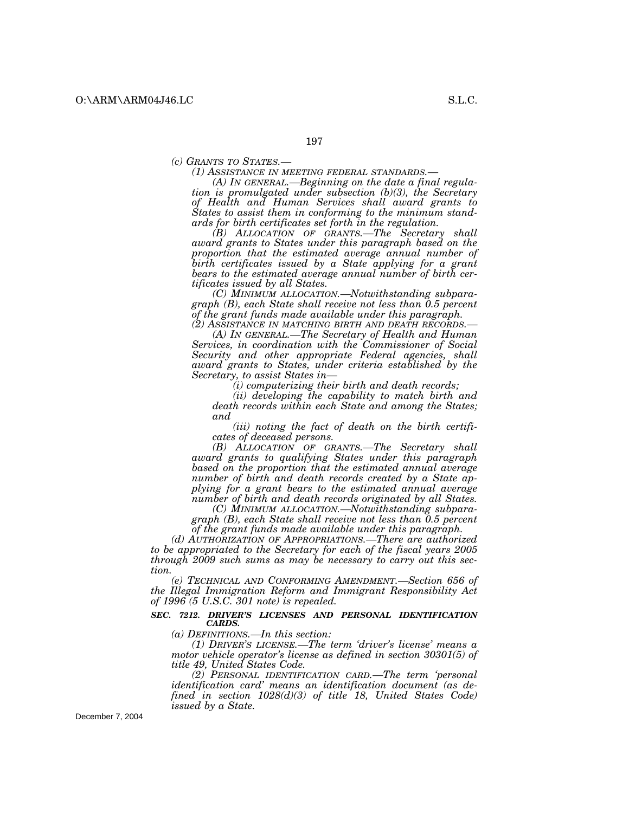*(c) GRANTS TO STATES.— (1) ASSISTANCE IN MEETING FEDERAL STANDARDS.— (A) IN GENERAL.—Beginning on the date a final regula-*

*tion is promulgated under subsection (b)(3), the Secretary of Health and Human Services shall award grants to States to assist them in conforming to the minimum standards for birth certificates set forth in the regulation.*

*(B) ALLOCATION OF GRANTS.—The Secretary shall award grants to States under this paragraph based on the proportion that the estimated average annual number of birth certificates issued by a State applying for a grant bears to the estimated average annual number of birth certificates issued by all States.*

*(C) MINIMUM ALLOCATION.—Notwithstanding subparagraph (B), each State shall receive not less than 0.5 percent of the grant funds made available under this paragraph.*

*(2) ASSISTANCE IN MATCHING BIRTH AND DEATH RECORDS.— (A) IN GENERAL.—The Secretary of Health and Human Services, in coordination with the Commissioner of Social Security and other appropriate Federal agencies, shall award grants to States, under criteria established by the Secretary, to assist States in—*

*(i) computerizing their birth and death records;*

*(ii) developing the capability to match birth and death records within each State and among the States; and*

*(iii) noting the fact of death on the birth certificates of deceased persons.*

*(B) ALLOCATION OF GRANTS.—The Secretary shall award grants to qualifying States under this paragraph based on the proportion that the estimated annual average number of birth and death records created by a State applying for a grant bears to the estimated annual average number of birth and death records originated by all States.*

*(C) MINIMUM ALLOCATION.—Notwithstanding subparagraph (B), each State shall receive not less than 0.5 percent of the grant funds made available under this paragraph.*

*(d) AUTHORIZATION OF APPROPRIATIONS.—There are authorized to be appropriated to the Secretary for each of the fiscal years 2005 through 2009 such sums as may be necessary to carry out this section.*

*(e) TECHNICAL AND CONFORMING AMENDMENT.—Section 656 of the Illegal Immigration Reform and Immigrant Responsibility Act of 1996 (5 U.S.C. 301 note) is repealed.*

### *SEC. 7212. DRIVER'S LICENSES AND PERSONAL IDENTIFICATION CARDS.*

*(a) DEFINITIONS.—In this section:*

*(1) DRIVER'S LICENSE.—The term 'driver's license' means a motor vehicle operator's license as defined in section 30301(5) of title 49, United States Code.*

*(2) PERSONAL IDENTIFICATION CARD.—The term 'personal identification card' means an identification document (as defined in section 1028(d)(3) of title 18, United States Code) issued by a State.*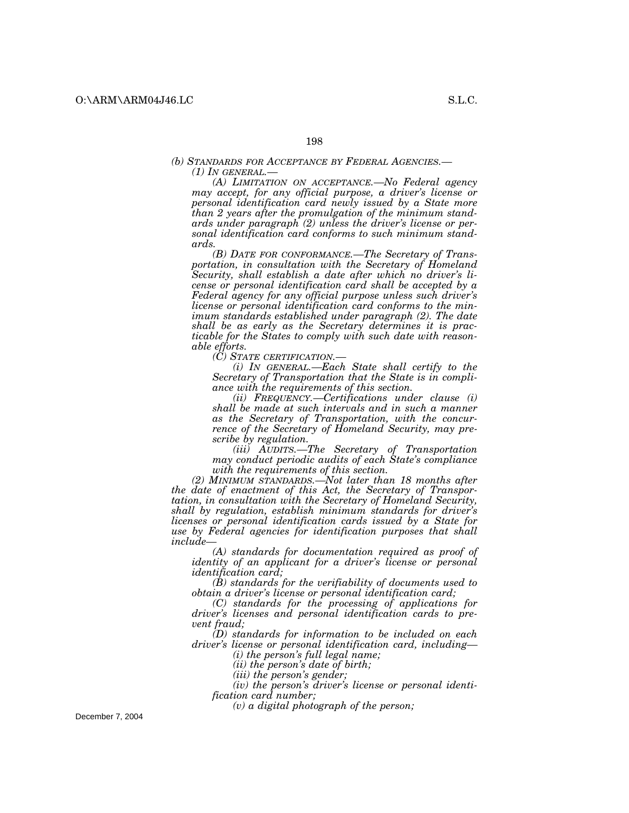# *(b) STANDARDS FOR ACCEPTANCE BY FEDERAL AGENCIES.— (1) IN GENERAL.— (A) LIMITATION ON ACCEPTANCE.—No Federal agency*

*may accept, for any official purpose, a driver's license or personal identification card newly issued by a State more than 2 years after the promulgation of the minimum standards under paragraph (2) unless the driver's license or personal identification card conforms to such minimum standards.*

*(B) DATE FOR CONFORMANCE.—The Secretary of Transportation, in consultation with the Secretary of Homeland Security, shall establish a date after which no driver's license or personal identification card shall be accepted by a Federal agency for any official purpose unless such driver's license or personal identification card conforms to the minimum standards established under paragraph (2). The date shall be as early as the Secretary determines it is practicable for the States to comply with such date with reason*able efforts.<br>(C) STATE CERTIFICATION.

*(i)* IN GENERAL.—Each State shall certify to the *Secretary of Transportation that the State is in compliance with the requirements of this section.*

*(ii) FREQUENCY.—Certifications under clause (i) shall be made at such intervals and in such a manner as the Secretary of Transportation, with the concurrence of the Secretary of Homeland Security, may prescribe by regulation.*

*(iii) AUDITS.—The Secretary of Transportation may conduct periodic audits of each State's compliance with the requirements of this section.*

*(2) MINIMUM STANDARDS.—Not later than 18 months after the date of enactment of this Act, the Secretary of Transportation, in consultation with the Secretary of Homeland Security, shall by regulation, establish minimum standards for driver's licenses or personal identification cards issued by a State for use by Federal agencies for identification purposes that shall include—*

*(A) standards for documentation required as proof of identity of an applicant for a driver's license or personal identification card;*

*(B) standards for the verifiability of documents used to obtain a driver's license or personal identification card;*

*(C) standards for the processing of applications for driver's licenses and personal identification cards to prevent fraud;*

*(D) standards for information to be included on each driver's license or personal identification card, including—*

*(i) the person's full legal name;*

*(ii) the person's date of birth;*

*(iii) the person's gender;*

*(iv) the person's driver's license or personal identification card number;*

*(v) a digital photograph of the person;*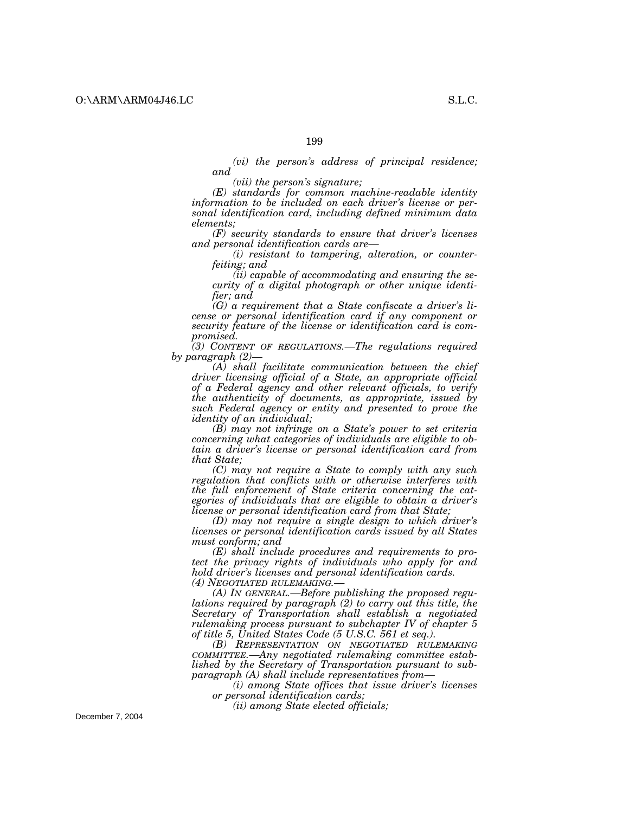*(vi) the person's address of principal residence; and*

*(vii) the person's signature;*

*(E) standards for common machine-readable identity information to be included on each driver's license or personal identification card, including defined minimum data elements;*

*(F) security standards to ensure that driver's licenses and personal identification cards are—*

*(i) resistant to tampering, alteration, or counterfeiting; and*

*(ii) capable of accommodating and ensuring the security of a digital photograph or other unique identifier; and*

*(G) a requirement that a State confiscate a driver's license or personal identification card if any component or security feature of the license or identification card is compromised.*

*(3) CONTENT OF REGULATIONS.—The regulations required by paragraph (2)—*

*(A) shall facilitate communication between the chief driver licensing official of a State, an appropriate official of a Federal agency and other relevant officials, to verify the authenticity of documents, as appropriate, issued by such Federal agency or entity and presented to prove the identity of an individual;*

*(B) may not infringe on a State's power to set criteria concerning what categories of individuals are eligible to obtain a driver's license or personal identification card from that State;*

*(C) may not require a State to comply with any such regulation that conflicts with or otherwise interferes with the full enforcement of State criteria concerning the categories of individuals that are eligible to obtain a driver's license or personal identification card from that State;*

*(D) may not require a single design to which driver's licenses or personal identification cards issued by all States must conform; and*

*(E) shall include procedures and requirements to protect the privacy rights of individuals who apply for and hold driver's licenses and personal identification cards. (4) NEGOTIATED RULEMAKING.—*

*(A) IN GENERAL.—Before publishing the proposed regulations required by paragraph (2) to carry out this title, the Secretary of Transportation shall establish a negotiated rulemaking process pursuant to subchapter IV of chapter 5 of title 5, United States Code (5 U.S.C. 561 et seq.).*

*(B) REPRESENTATION ON NEGOTIATED RULEMAKING COMMITTEE.—Any negotiated rulemaking committee established by the Secretary of Transportation pursuant to subparagraph (A) shall include representatives from—*

*(i) among State offices that issue driver's licenses or personal identification cards;*

*(ii) among State elected officials;*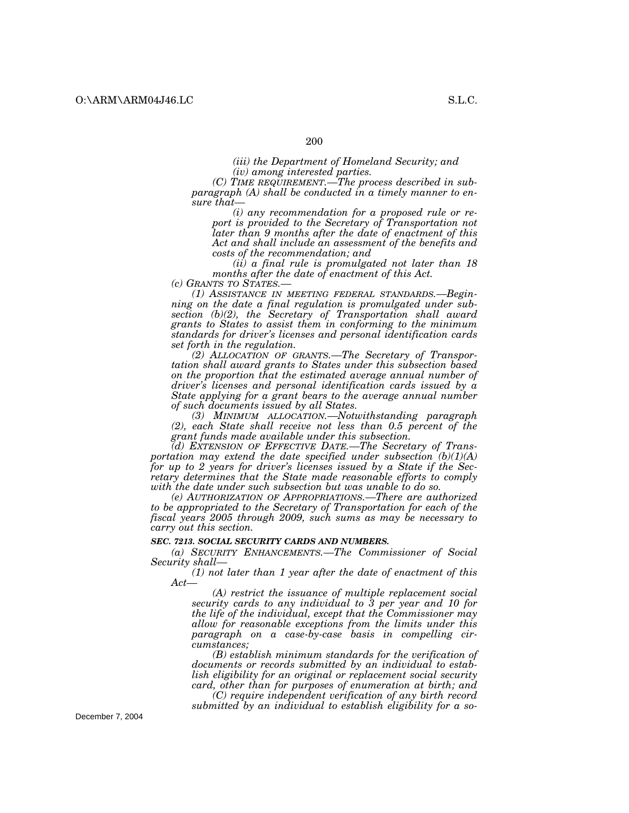*(iii) the Department of Homeland Security; and (iv) among interested parties.*

*(C) TIME REQUIREMENT.—The process described in subparagraph (A) shall be conducted in a timely manner to ensure that—*

*(i) any recommendation for a proposed rule or report is provided to the Secretary of Transportation not later than 9 months after the date of enactment of this Act and shall include an assessment of the benefits and costs of the recommendation; and*

*(ii) a final rule is promulgated not later than 18 months after the date of enactment of this Act.*

*(c) GRANTS TO STATES.— (1) ASSISTANCE IN MEETING FEDERAL STANDARDS.—Beginning on the date a final regulation is promulgated under subsection (b)(2), the Secretary of Transportation shall award grants to States to assist them in conforming to the minimum standards for driver's licenses and personal identification cards set forth in the regulation.*

*(2) ALLOCATION OF GRANTS.—The Secretary of Transportation shall award grants to States under this subsection based on the proportion that the estimated average annual number of driver's licenses and personal identification cards issued by a State applying for a grant bears to the average annual number of such documents issued by all States.*

*(3) MINIMUM ALLOCATION.—Notwithstanding paragraph (2), each State shall receive not less than 0.5 percent of the grant funds made available under this subsection.*

*(d) EXTENSION OF EFFECTIVE DATE.—The Secretary of Transportation may extend the date specified under subsection (b)(1)(A) for up to 2 years for driver's licenses issued by a State if the Secretary determines that the State made reasonable efforts to comply with the date under such subsection but was unable to do so.*

*(e) AUTHORIZATION OF APPROPRIATIONS.—There are authorized to be appropriated to the Secretary of Transportation for each of the fiscal years 2005 through 2009, such sums as may be necessary to carry out this section.*

### *SEC. 7213. SOCIAL SECURITY CARDS AND NUMBERS.*

*(a) SECURITY ENHANCEMENTS.—The Commissioner of Social Security shall—*

*(1) not later than 1 year after the date of enactment of this Act—*

*(A) restrict the issuance of multiple replacement social security cards to any individual to 3 per year and 10 for the life of the individual, except that the Commissioner may allow for reasonable exceptions from the limits under this paragraph on a case-by-case basis in compelling circumstances;*

*(B) establish minimum standards for the verification of documents or records submitted by an individual to establish eligibility for an original or replacement social security card, other than for purposes of enumeration at birth; and (C) require independent verification of any birth record*

*submitted by an individual to establish eligibility for a so-*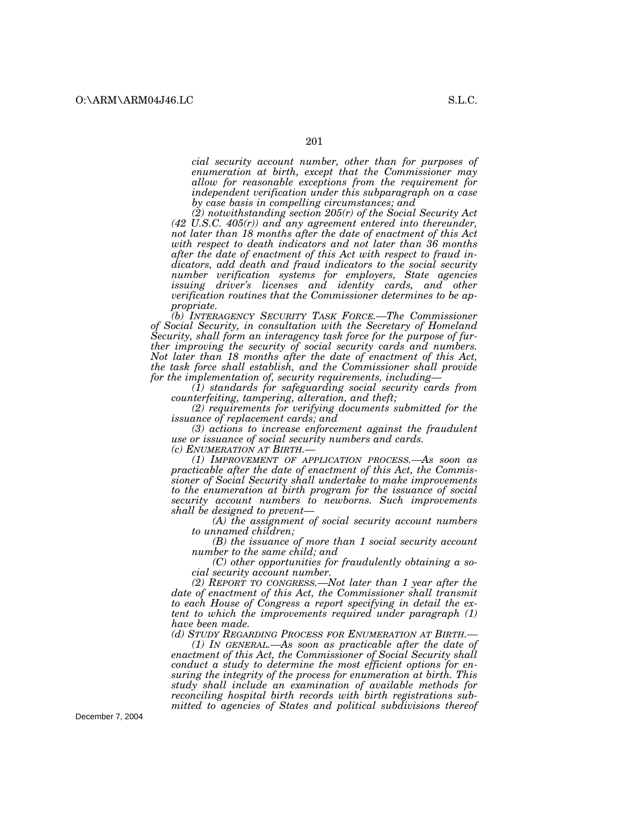*cial security account number, other than for purposes of enumeration at birth, except that the Commissioner may allow for reasonable exceptions from the requirement for independent verification under this subparagraph on a case by case basis in compelling circumstances; and*

*(2) notwithstanding section 205(r) of the Social Security Act (42 U.S.C. 405(r)) and any agreement entered into thereunder, not later than 18 months after the date of enactment of this Act with respect to death indicators and not later than 36 months after the date of enactment of this Act with respect to fraud indicators, add death and fraud indicators to the social security number verification systems for employers, State agencies issuing driver's licenses and identity cards, and other verification routines that the Commissioner determines to be appropriate.*

*(b) INTERAGENCY SECURITY TASK FORCE.—The Commissioner of Social Security, in consultation with the Secretary of Homeland Security, shall form an interagency task force for the purpose of further improving the security of social security cards and numbers. Not later than 18 months after the date of enactment of this Act, the task force shall establish, and the Commissioner shall provide for the implementation of, security requirements, including—*

*(1) standards for safeguarding social security cards from counterfeiting, tampering, alteration, and theft;*

*(2) requirements for verifying documents submitted for the issuance of replacement cards; and*

*(3) actions to increase enforcement against the fraudulent use or issuance of social security numbers and cards.*

*(c) ENUMERATION AT BIRTH.— (1) IMPROVEMENT OF APPLICATION PROCESS.—As soon as practicable after the date of enactment of this Act, the Commissioner of Social Security shall undertake to make improvements to the enumeration at birth program for the issuance of social security account numbers to newborns. Such improvements shall be designed to prevent—*

*(A) the assignment of social security account numbers to unnamed children;*

*(B) the issuance of more than 1 social security account number to the same child; and*

*(C) other opportunities for fraudulently obtaining a social security account number.*

*(2) REPORT TO CONGRESS.—Not later than 1 year after the date of enactment of this Act, the Commissioner shall transmit to each House of Congress a report specifying in detail the extent to which the improvements required under paragraph (1) have been made.*

*(d) STUDY REGARDING PROCESS FOR ENUMERATION AT BIRTH.—*

*(1) IN GENERAL.—As soon as practicable after the date of enactment of this Act, the Commissioner of Social Security shall conduct a study to determine the most efficient options for ensuring the integrity of the process for enumeration at birth. This study shall include an examination of available methods for reconciling hospital birth records with birth registrations submitted to agencies of States and political subdivisions thereof*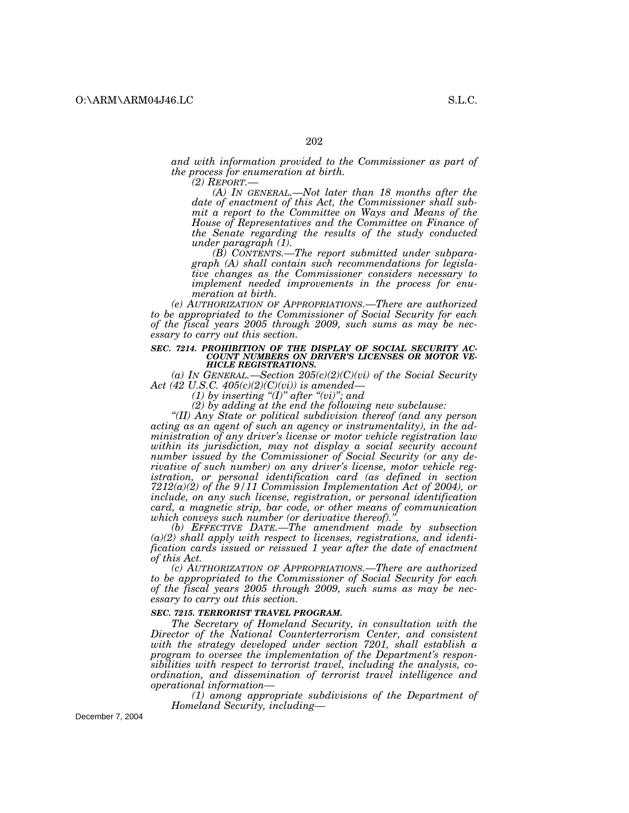*and with information provided to the Commissioner as part of the process for enumeration at birth.*

*(A)* IN GENERAL.—Not later than 18 months after the *date of enactment of this Act, the Commissioner shall submit a report to the Committee on Ways and Means of the House of Representatives and the Committee on Finance of the Senate regarding the results of the study conducted under paragraph (1).*

*(B) CONTENTS.—The report submitted under subparagraph (A) shall contain such recommendations for legislative changes as the Commissioner considers necessary to implement needed improvements in the process for enumeration at birth.*

*(e) AUTHORIZATION OF APPROPRIATIONS.—There are authorized to be appropriated to the Commissioner of Social Security for each of the fiscal years 2005 through 2009, such sums as may be necessary to carry out this section.*

## *SEC. 7214. PROHIBITION OF THE DISPLAY OF SOCIAL SECURITY AC-COUNT NUMBERS ON DRIVER'S LICENSES OR MOTOR VE-HICLE REGISTRATIONS.*

*(a) IN GENERAL.—Section 205(c)(2)(C)(vi) of the Social Security Act (42 U.S.C. 405(c)(2)(C)(vi)) is amended—*

*(1) by inserting ''(I)'' after ''(vi)''; and*

*(2) by adding at the end the following new subclause:*

*''(II) Any State or political subdivision thereof (and any person acting as an agent of such an agency or instrumentality), in the administration of any driver's license or motor vehicle registration law within its jurisdiction, may not display a social security account number issued by the Commissioner of Social Security (or any derivative of such number) on any driver's license, motor vehicle registration, or personal identification card (as defined in section 7212(a)(2) of the 9/11 Commission Implementation Act of 2004), or include, on any such license, registration, or personal identification card, a magnetic strip, bar code, or other means of communication which conveys such number (or derivative thereof).''.*

*(b) EFFECTIVE DATE.—The amendment made by subsection (a)(2) shall apply with respect to licenses, registrations, and identification cards issued or reissued 1 year after the date of enactment of this Act.*

*(c) AUTHORIZATION OF APPROPRIATIONS.—There are authorized to be appropriated to the Commissioner of Social Security for each of the fiscal years 2005 through 2009, such sums as may be necessary to carry out this section.*

### *SEC. 7215. TERRORIST TRAVEL PROGRAM.*

*The Secretary of Homeland Security, in consultation with the Director of the National Counterterrorism Center, and consistent with the strategy developed under section 7201, shall establish a program to oversee the implementation of the Department's responsibilities with respect to terrorist travel, including the analysis, coordination, and dissemination of terrorist travel intelligence and operational information—*

*(1) among appropriate subdivisions of the Department of Homeland Security, including—*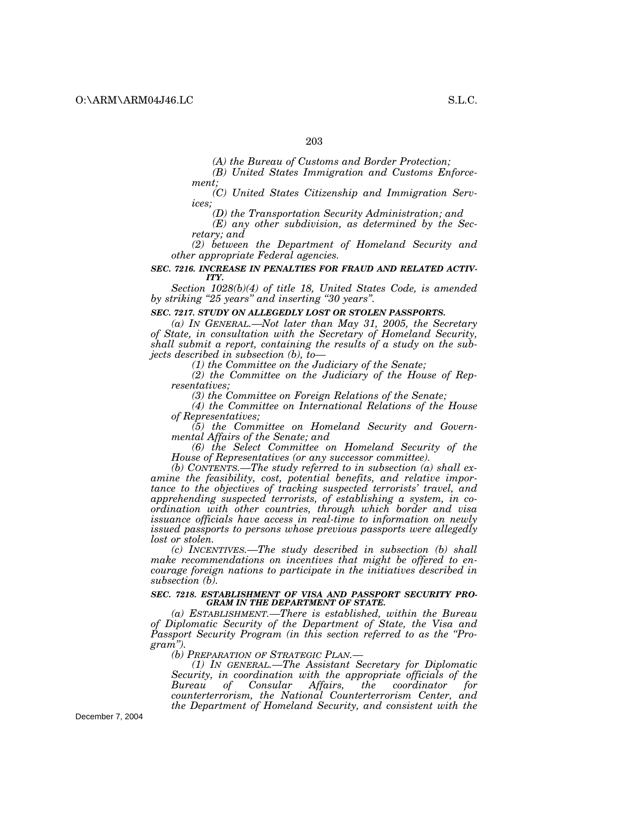*(A) the Bureau of Customs and Border Protection;*

*(B) United States Immigration and Customs Enforcement;*

*(C) United States Citizenship and Immigration Services;*

*(D) the Transportation Security Administration; and*

*(E) any other subdivision, as determined by the Secretary; and*

*(2) between the Department of Homeland Security and other appropriate Federal agencies.*

### *SEC. 7216. INCREASE IN PENALTIES FOR FRAUD AND RELATED ACTIV-ITY.*

*Section 1028(b)(4) of title 18, United States Code, is amended by striking ''25 years'' and inserting ''30 years''.*

### *SEC. 7217. STUDY ON ALLEGEDLY LOST OR STOLEN PASSPORTS.*

*(a) IN GENERAL.—Not later than May 31, 2005, the Secretary of State, in consultation with the Secretary of Homeland Security, shall submit a report, containing the results of a study on the subjects described in subsection (b), to—*

*(1) the Committee on the Judiciary of the Senate;*

*(2) the Committee on the Judiciary of the House of Representatives;*

*(3) the Committee on Foreign Relations of the Senate;*

*(4) the Committee on International Relations of the House of Representatives;*

*(5) the Committee on Homeland Security and Governmental Affairs of the Senate; and*

*(6) the Select Committee on Homeland Security of the House of Representatives (or any successor committee).*

*(b) CONTENTS.—The study referred to in subsection (a) shall examine the feasibility, cost, potential benefits, and relative importance to the objectives of tracking suspected terrorists' travel, and apprehending suspected terrorists, of establishing a system, in coordination with other countries, through which border and visa issuance officials have access in real-time to information on newly issued passports to persons whose previous passports were allegedly lost or stolen.*

*(c) INCENTIVES.—The study described in subsection (b) shall make recommendations on incentives that might be offered to encourage foreign nations to participate in the initiatives described in subsection (b).*

### *SEC. 7218. ESTABLISHMENT OF VISA AND PASSPORT SECURITY PRO-GRAM IN THE DEPARTMENT OF STATE.*

*(a) ESTABLISHMENT.—There is established, within the Bureau of Diplomatic Security of the Department of State, the Visa and Passport Security Program (in this section referred to as the ''Program'').*

*(b) PREPARATION OF STRATEGIC PLAN.—*

*(1) IN GENERAL.—The Assistant Secretary for Diplomatic Security, in coordination with the appropriate officials of the Bureau of Consular Affairs, the coordinator for counterterrorism, the National Counterterrorism Center, and the Department of Homeland Security, and consistent with the*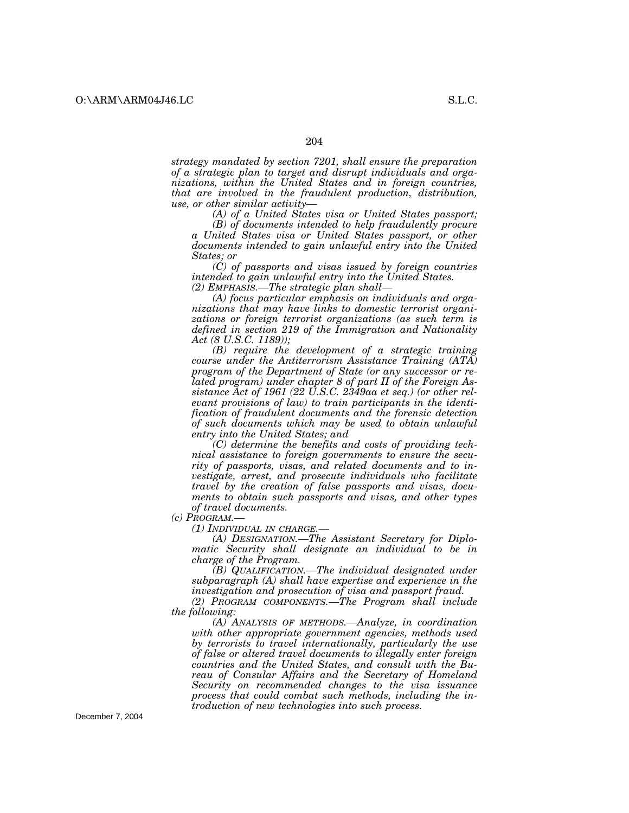*strategy mandated by section 7201, shall ensure the preparation of a strategic plan to target and disrupt individuals and organizations, within the United States and in foreign countries, that are involved in the fraudulent production, distribution, use, or other similar activity—*

*(A) of a United States visa or United States passport;*

*(B) of documents intended to help fraudulently procure a United States visa or United States passport, or other documents intended to gain unlawful entry into the United States; or*

*(C) of passports and visas issued by foreign countries intended to gain unlawful entry into the United States. (2) EMPHASIS.—The strategic plan shall—*

*(A) focus particular emphasis on individuals and organizations that may have links to domestic terrorist organizations or foreign terrorist organizations (as such term is defined in section 219 of the Immigration and Nationality Act (8 U.S.C. 1189));*

*(B) require the development of a strategic training course under the Antiterrorism Assistance Training (ATA) program of the Department of State (or any successor or related program) under chapter 8 of part II of the Foreign Assistance Act of 1961 (22 U.S.C. 2349aa et seq.) (or other relevant provisions of law) to train participants in the identification of fraudulent documents and the forensic detection of such documents which may be used to obtain unlawful entry into the United States; and*

*(C) determine the benefits and costs of providing technical assistance to foreign governments to ensure the security of passports, visas, and related documents and to investigate, arrest, and prosecute individuals who facilitate travel by the creation of false passports and visas, documents to obtain such passports and visas, and other types of travel documents.*

*(c) PROGRAM.—*

*(1) INDIVIDUAL IN CHARGE.—*

*(A) DESIGNATION.—The Assistant Secretary for Diplomatic Security shall designate an individual to be in charge of the Program.*

*(B) QUALIFICATION.—The individual designated under subparagraph (A) shall have expertise and experience in the investigation and prosecution of visa and passport fraud.*

*(2) PROGRAM COMPONENTS.—The Program shall include the following:*

*(A) ANALYSIS OF METHODS.—Analyze, in coordination with other appropriate government agencies, methods used by terrorists to travel internationally, particularly the use of false or altered travel documents to illegally enter foreign countries and the United States, and consult with the Bureau of Consular Affairs and the Secretary of Homeland Security on recommended changes to the visa issuance process that could combat such methods, including the introduction of new technologies into such process.*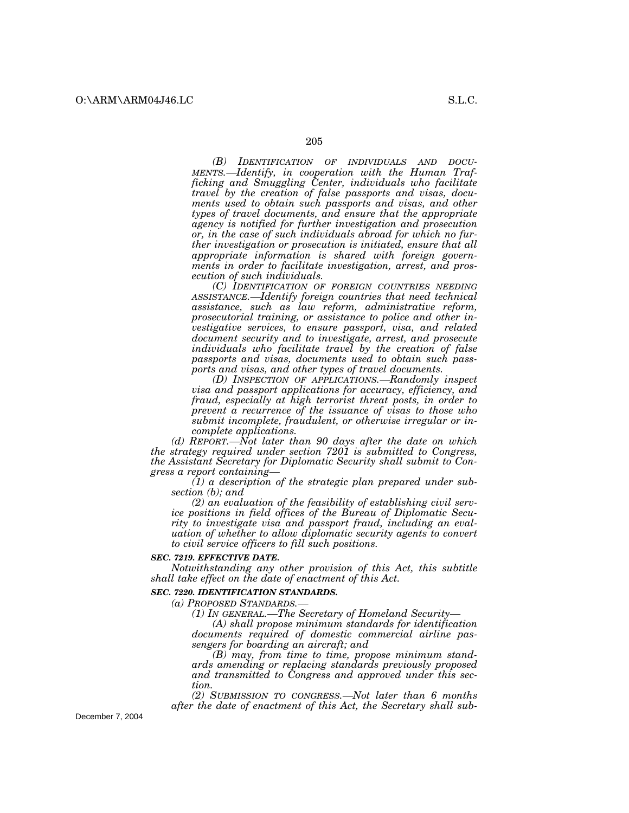*(B) IDENTIFICATION OF INDIVIDUALS AND DOCU-MENTS.—Identify, in cooperation with the Human Trafficking and Smuggling Center, individuals who facilitate travel by the creation of false passports and visas, documents used to obtain such passports and visas, and other types of travel documents, and ensure that the appropriate agency is notified for further investigation and prosecution or, in the case of such individuals abroad for which no further investigation or prosecution is initiated, ensure that all appropriate information is shared with foreign governments in order to facilitate investigation, arrest, and prosecution of such individuals.*

*(C) IDENTIFICATION OF FOREIGN COUNTRIES NEEDING ASSISTANCE.—Identify foreign countries that need technical assistance, such as law reform, administrative reform, prosecutorial training, or assistance to police and other investigative services, to ensure passport, visa, and related document security and to investigate, arrest, and prosecute individuals who facilitate travel by the creation of false passports and visas, documents used to obtain such passports and visas, and other types of travel documents.*

*(D) INSPECTION OF APPLICATIONS.—Randomly inspect visa and passport applications for accuracy, efficiency, and fraud, especially at high terrorist threat posts, in order to prevent a recurrence of the issuance of visas to those who submit incomplete, fraudulent, or otherwise irregular or incomplete applications.*

*(d) REPORT.—Not later than 90 days after the date on which the strategy required under section 7201 is submitted to Congress, the Assistant Secretary for Diplomatic Security shall submit to Congress a report containing—*

*(1) a description of the strategic plan prepared under subsection (b); and*

*(2) an evaluation of the feasibility of establishing civil service positions in field offices of the Bureau of Diplomatic Security to investigate visa and passport fraud, including an evaluation of whether to allow diplomatic security agents to convert to civil service officers to fill such positions.*

### *SEC. 7219. EFFECTIVE DATE.*

*Notwithstanding any other provision of this Act, this subtitle shall take effect on the date of enactment of this Act.*

### *SEC. 7220. IDENTIFICATION STANDARDS.*

*(a) PROPOSED STANDARDS.—*

*(1) IN GENERAL.—The Secretary of Homeland Security—*

*(A) shall propose minimum standards for identification documents required of domestic commercial airline passengers for boarding an aircraft; and*

*(B) may, from time to time, propose minimum standards amending or replacing standards previously proposed and transmitted to Congress and approved under this section.*

*(2) SUBMISSION TO CONGRESS.—Not later than 6 months after the date of enactment of this Act, the Secretary shall sub-*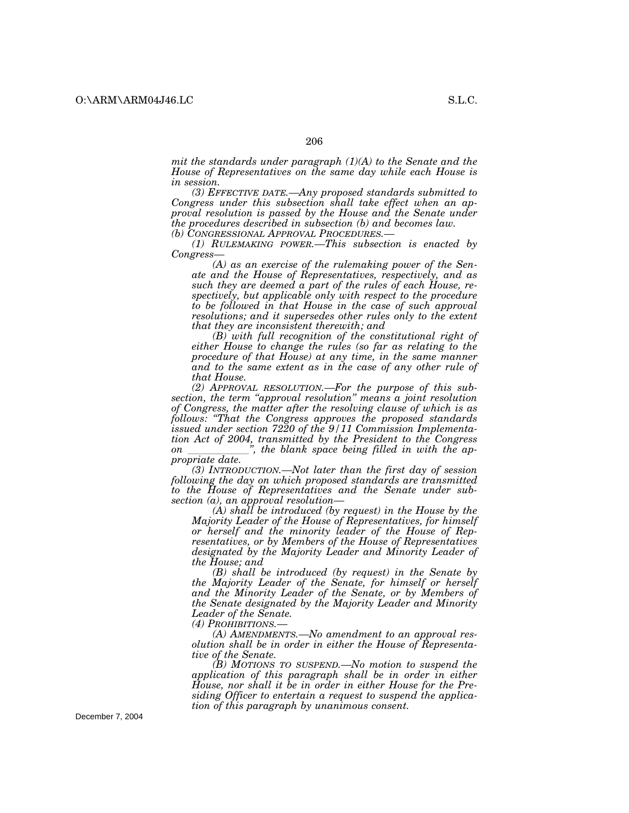*mit the standards under paragraph (1)(A) to the Senate and the House of Representatives on the same day while each House is in session.*

*(3) EFFECTIVE DATE.—Any proposed standards submitted to Congress under this subsection shall take effect when an approval resolution is passed by the House and the Senate under the procedures described in subsection (b) and becomes law.*

*(1) RULEMAKING POWER.—This subsection is enacted by Congress—*

*(A) as an exercise of the rulemaking power of the Senate and the House of Representatives, respectively, and as such they are deemed a part of the rules of each House, respectively, but applicable only with respect to the procedure to be followed in that House in the case of such approval resolutions; and it supersedes other rules only to the extent that they are inconsistent therewith; and*

*(B) with full recognition of the constitutional right of either House to change the rules (so far as relating to the procedure of that House) at any time, in the same manner and to the same extent as in the case of any other rule of that House.*

*(2) APPROVAL RESOLUTION.—For the purpose of this subsection, the term ''approval resolution'' means a joint resolution of Congress, the matter after the resolving clause of which is as follows: ''That the Congress approves the proposed standards issued under section 7220 of the 9/11 Commission Implementation Act of 2004, transmitted by the President to the Congress* on  $\frac{1}{\sqrt{2}}$ , the blank space being filled in with the ap*propriate date.*

*(3) INTRODUCTION.—Not later than the first day of session following the day on which proposed standards are transmitted to the House of Representatives and the Senate under subsection (a), an approval resolution—*

*(A) shall be introduced (by request) in the House by the Majority Leader of the House of Representatives, for himself or herself and the minority leader of the House of Representatives, or by Members of the House of Representatives designated by the Majority Leader and Minority Leader of the House; and*

*(B) shall be introduced (by request) in the Senate by the Majority Leader of the Senate, for himself or herself and the Minority Leader of the Senate, or by Members of the Senate designated by the Majority Leader and Minority Leader of the Senate.*

*(4) PROHIBITIONS.—*

*(A) AMENDMENTS.—No amendment to an approval resolution shall be in order in either the House of Representative of the Senate.*

*(B) MOTIONS TO SUSPEND.—No motion to suspend the application of this paragraph shall be in order in either House, nor shall it be in order in either House for the Presiding Officer to entertain a request to suspend the application of this paragraph by unanimous consent.*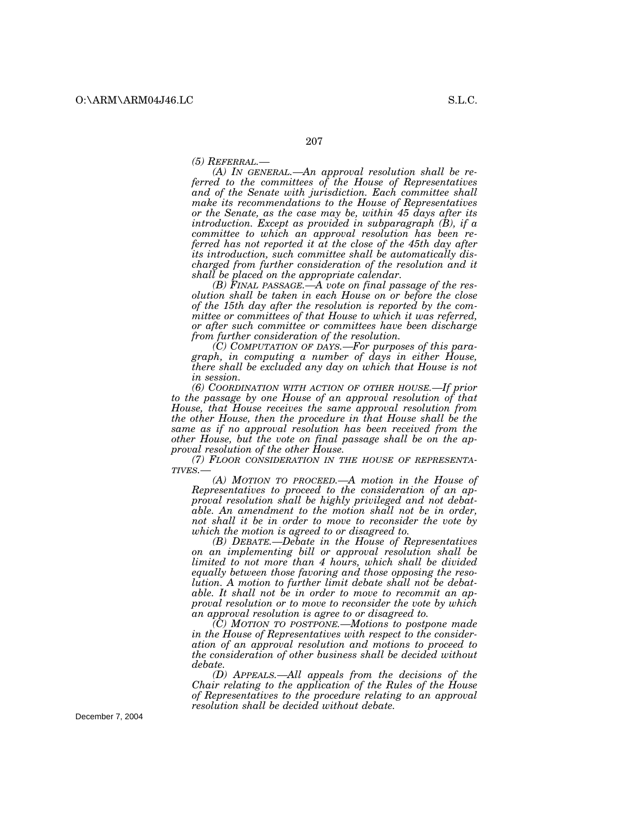*(5) REFERRAL.— (A) IN GENERAL.—An approval resolution shall be referred to the committees of the House of Representatives and of the Senate with jurisdiction. Each committee shall make its recommendations to the House of Representatives or the Senate, as the case may be, within 45 days after its introduction. Except as provided in subparagraph (B), if a committee to which an approval resolution has been referred has not reported it at the close of the 45th day after its introduction, such committee shall be automatically discharged from further consideration of the resolution and it shall be placed on the appropriate calendar.*

*(B) FINAL PASSAGE.—A vote on final passage of the resolution shall be taken in each House on or before the close of the 15th day after the resolution is reported by the committee or committees of that House to which it was referred, or after such committee or committees have been discharge from further consideration of the resolution.*

*(C) COMPUTATION OF DAYS.—For purposes of this paragraph, in computing a number of days in either House, there shall be excluded any day on which that House is not in session.*

*(6) COORDINATION WITH ACTION OF OTHER HOUSE.—If prior to the passage by one House of an approval resolution of that House, that House receives the same approval resolution from the other House, then the procedure in that House shall be the same as if no approval resolution has been received from the other House, but the vote on final passage shall be on the approval resolution of the other House.*

*(7) FLOOR CONSIDERATION IN THE HOUSE OF REPRESENTA-TIVES.—*

*(A) MOTION TO PROCEED.—A motion in the House of Representatives to proceed to the consideration of an approval resolution shall be highly privileged and not debatable. An amendment to the motion shall not be in order, not shall it be in order to move to reconsider the vote by which the motion is agreed to or disagreed to.*

*(B) DEBATE.—Debate in the House of Representatives on an implementing bill or approval resolution shall be limited to not more than 4 hours, which shall be divided equally between those favoring and those opposing the resolution. A motion to further limit debate shall not be debatable. It shall not be in order to move to recommit an approval resolution or to move to reconsider the vote by which an approval resolution is agree to or disagreed to.*

*(C) MOTION TO POSTPONE.—Motions to postpone made in the House of Representatives with respect to the consideration of an approval resolution and motions to proceed to the consideration of other business shall be decided without debate.*

*(D) APPEALS.—All appeals from the decisions of the Chair relating to the application of the Rules of the House of Representatives to the procedure relating to an approval resolution shall be decided without debate.*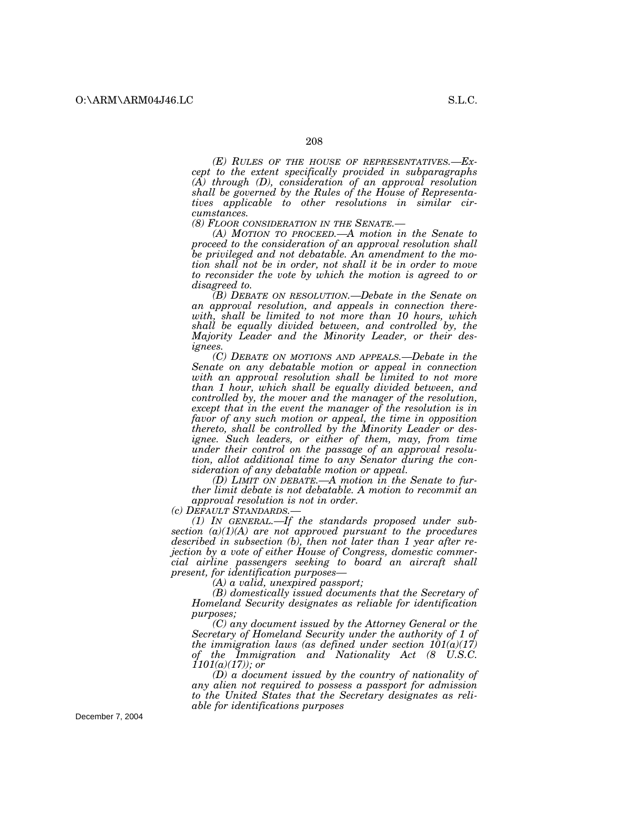*(E) RULES OF THE HOUSE OF REPRESENTATIVES.—Except to the extent specifically provided in subparagraphs (A) through (D), consideration of an approval resolution shall be governed by the Rules of the House of Representatives applicable to other resolutions in similar circumstances.*<br>(8) FLOOR CONSIDERATION IN THE SENATE.

*(8) FLOOR CONSIDERATION IN THE SENATE.— (A) MOTION TO PROCEED.—A motion in the Senate to proceed to the consideration of an approval resolution shall be privileged and not debatable. An amendment to the motion shall not be in order, not shall it be in order to move to reconsider the vote by which the motion is agreed to or disagreed to.*

*(B) DEBATE ON RESOLUTION.—Debate in the Senate on an approval resolution, and appeals in connection therewith, shall be limited to not more than 10 hours, which shall be equally divided between, and controlled by, the Majority Leader and the Minority Leader, or their designees.*

*(C) DEBATE ON MOTIONS AND APPEALS.—Debate in the Senate on any debatable motion or appeal in connection with an approval resolution shall be limited to not more than 1 hour, which shall be equally divided between, and controlled by, the mover and the manager of the resolution, except that in the event the manager of the resolution is in favor of any such motion or appeal, the time in opposition thereto, shall be controlled by the Minority Leader or designee. Such leaders, or either of them, may, from time under their control on the passage of an approval resolution, allot additional time to any Senator during the consideration of any debatable motion or appeal.*

*(D) LIMIT ON DEBATE.—A motion in the Senate to further limit debate is not debatable. A motion to recommit an approval resolution is not in order.*

*(1) IN GENERAL.—If the standards proposed under subsection (a)(1)(A) are not approved pursuant to the procedures described in subsection (b), then not later than 1 year after rejection by a vote of either House of Congress, domestic commercial airline passengers seeking to board an aircraft shall present, for identification purposes—*

*(A) a valid, unexpired passport;*

*(B) domestically issued documents that the Secretary of Homeland Security designates as reliable for identification purposes;*

*(C) any document issued by the Attorney General or the Secretary of Homeland Security under the authority of 1 of the immigration laws (as defined under section*  $10I(a)(17)$ *of the Immigration and Nationality Act (8 U.S.C. 1101(a)(17)); or*

*(D) a document issued by the country of nationality of any alien not required to possess a passport for admission to the United States that the Secretary designates as reliable for identifications purposes*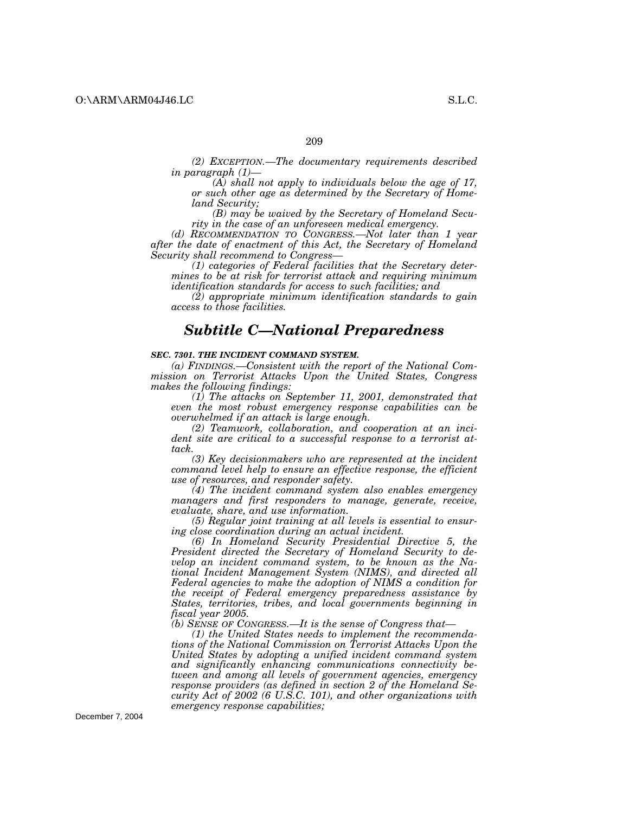*(2) EXCEPTION.—The documentary requirements described in paragraph (1)—*

*(A) shall not apply to individuals below the age of 17, or such other age as determined by the Secretary of Homeland Security;*

*(B) may be waived by the Secretary of Homeland Security in the case of an unforeseen medical emergency.*

*(d) RECOMMENDATION TO CONGRESS.—Not later than 1 year after the date of enactment of this Act, the Secretary of Homeland Security shall recommend to Congress—*

*(1) categories of Federal facilities that the Secretary determines to be at risk for terrorist attack and requiring minimum identification standards for access to such facilities; and*

*(2) appropriate minimum identification standards to gain access to those facilities.*

### *Subtitle C—National Preparedness*

### *SEC. 7301. THE INCIDENT COMMAND SYSTEM.*

*(a) FINDINGS.—Consistent with the report of the National Commission on Terrorist Attacks Upon the United States, Congress makes the following findings:*

*(1) The attacks on September 11, 2001, demonstrated that even the most robust emergency response capabilities can be overwhelmed if an attack is large enough.*

*(2) Teamwork, collaboration, and cooperation at an incident site are critical to a successful response to a terrorist attack.*

*(3) Key decisionmakers who are represented at the incident command level help to ensure an effective response, the efficient use of resources, and responder safety.*

*(4) The incident command system also enables emergency managers and first responders to manage, generate, receive, evaluate, share, and use information.*

*(5) Regular joint training at all levels is essential to ensuring close coordination during an actual incident.*

*(6) In Homeland Security Presidential Directive 5, the President directed the Secretary of Homeland Security to develop an incident command system, to be known as the National Incident Management System (NIMS), and directed all Federal agencies to make the adoption of NIMS a condition for the receipt of Federal emergency preparedness assistance by States, territories, tribes, and local governments beginning in fiscal year 2005.*

*(b) SENSE OF CONGRESS.—It is the sense of Congress that—*

*(1) the United States needs to implement the recommendations of the National Commission on Terrorist Attacks Upon the United States by adopting a unified incident command system and significantly enhancing communications connectivity between and among all levels of government agencies, emergency response providers (as defined in section 2 of the Homeland Security Act of 2002 (6 U.S.C. 101), and other organizations with emergency response capabilities;*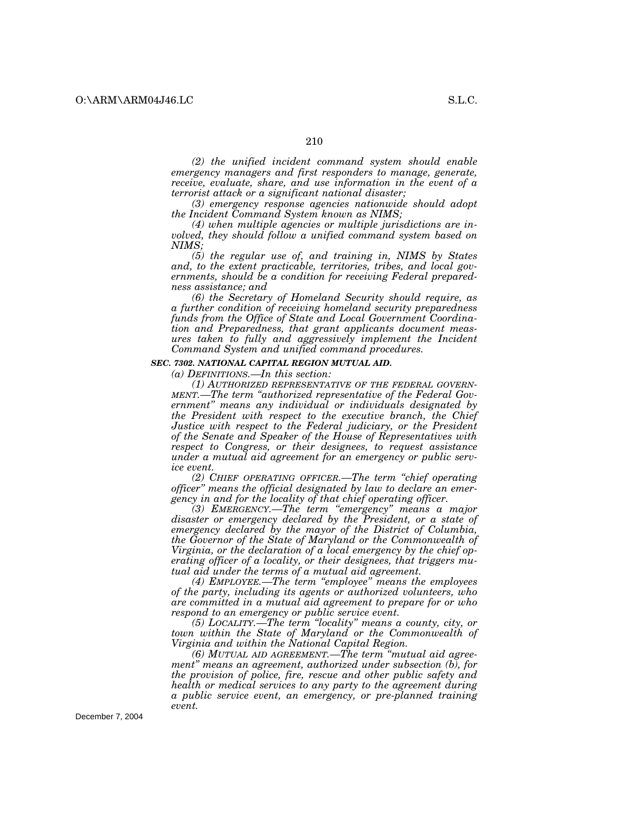*(2) the unified incident command system should enable emergency managers and first responders to manage, generate, receive, evaluate, share, and use information in the event of a terrorist attack or a significant national disaster;*

*(3) emergency response agencies nationwide should adopt the Incident Command System known as NIMS;*

*(4) when multiple agencies or multiple jurisdictions are involved, they should follow a unified command system based on NIMS;*

*(5) the regular use of, and training in, NIMS by States and, to the extent practicable, territories, tribes, and local governments, should be a condition for receiving Federal preparedness assistance; and*

*(6) the Secretary of Homeland Security should require, as a further condition of receiving homeland security preparedness funds from the Office of State and Local Government Coordination and Preparedness, that grant applicants document measures taken to fully and aggressively implement the Incident Command System and unified command procedures.*

### *SEC. 7302. NATIONAL CAPITAL REGION MUTUAL AID.*

*(a) DEFINITIONS.—In this section:*

*(1) AUTHORIZED REPRESENTATIVE OF THE FEDERAL GOVERN-MENT.—The term ''authorized representative of the Federal Government'' means any individual or individuals designated by the President with respect to the executive branch, the Chief Justice with respect to the Federal judiciary, or the President of the Senate and Speaker of the House of Representatives with respect to Congress, or their designees, to request assistance under a mutual aid agreement for an emergency or public service event.*

*(2) CHIEF OPERATING OFFICER.—The term ''chief operating officer'' means the official designated by law to declare an emergency in and for the locality of that chief operating officer.*

*(3) EMERGENCY.—The term ''emergency'' means a major disaster or emergency declared by the President, or a state of emergency declared by the mayor of the District of Columbia, the Governor of the State of Maryland or the Commonwealth of Virginia, or the declaration of a local emergency by the chief operating officer of a locality, or their designees, that triggers mutual aid under the terms of a mutual aid agreement.*

*(4) EMPLOYEE.—The term ''employee'' means the employees of the party, including its agents or authorized volunteers, who are committed in a mutual aid agreement to prepare for or who respond to an emergency or public service event.*

*(5) LOCALITY.—The term ''locality'' means a county, city, or town within the State of Maryland or the Commonwealth of Virginia and within the National Capital Region.*

*(6) MUTUAL AID AGREEMENT.—The term ''mutual aid agreement'' means an agreement, authorized under subsection (b), for the provision of police, fire, rescue and other public safety and health or medical services to any party to the agreement during a public service event, an emergency, or pre-planned training event.*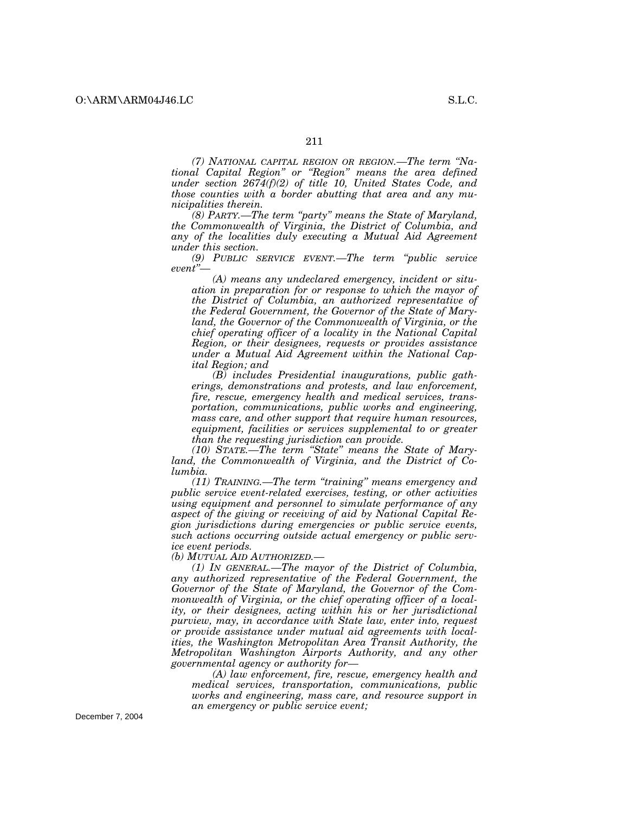*(7) NATIONAL CAPITAL REGION OR REGION.—The term ''National Capital Region'' or ''Region'' means the area defined under section 2674(f)(2) of title 10, United States Code, and those counties with a border abutting that area and any municipalities therein.*

*(8) PARTY.—The term ''party'' means the State of Maryland, the Commonwealth of Virginia, the District of Columbia, and any of the localities duly executing a Mutual Aid Agreement under this section.*

*(9) PUBLIC SERVICE EVENT.—The term ''public service event''—*

*(A) means any undeclared emergency, incident or situation in preparation for or response to which the mayor of the District of Columbia, an authorized representative of the Federal Government, the Governor of the State of Maryland, the Governor of the Commonwealth of Virginia, or the chief operating officer of a locality in the National Capital Region, or their designees, requests or provides assistance under a Mutual Aid Agreement within the National Capital Region; and*

*(B) includes Presidential inaugurations, public gatherings, demonstrations and protests, and law enforcement, fire, rescue, emergency health and medical services, transportation, communications, public works and engineering, mass care, and other support that require human resources, equipment, facilities or services supplemental to or greater than the requesting jurisdiction can provide.*

*(10) STATE.—The term ''State'' means the State of Maryland, the Commonwealth of Virginia, and the District of Columbia.*

*(11) TRAINING.—The term ''training'' means emergency and public service event-related exercises, testing, or other activities using equipment and personnel to simulate performance of any aspect of the giving or receiving of aid by National Capital Region jurisdictions during emergencies or public service events, such actions occurring outside actual emergency or public service event periods.*

*(b) MUTUAL AID AUTHORIZED.—*

*(1) IN GENERAL.—The mayor of the District of Columbia, any authorized representative of the Federal Government, the Governor of the State of Maryland, the Governor of the Commonwealth of Virginia, or the chief operating officer of a locality, or their designees, acting within his or her jurisdictional purview, may, in accordance with State law, enter into, request or provide assistance under mutual aid agreements with localities, the Washington Metropolitan Area Transit Authority, the Metropolitan Washington Airports Authority, and any other governmental agency or authority for—*

*(A) law enforcement, fire, rescue, emergency health and medical services, transportation, communications, public works and engineering, mass care, and resource support in an emergency or public service event;*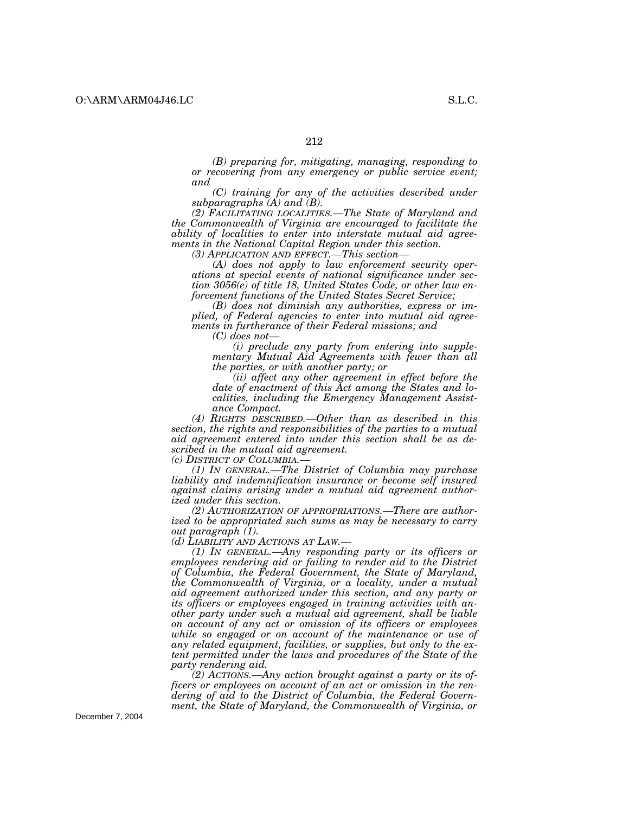*(B) preparing for, mitigating, managing, responding to or recovering from any emergency or public service event; and*

*(C) training for any of the activities described under subparagraphs (A) and (B).*

*(2) FACILITATING LOCALITIES.—The State of Maryland and the Commonwealth of Virginia are encouraged to facilitate the ability of localities to enter into interstate mutual aid agreements in the National Capital Region under this section.*

*(3) APPLICATION AND EFFECT.—This section—*

*(A) does not apply to law enforcement security operations at special events of national significance under section 3056(e) of title 18, United States Code, or other law enforcement functions of the United States Secret Service;*

*(B) does not diminish any authorities, express or implied, of Federal agencies to enter into mutual aid agreements in furtherance of their Federal missions; and*

*(C) does not—*

*(i) preclude any party from entering into supplementary Mutual Aid Agreements with fewer than all the parties, or with another party; or*

*(ii) affect any other agreement in effect before the date of enactment of this Act among the States and localities, including the Emergency Management Assistance Compact.*

*(4) RIGHTS DESCRIBED.—Other than as described in this section, the rights and responsibilities of the parties to a mutual aid agreement entered into under this section shall be as described in the mutual aid agreement.*

*(1) IN GENERAL.*—The District of Columbia may purchase *liability and indemnification insurance or become self insured against claims arising under a mutual aid agreement authorized under this section.*

*(2) AUTHORIZATION OF APPROPRIATIONS.—There are authorized to be appropriated such sums as may be necessary to carry out paragraph (1).*

*(1) IN GENERAL.—Any responding party or its officers or employees rendering aid or failing to render aid to the District of Columbia, the Federal Government, the State of Maryland, the Commonwealth of Virginia, or a locality, under a mutual aid agreement authorized under this section, and any party or its officers or employees engaged in training activities with another party under such a mutual aid agreement, shall be liable on account of any act or omission of its officers or employees while so engaged or on account of the maintenance or use of any related equipment, facilities, or supplies, but only to the extent permitted under the laws and procedures of the State of the party rendering aid.*

*(2) ACTIONS.—Any action brought against a party or its officers or employees on account of an act or omission in the rendering of aid to the District of Columbia, the Federal Government, the State of Maryland, the Commonwealth of Virginia, or*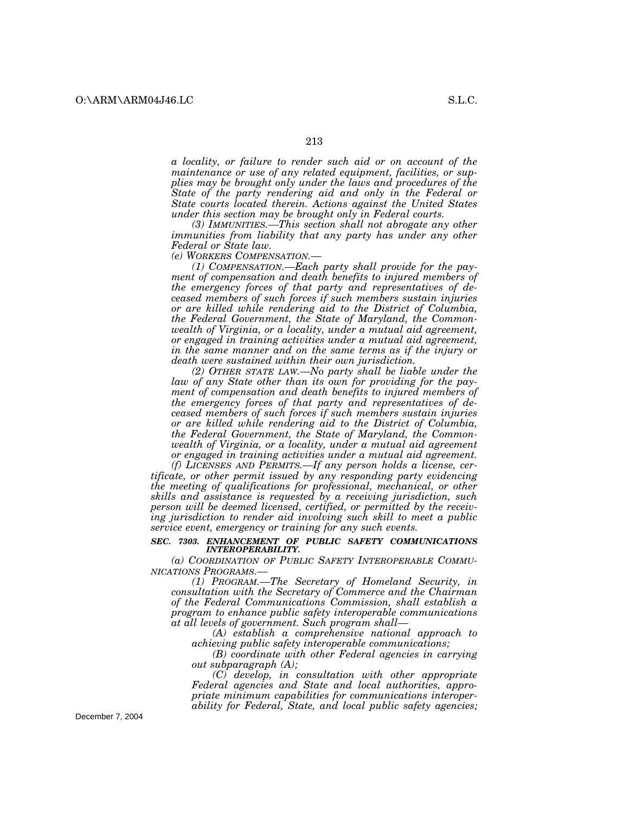*a locality, or failure to render such aid or on account of the maintenance or use of any related equipment, facilities, or supplies may be brought only under the laws and procedures of the State of the party rendering aid and only in the Federal or State courts located therein. Actions against the United States under this section may be brought only in Federal courts.*

*(3) IMMUNITIES.—This section shall not abrogate any other immunities from liability that any party has under any other Federal or State law.*

*(e) WORKERS COMPENSATION.—*

*(1) COMPENSATION.—Each party shall provide for the payment of compensation and death benefits to injured members of the emergency forces of that party and representatives of deceased members of such forces if such members sustain injuries or are killed while rendering aid to the District of Columbia, the Federal Government, the State of Maryland, the Commonwealth of Virginia, or a locality, under a mutual aid agreement, or engaged in training activities under a mutual aid agreement, in the same manner and on the same terms as if the injury or death were sustained within their own jurisdiction.*

*(2) OTHER STATE LAW.—No party shall be liable under the law of any State other than its own for providing for the payment of compensation and death benefits to injured members of the emergency forces of that party and representatives of deceased members of such forces if such members sustain injuries or are killed while rendering aid to the District of Columbia, the Federal Government, the State of Maryland, the Commonwealth of Virginia, or a locality, under a mutual aid agreement or engaged in training activities under a mutual aid agreement.*

*(f) LICENSES AND PERMITS.—If any person holds a license, certificate, or other permit issued by any responding party evidencing the meeting of qualifications for professional, mechanical, or other skills and assistance is requested by a receiving jurisdiction, such person will be deemed licensed, certified, or permitted by the receiving jurisdiction to render aid involving such skill to meet a public service event, emergency or training for any such events.*

### *SEC. 7303. ENHANCEMENT OF PUBLIC SAFETY COMMUNICATIONS INTEROPERABILITY.*

*(a) COORDINATION OF PUBLIC SAFETY INTEROPERABLE COMMU-NICATIONS PROGRAMS.—*

*(1) PROGRAM.—The Secretary of Homeland Security, in consultation with the Secretary of Commerce and the Chairman of the Federal Communications Commission, shall establish a program to enhance public safety interoperable communications at all levels of government. Such program shall—*

*(A) establish a comprehensive national approach to achieving public safety interoperable communications;*

*(B) coordinate with other Federal agencies in carrying out subparagraph (A);*

*(C) develop, in consultation with other appropriate Federal agencies and State and local authorities, appropriate minimum capabilities for communications interoperability for Federal, State, and local public safety agencies;*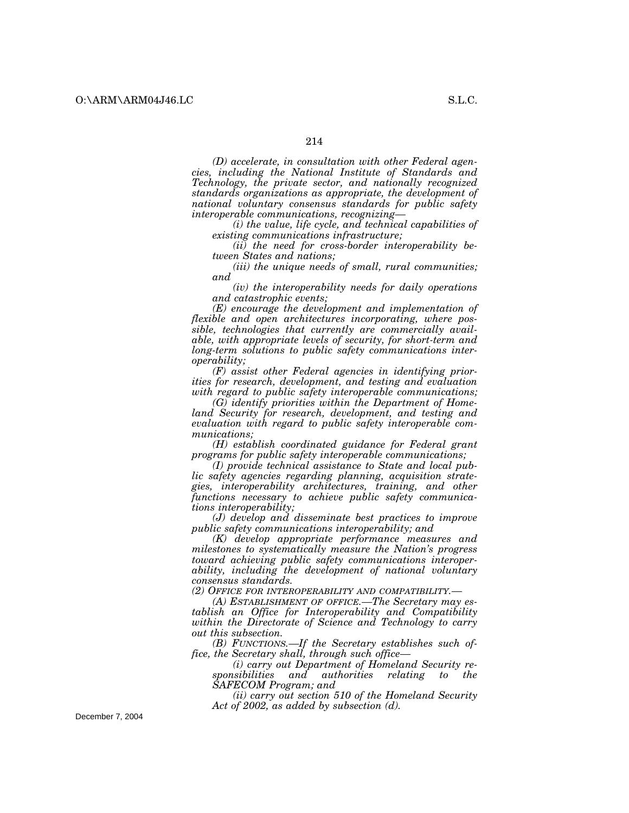*(D) accelerate, in consultation with other Federal agencies, including the National Institute of Standards and Technology, the private sector, and nationally recognized standards organizations as appropriate, the development of national voluntary consensus standards for public safety interoperable communications, recognizing—*

*(i) the value, life cycle, and technical capabilities of existing communications infrastructure;*

*(ii) the need for cross-border interoperability between States and nations;*

*(iii) the unique needs of small, rural communities; and*

*(iv) the interoperability needs for daily operations and catastrophic events;*

*(E) encourage the development and implementation of flexible and open architectures incorporating, where possible, technologies that currently are commercially available, with appropriate levels of security, for short-term and long-term solutions to public safety communications interoperability;*

*(F) assist other Federal agencies in identifying priorities for research, development, and testing and evaluation with regard to public safety interoperable communications;*

*(G) identify priorities within the Department of Homeland Security for research, development, and testing and evaluation with regard to public safety interoperable communications;*

*(H) establish coordinated guidance for Federal grant programs for public safety interoperable communications;*

*(I) provide technical assistance to State and local public safety agencies regarding planning, acquisition strategies, interoperability architectures, training, and other functions necessary to achieve public safety communications interoperability;*

*(J) develop and disseminate best practices to improve public safety communications interoperability; and*

*(K) develop appropriate performance measures and milestones to systematically measure the Nation's progress toward achieving public safety communications interoperability, including the development of national voluntary consensus standards.*

*(2) OFFICE FOR INTEROPERABILITY AND COMPATIBILITY.—*

*(A) ESTABLISHMENT OF OFFICE.—The Secretary may establish an Office for Interoperability and Compatibility within the Directorate of Science and Technology to carry out this subsection.*

*(B) FUNCTIONS.—If the Secretary establishes such office, the Secretary shall, through such office—*

*(i) carry out Department of Homeland Security responsibilities and authorities relating to the SAFECOM Program; and*

*(ii) carry out section 510 of the Homeland Security Act of 2002, as added by subsection (d).*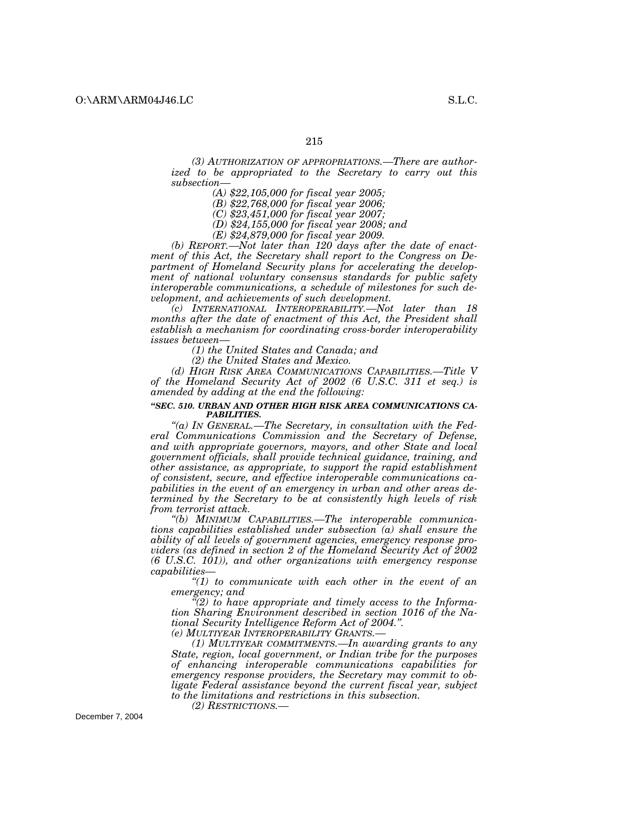*(3) AUTHORIZATION OF APPROPRIATIONS.—There are authorized to be appropriated to the Secretary to carry out this subsection—*

*(A) \$22,105,000 for fiscal year 2005;*

*(B) \$22,768,000 for fiscal year 2006;*

*(C) \$23,451,000 for fiscal year 2007;*

*(D) \$24,155,000 for fiscal year 2008; and*

*(E) \$24,879,000 for fiscal year 2009.*

*(b) REPORT.—Not later than 120 days after the date of enactment of this Act, the Secretary shall report to the Congress on Department of Homeland Security plans for accelerating the development of national voluntary consensus standards for public safety interoperable communications, a schedule of milestones for such development, and achievements of such development.*

*(c) INTERNATIONAL INTEROPERABILITY.—Not later than 18 months after the date of enactment of this Act, the President shall establish a mechanism for coordinating cross-border interoperability issues between—*

*(1) the United States and Canada; and*

*(2) the United States and Mexico.*

*(d) HIGH RISK AREA COMMUNICATIONS CAPABILITIES.—Title V of the Homeland Security Act of 2002 (6 U.S.C. 311 et seq.) is amended by adding at the end the following:*

### *''SEC. 510. URBAN AND OTHER HIGH RISK AREA COMMUNICATIONS CA-PABILITIES.*

*''(a) IN GENERAL.—The Secretary, in consultation with the Federal Communications Commission and the Secretary of Defense, and with appropriate governors, mayors, and other State and local government officials, shall provide technical guidance, training, and other assistance, as appropriate, to support the rapid establishment of consistent, secure, and effective interoperable communications capabilities in the event of an emergency in urban and other areas determined by the Secretary to be at consistently high levels of risk from terrorist attack.*

*''(b) MINIMUM CAPABILITIES.—The interoperable communications capabilities established under subsection (a) shall ensure the ability of all levels of government agencies, emergency response providers (as defined in section 2 of the Homeland Security Act of 2002 (6 U.S.C. 101)), and other organizations with emergency response capabilities—*

*''(1) to communicate with each other in the event of an emergency; and*

*''(2) to have appropriate and timely access to the Information Sharing Environment described in section 1016 of the National Security Intelligence Reform Act of 2004.''.*

*(e) MULTIYEAR INTEROPERABILITY GRANTS.—*

*(1) MULTIYEAR COMMITMENTS.—In awarding grants to any State, region, local government, or Indian tribe for the purposes of enhancing interoperable communications capabilities for emergency response providers, the Secretary may commit to obligate Federal assistance beyond the current fiscal year, subject to the limitations and restrictions in this subsection.*

*(2) RESTRICTIONS.—*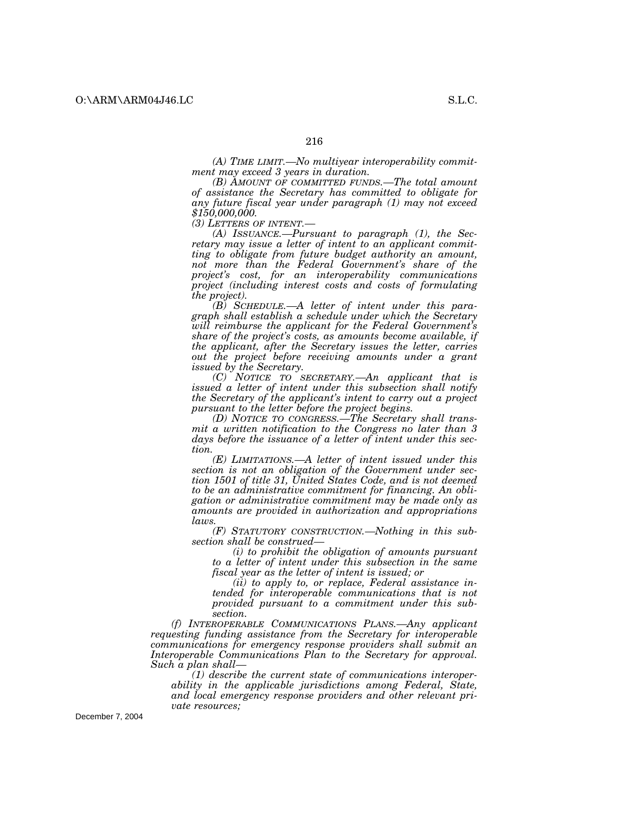*(A) TIME LIMIT.—No multiyear interoperability commitment may exceed 3 years in duration.*

*(B) AMOUNT OF COMMITTED FUNDS.—The total amount of assistance the Secretary has committed to obligate for any future fiscal year under paragraph (1) may not exceed \$150,000,000.*

*(3) LETTERS OF INTENT.— (A) ISSUANCE.—Pursuant to paragraph (1), the Secretary may issue a letter of intent to an applicant committing to obligate from future budget authority an amount, not more than the Federal Government's share of the project's cost, for an interoperability communications project (including interest costs and costs of formulating the project).*

*(B) SCHEDULE.—A letter of intent under this paragraph shall establish a schedule under which the Secretary will reimburse the applicant for the Federal Government's share of the project's costs, as amounts become available, if the applicant, after the Secretary issues the letter, carries out the project before receiving amounts under a grant issued by the Secretary.*

*(C) NOTICE TO SECRETARY.—An applicant that is issued a letter of intent under this subsection shall notify the Secretary of the applicant's intent to carry out a project pursuant to the letter before the project begins.*

*(D) NOTICE TO CONGRESS.—The Secretary shall transmit a written notification to the Congress no later than 3 days before the issuance of a letter of intent under this section.*

*(E) LIMITATIONS.—A letter of intent issued under this section is not an obligation of the Government under section 1501 of title 31, United States Code, and is not deemed to be an administrative commitment for financing. An obligation or administrative commitment may be made only as amounts are provided in authorization and appropriations laws.*

*(F) STATUTORY CONSTRUCTION.—Nothing in this subsection shall be construed—*

*(i) to prohibit the obligation of amounts pursuant to a letter of intent under this subsection in the same fiscal year as the letter of intent is issued; or*

*(ii) to apply to, or replace, Federal assistance intended for interoperable communications that is not provided pursuant to a commitment under this subsection.*

*(f) INTEROPERABLE COMMUNICATIONS PLANS.—Any applicant requesting funding assistance from the Secretary for interoperable communications for emergency response providers shall submit an Interoperable Communications Plan to the Secretary for approval. Such a plan shall—*

*(1) describe the current state of communications interoperability in the applicable jurisdictions among Federal, State, and local emergency response providers and other relevant private resources;*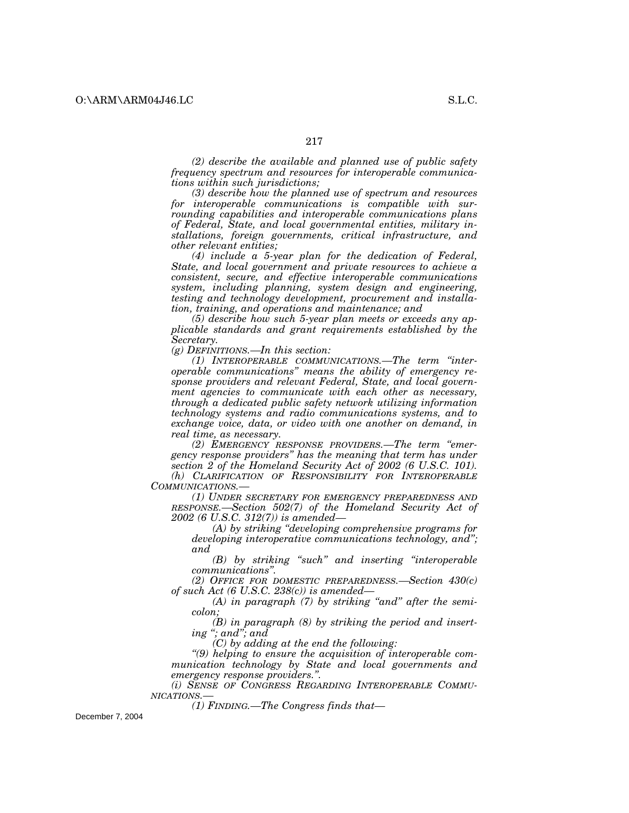*(2) describe the available and planned use of public safety frequency spectrum and resources for interoperable communications within such jurisdictions;*

*(3) describe how the planned use of spectrum and resources for interoperable communications is compatible with surrounding capabilities and interoperable communications plans of Federal, State, and local governmental entities, military installations, foreign governments, critical infrastructure, and other relevant entities;*

*(4) include a 5-year plan for the dedication of Federal, State, and local government and private resources to achieve a consistent, secure, and effective interoperable communications system, including planning, system design and engineering, testing and technology development, procurement and installation, training, and operations and maintenance; and*

*(5) describe how such 5-year plan meets or exceeds any applicable standards and grant requirements established by the Secretary.*

*(g) DEFINITIONS.—In this section:*

*(1) INTEROPERABLE COMMUNICATIONS.—The term ''interoperable communications'' means the ability of emergency response providers and relevant Federal, State, and local government agencies to communicate with each other as necessary, through a dedicated public safety network utilizing information technology systems and radio communications systems, and to exchange voice, data, or video with one another on demand, in real time, as necessary.*

*(2) EMERGENCY RESPONSE PROVIDERS.—The term ''emergency response providers'' has the meaning that term has under section 2 of the Homeland Security Act of 2002 (6 U.S.C. 101). (h) CLARIFICATION OF RESPONSIBILITY FOR INTEROPERABLE*

*COMMUNICATIONS.—*

*(1) UNDER SECRETARY FOR EMERGENCY PREPAREDNESS AND RESPONSE.—Section 502(7) of the Homeland Security Act of 2002 (6 U.S.C. 312(7)) is amended—*

*(A) by striking ''developing comprehensive programs for developing interoperative communications technology, and''; and*

*(B) by striking ''such'' and inserting ''interoperable communications''.*

*(2) OFFICE FOR DOMESTIC PREPAREDNESS.—Section 430(c) of such Act (6 U.S.C. 238(c)) is amended—*

*(A) in paragraph (7) by striking ''and'' after the semicolon;*

*(B) in paragraph (8) by striking the period and inserting ''; and''; and*

*(C) by adding at the end the following:*

*''(9) helping to ensure the acquisition of interoperable communication technology by State and local governments and emergency response providers.''.*

*(i) SENSE OF CONGRESS REGARDING INTEROPERABLE COMMU-NICATIONS.—*

*(1) FINDING.—The Congress finds that—*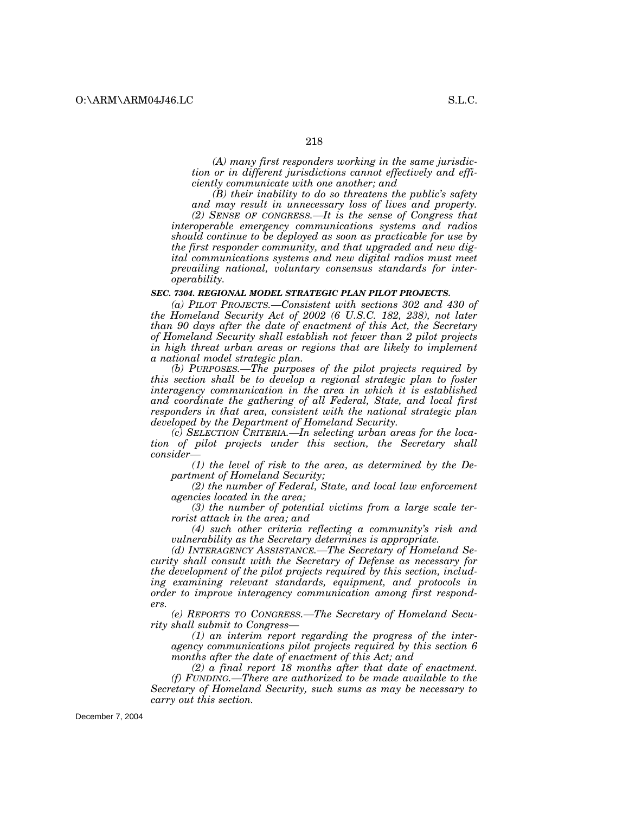*(A) many first responders working in the same jurisdiction or in different jurisdictions cannot effectively and efficiently communicate with one another; and*

*(B) their inability to do so threatens the public's safety and may result in unnecessary loss of lives and property. (2) SENSE OF CONGRESS.—It is the sense of Congress that interoperable emergency communications systems and radios should continue to be deployed as soon as practicable for use by the first responder community, and that upgraded and new digital communications systems and new digital radios must meet prevailing national, voluntary consensus standards for interoperability.*

#### *SEC. 7304. REGIONAL MODEL STRATEGIC PLAN PILOT PROJECTS.*

*(a) PILOT PROJECTS.—Consistent with sections 302 and 430 of the Homeland Security Act of 2002 (6 U.S.C. 182, 238), not later than 90 days after the date of enactment of this Act, the Secretary of Homeland Security shall establish not fewer than 2 pilot projects in high threat urban areas or regions that are likely to implement a national model strategic plan.*

*(b) PURPOSES.—The purposes of the pilot projects required by this section shall be to develop a regional strategic plan to foster interagency communication in the area in which it is established and coordinate the gathering of all Federal, State, and local first responders in that area, consistent with the national strategic plan developed by the Department of Homeland Security.*

*(c) SELECTION CRITERIA.—In selecting urban areas for the location of pilot projects under this section, the Secretary shall consider—*

*(1) the level of risk to the area, as determined by the Department of Homeland Security;*

*(2) the number of Federal, State, and local law enforcement agencies located in the area;*

*(3) the number of potential victims from a large scale terrorist attack in the area; and*

*(4) such other criteria reflecting a community's risk and vulnerability as the Secretary determines is appropriate.*

*(d) INTERAGENCY ASSISTANCE.—The Secretary of Homeland Security shall consult with the Secretary of Defense as necessary for the development of the pilot projects required by this section, including examining relevant standards, equipment, and protocols in order to improve interagency communication among first responders.*

*(e) REPORTS TO CONGRESS.—The Secretary of Homeland Security shall submit to Congress—*

*(1) an interim report regarding the progress of the interagency communications pilot projects required by this section 6 months after the date of enactment of this Act; and*

*(2) a final report 18 months after that date of enactment. (f) FUNDING.—There are authorized to be made available to the Secretary of Homeland Security, such sums as may be necessary to carry out this section.*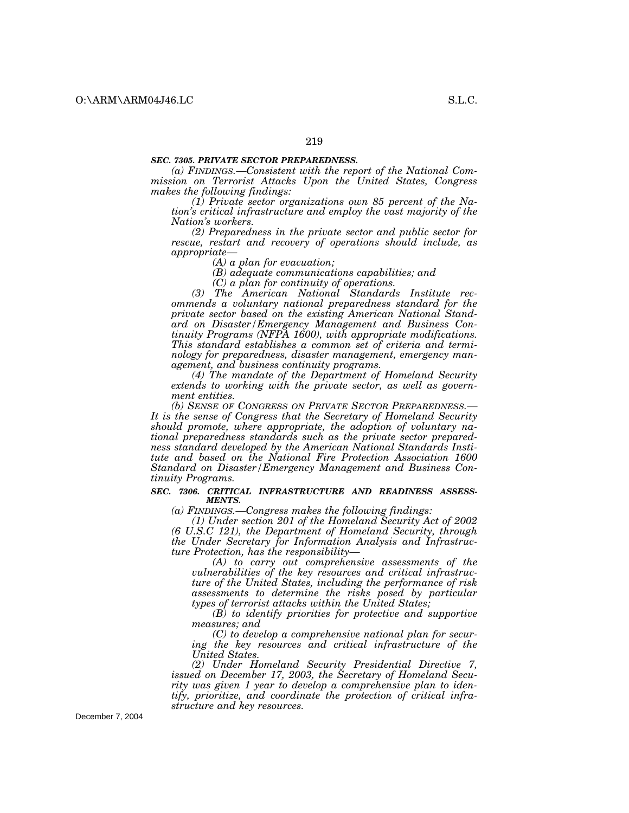#### 219

#### *SEC. 7305. PRIVATE SECTOR PREPAREDNESS.*

*(a) FINDINGS.—Consistent with the report of the National Commission on Terrorist Attacks Upon the United States, Congress makes the following findings:*

*(1) Private sector organizations own 85 percent of the Nation's critical infrastructure and employ the vast majority of the Nation's workers.*

*(2) Preparedness in the private sector and public sector for rescue, restart and recovery of operations should include, as appropriate—*

*(A) a plan for evacuation;*

*(B) adequate communications capabilities; and*

*(C) a plan for continuity of operations.*

*(3) The American National Standards Institute recommends a voluntary national preparedness standard for the private sector based on the existing American National Standard on Disaster/Emergency Management and Business Continuity Programs (NFPA 1600), with appropriate modifications. This standard establishes a common set of criteria and terminology for preparedness, disaster management, emergency management, and business continuity programs.*

*(4) The mandate of the Department of Homeland Security extends to working with the private sector, as well as government entities.*

*(b) SENSE OF CONGRESS ON PRIVATE SECTOR PREPAREDNESS.— It is the sense of Congress that the Secretary of Homeland Security should promote, where appropriate, the adoption of voluntary national preparedness standards such as the private sector preparedness standard developed by the American National Standards Institute and based on the National Fire Protection Association 1600 Standard on Disaster/Emergency Management and Business Continuity Programs.*

#### *SEC. 7306. CRITICAL INFRASTRUCTURE AND READINESS ASSESS-MENTS.*

*(a) FINDINGS.—Congress makes the following findings:*

*(1) Under section 201 of the Homeland Security Act of 2002 (6 U.S.C 121), the Department of Homeland Security, through the Under Secretary for Information Analysis and Infrastructure Protection, has the responsibility—*

*(A) to carry out comprehensive assessments of the vulnerabilities of the key resources and critical infrastructure of the United States, including the performance of risk assessments to determine the risks posed by particular types of terrorist attacks within the United States;*

*(B) to identify priorities for protective and supportive measures; and*

*(C) to develop a comprehensive national plan for securing the key resources and critical infrastructure of the United States.*

*(2) Under Homeland Security Presidential Directive 7, issued on December 17, 2003, the Secretary of Homeland Security was given 1 year to develop a comprehensive plan to identify, prioritize, and coordinate the protection of critical infrastructure and key resources.*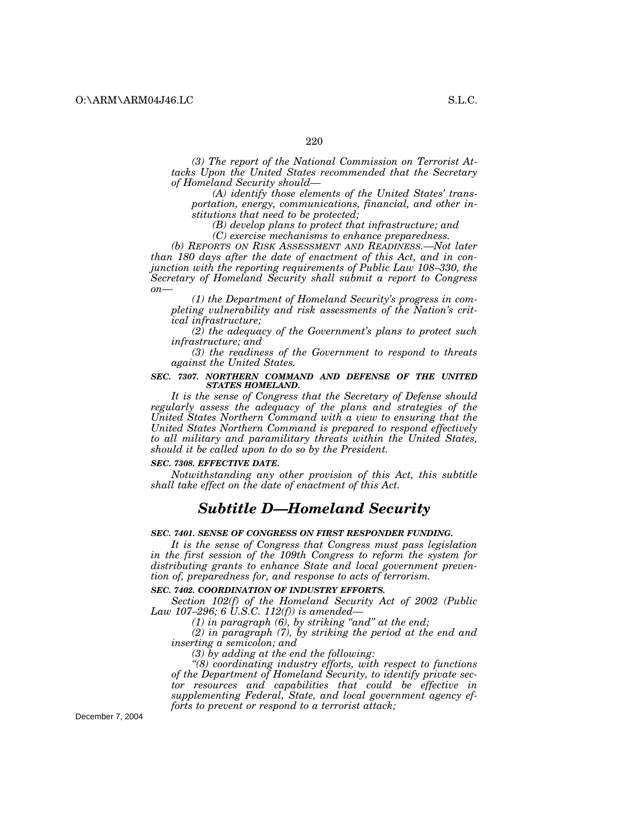*(3) The report of the National Commission on Terrorist Attacks Upon the United States recommended that the Secretary of Homeland Security should—*

*(A) identify those elements of the United States' transportation, energy, communications, financial, and other institutions that need to be protected;*

*(B) develop plans to protect that infrastructure; and*

*(C) exercise mechanisms to enhance preparedness.*

*(b) REPORTS ON RISK ASSESSMENT AND READINESS.—Not later than 180 days after the date of enactment of this Act, and in conjunction with the reporting requirements of Public Law 108–330, the Secretary of Homeland Security shall submit a report to Congress on—*

*(1) the Department of Homeland Security's progress in completing vulnerability and risk assessments of the Nation's critical infrastructure;*

*(2) the adequacy of the Government's plans to protect such infrastructure; and*

*(3) the readiness of the Government to respond to threats against the United States.*

#### *SEC. 7307. NORTHERN COMMAND AND DEFENSE OF THE UNITED STATES HOMELAND.*

*It is the sense of Congress that the Secretary of Defense should regularly assess the adequacy of the plans and strategies of the United States Northern Command with a view to ensuring that the United States Northern Command is prepared to respond effectively to all military and paramilitary threats within the United States, should it be called upon to do so by the President.*

#### *SEC. 7308. EFFECTIVE DATE.*

*Notwithstanding any other provision of this Act, this subtitle shall take effect on the date of enactment of this Act.*

## *Subtitle D—Homeland Security*

#### *SEC. 7401. SENSE OF CONGRESS ON FIRST RESPONDER FUNDING.*

*It is the sense of Congress that Congress must pass legislation in the first session of the 109th Congress to reform the system for distributing grants to enhance State and local government prevention of, preparedness for, and response to acts of terrorism.*

#### *SEC. 7402. COORDINATION OF INDUSTRY EFFORTS.*

*Section 102(f) of the Homeland Security Act of 2002 (Public Law 107–296; 6 U.S.C. 112(f)) is amended—*

*(1) in paragraph (6), by striking ''and'' at the end;*

*(2) in paragraph (7), by striking the period at the end and inserting a semicolon; and*

*(3) by adding at the end the following:*

*''(8) coordinating industry efforts, with respect to functions of the Department of Homeland Security, to identify private sector resources and capabilities that could be effective in supplementing Federal, State, and local government agency efforts to prevent or respond to a terrorist attack;*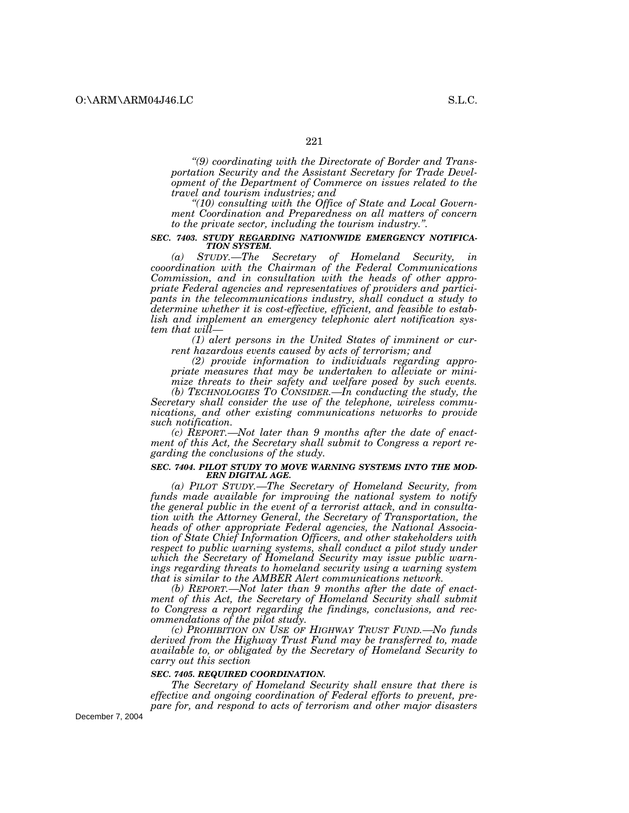*''(9) coordinating with the Directorate of Border and Transportation Security and the Assistant Secretary for Trade Development of the Department of Commerce on issues related to the travel and tourism industries; and*

*''(10) consulting with the Office of State and Local Government Coordination and Preparedness on all matters of concern to the private sector, including the tourism industry.''.*

#### *SEC. 7403. STUDY REGARDING NATIONWIDE EMERGENCY NOTIFICA-TION SYSTEM.*

*(a) STUDY.—The Secretary of Homeland Security, in cooordination with the Chairman of the Federal Communications Commission, and in consultation with the heads of other appropriate Federal agencies and representatives of providers and participants in the telecommunications industry, shall conduct a study to determine whether it is cost-effective, efficient, and feasible to establish and implement an emergency telephonic alert notification system that will—*

*(1) alert persons in the United States of imminent or current hazardous events caused by acts of terrorism; and*

*(2) provide information to individuals regarding appropriate measures that may be undertaken to alleviate or minimize threats to their safety and welfare posed by such events. (b) TECHNOLOGIES TO CONSIDER.—In conducting the study, the*

*Secretary shall consider the use of the telephone, wireless communications, and other existing communications networks to provide such notification.*

*(c) REPORT.—Not later than 9 months after the date of enactment of this Act, the Secretary shall submit to Congress a report regarding the conclusions of the study.*

#### *SEC. 7404. PILOT STUDY TO MOVE WARNING SYSTEMS INTO THE MOD-ERN DIGITAL AGE.*

*(a) PILOT STUDY.—The Secretary of Homeland Security, from funds made available for improving the national system to notify the general public in the event of a terrorist attack, and in consultation with the Attorney General, the Secretary of Transportation, the heads of other appropriate Federal agencies, the National Association of State Chief Information Officers, and other stakeholders with respect to public warning systems, shall conduct a pilot study under which the Secretary of Homeland Security may issue public warnings regarding threats to homeland security using a warning system that is similar to the AMBER Alert communications network.*

*(b) REPORT.—Not later than 9 months after the date of enactment of this Act, the Secretary of Homeland Security shall submit to Congress a report regarding the findings, conclusions, and recommendations of the pilot study.*

*(c) PROHIBITION ON USE OF HIGHWAY TRUST FUND.—No funds derived from the Highway Trust Fund may be transferred to, made available to, or obligated by the Secretary of Homeland Security to carry out this section*

#### *SEC. 7405. REQUIRED COORDINATION.*

*The Secretary of Homeland Security shall ensure that there is effective and ongoing coordination of Federal efforts to prevent, prepare for, and respond to acts of terrorism and other major disasters*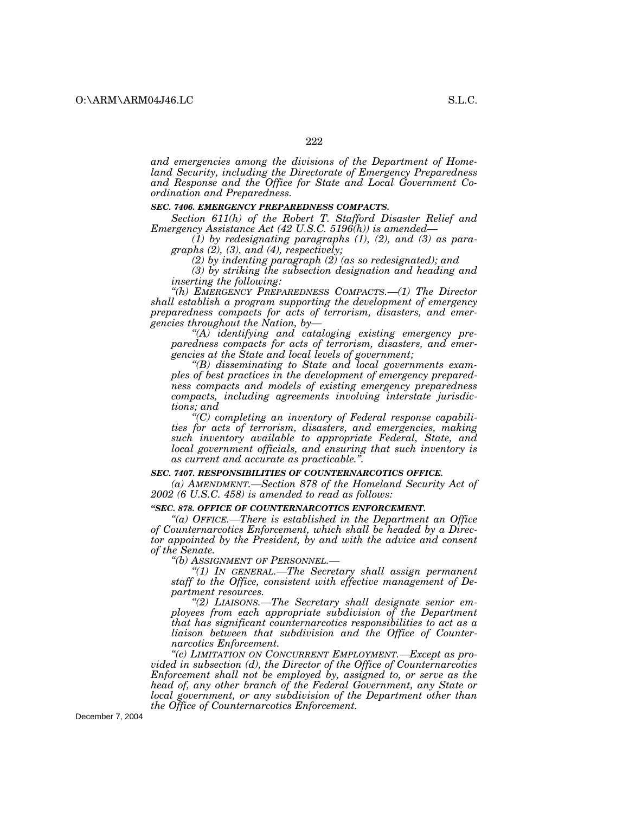*and emergencies among the divisions of the Department of Homeland Security, including the Directorate of Emergency Preparedness and Response and the Office for State and Local Government Coordination and Preparedness.*

#### *SEC. 7406. EMERGENCY PREPAREDNESS COMPACTS.*

*Section 611(h) of the Robert T. Stafford Disaster Relief and Emergency Assistance Act (42 U.S.C. 5196(h)) is amended—*

*(1) by redesignating paragraphs (1), (2), and (3) as paragraphs (2), (3), and (4), respectively;*

*(2) by indenting paragraph (2) (as so redesignated); and*

*(3) by striking the subsection designation and heading and inserting the following:*

*''(h) EMERGENCY PREPAREDNESS COMPACTS.—(1) The Director shall establish a program supporting the development of emergency preparedness compacts for acts of terrorism, disasters, and emergencies throughout the Nation, by—*

*''(A) identifying and cataloging existing emergency preparedness compacts for acts of terrorism, disasters, and emergencies at the State and local levels of government;*

*''(B) disseminating to State and local governments examples of best practices in the development of emergency preparedness compacts and models of existing emergency preparedness compacts, including agreements involving interstate jurisdictions; and*

*''(C) completing an inventory of Federal response capabilities for acts of terrorism, disasters, and emergencies, making such inventory available to appropriate Federal, State, and local government officials, and ensuring that such inventory is as current and accurate as practicable.''.*

#### *SEC. 7407. RESPONSIBILITIES OF COUNTERNARCOTICS OFFICE.*

*(a) AMENDMENT.—Section 878 of the Homeland Security Act of 2002 (6 U.S.C. 458) is amended to read as follows:*

#### *''SEC. 878. OFFICE OF COUNTERNARCOTICS ENFORCEMENT.*

*''(a) OFFICE.—There is established in the Department an Office of Counternarcotics Enforcement, which shall be headed by a Director appointed by the President, by and with the advice and consent of the Senate.*

*''(b) ASSIGNMENT OF PERSONNEL.—*

*''(1) IN GENERAL.—The Secretary shall assign permanent staff to the Office, consistent with effective management of Department resources.*

*''(2) LIAISONS.—The Secretary shall designate senior employees from each appropriate subdivision of the Department that has significant counternarcotics responsibilities to act as a liaison between that subdivision and the Office of Counternarcotics Enforcement.*

*''(c) LIMITATION ON CONCURRENT EMPLOYMENT.—Except as provided in subsection (d), the Director of the Office of Counternarcotics Enforcement shall not be employed by, assigned to, or serve as the head of, any other branch of the Federal Government, any State or local government, or any subdivision of the Department other than the Office of Counternarcotics Enforcement.*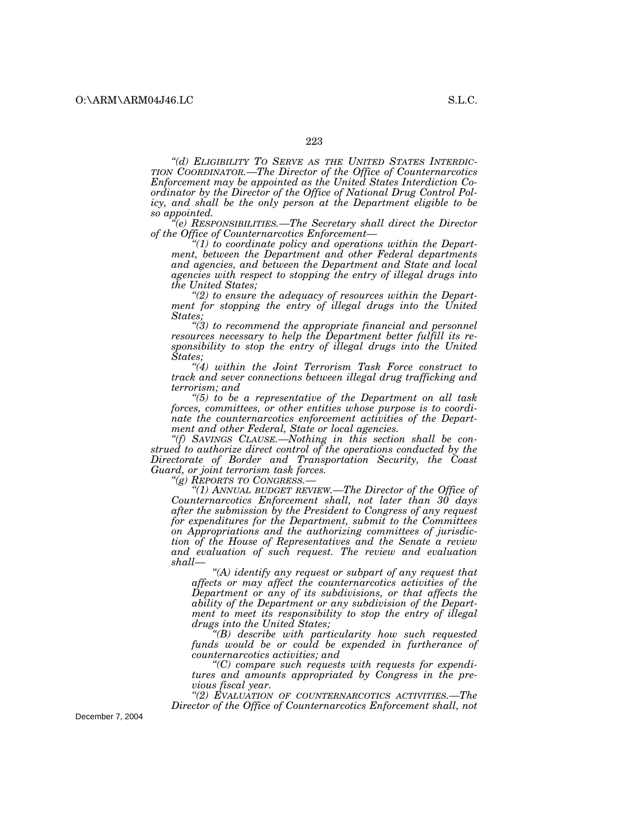*''(d) ELIGIBILITY TO SERVE AS THE UNITED STATES INTERDIC- TION COORDINATOR.—The Director of the Office of Counternarcotics Enforcement may be appointed as the United States Interdiction Coordinator by the Director of the Office of National Drug Control Policy, and shall be the only person at the Department eligible to be so appointed.*

*''(e) RESPONSIBILITIES.—The Secretary shall direct the Director of the Office of Counternarcotics Enforcement—*

*''(1) to coordinate policy and operations within the Department, between the Department and other Federal departments and agencies, and between the Department and State and local agencies with respect to stopping the entry of illegal drugs into the United States;*

*''(2) to ensure the adequacy of resources within the Department for stopping the entry of illegal drugs into the United States;*

*''(3) to recommend the appropriate financial and personnel resources necessary to help the Department better fulfill its responsibility to stop the entry of illegal drugs into the United States;*

*''(4) within the Joint Terrorism Task Force construct to track and sever connections between illegal drug trafficking and terrorism; and*

*''(5) to be a representative of the Department on all task forces, committees, or other entities whose purpose is to coordinate the counternarcotics enforcement activities of the Department and other Federal, State or local agencies.*

*''(f) SAVINGS CLAUSE.—Nothing in this section shall be construed to authorize direct control of the operations conducted by the Directorate of Border and Transportation Security, the Coast Guard, or joint terrorism task forces.*

*''(g) REPORTS TO CONGRESS.— ''(1) ANNUAL BUDGET REVIEW.—The Director of the Office of Counternarcotics Enforcement shall, not later than 30 days after the submission by the President to Congress of any request for expenditures for the Department, submit to the Committees on Appropriations and the authorizing committees of jurisdiction of the House of Representatives and the Senate a review and evaluation of such request. The review and evaluation shall—*

*''(A) identify any request or subpart of any request that affects or may affect the counternarcotics activities of the Department or any of its subdivisions, or that affects the ability of the Department or any subdivision of the Department to meet its responsibility to stop the entry of illegal drugs into the United States;*

*''(B) describe with particularity how such requested funds would be or could be expended in furtherance of counternarcotics activities; and*

*''(C) compare such requests with requests for expenditures and amounts appropriated by Congress in the previous fiscal year.*

*''(2) EVALUATION OF COUNTERNARCOTICS ACTIVITIES.—The Director of the Office of Counternarcotics Enforcement shall, not*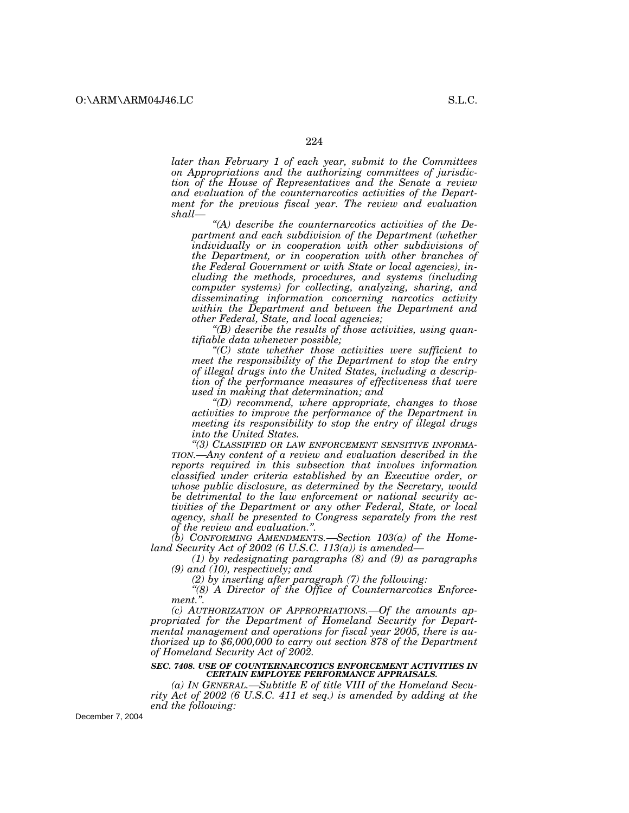*later than February 1 of each year, submit to the Committees on Appropriations and the authorizing committees of jurisdiction of the House of Representatives and the Senate a review and evaluation of the counternarcotics activities of the Department for the previous fiscal year. The review and evaluation shall—*

*''(A) describe the counternarcotics activities of the Department and each subdivision of the Department (whether individually or in cooperation with other subdivisions of the Department, or in cooperation with other branches of the Federal Government or with State or local agencies), including the methods, procedures, and systems (including computer systems) for collecting, analyzing, sharing, and disseminating information concerning narcotics activity within the Department and between the Department and other Federal, State, and local agencies;*

*''(B) describe the results of those activities, using quantifiable data whenever possible;*

*''(C) state whether those activities were sufficient to meet the responsibility of the Department to stop the entry of illegal drugs into the United States, including a description of the performance measures of effectiveness that were used in making that determination; and*

*''(D) recommend, where appropriate, changes to those activities to improve the performance of the Department in meeting its responsibility to stop the entry of illegal drugs into the United States.*

*''(3) CLASSIFIED OR LAW ENFORCEMENT SENSITIVE INFORMA-TION.—Any content of a review and evaluation described in the reports required in this subsection that involves information classified under criteria established by an Executive order, or whose public disclosure, as determined by the Secretary, would be detrimental to the law enforcement or national security activities of the Department or any other Federal, State, or local agency, shall be presented to Congress separately from the rest of the review and evaluation.''.*

*(b) CONFORMING AMENDMENTS.—Section 103(a) of the Homeland Security Act of 2002 (6 U.S.C. 113(a)) is amended—*

*(1) by redesignating paragraphs (8) and (9) as paragraphs (9) and (10), respectively; and*

*(2) by inserting after paragraph (7) the following:*

*''(8) A Director of the Office of Counternarcotics Enforcement.''.*

*(c) AUTHORIZATION OF APPROPRIATIONS.—Of the amounts appropriated for the Department of Homeland Security for Departmental management and operations for fiscal year 2005, there is authorized up to \$6,000,000 to carry out section 878 of the Department of Homeland Security Act of 2002.*

#### *SEC. 7408. USE OF COUNTERNARCOTICS ENFORCEMENT ACTIVITIES IN CERTAIN EMPLOYEE PERFORMANCE APPRAISALS.*

*(a) IN GENERAL.—Subtitle E of title VIII of the Homeland Security Act of 2002 (6 U.S.C. 411 et seq.) is amended by adding at the end the following:*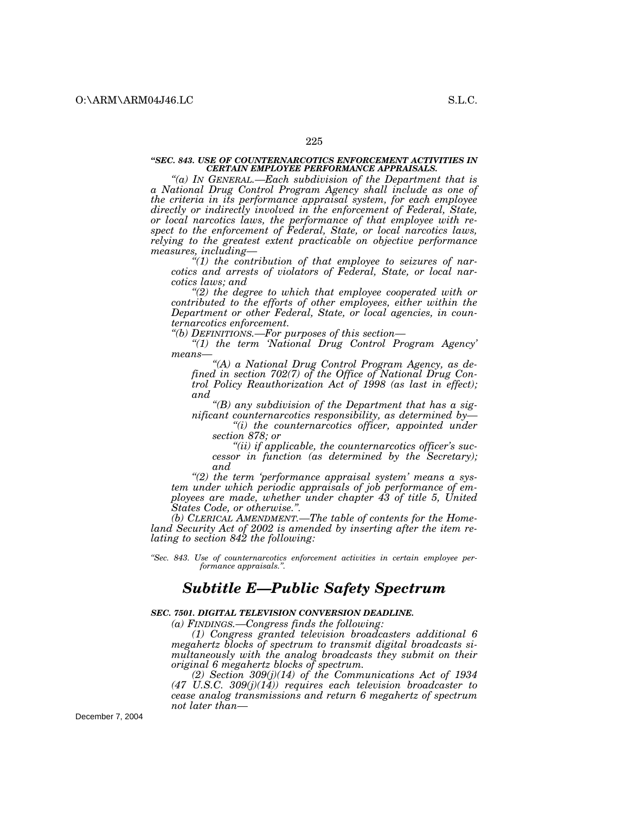#### *''SEC. 843. USE OF COUNTERNARCOTICS ENFORCEMENT ACTIVITIES IN CERTAIN EMPLOYEE PERFORMANCE APPRAISALS.*

*''(a) IN GENERAL.—Each subdivision of the Department that is a National Drug Control Program Agency shall include as one of the criteria in its performance appraisal system, for each employee directly or indirectly involved in the enforcement of Federal, State, or local narcotics laws, the performance of that employee with respect to the enforcement of Federal, State, or local narcotics laws, relying to the greatest extent practicable on objective performance measures, including—*

*''(1) the contribution of that employee to seizures of narcotics and arrests of violators of Federal, State, or local narcotics laws; and*

*''(2) the degree to which that employee cooperated with or contributed to the efforts of other employees, either within the Department or other Federal, State, or local agencies, in counternarcotics enforcement.*

*''(b) DEFINITIONS.—For purposes of this section—*

*''(1) the term 'National Drug Control Program Agency' means—*

*''(A) a National Drug Control Program Agency, as defined in section 702(7) of the Office of National Drug Control Policy Reauthorization Act of 1998 (as last in effect); and*

*''(B) any subdivision of the Department that has a significant counternarcotics responsibility, as determined by—*

*''(i) the counternarcotics officer, appointed under section 878; or*

*''(ii) if applicable, the counternarcotics officer's successor in function (as determined by the Secretary); and*

*''(2) the term 'performance appraisal system' means a system under which periodic appraisals of job performance of employees are made, whether under chapter 43 of title 5, United States Code, or otherwise.''.*

*(b) CLERICAL AMENDMENT.—The table of contents for the Homeland Security Act of 2002 is amended by inserting after the item relating to section 842 the following:*

*''Sec. 843. Use of counternarcotics enforcement activities in certain employee performance appraisals.''.*

## *Subtitle E—Public Safety Spectrum*

#### *SEC. 7501. DIGITAL TELEVISION CONVERSION DEADLINE.*

*(a) FINDINGS.—Congress finds the following:*

*(1) Congress granted television broadcasters additional 6 megahertz blocks of spectrum to transmit digital broadcasts simultaneously with the analog broadcasts they submit on their original 6 megahertz blocks of spectrum.*

*(2) Section 309(j)(14) of the Communications Act of 1934 (47 U.S.C. 309(j)(14)) requires each television broadcaster to cease analog transmissions and return 6 megahertz of spectrum not later than—*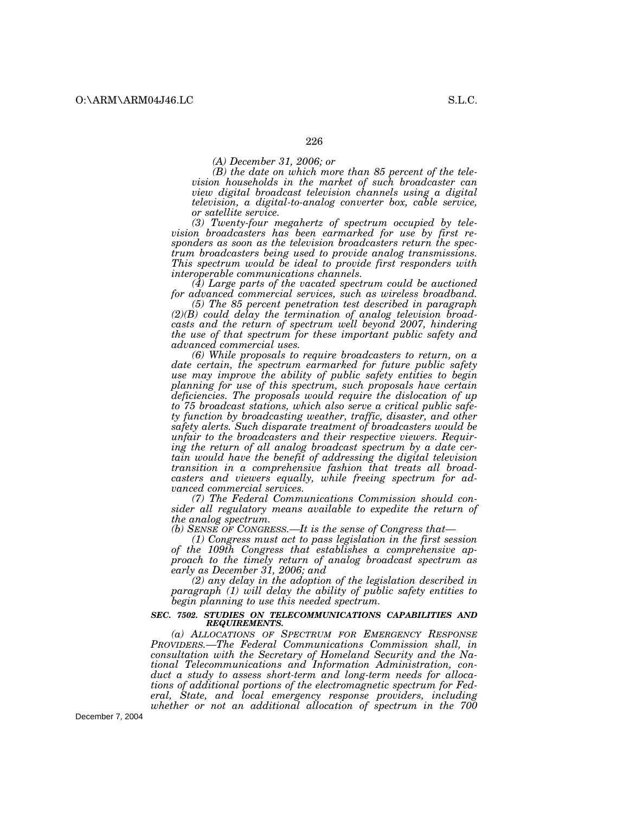*(A) December 31, 2006; or*

*(B) the date on which more than 85 percent of the television households in the market of such broadcaster can view digital broadcast television channels using a digital television, a digital-to-analog converter box, cable service, or satellite service.*

*(3) Twenty-four megahertz of spectrum occupied by television broadcasters has been earmarked for use by first responders as soon as the television broadcasters return the spectrum broadcasters being used to provide analog transmissions. This spectrum would be ideal to provide first responders with interoperable communications channels.*

*(4) Large parts of the vacated spectrum could be auctioned for advanced commercial services, such as wireless broadband.*

*(5) The 85 percent penetration test described in paragraph (2)(B) could delay the termination of analog television broadcasts and the return of spectrum well beyond 2007, hindering the use of that spectrum for these important public safety and advanced commercial uses.*

*(6) While proposals to require broadcasters to return, on a date certain, the spectrum earmarked for future public safety use may improve the ability of public safety entities to begin planning for use of this spectrum, such proposals have certain deficiencies. The proposals would require the dislocation of up to 75 broadcast stations, which also serve a critical public safety function by broadcasting weather, traffic, disaster, and other safety alerts. Such disparate treatment of broadcasters would be unfair to the broadcasters and their respective viewers. Requiring the return of all analog broadcast spectrum by a date certain would have the benefit of addressing the digital television transition in a comprehensive fashion that treats all broadcasters and viewers equally, while freeing spectrum for advanced commercial services.*

*(7) The Federal Communications Commission should consider all regulatory means available to expedite the return of the analog spectrum.*

*(b) SENSE OF CONGRESS.—It is the sense of Congress that—*

*(1) Congress must act to pass legislation in the first session of the 109th Congress that establishes a comprehensive approach to the timely return of analog broadcast spectrum as early as December 31, 2006; and*

*(2) any delay in the adoption of the legislation described in paragraph (1) will delay the ability of public safety entities to begin planning to use this needed spectrum.*

#### *SEC. 7502. STUDIES ON TELECOMMUNICATIONS CAPABILITIES AND REQUIREMENTS.*

*(a) ALLOCATIONS OF SPECTRUM FOR EMERGENCY RESPONSE PROVIDERS.—The Federal Communications Commission shall, in consultation with the Secretary of Homeland Security and the National Telecommunications and Information Administration, conduct a study to assess short-term and long-term needs for allocations of additional portions of the electromagnetic spectrum for Federal, State, and local emergency response providers, including whether or not an additional allocation of spectrum in the 700*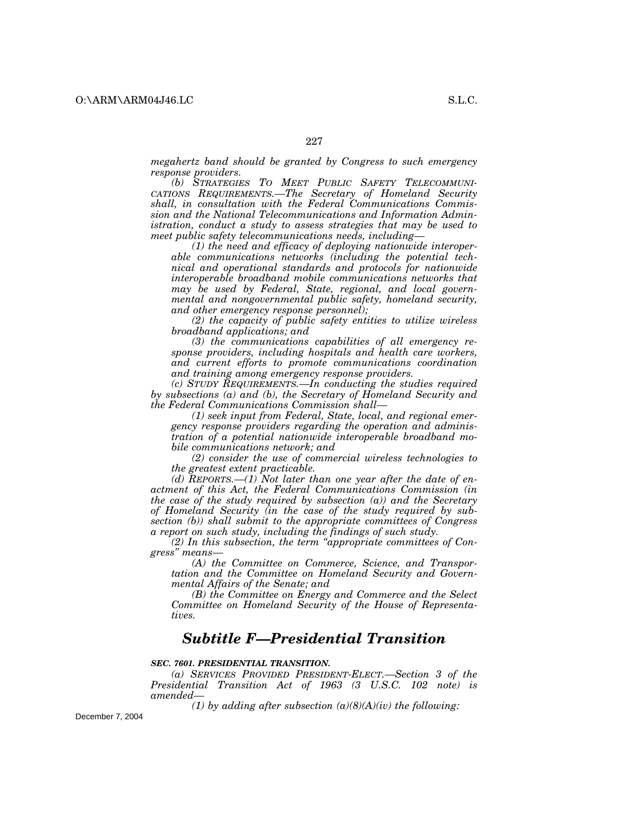*megahertz band should be granted by Congress to such emergency response providers.*

*(b) STRATEGIES TO MEET PUBLIC SAFETY TELECOMMUNI-CATIONS REQUIREMENTS.—The Secretary of Homeland Security shall, in consultation with the Federal Communications Commission and the National Telecommunications and Information Administration, conduct a study to assess strategies that may be used to meet public safety telecommunications needs, including—*

*(1) the need and efficacy of deploying nationwide interoperable communications networks (including the potential technical and operational standards and protocols for nationwide interoperable broadband mobile communications networks that may be used by Federal, State, regional, and local governmental and nongovernmental public safety, homeland security, and other emergency response personnel);*

*(2) the capacity of public safety entities to utilize wireless broadband applications; and*

*(3) the communications capabilities of all emergency response providers, including hospitals and health care workers, and current efforts to promote communications coordination and training among emergency response providers.*

*(c) STUDY REQUIREMENTS.—In conducting the studies required by subsections (a) and (b), the Secretary of Homeland Security and the Federal Communications Commission shall—*

*(1) seek input from Federal, State, local, and regional emergency response providers regarding the operation and administration of a potential nationwide interoperable broadband mobile communications network; and*

*(2) consider the use of commercial wireless technologies to the greatest extent practicable.*

*(d) REPORTS.—(1) Not later than one year after the date of enactment of this Act, the Federal Communications Commission (in the case of the study required by subsection (a)) and the Secretary of Homeland Security (in the case of the study required by subsection (b)) shall submit to the appropriate committees of Congress a report on such study, including the findings of such study.*

*(2) In this subsection, the term ''appropriate committees of Congress'' means—*

*(A) the Committee on Commerce, Science, and Transportation and the Committee on Homeland Security and Governmental Affairs of the Senate; and*

*(B) the Committee on Energy and Commerce and the Select Committee on Homeland Security of the House of Representatives.*

## *Subtitle F—Presidential Transition*

#### *SEC. 7601. PRESIDENTIAL TRANSITION.*

*(a) SERVICES PROVIDED PRESIDENT-ELECT.—Section 3 of the Presidential Transition Act of 1963 (3 U.S.C. 102 note) is amended—*

*(1) by adding after subsection (a)(8)(A)(iv) the following:*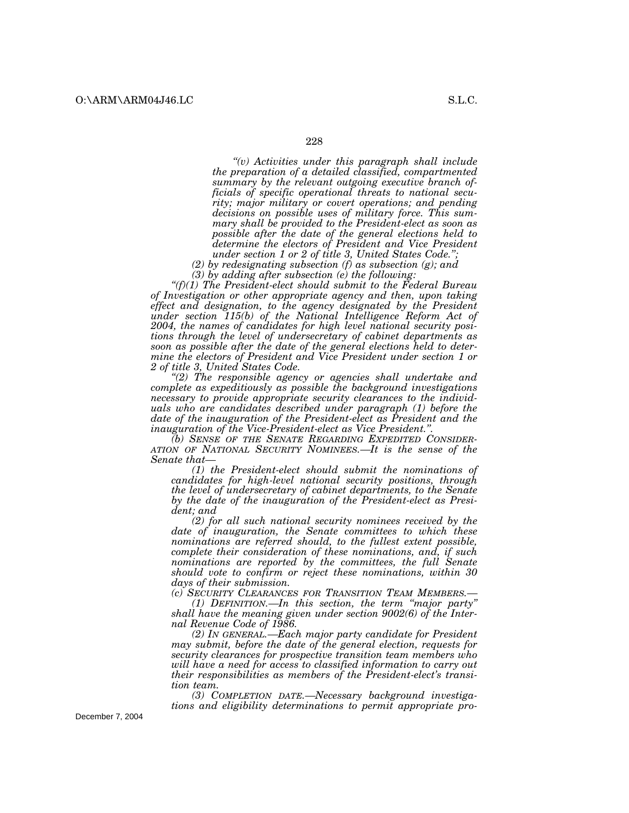*''(v) Activities under this paragraph shall include the preparation of a detailed classified, compartmented summary by the relevant outgoing executive branch officials of specific operational threats to national security; major military or covert operations; and pending decisions on possible uses of military force. This summary shall be provided to the President-elect as soon as possible after the date of the general elections held to determine the electors of President and Vice President under section 1 or 2 of title 3, United States Code.'';*

*(2) by redesignating subsection (f) as subsection (g); and*

*(3) by adding after subsection (e) the following:*

*''(f)(1) The President-elect should submit to the Federal Bureau of Investigation or other appropriate agency and then, upon taking effect and designation, to the agency designated by the President under section 115(b) of the National Intelligence Reform Act of 2004, the names of candidates for high level national security positions through the level of undersecretary of cabinet departments as soon as possible after the date of the general elections held to determine the electors of President and Vice President under section 1 or 2 of title 3, United States Code.*

*''(2) The responsible agency or agencies shall undertake and complete as expeditiously as possible the background investigations necessary to provide appropriate security clearances to the individuals who are candidates described under paragraph (1) before the date of the inauguration of the President-elect as President and the inauguration of the Vice-President-elect as Vice President.''.*

*(b) SENSE OF THE SENATE REGARDING EXPEDITED CONSIDER- ATION OF NATIONAL SECURITY NOMINEES.—It is the sense of the Senate that—*

*(1) the President-elect should submit the nominations of candidates for high-level national security positions, through the level of undersecretary of cabinet departments, to the Senate by the date of the inauguration of the President-elect as President; and*

*(2) for all such national security nominees received by the date of inauguration, the Senate committees to which these nominations are referred should, to the fullest extent possible, complete their consideration of these nominations, and, if such nominations are reported by the committees, the full Senate should vote to confirm or reject these nominations, within 30 days of their submission.*

*(c) SECURITY CLEARANCES FOR TRANSITION TEAM MEMBERS.— (1) DEFINITION.—In this section, the term ''major party'' shall have the meaning given under section 9002(6) of the Internal Revenue Code of 1986.*

*(2) IN GENERAL.—Each major party candidate for President may submit, before the date of the general election, requests for security clearances for prospective transition team members who will have a need for access to classified information to carry out their responsibilities as members of the President-elect's transition team.*

*(3) COMPLETION DATE.—Necessary background investigations and eligibility determinations to permit appropriate pro-*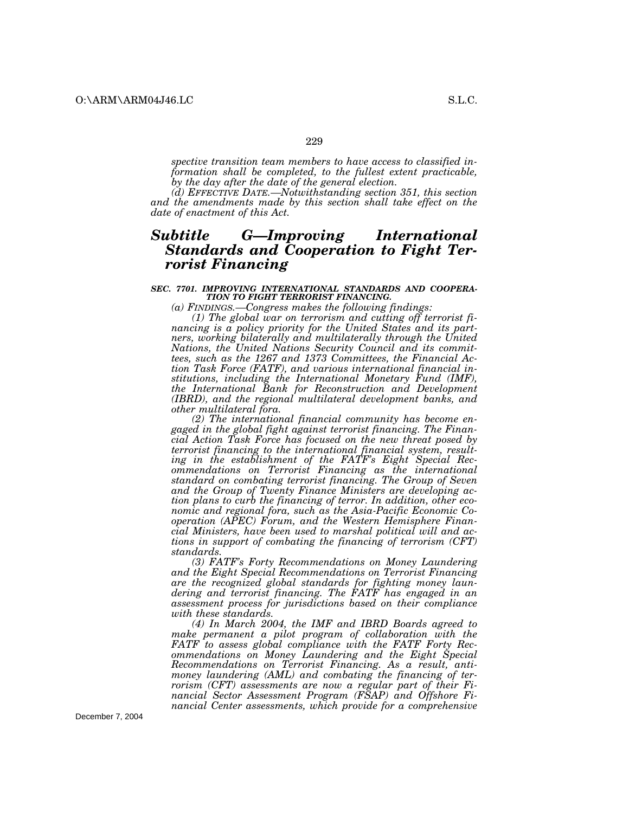*spective transition team members to have access to classified information shall be completed, to the fullest extent practicable, by the day after the date of the general election.*

*(d) EFFECTIVE DATE.—Notwithstanding section 351, this section and the amendments made by this section shall take effect on the date of enactment of this Act.*

## *Subtitle G—Improving International Standards and Cooperation to Fight Terrorist Financing*

# *SEC. 7701. IMPROVING INTERNATIONAL STANDARDS AND COOPERA-TION TO FIGHT TERRORIST FINANCING.*

*(a) FINDINGS.—Congress makes the following findings:*

*(1) The global war on terrorism and cutting off terrorist financing is a policy priority for the United States and its partners, working bilaterally and multilaterally through the United Nations, the United Nations Security Council and its committees, such as the 1267 and 1373 Committees, the Financial Action Task Force (FATF), and various international financial institutions, including the International Monetary Fund (IMF), the International Bank for Reconstruction and Development (IBRD), and the regional multilateral development banks, and other multilateral fora.*

*(2) The international financial community has become engaged in the global fight against terrorist financing. The Financial Action Task Force has focused on the new threat posed by terrorist financing to the international financial system, resulting in the establishment of the FATF's Eight Special Recommendations on Terrorist Financing as the international standard on combating terrorist financing. The Group of Seven and the Group of Twenty Finance Ministers are developing action plans to curb the financing of terror. In addition, other economic and regional fora, such as the Asia-Pacific Economic Cooperation (APEC) Forum, and the Western Hemisphere Financial Ministers, have been used to marshal political will and actions in support of combating the financing of terrorism (CFT) standards.*

*(3) FATF's Forty Recommendations on Money Laundering and the Eight Special Recommendations on Terrorist Financing are the recognized global standards for fighting money laundering and terrorist financing. The FATF has engaged in an assessment process for jurisdictions based on their compliance with these standards.*

*(4) In March 2004, the IMF and IBRD Boards agreed to make permanent a pilot program of collaboration with the FATF to assess global compliance with the FATF Forty Recommendations on Money Laundering and the Eight Special Recommendations on Terrorist Financing. As a result, antimoney laundering (AML) and combating the financing of terrorism (CFT) assessments are now a regular part of their Financial Sector Assessment Program (FSAP) and Offshore Financial Center assessments, which provide for a comprehensive*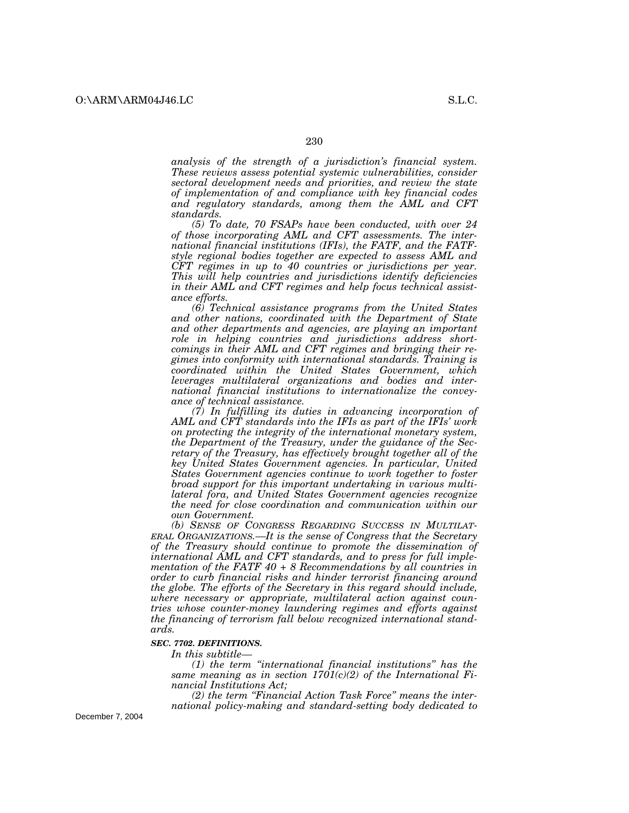*analysis of the strength of a jurisdiction's financial system. These reviews assess potential systemic vulnerabilities, consider sectoral development needs and priorities, and review the state of implementation of and compliance with key financial codes and regulatory standards, among them the AML and CFT standards.*

*(5) To date, 70 FSAPs have been conducted, with over 24 of those incorporating AML and CFT assessments. The international financial institutions (IFIs), the FATF, and the FATFstyle regional bodies together are expected to assess AML and CFT regimes in up to 40 countries or jurisdictions per year. This will help countries and jurisdictions identify deficiencies in their AML and CFT regimes and help focus technical assistance efforts.*

*(6) Technical assistance programs from the United States and other nations, coordinated with the Department of State and other departments and agencies, are playing an important role in helping countries and jurisdictions address shortcomings in their AML and CFT regimes and bringing their regimes into conformity with international standards. Training is coordinated within the United States Government, which leverages multilateral organizations and bodies and international financial institutions to internationalize the conveyance of technical assistance.*

*(7) In fulfilling its duties in advancing incorporation of AML and CFT standards into the IFIs as part of the IFIs' work on protecting the integrity of the international monetary system, the Department of the Treasury, under the guidance of the Secretary of the Treasury, has effectively brought together all of the key United States Government agencies. In particular, United States Government agencies continue to work together to foster broad support for this important undertaking in various multilateral fora, and United States Government agencies recognize the need for close coordination and communication within our own Government.*

*(b) SENSE OF CONGRESS REGARDING SUCCESS IN MULTILAT-ERAL ORGANIZATIONS.—It is the sense of Congress that the Secretary of the Treasury should continue to promote the dissemination of international AML and CFT standards, and to press for full implementation of the FATF 40 + 8 Recommendations by all countries in order to curb financial risks and hinder terrorist financing around the globe. The efforts of the Secretary in this regard should include, where necessary or appropriate, multilateral action against countries whose counter-money laundering regimes and efforts against the financing of terrorism fall below recognized international standards.*

#### *SEC. 7702. DEFINITIONS.*

*In this subtitle—*

*(1) the term ''international financial institutions'' has the same meaning as in section 1701(c)(2) of the International Financial Institutions Act;*

*(2) the term ''Financial Action Task Force'' means the international policy-making and standard-setting body dedicated to*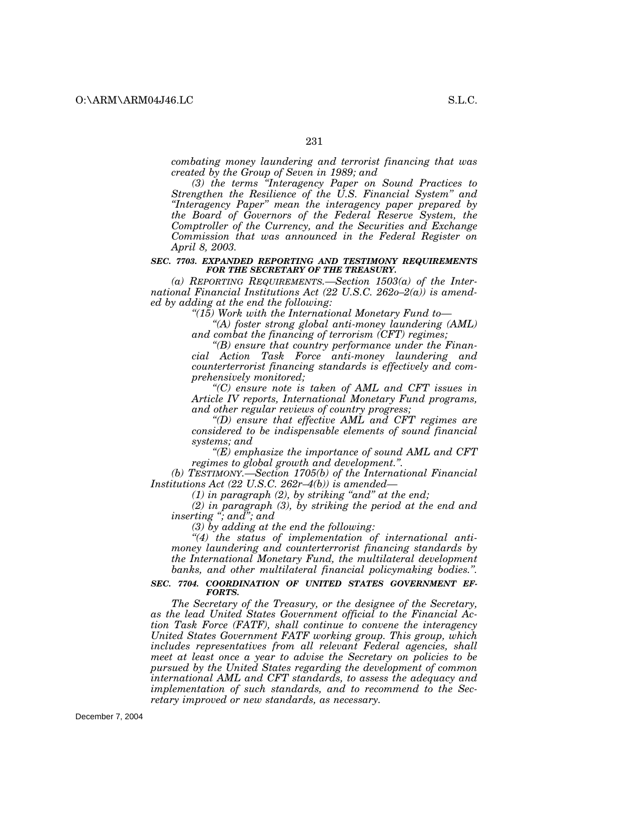*combating money laundering and terrorist financing that was created by the Group of Seven in 1989; and*

*(3) the terms ''Interagency Paper on Sound Practices to Strengthen the Resilience of the U.S. Financial System'' and ''Interagency Paper'' mean the interagency paper prepared by the Board of Governors of the Federal Reserve System, the Comptroller of the Currency, and the Securities and Exchange Commission that was announced in the Federal Register on April 8, 2003.*

#### *SEC. 7703. EXPANDED REPORTING AND TESTIMONY REQUIREMENTS FOR THE SECRETARY OF THE TREASURY.*

*(a) REPORTING REQUIREMENTS.—Section 1503(a) of the International Financial Institutions Act (22 U.S.C. 262o–2(a)) is amended by adding at the end the following:*

*''(15) Work with the International Monetary Fund to—*

*''(A) foster strong global anti-money laundering (AML) and combat the financing of terrorism (CFT) regimes;*

*''(B) ensure that country performance under the Financial Action Task Force anti-money laundering and counterterrorist financing standards is effectively and comprehensively monitored;*

*''(C) ensure note is taken of AML and CFT issues in Article IV reports, International Monetary Fund programs, and other regular reviews of country progress;*

*''(D) ensure that effective AML and CFT regimes are considered to be indispensable elements of sound financial systems; and*

*''(E) emphasize the importance of sound AML and CFT regimes to global growth and development.''.*

*(b) TESTIMONY.—Section 1705(b) of the International Financial Institutions Act (22 U.S.C. 262r–4(b)) is amended—*

*(1) in paragraph (2), by striking ''and'' at the end;*

*(2) in paragraph (3), by striking the period at the end and inserting ''; and''; and*

*(3) by adding at the end the following:*

*''(4) the status of implementation of international antimoney laundering and counterterrorist financing standards by the International Monetary Fund, the multilateral development banks, and other multilateral financial policymaking bodies.''.*

#### *SEC. 7704. COORDINATION OF UNITED STATES GOVERNMENT EF-FORTS.*

*The Secretary of the Treasury, or the designee of the Secretary, as the lead United States Government official to the Financial Action Task Force (FATF), shall continue to convene the interagency United States Government FATF working group. This group, which includes representatives from all relevant Federal agencies, shall meet at least once a year to advise the Secretary on policies to be pursued by the United States regarding the development of common international AML and CFT standards, to assess the adequacy and implementation of such standards, and to recommend to the Secretary improved or new standards, as necessary.*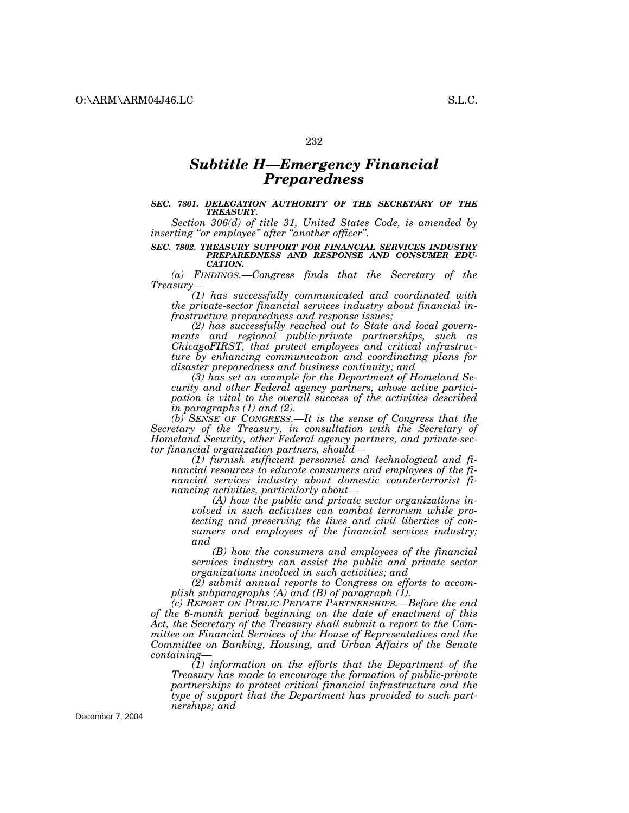## *Subtitle H—Emergency Financial Preparedness*

#### *SEC. 7801. DELEGATION AUTHORITY OF THE SECRETARY OF THE TREASURY.*

*Section 306(d) of title 31, United States Code, is amended by inserting ''or employee'' after ''another officer''.*

#### *SEC. 7802. TREASURY SUPPORT FOR FINANCIAL SERVICES INDUSTRY PREPAREDNESS AND RESPONSE AND CONSUMER EDU-CATION.*

*(a) FINDINGS.—Congress finds that the Secretary of the Treasury—*

*(1) has successfully communicated and coordinated with the private-sector financial services industry about financial infrastructure preparedness and response issues;*

*(2) has successfully reached out to State and local governments and regional public-private partnerships, such as ChicagoFIRST, that protect employees and critical infrastructure by enhancing communication and coordinating plans for disaster preparedness and business continuity; and*

*(3) has set an example for the Department of Homeland Security and other Federal agency partners, whose active participation is vital to the overall success of the activities described in paragraphs (1) and (2).*

*(b) SENSE OF CONGRESS.—It is the sense of Congress that the Secretary of the Treasury, in consultation with the Secretary of Homeland Security, other Federal agency partners, and private-sector financial organization partners, should—*

*(1) furnish sufficient personnel and technological and financial resources to educate consumers and employees of the financial services industry about domestic counterterrorist financing activities, particularly about—*

*(A) how the public and private sector organizations involved in such activities can combat terrorism while protecting and preserving the lives and civil liberties of consumers and employees of the financial services industry; and*

*(B) how the consumers and employees of the financial services industry can assist the public and private sector organizations involved in such activities; and*

*(2) submit annual reports to Congress on efforts to accomplish subparagraphs (A) and (B) of paragraph (1).*

*(c) REPORT ON PUBLIC-PRIVATE PARTNERSHIPS.—Before the end of the 6-month period beginning on the date of enactment of this Act, the Secretary of the Treasury shall submit a report to the Committee on Financial Services of the House of Representatives and the Committee on Banking, Housing, and Urban Affairs of the Senate containing—*

*(1) information on the efforts that the Department of the Treasury has made to encourage the formation of public-private partnerships to protect critical financial infrastructure and the type of support that the Department has provided to such partnerships; and*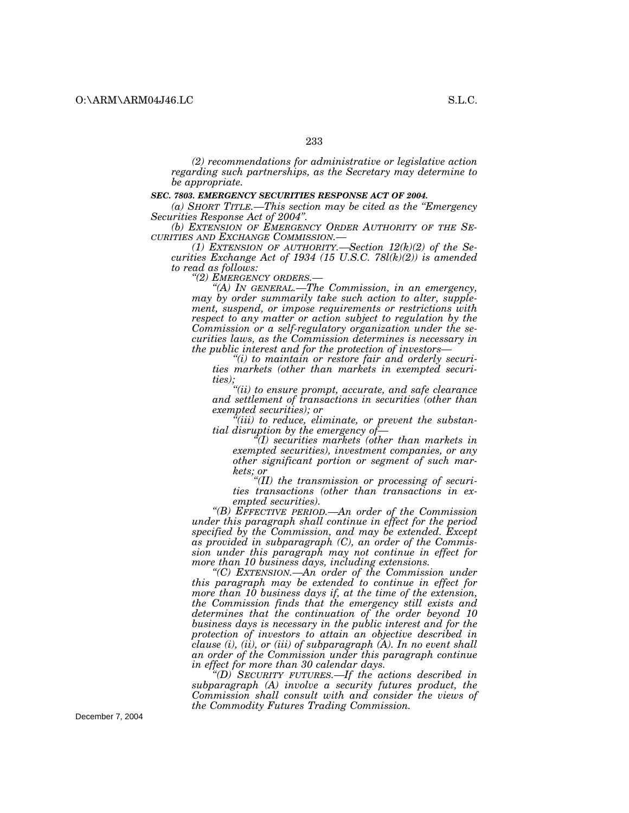*(2) recommendations for administrative or legislative action regarding such partnerships, as the Secretary may determine to be appropriate.*

#### *SEC. 7803. EMERGENCY SECURITIES RESPONSE ACT OF 2004.*

*(a) SHORT TITLE.—This section may be cited as the ''Emergency Securities Response Act of 2004''.*

*(b) EXTENSION OF EMERGENCY ORDER AUTHORITY OF THE SE-*

*(1) EXTENSION OF AUTHORITY.*—Section  $12(k)(2)$  of the Se*curities Exchange Act of 1934 (15 U.S.C. 78l(k)(2)) is amended to read as follows:*

*''(2) EMERGENCY ORDERS.— ''(A) IN GENERAL.—The Commission, in an emergency, may by order summarily take such action to alter, supplement, suspend, or impose requirements or restrictions with respect to any matter or action subject to regulation by the Commission or a self-regulatory organization under the securities laws, as the Commission determines is necessary in the public interest and for the protection of investors—*

*''(i) to maintain or restore fair and orderly securities markets (other than markets in exempted securities);*

*''(ii) to ensure prompt, accurate, and safe clearance and settlement of transactions in securities (other than exempted securities); or*

*''(iii) to reduce, eliminate, or prevent the substantial disruption by the emergency of—*

*''(I) securities markets (other than markets in exempted securities), investment companies, or any other significant portion or segment of such markets; or*

*''(II) the transmission or processing of securities transactions (other than transactions in exempted securities).*

*''(B) EFFECTIVE PERIOD.—An order of the Commission under this paragraph shall continue in effect for the period specified by the Commission, and may be extended. Except as provided in subparagraph (C), an order of the Commission under this paragraph may not continue in effect for more than 10 business days, including extensions.*

*''(C) EXTENSION.—An order of the Commission under this paragraph may be extended to continue in effect for more than 10 business days if, at the time of the extension, the Commission finds that the emergency still exists and determines that the continuation of the order beyond 10 business days is necessary in the public interest and for the protection of investors to attain an objective described in clause (i), (ii), or (iii) of subparagraph (A). In no event shall an order of the Commission under this paragraph continue in effect for more than 30 calendar days.*

*''(D) SECURITY FUTURES.—If the actions described in subparagraph (A) involve a security futures product, the Commission shall consult with and consider the views of the Commodity Futures Trading Commission.*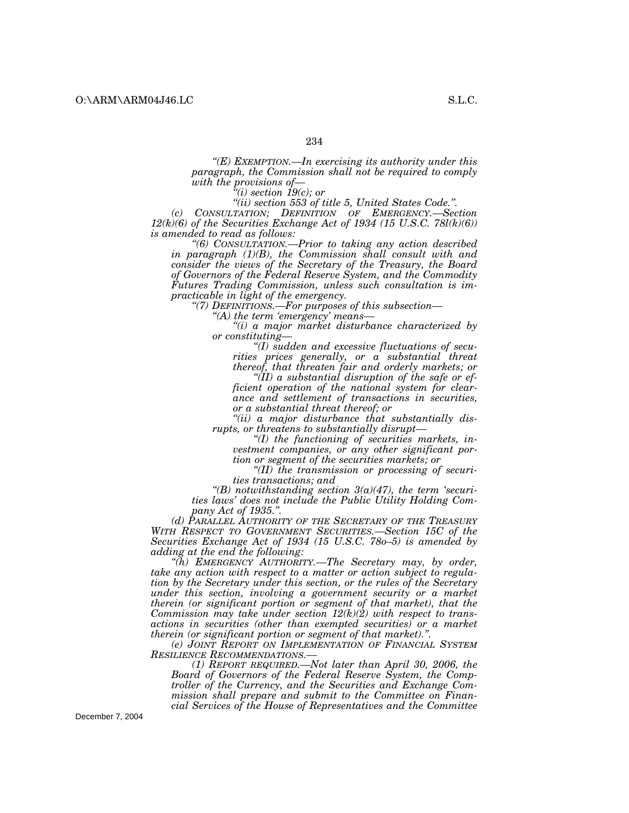*''(E) EXEMPTION.—In exercising its authority under this paragraph, the Commission shall not be required to comply with the provisions of—*

*''(i) section 19(c); or*

*''(ii) section 553 of title 5, United States Code.''.*

*(c) CONSULTATION; DEFINITION OF EMERGENCY.—Section 12(k)(6) of the Securities Exchange Act of 1934 (15 U.S.C. 78l(k)(6)) is amended to read as follows:*

*''(6) CONSULTATION.—Prior to taking any action described in paragraph (1)(B), the Commission shall consult with and consider the views of the Secretary of the Treasury, the Board of Governors of the Federal Reserve System, and the Commodity Futures Trading Commission, unless such consultation is impracticable in light of the emergency.*

*''(7) DEFINITIONS.—For purposes of this subsection—*

*''(A) the term 'emergency' means—*

*''(i) a major market disturbance characterized by or constituting—*

*''(I) sudden and excessive fluctuations of securities prices generally, or a substantial threat thereof, that threaten fair and orderly markets; or ''(II) a substantial disruption of the safe or efficient operation of the national system for clearance and settlement of transactions in securities, or a substantial threat thereof; or*

*''(ii) a major disturbance that substantially disrupts, or threatens to substantially disrupt—*

*''(I) the functioning of securities markets, investment companies, or any other significant portion or segment of the securities markets; or*

*''(II) the transmission or processing of securities transactions; and*

*''(B) notwithstanding section 3(a)(47), the term 'securities laws' does not include the Public Utility Holding Company Act of 1935.''.*

*(d) PARALLEL AUTHORITY OF THE SECRETARY OF THE TREASURY WITH RESPECT TO GOVERNMENT SECURITIES.—Section 15C of the Securities Exchange Act of 1934 (15 U.S.C. 78o–5) is amended by adding at the end the following:*

*''(h) EMERGENCY AUTHORITY.—The Secretary may, by order, take any action with respect to a matter or action subject to regulation by the Secretary under this section, or the rules of the Secretary under this section, involving a government security or a market therein (or significant portion or segment of that market), that the Commission may take under section 12(k)(2) with respect to transactions in securities (other than exempted securities) or a market therein (or significant portion or segment of that market).''.*

*(e) JOINT REPORT ON IMPLEMENTATION OF FINANCIAL SYSTEM RESILIENCE RECOMMENDATIONS.— (1) REPORT REQUIRED.—Not later than April 30, 2006, the*

*Board of Governors of the Federal Reserve System, the Comptroller of the Currency, and the Securities and Exchange Commission shall prepare and submit to the Committee on Financial Services of the House of Representatives and the Committee*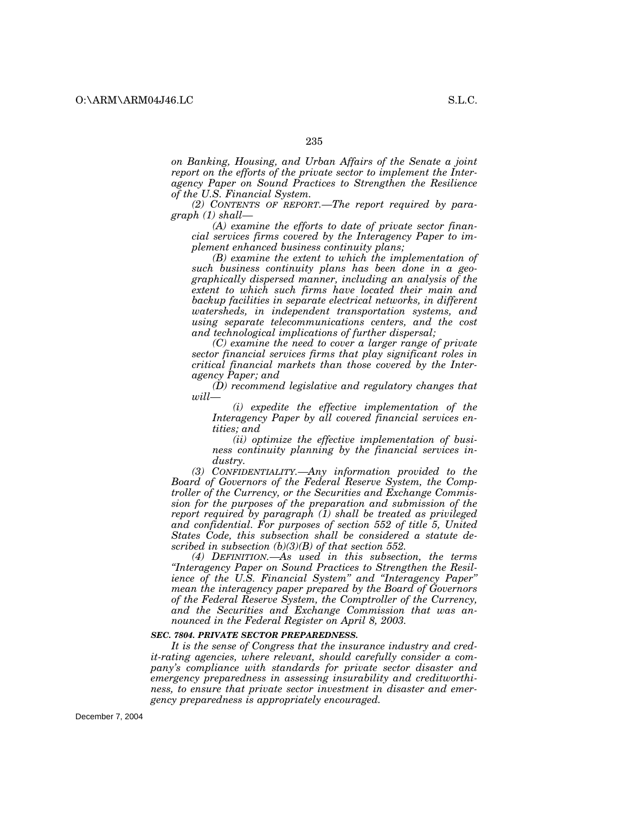*on Banking, Housing, and Urban Affairs of the Senate a joint report on the efforts of the private sector to implement the Interagency Paper on Sound Practices to Strengthen the Resilience of the U.S. Financial System.*

*(2) CONTENTS OF REPORT.—The report required by paragraph (1) shall—*

*(A) examine the efforts to date of private sector financial services firms covered by the Interagency Paper to implement enhanced business continuity plans;*

*(B) examine the extent to which the implementation of such business continuity plans has been done in a geographically dispersed manner, including an analysis of the extent to which such firms have located their main and backup facilities in separate electrical networks, in different watersheds, in independent transportation systems, and using separate telecommunications centers, and the cost and technological implications of further dispersal;*

*(C) examine the need to cover a larger range of private sector financial services firms that play significant roles in critical financial markets than those covered by the Interagency Paper; and*

*(D) recommend legislative and regulatory changes that will—*

*(i) expedite the effective implementation of the Interagency Paper by all covered financial services entities; and*

*(ii) optimize the effective implementation of business continuity planning by the financial services industry.*

*(3) CONFIDENTIALITY.—Any information provided to the Board of Governors of the Federal Reserve System, the Comptroller of the Currency, or the Securities and Exchange Commission for the purposes of the preparation and submission of the report required by paragraph (1) shall be treated as privileged and confidential. For purposes of section 552 of title 5, United States Code, this subsection shall be considered a statute described in subsection (b)(3)(B) of that section 552.*

*(4) DEFINITION.—As used in this subsection, the terms ''Interagency Paper on Sound Practices to Strengthen the Resilience of the U.S. Financial System'' and ''Interagency Paper'' mean the interagency paper prepared by the Board of Governors of the Federal Reserve System, the Comptroller of the Currency, and the Securities and Exchange Commission that was announced in the Federal Register on April 8, 2003.*

#### *SEC. 7804. PRIVATE SECTOR PREPAREDNESS.*

*It is the sense of Congress that the insurance industry and credit-rating agencies, where relevant, should carefully consider a company's compliance with standards for private sector disaster and emergency preparedness in assessing insurability and creditworthiness, to ensure that private sector investment in disaster and emergency preparedness is appropriately encouraged.*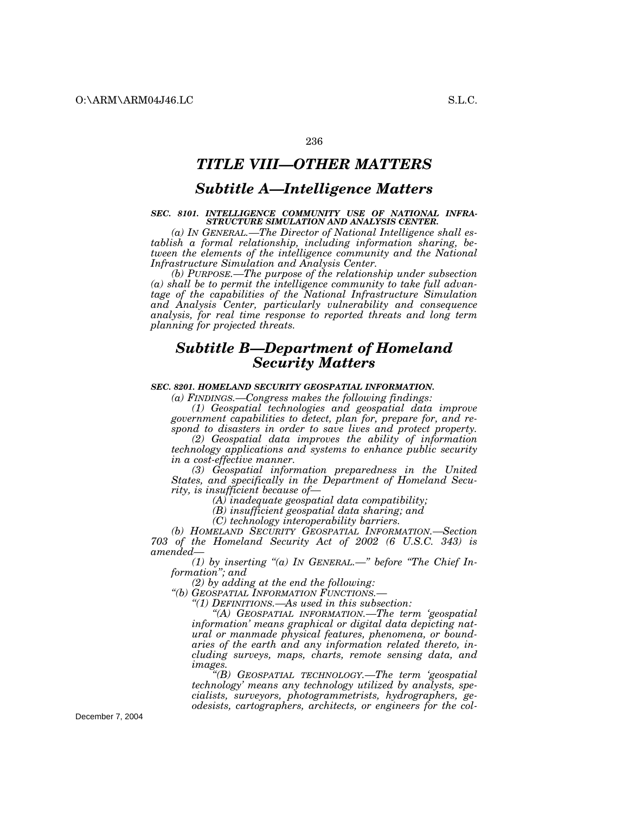## *TITLE VIII—OTHER MATTERS*

### *Subtitle A—Intelligence Matters*

#### *SEC. 8101. INTELLIGENCE COMMUNITY USE OF NATIONAL INFRA-STRUCTURE SIMULATION AND ANALYSIS CENTER.*

*(a) IN GENERAL.—The Director of National Intelligence shall establish a formal relationship, including information sharing, between the elements of the intelligence community and the National Infrastructure Simulation and Analysis Center.*

*(b) PURPOSE.—The purpose of the relationship under subsection (a) shall be to permit the intelligence community to take full advantage of the capabilities of the National Infrastructure Simulation and Analysis Center, particularly vulnerability and consequence analysis, for real time response to reported threats and long term planning for projected threats.*

## *Subtitle B—Department of Homeland Security Matters*

#### *SEC. 8201. HOMELAND SECURITY GEOSPATIAL INFORMATION.*

*(a) FINDINGS.—Congress makes the following findings:*

*(1) Geospatial technologies and geospatial data improve government capabilities to detect, plan for, prepare for, and respond to disasters in order to save lives and protect property.*

*(2) Geospatial data improves the ability of information technology applications and systems to enhance public security in a cost-effective manner.*

*(3) Geospatial information preparedness in the United States, and specifically in the Department of Homeland Security, is insufficient because of—*

*(A) inadequate geospatial data compatibility;*

*(B) insufficient geospatial data sharing; and*

*(C) technology interoperability barriers.*

*(b) HOMELAND SECURITY GEOSPATIAL INFORMATION.—Section 703 of the Homeland Security Act of 2002 (6 U.S.C. 343) is amended—*

*(1) by inserting ''(a) IN GENERAL.—'' before ''The Chief Information''; and*

*(2) by adding at the end the following:*

*''(b) GEOSPATIAL INFORMATION FUNCTIONS.—*

*''(1) DEFINITIONS.—As used in this subsection:*

*''(A) GEOSPATIAL INFORMATION.—The term 'geospatial information' means graphical or digital data depicting natural or manmade physical features, phenomena, or boundaries of the earth and any information related thereto, including surveys, maps, charts, remote sensing data, and images.*

*''(B) GEOSPATIAL TECHNOLOGY.—The term 'geospatial technology' means any technology utilized by analysts, specialists, surveyors, photogrammetrists, hydrographers, geodesists, cartographers, architects, or engineers for the col-*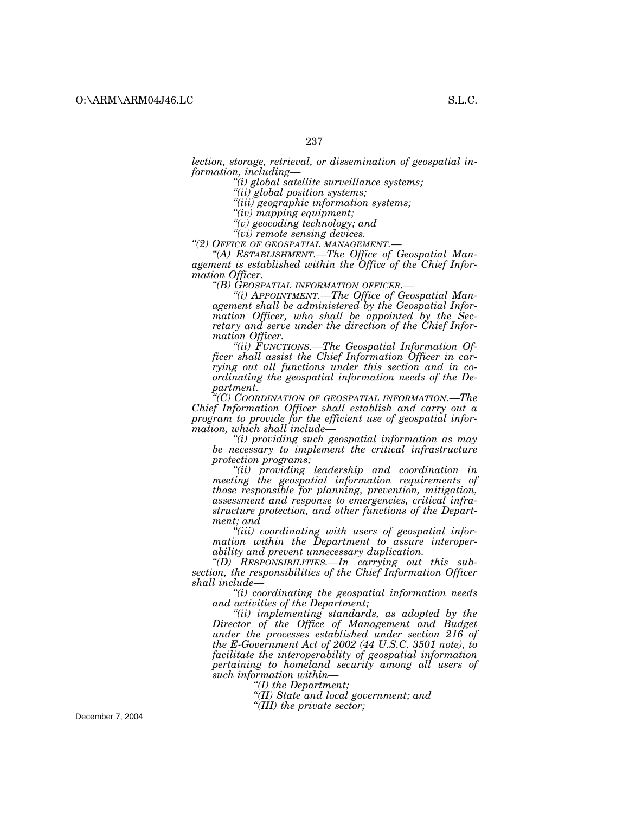*lection, storage, retrieval, or dissemination of geospatial information, including—*

*''(i) global satellite surveillance systems;*

*''(ii) global position systems;*

*''(iii) geographic information systems;*

*''(iv) mapping equipment;*

*''(v) geocoding technology; and*

*''(vi) remote sensing devices.*

"(A) ESTABLISHMENT.—The Office of Geospatial Man*agement is established within the Office of the Chief Infor*mation Officer.<br>
"(B) GEOSPATIAL INFORMATION OFFICER.—

<sup>"(i)</sup> APPOINTMENT.—The Office of Geospatial Man*agement shall be administered by the Geospatial Information Officer, who shall be appointed by the Secretary and serve under the direction of the Chief Information Officer.*

*''(ii) FUNCTIONS.—The Geospatial Information Officer shall assist the Chief Information Officer in carrying out all functions under this section and in coordinating the geospatial information needs of the Department.*

*''(C) COORDINATION OF GEOSPATIAL INFORMATION.—The Chief Information Officer shall establish and carry out a program to provide for the efficient use of geospatial information, which shall include—*

*''(i) providing such geospatial information as may be necessary to implement the critical infrastructure protection programs;*

*''(ii) providing leadership and coordination in meeting the geospatial information requirements of those responsible for planning, prevention, mitigation, assessment and response to emergencies, critical infrastructure protection, and other functions of the Department; and*

*''(iii) coordinating with users of geospatial information within the Department to assure interoperability and prevent unnecessary duplication.*

*''(D) RESPONSIBILITIES.—In carrying out this subsection, the responsibilities of the Chief Information Officer shall include—*

*''(i) coordinating the geospatial information needs and activities of the Department;*

*''(ii) implementing standards, as adopted by the Director of the Office of Management and Budget under the processes established under section 216 of the E-Government Act of 2002 (44 U.S.C. 3501 note), to facilitate the interoperability of geospatial information pertaining to homeland security among all users of such information within—*

*''(I) the Department;*

*''(II) State and local government; and*

*''(III) the private sector;*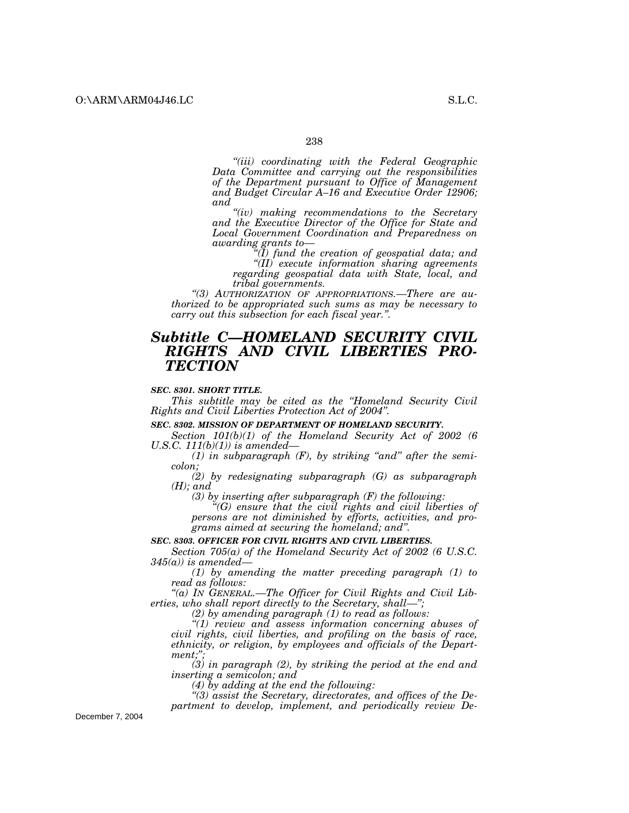*''(iii) coordinating with the Federal Geographic Data Committee and carrying out the responsibilities of the Department pursuant to Office of Management and Budget Circular A–16 and Executive Order 12906; and*

*''(iv) making recommendations to the Secretary and the Executive Director of the Office for State and Local Government Coordination and Preparedness on awarding grants to—*

*''(I) fund the creation of geospatial data; and ''(II) execute information sharing agreements regarding geospatial data with State, local, and tribal governments.*

*''(3) AUTHORIZATION OF APPROPRIATIONS.—There are authorized to be appropriated such sums as may be necessary to carry out this subsection for each fiscal year.''.*

## *Subtitle C—HOMELAND SECURITY CIVIL RIGHTS AND CIVIL LIBERTIES PRO-TECTION*

#### *SEC. 8301. SHORT TITLE.*

*This subtitle may be cited as the ''Homeland Security Civil Rights and Civil Liberties Protection Act of 2004''.*

*SEC. 8302. MISSION OF DEPARTMENT OF HOMELAND SECURITY.*

*Section 101(b)(1) of the Homeland Security Act of 2002 (6 U.S.C. 111(b)(1)) is amended—*

*(1) in subparagraph (F), by striking ''and'' after the semicolon;*

*(2) by redesignating subparagraph (G) as subparagraph (H); and*

*(3) by inserting after subparagraph (F) the following:*

*''(G) ensure that the civil rights and civil liberties of persons are not diminished by efforts, activities, and programs aimed at securing the homeland; and''.*

#### *SEC. 8303. OFFICER FOR CIVIL RIGHTS AND CIVIL LIBERTIES.*

*Section 705(a) of the Homeland Security Act of 2002 (6 U.S.C. 345(a)) is amended—*

*(1) by amending the matter preceding paragraph (1) to read as follows:*

*''(a) IN GENERAL.—The Officer for Civil Rights and Civil Liberties, who shall report directly to the Secretary, shall—'';*

*(2) by amending paragraph (1) to read as follows:*

*''(1) review and assess information concerning abuses of civil rights, civil liberties, and profiling on the basis of race, ethnicity, or religion, by employees and officials of the Department;'';*

*(3) in paragraph (2), by striking the period at the end and inserting a semicolon; and*

*(4) by adding at the end the following:*

*''(3) assist the Secretary, directorates, and offices of the Department to develop, implement, and periodically review De-*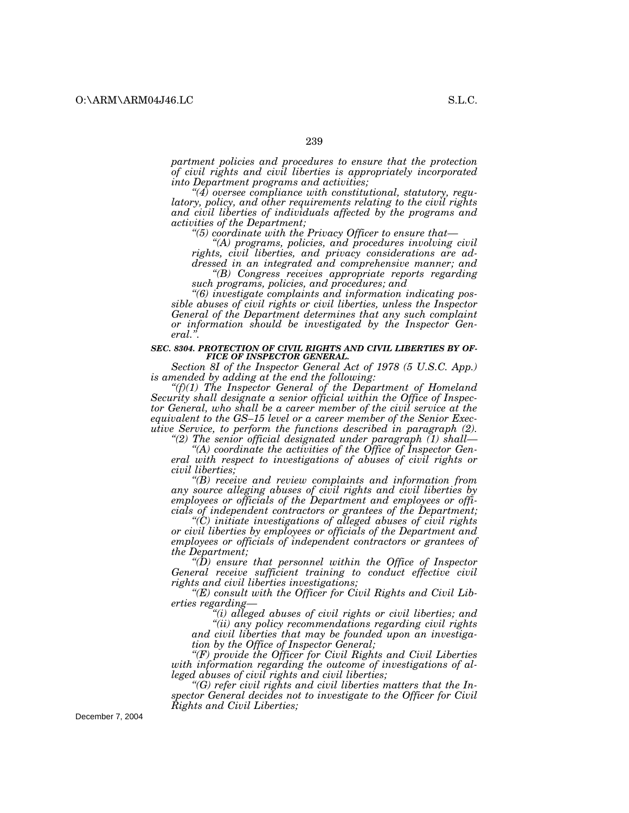*partment policies and procedures to ensure that the protection of civil rights and civil liberties is appropriately incorporated into Department programs and activities;*

*''(4) oversee compliance with constitutional, statutory, regulatory, policy, and other requirements relating to the civil rights and civil liberties of individuals affected by the programs and activities of the Department;*

*''(5) coordinate with the Privacy Officer to ensure that—*

*''(A) programs, policies, and procedures involving civil rights, civil liberties, and privacy considerations are addressed in an integrated and comprehensive manner; and ''(B) Congress receives appropriate reports regarding*

*such programs, policies, and procedures; and*

*''(6) investigate complaints and information indicating possible abuses of civil rights or civil liberties, unless the Inspector General of the Department determines that any such complaint or information should be investigated by the Inspector General.''.*

#### *SEC. 8304. PROTECTION OF CIVIL RIGHTS AND CIVIL LIBERTIES BY OF-FICE OF INSPECTOR GENERAL.*

*Section 8I of the Inspector General Act of 1978 (5 U.S.C. App.) is amended by adding at the end the following:*

*''(f)(1) The Inspector General of the Department of Homeland Security shall designate a senior official within the Office of Inspector General, who shall be a career member of the civil service at the equivalent to the GS–15 level or a career member of the Senior Executive Service, to perform the functions described in paragraph (2).*

*''(2) The senior official designated under paragraph (1) shall—*

*''(A) coordinate the activities of the Office of Inspector General with respect to investigations of abuses of civil rights or civil liberties;*

*''(B) receive and review complaints and information from any source alleging abuses of civil rights and civil liberties by employees or officials of the Department and employees or officials of independent contractors or grantees of the Department;*

*''(C) initiate investigations of alleged abuses of civil rights or civil liberties by employees or officials of the Department and employees or officials of independent contractors or grantees of the Department;*

*''(D) ensure that personnel within the Office of Inspector General receive sufficient training to conduct effective civil rights and civil liberties investigations;*

*''(E) consult with the Officer for Civil Rights and Civil Liberties regarding—*

*''(i) alleged abuses of civil rights or civil liberties; and*

*''(ii) any policy recommendations regarding civil rights and civil liberties that may be founded upon an investigation by the Office of Inspector General;*

*''(F) provide the Officer for Civil Rights and Civil Liberties with information regarding the outcome of investigations of alleged abuses of civil rights and civil liberties;*

*''(G) refer civil rights and civil liberties matters that the Inspector General decides not to investigate to the Officer for Civil Rights and Civil Liberties;*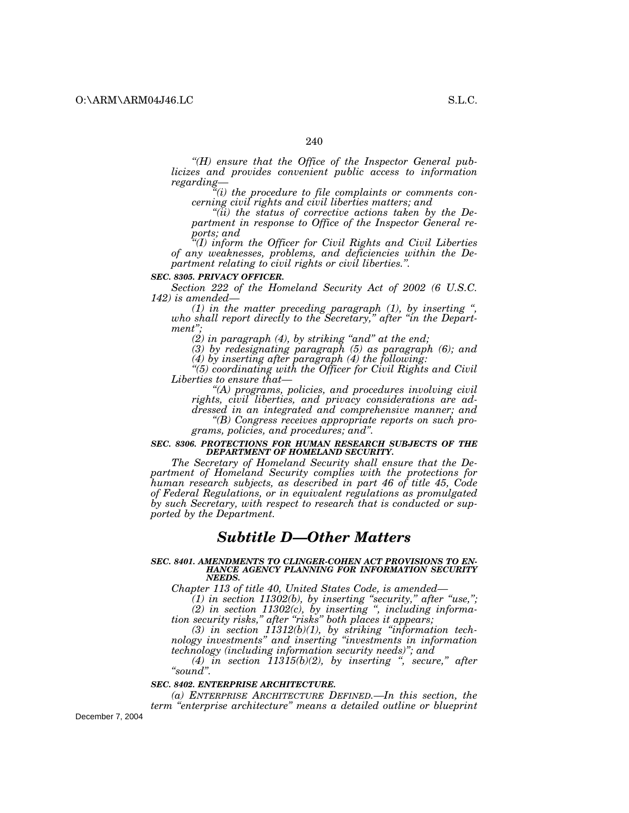*''(H) ensure that the Office of the Inspector General publicizes and provides convenient public access to information regarding—*

*''(i) the procedure to file complaints or comments concerning civil rights and civil liberties matters; and*

*''(ii) the status of corrective actions taken by the Department in response to Office of the Inspector General reports; and*

*''(I) inform the Officer for Civil Rights and Civil Liberties of any weaknesses, problems, and deficiencies within the Department relating to civil rights or civil liberties.''.*

#### *SEC. 8305. PRIVACY OFFICER.*

*Section 222 of the Homeland Security Act of 2002 (6 U.S.C. 142) is amended—*

*(1) in the matter preceding paragraph (1), by inserting '', who shall report directly to the Secretary,'' after ''in the Department'';*

*(2) in paragraph (4), by striking ''and'' at the end;*

*(3) by redesignating paragraph (5) as paragraph (6); and (4) by inserting after paragraph (4) the following:*

*''(5) coordinating with the Officer for Civil Rights and Civil*

*Liberties to ensure that—*

*''(A) programs, policies, and procedures involving civil rights, civil liberties, and privacy considerations are addressed in an integrated and comprehensive manner; and*

*''(B) Congress receives appropriate reports on such programs, policies, and procedures; and''.*

*SEC. 8306. PROTECTIONS FOR HUMAN RESEARCH SUBJECTS OF THE DEPARTMENT OF HOMELAND SECURITY.*

*The Secretary of Homeland Security shall ensure that the Department of Homeland Security complies with the protections for human research subjects, as described in part 46 of title 45, Code of Federal Regulations, or in equivalent regulations as promulgated by such Secretary, with respect to research that is conducted or supported by the Department.*

### *Subtitle D—Other Matters*

#### *SEC. 8401. AMENDMENTS TO CLINGER-COHEN ACT PROVISIONS TO EN-HANCE AGENCY PLANNING FOR INFORMATION SECURITY NEEDS.*

*Chapter 113 of title 40, United States Code, is amended—*

*(1) in section 11302(b), by inserting ''security,'' after ''use,''; (2) in section 11302(c), by inserting '', including information security risks,'' after ''risks'' both places it appears;*

*(3) in section 11312(b)(1), by striking ''information technology investments'' and inserting ''investments in information technology (including information security needs)''; and*

*(4) in section 11315(b)(2), by inserting '', secure,'' after ''sound''.*

#### *SEC. 8402. ENTERPRISE ARCHITECTURE.*

*(a) ENTERPRISE ARCHITECTURE DEFINED.—In this section, the term ''enterprise architecture'' means a detailed outline or blueprint*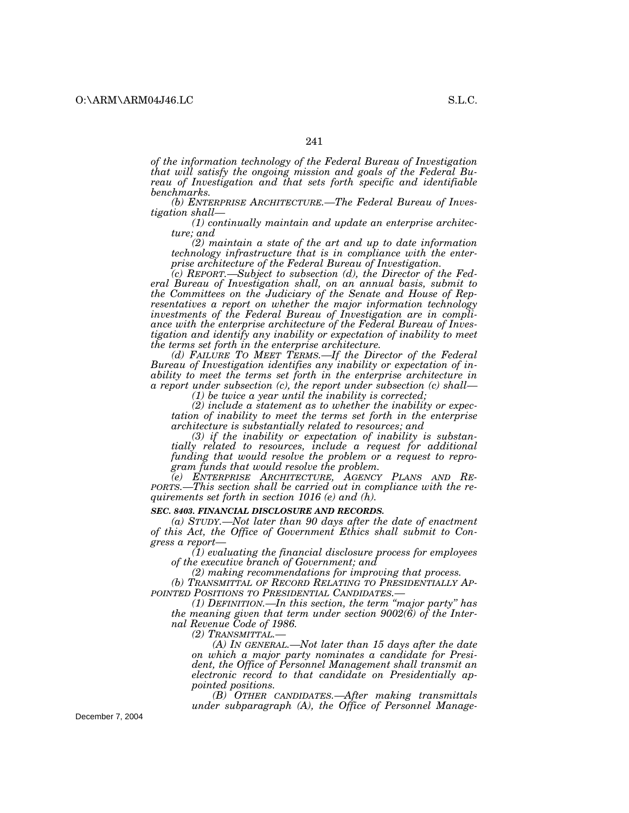*of the information technology of the Federal Bureau of Investigation that will satisfy the ongoing mission and goals of the Federal Bureau of Investigation and that sets forth specific and identifiable benchmarks.*

*(b) ENTERPRISE ARCHITECTURE.—The Federal Bureau of Investigation shall—*

*(1) continually maintain and update an enterprise architecture; and*

*(2) maintain a state of the art and up to date information technology infrastructure that is in compliance with the enterprise architecture of the Federal Bureau of Investigation.*

*(c) REPORT.—Subject to subsection (d), the Director of the Federal Bureau of Investigation shall, on an annual basis, submit to the Committees on the Judiciary of the Senate and House of Representatives a report on whether the major information technology investments of the Federal Bureau of Investigation are in compliance with the enterprise architecture of the Federal Bureau of Investigation and identify any inability or expectation of inability to meet the terms set forth in the enterprise architecture.*

*(d) FAILURE TO MEET TERMS.—If the Director of the Federal Bureau of Investigation identifies any inability or expectation of inability to meet the terms set forth in the enterprise architecture in a report under subsection (c), the report under subsection (c) shall—*

*(1) be twice a year until the inability is corrected;*

*(2) include a statement as to whether the inability or expectation of inability to meet the terms set forth in the enterprise architecture is substantially related to resources; and*

*(3) if the inability or expectation of inability is substantially related to resources, include a request for additional funding that would resolve the problem or a request to reprogram funds that would resolve the problem.*

*(e) ENTERPRISE ARCHITECTURE, AGENCY PLANS AND RE- PORTS.—This section shall be carried out in compliance with the requirements set forth in section 1016 (e) and (h).*

#### *SEC. 8403. FINANCIAL DISCLOSURE AND RECORDS.*

*(a) STUDY.—Not later than 90 days after the date of enactment of this Act, the Office of Government Ethics shall submit to Congress a report—*

*(1) evaluating the financial disclosure process for employees of the executive branch of Government; and*

*(2) making recommendations for improving that process.*

*(b) TRANSMITTAL OF RECORD RELATING TO PRESIDENTIALLY AP-POINTED POSITIONS TO PRESIDENTIAL CANDIDATES.—*

*(1) DEFINITION.—In this section, the term ''major party'' has the meaning given that term under section 9002(6) of the Internal Revenue Code of 1986.*

*(2) TRANSMITTAL.—*

*(A) IN GENERAL.—Not later than 15 days after the date on which a major party nominates a candidate for President, the Office of Personnel Management shall transmit an electronic record to that candidate on Presidentially appointed positions.*

*(B) OTHER CANDIDATES.—After making transmittals under subparagraph (A), the Office of Personnel Manage-*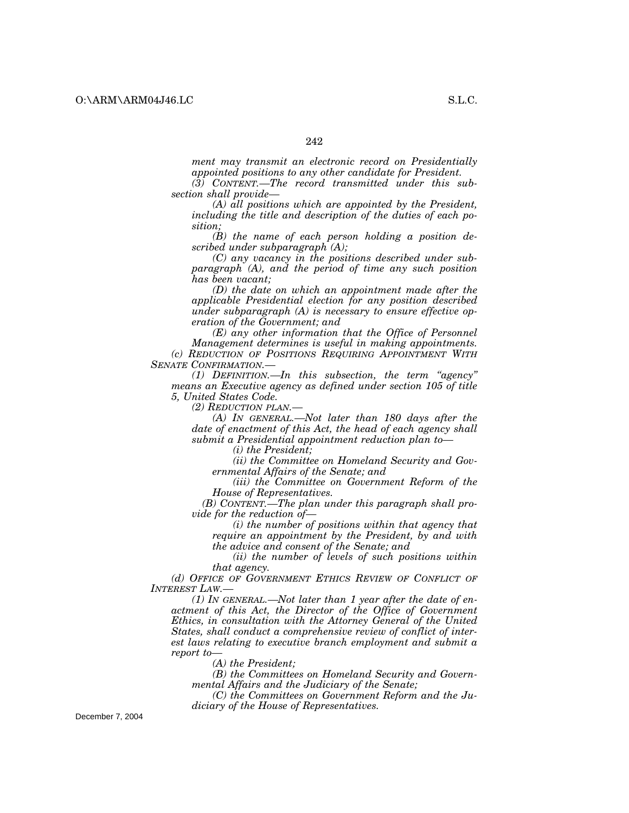*ment may transmit an electronic record on Presidentially appointed positions to any other candidate for President.*

*(3) CONTENT.—The record transmitted under this subsection shall provide—*

*(A) all positions which are appointed by the President, including the title and description of the duties of each position;*

*(B) the name of each person holding a position described under subparagraph (A);*

*(C) any vacancy in the positions described under subparagraph (A), and the period of time any such position has been vacant;*

*(D) the date on which an appointment made after the applicable Presidential election for any position described under subparagraph (A) is necessary to ensure effective operation of the Government; and*

*(E) any other information that the Office of Personnel Management determines is useful in making appointments. (c) REDUCTION OF POSITIONS REQUIRING APPOINTMENT WITH SENATE CONFIRMATION.—*

*(1) DEFINITION.—In this subsection, the term ''agency'' means an Executive agency as defined under section 105 of title 5, United States Code.*

*(2) REDUCTION PLAN.—*

*(A) IN GENERAL.—Not later than 180 days after the date of enactment of this Act, the head of each agency shall submit a Presidential appointment reduction plan to—*

*(i) the President;*

*(ii) the Committee on Homeland Security and Governmental Affairs of the Senate; and*

*(iii) the Committee on Government Reform of the House of Representatives.*

*(B) CONTENT.—The plan under this paragraph shall provide for the reduction of—*

*(i) the number of positions within that agency that require an appointment by the President, by and with the advice and consent of the Senate; and*

*(ii) the number of levels of such positions within that agency.*

*(d) OFFICE OF GOVERNMENT ETHICS REVIEW OF CONFLICT OF INTEREST LAW.—*

*(1) IN GENERAL.—Not later than 1 year after the date of enactment of this Act, the Director of the Office of Government Ethics, in consultation with the Attorney General of the United States, shall conduct a comprehensive review of conflict of interest laws relating to executive branch employment and submit a report to—*

*(A) the President;*

*(B) the Committees on Homeland Security and Governmental Affairs and the Judiciary of the Senate;*

*(C) the Committees on Government Reform and the Judiciary of the House of Representatives.*